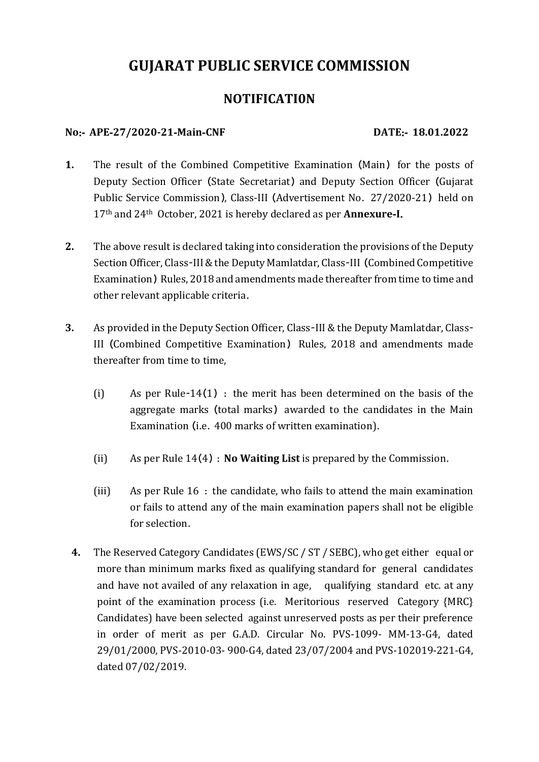# **GUJARAT PUBLIC SERVICE COMMISSION**

# **NOTIFICATI0N**

## **No**:‐ **APE**‐**27/2020-21**‐**Main**‐**CNF DATE**:‐ **18.01.2022**

- **1.** The result of the Combined Competitive Examination (Main) for the posts of Deputy Section Officer (State Secretariat) and Deputy Section Officer (Gujarat Public Service Commission), Class‐III (Advertisement No. 27/2020-21) held on 17th and 24th October, 2021 is hereby declared as per **Annexure**‐**I**.
- **2.** The above result is declared taking into consideration the provisions of the Deputy Section Officer, Class-III & the Deputy Mamlatdar, Class-III (Combined Competitive Examination) Rules, 2018 and amendments made thereafter from time to time and other relevant applicable criteria.
- **3.** As provided in the Deputy Section Officer, Class-III & the Deputy Mamlatdar, Class-III (Combined Competitive Examination) Rules, 2018 and amendments made thereafter from time to time,
	- (i) As per Rule-14(1) : the merit has been determined on the basis of the aggregate marks (total marks) awarded to the candidates in the Main Examination (i.e. 400 marks of written examination).
	- (ii) As per Rule 14(4) : **No Waiting List** is prepared by the Commission.
	- (iii) As per Rule 16 : the candidate, who fails to attend the main examination or fails to attend any of the main examination papers shall not be eligible for selection.
	- **4.** The Reserved Category Candidates (EWS/SC / ST / SEBC), who get either equal or more than minimum marks fixed as qualifying standard for general candidates and have not availed of any relaxation in age, qualifying standard etc. at any point of the examination process (i.e. Meritorious reserved Category {MRC} Candidates) have been selected against unreserved posts as per their preference in order of merit as per G.A.D. Circular No. PVS-1099- MM-13-G4, dated 29/01/2000, PVS-2010-03- 900-G4, dated 23/07/2004 and PVS-102019-221-G4, dated 07/02/2019.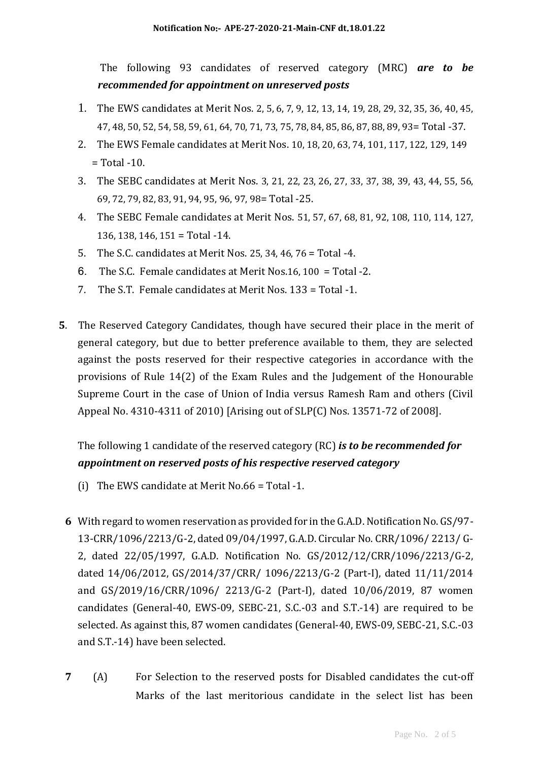The following 93 candidates of reserved category (MRC) *are to be recommended for appointment on unreserved posts*

- 1. The EWS candidates at Merit Nos. 2, 5, 6, 7, 9, 12, 13, 14, 19, 28, 29, 32, 35, 36, 40, 45, 47, 48, 50, 52, 54, 58, 59, 61, 64, 70, 71, 73, 75, 78, 84, 85, 86, 87, 88, 89, 93= Total -37.
- 2. The EWS Female candidates at Merit Nos. 10, 18, 20, 63, 74, 101, 117, 122, 129, 149  $=$  Total -10.
- 3. The SEBC candidates at Merit Nos. 3, 21, 22, 23, 26, 27, 33, 37, 38, 39, 43, 44, 55, 56, 69, 72, 79, 82, 83, 91, 94, 95, 96, 97, 98= Total -25.
- 4. The SEBC Female candidates at Merit Nos. 51, 57, 67, 68, 81, 92, 108, 110, 114, 127, 136, 138, 146, 151 = Total -14.
- 5. The S.C. candidates at Merit Nos. 25, 34, 46, 76 = Total -4.
- 6. The S.C. Female candidates at Merit Nos.16, 100 = Total -2.
- 7. The S.T. Female candidates at Merit Nos. 133 = Total -1.
- **5**. The Reserved Category Candidates, though have secured their place in the merit of general category, but due to better preference available to them, they are selected against the posts reserved for their respective categories in accordance with the provisions of Rule 14(2) of the Exam Rules and the Judgement of the Honourable Supreme Court in the case of Union of India versus Ramesh Ram and others (Civil Appeal No. 4310-4311 of 2010) [Arising out of SLP(C) Nos. 13571-72 of 2008].

# The following 1 candidate of the reserved category (RC) *is to be recommended for appointment on reserved posts of his respective reserved category*

- (i) The EWS candidate at Merit No.66 = Total -1.
- **6** With regard to women reservation as provided for in the G.A.D. Notification No. GS/97- 13-CRR/1096/2213/G-2, dated 09/04/1997, G.A.D. Circular No. CRR/1096/ 2213/ G-2, dated 22/05/1997, G.A.D. Notification No. GS/2012/12/CRR/1096/2213/G-2, dated 14/06/2012, GS/2014/37/CRR/ 1096/2213/G-2 (Part-I), dated 11/11/2014 and GS/2019/16/CRR/1096/ 2213/G-2 (Part-I), dated 10/06/2019, 87 women candidates (General-40, EWS-09, SEBC-21, S.C.-03 and S.T.-14) are required to be selected. As against this, 87 women candidates (General-40, EWS-09, SEBC-21, S.C.-03 and S.T.-14) have been selected.
- **7** (A) For Selection to the reserved posts for Disabled candidates the cut-off Marks of the last meritorious candidate in the select list has been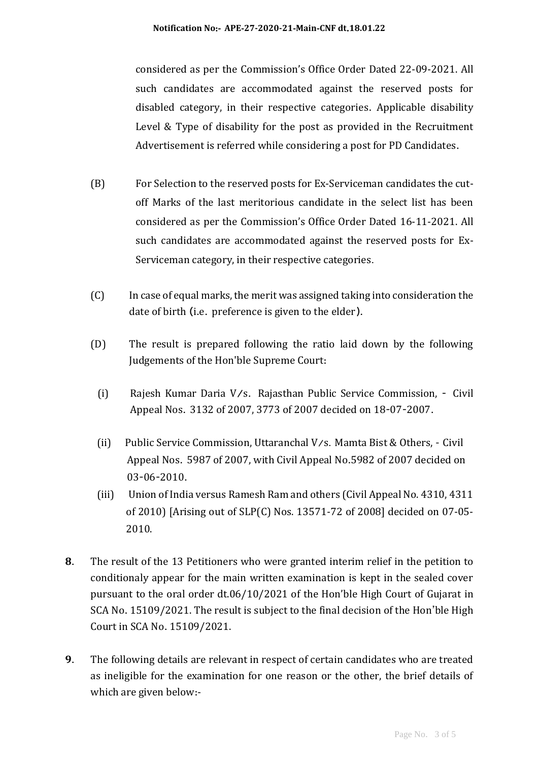considered as per the Commission's Office Order Dated 22-09-2021. All such candidates are accommodated against the reserved posts for disabled category, in their respective categories. Applicable disability Level & Type of disability for the post as provided in the Recruitment Advertisement is referred while considering a post for PD Candidates.

- (B) For Selection to the reserved posts for Ex-Serviceman candidates the cutoff Marks of the last meritorious candidate in the select list has been considered as per the Commission's Office Order Dated 16-11-2021. All such candidates are accommodated against the reserved posts for Ex-Serviceman category, in their respective categories.
- (C) In case of equal marks, the merit was assigned taking into consideration the date of birth (i.e. preference is given to the elder).
- (D) The result is prepared following the ratio laid down by the following Judgements of the Hon'ble Supreme Court:
	- (i) Rajesh Kumar Daria V/s. Rajasthan Public Service Commission, Civil Appeal Nos. 3132 of 2007, 3773 of 2007 decided on 18-07-2007.
	- (ii) Public Service Commission, Uttaranchal V/s. Mamta Bist & Others, Civil Appeal Nos. 5987 of 2007, with Civil Appeal No.5982 of 2007 decided on 03-06-2010.
	- (iii) Union of India versus Ramesh Ram and others (Civil Appeal No. 4310, 4311 of 2010) [Arising out of SLP(C) Nos. 13571-72 of 2008] decided on 07-05- 2010.
- **8**. The result of the 13 Petitioners who were granted interim relief in the petition to conditionaly appear for the main written examination is kept in the sealed cover pursuant to the oral order dt.06/10/2021 of the Hon'ble High Court of Gujarat in SCA No. 15109/2021. The result is subject to the final decision of the Hon'ble High Court in SCA No. 15109/2021.
- **9**. The following details are relevant in respect of certain candidates who are treated as ineligible for the examination for one reason or the other, the brief details of which are given below:‐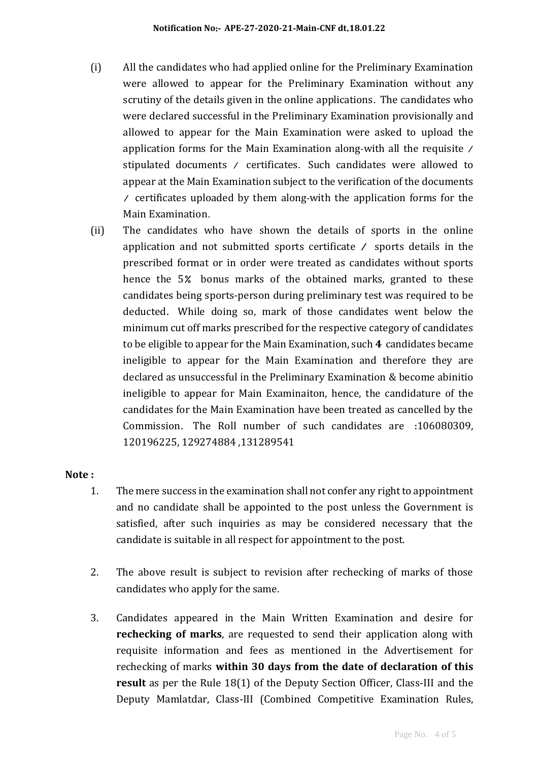- (i) All the candidates who had applied online for the Preliminary Examination were allowed to appear for the Preliminary Examination without any scrutiny of the details given in the online applications. The candidates who were declared successful in the Preliminary Examination provisionally and allowed to appear for the Main Examination were asked to upload the application forms for the Main Examination along‐with all the requisite / stipulated documents / certificates. Such candidates were allowed to appear at the Main Examination subject to the verification of the documents / certificates uploaded by them along‐with the application forms for the Main Examination.
- (ii) The candidates who have shown the details of sports in the online application and not submitted sports certificate / sports details in the prescribed format or in order were treated as candidates without sports hence the 5% bonus marks of the obtained marks, granted to these candidates being sports‐person during preliminary test was required to be deducted. While doing so, mark of those candidates went below the minimum cut off marks prescribed for the respective category of candidates to be eligible to appear for the Main Examination, such **4** candidates became ineligible to appear for the Main Examination and therefore they are declared as unsuccessful in the Preliminary Examination & become abinitio ineligible to appear for Main Examinaiton, hence, the candidature of the candidates for the Main Examination have been treated as cancelled by the Commission. The Roll number of such candidates are :106080309, 120196225, 129274884 ,131289541

#### **Note :**

- 1. The mere success in the examination shall not confer any right to appointment and no candidate shall be appointed to the post unless the Government is satisfied, after such inquiries as may be considered necessary that the candidate is suitable in all respect for appointment to the post.
- 2. The above result is subject to revision after rechecking of marks of those candidates who apply for the same.
- 3. Candidates appeared in the Main Written Examination and desire for **rechecking of marks**, are requested to send their application along with requisite information and fees as mentioned in the Advertisement for rechecking of marks **within 30 days from the date of declaration of this result** as per the Rule 18(1) of the Deputy Section Officer, Class-III and the Deputy Mamlatdar, Class-III (Combined Competitive Examination Rules,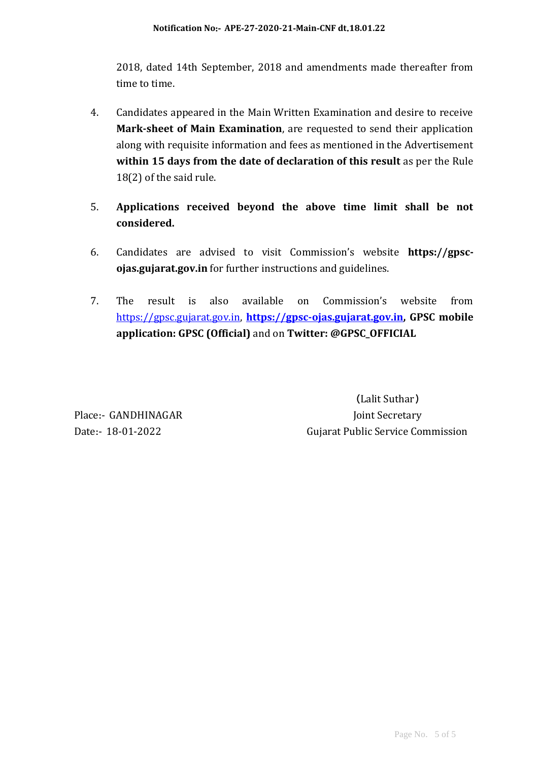2018, dated 14th September, 2018 and amendments made thereafter from time to time.

- 4. Candidates appeared in the Main Written Examination and desire to receive **Mark-sheet of Main Examination**, are requested to send their application along with requisite information and fees as mentioned in the Advertisement within 15 days from the date of declaration of this result as per the Rule 18(2) of the said rule.
- 5. **Applications received beyond the above time limit shall be not considered.**
- 6. Candidates are advised to visit Commission's website **https://gpscojas.gujarat.gov.in** for further instructions and guidelines.
- 7. The result is also available on Commission's website from [https://gpsc.gujarat.gov.in,](https://gpsc.gujarat.gov.in/) **[https://gpsc-ojas.gujarat.gov.in,](https://gpsc-ojas.gujarat.gov.in/) GPSC mobile application: GPSC (Official)** and on **Twitter: @GPSC\_OFFICIAL**

(Lalit Suthar) Place:- GANDHINAGAR Joint Secretary Date:‐ 18-01-2022 Gujarat Public Service Commission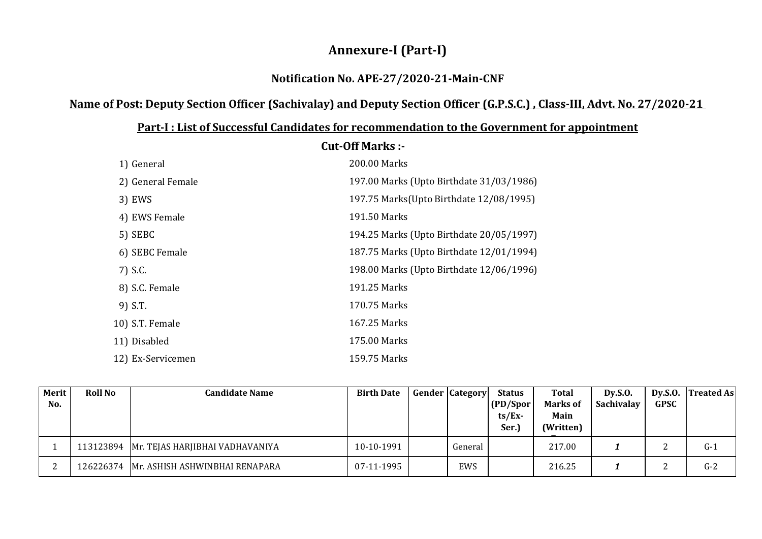# **Annexure-I (Part-I)**

## **Notification No. APE-27/2020-21-Main-CNF**

# **Name of Post: Deputy Section Officer (Sachivalay) and Deputy Section Officer (G.P.S.C.) , Class-III, Advt. No. 27/2020-21**

|                   | <b>Cut-Off Marks:-</b>                   |
|-------------------|------------------------------------------|
| 1) General        | 200.00 Marks                             |
| 2) General Female | 197.00 Marks (Upto Birthdate 31/03/1986) |
| 3) EWS            | 197.75 Marks(Upto Birthdate 12/08/1995)  |
| 4) EWS Female     | 191.50 Marks                             |
| 5) SEBC           | 194.25 Marks (Upto Birthdate 20/05/1997) |
| 6) SEBC Female    | 187.75 Marks (Upto Birthdate 12/01/1994) |
| 7) S.C.           | 198.00 Marks (Upto Birthdate 12/06/1996) |
| 8) S.C. Female    | 191.25 Marks                             |
| 9) S.T.           | 170.75 Marks                             |
| 10) S.T. Female   | 167.25 Marks                             |
| 11) Disabled      | 175.00 Marks                             |
| 12) Ex-Servicemen | 159.75 Marks                             |

## **Part-I : List of Successful Candidates for recommendation to the Government for appointment**

| Merit<br>No. | <b>Roll No</b> | <b>Candidate Name</b>                       | <b>Birth Date</b> | <b>Gender Category</b> | <b>Status</b><br>(PD/Spor)<br>$ts/Ex$ -<br>Ser.) | Total<br>Marks of<br>Main<br>(Written) | Dy.S.0.<br>Sachivalay | Dy.S.O.<br><b>GPSC</b> | <b>Treated As</b> |
|--------------|----------------|---------------------------------------------|-------------------|------------------------|--------------------------------------------------|----------------------------------------|-----------------------|------------------------|-------------------|
|              |                | 113123894   Mr. TEJAS HARJIBHAI VADHAVANIYA | 10-10-1991        | General                |                                                  | 217.00                                 |                       |                        | $G-1$             |
|              |                | .26226374    Mr. ASHISH ASHWINBHAI RENAPARA | 07-11-1995        | EWS                    |                                                  | 216.25                                 |                       |                        | $G-2$             |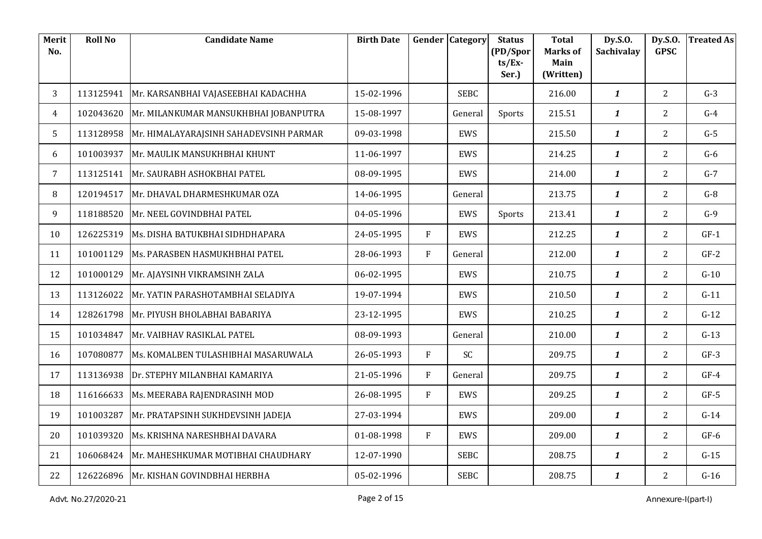| Merit<br>No.   | <b>Roll No</b> | <b>Candidate Name</b>                     | <b>Birth Date</b> |              | <b>Gender Category</b> | <b>Status</b>         | <b>Total</b><br><b>Marks of</b> | Dy.S.O.<br>Sachivalay | Dy.S.O.<br><b>GPSC</b> | <b>Treated As</b> |
|----------------|----------------|-------------------------------------------|-------------------|--------------|------------------------|-----------------------|---------------------------------|-----------------------|------------------------|-------------------|
|                |                |                                           |                   |              |                        | (PD/Spor<br>$ts/Ex$ - | Main                            |                       |                        |                   |
|                |                |                                           |                   |              |                        | Ser.)                 | (Written)                       |                       |                        |                   |
| 3              | 113125941      | Mr. KARSANBHAI VAJASEEBHAI KADACHHA       | 15-02-1996        |              | <b>SEBC</b>            |                       | 216.00                          | $\boldsymbol{1}$      | $\overline{2}$         | $G-3$             |
| $\overline{4}$ | 102043620      | Mr. MILANKUMAR MANSUKHBHAI JOBANPUTRA     | 15-08-1997        |              | General                | Sports                | 215.51                          | $\mathbf{1}$          | $\overline{2}$         | $G-4$             |
| 5              | 113128958      | Mr. HIMALAYARAJSINH SAHADEVSINH PARMAR    | 09-03-1998        |              | EWS                    |                       | 215.50                          | $\mathbf{1}$          | $\overline{2}$         | $G-5$             |
| 6              | 101003937      | Mr. MAULIK MANSUKHBHAI KHUNT              | 11-06-1997        |              | EWS                    |                       | 214.25                          | $\mathbf{1}$          | $\overline{2}$         | $G-6$             |
| $7^{\circ}$    | 113125141      | Mr. SAURABH ASHOKBHAI PATEL               | 08-09-1995        |              | EWS                    |                       | 214.00                          | $\mathbf{1}$          | $\overline{2}$         | $G-7$             |
| 8              | 120194517      | Mr. DHAVAL DHARMESHKUMAR OZA              | 14-06-1995        |              | General                |                       | 213.75                          | $\mathbf{1}$          | $\overline{2}$         | $G-8$             |
| 9              | 118188520      | Mr. NEEL GOVINDBHAI PATEL                 | 04-05-1996        |              | EWS                    | Sports                | 213.41                          | $\boldsymbol{1}$      | $\overline{2}$         | $G-9$             |
| 10             | 126225319      | Ms. DISHA BATUKBHAI SIDHDHAPARA           | 24-05-1995        | F            | <b>EWS</b>             |                       | 212.25                          | $\mathbf{1}$          | $\overline{2}$         | $GF-1$            |
| 11             | 101001129      | Ms. PARASBEN HASMUKHBHAI PATEL            | 28-06-1993        | F            | General                |                       | 212.00                          | $\mathbf{1}$          | $\overline{2}$         | $GF-2$            |
| 12             | 101000129      | Mr. AJAYSINH VIKRAMSINH ZALA              | 06-02-1995        |              | EWS                    |                       | 210.75                          | $\boldsymbol{1}$      | $\overline{2}$         | $G-10$            |
| 13             | 113126022      | Mr. YATIN PARASHOTAMBHAI SELADIYA         | 19-07-1994        |              | EWS                    |                       | 210.50                          | $\mathbf{1}$          | $\overline{2}$         | $G-11$            |
| 14             |                | 128261798   Mr. PIYUSH BHOLABHAI BABARIYA | 23-12-1995        |              | EWS                    |                       | 210.25                          | $\mathbf{1}$          | $\overline{2}$         | $G-12$            |
| 15             | 101034847      | Mr. VAIBHAV RASIKLAL PATEL                | 08-09-1993        |              | General                |                       | 210.00                          | $\boldsymbol{1}$      | $\overline{2}$         | $G-13$            |
| 16             | 107080877      | Ms. KOMALBEN TULASHIBHAI MASARUWALA       | 26-05-1993        | F            | SC                     |                       | 209.75                          | $\mathbf{1}$          | $\overline{2}$         | $GF-3$            |
| 17             | 113136938      | Dr. STEPHY MILANBHAI KAMARIYA             | 21-05-1996        | $\mathbf{F}$ | General                |                       | 209.75                          | $\boldsymbol{1}$      | $\overline{2}$         | $GF-4$            |
| 18             | 116166633      | Ms. MEERABA RAJENDRASINH MOD              | 26-08-1995        | F            | EWS                    |                       | 209.25                          | $\mathbf{1}$          | $\overline{2}$         | $GF-5$            |
| 19             | 101003287      | Mr. PRATAPSINH SUKHDEVSINH JADEJA         | 27-03-1994        |              | EWS                    |                       | 209.00                          | $\mathbf{1}$          | $\overline{2}$         | $G-14$            |
| 20             | 101039320      | Ms. KRISHNA NARESHBHAI DAVARA             | 01-08-1998        | F            | EWS                    |                       | 209.00                          | $\mathbf{1}$          | $\overline{2}$         | $GF-6$            |
| 21             | 106068424      | Mr. MAHESHKUMAR MOTIBHAI CHAUDHARY        | 12-07-1990        |              | <b>SEBC</b>            |                       | 208.75                          | $\boldsymbol{1}$      | $2^{\circ}$            | $G-15$            |
| 22             |                | 126226896 Mr. KISHAN GOVINDBHAI HERBHA    | 05-02-1996        |              | <b>SEBC</b>            |                       | 208.75                          | $\boldsymbol{1}$      | $\overline{2}$         | $G-16$            |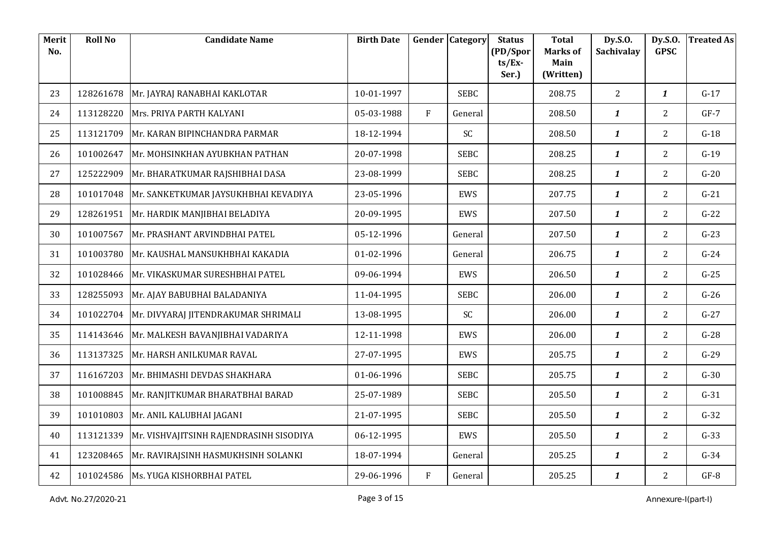| Merit<br>No. | <b>Roll No</b> | <b>Candidate Name</b>                   | <b>Birth Date</b> |           | <b>Gender Category</b> | <b>Status</b><br>(PD/Spor | <b>Total</b><br><b>Marks of</b> | Dy.S.O.<br>Sachivalay | Dy.S.O.<br><b>GPSC</b> | <b>Treated As</b> |
|--------------|----------------|-----------------------------------------|-------------------|-----------|------------------------|---------------------------|---------------------------------|-----------------------|------------------------|-------------------|
|              |                |                                         |                   |           |                        | $ts/Ex$ -<br>Ser.)        | Main<br>(Written)               |                       |                        |                   |
| 23           | 128261678      | Mr. JAYRAJ RANABHAI KAKLOTAR            | 10-01-1997        |           | <b>SEBC</b>            |                           | 208.75                          | 2                     | $\boldsymbol{1}$       | $G-17$            |
| 24           | 113128220      | Mrs. PRIYA PARTH KALYANI                | 05-03-1988        | F         | General                |                           | 208.50                          | $\boldsymbol{1}$      | $\overline{2}$         | $GF-7$            |
| 25           | 113121709      | Mr. KARAN BIPINCHANDRA PARMAR           | 18-12-1994        |           | SC                     |                           | 208.50                          | $\boldsymbol{1}$      | $\overline{2}$         | $G-18$            |
| 26           | 101002647      | Mr. MOHSINKHAN AYUBKHAN PATHAN          | 20-07-1998        |           | <b>SEBC</b>            |                           | 208.25                          | $\boldsymbol{1}$      | $\overline{2}$         | $G-19$            |
| 27           | 125222909      | Mr. BHARATKUMAR RAJSHIBHAI DASA         | 23-08-1999        |           | <b>SEBC</b>            |                           | 208.25                          | $\boldsymbol{1}$      | $\overline{2}$         | $G-20$            |
| 28           | 101017048      | Mr. SANKETKUMAR JAYSUKHBHAI KEVADIYA    | 23-05-1996        |           | <b>EWS</b>             |                           | 207.75                          | $\boldsymbol{1}$      | $\overline{2}$         | $G-21$            |
| 29           | 128261951      | Mr. HARDIK MANJIBHAI BELADIYA           | 20-09-1995        |           | EWS                    |                           | 207.50                          | $\boldsymbol{1}$      | $\overline{2}$         | $G-22$            |
| 30           | 101007567      | Mr. PRASHANT ARVINDBHAI PATEL           | 05-12-1996        |           | General                |                           | 207.50                          | 1                     | $\overline{2}$         | $G-23$            |
| 31           | 101003780      | Mr. KAUSHAL MANSUKHBHAI KAKADIA         | 01-02-1996        |           | General                |                           | 206.75                          | $\boldsymbol{1}$      | $\overline{2}$         | $G-24$            |
| 32           | 101028466      | Mr. VIKASKUMAR SURESHBHAI PATEL         | 09-06-1994        |           | EWS                    |                           | 206.50                          | $\boldsymbol{1}$      | $\overline{2}$         | $G-25$            |
| 33           | 128255093      | Mr. AJAY BABUBHAI BALADANIYA            | 11-04-1995        |           | <b>SEBC</b>            |                           | 206.00                          | $\boldsymbol{1}$      | $\overline{2}$         | $G-26$            |
| 34           | 101022704      | Mr. DIVYARAJ JITENDRAKUMAR SHRIMALI     | 13-08-1995        |           | SC                     |                           | 206.00                          | $\boldsymbol{1}$      | $\overline{2}$         | $G-27$            |
| 35           | 114143646      | Mr. MALKESH BAVANJIBHAI VADARIYA        | 12-11-1998        |           | EWS                    |                           | 206.00                          | $\boldsymbol{1}$      | $\overline{2}$         | $G-28$            |
| 36           | 113137325      | Mr. HARSH ANILKUMAR RAVAL               | 27-07-1995        |           | EWS                    |                           | 205.75                          | $\boldsymbol{1}$      | $\overline{2}$         | $G-29$            |
| 37           | 116167203      | Mr. BHIMASHI DEVDAS SHAKHARA            | 01-06-1996        |           | <b>SEBC</b>            |                           | 205.75                          | $\mathbf{1}$          | $\overline{2}$         | $G-30$            |
| 38           | 101008845      | Mr. RANJITKUMAR BHARATBHAI BARAD        | 25-07-1989        |           | <b>SEBC</b>            |                           | 205.50                          | $\boldsymbol{1}$      | $\overline{2}$         | $G-31$            |
| 39           | 101010803      | Mr. ANIL KALUBHAI JAGANI                | 21-07-1995        |           | <b>SEBC</b>            |                           | 205.50                          | $\boldsymbol{1}$      | $\overline{2}$         | $G-32$            |
| 40           | 113121339      | Mr. VISHVAJITSINH RAJENDRASINH SISODIYA | 06-12-1995        |           | EWS                    |                           | 205.50                          | $\mathbf{1}$          | $\overline{2}$         | $G-33$            |
| 41           | 123208465      | Mr. RAVIRAJSINH HASMUKHSINH SOLANKI     | 18-07-1994        |           | General                |                           | 205.25                          | $\boldsymbol{1}$      | $\overline{2}$         | $G-34$            |
| 42           |                | 101024586   Ms. YUGA KISHORBHAI PATEL   | 29-06-1996        | ${\rm F}$ | General                |                           | 205.25                          | $\boldsymbol{1}$      | $\overline{2}$         | $GF-8$            |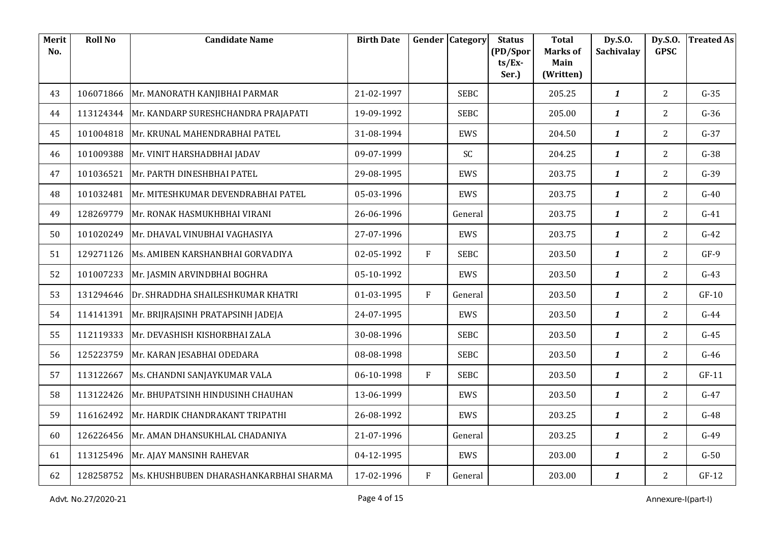| Merit<br>No. | <b>Roll No</b> | <b>Candidate Name</b>                            | <b>Birth Date</b> |         | <b>Gender Category</b> | <b>Status</b><br>(PD/Spor | <b>Total</b><br><b>Marks of</b> | Dy.S.O.<br>Sachivalay | Dy.S.O.<br><b>GPSC</b> | <b>Treated As</b> |
|--------------|----------------|--------------------------------------------------|-------------------|---------|------------------------|---------------------------|---------------------------------|-----------------------|------------------------|-------------------|
|              |                |                                                  |                   |         |                        | $ts/Ex$ -<br>Ser.)        | Main<br>(Written)               |                       |                        |                   |
| 43           | 106071866      | Mr. MANORATH KANJIBHAI PARMAR                    | 21-02-1997        |         | <b>SEBC</b>            |                           | 205.25                          | $\boldsymbol{1}$      | $\overline{2}$         | $G-35$            |
| 44           | 113124344      | Mr. KANDARP SURESHCHANDRA PRAJAPATI              | 19-09-1992        |         | <b>SEBC</b>            |                           | 205.00                          | $\boldsymbol{1}$      | $\overline{2}$         | $G-36$            |
| 45           | 101004818      | Mr. KRUNAL MAHENDRABHAI PATEL                    | 31-08-1994        |         | <b>EWS</b>             |                           | 204.50                          | $\mathbf{1}$          | $\overline{2}$         | $G-37$            |
| 46           | 101009388      | Mr. VINIT HARSHADBHAI JADAV                      | 09-07-1999        |         | SC                     |                           | 204.25                          | $\boldsymbol{1}$      | $\overline{2}$         | $G-38$            |
| 47           | 101036521      | Mr. PARTH DINESHBHAI PATEL                       | 29-08-1995        |         | <b>EWS</b>             |                           | 203.75                          | $\boldsymbol{1}$      | $\overline{2}$         | $G-39$            |
| 48           | 101032481      | Mr. MITESHKUMAR DEVENDRABHAI PATEL               | 05-03-1996        |         | <b>EWS</b>             |                           | 203.75                          | $\mathbf{1}$          | $\overline{2}$         | $G-40$            |
| 49           | 128269779      | Mr. RONAK HASMUKHBHAI VIRANI                     | 26-06-1996        |         | General                |                           | 203.75                          | $\boldsymbol{1}$      | $\overline{2}$         | $G-41$            |
| 50           | 101020249      | Mr. DHAVAL VINUBHAI VAGHASIYA                    | 27-07-1996        |         | EWS                    |                           | 203.75                          | $\boldsymbol{1}$      | $\overline{2}$         | $G-42$            |
| 51           | 129271126      | Ms. AMIBEN KARSHANBHAI GORVADIYA                 | 02-05-1992        | F       | <b>SEBC</b>            |                           | 203.50                          | $\mathbf{1}$          | $\overline{2}$         | $GF-9$            |
| 52           | 101007233      | Mr. JASMIN ARVINDBHAI BOGHRA                     | 05-10-1992        |         | EWS                    |                           | 203.50                          | $\boldsymbol{1}$      | $\overline{2}$         | $G-43$            |
| 53           | 131294646      | Dr. SHRADDHA SHAILESHKUMAR KHATRI                | 01-03-1995        | F       | General                |                           | 203.50                          | $\boldsymbol{1}$      | $\overline{2}$         | $GF-10$           |
| 54           | 114141391      | Mr. BRIJRAJSINH PRATAPSINH JADEJA                | 24-07-1995        |         | EWS                    |                           | 203.50                          | $\mathbf{1}$          | $\overline{2}$         | $G-44$            |
| 55           | 112119333      | Mr. DEVASHISH KISHORBHAI ZALA                    | 30-08-1996        |         | <b>SEBC</b>            |                           | 203.50                          | $\boldsymbol{1}$      | $\overline{2}$         | $G-45$            |
| 56           | 125223759      | Mr. KARAN JESABHAI ODEDARA                       | 08-08-1998        |         | <b>SEBC</b>            |                           | 203.50                          | $\boldsymbol{1}$      | $\overline{2}$         | $G-46$            |
| 57           | 113122667      | Ms. CHANDNI SANJAYKUMAR VALA                     | 06-10-1998        | F       | <b>SEBC</b>            |                           | 203.50                          | $\mathbf{1}$          | $\overline{2}$         | $GF-11$           |
| 58           | 113122426      | Mr. BHUPATSINH HINDUSINH CHAUHAN                 | 13-06-1999        |         | EWS                    |                           | 203.50                          | $\boldsymbol{1}$      | $\overline{2}$         | $G-47$            |
| 59           | 116162492      | Mr. HARDIK CHANDRAKANT TRIPATHI                  | 26-08-1992        |         | EWS                    |                           | 203.25                          | $\boldsymbol{1}$      | $\overline{2}$         | $G-48$            |
| 60           | 126226456      | Mr. AMAN DHANSUKHLAL CHADANIYA                   | 21-07-1996        |         | General                |                           | 203.25                          | $\mathbf{1}$          | $\overline{2}$         | $G-49$            |
| 61           | 113125496      | Mr. AJAY MANSINH RAHEVAR                         | 04-12-1995        |         | EWS                    |                           | 203.00                          | $\boldsymbol{1}$      | $\overline{2}$         | $G-50$            |
| 62           |                | 128258752 Ms. KHUSHBUBEN DHARASHANKARBHAI SHARMA | 17-02-1996        | $\rm F$ | General                |                           | 203.00                          | $\boldsymbol{1}$      | $\overline{2}$         | $GF-12$           |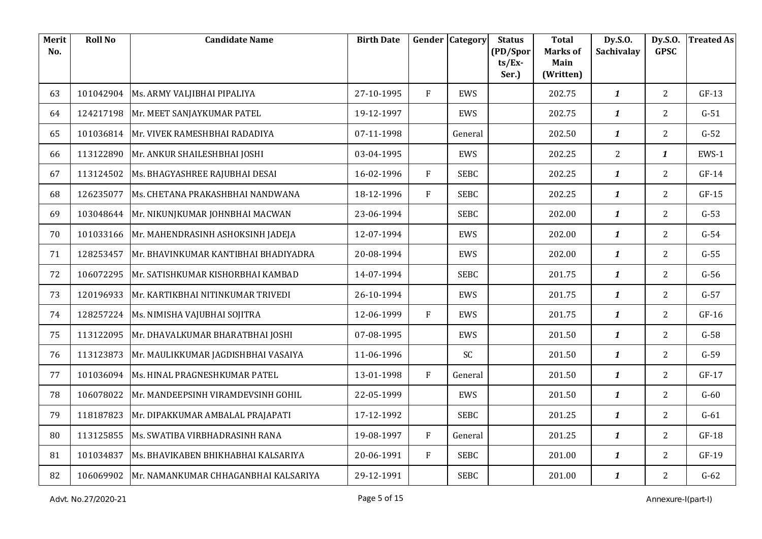| Merit<br>No. | <b>Roll No</b> | <b>Candidate Name</b>                | <b>Birth Date</b> |              | <b>Gender Category</b> | <b>Status</b><br>(PD/Spor | <b>Total</b><br><b>Marks of</b> | Dy.S.O.<br>Sachivalay | Dy.S.O.<br><b>GPSC</b> | <b>Treated As</b> |
|--------------|----------------|--------------------------------------|-------------------|--------------|------------------------|---------------------------|---------------------------------|-----------------------|------------------------|-------------------|
|              |                |                                      |                   |              |                        | $ts/Ex$ -<br>Ser.)        | Main<br>(Written)               |                       |                        |                   |
| 63           | 101042904      | Ms. ARMY VALJIBHAI PIPALIYA          | 27-10-1995        | F            | EWS                    |                           | 202.75                          | $\boldsymbol{1}$      | $\overline{2}$         | $GF-13$           |
| 64           | 124217198      | Mr. MEET SANJAYKUMAR PATEL           | 19-12-1997        |              | EWS                    |                           | 202.75                          | $\boldsymbol{1}$      | $\overline{2}$         | $G-51$            |
| 65           | 101036814      | Mr. VIVEK RAMESHBHAI RADADIYA        | 07-11-1998        |              | General                |                           | 202.50                          | $\mathbf{1}$          | $\overline{2}$         | $G-52$            |
| 66           | 113122890      | Mr. ANKUR SHAILESHBHAI JOSHI         | 03-04-1995        |              | EWS                    |                           | 202.25                          | 2                     | $\boldsymbol{1}$       | EWS-1             |
| 67           | 113124502      | Ms. BHAGYASHREE RAJUBHAI DESAI       | 16-02-1996        | F            | <b>SEBC</b>            |                           | 202.25                          | $\mathbf{1}$          | $\overline{2}$         | $GF-14$           |
| 68           | 126235077      | Ms. CHETANA PRAKASHBHAI NANDWANA     | 18-12-1996        | F            | <b>SEBC</b>            |                           | 202.25                          | $\mathbf{1}$          | $\overline{2}$         | $GF-15$           |
| 69           | 103048644      | Mr. NIKUNJKUMAR JOHNBHAI MACWAN      | 23-06-1994        |              | <b>SEBC</b>            |                           | 202.00                          | $\boldsymbol{1}$      | $\overline{2}$         | $G-53$            |
| 70           | 101033166      | Mr. MAHENDRASINH ASHOKSINH JADEJA    | 12-07-1994        |              | EWS                    |                           | 202.00                          | $\mathbf{1}$          | $\overline{2}$         | $G-54$            |
| 71           | 128253457      | Mr. BHAVINKUMAR KANTIBHAI BHADIYADRA | 20-08-1994        |              | EWS                    |                           | 202.00                          | $\mathbf{1}$          | $\overline{2}$         | $G-55$            |
| 72           | 106072295      | Mr. SATISHKUMAR KISHORBHAI KAMBAD    | 14-07-1994        |              | <b>SEBC</b>            |                           | 201.75                          | $\boldsymbol{1}$      | $\overline{2}$         | $G-56$            |
| 73           | 120196933      | Mr. KARTIKBHAI NITINKUMAR TRIVEDI    | 26-10-1994        |              | EWS                    |                           | 201.75                          | $\mathbf{1}$          | $\overline{2}$         | $G-57$            |
| 74           | 128257224      | Ms. NIMISHA VAJUBHAI SOJITRA         | 12-06-1999        | F            | EWS                    |                           | 201.75                          | $\mathbf{1}$          | $\overline{2}$         | $GF-16$           |
| 75           | 113122095      | Mr. DHAVALKUMAR BHARATBHAI JOSHI     | 07-08-1995        |              | EWS                    |                           | 201.50                          | $\boldsymbol{1}$      | $\overline{2}$         | $G-58$            |
| 76           | 113123873      | Mr. MAULIKKUMAR JAGDISHBHAI VASAIYA  | 11-06-1996        |              | SC                     |                           | 201.50                          | $\mathbf{1}$          | $\overline{2}$         | $G-59$            |
| 77           | 101036094      | Ms. HINAL PRAGNESHKUMAR PATEL        | 13-01-1998        | $\mathbf{F}$ | General                |                           | 201.50                          | $\mathbf{1}$          | $\overline{2}$         | $GF-17$           |
| 78           | 106078022      | Mr. MANDEEPSINH VIRAMDEVSINH GOHIL   | 22-05-1999        |              | EWS                    |                           | 201.50                          | $\boldsymbol{1}$      | $\overline{2}$         | $G-60$            |
| 79           | 118187823      | Mr. DIPAKKUMAR AMBALAL PRAJAPATI     | 17-12-1992        |              | <b>SEBC</b>            |                           | 201.25                          | $\mathbf{1}$          | $\overline{2}$         | $G-61$            |
| 80           | 113125855      | Ms. SWATIBA VIRBHADRASINH RANA       | 19-08-1997        | $\mathbf{F}$ | General                |                           | 201.25                          | $\mathbf{1}$          | $\overline{2}$         | $GF-18$           |
| 81           | 101034837      | Ms. BHAVIKABEN BHIKHABHAI KALSARIYA  | 20-06-1991        | F            | <b>SEBC</b>            |                           | 201.00                          | $\mathbf{1}$          | $\overline{2}$         | $GF-19$           |
| 82           | 106069902      | Mr. NAMANKUMAR CHHAGANBHAI KALSARIYA | 29-12-1991        |              | <b>SEBC</b>            |                           | 201.00                          | $\boldsymbol{1}$      | $\overline{2}$         | $G-62$            |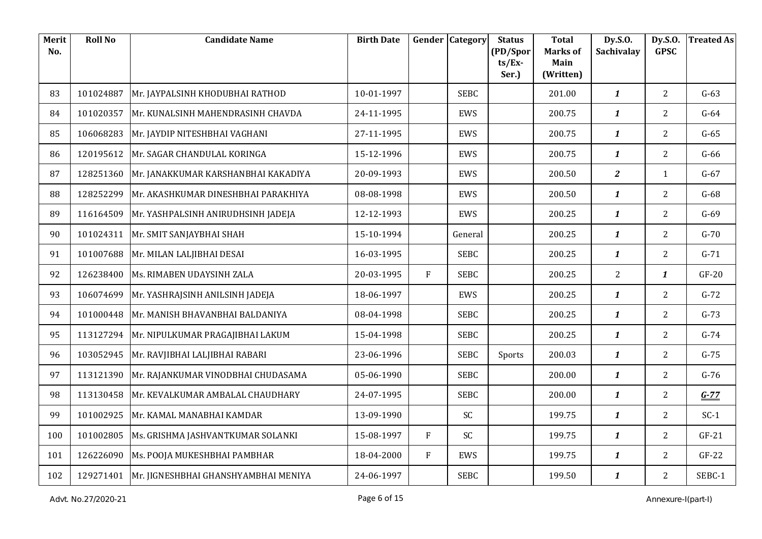| Merit<br>No. | <b>Roll No</b> | <b>Candidate Name</b>                            | <b>Birth Date</b> | Gender | Category    | <b>Status</b><br>(PD/Spor | <b>Total</b><br><b>Marks of</b> | Dy.S.O.<br><b>Sachivalay</b> | Dy.S.O.<br><b>GPSC</b> | <b>Treated As</b> |
|--------------|----------------|--------------------------------------------------|-------------------|--------|-------------|---------------------------|---------------------------------|------------------------------|------------------------|-------------------|
|              |                |                                                  |                   |        |             | $ts/Ex$ -<br>Ser.)        | Main<br>(Written)               |                              |                        |                   |
| 83           | 101024887      | Mr. JAYPALSINH KHODUBHAI RATHOD                  | 10-01-1997        |        | <b>SEBC</b> |                           | 201.00                          | $\mathbf{1}$                 | $\overline{2}$         | $G-63$            |
| 84           | 101020357      | Mr. KUNALSINH MAHENDRASINH CHAVDA                | 24-11-1995        |        | EWS         |                           | 200.75                          | $\boldsymbol{1}$             | $2^{\circ}$            | $G-64$            |
| 85           | 106068283      | Mr. JAYDIP NITESHBHAI VAGHANI                    | 27-11-1995        |        | <b>EWS</b>  |                           | 200.75                          | $\mathbf{1}$                 | $\overline{2}$         | $G-65$            |
| 86           | 120195612      | Mr. SAGAR CHANDULAL KORINGA                      | 15-12-1996        |        | EWS         |                           | 200.75                          | $\boldsymbol{1}$             | $\overline{2}$         | $G-66$            |
| 87           | 128251360      | Mr. JANAKKUMAR KARSHANBHAI KAKADIYA              | 20-09-1993        |        | EWS         |                           | 200.50                          | $\overline{z}$               | $\mathbf{1}$           | $G-67$            |
| 88           | 128252299      | Mr. AKASHKUMAR DINESHBHAI PARAKHIYA              | 08-08-1998        |        | <b>EWS</b>  |                           | 200.50                          | $\mathbf{1}$                 | $\overline{2}$         | $G-68$            |
| 89           | 116164509      | Mr. YASHPALSINH ANIRUDHSINH JADEJA               | 12-12-1993        |        | EWS         |                           | 200.25                          | $\boldsymbol{1}$             | $\overline{2}$         | $G-69$            |
| 90           | 101024311      | Mr. SMIT SANJAYBHAI SHAH                         | 15-10-1994        |        | General     |                           | 200.25                          | $\boldsymbol{1}$             | 2 <sup>1</sup>         | $G-70$            |
| 91           | 101007688      | Mr. MILAN LALJIBHAI DESAI                        | 16-03-1995        |        | <b>SEBC</b> |                           | 200.25                          | $\boldsymbol{1}$             | $\overline{2}$         | $G-71$            |
| 92           | 126238400      | Ms. RIMABEN UDAYSINH ZALA                        | 20-03-1995        | F      | <b>SEBC</b> |                           | 200.25                          | $\overline{2}$               | $\boldsymbol{1}$       | $GF-20$           |
| 93           | 106074699      | Mr. YASHRAJSINH ANILSINH JADEJA                  | 18-06-1997        |        | EWS         |                           | 200.25                          | $\boldsymbol{1}$             | $\overline{2}$         | $G-72$            |
| 94           | 101000448      | Mr. MANISH BHAVANBHAI BALDANIYA                  | 08-04-1998        |        | <b>SEBC</b> |                           | 200.25                          | $\boldsymbol{1}$             | $\overline{2}$         | $G-73$            |
| 95           | 113127294      | Mr. NIPULKUMAR PRAGAJIBHAI LAKUM                 | 15-04-1998        |        | <b>SEBC</b> |                           | 200.25                          | $\boldsymbol{1}$             | $\overline{2}$         | $G-74$            |
| 96           | 103052945      | Mr. RAVJIBHAI LALJIBHAI RABARI                   | 23-06-1996        |        | <b>SEBC</b> | Sports                    | 200.03                          | $\boldsymbol{1}$             | $\overline{2}$         | $G-75$            |
| 97           | 113121390      | Mr. RAJANKUMAR VINODBHAI CHUDASAMA               | 05-06-1990        |        | <b>SEBC</b> |                           | 200.00                          | $\boldsymbol{1}$             | $\overline{2}$         | $G-76$            |
| 98           | 113130458      | Mr. KEVALKUMAR AMBALAL CHAUDHARY                 | 24-07-1995        |        | <b>SEBC</b> |                           | 200.00                          | $\boldsymbol{1}$             | $2^{\circ}$            | $G-77$            |
| 99           | 101002925      | Mr. KAMAL MANABHAI KAMDAR                        | 13-09-1990        |        | SC          |                           | 199.75                          | $\boldsymbol{1}$             | $2^{\circ}$            | $SC-1$            |
| 100          | 101002805      | Ms. GRISHMA JASHVANTKUMAR SOLANKI                | 15-08-1997        | F      | SC          |                           | 199.75                          | $\boldsymbol{1}$             | $\overline{2}$         | $GF-21$           |
| 101          | 126226090      | Ms. POOJA MUKESHBHAI PAMBHAR                     | 18-04-2000        | F      | EWS         |                           | 199.75                          | $\boldsymbol{1}$             | $2^{\circ}$            | $GF-22$           |
| 102          |                | 129271401   Mr. JIGNESHBHAI GHANSHYAMBHAI MENIYA | 24-06-1997        |        | <b>SEBC</b> |                           | 199.50                          | $\boldsymbol{1}$             | $\overline{2}$         | SEBC-1            |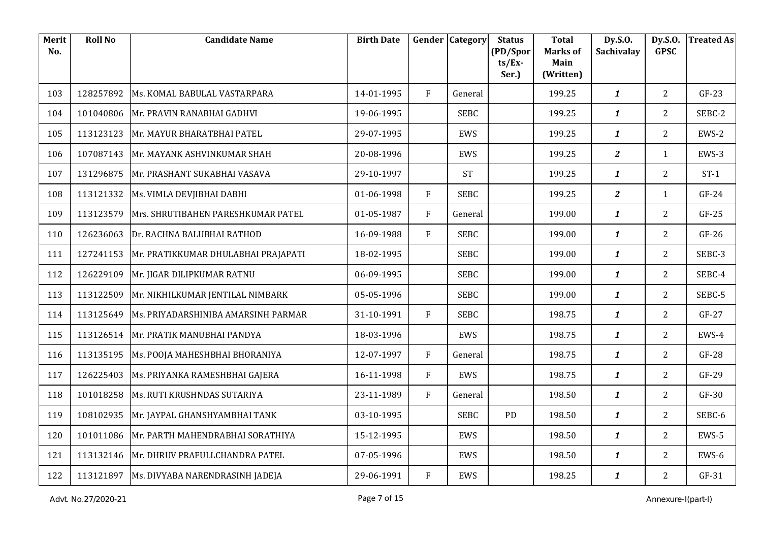| Merit<br>No. | <b>Roll No</b> | <b>Candidate Name</b>                       | <b>Birth Date</b> |              | <b>Gender Category</b> | <b>Status</b><br>(PD/Spor | <b>Total</b><br><b>Marks of</b> | Dy.S.O.<br>Sachivalay | Dy.S.O.<br><b>GPSC</b> | <b>Treated As</b> |
|--------------|----------------|---------------------------------------------|-------------------|--------------|------------------------|---------------------------|---------------------------------|-----------------------|------------------------|-------------------|
|              |                |                                             |                   |              |                        | $ts/Ex$ -<br>Ser.)        | Main<br>(Written)               |                       |                        |                   |
| 103          | 128257892      | Ms. KOMAL BABULAL VASTARPARA                | 14-01-1995        | $\mathbf{F}$ | General                |                           | 199.25                          | $\boldsymbol{1}$      | $\overline{2}$         | $GF-23$           |
| 104          | 101040806      | Mr. PRAVIN RANABHAI GADHVI                  | 19-06-1995        |              | <b>SEBC</b>            |                           | 199.25                          | $\boldsymbol{1}$      | $\overline{2}$         | SEBC-2            |
| 105          | 113123123      | Mr. MAYUR BHARATBHAI PATEL                  | 29-07-1995        |              | <b>EWS</b>             |                           | 199.25                          | $\boldsymbol{1}$      | $\overline{2}$         | EWS-2             |
| 106          | 107087143      | Mr. MAYANK ASHVINKUMAR SHAH                 | 20-08-1996        |              | EWS                    |                           | 199.25                          | $\overline{a}$        | $\mathbf{1}$           | EWS-3             |
| 107          | 131296875      | Mr. PRASHANT SUKABHAI VASAVA                | 29-10-1997        |              | <b>ST</b>              |                           | 199.25                          | $\boldsymbol{1}$      | $\overline{2}$         | $ST-1$            |
| 108          | 113121332      | Ms. VIMLA DEVJIBHAI DABHI                   | 01-06-1998        | F            | <b>SEBC</b>            |                           | 199.25                          | $\overline{a}$        | $\mathbf{1}$           | $GF-24$           |
| 109          | 113123579      | Mrs. SHRUTIBAHEN PARESHKUMAR PATEL          | 01-05-1987        | F            | General                |                           | 199.00                          | $\boldsymbol{1}$      | $\overline{2}$         | $GF-25$           |
| 110          | 126236063      | Dr. RACHNA BALUBHAI RATHOD                  | 16-09-1988        | F            | <b>SEBC</b>            |                           | 199.00                          | $\boldsymbol{1}$      | $\overline{2}$         | $GF-26$           |
| 111          | 127241153      | Mr. PRATIKKUMAR DHULABHAI PRAJAPATI         | 18-02-1995        |              | <b>SEBC</b>            |                           | 199.00                          | $\boldsymbol{1}$      | $\overline{2}$         | SEBC-3            |
| 112          | 126229109      | Mr. JIGAR DILIPKUMAR RATNU                  | 06-09-1995        |              | <b>SEBC</b>            |                           | 199.00                          | $\boldsymbol{1}$      | $\overline{2}$         | SEBC-4            |
| 113          | 113122509      | Mr. NIKHILKUMAR JENTILAL NIMBARK            | 05-05-1996        |              | <b>SEBC</b>            |                           | 199.00                          | $\boldsymbol{1}$      | $\overline{2}$         | SEBC-5            |
| 114          | 113125649      | Ms. PRIYADARSHINIBA AMARSINH PARMAR         | 31-10-1991        | F            | <b>SEBC</b>            |                           | 198.75                          | $\mathbf{1}$          | $\overline{2}$         | $GF-27$           |
| 115          | 113126514      | Mr. PRATIK MANUBHAI PANDYA                  | 18-03-1996        |              | EWS                    |                           | 198.75                          | $\boldsymbol{1}$      | $\overline{2}$         | EWS-4             |
| 116          | 113135195      | Ms. POOJA MAHESHBHAI BHORANIYA              | 12-07-1997        | $\mathbf{F}$ | General                |                           | 198.75                          | $\boldsymbol{1}$      | $\overline{2}$         | $GF-28$           |
| 117          | 126225403      | Ms. PRIYANKA RAMESHBHAI GAJERA              | 16-11-1998        | F            | EWS                    |                           | 198.75                          | $\boldsymbol{1}$      | $\overline{2}$         | $GF-29$           |
| 118          | 101018258      | Ms. RUTI KRUSHNDAS SUTARIYA                 | 23-11-1989        | F            | General                |                           | 198.50                          | $\boldsymbol{1}$      | $\overline{2}$         | $GF-30$           |
| 119          | 108102935      | Mr. JAYPAL GHANSHYAMBHAI TANK               | 03-10-1995        |              | <b>SEBC</b>            | PD                        | 198.50                          | $\boldsymbol{1}$      | $\overline{2}$         | SEBC-6            |
| 120          | 101011086      | Mr. PARTH MAHENDRABHAI SORATHIYA            | 15-12-1995        |              | EWS                    |                           | 198.50                          | $\boldsymbol{1}$      | $\overline{2}$         | EWS-5             |
| 121          | 113132146      | Mr. DHRUV PRAFULLCHANDRA PATEL              | 07-05-1996        |              | EWS                    |                           | 198.50                          | $\boldsymbol{1}$      | $2^{\circ}$            | EWS-6             |
| 122          |                | 113121897   Ms. DIVYABA NARENDRASINH JADEJA | 29-06-1991        | F            | EWS                    |                           | 198.25                          | $\boldsymbol{1}$      | $\overline{2}$         | $GF-31$           |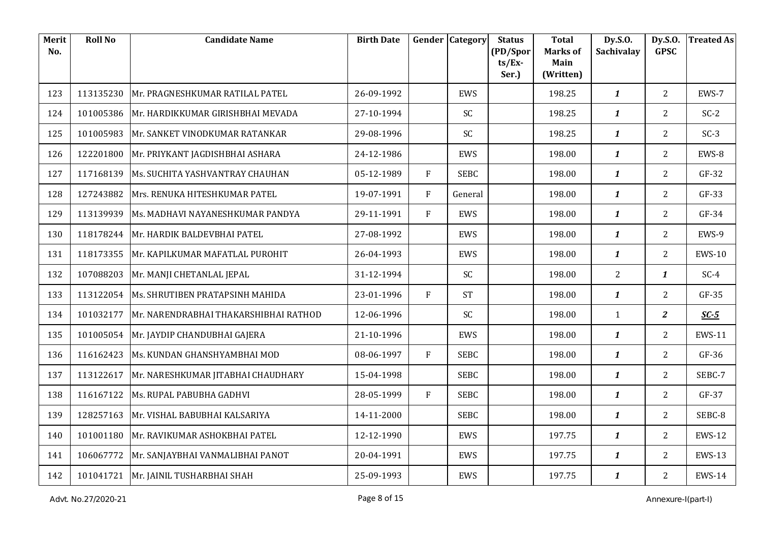| Merit<br>No. | <b>Roll No</b> | <b>Candidate Name</b>                 | <b>Birth Date</b> |   | <b>Gender Category</b> | <b>Status</b><br>(PD/Spor | <b>Total</b><br><b>Marks of</b> | Dy.S.O.<br>Sachivalay | Dy.S.O.<br><b>GPSC</b> | <b>Treated As</b> |
|--------------|----------------|---------------------------------------|-------------------|---|------------------------|---------------------------|---------------------------------|-----------------------|------------------------|-------------------|
|              |                |                                       |                   |   |                        | $ts/Ex$ -<br>Ser.)        | Main<br>(Written)               |                       |                        |                   |
| 123          | 113135230      | Mr. PRAGNESHKUMAR RATILAL PATEL       | 26-09-1992        |   | EWS                    |                           | 198.25                          | $\boldsymbol{1}$      | $\overline{2}$         | EWS-7             |
| 124          | 101005386      | Mr. HARDIKKUMAR GIRISHBHAI MEVADA     | 27-10-1994        |   | <b>SC</b>              |                           | 198.25                          | $\boldsymbol{1}$      | $\overline{2}$         | $SC-2$            |
| 125          | 101005983      | Mr. SANKET VINODKUMAR RATANKAR        | 29-08-1996        |   | SC                     |                           | 198.25                          | $\boldsymbol{1}$      | $\overline{2}$         | $SC-3$            |
| 126          | 122201800      | Mr. PRIYKANT JAGDISHBHAI ASHARA       | 24-12-1986        |   | EWS                    |                           | 198.00                          | $\boldsymbol{1}$      | $\overline{2}$         | EWS-8             |
| 127          | 117168139      | Ms. SUCHITA YASHVANTRAY CHAUHAN       | 05-12-1989        | F | <b>SEBC</b>            |                           | 198.00                          | $\boldsymbol{1}$      | $\overline{2}$         | $GF-32$           |
| 128          | 127243882      | Mrs. RENUKA HITESHKUMAR PATEL         | 19-07-1991        | F | General                |                           | 198.00                          | $\mathbf{1}$          | $\overline{2}$         | $GF-33$           |
| 129          | 113139939      | Ms. MADHAVI NAYANESHKUMAR PANDYA      | 29-11-1991        | F | EWS                    |                           | 198.00                          | $\boldsymbol{1}$      | $\overline{2}$         | $GF-34$           |
| 130          | 118178244      | Mr. HARDIK BALDEVBHAI PATEL           | 27-08-1992        |   | EWS                    |                           | 198.00                          | $\boldsymbol{1}$      | $\overline{2}$         | EWS-9             |
| 131          | 118173355      | Mr. KAPILKUMAR MAFATLAL PUROHIT       | 26-04-1993        |   | EWS                    |                           | 198.00                          | $\mathbf{1}$          | $\overline{2}$         | <b>EWS-10</b>     |
| 132          | 107088203      | Mr. MANJI CHETANLAL JEPAL             | 31-12-1994        |   | SC                     |                           | 198.00                          | 2                     | $\mathbf{1}$           | $SC-4$            |
| 133          | 113122054      | Ms. SHRUTIBEN PRATAPSINH MAHIDA       | 23-01-1996        | F | <b>ST</b>              |                           | 198.00                          | $\boldsymbol{1}$      | $\overline{2}$         | GF-35             |
| 134          | 101032177      | Mr. NARENDRABHAI THAKARSHIBHAI RATHOD | 12-06-1996        |   | <b>SC</b>              |                           | 198.00                          | $\mathbf{1}$          | $\overline{2}$         | $SC-5$            |
| 135          | 101005054      | Mr. JAYDIP CHANDUBHAI GAJERA          | 21-10-1996        |   | EWS                    |                           | 198.00                          | 1                     | $\overline{2}$         | <b>EWS-11</b>     |
| 136          | 116162423      | Ms. KUNDAN GHANSHYAMBHAI MOD          | 08-06-1997        | F | <b>SEBC</b>            |                           | 198.00                          | $\boldsymbol{1}$      | $\overline{2}$         | $GF-36$           |
| 137          | 113122617      | Mr. NARESHKUMAR JITABHAI CHAUDHARY    | 15-04-1998        |   | <b>SEBC</b>            |                           | 198.00                          | $\boldsymbol{1}$      | $\overline{2}$         | SEBC-7            |
| 138          | 116167122      | Ms. RUPAL PABUBHA GADHVI              | 28-05-1999        | F | <b>SEBC</b>            |                           | 198.00                          | 1                     | $\overline{2}$         | GF-37             |
| 139          | 128257163      | Mr. VISHAL BABUBHAI KALSARIYA         | 14-11-2000        |   | <b>SEBC</b>            |                           | 198.00                          | $\boldsymbol{1}$      | $2^{\circ}$            | SEBC-8            |
| 140          | 101001180      | Mr. RAVIKUMAR ASHOKBHAI PATEL         | 12-12-1990        |   | EWS                    |                           | 197.75                          | $\boldsymbol{1}$      | $\overline{2}$         | <b>EWS-12</b>     |
| 141          | 106067772      | Mr. SANJAYBHAI VANMALIBHAI PANOT      | 20-04-1991        |   | EWS                    |                           | 197.75                          | $\boldsymbol{1}$      | $2^{\circ}$            | <b>EWS-13</b>     |
| 142          |                | 101041721 Mr. JAINIL TUSHARBHAI SHAH  | 25-09-1993        |   | EWS                    |                           | 197.75                          | $\boldsymbol{1}$      | $\overline{2}$         | <b>EWS-14</b>     |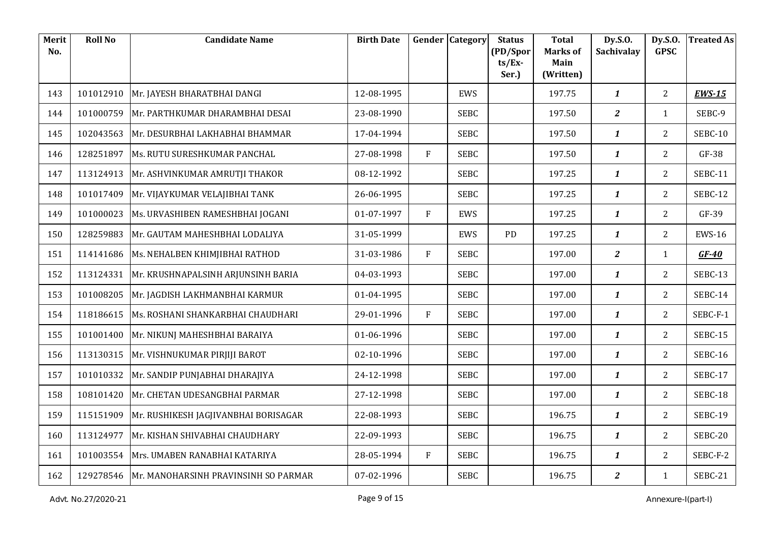| Merit<br>No. | <b>Roll No</b> | <b>Candidate Name</b>                            | <b>Birth Date</b> |   | <b>Gender Category</b> | <b>Status</b><br>(PD/Spor | <b>Total</b><br><b>Marks of</b> | Dy.S.O.<br>Sachivalay | Dy.S.O.<br><b>GPSC</b> | <b>Treated As</b> |
|--------------|----------------|--------------------------------------------------|-------------------|---|------------------------|---------------------------|---------------------------------|-----------------------|------------------------|-------------------|
|              |                |                                                  |                   |   |                        | $ts/Ex$ -<br>Ser.)        | Main<br>(Written)               |                       |                        |                   |
| 143          | 101012910      | Mr. JAYESH BHARATBHAI DANGI                      | 12-08-1995        |   | EWS                    |                           | 197.75                          | $\boldsymbol{1}$      | $\overline{2}$         | <b>EWS-15</b>     |
| 144          | 101000759      | Mr. PARTHKUMAR DHARAMBHAI DESAI                  | 23-08-1990        |   | <b>SEBC</b>            |                           | 197.50                          | $\overline{a}$        | $\mathbf{1}$           | SEBC-9            |
| 145          | 102043563      | Mr. DESURBHAI LAKHABHAI BHAMMAR                  | 17-04-1994        |   | <b>SEBC</b>            |                           | 197.50                          | $\mathbf{1}$          | $\overline{2}$         | SEBC-10           |
| 146          | 128251897      | Ms. RUTU SURESHKUMAR PANCHAL                     | 27-08-1998        | F | <b>SEBC</b>            |                           | 197.50                          | $\boldsymbol{1}$      | $\overline{2}$         | $GF-38$           |
| 147          | 113124913      | Mr. ASHVINKUMAR AMRUTJI THAKOR                   | 08-12-1992        |   | <b>SEBC</b>            |                           | 197.25                          | $\mathbf{1}$          | $\overline{2}$         | SEBC-11           |
| 148          | 101017409      | Mr. VIJAYKUMAR VELAJIBHAI TANK                   | 26-06-1995        |   | <b>SEBC</b>            |                           | 197.25                          | $\mathbf{1}$          | $\overline{2}$         | SEBC-12           |
| 149          | 101000023      | Ms. URVASHIBEN RAMESHBHAI JOGANI                 | 01-07-1997        | F | EWS                    |                           | 197.25                          | $\boldsymbol{1}$      | $\overline{2}$         | GF-39             |
| 150          | 128259883      | Mr. GAUTAM MAHESHBHAI LODALIYA                   | 31-05-1999        |   | EWS                    | PD                        | 197.25                          | $\mathbf{1}$          | $\overline{2}$         | <b>EWS-16</b>     |
| 151          | 114141686      | Ms. NEHALBEN KHIMJIBHAI RATHOD                   | 31-03-1986        | F | <b>SEBC</b>            |                           | 197.00                          | $\mathbf{2}$          | $\mathbf{1}$           | $GF-40$           |
| 152          | 113124331      | Mr. KRUSHNAPALSINH ARJUNSINH BARIA               | 04-03-1993        |   | <b>SEBC</b>            |                           | 197.00                          | $\boldsymbol{1}$      | 2                      | SEBC-13           |
| 153          | 101008205      | Mr. JAGDISH LAKHMANBHAI KARMUR                   | 01-04-1995        |   | <b>SEBC</b>            |                           | 197.00                          | $\mathbf{1}$          | 2                      | SEBC-14           |
| 154          | 118186615      | Ms. ROSHANI SHANKARBHAI CHAUDHARI                | 29-01-1996        | F | <b>SEBC</b>            |                           | 197.00                          | $\mathbf{1}$          | $\overline{2}$         | SEBC-F-1          |
| 155          | 101001400      | Mr. NIKUNJ MAHESHBHAI BARAIYA                    | 01-06-1996        |   | <b>SEBC</b>            |                           | 197.00                          | $\boldsymbol{1}$      | 2                      | SEBC-15           |
| 156          | 113130315      | Mr. VISHNUKUMAR PIRJIJI BAROT                    | 02-10-1996        |   | <b>SEBC</b>            |                           | 197.00                          | $\mathbf{1}$          | $\overline{2}$         | <b>SEBC-16</b>    |
| 157          | 101010332      | Mr. SANDIP PUNJABHAI DHARAJIYA                   | 24-12-1998        |   | <b>SEBC</b>            |                           | 197.00                          | $\mathbf{1}$          | $\overline{2}$         | SEBC-17           |
| 158          | 108101420      | Mr. CHETAN UDESANGBHAI PARMAR                    | 27-12-1998        |   | <b>SEBC</b>            |                           | 197.00                          | $\boldsymbol{1}$      | $\overline{2}$         | SEBC-18           |
| 159          | 115151909      | Mr. RUSHIKESH JAGJIVANBHAI BORISAGAR             | 22-08-1993        |   | <b>SEBC</b>            |                           | 196.75                          | $\mathbf{1}$          | $\overline{2}$         | <b>SEBC-19</b>    |
| 160          | 113124977      | Mr. KISHAN SHIVABHAI CHAUDHARY                   | 22-09-1993        |   | <b>SEBC</b>            |                           | 196.75                          | $\mathbf{1}$          | $\overline{2}$         | SEBC-20           |
| 161          | 101003554      | Mrs. UMABEN RANABHAI KATARIYA                    | 28-05-1994        | F | <b>SEBC</b>            |                           | 196.75                          | $\boldsymbol{1}$      | $\overline{2}$         | SEBC-F-2          |
| 162          |                | 129278546   Mr. MANOHARSINH PRAVINSINH SO PARMAR | 07-02-1996        |   | <b>SEBC</b>            |                           | 196.75                          | $\mathbf{Z}$          | $\mathbf{1}$           | SEBC-21           |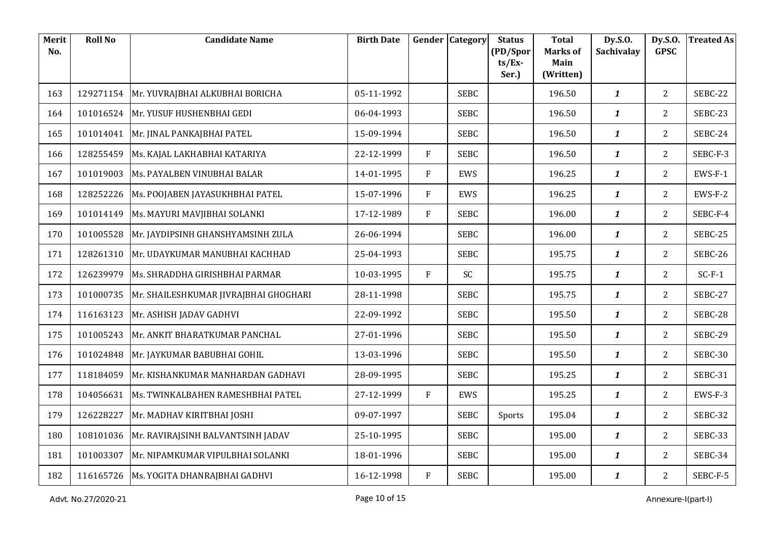| Merit<br>No. | <b>Roll No</b> | <b>Candidate Name</b>                     | <b>Birth Date</b> |   | Gender Category | <b>Status</b><br>(PD/Spor | <b>Total</b><br><b>Marks of</b> | Dy.S.O.<br>Sachivalay | Dy.S.O.<br><b>GPSC</b> | <b>Treated As</b> |
|--------------|----------------|-------------------------------------------|-------------------|---|-----------------|---------------------------|---------------------------------|-----------------------|------------------------|-------------------|
|              |                |                                           |                   |   |                 | $ts/Ex$ -<br>Ser.)        | Main<br>(Written)               |                       |                        |                   |
| 163          | 129271154      | Mr. YUVRAJBHAI ALKUBHAI BORICHA           | 05-11-1992        |   | <b>SEBC</b>     |                           | 196.50                          | $\boldsymbol{1}$      | $\overline{2}$         | SEBC-22           |
| 164          | 101016524      | Mr. YUSUF HUSHENBHAI GEDI                 | 06-04-1993        |   | <b>SEBC</b>     |                           | 196.50                          | $\mathbf{1}$          | 2                      | SEBC-23           |
| 165          | 101014041      | Mr. JINAL PANKAJBHAI PATEL                | 15-09-1994        |   | <b>SEBC</b>     |                           | 196.50                          | $\mathbf{1}$          | $\overline{2}$         | SEBC-24           |
| 166          | 128255459      | Ms. KAJAL LAKHABHAI KATARIYA              | 22-12-1999        | F | <b>SEBC</b>     |                           | 196.50                          | $\mathbf{1}$          | $\overline{2}$         | SEBC-F-3          |
| 167          | 101019003      | Ms. PAYALBEN VINUBHAI BALAR               | 14-01-1995        | F | EWS             |                           | 196.25                          | $\mathbf{1}$          | $\overline{2}$         | $EWS-F-1$         |
| 168          | 128252226      | Ms. POOJABEN JAYASUKHBHAI PATEL           | 15-07-1996        | F | EWS             |                           | 196.25                          | $\mathbf{1}$          | $\overline{2}$         | EWS-F-2           |
| 169          | 101014149      | Ms. MAYURI MAVJIBHAI SOLANKI              | 17-12-1989        | F | <b>SEBC</b>     |                           | 196.00                          | $\boldsymbol{1}$      | $\overline{2}$         | SEBC-F-4          |
| 170          | 101005528      | Mr. JAYDIPSINH GHANSHYAMSINH ZULA         | 26-06-1994        |   | <b>SEBC</b>     |                           | 196.00                          | $\mathbf{1}$          | 2                      | SEBC-25           |
| 171          | 128261310      | Mr. UDAYKUMAR MANUBHAI KACHHAD            | 25-04-1993        |   | <b>SEBC</b>     |                           | 195.75                          | $\mathbf{1}$          | $\overline{2}$         | SEBC-26           |
| 172          | 126239979      | Ms. SHRADDHA GIRISHBHAI PARMAR            | 10-03-1995        | F | SC              |                           | 195.75                          | $\boldsymbol{1}$      | 2                      | $SC-F-1$          |
| 173          | 101000735      | Mr. SHAILESHKUMAR JIVRAJBHAI GHOGHARI     | 28-11-1998        |   | <b>SEBC</b>     |                           | 195.75                          | $\mathbf{1}$          | 2                      | SEBC-27           |
| 174          | 116163123      | Mr. ASHISH JADAV GADHVI                   | 22-09-1992        |   | <b>SEBC</b>     |                           | 195.50                          | $\mathbf{1}$          | $\overline{2}$         | SEBC-28           |
| 175          | 101005243      | Mr. ANKIT BHARATKUMAR PANCHAL             | 27-01-1996        |   | <b>SEBC</b>     |                           | 195.50                          | $\boldsymbol{1}$      | 2                      | SEBC-29           |
| 176          | 101024848      | Mr. JAYKUMAR BABUBHAI GOHIL               | 13-03-1996        |   | <b>SEBC</b>     |                           | 195.50                          | $\mathbf{1}$          | $\overline{2}$         | SEBC-30           |
| 177          | 118184059      | Mr. KISHANKUMAR MANHARDAN GADHAVI         | 28-09-1995        |   | <b>SEBC</b>     |                           | 195.25                          | $\mathbf{1}$          | $\overline{2}$         | SEBC-31           |
| 178          | 104056631      | Ms. TWINKALBAHEN RAMESHBHAI PATEL         | 27-12-1999        | F | EWS             |                           | 195.25                          | $\boldsymbol{1}$      | $\overline{2}$         | EWS-F-3           |
| 179          | 126228227      | Mr. MADHAV KIRITBHAI JOSHI                | 09-07-1997        |   | <b>SEBC</b>     | Sports                    | 195.04                          | $\mathbf{1}$          | $\overline{2}$         | SEBC-32           |
| 180          | 108101036      | Mr. RAVIRAJSINH BALVANTSINH JADAV         | 25-10-1995        |   | <b>SEBC</b>     |                           | 195.00                          | $\mathbf{1}$          | $\overline{2}$         | SEBC-33           |
| 181          | 101003307      | Mr. NIPAMKUMAR VIPULBHAI SOLANKI          | 18-01-1996        |   | <b>SEBC</b>     |                           | 195.00                          | $\mathbf{1}$          | $\mathbf{2}$           | SEBC-34           |
| 182          |                | 116165726   Ms. YOGITA DHANRAJBHAI GADHVI | 16-12-1998        | F | <b>SEBC</b>     |                           | 195.00                          | $\boldsymbol{1}$      | $\overline{2}$         | SEBC-F-5          |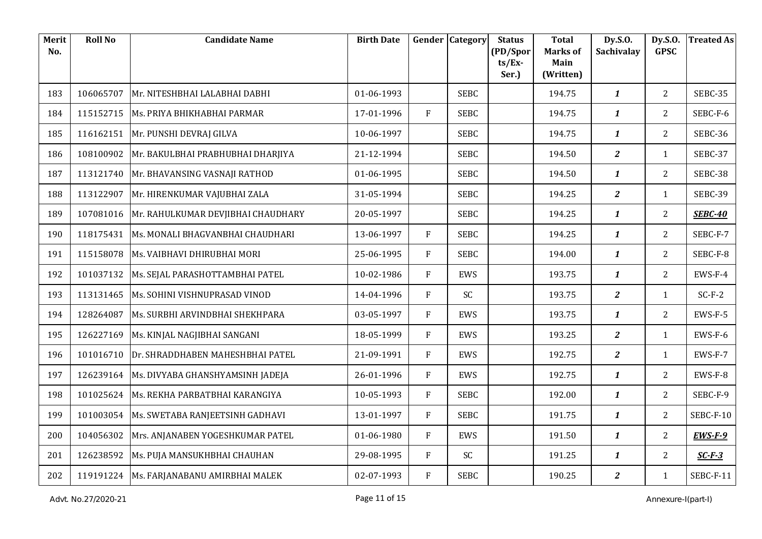| Merit<br>No. | <b>Roll No</b> | <b>Candidate Name</b>                        | <b>Birth Date</b> | Gender       | <b>Category</b> | <b>Status</b><br>(PD/Spor | <b>Total</b><br><b>Marks of</b> | Dy.S.O.<br>Sachivalay   | Dy.S.O.<br><b>GPSC</b> | <b>Treated As</b> |
|--------------|----------------|----------------------------------------------|-------------------|--------------|-----------------|---------------------------|---------------------------------|-------------------------|------------------------|-------------------|
|              |                |                                              |                   |              |                 | $ts/Ex$ -<br>Ser.)        | Main<br>(Written)               |                         |                        |                   |
| 183          | 106065707      | Mr. NITESHBHAI LALABHAI DABHI                | 01-06-1993        |              | <b>SEBC</b>     |                           | 194.75                          | $\boldsymbol{1}$        | $\overline{2}$         | SEBC-35           |
| 184          | 115152715      | Ms. PRIYA BHIKHABHAI PARMAR                  | 17-01-1996        | F            | <b>SEBC</b>     |                           | 194.75                          | $\boldsymbol{1}$        | $\overline{2}$         | SEBC-F-6          |
| 185          | 116162151      | Mr. PUNSHI DEVRAJ GILVA                      | 10-06-1997        |              | <b>SEBC</b>     |                           | 194.75                          | $\mathbf{1}$            | $\overline{2}$         | SEBC-36           |
| 186          | 108100902      | Mr. BAKULBHAI PRABHUBHAI DHARJIYA            | 21-12-1994        |              | <b>SEBC</b>     |                           | 194.50                          | $\overline{a}$          | $\mathbf{1}$           | SEBC-37           |
| 187          | 113121740      | Mr. BHAVANSING VASNAJI RATHOD                | 01-06-1995        |              | <b>SEBC</b>     |                           | 194.50                          | $\boldsymbol{1}$        | $\overline{2}$         | SEBC-38           |
| 188          | 113122907      | Mr. HIRENKUMAR VAJUBHAI ZALA                 | 31-05-1994        |              | <b>SEBC</b>     |                           | 194.25                          | $\overline{a}$          | $\mathbf{1}$           | SEBC-39           |
| 189          | 107081016      | Mr. RAHULKUMAR DEVJIBHAI CHAUDHARY           | 20-05-1997        |              | <b>SEBC</b>     |                           | 194.25                          | $\boldsymbol{1}$        | $\overline{2}$         | <b>SEBC-40</b>    |
| 190          | 118175431      | Ms. MONALI BHAGVANBHAI CHAUDHARI             | 13-06-1997        | F            | <b>SEBC</b>     |                           | 194.25                          | $\boldsymbol{1}$        | $\overline{2}$         | SEBC-F-7          |
| 191          | 115158078      | Ms. VAIBHAVI DHIRUBHAI MORI                  | 25-06-1995        | F            | <b>SEBC</b>     |                           | 194.00                          | $\mathbf{1}$            | $\overline{2}$         | SEBC-F-8          |
| 192          | 101037132      | Ms. SEJAL PARASHOTTAMBHAI PATEL              | 10-02-1986        | F            | EWS             |                           | 193.75                          | $\boldsymbol{1}$        | $\overline{2}$         | EWS-F-4           |
| 193          | 113131465      | Ms. SOHINI VISHNUPRASAD VINOD                | 14-04-1996        | F            | SC              |                           | 193.75                          | $\mathbf{z}$            | $\mathbf{1}$           | $SC-F-2$          |
| 194          | 128264087      | Ms. SURBHI ARVINDBHAI SHEKHPARA              | 03-05-1997        | $\mathbf{F}$ | EWS             |                           | 193.75                          | $\mathbf{1}$            | $\overline{2}$         | EWS-F-5           |
| 195          | 126227169      | Ms. KINJAL NAGJIBHAI SANGANI                 | 18-05-1999        | F            | EWS             |                           | 193.25                          | $\boldsymbol{2}$        | $\mathbf{1}$           | EWS-F-6           |
| 196          | 101016710      | Dr. SHRADDHABEN MAHESHBHAI PATEL             | 21-09-1991        | F            | EWS             |                           | 192.75                          | $\overline{a}$          | $\mathbf{1}$           | EWS-F-7           |
| 197          |                | 126239164   Ms. DIVYABA GHANSHYAMSINH JADEJA | 26-01-1996        | F            | EWS             |                           | 192.75                          | $\mathbf{1}$            | $\overline{2}$         | EWS-F-8           |
| 198          | 101025624      | Ms. REKHA PARBATBHAI KARANGIYA               | 10-05-1993        | F            | <b>SEBC</b>     |                           | 192.00                          | $\boldsymbol{1}$        | $\overline{2}$         | SEBC-F-9          |
| 199          |                | 101003054   Ms. SWETABA RANJEETSINH GADHAVI  | 13-01-1997        | F            | <b>SEBC</b>     |                           | 191.75                          | $\mathbf{1}$            | $\overline{2}$         | SEBC-F-10         |
| 200          | 104056302      | Mrs. ANJANABEN YOGESHKUMAR PATEL             | 01-06-1980        | F            | EWS             |                           | 191.50                          | $\boldsymbol{1}$        | $\overline{2}$         | $EWS-F-9$         |
| 201          | 126238592      | Ms. PUJA MANSUKHBHAI CHAUHAN                 | 29-08-1995        | F            | SC              |                           | 191.25                          | $\boldsymbol{1}$        | $2^{\circ}$            | $SC-F-3$          |
| 202          |                | 119191224   Ms. FARJANABANU AMIRBHAI MALEK   | 02-07-1993        | F            | <b>SEBC</b>     |                           | 190.25                          | $\overline{\mathbf{z}}$ | $\mathbf{1}$           | SEBC-F-11         |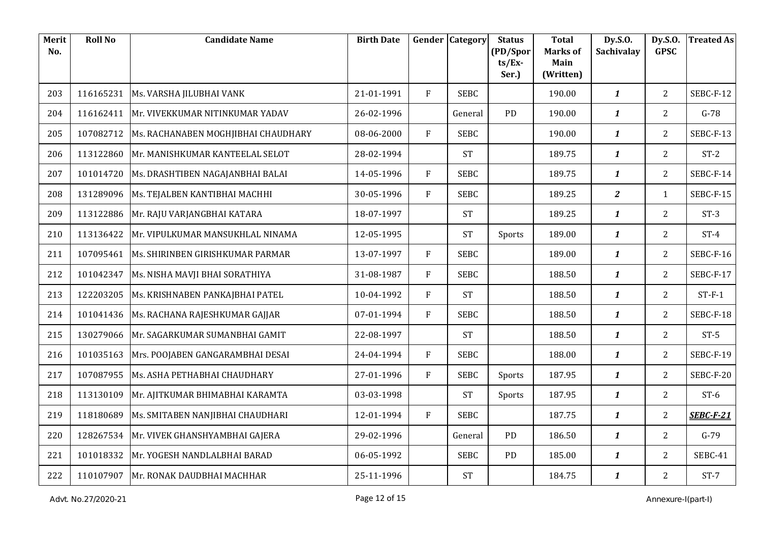| Merit<br>No. | <b>Roll No</b> | <b>Candidate Name</b>                    | <b>Birth Date</b> |              | <b>Gender Category</b> | <b>Status</b><br>(PD/Spor | <b>Total</b><br><b>Marks of</b> | Dy.S.O.<br>Sachivalay | Dy.S.O.<br><b>GPSC</b> | <b>Treated As</b> |
|--------------|----------------|------------------------------------------|-------------------|--------------|------------------------|---------------------------|---------------------------------|-----------------------|------------------------|-------------------|
|              |                |                                          |                   |              |                        | $ts/Ex$ -<br>Ser.)        | Main<br>(Written)               |                       |                        |                   |
| 203          | 116165231      | Ms. VARSHA JILUBHAI VANK                 | 21-01-1991        | F            | <b>SEBC</b>            |                           | 190.00                          | $\mathbf{1}$          | $\overline{2}$         | SEBC-F-12         |
| 204          | 116162411      | Mr. VIVEKKUMAR NITINKUMAR YADAV          | 26-02-1996        |              | General                | PD                        | 190.00                          | $\mathbf{1}$          | $\overline{2}$         | $G-78$            |
| 205          | 107082712      | Ms. RACHANABEN MOGHJIBHAI CHAUDHARY      | 08-06-2000        | F            | <b>SEBC</b>            |                           | 190.00                          | $\mathbf{1}$          | $\overline{2}$         | SEBC-F-13         |
| 206          | 113122860      | Mr. MANISHKUMAR KANTEELAL SELOT          | 28-02-1994        |              | <b>ST</b>              |                           | 189.75                          | $\boldsymbol{1}$      | $\overline{2}$         | $ST-2$            |
| 207          | 101014720      | Ms. DRASHTIBEN NAGAJANBHAI BALAI         | 14-05-1996        | F            | <b>SEBC</b>            |                           | 189.75                          | $\mathbf{1}$          | $\overline{2}$         | SEBC-F-14         |
| 208          | 131289096      | Ms. TEJALBEN KANTIBHAI MACHHI            | 30-05-1996        | F            | <b>SEBC</b>            |                           | 189.25                          | $\overline{a}$        | $\mathbf{1}$           | SEBC-F-15         |
| 209          | 113122886      | Mr. RAJU VARJANGBHAI KATARA              | 18-07-1997        |              | <b>ST</b>              |                           | 189.25                          | $\boldsymbol{1}$      | $\overline{2}$         | $ST-3$            |
| 210          | 113136422      | Mr. VIPULKUMAR MANSUKHLAL NINAMA         | 12-05-1995        |              | <b>ST</b>              | Sports                    | 189.00                          | $\mathbf{1}$          | $\overline{2}$         | $ST-4$            |
| 211          | 107095461      | Ms. SHIRINBEN GIRISHKUMAR PARMAR         | 13-07-1997        | F            | <b>SEBC</b>            |                           | 189.00                          | $\mathbf{1}$          | $\overline{2}$         | SEBC-F-16         |
| 212          | 101042347      | Ms. NISHA MAVJI BHAI SORATHIYA           | 31-08-1987        | F            | <b>SEBC</b>            |                           | 188.50                          | $\boldsymbol{1}$      | $\overline{2}$         | SEBC-F-17         |
| 213          | 122203205      | Ms. KRISHNABEN PANKAJBHAI PATEL          | 10-04-1992        | $\mathbf{F}$ | <b>ST</b>              |                           | 188.50                          | $\boldsymbol{1}$      | $\overline{2}$         | $ST-F-1$          |
| 214          | 101041436      | Ms. RACHANA RAJESHKUMAR GAJJAR           | 07-01-1994        | F            | <b>SEBC</b>            |                           | 188.50                          | $\mathbf{1}$          | $\overline{2}$         | SEBC-F-18         |
| 215          | 130279066      | Mr. SAGARKUMAR SUMANBHAI GAMIT           | 22-08-1997        |              | <b>ST</b>              |                           | 188.50                          | $\boldsymbol{1}$      | $\overline{2}$         | $ST-5$            |
| 216          | 101035163      | Mrs. POOJABEN GANGARAMBHAI DESAI         | 24-04-1994        | F            | <b>SEBC</b>            |                           | 188.00                          | $\mathbf{1}$          | $\overline{2}$         | SEBC-F-19         |
| 217          | 107087955      | Ms. ASHA PETHABHAI CHAUDHARY             | 27-01-1996        | F            | <b>SEBC</b>            | Sports                    | 187.95                          | $\mathbf{1}$          | 2                      | SEBC-F-20         |
| 218          | 113130109      | Mr. AJITKUMAR BHIMABHAI KARAMTA          | 03-03-1998        |              | <b>ST</b>              | Sports                    | 187.95                          | $\boldsymbol{1}$      | $\overline{2}$         | $ST-6$            |
| 219          | 118180689      | Ms. SMITABEN NANJIBHAI CHAUDHARI         | 12-01-1994        | F            | <b>SEBC</b>            |                           | 187.75                          | $\boldsymbol{1}$      | $\overline{2}$         | <b>SEBC-F-21</b>  |
| 220          |                | 128267534 Mr. VIVEK GHANSHYAMBHAI GAJERA | 29-02-1996        |              | General                | PD                        | 186.50                          | $\boldsymbol{1}$      | $\overline{2}$         | $G-79$            |
| 221          | 101018332      | Mr. YOGESH NANDLALBHAI BARAD             | 06-05-1992        |              | <b>SEBC</b>            | <b>PD</b>                 | 185.00                          | $\mathbf{1}$          | $\overline{2}$         | SEBC-41           |
| 222          |                | 110107907 Mr. RONAK DAUDBHAI MACHHAR     | 25-11-1996        |              | <b>ST</b>              |                           | 184.75                          | $\boldsymbol{1}$      | $\overline{2}$         | $ST-7$            |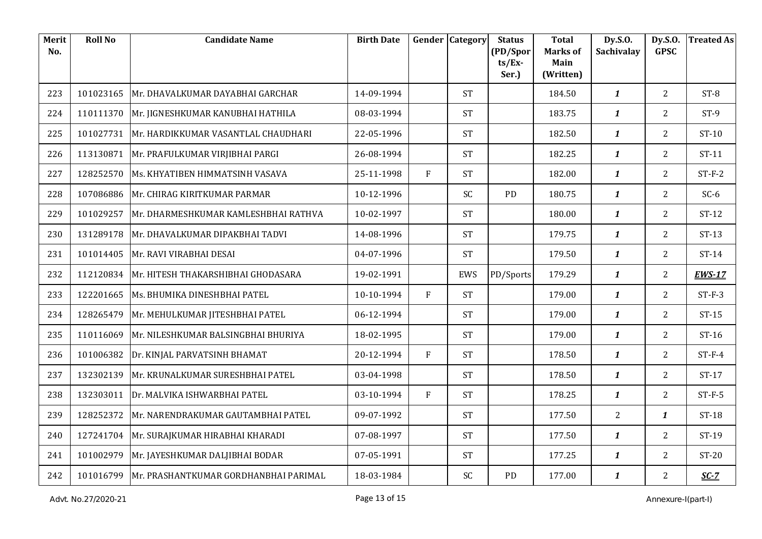| Merit<br>No. | <b>Roll No</b> | <b>Candidate Name</b>                           | <b>Birth Date</b> |   | <b>Gender Category</b> | <b>Status</b><br>(PD/Spor | <b>Total</b><br><b>Marks of</b> | Dy.S.O.<br>Sachivalay | Dy.S.O.<br><b>GPSC</b> | <b>Treated As</b> |
|--------------|----------------|-------------------------------------------------|-------------------|---|------------------------|---------------------------|---------------------------------|-----------------------|------------------------|-------------------|
|              |                |                                                 |                   |   |                        | $ts/Ex$ -<br>Ser.)        | Main<br>(Written)               |                       |                        |                   |
| 223          | 101023165      | Mr. DHAVALKUMAR DAYABHAI GARCHAR                | 14-09-1994        |   | <b>ST</b>              |                           | 184.50                          | $\boldsymbol{1}$      | $\overline{2}$         | $ST-8$            |
|              |                |                                                 |                   |   |                        |                           |                                 |                       |                        |                   |
| 224          | 110111370      | Mr. JIGNESHKUMAR KANUBHAI HATHILA               | 08-03-1994        |   | <b>ST</b>              |                           | 183.75                          | $\boldsymbol{1}$      | $\overline{2}$         | $ST-9$            |
| 225          | 101027731      | Mr. HARDIKKUMAR VASANTLAL CHAUDHARI             | 22-05-1996        |   | <b>ST</b>              |                           | 182.50                          | $\boldsymbol{1}$      | $\overline{2}$         | $ST-10$           |
| 226          | 113130871      | Mr. PRAFULKUMAR VIRJIBHAI PARGI                 | 26-08-1994        |   | <b>ST</b>              |                           | 182.25                          | $\boldsymbol{1}$      | $\overline{2}$         | $ST-11$           |
| 227          | 128252570      | Ms. KHYATIBEN HIMMATSINH VASAVA                 | 25-11-1998        | F | <b>ST</b>              |                           | 182.00                          | $\boldsymbol{1}$      | $\overline{2}$         | $ST-F-2$          |
| 228          | 107086886      | Mr. CHIRAG KIRITKUMAR PARMAR                    | 10-12-1996        |   | SC                     | PD                        | 180.75                          | $\boldsymbol{1}$      | $\overline{2}$         | $SC-6$            |
| 229          | 101029257      | Mr. DHARMESHKUMAR KAMLESHBHAI RATHVA            | 10-02-1997        |   | <b>ST</b>              |                           | 180.00                          | $\boldsymbol{1}$      | 2 <sup>1</sup>         | $ST-12$           |
| 230          | 131289178      | Mr. DHAVALKUMAR DIPAKBHAI TADVI                 | 14-08-1996        |   | <b>ST</b>              |                           | 179.75                          | 1                     | $\overline{2}$         | $ST-13$           |
| 231          | 101014405      | Mr. RAVI VIRABHAI DESAI                         | 04-07-1996        |   | <b>ST</b>              |                           | 179.50                          | $\boldsymbol{1}$      | $\overline{2}$         | $ST-14$           |
| 232          | 112120834      | Mr. HITESH THAKARSHIBHAI GHODASARA              | 19-02-1991        |   | EWS                    | PD/Sports                 | 179.29                          | $\mathbf{1}$          | $\overline{2}$         | <b>EWS-17</b>     |
| 233          | 122201665      | Ms. BHUMIKA DINESHBHAI PATEL                    | 10-10-1994        | F | <b>ST</b>              |                           | 179.00                          | $\boldsymbol{1}$      | $\overline{2}$         | $ST-F-3$          |
| 234          | 128265479      | Mr. MEHULKUMAR JITESHBHAI PATEL                 | 06-12-1994        |   | <b>ST</b>              |                           | 179.00                          | $\mathbf{1}$          | $\overline{2}$         | $ST-15$           |
| 235          | 110116069      | Mr. NILESHKUMAR BALSINGBHAI BHURIYA             | 18-02-1995        |   | <b>ST</b>              |                           | 179.00                          | $\boldsymbol{1}$      | $\overline{2}$         | $ST-16$           |
| 236          | 101006382      | Dr. KINJAL PARVATSINH BHAMAT                    | 20-12-1994        | F | <b>ST</b>              |                           | 178.50                          | $\boldsymbol{1}$      | $\overline{2}$         | $ST-F-4$          |
| 237          | 132302139      | Mr. KRUNALKUMAR SURESHBHAI PATEL                | 03-04-1998        |   | <b>ST</b>              |                           | 178.50                          | $\mathbf{1}$          | $\overline{2}$         | $ST-17$           |
| 238          | 132303011      | Dr. MALVIKA ISHWARBHAI PATEL                    | 03-10-1994        | F | <b>ST</b>              |                           | 178.25                          | $\boldsymbol{1}$      | $\overline{2}$         | $ST-F-5$          |
| 239          | 128252372      | Mr. NARENDRAKUMAR GAUTAMBHAI PATEL              | 09-07-1992        |   | <b>ST</b>              |                           | 177.50                          | $\overline{2}$        | $\mathbf{1}$           | $ST-18$           |
| 240          | 127241704      | Mr. SURAJKUMAR HIRABHAI KHARADI                 | 07-08-1997        |   | <b>ST</b>              |                           | 177.50                          | $\mathbf{1}$          | $\overline{2}$         | ST-19             |
| 241          | 101002979      | Mr. JAYESHKUMAR DALJIBHAI BODAR                 | 07-05-1991        |   | <b>ST</b>              |                           | 177.25                          | $\mathbf{1}$          | $\overline{2}$         | $ST-20$           |
| 242          |                | 101016799 Mr. PRASHANTKUMAR GORDHANBHAI PARIMAL | 18-03-1984        |   | SC                     | PD                        | 177.00                          | $\boldsymbol{1}$      | $\overline{2}$         | $SC-7$            |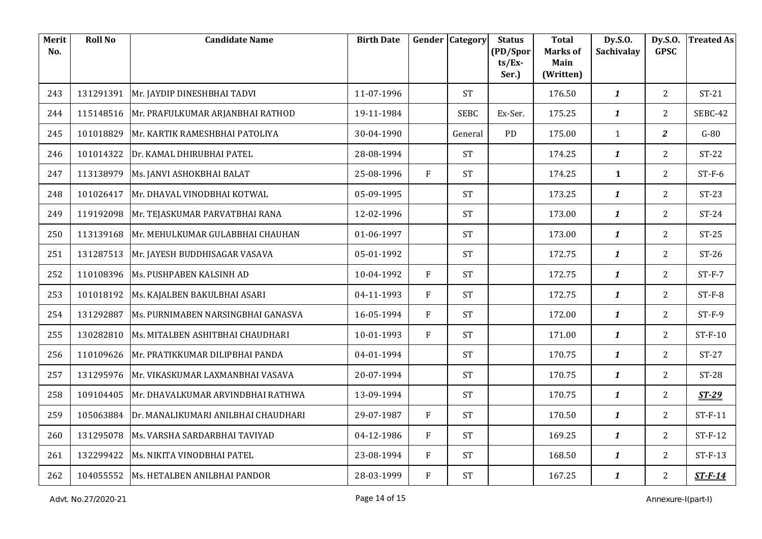| Merit<br>No. | <b>Roll No</b> | <b>Candidate Name</b>                  | <b>Birth Date</b> |   | <b>Gender Category</b> | <b>Status</b><br>(PD/Spor | <b>Total</b><br><b>Marks of</b> | Dy.S.O.<br><b>Sachivalay</b> | Dy.S.O.<br><b>GPSC</b> | <b>Treated As</b> |
|--------------|----------------|----------------------------------------|-------------------|---|------------------------|---------------------------|---------------------------------|------------------------------|------------------------|-------------------|
|              |                |                                        |                   |   |                        | $ts/Ex$ -<br>Ser.)        | Main<br>(Written)               |                              |                        |                   |
| 243          | 131291391      | Mr. JAYDIP DINESHBHAI TADVI            | 11-07-1996        |   | <b>ST</b>              |                           | 176.50                          | $\boldsymbol{1}$             | $\overline{2}$         | $ST-21$           |
| 244          | 115148516      | Mr. PRAFULKUMAR ARJANBHAI RATHOD       | 19-11-1984        |   | <b>SEBC</b>            | Ex-Ser.                   | 175.25                          | $\boldsymbol{1}$             | $\overline{2}$         | SEBC-42           |
| 245          | 101018829      | Mr. KARTIK RAMESHBHAI PATOLIYA         | 30-04-1990        |   | General                | PD                        | 175.00                          | $\mathbf{1}$                 | $\overline{2}$         | $G-80$            |
| 246          | 101014322      | Dr. KAMAL DHIRUBHAI PATEL              | 28-08-1994        |   | <b>ST</b>              |                           | 174.25                          | $\mathbf{1}$                 | $\overline{2}$         | $ST-22$           |
| 247          | 113138979      | Ms. JANVI ASHOKBHAI BALAT              | 25-08-1996        | F | <b>ST</b>              |                           | 174.25                          | $\mathbf{1}$                 | $\overline{2}$         | $ST-F-6$          |
| 248          | 101026417      | Mr. DHAVAL VINODBHAI KOTWAL            | 05-09-1995        |   | <b>ST</b>              |                           | 173.25                          | $\mathbf{1}$                 | $\overline{2}$         | $ST-23$           |
| 249          | 119192098      | Mr. TEJASKUMAR PARVATBHAI RANA         | 12-02-1996        |   | <b>ST</b>              |                           | 173.00                          | $\boldsymbol{1}$             | $2^{\circ}$            | $ST-24$           |
| 250          | 113139168      | Mr. MEHULKUMAR GULABBHAI CHAUHAN       | 01-06-1997        |   | <b>ST</b>              |                           | 173.00                          | $\boldsymbol{1}$             | $\overline{2}$         | $ST-25$           |
| 251          | 131287513      | Mr. JAYESH BUDDHISAGAR VASAVA          | 05-01-1992        |   | <b>ST</b>              |                           | 172.75                          | $\mathbf{1}$                 | $\overline{2}$         | $ST-26$           |
| 252          | 110108396      | Ms. PUSHPABEN KALSINH AD               | 10-04-1992        | F | <b>ST</b>              |                           | 172.75                          | $\boldsymbol{1}$             | $2^{\circ}$            | $ST-F-7$          |
| 253          | 101018192      | Ms. KAJALBEN BAKULBHAI ASARI           | 04-11-1993        | F | <b>ST</b>              |                           | 172.75                          | $\mathbf{1}$                 | $\overline{2}$         | $ST-F-8$          |
| 254          | 131292887      | Ms. PURNIMABEN NARSINGBHAI GANASVA     | 16-05-1994        | F | <b>ST</b>              |                           | 172.00                          | $\mathbf{1}$                 | $\overline{2}$         | $ST-F-9$          |
| 255          | 130282810      | Ms. MITALBEN ASHITBHAI CHAUDHARI       | 10-01-1993        | F | <b>ST</b>              |                           | 171.00                          | $\boldsymbol{1}$             | $\overline{2}$         | $ST-F-10$         |
| 256          | 110109626      | Mr. PRATIKKUMAR DILIPBHAI PANDA        | 04-01-1994        |   | <b>ST</b>              |                           | 170.75                          | $\mathbf{1}$                 | $\overline{2}$         | $ST-27$           |
| 257          | 131295976      | Mr. VIKASKUMAR LAXMANBHAI VASAVA       | 20-07-1994        |   | <b>ST</b>              |                           | 170.75                          | $\mathbf{1}$                 | $\overline{2}$         | $ST-28$           |
| 258          | 109104405      | Mr. DHAVALKUMAR ARVINDBHAI RATHWA      | 13-09-1994        |   | <b>ST</b>              |                           | 170.75                          | $\boldsymbol{1}$             | $2^{\circ}$            | $ST-29$           |
| 259          | 105063884      | Dr. MANALIKUMARI ANILBHAI CHAUDHARI    | 29-07-1987        | F | <b>ST</b>              |                           | 170.50                          | $\mathbf{1}$                 | $2^{\circ}$            | $ST-F-11$         |
| 260          | 131295078      | Ms. VARSHA SARDARBHAI TAVIYAD          | 04-12-1986        | F | <b>ST</b>              |                           | 169.25                          | $\mathbf{1}$                 | $\overline{2}$         | $ST-F-12$         |
| 261          | 132299422      | Ms. NIKITA VINODBHAI PATEL             | 23-08-1994        | F | <b>ST</b>              |                           | 168.50                          | $\boldsymbol{1}$             | $2^{\circ}$            | $ST-F-13$         |
| 262          |                | 104055552 Ms. HETALBEN ANILBHAI PANDOR | 28-03-1999        | F | <b>ST</b>              |                           | 167.25                          | $\boldsymbol{1}$             | $\overline{2}$         | $ST-F-14$         |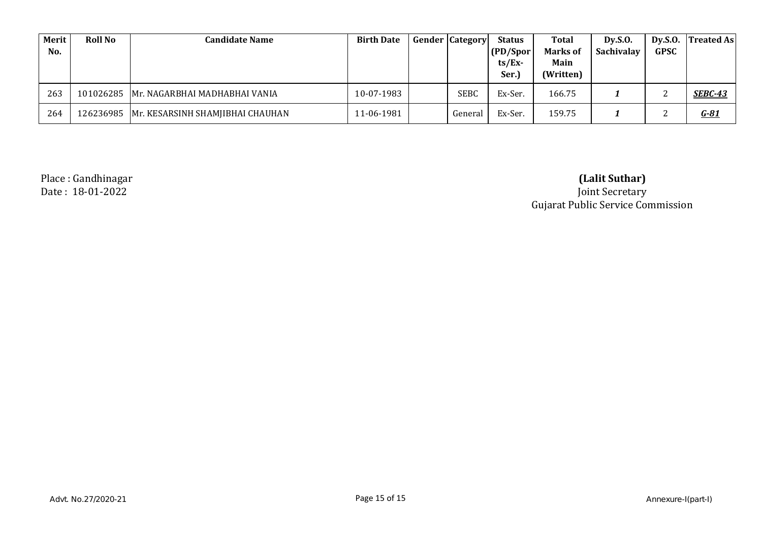| Merit<br>No. | <b>Roll No</b> | <b>Candidate Name</b>                         | <b>Birth Date</b> | <b>Gender Category</b> | <b>Status</b><br>(PD/Spor<br>$ts/Ex$ -<br>Ser.) | Total<br><b>Marks of</b><br>Main<br>(Written) | Dy.S.0.<br>Sachivalay | <b>GPSC</b> | Dy.S.O. $ Treated As $ |
|--------------|----------------|-----------------------------------------------|-------------------|------------------------|-------------------------------------------------|-----------------------------------------------|-----------------------|-------------|------------------------|
| 263          |                | 101026285   Mr. NAGARBHAI MADHABHAI VANIA     | 10-07-1983        | SEBC                   | Ex-Ser.                                         | 166.75                                        |                       |             | <b>SEBC-43</b>         |
| 264          |                | 126236985    Mr. KESARSINH SHAMJIBHAI CHAUHAN | 11-06-1981        | General                | Ex-Ser.                                         | 159.75                                        |                       |             | $G - 81$               |

Place : Gandhinagar

Date : 18-01-2022 Joint Secretary Gujarat Public Service Commission **(Lalit Suthar)**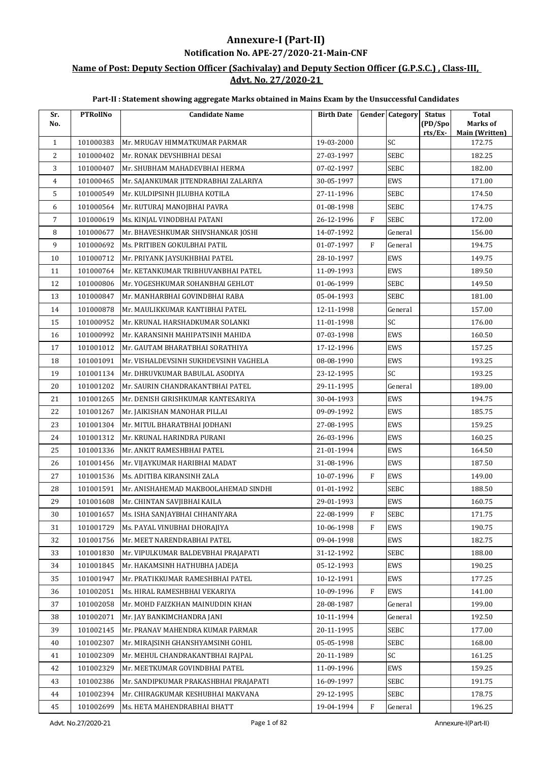## **Annexure-I (Part-II) Notification No. APE-27/2020-21-Main-CNF**

### **Name of Post: Deputy Section Officer (Sachivalay) and Deputy Section Officer (G.P.S.C.) , Class-III, Advt. No. 27/2020-21**

| Sr.            | <b>PTRollNo</b> | <b>Candidate Name</b>                 | <b>Birth Date</b> |              | <b>Gender Category</b> | <b>Status</b>      | <b>Total</b>                      |
|----------------|-----------------|---------------------------------------|-------------------|--------------|------------------------|--------------------|-----------------------------------|
| No.            |                 |                                       |                   |              |                        | (PD/Spo<br>rts/Ex- | Marks of<br><b>Main (Written)</b> |
| $\mathbf{1}$   | 101000383       | Mr. MRUGAV HIMMATKUMAR PARMAR         | 19-03-2000        |              | SC                     |                    | 172.75                            |
| 2              | 101000402       | Mr. RONAK DEVSHIBHAI DESAI            | 27-03-1997        |              | <b>SEBC</b>            |                    | 182.25                            |
| 3              | 101000407       | Mr. SHUBHAM MAHADEVBHAI HERMA         | 07-02-1997        |              | <b>SEBC</b>            |                    | 182.00                            |
| 4              | 101000465       | Mr. SAJANKUMAR JITENDRABHAI ZALARIYA  | 30-05-1997        |              | EWS                    |                    | 171.00                            |
| 5              | 101000549       | Mr. KULDIPSINH JILUBHA KOTILA         | 27-11-1996        |              | SEBC                   |                    | 174.50                            |
| 6              | 101000564       | Mr. RUTURAJ MANOJBHAI PAVRA           | 01-08-1998        |              | <b>SEBC</b>            |                    | 174.75                            |
| $\overline{7}$ | 101000619       | Ms. KINJAL VINODBHAI PATANI           | 26-12-1996        | F            | SEBC                   |                    | 172.00                            |
| 8              | 101000677       | Mr. BHAVESHKUMAR SHIVSHANKAR JOSHI    | 14-07-1992        |              | General                |                    | 156.00                            |
| 9              | 101000692       | Ms. PRITIBEN GOKULBHAI PATIL          | 01-07-1997        | F            | General                |                    | 194.75                            |
| 10             | 101000712       | Mr. PRIYANK JAYSUKHBHAI PATEL         | 28-10-1997        |              | EWS                    |                    | 149.75                            |
| 11             | 101000764       | Mr. KETANKUMAR TRIBHUVANBHAI PATEL    | 11-09-1993        |              | EWS                    |                    | 189.50                            |
| 12             | 101000806       | Mr. YOGESHKUMAR SOHANBHAI GEHLOT      | 01-06-1999        |              | SEBC                   |                    | 149.50                            |
| 13             | 101000847       | Mr. MANHARBHAI GOVINDBHAI RABA        | 05-04-1993        |              | SEBC                   |                    | 181.00                            |
| 14             | 101000878       | Mr. MAULIKKUMAR KANTIBHAI PATEL       | 12-11-1998        |              | General                |                    | 157.00                            |
| 15             | 101000952       | Mr. KRUNAL HARSHADKUMAR SOLANKI       | 11-01-1998        |              | SC                     |                    | 176.00                            |
| 16             | 101000992       | Mr. KARANSINH MAHIPATSINH MAHIDA      | 07-03-1998        |              | EWS                    |                    | 160.50                            |
| 17             | 101001012       | Mr. GAUTAM BHARATBHAI SORATHIYA       | 17-12-1996        |              | EWS                    |                    | 157.25                            |
| 18             | 101001091       | Mr. VISHALDEVSINH SUKHDEVSINH VAGHELA | 08-08-1990        |              | EWS                    |                    | 193.25                            |
| 19             | 101001134       | Mr. DHRUVKUMAR BABULAL ASODIYA        | 23-12-1995        |              | SC                     |                    | 193.25                            |
| 20             | 101001202       | Mr. SAURIN CHANDRAKANTBHAI PATEL      | 29-11-1995        |              | General                |                    | 189.00                            |
| 21             | 101001265       | Mr. DENISH GIRISHKUMAR KANTESARIYA    | 30-04-1993        |              | EWS                    |                    | 194.75                            |
| 22             | 101001267       | Mr. JAIKISHAN MANOHAR PILLAI          | 09-09-1992        |              | EWS                    |                    | 185.75                            |
| 23             | 101001304       | Mr. MITUL BHARATBHAI JODHANI          | 27-08-1995        |              | <b>EWS</b>             |                    | 159.25                            |
| 24             | 101001312       | Mr. KRUNAL HARINDRA PURANI            | 26-03-1996        |              | EWS                    |                    | 160.25                            |
| 25             | 101001336       | Mr. ANKIT RAMESHBHAI PATEL            | 21-01-1994        |              | EWS                    |                    | 164.50                            |
| 26             | 101001456       | Mr. VIJAYKUMAR HARIBHAI MADAT         | 31-08-1996        |              | EWS                    |                    | 187.50                            |
| 27             | 101001536       | Ms. ADITIBA KIRANSINH ZALA            | 10-07-1996        | F            | EWS                    |                    | 149.00                            |
| 28             | 101001591       | Mr. ANISHAHEMAD MAKBOOLAHEMAD SINDHI  | 01-01-1992        |              | SEBC                   |                    | 188.50                            |
| 29             | 101001608       | Mr. CHINTAN SAVJIBHAI KAILA           | 29-01-1993        |              | EWS                    |                    | 160.75                            |
| 30             | 101001657       | Ms. ISHA SANJAYBHAI CHHANIYARA        | 22-08-1999        | F            | <b>SEBC</b>            |                    | 171.75                            |
| 31             | 101001729       | Ms. PAYAL VINUBHAI DHORAIIYA          | 10-06-1998        | $\mathbf{F}$ | EWS                    |                    | 190.75                            |
| 32             | 101001756       | Mr. MEET NARENDRABHAI PATEL           | 09-04-1998        |              | EWS                    |                    | 182.75                            |
| 33             | 101001830       | Mr. VIPULKUMAR BALDEVBHAI PRAJAPATI   | 31-12-1992        |              | SEBC                   |                    | 188.00                            |
| 34             | 101001845       | Mr. HAKAMSINH HATHUBHA JADEJA         | 05-12-1993        |              | EWS                    |                    | 190.25                            |
| 35             | 101001947       | Mr. PRATIKKUMAR RAMESHBHAI PATEL      | 10-12-1991        |              | EWS                    |                    | 177.25                            |
| 36             | 101002051       | Ms. HIRAL RAMESHBHAI VEKARIYA         | 10-09-1996        | $\,$ F       | EWS                    |                    | 141.00                            |
| 37             | 101002058       | Mr. MOHD FAIZKHAN MAINUDDIN KHAN      | 28-08-1987        |              | General                |                    | 199.00                            |
| 38             | 101002071       | Mr. JAY BANKIMCHANDRA JANI            | 10-11-1994        |              | General                |                    | 192.50                            |
| 39             | 101002145       | Mr. PRANAV MAHENDRA KUMAR PARMAR      | 20-11-1995        |              | SEBC                   |                    | 177.00                            |
| 40             | 101002307       | Mr. MIRAJSINH GHANSHYAMSINH GOHIL     | 05-05-1998        |              | SEBC                   |                    | 168.00                            |
| 41             | 101002309       | Mr. MEHUL CHANDRAKANTBHAI RAJPAL      | 20-11-1989        |              | SC                     |                    | 161.25                            |
| 42             | 101002329       | Mr. MEETKUMAR GOVINDBHAI PATEL        | 11-09-1996        |              | EWS                    |                    | 159.25                            |
| 43             | 101002386       | Mr. SANDIPKUMAR PRAKASHBHAI PRAJAPATI | 16-09-1997        |              | SEBC                   |                    | 191.75                            |
| 44             | 101002394       | Mr. CHIRAGKUMAR KESHUBHAI MAKVANA     | 29-12-1995        |              | SEBC                   |                    | 178.75                            |
| 45             | 101002699       | Ms. HETA MAHENDRABHAI BHATT           | 19-04-1994        | $\mathbf{F}$ | General                |                    | 196.25                            |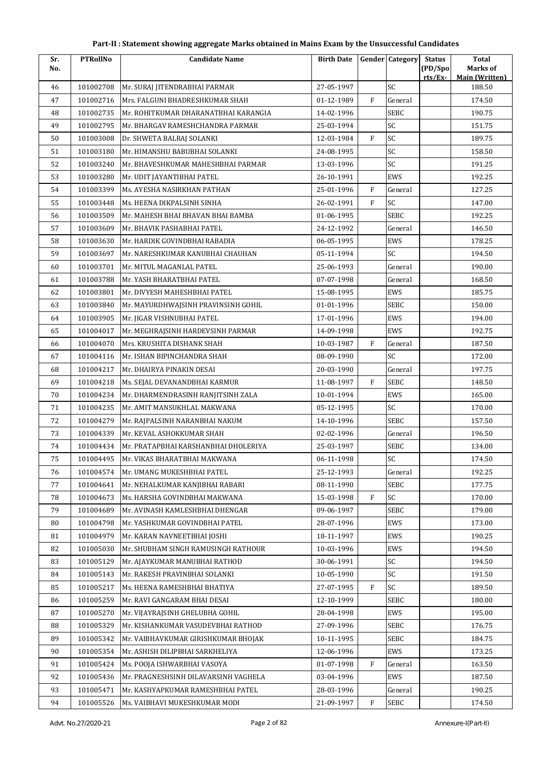| Part-II : Statement showing aggregate Marks obtained in Mains Exam by the Unsuccessful Candidates |  |
|---------------------------------------------------------------------------------------------------|--|
|---------------------------------------------------------------------------------------------------|--|

| Sr.<br>No. | <b>PTRollNo</b> | <b>Candidate Name</b>                | <b>Birth Date</b> |                | <b>Gender Category</b> | <b>Status</b><br>(PD/Spo | <b>Total</b><br>Marks of |
|------------|-----------------|--------------------------------------|-------------------|----------------|------------------------|--------------------------|--------------------------|
|            |                 |                                      |                   |                |                        | rts/Ex-                  | <b>Main (Written)</b>    |
| 46         | 101002708       | Mr. SURAJ JITENDRABHAI PARMAR        | 27-05-1997        |                | SC                     |                          | 188.50                   |
| 47         | 101002716       | Mrs. FALGUNI BHADRESHKUMAR SHAH      | 01-12-1989        | F              | General                |                          | 174.50                   |
| 48         | 101002735       | Mr. ROHITKUMAR DHARANATBHAI KARANGIA | 14-02-1996        |                | SEBC                   |                          | 190.75                   |
| 49         | 101002795       | Mr. BHARGAV RAMESHCHANDRA PARMAR     | 25-03-1994        |                | SC                     |                          | 151.75                   |
| 50         | 101003008       | Dr. SHWETA BALRAJ SOLANKI            | 12-03-1984        | F              | SC                     |                          | 189.75                   |
| 51         | 101003180       | Mr. HIMANSHU BABUBHAI SOLANKI        | 24-08-1995        |                | SC                     |                          | 158.50                   |
| 52         | 101003240       | Mr. BHAVESHKUMAR MAHESHBHAI PARMAR   | 13-03-1996        |                | SC                     |                          | 191.25                   |
| 53         | 101003280       | Mr. UDIT JAYANTIBHAI PATEL           | 26-10-1991        |                | EWS                    |                          | 192.25                   |
| 54         | 101003399       | Ms. AYESHA NASIRKHAN PATHAN          | 25-01-1996        | F              | General                |                          | 127.25                   |
| 55         | 101003448       | Ms. HEENA DIKPALSINH SINHA           | 26-02-1991        | $\overline{F}$ | SC                     |                          | 147.00                   |
| 56         | 101003509       | Mr. MAHESH BHAI BHAVAN BHAI BAMBA    | 01-06-1995        |                | <b>SEBC</b>            |                          | 192.25                   |
| 57         | 101003609       | Mr. BHAVIK PASHABHAI PATEL           | 24-12-1992        |                | General                |                          | 146.50                   |
| 58         | 101003630       | Mr. HARDIK GOVINDBHAI RABADIA        | 06-05-1995        |                | <b>EWS</b>             |                          | 178.25                   |
| 59         | 101003697       | Mr. NARESHKUMAR KANUBHAI CHAUHAN     | 05-11-1994        |                | SC                     |                          | 194.50                   |
| 60         | 101003701       | Mr. MITUL MAGANLAL PATEL             | 25-06-1993        |                | General                |                          | 190.00                   |
| 61         | 101003788       | Mr. YASH BHARATBHAI PATEL            | 07-07-1998        |                | General                |                          | 168.50                   |
| 62         | 101003801       | Mr. DIVYESH MAHESHBHAI PATEL         | 15-08-1995        |                | EWS                    |                          | 185.75                   |
| 63         | 101003840       | Mr. MAYURDHWAJSINH PRAVINSINH GOHIL  | 01-01-1996        |                | <b>SEBC</b>            |                          | 150.00                   |
| 64         | 101003905       | Mr. JIGAR VISHNUBHAI PATEL           | 17-01-1996        |                | EWS                    |                          | 194.00                   |
| 65         | 101004017       | Mr. MEGHRAJSINH HARDEVSINH PARMAR    | 14-09-1998        |                | <b>EWS</b>             |                          | 192.75                   |
| 66         | 101004070       | Mrs. KRUSHITA DISHANK SHAH           | 10-03-1987        | F              | General                |                          | 187.50                   |
| 67         | 101004116       | Mr. ISHAN BIPINCHANDRA SHAH          | 08-09-1990        |                | SC                     |                          | 172.00                   |
| 68         | 101004217       | Mr. DHAIRYA PINAKIN DESAI            | 20-03-1990        |                | General                |                          | 197.75                   |
| 69         | 101004218       | Ms. SEJAL DEVANANDBHAI KARMUR        | 11-08-1997        | $\mathbf{F}$   | <b>SEBC</b>            |                          | 148.50                   |
| 70         | 101004234       | Mr. DHARMENDRASINH RANJITSINH ZALA   | 10-01-1994        |                | EWS                    |                          | 165.00                   |
| 71         | 101004235       | Mr. AMIT MANSUKHLAL MAKWANA          | 05-12-1995        |                | SC                     |                          | 170.00                   |
| 72         | 101004279       | Mr. RAJPALSINH NARANBHAI NAKUM       | 14-10-1996        |                | <b>SEBC</b>            |                          | 157.50                   |
| 73         | 101004339       | Mr. KEVAL ASHOKKUMAR SHAH            | 02-02-1996        |                | General                |                          | 196.50                   |
| 74         | 101004434       | Mr. PRATAPBHAI KARSHANBHAI DHOLERIYA | 25-03-1997        |                | <b>SEBC</b>            |                          | 134.00                   |
| 75         | 101004495       | Mr. VIKAS BHARATBHAI MAKWANA         | 06-11-1998        |                | $\mathsf{SC}$          |                          | 174.50                   |
| 76         | 101004574       | Mr. UMANG MUKESHBHAI PATEL           | 25-12-1993        |                | General                |                          | 192.25                   |
| 77         | 101004641       | Mr. NEHALKUMAR KANJIBHAI RABARI      | 08-11-1990        |                | <b>SEBC</b>            |                          | 177.75                   |
| 78         | 101004673       | Ms. HARSHA GOVINDBHAI MAKWANA        | 15-03-1998        | F              | SC                     |                          | 170.00                   |
| 79         | 101004689       | Mr. AVINASH KAMLESHBHAI DHENGAR      | 09-06-1997        |                | <b>SEBC</b>            |                          | 179.00                   |
| 80         | 101004798       | Mr. YASHKUMAR GOVINDBHAI PATEL       | 28-07-1996        |                | EWS                    |                          | 173.00                   |
| 81         | 101004979       | Mr. KARAN NAVNEETBHAI JOSHI          | 18-11-1997        |                | EWS                    |                          | 190.25                   |
| 82         | 101005030       | Mr. SHUBHAM SINGH RAMUSINGH RATHOUR  | 10-03-1996        |                | EWS                    |                          | 194.50                   |
| 83         | 101005129       | Mr. AJAYKUMAR MANUBHAI RATHOD        | 30-06-1991        |                | SC                     |                          | 194.50                   |
| 84         | 101005143       | Mr. RAKESH PRAVINBHAI SOLANKI        | 10-05-1990        |                | SC                     |                          | 191.50                   |
| 85         | 101005217       | Ms. HEENA RAMESHBHAI BHATIYA         | 27-07-1995        | ${\rm F}$      | SC                     |                          | 189.50                   |
| 86         | 101005259       | Mr. RAVI GANGARAM BHAI DESAI         | 12-10-1999        |                | <b>SEBC</b>            |                          | 180.00                   |
| 87         | 101005270       | Mr. VIJAYRAJSINH GHELUBHA GOHIL      | 28-04-1998        |                | EWS                    |                          | 195.00                   |
| 88         | 101005329       | Mr. KISHANKUMAR VASUDEVBHAI RATHOD   | 27-09-1996        |                | <b>SEBC</b>            |                          | 176.75                   |
| 89         | 101005342       | Mr. VAIBHAVKUMAR GIRISHKUMAR BHOJAK  | 10-11-1995        |                | <b>SEBC</b>            |                          | 184.75                   |
| 90         | 101005354       | Mr. ASHISH DILIPBHAI SARKHELIYA      | 12-06-1996        |                | EWS                    |                          | 173.25                   |
| 91         | 101005424       | Ms. POOJA ISHWARBHAI VASOYA          | 01-07-1998        | F              | General                |                          | 163.50                   |
| 92         | 101005436       | Mr. PRAGNESHSINH DILAVARSINH VAGHELA | 03-04-1996        |                | EWS                    |                          | 187.50                   |
| 93         | 101005471       | Mr. KASHYAPKUMAR RAMESHBHAI PATEL    | 28-03-1996        |                | General                |                          | 190.25                   |
| 94         | 101005526       | Ms. VAIBHAVI MUKESHKUMAR MODI        | 21-09-1997        | ${\rm F}$      | SEBC                   |                          | 174.50                   |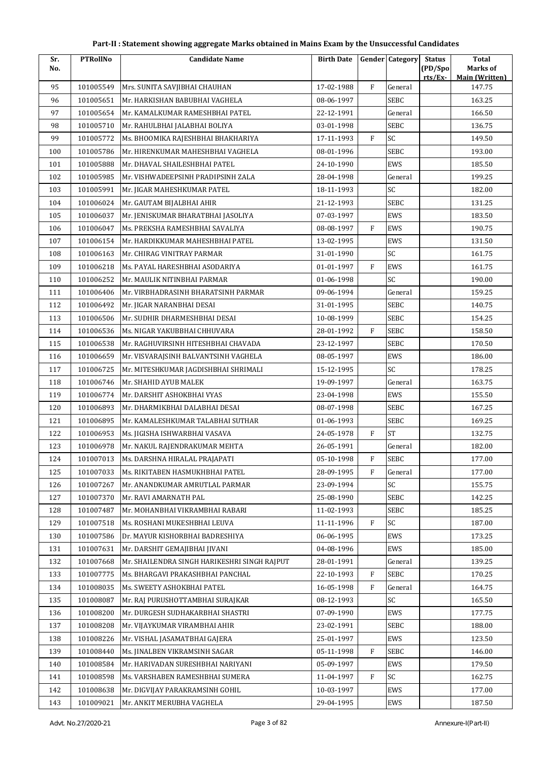| Sr. | <b>PTRollNo</b> | <b>Candidate Name</b>                        | <b>Birth Date</b> |              | <b>Gender</b> Category | <b>Status</b> | <b>Total</b>                    |
|-----|-----------------|----------------------------------------------|-------------------|--------------|------------------------|---------------|---------------------------------|
| No. |                 |                                              |                   |              |                        | (PD/Spo       | Marks of                        |
| 95  | 101005549       | Mrs. SUNITA SAVJIBHAI CHAUHAN                | 17-02-1988        | $\mathbf F$  | General                | rts/Ex-       | <b>Main (Written)</b><br>147.75 |
| 96  | 101005651       | Mr. HARKISHAN BABUBHAI VAGHELA               | 08-06-1997        |              | <b>SEBC</b>            |               | 163.25                          |
| 97  | 101005654       | Mr. KAMALKUMAR RAMESHBHAI PATEL              | 22-12-1991        |              | General                |               | 166.50                          |
| 98  | 101005710       | Mr. RAHULBHAI JALABHAI BOLIYA                | 03-01-1998        |              | <b>SEBC</b>            |               | 136.75                          |
| 99  | 101005772       | Ms. BHOOMIKA RAJESHBHAI BHAKHARIYA           | 17-11-1993        | F            | SC                     |               | 149.50                          |
| 100 | 101005786       | Mr. HIRENKUMAR MAHESHBHAI VAGHELA            | 08-01-1996        |              | <b>SEBC</b>            |               | 193.00                          |
| 101 | 101005888       | Mr. DHAVAL SHAILESHBHAI PATEL                | 24-10-1990        |              | EWS                    |               | 185.50                          |
| 102 | 101005985       | Mr. VISHWADEEPSINH PRADIPSINH ZALA           | 28-04-1998        |              | General                |               | 199.25                          |
| 103 | 101005991       | Mr. JIGAR MAHESHKUMAR PATEL                  | 18-11-1993        |              | SC                     |               | 182.00                          |
| 104 | 101006024       | Mr. GAUTAM BIJALBHAI AHIR                    | 21-12-1993        |              | <b>SEBC</b>            |               | 131.25                          |
| 105 | 101006037       | Mr. JENISKUMAR BHARATBHAI JASOLIYA           | 07-03-1997        |              | EWS                    |               | 183.50                          |
| 106 | 101006047       | Ms. PREKSHA RAMESHBHAI SAVALIYA              | 08-08-1997        | $\mathbf{F}$ | EWS                    |               | 190.75                          |
| 107 | 101006154       | Mr. HARDIKKUMAR MAHESHBHAI PATEL             | 13-02-1995        |              | EWS                    |               | 131.50                          |
| 108 | 101006163       | Mr. CHIRAG VINITRAY PARMAR                   | 31-01-1990        |              | SC                     |               | 161.75                          |
| 109 | 101006218       | Ms. PAYAL HARESHBHAI ASODARIYA               | 01-01-1997        | $\mathbf{F}$ | EWS                    |               | 161.75                          |
| 110 | 101006252       | Mr. MAULIK NITINBHAI PARMAR                  | 01-06-1998        |              | SC                     |               | 190.00                          |
| 111 | 101006406       | Mr. VIRBHADRASINH BHARATSINH PARMAR          | 09-06-1994        |              | General                |               | 159.25                          |
| 112 | 101006492       | Mr. JIGAR NARANBHAI DESAI                    | 31-01-1995        |              | <b>SEBC</b>            |               | 140.75                          |
| 113 | 101006506       | Mr. SUDHIR DHARMESHBHAI DESAI                | 10-08-1999        |              | <b>SEBC</b>            |               | 154.25                          |
| 114 | 101006536       | Ms. NIGAR YAKUBBHAI CHHUVARA                 | 28-01-1992        | $\mathbf F$  | <b>SEBC</b>            |               | 158.50                          |
| 115 | 101006538       | Mr. RAGHUVIRSINH HITESHBHAI CHAVADA          | 23-12-1997        |              | SEBC                   |               | 170.50                          |
| 116 | 101006659       | Mr. VISVARAJSINH BALVANTSINH VAGHELA         | 08-05-1997        |              | <b>EWS</b>             |               | 186.00                          |
| 117 | 101006725       | Mr. MITESHKUMAR JAGDISHBHAI SHRIMALI         | 15-12-1995        |              | SC                     |               | 178.25                          |
| 118 | 101006746       | Mr. SHAHID AYUB MALEK                        | 19-09-1997        |              | General                |               | 163.75                          |
| 119 | 101006774       | Mr. DARSHIT ASHOKBHAI VYAS                   | 23-04-1998        |              | EWS                    |               | 155.50                          |
| 120 | 101006893       | Mr. DHARMIKBHAI DALABHAI DESAI               | 08-07-1998        |              | <b>SEBC</b>            |               | 167.25                          |
| 121 | 101006895       | Mr. KAMALESHKUMAR TALABHAI SUTHAR            | 01-06-1993        |              | <b>SEBC</b>            |               | 169.25                          |
| 122 | 101006953       | Ms. JIGISHA ISHWARBHAI VASAVA                | 24-05-1978        | F            | <b>ST</b>              |               | 132.75                          |
| 123 | 101006978       | Mr. NAKUL RAJENDRAKUMAR MEHTA                | 26-05-1991        |              | General                |               | 182.00                          |
| 124 | 101007013       | Ms. DARSHNA HIRALAL PRAJAPATI                | 05-10-1998        | F            | <b>SEBC</b>            |               | 177.00                          |
| 125 | 101007033       | Ms. RIKITABEN HASMUKHBHAI PATEL              | 28-09-1995        | F            | General                |               | 177.00                          |
| 126 | 101007267       | Mr. ANANDKUMAR AMRUTLAL PARMAR               | 23-09-1994        |              | SC                     |               | 155.75                          |
| 127 | 101007370       | Mr. RAVI AMARNATH PAL                        | 25-08-1990        |              | <b>SEBC</b>            |               | 142.25                          |
| 128 | 101007487       | Mr. MOHANBHAI VIKRAMBHAI RABARI              | 11-02-1993        |              | <b>SEBC</b>            |               | 185.25                          |
| 129 | 101007518       | Ms. ROSHANI MUKESHBHAI LEUVA                 | 11-11-1996        | $\mathbf{F}$ | SC                     |               | 187.00                          |
| 130 | 101007586       | Dr. MAYUR KISHORBHAI BADRESHIYA              | 06-06-1995        |              | EWS                    |               | 173.25                          |
| 131 | 101007631       | Mr. DARSHIT GEMAJIBHAI JIVANI                | 04-08-1996        |              | EWS                    |               | 185.00                          |
| 132 | 101007668       | Mr. SHAILENDRA SINGH HARIKESHRI SINGH RAIPUT | 28-01-1991        |              | General                |               | 139.25                          |
| 133 | 101007775       | Ms. BHARGAVI PRAKASHBHAI PANCHAL             | 22-10-1993        | F            | <b>SEBC</b>            |               | 170.25                          |
| 134 | 101008035       | Ms. SWEETY ASHOKBHAI PATEL                   | 16-05-1998        | F            | General                |               | 164.75                          |
| 135 | 101008087       | Mr. RAJ PURUSHOTTAMBHAI SURAJKAR             | 08-12-1993        |              | SC                     |               | 165.50                          |
| 136 | 101008200       | Mr. DURGESH SUDHAKARBHAI SHASTRI             | 07-09-1990        |              | EWS                    |               | 177.75                          |
| 137 | 101008208       | Mr. VIJAYKUMAR VIRAMBHAI AHIR                | 23-02-1991        |              | <b>SEBC</b>            |               | 188.00                          |
| 138 | 101008226       | Mr. VISHAL JASAMATBHAI GAJERA                | 25-01-1997        |              | EWS                    |               | 123.50                          |
| 139 | 101008440       | Ms. JINALBEN VIKRAMSINH SAGAR                | 05-11-1998        | F            | <b>SEBC</b>            |               | 146.00                          |
| 140 | 101008584       | Mr. HARIVADAN SURESHBHAI NARIYANI            | 05-09-1997        |              | EWS                    |               | 179.50                          |
| 141 | 101008598       | Ms. VARSHABEN RAMESHBHAI SUMERA              | 11-04-1997        | $\mathbf{F}$ | SC                     |               | 162.75                          |
| 142 | 101008638       | Mr. DIGVIJAY PARAKRAMSINH GOHIL              | 10-03-1997        |              | EWS                    |               | 177.00                          |
| 143 | 101009021       | Mr. ANKIT MERUBHA VAGHELA                    | 29-04-1995        |              | EWS                    |               | 187.50                          |
|     |                 |                                              |                   |              |                        |               |                                 |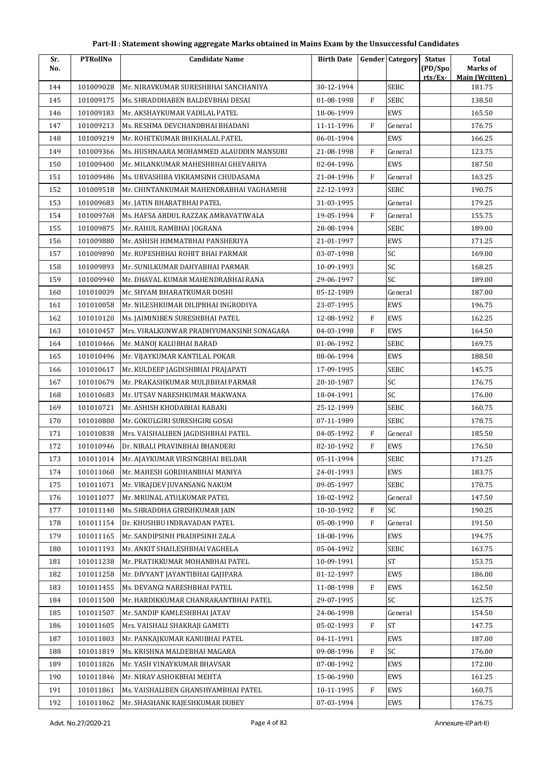| Sr.<br>No. | <b>PTRollNo</b> | <b>Candidate Name</b>                    | <b>Birth Date</b> |              | <b>Gender Category</b> | <b>Status</b><br>(PD/Spo | <b>Total</b><br>Marks of |
|------------|-----------------|------------------------------------------|-------------------|--------------|------------------------|--------------------------|--------------------------|
|            |                 |                                          |                   |              |                        | rts/Ex                   | <b>Main (Written)</b>    |
| 144        | 101009028       | Mr. NIRAVKUMAR SURESHBHAI SANCHANIYA     | 30-12-1994        |              | <b>SEBC</b>            |                          | 181.75                   |
| 145        | 101009175       | Ms. SHRADDHABEN BALDEVBHAI DESAI         | 01-08-1998        | F            | <b>SEBC</b>            |                          | 138.50                   |
| 146        | 101009183       | Mr. AKSHAYKUMAR VADILAL PATEL            | 18-06-1999        |              | EWS                    |                          | 165.50                   |
| 147        | 101009213       | Ms. RESHMA DEVCHANDBHAI BHADANI          | 11-11-1996        | $\mathbf{F}$ | General                |                          | 176.75                   |
| 148        | 101009219       | Mr. ROHITKUMAR BHIKHALAL PATEL           | 06-01-1994        |              | EWS                    |                          | 166.25                   |
| 149        | 101009366       | Ms. HUSHNAARA MOHAMMED ALAUDDIN MANSURI  | 21-08-1998        | $\mathbf F$  | General                |                          | 123.75                   |
| 150        | 101009400       | Mr. MILANKUMAR MAHESHBHAI GHEVARIYA      | 02-04-1996        |              | EWS                    |                          | 187.50                   |
| 151        | 101009486       | Ms. URVASHIBA VIKRAMSINH CHUDASAMA       | 21-04-1996        | $\mathbf{F}$ | General                |                          | 163.25                   |
| 152        | 101009518       | Mr. CHINTANKUMAR MAHENDRABHAI VAGHAMSHI  | 22-12-1993        |              | <b>SEBC</b>            |                          | 190.75                   |
| 153        | 101009683       | Mr. JATIN BHARATBHAI PATEL               | 31-03-1995        |              | General                |                          | 179.25                   |
| 154        | 101009768       | Ms. HAFSA ABDUL RAZZAK AMRAVATIWALA      | 19-05-1994        | $\mathbf{F}$ | General                |                          | 155.75                   |
| 155        | 101009875       | Mr. RAHUL RAMBHAI JOGRANA                | 28-08-1994        |              | <b>SEBC</b>            |                          | 189.00                   |
| 156        | 101009880       | Mr. ASHISH HIMMATBHAI PANSHERIYA         | 21-01-1997        |              | EWS                    |                          | 171.25                   |
| 157        | 101009890       | Mr. RUPESHBHAI ROHIT BHAI PARMAR         | 03-07-1998        |              | SC                     |                          | 169.00                   |
| 158        | 101009893       | Mr. SUNILKUMAR DAHYABHAI PARMAR          | 10-09-1993        |              | SC                     |                          | 168.25                   |
| 159        | 101009940       | Mr. DHAVAL KUMAR MAHENDRABHAI RANA       | 29-06-1997        |              | SC                     |                          | 189.00                   |
| 160        | 101010039       | Mr. SHYAM BHARATKUMAR DOSHI              | 05-12-1989        |              | General                |                          | 187.00                   |
| 161        | 101010058       | Mr. NILESHKUMAR DILIPBHAI INGRODIYA      | 23-07-1995        |              | EWS                    |                          | 196.75                   |
| 162        | 101010120       | Ms. JAIMINIBEN SURESHBHAI PATEL          | 12-08-1992        | F            | EWS                    |                          | 162.25                   |
| 163        | 101010457       | Mrs. VIRALKUNWAR PRADHYUMANSINH SONAGARA | 04-03-1998        | $\mathbf{F}$ | EWS                    |                          | 164.50                   |
| 164        | 101010466       | Mr. MANOJ KALUBHAI BARAD                 | 01-06-1992        |              | <b>SEBC</b>            |                          | 169.75                   |
| 165        | 101010496       | Mr. VIJAYKUMAR KANTILAL POKAR            | 08-06-1994        |              | EWS                    |                          | 188.50                   |
| 166        | 101010617       | Mr. KULDEEP JAGDISHBHAI PRAJAPATI        | 17-09-1995        |              | <b>SEBC</b>            |                          | 145.75                   |
| 167        | 101010679       | Mr. PRAKASHKUMAR MULJIBHAI PARMAR        | 20-10-1987        |              | SC                     |                          | 176.75                   |
| 168        | 101010683       | Mr. UTSAV NARESHKUMAR MAKWANA            | 18-04-1991        |              | SC                     |                          | 176.00                   |
| 169        | 101010721       | Mr. ASHISH KHODABHAI RABARI              | 25-12-1999        |              | <b>SEBC</b>            |                          | 160.75                   |
| 170        | 101010800       | Mr. GOKULGIRI SURESHGIRI GOSAI           | 07-11-1989        |              | <b>SEBC</b>            |                          | 178.75                   |
| 171        | 101010838       | Mrs. VAISHALIBEN JAGDISHBHAI PATEL       | 04-05-1992        | F            | General                |                          | 185.50                   |
| 172        | 101010946       | Dr. NIRALI PRAVINBHAI BHANDERI           | 02-10-1992        | ${\bf F}$    | EWS                    |                          | 176.50                   |
| 173        | 101011014       | Mr. AJAYKUMAR VIRSINGBHAI BELDAR         | 05-11-1994        |              | <b>SEBC</b>            |                          | 171.25                   |
| 174        | 101011060       | Mr. MAHESH GORDHANBHAI MANIYA            | 24-01-1993        |              | EWS                    |                          | 183.75                   |
| 175        | 101011071       | Mr. VIRAJDEV JUVANSANG NAKUM             | 09-05-1997        |              | <b>SEBC</b>            |                          | 170.75                   |
| 176        | 101011077       | Mr. MRUNAL ATULKUMAR PATEL               | 18-02-1992        |              | General                |                          | 147.50                   |
| 177        | 101011140       | Ms. SHRADDHA GIRISHKUMAR JAIN            | 10-10-1992        | F            | SC                     |                          | 190.25                   |
| 178        | 101011154       | Dr. KHUSHBU INDRAVADAN PATEL             | 05-08-1990        | F            | General                |                          | 191.50                   |
| 179        | 101011165       | Mr. SANDIPSINH PRADIPSINH ZALA           | 18-08-1996        |              | EWS                    |                          | 194.75                   |
| 180        | 101011193       | Mr. ANKIT SHAILESHBHAI VAGHELA           | 05-04-1992        |              | SEBC                   |                          | 163.75                   |
| 181        | 101011238       | Mr. PRATIKKUMAR MOHANBHAI PATEL          | 10-09-1991        |              | <b>ST</b>              |                          | 153.75                   |
| 182        | 101011258       | Mr. DIVYANT JAYANTIBHAI GAJIPARA         | 01-12-1997        |              | EWS                    |                          | 186.00                   |
| 183        | 101011455       | Ms. DEVANGI NARESHBHAI PATEL             | 11-08-1998        | $\rm F$      | EWS                    |                          | 162.50                   |
| 184        | 101011500       | Mr. HARDIKKUMAR CHANRAKANTBHAI PATEL     | 29-07-1995        |              | SC                     |                          | 125.75                   |
| 185        | 101011507       | Mr. SANDIP KAMLESHBHAI JATAV             | 24-06-1998        |              | General                |                          | 154.50                   |
| 186        | 101011605       | Mrs. VAISHALI SHAKRAJI GAMETI            | 05-02-1993        | $\rm F$      | <b>ST</b>              |                          | 147.75                   |
| 187        | 101011803       | Mr. PANKAJKUMAR KANUBHAI PATEL           | 04-11-1991        |              | EWS                    |                          | 187.00                   |
| 188        | 101011819       | Ms. KRISHNA MALDEBHAI MAGARA             | 09-08-1996        | ${\rm F}$    | SC                     |                          | 176.00                   |
| 189        | 101011826       | Mr. YASH VINAYKUMAR BHAVSAR              | 07-08-1992        |              | EWS                    |                          | 172.00                   |
| 190        | 101011846       | Mr. NIRAV ASHOKBHAI MEHTA                | 15-06-1990        |              | EWS                    |                          | 161.25                   |
| 191        | 101011861       | Ms. VAISHALIBEN GHANSHYAMBHAI PATEL      | 10-11-1995        | F            | EWS                    |                          | 160.75                   |
| 192        | 101011862       | Mr. SHASHANK RAJESHKUMAR DUBEY           | 07-03-1994        |              | EWS                    |                          | 176.75                   |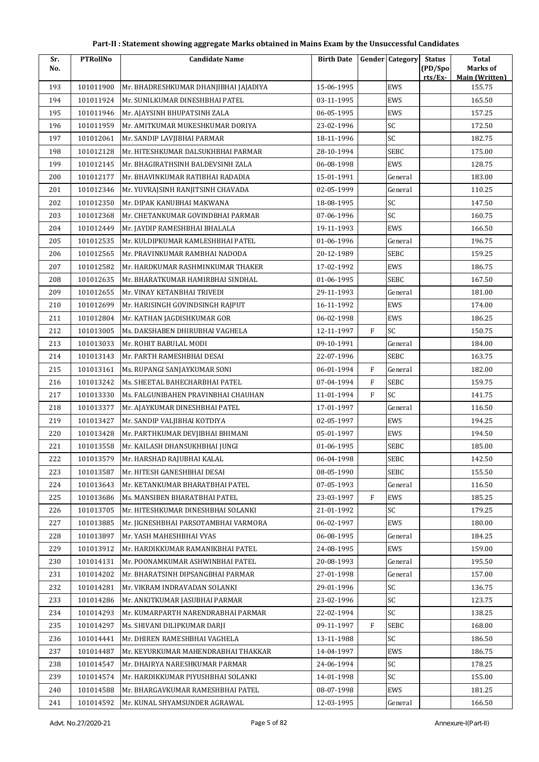| Sr. | <b>PTRollNo</b> | <b>Candidate Name</b>                 | <b>Birth Date</b> |              | <b>Gender Category</b> | <b>Status</b> | <b>Total</b>                    |
|-----|-----------------|---------------------------------------|-------------------|--------------|------------------------|---------------|---------------------------------|
| No. |                 |                                       |                   |              |                        | (PD/Spo       | Marks of                        |
| 193 | 101011900       | Mr. BHADRESHKUMAR DHANJIBHAI JAJADIYA | 15-06-1995        |              | EWS                    | rts/Ex        | <b>Main (Written)</b><br>155.75 |
| 194 | 101011924       | Mr. SUNILKUMAR DINESHBHAI PATEL       | 03-11-1995        |              | EWS                    |               | 165.50                          |
| 195 | 101011946       | Mr. AJAYSINH BHUPATSINH ZALA          | 06-05-1995        |              | EWS                    |               | 157.25                          |
| 196 | 101011959       | Mr. AMITKUMAR MUKESHKUMAR DORIYA      | 23-02-1996        |              | SC                     |               | 172.50                          |
| 197 | 101012061       | Mr. SANDIP LAVJIBHAI PARMAR           | 18-11-1996        |              | SC                     |               | 182.75                          |
| 198 | 101012128       | Mr. HITESHKUMAR DALSUKHBHAI PARMAR    | 28-10-1994        |              | <b>SEBC</b>            |               | 175.00                          |
| 199 | 101012145       | Mr. BHAGIRATHSINH BALDEVSINH ZALA     | 06-08-1998        |              | EWS                    |               | 128.75                          |
| 200 | 101012177       | Mr. BHAVINKUMAR RATIBHAI RADADIA      | 15-01-1991        |              | General                |               | 183.00                          |
| 201 | 101012346       | Mr. YUVRAJSINH RANJITSINH CHAVADA     | 02-05-1999        |              | General                |               | 110.25                          |
| 202 | 101012350       | Mr. DIPAK KANUBHAI MAKWANA            | 18-08-1995        |              | SC                     |               | 147.50                          |
| 203 | 101012368       | Mr. CHETANKUMAR GOVINDBHAI PARMAR     | 07-06-1996        |              | SC                     |               | 160.75                          |
| 204 | 101012449       | Mr. JAYDIP RAMESHBHAI BHALALA         | 19-11-1993        |              | EWS                    |               | 166.50                          |
| 205 | 101012535       | Mr. KULDIPKUMAR KAMLESHBHAI PATEL     | 01-06-1996        |              | General                |               | 196.75                          |
| 206 | 101012565       | Mr. PRAVINKUMAR RAMBHAI NADODA        | 20-12-1989        |              | <b>SEBC</b>            |               | 159.25                          |
| 207 | 101012582       | Mr. HARDKUMAR RASHMINKUMAR THAKER     | 17-02-1992        |              | EWS                    |               | 186.75                          |
| 208 | 101012635       | Mr. BHARATKUMAR HAMIRBHAI SINDHAL     | 01-06-1995        |              | <b>SEBC</b>            |               | 167.50                          |
| 209 | 101012655       | Mr. VINAY KETANBHAI TRIVEDI           | 29-11-1993        |              | General                |               | 181.00                          |
| 210 | 101012699       | Mr. HARISINGH GOVINDSINGH RAJPUT      | 16-11-1992        |              | EWS                    |               | 174.00                          |
| 211 | 101012804       | Mr. KATHAN JAGDISHKUMAR GOR           | 06-02-1998        |              | EWS                    |               | 186.25                          |
| 212 | 101013005       | Ms. DAKSHABEN DHIRUBHAI VAGHELA       | 12-11-1997        | F            | SC                     |               | 150.75                          |
| 213 | 101013033       | Mr. ROHIT BABULAL MODI                | 09-10-1991        |              | General                |               | 184.00                          |
| 214 | 101013143       | Mr. PARTH RAMESHBHAI DESAI            | 22-07-1996        |              | <b>SEBC</b>            |               | 163.75                          |
| 215 | 101013161       | Ms. RUPANGI SANJAYKUMAR SONI          | 06-01-1994        | F            | General                |               | 182.00                          |
| 216 | 101013242       | Ms. SHEETAL BAHECHARBHAI PATEL        | 07-04-1994        | $\mathbf{F}$ | <b>SEBC</b>            |               | 159.75                          |
| 217 | 101013330       | Ms. FALGUNIBAHEN PRAVINBHAI CHAUHAN   | 11-01-1994        | F            | SC                     |               | 141.75                          |
| 218 | 101013377       | Mr. AJAYKUMAR DINESHBHAI PATEL        | 17-01-1997        |              | General                |               | 116.50                          |
| 219 | 101013427       | Mr. SANDIP VALJIBHAI KOTDIYA          | 02-05-1997        |              | EWS                    |               | 194.25                          |
| 220 | 101013428       | Mr. PARTHKUMAR DEVJIBHAI BHIMANI      | 05-01-1997        |              | EWS                    |               | 194.50                          |
| 221 | 101013558       | Mr. KAILASH DHANSUKHBHAI JUNGI        | 01-06-1995        |              | <b>SEBC</b>            |               | 185.00                          |
| 222 | 101013579       | Mr. HARSHAD RAJUBHAI KALAL            | 06-04-1998        |              | SEBC                   |               | 142.50                          |
| 223 | 101013587       | Mr. HITESH GANESHBHAI DESAI           | 08-05-1990        |              | SEBC                   |               | 155.50                          |
| 224 | 101013643       | Mr. KETANKUMAR BHARATBHAI PATEL       | 07-05-1993        |              | General                |               | 116.50                          |
| 225 | 101013686       | Ms. MANSIBEN BHARATBHAI PATEL         | 23-03-1997        | F            | EWS                    |               | 185.25                          |
| 226 | 101013705       | Mr. HITESHKUMAR DINESHBHAI SOLANKI    | 21-01-1992        |              | SC                     |               | 179.25                          |
| 227 | 101013885       | Mr. JIGNESHBHAI PARSOTAMBHAI VARMORA  | 06-02-1997        |              | EWS                    |               | 180.00                          |
| 228 | 101013897       | Mr. YASH MAHESHBHAI VYAS              | 06-08-1995        |              | General                |               | 184.25                          |
| 229 | 101013912       | Mr. HARDIKKUMAR RAMANIKBHAI PATEL     | 24-08-1995        |              | EWS                    |               | 159.00                          |
| 230 | 101014131       | Mr. POONAMKUMAR ASHWINBHAI PATEL      | 20-08-1993        |              | General                |               | 195.50                          |
| 231 | 101014202       | Mr. BHARATSINH DIPSANGBHAI PARMAR     | 27-01-1998        |              | General                |               | 157.00                          |
| 232 | 101014281       | Mr. VIKRAM INDRAVADAN SOLANKI         | 29-01-1996        |              | SC                     |               | 136.75                          |
| 233 | 101014286       | Mr. ANKITKUMAR JASUBHAI PARMAR        | 23-02-1996        |              | SC                     |               | 123.75                          |
| 234 | 101014293       | Mr. KUMARPARTH NARENDRABHAI PARMAR    | 22-02-1994        |              | SC                     |               | 138.25                          |
| 235 | 101014297       | Ms. SHIVANI DILIPKUMAR DARJI          | 09-11-1997        | F            | <b>SEBC</b>            |               | 168.00                          |
| 236 | 101014441       | Mr. DHIREN RAMESHBHAI VAGHELA         | 13-11-1988        |              | SC                     |               | 186.50                          |
| 237 | 101014487       | Mr. KEYURKUMAR MAHENDRABHAI THAKKAR   | 14-04-1997        |              | EWS                    |               | 186.75                          |
| 238 | 101014547       | Mr. DHAIRYA NARESHKUMAR PARMAR        | 24-06-1994        |              | SC                     |               | 178.25                          |
| 239 | 101014574       | Mr. HARDIKKUMAR PIYUSHBHAI SOLANKI    | 14-01-1998        |              | SC                     |               | 155.00                          |
| 240 | 101014588       | Mr. BHARGAVKUMAR RAMESHBHAI PATEL     | 08-07-1998        |              | EWS                    |               | 181.25                          |
| 241 | 101014592       | Mr. KUNAL SHYAMSUNDER AGRAWAL         | 12-03-1995        |              | General                |               | 166.50                          |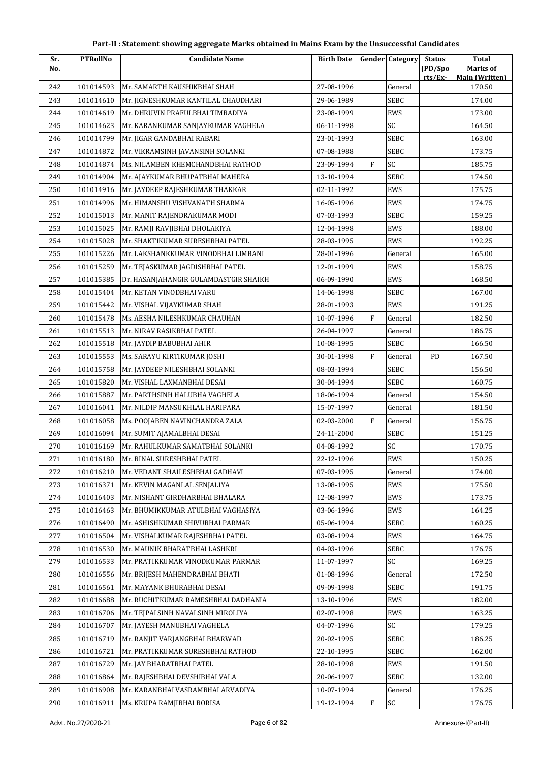| Sr. | <b>PTRollNo</b> | <b>Candidate Name</b>                 | <b>Birth Date</b> |              | <b>Gender</b> Category | <b>Status</b>      | <b>Total</b>                      |
|-----|-----------------|---------------------------------------|-------------------|--------------|------------------------|--------------------|-----------------------------------|
| No. |                 |                                       |                   |              |                        | (PD/Spo<br>rts/Ex- | Marks of<br><b>Main (Written)</b> |
| 242 | 101014593       | Mr. SAMARTH KAUSHIKBHAI SHAH          | 27-08-1996        |              | General                |                    | 170.50                            |
| 243 | 101014610       | Mr. JIGNESHKUMAR KANTILAL CHAUDHARI   | 29-06-1989        |              | <b>SEBC</b>            |                    | 174.00                            |
| 244 | 101014619       | Mr. DHRUVIN PRAFULBHAI TIMBADIYA      | 23-08-1999        |              | EWS                    |                    | 173.00                            |
| 245 | 101014623       | Mr. KARANKUMAR SANJAYKUMAR VAGHELA    | 06-11-1998        |              | SC                     |                    | 164.50                            |
| 246 | 101014799       | Mr. JIGAR GANDABHAI RABARI            | 23-01-1993        |              | SEBC                   |                    | 163.00                            |
| 247 | 101014872       | Mr. VIKRAMSINH JAVANSINH SOLANKI      | 07-08-1988        |              | SEBC                   |                    | 173.75                            |
| 248 | 101014874       | Ms. NILAMBEN KHEMCHANDBHAI RATHOD     | 23-09-1994        | $\mathbf{F}$ | SC                     |                    | 185.75                            |
| 249 | 101014904       | Mr. AJAYKUMAR BHUPATBHAI MAHERA       | 13-10-1994        |              | <b>SEBC</b>            |                    | 174.50                            |
| 250 | 101014916       | Mr. JAYDEEP RAJESHKUMAR THAKKAR       | 02-11-1992        |              | EWS                    |                    | 175.75                            |
| 251 | 101014996       | Mr. HIMANSHU VISHVANATH SHARMA        | 16-05-1996        |              | EWS                    |                    | 174.75                            |
| 252 | 101015013       | Mr. MANIT RAJENDRAKUMAR MODI          | 07-03-1993        |              | <b>SEBC</b>            |                    | 159.25                            |
| 253 | 101015025       | Mr. RAMJI RAVJIBHAI DHOLAKIYA         | 12-04-1998        |              | EWS                    |                    | 188.00                            |
| 254 | 101015028       | Mr. SHAKTIKUMAR SURESHBHAI PATEL      | 28-03-1995        |              | EWS                    |                    | 192.25                            |
| 255 | 101015226       | Mr. LAKSHANKKUMAR VINODBHAI LIMBANI   | 28-01-1996        |              | General                |                    | 165.00                            |
| 256 | 101015259       | Mr. TEJASKUMAR JAGDISHBHAI PATEL      | 12-01-1999        |              | EWS                    |                    | 158.75                            |
| 257 | 101015385       | Dr. HASANJAHANGIR GULAMDASTGIR SHAIKH | 06-09-1990        |              | EWS                    |                    | 168.50                            |
| 258 | 101015404       | Mr. KETAN VINODBHAI VARU              | 14-06-1998        |              | <b>SEBC</b>            |                    | 167.00                            |
| 259 | 101015442       | Mr. VISHAL VIJAYKUMAR SHAH            | 28-01-1993        |              | EWS                    |                    | 191.25                            |
| 260 | 101015478       | Ms. AESHA NILESHKUMAR CHAUHAN         | 10-07-1996        | $\mathbf{F}$ | General                |                    | 182.50                            |
| 261 | 101015513       | Mr. NIRAV RASIKBHAI PATEL             | 26-04-1997        |              | General                |                    | 186.75                            |
| 262 | 101015518       | Mr. JAYDIP BABUBHAI AHIR              | 10-08-1995        |              | SEBC                   |                    | 166.50                            |
| 263 | 101015553       | Ms. SARAYU KIRTIKUMAR JOSHI           | 30-01-1998        | F            | General                | PD                 | 167.50                            |
| 264 | 101015758       | Mr. JAYDEEP NILESHBHAI SOLANKI        | 08-03-1994        |              | <b>SEBC</b>            |                    | 156.50                            |
| 265 | 101015820       | Mr. VISHAL LAXMANBHAI DESAI           | 30-04-1994        |              | SEBC                   |                    | 160.75                            |
| 266 | 101015887       | Mr. PARTHSINH HALUBHA VAGHELA         | 18-06-1994        |              | General                |                    | 154.50                            |
| 267 | 101016041       | Mr. NILDIP MANSUKHLAL HARIPARA        | 15-07-1997        |              | General                |                    | 181.50                            |
| 268 | 101016058       | Ms. POOJABEN NAVINCHANDRA ZALA        | 02-03-2000        | F            | General                |                    | 156.75                            |
| 269 | 101016094       | Mr. SUMIT AJAMALBHAI DESAI            | 24-11-2000        |              | SEBC                   |                    | 151.25                            |
| 270 | 101016169       | Mr. RAHULKUMAR SAMATBHAI SOLANKI      | 04-08-1992        |              | SC                     |                    | 170.75                            |
| 271 | 101016180       | Mr. BINAL SURESHBHAI PATEL            | 22-12-1996        |              | EWS                    |                    | 150.25                            |
| 272 | 101016210       | Mr. VEDANT SHAILESHBHAI GADHAVI       | 07-03-1995        |              | General                |                    | 174.00                            |
| 273 | 101016371       | Mr. KEVIN MAGANLAL SENJALIYA          | 13-08-1995        |              | EWS                    |                    | 175.50                            |
| 274 | 101016403       | Mr. NISHANT GIRDHARBHAI BHALARA       | 12-08-1997        |              | EWS                    |                    | 173.75                            |
| 275 | 101016463       | Mr. BHUMIKKUMAR ATULBHAI VAGHASIYA    | 03-06-1996        |              | EWS                    |                    | 164.25                            |
| 276 | 101016490       | Mr. ASHISHKUMAR SHIVUBHAI PARMAR      | 05-06-1994        |              | SEBC                   |                    | 160.25                            |
| 277 | 101016504       | Mr. VISHALKUMAR RAJESHBHAI PATEL      | 03-08-1994        |              | EWS                    |                    | 164.75                            |
| 278 | 101016530       | Mr. MAUNIK BHARATBHAI LASHKRI         | 04-03-1996        |              | <b>SEBC</b>            |                    | 176.75                            |
| 279 | 101016533       | Mr. PRATIKKUMAR VINODKUMAR PARMAR     | 11-07-1997        |              | SC                     |                    | 169.25                            |
| 280 | 101016556       | Mr. BRIJESH MAHENDRABHAI BHATI        | 01-08-1996        |              | General                |                    | 172.50                            |
| 281 | 101016561       | Mr. MAYANK BHURABHAI DESAI            | 09-09-1998        |              | SEBC                   |                    | 191.75                            |
| 282 | 101016688       | Mr. RUCHITKUMAR RAMESHBHAI DADHANIA   | 13-10-1996        |              | EWS                    |                    | 182.00                            |
| 283 | 101016706       | Mr. TEJPALSINH NAVALSINH MIROLIYA     | 02-07-1998        |              | EWS                    |                    | 163.25                            |
| 284 | 101016707       | Mr. JAYESH MANUBHAI VAGHELA           | 04-07-1996        |              | SC                     |                    | 179.25                            |
| 285 | 101016719       | Mr. RANJIT VARJANGBHAI BHARWAD        | 20-02-1995        |              | <b>SEBC</b>            |                    | 186.25                            |
| 286 | 101016721       | Mr. PRATIKKUMAR SURESHBHAI RATHOD     | 22-10-1995        |              | <b>SEBC</b>            |                    | 162.00                            |
| 287 | 101016729       | Mr. JAY BHARATBHAI PATEL              | 28-10-1998        |              | EWS                    |                    | 191.50                            |
| 288 | 101016864       | Mr. RAJESHBHAI DEVSHIBHAI VALA        | 20-06-1997        |              | SEBC                   |                    | 132.00                            |
| 289 | 101016908       | Mr. KARANBHAI VASRAMBHAI ARVADIYA     | 10-07-1994        |              | General                |                    | 176.25                            |
| 290 | 101016911       | Ms. KRUPA RAMJIBHAI BORISA            | 19-12-1994        | F            | SC                     |                    | 176.75                            |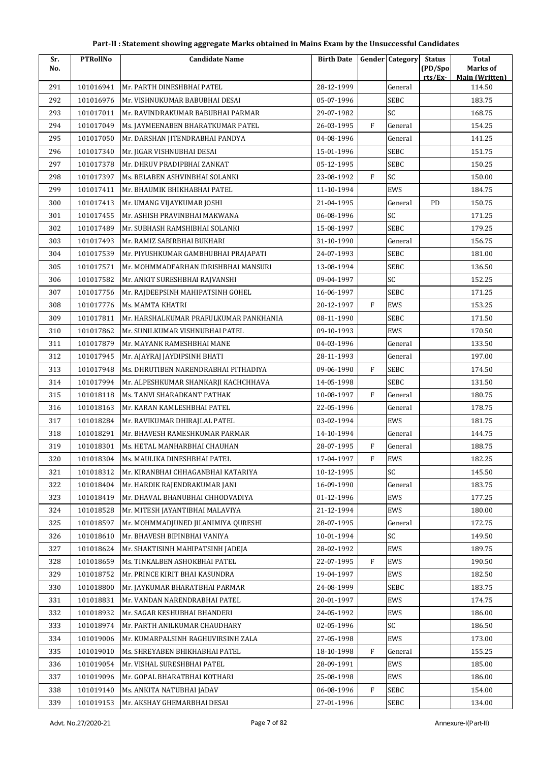| Sr. | <b>PTRollNo</b> | <b>Candidate Name</b>                  | <b>Birth Date</b> |              | <b>Gender Category</b> | <b>Status</b>      | <b>Total</b>                      |
|-----|-----------------|----------------------------------------|-------------------|--------------|------------------------|--------------------|-----------------------------------|
| No. |                 |                                        |                   |              |                        | (PD/Spo<br>rts/Ex- | Marks of<br><b>Main (Written)</b> |
| 291 | 101016941       | Mr. PARTH DINESHBHAI PATEL             | 28-12-1999        |              | General                |                    | 114.50                            |
| 292 | 101016976       | Mr. VISHNUKUMAR BABUBHAI DESAI         | 05-07-1996        |              | <b>SEBC</b>            |                    | 183.75                            |
| 293 | 101017011       | Mr. RAVINDRAKUMAR BABUBHAI PARMAR      | 29-07-1982        |              | SC                     |                    | 168.75                            |
| 294 | 101017049       | Ms. JAYMEENABEN BHARATKUMAR PATEL      | 26-03-1995        | $\mathbf{F}$ | General                |                    | 154.25                            |
| 295 | 101017050       | Mr. DARSHAN JITENDRABHAI PANDYA        | 04-08-1996        |              | General                |                    | 141.25                            |
| 296 | 101017340       | Mr. JIGAR VISHNUBHAI DESAI             | 15-01-1996        |              | SEBC                   |                    | 151.75                            |
| 297 | 101017378       | Mr. DHRUV PRADIPBHAI ZANKAT            | 05-12-1995        |              | <b>SEBC</b>            |                    | 150.25                            |
| 298 | 101017397       | Ms. BELABEN ASHVINBHAI SOLANKI         | 23-08-1992        | $\mathbf{F}$ | SC                     |                    | 150.00                            |
| 299 | 101017411       | Mr. BHAUMIK BHIKHABHAI PATEL           | 11-10-1994        |              | EWS                    |                    | 184.75                            |
| 300 | 101017413       | Mr. UMANG VIJAYKUMAR JOSHI             | 21-04-1995        |              | General                | PD                 | 150.75                            |
| 301 | 101017455       | Mr. ASHISH PRAVINBHAI MAKWANA          | 06-08-1996        |              | SC                     |                    | 171.25                            |
| 302 | 101017489       | Mr. SUBHASH RAMSHIBHAI SOLANKI         | 15-08-1997        |              | <b>SEBC</b>            |                    | 179.25                            |
| 303 | 101017493       | Mr. RAMIZ SABIRBHAI BUKHARI            | 31-10-1990        |              | General                |                    | 156.75                            |
| 304 | 101017539       | Mr. PIYUSHKUMAR GAMBHUBHAI PRAJAPATI   | 24-07-1993        |              | <b>SEBC</b>            |                    | 181.00                            |
| 305 | 101017571       | Mr. MOHMMADFARHAN IDRISHBHAI MANSURI   | 13-08-1994        |              | <b>SEBC</b>            |                    | 136.50                            |
| 306 | 101017582       | Mr. ANKIT SURESHBHAI RAJVANSHI         | 09-04-1997        |              | SC                     |                    | 152.25                            |
| 307 | 101017756       | Mr. RAJDEEPSINH MAHIPATSINH GOHEL      | 16-06-1997        |              | SEBC                   |                    | 171.25                            |
| 308 | 101017776       | Ms. MAMTA KHATRI                       | 20-12-1997        | $\mathbf{F}$ | EWS                    |                    | 153.25                            |
| 309 | 101017811       | Mr. HARSHALKUMAR PRAFULKUMAR PANKHANIA | 08-11-1990        |              | <b>SEBC</b>            |                    | 171.50                            |
| 310 | 101017862       | Mr. SUNILKUMAR VISHNUBHAI PATEL        | 09-10-1993        |              | EWS                    |                    | 170.50                            |
| 311 | 101017879       | Mr. MAYANK RAMESHBHAI MANE             | 04-03-1996        |              | General                |                    | 133.50                            |
| 312 | 101017945       | Mr. AJAYRAJ JAYDIPSINH BHATI           | 28-11-1993        |              | General                |                    | 197.00                            |
| 313 | 101017948       | Ms. DHRUTIBEN NARENDRABHAI PITHADIYA   | 09-06-1990        | F            | SEBC                   |                    | 174.50                            |
| 314 | 101017994       | Mr. ALPESHKUMAR SHANKARJI KACHCHHAVA   | 14-05-1998        |              | <b>SEBC</b>            |                    | 131.50                            |
| 315 | 101018118       | Ms. TANVI SHARADKANT PATHAK            | 10-08-1997        | F            | General                |                    | 180.75                            |
| 316 | 101018163       | Mr. KARAN KAMLESHBHAI PATEL            | 22-05-1996        |              | General                |                    | 178.75                            |
| 317 | 101018284       | Mr. RAVIKUMAR DHIRAJLAL PATEL          | 03-02-1994        |              | EWS                    |                    | 181.75                            |
| 318 | 101018291       | Mr. BHAVESH RAMESHKUMAR PARMAR         | 14-10-1994        |              | General                |                    | 144.75                            |
| 319 | 101018301       | Ms. HETAL MANHARBHAI CHAUHAN           | 28-07-1995        | $\, {\rm F}$ | General                |                    | 188.75                            |
| 320 | 101018304       | Ms. MAULIKA DINESHBHAI PATEL           | 17-04-1997        | F            | EWS                    |                    | 182.25                            |
| 321 | 101018312       | Mr. KIRANBHAI CHHAGANBHAI KATARIYA     | 10-12-1995        |              | SC                     |                    | 145.50                            |
| 322 | 101018404       | Mr. HARDIK RAJENDRAKUMAR JANI          | 16-09-1990        |              | General                |                    | 183.75                            |
| 323 | 101018419       | Mr. DHAVAL BHANUBHAI CHHODVADIYA       | 01-12-1996        |              | EWS                    |                    | 177.25                            |
| 324 | 101018528       | Mr. MITESH JAYANTIBHAI MALAVIYA        | 21-12-1994        |              | EWS                    |                    | 180.00                            |
| 325 | 101018597       | Mr. MOHMMADJUNED JILANIMIYA QURESHI    | 28-07-1995        |              | General                |                    | 172.75                            |
| 326 | 101018610       | Mr. BHAVESH BIPINBHAI VANIYA           | 10-01-1994        |              | SC                     |                    | 149.50                            |
| 327 | 101018624       | Mr. SHAKTISINH MAHIPATSINH JADEJA      | 28-02-1992        |              | EWS                    |                    | 189.75                            |
| 328 | 101018659       | Ms. TINKALBEN ASHOKBHAI PATEL          | 22-07-1995        | $\rm F$      | EWS                    |                    | 190.50                            |
| 329 | 101018752       | Mr. PRINCE KIRIT BHAI KASUNDRA         | 19-04-1997        |              | EWS                    |                    | 182.50                            |
| 330 | 101018800       | Mr. JAYKUMAR BHARATBHAI PARMAR         | 24-08-1999        |              | SEBC                   |                    | 183.75                            |
| 331 | 101018831       | Mr. VANDAN NARENDRABHAI PATEL          | 20-01-1997        |              | EWS                    |                    | 174.75                            |
| 332 | 101018932       | Mr. SAGAR KESHUBHAI BHANDERI           | 24-05-1992        |              | EWS                    |                    | 186.00                            |
| 333 | 101018974       | Mr. PARTH ANILKUMAR CHAUDHARY          | 02-05-1996        |              | SC                     |                    | 186.50                            |
| 334 | 101019006       | Mr. KUMARPALSINH RAGHUVIRSINH ZALA     | 27-05-1998        |              | EWS                    |                    | 173.00                            |
| 335 | 101019010       | Ms. SHREYABEN BHIKHABHAI PATEL         | 18-10-1998        | F            | General                |                    | 155.25                            |
| 336 | 101019054       | Mr. VISHAL SURESHBHAI PATEL            | 28-09-1991        |              | EWS                    |                    | 185.00                            |
| 337 | 101019096       | Mr. GOPAL BHARATBHAI KOTHARI           | 25-08-1998        |              | EWS                    |                    | 186.00                            |
| 338 | 101019140       | Ms. ANKITA NATUBHAI JADAV              | 06-08-1996        | F            | <b>SEBC</b>            |                    | 154.00                            |
| 339 | 101019153       | Mr. AKSHAY GHEMARBHAI DESAI            | 27-01-1996        |              | SEBC                   |                    | 134.00                            |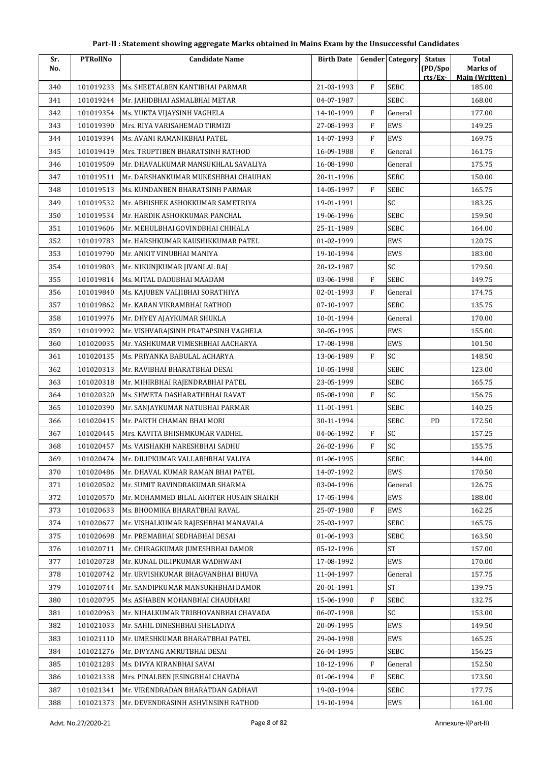| Sr. | <b>PTRollNo</b> | <b>Candidate Name</b>                   | <b>Birth Date</b> |                | <b>Gender Category</b> | <b>Status</b> | <b>Total</b>                    |
|-----|-----------------|-----------------------------------------|-------------------|----------------|------------------------|---------------|---------------------------------|
| No. |                 |                                         |                   |                |                        | (PD/Spo       | Marks of                        |
| 340 | 101019233       | Ms. SHEETALBEN KANTIBHAI PARMAR         | 21-03-1993        | F              | SEBC                   | rts/Ex        | <b>Main (Written)</b><br>185.00 |
| 341 | 101019244       | Mr. JAHIDBHAI ASMALBHAI METAR           | 04-07-1987        |                | <b>SEBC</b>            |               | 168.00                          |
| 342 | 101019354       | Ms. YUKTA VIJAYSINH VAGHELA             | 14-10-1999        | F              | General                |               | 177.00                          |
| 343 | 101019390       | Mrs. RIYA VARISAHEMAD TIRMIZI           | 27-08-1993        | F              | EWS                    |               | 149.25                          |
| 344 | 101019394       | Ms. AVANI RAMANIKBHAI PATEL             | 14-07-1993        | F              | EWS                    |               | 169.75                          |
| 345 | 101019419       | Mrs. TRUPTIBEN BHARATSINH RATHOD        | 16-09-1988        | F              | General                |               | 161.75                          |
| 346 | 101019509       | Mr. DHAVALKUMAR MANSUKHLAL SAVALIYA     | 16-08-1990        |                | General                |               | 175.75                          |
| 347 | 101019511       | Mr. DARSHANKUMAR MUKESHBHAI CHAUHAN     | 20-11-1996        |                | <b>SEBC</b>            |               | 150.00                          |
| 348 | 101019513       | Ms. KUNDANBEN BHARATSINH PARMAR         | 14-05-1997        | F              | <b>SEBC</b>            |               | 165.75                          |
| 349 | 101019532       | Mr. ABHISHEK ASHOKKUMAR SAMETRIYA       | 19-01-1991        |                | SC                     |               | 183.25                          |
| 350 | 101019534       | Mr. HARDIK ASHOKKUMAR PANCHAL           | 19-06-1996        |                | SEBC                   |               | 159.50                          |
| 351 | 101019606       | Mr. MEHULBHAI GOVINDBHAI CHIHALA        | 25-11-1989        |                | <b>SEBC</b>            |               | 164.00                          |
| 352 | 101019783       | Mr. HARSHKUMAR KAUSHIKKUMAR PATEL       | 01-02-1999        |                | EWS                    |               | 120.75                          |
| 353 | 101019790       | Mr. ANKIT VINUBHAI MANIYA               | 19-10-1994        |                | EWS                    |               | 183.00                          |
| 354 | 101019803       | Mr. NIKUNJKUMAR JIVANLAL RAJ            | 20-12-1987        |                | SC                     |               | 179.50                          |
| 355 | 101019814       | Ms. MITAL DADUBHAI MAADAM               | 03-06-1998        | F              | <b>SEBC</b>            |               | 149.75                          |
| 356 | 101019840       | Ms. KAJUBEN VALJIBHAI SORATHIYA         | 02-01-1993        | F              | General                |               | 174.75                          |
| 357 | 101019862       | Mr. KARAN VIKRAMBHAI RATHOD             | 07-10-1997        |                | <b>SEBC</b>            |               | 135.75                          |
| 358 | 101019976       | Mr. DHYEY AJAYKUMAR SHUKLA              | 10-01-1994        |                | General                |               | 170.00                          |
| 359 | 101019992       | Mr. VISHVARAJSINH PRATAPSINH VAGHELA    | 30-05-1995        |                | EWS                    |               | 155.00                          |
| 360 | 101020035       | Mr. YASHKUMAR VIMESHBHAI AACHARYA       | 17-08-1998        |                | EWS                    |               | 101.50                          |
| 361 | 101020135       | Ms. PRIYANKA BABULAL ACHARYA            | 13-06-1989        | $\overline{F}$ | SC                     |               | 148.50                          |
| 362 | 101020313       | Mr. RAVIBHAI BHARATBHAI DESAI           | 10-05-1998        |                | <b>SEBC</b>            |               | 123.00                          |
| 363 | 101020318       | Mr. MIHIRBHAI RAJENDRABHAI PATEL        | 23-05-1999        |                | SEBC                   |               | 165.75                          |
| 364 | 101020320       | Ms. SHWETA DASHARATHBHAI RAVAT          | 05-08-1990        | F              | SC                     |               | 156.75                          |
| 365 | 101020390       | Mr. SANJAYKUMAR NATUBHAI PARMAR         | 11-01-1991        |                | <b>SEBC</b>            |               | 140.25                          |
| 366 | 101020415       | Mr. PARTH CHAMAN BHAI MORI              | 30-11-1994        |                | <b>SEBC</b>            | PD            | 172.50                          |
| 367 | 101020445       | Mrs. KAVITA BHISHMKUMAR VADHEL          | 04-06-1992        | F              | SC                     |               | 157.25                          |
| 368 | 101020457       | Ms. VAISHAKHI NARESHBHAI SADHU          | 26-02-1996        | F              | SC                     |               | 155.75                          |
| 369 | 101020474       | Mr. DILIPKUMAR VALLABHBHAI VALIYA       | 01-06-1995        |                | SEBC                   |               | 144.00                          |
| 370 | 101020486       | Mr. DHAVAL KUMAR RAMAN BHAI PATEL       | 14-07-1992        |                | EWS                    |               | 170.50                          |
| 371 | 101020502       | Mr. SUMIT RAVINDRAKUMAR SHARMA          | 03-04-1996        |                | General                |               | 126.75                          |
| 372 | 101020570       | Mr. MOHAMMED BILAL AKHTER HUSAIN SHAIKH | 17-05-1994        |                | EWS                    |               | 188.00                          |
| 373 | 101020633       | Ms. BHOOMIKA BHARATBHAI RAVAL           | 25-07-1980        | F              | EWS                    |               | 162.25                          |
| 374 | 101020677       | Mr. VISHALKUMAR RAJESHBHAI MANAVALA     | 25-03-1997        |                | <b>SEBC</b>            |               | 165.75                          |
| 375 | 101020698       | Mr. PREMABHAI SEDHABHAI DESAI           | 01-06-1993        |                | <b>SEBC</b>            |               | 163.50                          |
| 376 | 101020711       | Mr. CHIRAGKUMAR JUMESHBHAI DAMOR        | 05-12-1996        |                | <b>ST</b>              |               | 157.00                          |
| 377 | 101020728       | Mr. KUNAL DILIPKUMAR WADHWANI           | 17-08-1992        |                | EWS                    |               | 170.00                          |
| 378 | 101020742       | Mr. URVISHKUMAR BHAGVANBHAI BHUVA       | 11-04-1997        |                | General                |               | 157.75                          |
| 379 | 101020744       | Mr. SANDIPKUMAR MANSUKHBHAI DAMOR       | 20-01-1991        |                | ${\rm ST}$             |               | 139.75                          |
| 380 | 101020795       | Ms. ASHABEN MOHANBHAI CHAUDHARI         | 15-06-1990        | F              | <b>SEBC</b>            |               | 132.75                          |
| 381 | 101020963       | Mr. NIHALKUMAR TRIBHOVANBHAI CHAVADA    | 06-07-1998        |                | SC                     |               | 153.00                          |
| 382 | 101021033       | Mr. SAHIL DINESHBHAI SHELADIYA          | 20-09-1995        |                | EWS                    |               | 149.50                          |
| 383 | 101021110       | Mr. UMESHKUMAR BHARATBHAI PATEL         | 29-04-1998        |                | EWS                    |               | 165.25                          |
| 384 | 101021276       | Mr. DIVYANG AMRUTBHAI DESAI             | 26-04-1995        |                | <b>SEBC</b>            |               | 156.25                          |
| 385 | 101021283       | Ms. DIVYA KIRANBHAI SAVAI               | 18-12-1996        | F              | General                |               | 152.50                          |
| 386 | 101021338       | Mrs. PINALBEN JESINGBHAI CHAVDA         | 01-06-1994        | F              | <b>SEBC</b>            |               | 173.50                          |
| 387 | 101021341       | Mr. VIRENDRADAN BHARATDAN GADHAVI       | 19-03-1994        |                | <b>SEBC</b>            |               | 177.75                          |
| 388 | 101021373       | Mr. DEVENDRASINH ASHVINSINH RATHOD      | 19-10-1994        |                | EWS                    |               | 161.00                          |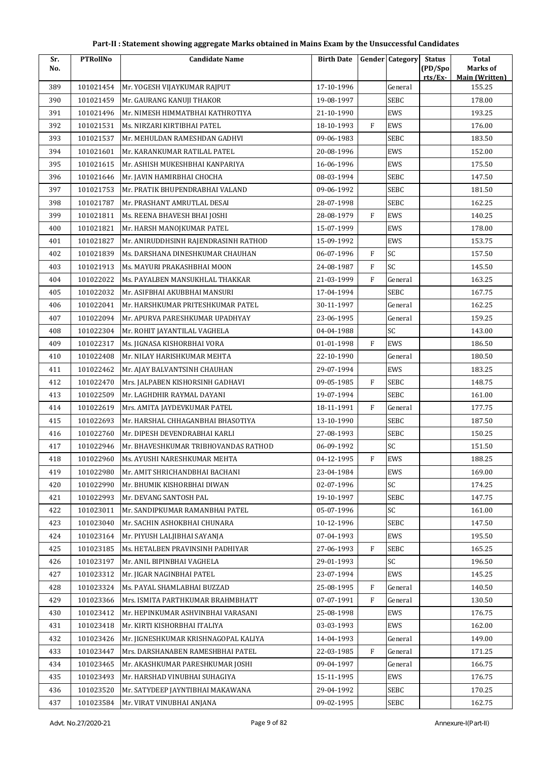| Part-II : Statement showing aggregate Marks obtained in Mains Exam by the Unsuccessful Candidates |  |
|---------------------------------------------------------------------------------------------------|--|
|---------------------------------------------------------------------------------------------------|--|

| Sr. | <b>PTRollNo</b> | <b>Candidate Name</b>                | <b>Birth Date</b> |              | <b>Gender</b> Category | <b>Status</b>      | <b>Total</b>                      |
|-----|-----------------|--------------------------------------|-------------------|--------------|------------------------|--------------------|-----------------------------------|
| No. |                 |                                      |                   |              |                        | (PD/Spo<br>rts/Ex- | Marks of<br><b>Main (Written)</b> |
| 389 | 101021454       | Mr. YOGESH VIJAYKUMAR RAJPUT         | 17-10-1996        |              | General                |                    | 155.25                            |
| 390 | 101021459       | Mr. GAURANG KANUJI THAKOR            | 19-08-1997        |              | <b>SEBC</b>            |                    | 178.00                            |
| 391 | 101021496       | Mr. NIMESH HIMMATBHAI KATHROTIYA     | 21-10-1990        |              | EWS                    |                    | 193.25                            |
| 392 | 101021531       | Ms. NIRZARI KIRTIBHAI PATEL          | 18-10-1993        | $\mathbf{F}$ | EWS                    |                    | 176.00                            |
| 393 | 101021537       | Mr. MEHULDAN RAMESHDAN GADHVI        | 09-06-1983        |              | SEBC                   |                    | 183.50                            |
| 394 | 101021601       | Mr. KARANKUMAR RATILAL PATEL         | 20-08-1996        |              | <b>EWS</b>             |                    | 152.00                            |
| 395 | 101021615       | Mr. ASHISH MUKESHBHAI KANPARIYA      | 16-06-1996        |              | EWS                    |                    | 175.50                            |
| 396 | 101021646       | Mr. JAVIN HAMIRBHAI CHOCHA           | 08-03-1994        |              | SEBC                   |                    | 147.50                            |
| 397 | 101021753       | Mr. PRATIK BHUPENDRABHAI VALAND      | 09-06-1992        |              | <b>SEBC</b>            |                    | 181.50                            |
| 398 | 101021787       | Mr. PRASHANT AMRUTLAL DESAI          | 28-07-1998        |              | SEBC                   |                    | 162.25                            |
| 399 | 101021811       | Ms. REENA BHAVESH BHAI JOSHI         | 28-08-1979        | $\mathbf{F}$ | EWS                    |                    | 140.25                            |
| 400 | 101021821       | Mr. HARSH MANOJKUMAR PATEL           | 15-07-1999        |              | <b>EWS</b>             |                    | 178.00                            |
| 401 | 101021827       | Mr. ANIRUDDHSINH RAJENDRASINH RATHOD | 15-09-1992        |              | EWS                    |                    | 153.75                            |
| 402 | 101021839       | Ms. DARSHANA DINESHKUMAR CHAUHAN     | 06-07-1996        | $\mathbf F$  | SC                     |                    | 157.50                            |
| 403 | 101021913       | Ms. MAYURI PRAKASHBHAI MOON          | 24-08-1987        | $\mathbf F$  | SC                     |                    | 145.50                            |
| 404 | 101022022       | Ms. PAYALBEN MANSUKHLAL THAKKAR      | 21-03-1999        | $\mathbf{F}$ | General                |                    | 163.25                            |
| 405 | 101022032       | Mr. ASIFBHAI AKUBBHAI MANSURI        | 17-04-1994        |              | <b>SEBC</b>            |                    | 167.75                            |
| 406 | 101022041       | Mr. HARSHKUMAR PRITESHKUMAR PATEL    | 30-11-1997        |              | General                |                    | 162.25                            |
| 407 | 101022094       | Mr. APURVA PARESHKUMAR UPADHYAY      | 23-06-1995        |              | General                |                    | 159.25                            |
| 408 | 101022304       | Mr. ROHIT JAYANTILAL VAGHELA         | 04-04-1988        |              | SC                     |                    | 143.00                            |
| 409 | 101022317       | Ms. JIGNASA KISHORBHAI VORA          | 01-01-1998        | $\mathbf{F}$ | EWS                    |                    | 186.50                            |
| 410 | 101022408       | Mr. NILAY HARISHKUMAR MEHTA          | 22-10-1990        |              | General                |                    | 180.50                            |
| 411 | 101022462       | Mr. AJAY BALVANTSINH CHAUHAN         | 29-07-1994        |              | EWS                    |                    | 183.25                            |
| 412 | 101022470       | Mrs. JALPABEN KISHORSINH GADHAVI     | 09-05-1985        | $\mathbf{F}$ | SEBC                   |                    | 148.75                            |
| 413 | 101022509       | Mr. LAGHDHIR RAYMAL DAYANI           | 19-07-1994        |              | <b>SEBC</b>            |                    | 161.00                            |
| 414 | 101022619       | Mrs. AMITA JAYDEVKUMAR PATEL         | 18-11-1991        | $\mathbf{F}$ | General                |                    | 177.75                            |
| 415 | 101022693       | Mr. HARSHAL CHHAGANBHAI BHASOTIYA    | 13-10-1990        |              | <b>SEBC</b>            |                    | 187.50                            |
| 416 | 101022760       | Mr. DIPESH DEVENDRABHAI KARLI        | 27-08-1993        |              | SEBC                   |                    | 150.25                            |
| 417 | 101022946       | Mr. BHAVESHKUMAR TRIBHOVANDAS RATHOD | 06-09-1992        |              | SC                     |                    | 151.50                            |
| 418 | 101022960       | Ms. AYUSHI NARESHKUMAR MEHTA         | 04-12-1995        | $\mathbf F$  | EWS                    |                    | 188.25                            |
| 419 | 101022980       | Mr. AMIT SHRICHANDBHAI BACHANI       | 23-04-1984        |              | EWS                    |                    | 169.00                            |
| 420 | 101022990       | Mr. BHUMIK KISHORBHAI DIWAN          | 02-07-1996        |              | SC                     |                    | 174.25                            |
| 421 | 101022993       | Mr. DEVANG SANTOSH PAL               | 19-10-1997        |              | SEBC                   |                    | 147.75                            |
| 422 | 101023011       | Mr. SANDIPKUMAR RAMANBHAI PATEL      | 05-07-1996        |              | SC                     |                    | 161.00                            |
| 423 | 101023040       | Mr. SACHIN ASHOKBHAI CHUNARA         | 10-12-1996        |              | SEBC                   |                    | 147.50                            |
| 424 | 101023164       | Mr. PIYUSH LALJIBHAI SAYANJA         | 07-04-1993        |              | EWS                    |                    | 195.50                            |
| 425 | 101023185       | Ms. HETALBEN PRAVINSINH PADHIYAR     | 27-06-1993        | $\mathbf{F}$ | SEBC                   |                    | 165.25                            |
| 426 | 101023197       | Mr. ANIL BIPINBHAI VAGHELA           | 29-01-1993        |              | SC                     |                    | 196.50                            |
| 427 | 101023312       | Mr. JIGAR NAGINBHAI PATEL            | 23-07-1994        |              | EWS                    |                    | 145.25                            |
| 428 | 101023324       | Ms. PAYAL SHAMLABHAI BUZZAD          | 25-08-1995        | F            | General                |                    | 140.50                            |
| 429 | 101023366       | Mrs. ISMITA PARTHKUMAR BRAHMBHATT    | 07-07-1991        | F            | General                |                    | 130.50                            |
| 430 | 101023412       | Mr. HEPINKUMAR ASHVINBHAI VARASANI   | 25-08-1998        |              | EWS                    |                    | 176.75                            |
| 431 | 101023418       | Mr. KIRTI KISHORBHAI ITALIYA         | 03-03-1993        |              | EWS                    |                    | 162.00                            |
| 432 | 101023426       | Mr. JIGNESHKUMAR KRISHNAGOPAL KALIYA | 14-04-1993        |              | General                |                    | 149.00                            |
| 433 | 101023447       | Mrs. DARSHANABEN RAMESHBHAI PATEL    | 22-03-1985        | $\rm F$      | General                |                    | 171.25                            |
| 434 | 101023465       | Mr. AKASHKUMAR PARESHKUMAR JOSHI     | 09-04-1997        |              | General                |                    | 166.75                            |
| 435 | 101023493       | Mr. HARSHAD VINUBHAI SUHAGIYA        | 15-11-1995        |              | EWS                    |                    | 176.75                            |
| 436 | 101023520       | Mr. SATYDEEP JAYNTIBHAI MAKAWANA     | 29-04-1992        |              | SEBC                   |                    | 170.25                            |
| 437 | 101023584       | Mr. VIRAT VINUBHAI ANJANA            | 09-02-1995        |              | SEBC                   |                    | 162.75                            |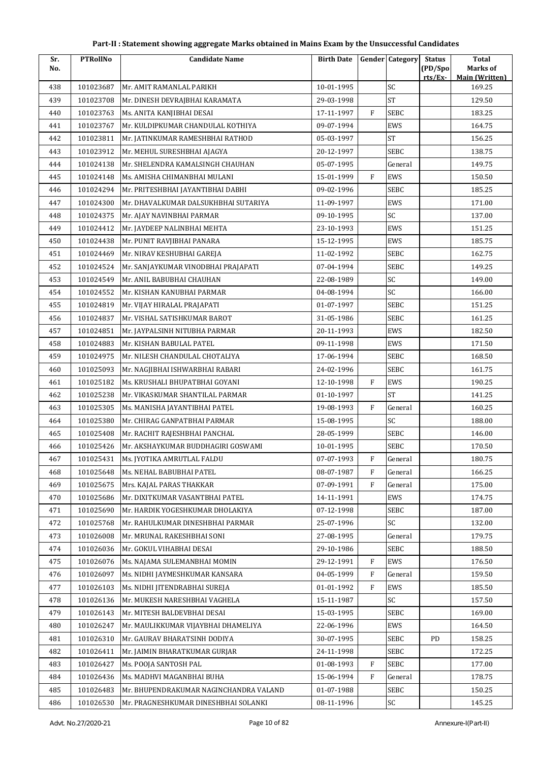| Sr. | <b>PTRollNo</b> | <b>Candidate Name</b>                  | <b>Birth Date</b> |              | <b>Gender Category</b> | <b>Status</b>     | <b>Total</b>                      |
|-----|-----------------|----------------------------------------|-------------------|--------------|------------------------|-------------------|-----------------------------------|
| No. |                 |                                        |                   |              |                        | (PD/Spo<br>rts/Ex | Marks of<br><b>Main (Written)</b> |
| 438 | 101023687       | Mr. AMIT RAMANLAL PARIKH               | 10-01-1995        |              | SC                     |                   | 169.25                            |
| 439 | 101023708       | Mr. DINESH DEVRAJBHAI KARAMATA         | 29-03-1998        |              | <b>ST</b>              |                   | 129.50                            |
| 440 | 101023763       | Ms. ANITA KANJIBHAI DESAI              | 17-11-1997        | $\mathbf{F}$ | SEBC                   |                   | 183.25                            |
| 441 | 101023767       | Mr. KULDIPKUMAR CHANDULAL KOTHIYA      | 09-07-1994        |              | EWS                    |                   | 164.75                            |
| 442 | 101023811       | Mr. JATINKUMAR RAMESHBHAI RATHOD       | 05-03-1997        |              | <b>ST</b>              |                   | 156.25                            |
| 443 | 101023912       | Mr. MEHUL SURESHBHAI AJAGYA            | 20-12-1997        |              | <b>SEBC</b>            |                   | 138.75                            |
| 444 | 101024138       | Mr. SHELENDRA KAMALSINGH CHAUHAN       | 05-07-1995        |              | General                |                   | 149.75                            |
| 445 | 101024148       | Ms. AMISHA CHIMANBHAI MULANI           | 15-01-1999        | F            | <b>EWS</b>             |                   | 150.50                            |
| 446 | 101024294       | Mr. PRITESHBHAI JAYANTIBHAI DABHI      | 09-02-1996        |              | SEBC                   |                   | 185.25                            |
| 447 | 101024300       | Mr. DHAVALKUMAR DALSUKHBHAI SUTARIYA   | 11-09-1997        |              | EWS                    |                   | 171.00                            |
| 448 | 101024375       | Mr. AJAY NAVINBHAI PARMAR              | 09-10-1995        |              | SC                     |                   | 137.00                            |
| 449 | 101024412       | Mr. JAYDEEP NALINBHAI MEHTA            | 23-10-1993        |              | EWS                    |                   | 151.25                            |
| 450 | 101024438       | Mr. PUNIT RAVJIBHAI PANARA             | 15-12-1995        |              | EWS                    |                   | 185.75                            |
| 451 | 101024469       | Mr. NIRAV KESHUBHAI GAREJA             | 11-02-1992        |              | SEBC                   |                   | 162.75                            |
| 452 | 101024524       | Mr. SANJAYKUMAR VINODBHAI PRAJAPATI    | 07-04-1994        |              | <b>SEBC</b>            |                   | 149.25                            |
| 453 | 101024549       | Mr. ANIL BABUBHAI CHAUHAN              | 22-08-1989        |              | SC                     |                   | 149.00                            |
| 454 | 101024552       | Mr. KISHAN KANUBHAI PARMAR             | 04-08-1994        |              | SC                     |                   | 166.00                            |
| 455 | 101024819       | Mr. VIJAY HIRALAL PRAJAPATI            | 01-07-1997        |              | <b>SEBC</b>            |                   | 151.25                            |
| 456 | 101024837       | Mr. VISHAL SATISHKUMAR BAROT           | 31-05-1986        |              | <b>SEBC</b>            |                   | 161.25                            |
| 457 | 101024851       | Mr. JAYPALSINH NITUBHA PARMAR          | 20-11-1993        |              | EWS                    |                   | 182.50                            |
| 458 | 101024883       | Mr. KISHAN BABULAL PATEL               | 09-11-1998        |              | EWS                    |                   | 171.50                            |
| 459 | 101024975       | Mr. NILESH CHANDULAL CHOTALIYA         | 17-06-1994        |              | <b>SEBC</b>            |                   | 168.50                            |
| 460 | 101025093       | Mr. NAGJIBHAI ISHWARBHAI RABARI        | 24-02-1996        |              | SEBC                   |                   | 161.75                            |
| 461 | 101025182       | Ms. KRUSHALI BHUPATBHAI GOYANI         | 12-10-1998        | F            | EWS                    |                   | 190.25                            |
| 462 | 101025238       | Mr. VIKASKUMAR SHANTILAL PARMAR        | 01-10-1997        |              | <b>ST</b>              |                   | 141.25                            |
| 463 | 101025305       | Ms. MANISHA JAYANTIBHAI PATEL          | 19-08-1993        | $\mathbf{F}$ | General                |                   | 160.25                            |
| 464 | 101025380       | Mr. CHIRAG GANPATBHAI PARMAR           | 15-08-1995        |              | SC                     |                   | 188.00                            |
| 465 | 101025408       | Mr. RACHIT RAJESHBHAI PANCHAL          | 28-05-1999        |              | <b>SEBC</b>            |                   | 146.00                            |
| 466 | 101025426       | Mr. AKSHAYKUMAR BUDDHAGIRI GOSWAMI     | 10-01-1995        |              | SEBC                   |                   | 170.50                            |
| 467 | 101025431       | Ms. JYOTIKA AMRUTLAL FALDU             | 07-07-1993        | F            | General                |                   | 180.75                            |
| 468 | 101025648       | Ms. NEHAL BABUBHAI PATEL               | 08-07-1987        | F            | General                |                   | 166.25                            |
| 469 | 101025675       | Mrs. KAJAL PARAS THAKKAR               | 07-09-1991        | F            | General                |                   | 175.00                            |
| 470 | 101025686       | Mr. DIXITKUMAR VASANTBHAI PATEL        | 14-11-1991        |              | EWS                    |                   | 174.75                            |
| 471 | 101025690       | Mr. HARDIK YOGESHKUMAR DHOLAKIYA       | 07-12-1998        |              | SEBC                   |                   | 187.00                            |
| 472 | 101025768       | Mr. RAHULKUMAR DINESHBHAI PARMAR       | 25-07-1996        |              | SC                     |                   | 132.00                            |
| 473 | 101026008       | Mr. MRUNAL RAKESHBHAI SONI             | 27-08-1995        |              | General                |                   | 179.75                            |
| 474 | 101026036       | Mr. GOKUL VIHABHAI DESAI               | 29-10-1986        |              | <b>SEBC</b>            |                   | 188.50                            |
| 475 | 101026076       | Ms. NAJAMA SULEMANBHAI MOMIN           | 29-12-1991        | $\mathbf{F}$ | EWS                    |                   | 176.50                            |
| 476 | 101026097       | Ms. NIDHI JAYMESHKUMAR KANSARA         | 04-05-1999        | F            | General                |                   | 159.50                            |
| 477 | 101026103       | Ms. NIDHI JITENDRABHAI SUREJA          | 01-01-1992        | F            | EWS                    |                   | 185.50                            |
| 478 | 101026136       | Mr. MUKESH NARESHBHAI VAGHELA          | 15-11-1987        |              | SC                     |                   | 157.50                            |
| 479 | 101026143       | Mr. MITESH BALDEVBHAI DESAI            | 15-03-1995        |              | <b>SEBC</b>            |                   | 169.00                            |
| 480 | 101026247       | Mr. MAULIKKUMAR VIJAYBHAI DHAMELIYA    | 22-06-1996        |              | EWS                    |                   | 164.50                            |
| 481 | 101026310       | Mr. GAURAV BHARATSINH DODIYA           | 30-07-1995        |              | <b>SEBC</b>            | PD                | 158.25                            |
| 482 | 101026411       | Mr. JAIMIN BHARATKUMAR GURJAR          | 24-11-1998        |              | SEBC                   |                   | 172.25                            |
| 483 | 101026427       | Ms. POOJA SANTOSH PAL                  | 01-08-1993        | F            | <b>SEBC</b>            |                   | 177.00                            |
| 484 | 101026436       | Ms. MADHVI MAGANBHAI BUHA              | 15-06-1994        | F            | General                |                   | 178.75                            |
| 485 | 101026483       | Mr. BHUPENDRAKUMAR NAGINCHANDRA VALAND | 01-07-1988        |              | SEBC                   |                   | 150.25                            |
| 486 | 101026530       | Mr. PRAGNESHKUMAR DINESHBHAI SOLANKI   | 08-11-1996        |              | SC                     |                   | 145.25                            |
|     |                 |                                        |                   |              |                        |                   |                                   |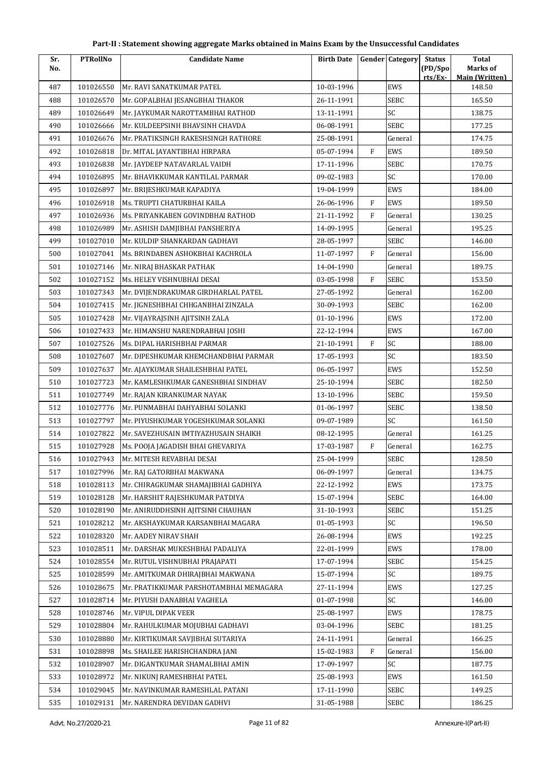| Sr. | <b>PTRollNo</b> | <b>Candidate Name</b>                  | <b>Birth Date</b> |              | <b>Gender</b> Category | <b>Status</b>      | <b>Total</b>                      |
|-----|-----------------|----------------------------------------|-------------------|--------------|------------------------|--------------------|-----------------------------------|
| No. |                 |                                        |                   |              |                        | (PD/Spo<br>rts/Ex- | Marks of<br><b>Main (Written)</b> |
| 487 | 101026550       | Mr. RAVI SANATKUMAR PATEL              | 10-03-1996        |              | EWS                    |                    | 148.50                            |
| 488 | 101026570       | Mr. GOPALBHAI JESANGBHAI THAKOR        | 26-11-1991        |              | <b>SEBC</b>            |                    | 165.50                            |
| 489 | 101026649       | Mr. JAYKUMAR NAROTTAMBHAI RATHOD       | 13-11-1991        |              | SC                     |                    | 138.75                            |
| 490 | 101026666       | Mr. KULDEEPSINH BHAVSINH CHAVDA        | 06-08-1991        |              | <b>SEBC</b>            |                    | 177.25                            |
| 491 | 101026676       | Mr. PRATIKSINGH RAKESHSINGH RATHORE    | 25-08-1991        |              | General                |                    | 174.75                            |
| 492 | 101026818       | Dr. MITAL JAYANTIBHAI HIRPARA          | 05-07-1994        | F            | EWS                    |                    | 189.50                            |
| 493 | 101026838       | Mr. JAYDEEP NATAVARLAL VAIDH           | 17-11-1996        |              | <b>SEBC</b>            |                    | 170.75                            |
| 494 | 101026895       | Mr. BHAVIKKUMAR KANTILAL PARMAR        | 09-02-1983        |              | SC                     |                    | 170.00                            |
| 495 | 101026897       | Mr. BRIJESHKUMAR KAPADIYA              | 19-04-1999        |              | EWS                    |                    | 184.00                            |
| 496 | 101026918       | Ms. TRUPTI CHATURBHAI KAILA            | 26-06-1996        | $\mathbf{F}$ | EWS                    |                    | 189.50                            |
| 497 | 101026936       | Ms. PRIYANKABEN GOVINDBHAI RATHOD      | 21-11-1992        | F            | General                |                    | 130.25                            |
| 498 | 101026989       | Mr. ASHISH DAMJIBHAI PANSHERIYA        | 14-09-1995        |              | General                |                    | 195.25                            |
| 499 | 101027010       | Mr. KULDIP SHANKARDAN GADHAVI          | 28-05-1997        |              | <b>SEBC</b>            |                    | 146.00                            |
| 500 | 101027041       | Ms. BRINDABEN ASHOKBHAI KACHROLA       | 11-07-1997        | F            | General                |                    | 156.00                            |
| 501 | 101027146       | Mr. NIRAJ BHASKAR PATHAK               | 14-04-1990        |              | General                |                    | 189.75                            |
| 502 | 101027152       | Ms. HELEY VISHNUBHAI DESAI             | 03-05-1998        | $\mathbf{F}$ | <b>SEBC</b>            |                    | 153.50                            |
| 503 | 101027343       | Mr. DVIJENDRAKUMAR GIRDHARLAL PATEL    | 27-05-1992        |              | General                |                    | 162.00                            |
| 504 | 101027415       | Mr. JIGNESHBHAI CHHGANBHAI ZINZALA     | 30-09-1993        |              | <b>SEBC</b>            |                    | 162.00                            |
| 505 | 101027428       | Mr. VIJAYRAJSINH AJITSINH ZALA         | 01-10-1996        |              | EWS                    |                    | 172.00                            |
| 506 | 101027433       | Mr. HIMANSHU NARENDRABHAI JOSHI        | 22-12-1994        |              | EWS                    |                    | 167.00                            |
| 507 | 101027526       | Ms. DIPAL HARISHBHAI PARMAR            | 21-10-1991        | $\rm F$      | SC                     |                    | 188.00                            |
| 508 | 101027607       | Mr. DIPESHKUMAR KHEMCHANDBHAI PARMAR   | 17-05-1993        |              | SC                     |                    | 183.50                            |
| 509 | 101027637       | Mr. AJAYKUMAR SHAILESHBHAI PATEL       | 06-05-1997        |              | EWS                    |                    | 152.50                            |
| 510 | 101027723       | Mr. KAMLESHKUMAR GANESHBHAI SINDHAV    | 25-10-1994        |              | <b>SEBC</b>            |                    | 182.50                            |
| 511 | 101027749       | Mr. RAJAN KIRANKUMAR NAYAK             | 13-10-1996        |              | <b>SEBC</b>            |                    | 159.50                            |
| 512 | 101027776       | Mr. PUNMABHAI DAHYABHAI SOLANKI        | 01-06-1997        |              | <b>SEBC</b>            |                    | 138.50                            |
| 513 | 101027797       | Mr. PIYUSHKUMAR YOGESHKUMAR SOLANKI    | 09-07-1989        |              | SC                     |                    | 161.50                            |
| 514 | 101027822       | Mr. SAVEZHUSAIN IMTIYAZHUSAIN SHAIKH   | 08-12-1995        |              | General                |                    | 161.25                            |
| 515 | 101027928       | Ms. POOJA JAGADISH BHAI GHEVARIYA      | 17-03-1987        | $\rm F$      | General                |                    | 162.75                            |
| 516 | 101027943       | Mr. MITESH REVABHAI DESAI              | 25-04-1999        |              | <b>SEBC</b>            |                    | 128.50                            |
| 517 | 101027996       | Mr. RAJ GATORBHAI MAKWANA              | 06-09-1997        |              | General                |                    | 134.75                            |
| 518 | 101028113       | Mr. CHIRAGKUMAR SHAMAJIBHAI GADHIYA    | 22-12-1992        |              | EWS                    |                    | 173.75                            |
| 519 | 101028128       | Mr. HARSHIT RAJESHKUMAR PATDIYA        | 15-07-1994        |              | <b>SEBC</b>            |                    | 164.00                            |
| 520 | 101028190       | Mr. ANIRUDDHSINH AJITSINH CHAUHAN      | 31-10-1993        |              | <b>SEBC</b>            |                    | 151.25                            |
| 521 | 101028212       | Mr. AKSHAYKUMAR KARSANBHAI MAGARA      | 01-05-1993        |              | SC                     |                    | 196.50                            |
| 522 | 101028320       | Mr. AADEY NIRAV SHAH                   | 26-08-1994        |              | EWS                    |                    | 192.25                            |
| 523 | 101028511       | Mr. DARSHAK MUKESHBHAI PADALIYA        | 22-01-1999        |              | EWS                    |                    | 178.00                            |
| 524 | 101028554       | Mr. RUTUL VISHNUBHAI PRAJAPATI         | 17-07-1994        |              | <b>SEBC</b>            |                    | 154.25                            |
| 525 | 101028599       | Mr. AMITKUMAR DHIRAJBHAI MAKWANA       | 15-07-1994        |              | SC                     |                    | 189.75                            |
| 526 | 101028675       | Mr. PRATIKKUMAR PARSHOTAMBHAI MEMAGARA | 27-11-1994        |              | EWS                    |                    | 127.25                            |
| 527 | 101028714       | Mr. PIYUSH DANABHAI VAGHELA            | 01-07-1998        |              | SC                     |                    | 146.00                            |
| 528 | 101028746       | Mr. VIPUL DIPAK VEER                   | 25-08-1997        |              | EWS                    |                    | 178.75                            |
| 529 | 101028804       | Mr. RAHULKUMAR MOJUBHAI GADHAVI        | 03-04-1996        |              | <b>SEBC</b>            |                    | 181.25                            |
| 530 | 101028880       | Mr. KIRTIKUMAR SAVJIBHAI SUTARIYA      | 24-11-1991        |              | General                |                    | 166.25                            |
| 531 | 101028898       | Ms. SHAILEE HARISHCHANDRA JANI         | 15-02-1983        | F            | General                |                    | 156.00                            |
| 532 | 101028907       | Mr. DIGANTKUMAR SHAMALBHAI AMIN        | 17-09-1997        |              | SC                     |                    | 187.75                            |
| 533 | 101028972       | Mr. NIKUNJ RAMESHBHAI PATEL            | 25-08-1993        |              | EWS                    |                    | 161.50                            |
| 534 | 101029045       | Mr. NAVINKUMAR RAMESHLAL PATANI        | 17-11-1990        |              | <b>SEBC</b>            |                    | 149.25                            |
| 535 | 101029131       | Mr. NARENDRA DEVIDAN GADHVI            | 31-05-1988        |              | <b>SEBC</b>            |                    | 186.25                            |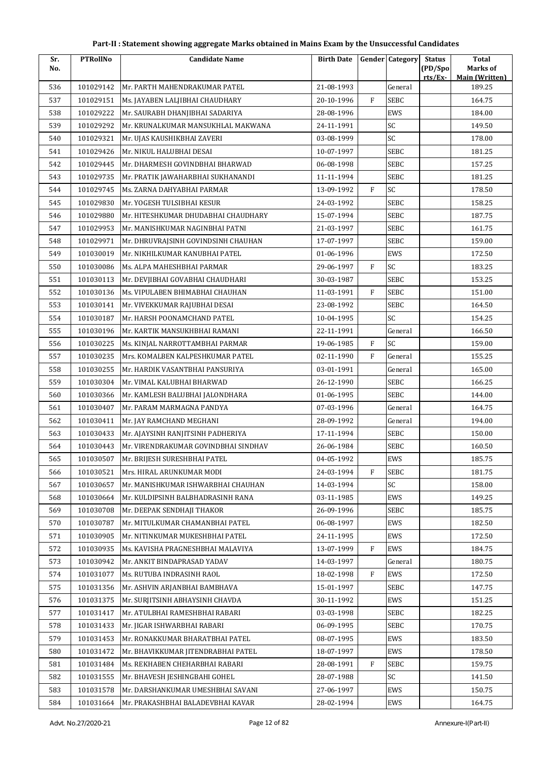| Sr. | <b>PTRollNo</b> | <b>Candidate Name</b>                | <b>Birth Date</b> |              | <b>Gender</b> Category | <b>Status</b>      | <b>Total</b>                      |
|-----|-----------------|--------------------------------------|-------------------|--------------|------------------------|--------------------|-----------------------------------|
| No. |                 |                                      |                   |              |                        | (PD/Spo<br>rts/Ex- | Marks of<br><b>Main (Written)</b> |
| 536 | 101029142       | Mr. PARTH MAHENDRAKUMAR PATEL        | 21-08-1993        |              | General                |                    | 189.25                            |
| 537 | 101029151       | Ms. JAYABEN LALJIBHAI CHAUDHARY      | 20-10-1996        | $\mathbf{F}$ | <b>SEBC</b>            |                    | 164.75                            |
| 538 | 101029222       | Mr. SAURABH DHANJIBHAI SADARIYA      | 28-08-1996        |              | EWS                    |                    | 184.00                            |
| 539 | 101029292       | Mr. KRUNALKUMAR MANSUKHLAL MAKWANA   | 24-11-1991        |              | SC                     |                    | 149.50                            |
| 540 | 101029321       | Mr. UJAS KAUSHIKBHAI ZAVERI          | 03-08-1999        |              | SC                     |                    | 178.00                            |
| 541 | 101029426       | Mr. NIKUL HALUBHAI DESAI             | 10-07-1997        |              | <b>SEBC</b>            |                    | 181.25                            |
| 542 | 101029445       | Mr. DHARMESH GOVINDBHAI BHARWAD      | 06-08-1998        |              | <b>SEBC</b>            |                    | 157.25                            |
| 543 | 101029735       | Mr. PRATIK JAWAHARBHAI SUKHANANDI    | 11-11-1994        |              | <b>SEBC</b>            |                    | 181.25                            |
| 544 | 101029745       | Ms. ZARNA DAHYABHAI PARMAR           | 13-09-1992        | $\mathbf{F}$ | SC                     |                    | 178.50                            |
| 545 | 101029830       | Mr. YOGESH TULSIBHAI KESUR           | 24-03-1992        |              | <b>SEBC</b>            |                    | 158.25                            |
| 546 | 101029880       | Mr. HITESHKUMAR DHUDABHAI CHAUDHARY  | 15-07-1994        |              | SEBC                   |                    | 187.75                            |
| 547 | 101029953       | Mr. MANISHKUMAR NAGINBHAI PATNI      | 21-03-1997        |              | <b>SEBC</b>            |                    | 161.75                            |
| 548 | 101029971       | Mr. DHRUVRAJSINH GOVINDSINH CHAUHAN  | 17-07-1997        |              | <b>SEBC</b>            |                    | 159.00                            |
| 549 | 101030019       | Mr. NIKHILKUMAR KANUBHAI PATEL       | 01-06-1996        |              | EWS                    |                    | 172.50                            |
| 550 | 101030086       | Ms. ALPA MAHESHBHAI PARMAR           | 29-06-1997        | $\mathbf{F}$ | SC                     |                    | 183.25                            |
| 551 | 101030113       | Mr. DEVJIBHAI GOVABHAI CHAUDHARI     | 30-03-1987        |              | <b>SEBC</b>            |                    | 153.25                            |
| 552 | 101030136       | Ms. VIPULABEN BHIMABHAI CHAUHAN      | 11-03-1991        | F            | <b>SEBC</b>            |                    | 151.00                            |
| 553 | 101030141       | Mr. VIVEKKUMAR RAJUBHAI DESAI        | 23-08-1992        |              | <b>SEBC</b>            |                    | 164.50                            |
| 554 | 101030187       | Mr. HARSH POONAMCHAND PATEL          | 10-04-1995        |              | SC                     |                    | 154.25                            |
| 555 | 101030196       | Mr. KARTIK MANSUKHBHAI RAMANI        | 22-11-1991        |              | General                |                    | 166.50                            |
| 556 | 101030225       | Ms. KINJAL NARROTTAMBHAI PARMAR      | 19-06-1985        | $\mathbf{F}$ | SC                     |                    | 159.00                            |
| 557 | 101030235       | Mrs. KOMALBEN KALPESHKUMAR PATEL     | 02-11-1990        | $\mathbf F$  | General                |                    | 155.25                            |
| 558 | 101030255       | Mr. HARDIK VASANTBHAI PANSURIYA      | 03-01-1991        |              | General                |                    | 165.00                            |
| 559 | 101030304       | Mr. VIMAL KALUBHAI BHARWAD           | 26-12-1990        |              | <b>SEBC</b>            |                    | 166.25                            |
| 560 | 101030366       | Mr. KAMLESH BALUBHAI JALONDHARA      | 01-06-1995        |              | SEBC                   |                    | 144.00                            |
| 561 | 101030407       | Mr. PARAM MARMAGNA PANDYA            | 07-03-1996        |              | General                |                    | 164.75                            |
| 562 | 101030411       | Mr. JAY RAMCHAND MEGHANI             | 28-09-1992        |              | General                |                    | 194.00                            |
| 563 | 101030433       | Mr. AJAYSINH RANJITSINH PADHERIYA    | 17-11-1994        |              | SEBC                   |                    | 150.00                            |
| 564 | 101030443       | Mr. VIRENDRAKUMAR GOVINDBHAI SINDHAV | 26-06-1984        |              | SEBC                   |                    | 160.50                            |
| 565 | 101030507       | Mr. BRIJESH SURESHBHAI PATEL         | 04-05-1992        |              | EWS                    |                    | 185.75                            |
| 566 | 101030521       | Mrs. HIRAL ARUNKUMAR MODI            | 24-03-1994        | F            | SEBC                   |                    | 181.75                            |
| 567 | 101030657       | Mr. MANISHKUMAR ISHWARBHAI CHAUHAN   | 14-03-1994        |              | SC                     |                    | 158.00                            |
| 568 | 101030664       | Mr. KULDIPSINH BALBHADRASINH RANA    | 03-11-1985        |              | EWS                    |                    | 149.25                            |
| 569 | 101030708       | Mr. DEEPAK SENDHAJI THAKOR           | 26-09-1996        |              | SEBC                   |                    | 185.75                            |
| 570 | 101030787       | Mr. MITULKUMAR CHAMANBHAI PATEL      | 06-08-1997        |              | EWS                    |                    | 182.50                            |
| 571 | 101030905       | Mr. NITINKUMAR MUKESHBHAI PATEL      | 24-11-1995        |              | EWS                    |                    | 172.50                            |
| 572 | 101030935       | Ms. KAVISHA PRAGNESHBHAI MALAVIYA    | 13-07-1999        | F            | EWS                    |                    | 184.75                            |
| 573 | 101030942       | Mr. ANKIT BINDAPRASAD YADAV          | 14-03-1997        |              | General                |                    | 180.75                            |
| 574 | 101031077       | Ms. RUTUBA INDRASINH RAOL            | 18-02-1998        | F            | EWS                    |                    | 172.50                            |
| 575 | 101031356       | Mr. ASHVIN ARJANBHAI BAMBHAVA        | 15-01-1997        |              | SEBC                   |                    | 147.75                            |
| 576 | 101031375       | Mr. SURJITSINH ABHAYSINH CHAVDA      | 30-11-1992        |              | EWS                    |                    | 151.25                            |
| 577 | 101031417       | Mr. ATULBHAI RAMESHBHAI RABARI       | 03-03-1998        |              | <b>SEBC</b>            |                    | 182.25                            |
| 578 | 101031433       | Mr. JIGAR ISHWARBHAI RABARI          | 06-09-1995        |              | SEBC                   |                    | 170.75                            |
| 579 | 101031453       | Mr. RONAKKUMAR BHARATBHAI PATEL      | 08-07-1995        |              | EWS                    |                    | 183.50                            |
| 580 | 101031472       | Mr. BHAVIKKUMAR JITENDRABHAI PATEL   | 18-07-1997        |              | EWS                    |                    | 178.50                            |
| 581 | 101031484       | Ms. REKHABEN CHEHARBHAI RABARI       | 28-08-1991        | $\mathbf{F}$ | <b>SEBC</b>            |                    | 159.75                            |
| 582 | 101031555       | Mr. BHAVESH JESHINGBAHI GOHEL        | 28-07-1988        |              | SC                     |                    | 141.50                            |
| 583 | 101031578       | Mr. DARSHANKUMAR UMESHBHAI SAVANI    | 27-06-1997        |              | EWS                    |                    | 150.75                            |
| 584 | 101031664       | Mr. PRAKASHBHAI BALADEVBHAI KAVAR    | 28-02-1994        |              | EWS                    |                    | 164.75                            |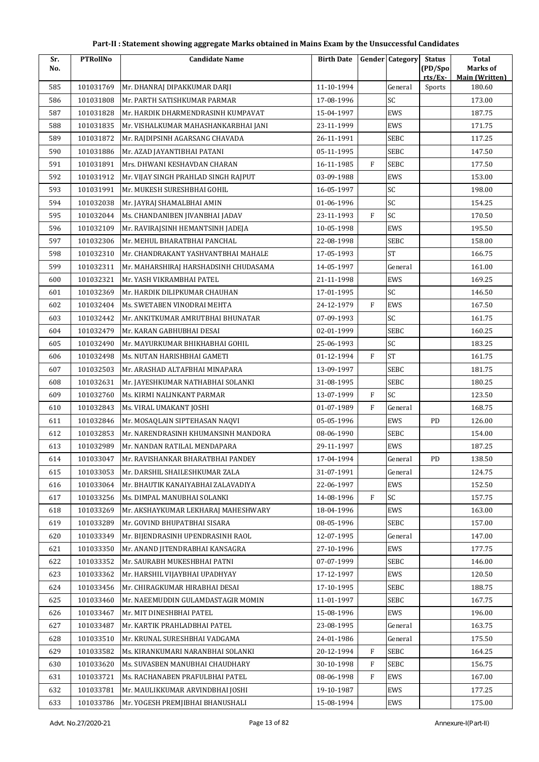| Sr. | <b>PTRollNo</b> | <b>Candidate Name</b>                 | <b>Birth Date</b> |              | <b>Gender Category</b> | <b>Status</b>      | <b>Total</b>                      |
|-----|-----------------|---------------------------------------|-------------------|--------------|------------------------|--------------------|-----------------------------------|
| No. |                 |                                       |                   |              |                        | (PD/Spo<br>rts/Ex- | Marks of<br><b>Main (Written)</b> |
| 585 | 101031769       | Mr. DHANRAJ DIPAKKUMAR DARJI          | 11-10-1994        |              | General                | Sports             | 180.60                            |
| 586 | 101031808       | Mr. PARTH SATISHKUMAR PARMAR          | 17-08-1996        |              | SC                     |                    | 173.00                            |
| 587 | 101031828       | Mr. HARDIK DHARMENDRASINH KUMPAVAT    | 15-04-1997        |              | EWS                    |                    | 187.75                            |
| 588 | 101031835       | Mr. VISHALKUMAR MAHASHANKARBHAI JANI  | 23-11-1999        |              | EWS                    |                    | 171.75                            |
| 589 | 101031872       | Mr. RAJDIPSINH AGARSANG CHAVADA       | 26-11-1991        |              | SEBC                   |                    | 117.25                            |
| 590 | 101031886       | Mr. AZAD JAYANTIBHAI PATANI           | 05-11-1995        |              | <b>SEBC</b>            |                    | 147.50                            |
| 591 | 101031891       | Mrs. DHWANI KESHAVDAN CHARAN          | 16-11-1985        | F            | SEBC                   |                    | 177.50                            |
| 592 | 101031912       | Mr. VIJAY SINGH PRAHLAD SINGH RAJPUT  | 03-09-1988        |              | EWS                    |                    | 153.00                            |
| 593 | 101031991       | Mr. MUKESH SURESHBHAI GOHIL           | 16-05-1997        |              | SC                     |                    | 198.00                            |
| 594 | 101032038       | Mr. JAYRAJ SHAMALBHAI AMIN            | 01-06-1996        |              | SC                     |                    | 154.25                            |
| 595 | 101032044       | Ms. CHANDANIBEN JIVANBHAI JADAV       | 23-11-1993        | $\mathbf{F}$ | SC                     |                    | 170.50                            |
| 596 | 101032109       | Mr. RAVIRAJSINH HEMANTSINH JADEJA     | 10-05-1998        |              | EWS                    |                    | 195.50                            |
| 597 | 101032306       | Mr. MEHUL BHARATBHAI PANCHAL          | 22-08-1998        |              | <b>SEBC</b>            |                    | 158.00                            |
| 598 | 101032310       | Mr. CHANDRAKANT YASHVANTBHAI MAHALE   | 17-05-1993        |              | <b>ST</b>              |                    | 166.75                            |
| 599 | 101032311       | Mr. MAHARSHIRAJ HARSHADSINH CHUDASAMA | 14-05-1997        |              | General                |                    | 161.00                            |
| 600 | 101032321       | Mr. YASH VIKRAMBHAI PATEL             | 21-11-1998        |              | EWS                    |                    | 169.25                            |
| 601 | 101032369       | Mr. HARDIK DILIPKUMAR CHAUHAN         | 17-01-1995        |              | SC                     |                    | 146.50                            |
| 602 | 101032404       | Ms. SWETABEN VINODRAI MEHTA           | 24-12-1979        | $\mathbf{F}$ | EWS                    |                    | 167.50                            |
| 603 | 101032442       | Mr. ANKITKUMAR AMRUTBHAI BHUNATAR     | 07-09-1993        |              | SC                     |                    | 161.75                            |
| 604 | 101032479       | Mr. KARAN GABHUBHAI DESAI             | 02-01-1999        |              | <b>SEBC</b>            |                    | 160.25                            |
| 605 | 101032490       | Mr. MAYURKUMAR BHIKHABHAI GOHIL       | 25-06-1993        |              | SC                     |                    | 183.25                            |
| 606 | 101032498       | Ms. NUTAN HARISHBHAI GAMETI           | 01-12-1994        | $\rm F$      | <b>ST</b>              |                    | 161.75                            |
| 607 | 101032503       | Mr. ARASHAD ALTAFBHAI MINAPARA        | 13-09-1997        |              | SEBC                   |                    | 181.75                            |
| 608 | 101032631       | Mr. JAYESHKUMAR NATHABHAI SOLANKI     | 31-08-1995        |              | <b>SEBC</b>            |                    | 180.25                            |
| 609 | 101032760       | Ms. KIRMI NALINKANT PARMAR            | 13-07-1999        | $\mathbf{F}$ | SC                     |                    | 123.50                            |
| 610 | 101032843       | Ms. VIRAL UMAKANT JOSHI               | 01-07-1989        | $\mathbf{F}$ | General                |                    | 168.75                            |
| 611 | 101032846       | Mr. MOSAQLAIN SIPTEHASAN NAQVI        | 05-05-1996        |              | EWS                    | <b>PD</b>          | 126.00                            |
| 612 | 101032853       | Mr. NARENDRASINH KHUMANSINH MANDORA   | 08-06-1990        |              | <b>SEBC</b>            |                    | 154.00                            |
| 613 | 101032989       | Mr. NANDAN RATILAL MENDAPARA          | 29-11-1997        |              | EWS                    |                    | 187.25                            |
| 614 | 101033047       | Mr. RAVISHANKAR BHARATBHAI PANDEY     | 17-04-1994        |              | General                | PD                 | 138.50                            |
| 615 | 101033053       | Mr. DARSHIL SHAILESHKUMAR ZALA        | 31-07-1991        |              | General                |                    | 124.75                            |
| 616 | 101033064       | Mr. BHAUTIK KANAIYABHAI ZALAVADIYA    | 22-06-1997        |              | EWS                    |                    | 152.50                            |
| 617 | 101033256       | Ms. DIMPAL MANUBHAI SOLANKI           | 14-08-1996        | F            | SC                     |                    | 157.75                            |
| 618 | 101033269       | Mr. AKSHAYKUMAR LEKHARAJ MAHESHWARY   | 18-04-1996        |              | EWS                    |                    | 163.00                            |
| 619 | 101033289       | Mr. GOVIND BHUPATBHAI SISARA          | 08-05-1996        |              | SEBC                   |                    | 157.00                            |
| 620 | 101033349       | Mr. BIJENDRASINH UPENDRASINH RAOL     | 12-07-1995        |              | General                |                    | 147.00                            |
| 621 | 101033350       | Mr. ANAND JITENDRABHAI KANSAGRA       | 27-10-1996        |              | EWS                    |                    | 177.75                            |
| 622 | 101033352       | Mr. SAURABH MUKESHBHAI PATNI          | 07-07-1999        |              | <b>SEBC</b>            |                    | 146.00                            |
| 623 | 101033362       | Mr. HARSHIL VIJAYBHAI UPADHYAY        | 17-12-1997        |              | EWS                    |                    | 120.50                            |
| 624 | 101033456       | Mr. CHIRAGKUMAR HIRABHAI DESAI        | 17-10-1995        |              | SEBC                   |                    | 188.75                            |
| 625 | 101033460       | Mr. NAEEMUDDIN GULAMDASTAGIR MOMIN    | 11-01-1997        |              | <b>SEBC</b>            |                    | 167.75                            |
| 626 | 101033467       | Mr. MIT DINESHBHAI PATEL              | 15-08-1996        |              | EWS                    |                    | 196.00                            |
| 627 | 101033487       | Mr. KARTIK PRAHLADBHAI PATEL          | 23-08-1995        |              | General                |                    | 163.75                            |
| 628 | 101033510       | Mr. KRUNAL SURESHBHAI VADGAMA         | 24-01-1986        |              | General                |                    | 175.50                            |
| 629 | 101033582       | Ms. KIRANKUMARI NARANBHAI SOLANKI     | 20-12-1994        | F            | <b>SEBC</b>            |                    | 164.25                            |
| 630 | 101033620       | Ms. SUVASBEN MANUBHAI CHAUDHARY       | 30-10-1998        | F            | <b>SEBC</b>            |                    | 156.75                            |
| 631 | 101033721       | Ms. RACHANABEN PRAFULBHAI PATEL       | 08-06-1998        | F            | EWS                    |                    | 167.00                            |
| 632 | 101033781       | Mr. MAULIKKUMAR ARVINDBHAI JOSHI      | 19-10-1987        |              | EWS                    |                    | 177.25                            |
| 633 | 101033786       | Mr. YOGESH PREMJIBHAI BHANUSHALI      | 15-08-1994        |              | EWS                    |                    | 175.00                            |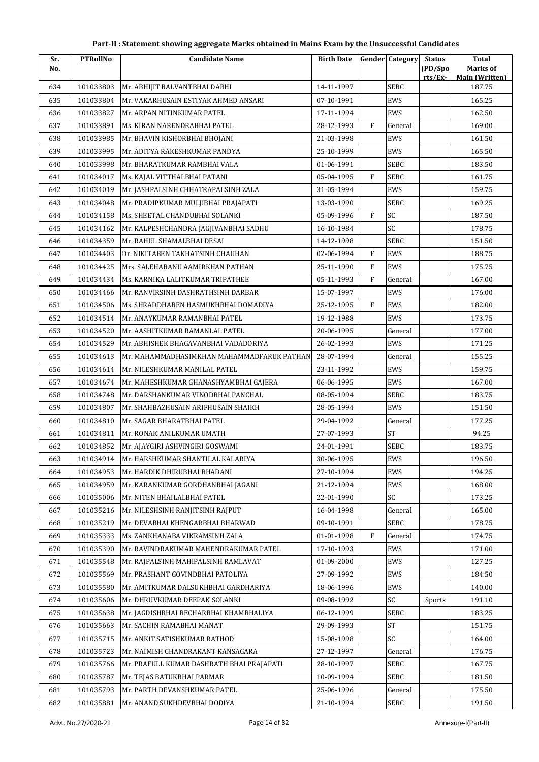| Sr. | <b>PTRollNo</b> | <b>Candidate Name</b>                      | <b>Birth Date</b> |              | <b>Gender Category</b> | <b>Status</b>     | Total                             |
|-----|-----------------|--------------------------------------------|-------------------|--------------|------------------------|-------------------|-----------------------------------|
| No. |                 |                                            |                   |              |                        | (PD/Spo<br>rts/Ex | Marks of<br><b>Main (Written)</b> |
| 634 | 101033803       | Mr. ABHIJIT BALVANTBHAI DABHI              | 14-11-1997        |              | <b>SEBC</b>            |                   | 187.75                            |
| 635 | 101033804       | Mr. VAKARHUSAIN ESTIYAK AHMED ANSARI       | 07-10-1991        |              | EWS                    |                   | 165.25                            |
| 636 | 101033827       | Mr. ARPAN NITINKUMAR PATEL                 | 17-11-1994        |              | EWS                    |                   | 162.50                            |
| 637 | 101033891       | Ms. KIRAN NARENDRABHAI PATEL               | 28-12-1993        | $\mathbf{F}$ | General                |                   | 169.00                            |
| 638 | 101033985       | Mr. BHAVIN KISHORBHAI BHOJANI              | 21-03-1998        |              | EWS                    |                   | 161.50                            |
| 639 | 101033995       | Mr. ADITYA RAKESHKUMAR PANDYA              | 25-10-1999        |              | EWS                    |                   | 165.50                            |
| 640 | 101033998       | Mr. BHARATKUMAR RAMBHAI VALA               | 01-06-1991        |              | <b>SEBC</b>            |                   | 183.50                            |
| 641 | 101034017       | Ms. KAJAL VITTHALBHAI PATANI               | 05-04-1995        | $\mathbf{F}$ | <b>SEBC</b>            |                   | 161.75                            |
| 642 | 101034019       | Mr. JASHPALSINH CHHATRAPALSINH ZALA        | 31-05-1994        |              | EWS                    |                   | 159.75                            |
| 643 | 101034048       | Mr. PRADIPKUMAR MULJIBHAI PRAJAPATI        | 13-03-1990        |              | <b>SEBC</b>            |                   | 169.25                            |
| 644 | 101034158       | Ms. SHEETAL CHANDUBHAI SOLANKI             | 05-09-1996        | $\mathbf{F}$ | SC                     |                   | 187.50                            |
| 645 | 101034162       | Mr. KALPESHCHANDRA JAGJIVANBHAI SADHU      | 16-10-1984        |              | SC                     |                   | 178.75                            |
| 646 | 101034359       | Mr. RAHUL SHAMALBHAI DESAI                 | 14-12-1998        |              | <b>SEBC</b>            |                   | 151.50                            |
| 647 | 101034403       | Dr. NIKITABEN TAKHATSINH CHAUHAN           | 02-06-1994        | F            | EWS                    |                   | 188.75                            |
| 648 | 101034425       | Mrs. SALEHABANU AAMIRKHAN PATHAN           | 25-11-1990        | F            | EWS                    |                   | 175.75                            |
| 649 | 101034434       | Ms. KARNIKA LALITKUMAR TRIPATHEE           | 05-11-1993        | F            | General                |                   | 167.00                            |
| 650 | 101034466       | Mr. RANVIRSINH DASHRATHSINH DARBAR         | 15-07-1997        |              | EWS                    |                   | 176.00                            |
| 651 | 101034506       | Ms. SHRADDHABEN HASMUKHBHAI DOMADIYA       | 25-12-1995        | F            | EWS                    |                   | 182.00                            |
| 652 | 101034514       | Mr. ANAYKUMAR RAMANBHAI PATEL              | 19-12-1988        |              | EWS                    |                   | 173.75                            |
| 653 | 101034520       | Mr. AASHITKUMAR RAMANLAL PATEL             | 20-06-1995        |              | General                |                   | 177.00                            |
| 654 | 101034529       | Mr. ABHISHEK BHAGAVANBHAI VADADORIYA       | 26-02-1993        |              | EWS                    |                   | 171.25                            |
| 655 | 101034613       | Mr. MAHAMMADHASIMKHAN MAHAMMADFARUK PATHAN | 28-07-1994        |              | General                |                   | 155.25                            |
| 656 | 101034614       | Mr. NILESHKUMAR MANILAL PATEL              | 23-11-1992        |              | EWS                    |                   | 159.75                            |
| 657 | 101034674       | Mr. MAHESHKUMAR GHANASHYAMBHAI GAJERA      | 06-06-1995        |              | EWS                    |                   | 167.00                            |
| 658 | 101034748       | Mr. DARSHANKUMAR VINODBHAI PANCHAL         | 08-05-1994        |              | <b>SEBC</b>            |                   | 183.75                            |
| 659 | 101034807       | Mr. SHAHBAZHUSAIN ARIFHUSAIN SHAIKH        | 28-05-1994        |              | EWS                    |                   | 151.50                            |
| 660 | 101034810       | Mr. SAGAR BHARATBHAI PATEL                 | 29-04-1992        |              | General                |                   | 177.25                            |
| 661 | 101034811       | Mr. RONAK ANILKUMAR UMATH                  | 27-07-1993        |              | <b>ST</b>              |                   | 94.25                             |
| 662 | 101034852       | Mr. AJAYGIRI ASHVINGIRI GOSWAMI            | 24-01-1991        |              | <b>SEBC</b>            |                   | 183.75                            |
| 663 | 101034914       | Mr. HARSHKUMAR SHANTILAL KALARIYA          | 30-06-1995        |              | EWS                    |                   | 196.50                            |
| 664 | 101034953       | Mr. HARDIK DHIRUBHAI BHADANI               | 27-10-1994        |              | EWS                    |                   | 194.25                            |
| 665 | 101034959       | Mr. KARANKUMAR GORDHANBHAI JAGANI          | 21-12-1994        |              | EWS                    |                   | 168.00                            |
| 666 | 101035006       | Mr. NITEN BHAILALBHAI PATEL                | 22-01-1990        |              | SC                     |                   | 173.25                            |
| 667 | 101035216       | Mr. NILESHSINH RANJITSINH RAJPUT           | 16-04-1998        |              | General                |                   | 165.00                            |
| 668 | 101035219       | Mr. DEVABHAI KHENGARBHAI BHARWAD           | 09-10-1991        |              | SEBC                   |                   | 178.75                            |
| 669 | 101035333       | Ms. ZANKHANABA VIKRAMSINH ZALA             | 01-01-1998        | F            | General                |                   | 174.75                            |
| 670 | 101035390       | Mr. RAVINDRAKUMAR MAHENDRAKUMAR PATEL      | 17-10-1993        |              | EWS                    |                   | 171.00                            |
| 671 | 101035548       | Mr. RAJPALSINH MAHIPALSINH RAMLAVAT        | 01-09-2000        |              | EWS                    |                   | 127.25                            |
| 672 | 101035569       | Mr. PRASHANT GOVINDBHAI PATOLIYA           | 27-09-1992        |              | EWS                    |                   | 184.50                            |
| 673 | 101035580       | Mr. AMITKUMAR DALSUKHBHAI GARDHARIYA       | 18-06-1996        |              | EWS                    |                   | 140.00                            |
| 674 | 101035606       | Mr. DHRUVKUMAR DEEPAK SOLANKI              | 09-08-1992        |              | SC                     | Sports            | 191.10                            |
| 675 | 101035638       | Mr. JAGDISHBHAI BECHARBHAI KHAMBHALIYA     | 06-12-1999        |              | <b>SEBC</b>            |                   | 183.25                            |
| 676 | 101035663       | Mr. SACHIN RAMABHAI MANAT                  | 29-09-1993        |              | ${\rm ST}$             |                   | 151.75                            |
| 677 | 101035715       | Mr. ANKIT SATISHKUMAR RATHOD               | 15-08-1998        |              | SC                     |                   | 164.00                            |
| 678 | 101035723       | Mr. NAIMISH CHANDRAKANT KANSAGARA          | 27-12-1997        |              | General                |                   | 176.75                            |
| 679 | 101035766       | Mr. PRAFULL KUMAR DASHRATH BHAI PRAJAPATI  | 28-10-1997        |              | <b>SEBC</b>            |                   | 167.75                            |
| 680 | 101035787       | Mr. TEJAS BATUKBHAI PARMAR                 | 10-09-1994        |              | <b>SEBC</b>            |                   | 181.50                            |
| 681 | 101035793       | Mr. PARTH DEVANSHKUMAR PATEL               | 25-06-1996        |              | General                |                   | 175.50                            |
| 682 | 101035881       | Mr. ANAND SUKHDEVBHAI DODIYA               | 21-10-1994        |              | <b>SEBC</b>            |                   | 191.50                            |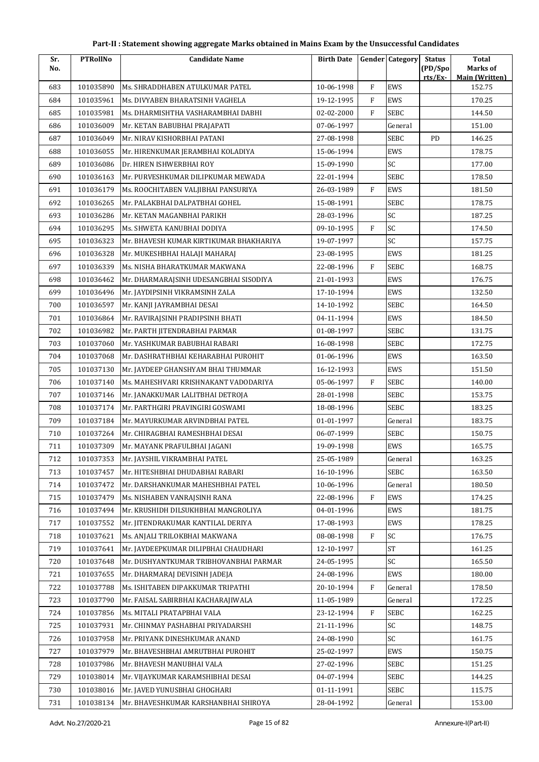| Part-II : Statement showing aggregate Marks obtained in Mains Exam by the Unsuccessful Candidates |  |  |
|---------------------------------------------------------------------------------------------------|--|--|
|---------------------------------------------------------------------------------------------------|--|--|

| Sr. | <b>PTRollNo</b> | <b>Candidate Name</b>                   | <b>Birth Date</b> |              | <b>Gender</b> Category | <b>Status</b>      | <b>Total</b>                      |
|-----|-----------------|-----------------------------------------|-------------------|--------------|------------------------|--------------------|-----------------------------------|
| No. |                 |                                         |                   |              |                        | (PD/Spo<br>rts/Ex- | Marks of<br><b>Main (Written)</b> |
| 683 | 101035890       | Ms. SHRADDHABEN ATULKUMAR PATEL         | 10-06-1998        | $\rm F$      | EWS                    |                    | 152.75                            |
| 684 | 101035961       | Ms. DIVYABEN BHARATSINH VAGHELA         | 19-12-1995        | $\mathbf{F}$ | EWS                    |                    | 170.25                            |
| 685 | 101035981       | Ms. DHARMISHTHA VASHARAMBHAI DABHI      | 02-02-2000        | $\mathbf{F}$ | <b>SEBC</b>            |                    | 144.50                            |
| 686 | 101036009       | Mr. KETAN BABUBHAI PRAJAPATI            | 07-06-1997        |              | General                |                    | 151.00                            |
| 687 | 101036049       | Mr. NIRAV KISHORBHAI PATANI             | 27-08-1998        |              | SEBC                   | PD                 | 146.25                            |
| 688 | 101036055       | Mr. HIRENKUMAR JERAMBHAI KOLADIYA       | 15-06-1994        |              | <b>EWS</b>             |                    | 178.75                            |
| 689 | 101036086       | Dr. HIREN ISHWERBHAI ROY                | 15-09-1990        |              | SC                     |                    | 177.00                            |
| 690 | 101036163       | Mr. PURVESHKUMAR DILIPKUMAR MEWADA      | 22-01-1994        |              | SEBC                   |                    | 178.50                            |
| 691 | 101036179       | Ms. ROOCHITABEN VALJIBHAI PANSURIYA     | 26-03-1989        | $\mathbf{F}$ | <b>EWS</b>             |                    | 181.50                            |
| 692 | 101036265       | Mr. PALAKBHAI DALPATBHAI GOHEL          | 15-08-1991        |              | SEBC                   |                    | 178.75                            |
| 693 | 101036286       | Mr. KETAN MAGANBHAI PARIKH              | 28-03-1996        |              | SC                     |                    | 187.25                            |
| 694 | 101036295       | Ms. SHWETA KANUBHAI DODIYA              | 09-10-1995        | $\rm F$      | SC                     |                    | 174.50                            |
| 695 | 101036323       | Mr. BHAVESH KUMAR KIRTIKUMAR BHAKHARIYA | 19-07-1997        |              | SC                     |                    | 157.75                            |
| 696 | 101036328       | Mr. MUKESHBHAI HALAJI MAHARAJ           | 23-08-1995        |              | EWS                    |                    | 181.25                            |
| 697 | 101036339       | Ms. NISHA BHARATKUMAR MAKWANA           | 22-08-1996        | $\mathbf{F}$ | <b>SEBC</b>            |                    | 168.75                            |
| 698 | 101036462       | Mr. DHARMARAJSINH UDESANGBHAI SISODIYA  | 21-01-1993        |              | EWS                    |                    | 176.75                            |
| 699 | 101036496       | Mr. JAYDIPSINH VIKRAMSINH ZALA          | 17-10-1994        |              | <b>EWS</b>             |                    | 132.50                            |
| 700 | 101036597       | Mr. KANJI JAYRAMBHAI DESAI              | 14-10-1992        |              | SEBC                   |                    | 164.50                            |
| 701 | 101036864       | Mr. RAVIRAJSINH PRADIPSINH BHATI        | 04-11-1994        |              | EWS                    |                    | 184.50                            |
| 702 | 101036982       | Mr. PARTH JITENDRABHAI PARMAR           | 01-08-1997        |              | SEBC                   |                    | 131.75                            |
| 703 | 101037060       | Mr. YASHKUMAR BABUBHAI RABARI           | 16-08-1998        |              | SEBC                   |                    | 172.75                            |
| 704 | 101037068       | Mr. DASHRATHBHAI KEHARABHAI PUROHIT     | 01-06-1996        |              | EWS                    |                    | 163.50                            |
| 705 | 101037130       | Mr. JAYDEEP GHANSHYAM BHAI THUMMAR      | 16-12-1993        |              | <b>EWS</b>             |                    | 151.50                            |
| 706 | 101037140       | Ms. MAHESHVARI KRISHNAKANT VADODARIYA   | 05-06-1997        | $\mathbf{F}$ | <b>SEBC</b>            |                    | 140.00                            |
| 707 | 101037146       | Mr. JANAKKUMAR LALITBHAI DETROJA        | 28-01-1998        |              | SEBC                   |                    | 153.75                            |
| 708 | 101037174       | Mr. PARTHGIRI PRAVINGIRI GOSWAMI        | 18-08-1996        |              | SEBC                   |                    | 183.25                            |
| 709 | 101037184       | Mr. MAYURKUMAR ARVINDBHAI PATEL         | 01-01-1997        |              | General                |                    | 183.75                            |
| 710 | 101037264       | Mr. CHIRAGBHAI RAMESHBHAI DESAI         | 06-07-1999        |              | SEBC                   |                    | 150.75                            |
| 711 | 101037309       | Mr. MAYANK PRAFULBHAI JAGANI            | 19-09-1998        |              | EWS                    |                    | 165.75                            |
| 712 | 101037353       | Mr. JAYSHIL VIKRAMBHAI PATEL            | 25-05-1989        |              | General                |                    | 163.25                            |
| 713 | 101037457       | Mr. HITESHBHAI DHUDABHAI RABARI         | 16-10-1996        |              | SEBC                   |                    | 163.50                            |
| 714 | 101037472       | Mr. DARSHANKUMAR MAHESHBHAI PATEL       | 10-06-1996        |              | General                |                    | 180.50                            |
| 715 | 101037479       | Ms. NISHABEN VANRAJSINH RANA            | 22-08-1996        | $\mathbf{F}$ | EWS                    |                    | 174.25                            |
| 716 | 101037494       | Mr. KRUSHIDH DILSUKHBHAI MANGROLIYA     | 04-01-1996        |              | EWS                    |                    | 181.75                            |
| 717 | 101037552       | Mr. JITENDRAKUMAR KANTILAL DERIYA       | 17-08-1993        |              | EWS                    |                    | 178.25                            |
| 718 | 101037621       | Ms. ANIALI TRILOKBHAI MAKWANA           | 08-08-1998        | F            | SC                     |                    | 176.75                            |
| 719 | 101037641       | Mr. JAYDEEPKUMAR DILIPBHAI CHAUDHARI    | 12-10-1997        |              | <b>ST</b>              |                    | 161.25                            |
| 720 | 101037648       | Mr. DUSHYANTKUMAR TRIBHOVANBHAI PARMAR  | 24-05-1995        |              | SC                     |                    | 165.50                            |
| 721 | 101037655       | Mr. DHARMARAJ DEVISINH JADEJA           | 24-08-1996        |              | EWS                    |                    | 180.00                            |
| 722 | 101037788       | Ms. ISHITABEN DIPAKKUMAR TRIPATHI       | 20-10-1994        | $\rm F$      | General                |                    | 178.50                            |
| 723 | 101037790       | Mr. FAISAL SABIRBHAI KACHARAJIWALA      | 11-05-1989        |              | General                |                    | 172.25                            |
| 724 | 101037856       | Ms. MITALI PRATAPBHAI VALA              | 23-12-1994        | F            | SEBC                   |                    | 162.25                            |
| 725 | 101037931       | Mr. CHINMAY PASHABHAI PRIYADARSHI       | 21-11-1996        |              | SC                     |                    | 148.75                            |
| 726 | 101037958       | Mr. PRIYANK DINESHKUMAR ANAND           | 24-08-1990        |              | SC                     |                    | 161.75                            |
| 727 | 101037979       | Mr. BHAVESHBHAI AMRUTBHAI PUROHIT       | 25-02-1997        |              | EWS                    |                    | 150.75                            |
| 728 | 101037986       | Mr. BHAVESH MANUBHAI VALA               | 27-02-1996        |              | SEBC                   |                    | 151.25                            |
| 729 | 101038014       | Mr. VIJAYKUMAR KARAMSHIBHAI DESAI       | 04-07-1994        |              | SEBC                   |                    | 144.25                            |
| 730 | 101038016       | Mr. JAVED YUNUSBHAI GHOGHARI            | 01-11-1991        |              | SEBC                   |                    | 115.75                            |
| 731 | 101038134       | Mr. BHAVESHKUMAR KARSHANBHAI SHIROYA    | 28-04-1992        |              | General                |                    | 153.00                            |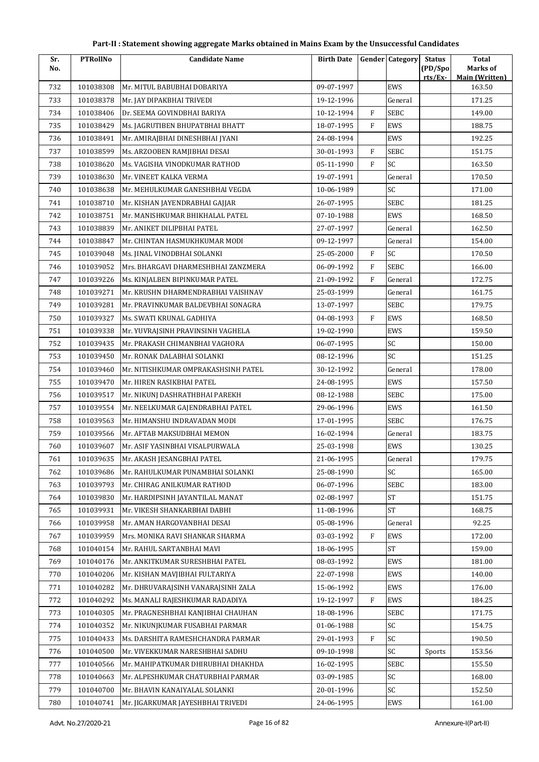| Sr. | <b>PTRollNo</b> | <b>Candidate Name</b>               | <b>Birth Date</b> |              | <b>Gender</b> Category | <b>Status</b> | <b>Total</b>                    |
|-----|-----------------|-------------------------------------|-------------------|--------------|------------------------|---------------|---------------------------------|
| No. |                 |                                     |                   |              |                        | (PD/Spo       | Marks of                        |
| 732 | 101038308       | Mr. MITUL BABUBHAI DOBARIYA         | 09-07-1997        |              | EWS                    | rts/Ex        | <b>Main (Written)</b><br>163.50 |
| 733 | 101038378       | Mr. JAY DIPAKBHAI TRIVEDI           | 19-12-1996        |              | General                |               | 171.25                          |
| 734 | 101038406       | Dr. SEEMA GOVINDBHAI BARIYA         | 10-12-1994        | F            | SEBC                   |               | 149.00                          |
| 735 | 101038429       | Ms. JAGRUTIBEN BHUPATBHAI BHATT     | 18-07-1995        | $\mathbf{F}$ | EWS                    |               | 188.75                          |
| 736 | 101038491       | Mr. AMIRAJBHAI DINESHBHAI JYANI     | 24-08-1994        |              | EWS                    |               | 192.25                          |
| 737 | 101038599       | Ms. ARZOOBEN RAMJIBHAI DESAI        | 30-01-1993        | F            | <b>SEBC</b>            |               | 151.75                          |
| 738 | 101038620       | Ms. VAGISHA VINODKUMAR RATHOD       | 05-11-1990        | $\mathbf{F}$ | SC                     |               | 163.50                          |
| 739 | 101038630       | Mr. VINEET KALKA VERMA              | 19-07-1991        |              | General                |               | 170.50                          |
| 740 | 101038638       | Mr. MEHULKUMAR GANESHBHAI VEGDA     | 10-06-1989        |              | SC                     |               | 171.00                          |
| 741 | 101038710       | Mr. KISHAN JAYENDRABHAI GAJJAR      | 26-07-1995        |              | <b>SEBC</b>            |               | 181.25                          |
| 742 | 101038751       | Mr. MANISHKUMAR BHIKHALAL PATEL     | 07-10-1988        |              | EWS                    |               | 168.50                          |
| 743 | 101038839       | Mr. ANIKET DILIPBHAI PATEL          | 27-07-1997        |              | General                |               | 162.50                          |
| 744 | 101038847       | Mr. CHINTAN HASMUKHKUMAR MODI       | 09-12-1997        |              | General                |               | 154.00                          |
| 745 | 101039048       | Ms. JINAL VINODBHAI SOLANKI         | 25-05-2000        | F            | SC                     |               | 170.50                          |
| 746 | 101039052       | Mrs. BHARGAVI DHARMESHBHAI ZANZMERA | 06-09-1992        | $\mathbf F$  | <b>SEBC</b>            |               | 166.00                          |
| 747 | 101039226       | Ms. KINJALBEN BIPINKUMAR PATEL      | 21-09-1992        | $\mathbf{F}$ | General                |               | 172.75                          |
| 748 | 101039271       | Mr. KRUSHN DHARMENDRABHAI VAISHNAV  | 25-03-1999        |              | General                |               | 161.75                          |
| 749 | 101039281       | Mr. PRAVINKUMAR BALDEVBHAI SONAGRA  | 13-07-1997        |              | <b>SEBC</b>            |               | 179.75                          |
| 750 | 101039327       | Ms. SWATI KRUNAL GADHIYA            | 04-08-1993        | F            | EWS                    |               | 168.50                          |
| 751 | 101039338       | Mr. YUVRAJSINH PRAVINSINH VAGHELA   | 19-02-1990        |              | EWS                    |               | 159.50                          |
| 752 | 101039435       | Mr. PRAKASH CHIMANBHAI VAGHORA      | 06-07-1995        |              | SC                     |               | 150.00                          |
| 753 | 101039450       | Mr. RONAK DALABHAI SOLANKI          | 08-12-1996        |              | SC                     |               | 151.25                          |
| 754 | 101039460       | Mr. NITISHKUMAR OMPRAKASHSINH PATEL | 30-12-1992        |              | General                |               | 178.00                          |
| 755 | 101039470       | Mr. HIREN RASIKBHAI PATEL           | 24-08-1995        |              | EWS                    |               | 157.50                          |
| 756 | 101039517       | Mr. NIKUNJ DASHRATHBHAI PAREKH      | 08-12-1988        |              | <b>SEBC</b>            |               | 175.00                          |
| 757 | 101039554       | Mr. NEELKUMAR GAJENDRABHAI PATEL    | 29-06-1996        |              | EWS                    |               | 161.50                          |
| 758 | 101039563       | Mr. HIMANSHU INDRAVADAN MODI        | 17-01-1995        |              | <b>SEBC</b>            |               | 176.75                          |
| 759 | 101039566       | Mr. AFTAB MAKSUDBHAI MEMON          | 16-02-1994        |              | General                |               | 183.75                          |
| 760 | 101039607       | Mr. ASIF YASINBHAI VISALPURWALA     | 25-03-1998        |              | EWS                    |               | 130.25                          |
| 761 | 101039635       | Mr. AKASH JESANGBHAI PATEL          | 21-06-1995        |              | General                |               | 179.75                          |
| 762 | 101039686       | Mr. RAHULKUMAR PUNAMBHAI SOLANKI    | 25-08-1990        |              | SC                     |               | 165.00                          |
| 763 | 101039793       | Mr. CHIRAG ANILKUMAR RATHOD         | 06-07-1996        |              | <b>SEBC</b>            |               | 183.00                          |
| 764 | 101039830       | Mr. HARDIPSINH JAYANTILAL MANAT     | 02-08-1997        |              | $\mbox{ST}$            |               | 151.75                          |
| 765 | 101039931       | Mr. VIKESH SHANKARBHAI DABHI        | 11-08-1996        |              | ST                     |               | 168.75                          |
| 766 | 101039958       | Mr. AMAN HARGOVANBHAI DESAI         | 05-08-1996        |              | General                |               | 92.25                           |
| 767 | 101039959       | Mrs. MONIKA RAVI SHANKAR SHARMA     | 03-03-1992        | $\mathbf{F}$ | EWS                    |               | 172.00                          |
| 768 | 101040154       | Mr. RAHUL SARTANBHAI MAVI           | 18-06-1995        |              | ${\rm ST}$             |               | 159.00                          |
| 769 | 101040176       | Mr. ANKITKUMAR SURESHBHAI PATEL     | 08-03-1992        |              | EWS                    |               | 181.00                          |
| 770 | 101040206       | Mr. KISHAN MAVJIBHAI FULTARIYA      | 22-07-1998        |              | EWS                    |               | 140.00                          |
| 771 | 101040282       | Mr. DHRUVARAJSINH VANARAJSINH ZALA  | 15-06-1992        |              | EWS                    |               | 176.00                          |
| 772 | 101040292       | Ms. MANALI RAJESHKUMAR RADADIYA     | 19-12-1997        | F            | EWS                    |               | 184.25                          |
| 773 | 101040305       | Mr. PRAGNESHBHAI KANJIBHAI CHAUHAN  | 18-08-1996        |              | <b>SEBC</b>            |               | 171.75                          |
| 774 | 101040352       | Mr. NIKUNJKUMAR FUSABHAI PARMAR     | 01-06-1988        |              | SC                     |               | 154.75                          |
| 775 | 101040433       | Ms. DARSHITA RAMESHCHANDRA PARMAR   | 29-01-1993        | F            | SC                     |               | 190.50                          |
| 776 | 101040500       | Mr. VIVEKKUMAR NARESHBHAI SADHU     | 09-10-1998        |              | SC                     | Sports        | 153.56                          |
| 777 | 101040566       | Mr. MAHIPATKUMAR DHIRUBHAI DHAKHDA  | 16-02-1995        |              | SEBC                   |               | 155.50                          |
| 778 | 101040663       | Mr. ALPESHKUMAR CHATURBHAI PARMAR   | 03-09-1985        |              | SC                     |               | 168.00                          |
| 779 | 101040700       | Mr. BHAVIN KANAIYALAL SOLANKI       | 20-01-1996        |              | SC                     |               | 152.50                          |
| 780 | 101040741       | Mr. JIGARKUMAR JAYESHBHAI TRIVEDI   | 24-06-1995        |              | EWS                    |               | 161.00                          |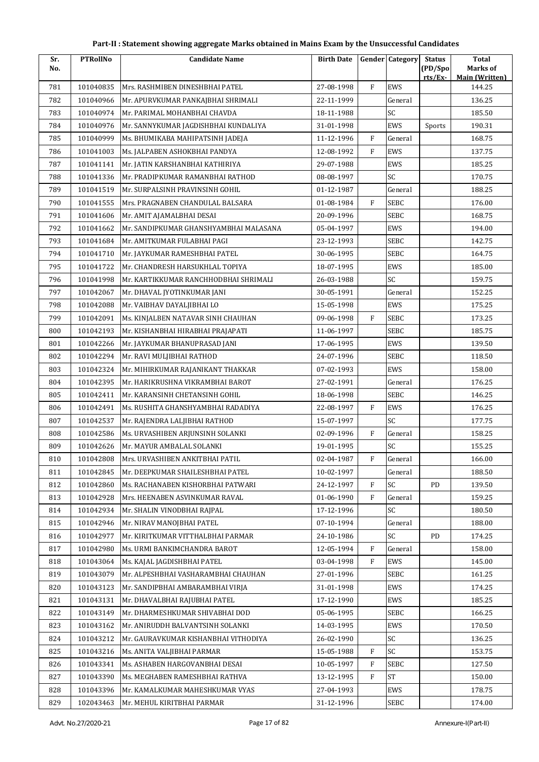| Sr. | <b>PTRollNo</b> | <b>Candidate Name</b>                  | <b>Birth Date</b> |           | Gender Category | <b>Status</b> | <b>Total</b>                    |
|-----|-----------------|----------------------------------------|-------------------|-----------|-----------------|---------------|---------------------------------|
| No. |                 |                                        |                   |           |                 | (PD/Spo       | <b>Marks of</b>                 |
| 781 | 101040835       | Mrs. RASHMIBEN DINESHBHAI PATEL        | 27-08-1998        | F         | EWS             | rts/Ex        | <b>Main (Written)</b><br>144.25 |
| 782 | 101040966       | Mr. APURVKUMAR PANKAJBHAI SHRIMALI     | 22-11-1999        |           | General         |               | 136.25                          |
| 783 | 101040974       | Mr. PARIMAL MOHANBHAI CHAVDA           | 18-11-1988        |           | SC              |               | 185.50                          |
| 784 | 101040976       | Mr. SANNYKUMAR JAGDISHBHAI KUNDALIYA   | 31-01-1998        |           | EWS             | Sports        | 190.31                          |
| 785 | 101040999       | Ms. BHUMIKABA MAHIPATSINH JADEJA       | 11-12-1996        | F         | General         |               | 168.75                          |
| 786 | 101041003       | Ms. JALPABEN ASHOKBHAI PANDYA          | 12-08-1992        | F         | EWS             |               | 137.75                          |
| 787 | 101041141       | Mr. JATIN KARSHANBHAI KATHIRIYA        | 29-07-1988        |           | EWS             |               | 185.25                          |
| 788 | 101041336       | Mr. PRADIPKUMAR RAMANBHAI RATHOD       | 08-08-1997        |           | SC              |               | 170.75                          |
| 789 | 101041519       | Mr. SURPALSINH PRAVINSINH GOHIL        | 01-12-1987        |           | General         |               | 188.25                          |
| 790 | 101041555       | Mrs. PRAGNABEN CHANDULAL BALSARA       | 01-08-1984        | $\rm F$   | SEBC            |               | 176.00                          |
| 791 | 101041606       | Mr. AMIT AJAMALBHAI DESAI              | 20-09-1996        |           | <b>SEBC</b>     |               | 168.75                          |
| 792 | 101041662       | Mr. SANDIPKUMAR GHANSHYAMBHAI MALASANA | 05-04-1997        |           | EWS             |               | 194.00                          |
| 793 | 101041684       | Mr. AMITKUMAR FULABHAI PAGI            | 23-12-1993        |           | <b>SEBC</b>     |               | 142.75                          |
| 794 | 101041710       | Mr. JAYKUMAR RAMESHBHAI PATEL          | 30-06-1995        |           | <b>SEBC</b>     |               | 164.75                          |
| 795 | 101041722       | Mr. CHANDRESH HARSUKHLAL TOPIYA        | 18-07-1995        |           | EWS             |               | 185.00                          |
| 796 | 101041998       | Mr. KARTIKKUMAR RANCHHODBHAI SHRIMALI  | 26-03-1988        |           | SC              |               | 159.75                          |
| 797 | 101042067       | Mr. DHAVAL JYOTINKUMAR JANI            | 30-05-1991        |           | General         |               | 152.25                          |
| 798 | 101042088       | Mr. VAIBHAV DAYALJIBHAI LO             | 15-05-1998        |           | EWS             |               | 175.25                          |
| 799 | 101042091       | Ms. KINJALBEN NATAVAR SINH CHAUHAN     | 09-06-1998        | F         | <b>SEBC</b>     |               | 173.25                          |
| 800 | 101042193       | Mr. KISHANBHAI HIRABHAI PRAJAPATI      | 11-06-1997        |           | SEBC            |               | 185.75                          |
| 801 | 101042266       | Mr. JAYKUMAR BHANUPRASAD JANI          | 17-06-1995        |           | EWS             |               | 139.50                          |
| 802 | 101042294       | Mr. RAVI MULJIBHAI RATHOD              | 24-07-1996        |           | <b>SEBC</b>     |               | 118.50                          |
| 803 | 101042324       | Mr. MIHIRKUMAR RAJANIKANT THAKKAR      | 07-02-1993        |           | EWS             |               | 158.00                          |
| 804 | 101042395       | Mr. HARIKRUSHNA VIKRAMBHAI BAROT       | 27-02-1991        |           | General         |               | 176.25                          |
| 805 | 101042411       | Mr. KARANSINH CHETANSINH GOHIL         | 18-06-1998        |           | <b>SEBC</b>     |               | 146.25                          |
| 806 | 101042491       | Ms. RUSHITA GHANSHYAMBHAI RADADIYA     | 22-08-1997        | F         | EWS             |               | 176.25                          |
| 807 | 101042537       | Mr. RAJENDRA LALJIBHAI RATHOD          | 15-07-1997        |           | SC              |               | 177.75                          |
| 808 | 101042586       | Ms. URVASHIBEN ARJUNSINH SOLANKI       | 02-09-1996        | F         | General         |               | 158.25                          |
| 809 | 101042626       | Mr. MAYUR AMBALAL SOLANKI              | 19-01-1995        |           | SC              |               | 155.25                          |
| 810 | 101042808       | Mrs. URVASHIBEN ANKITBHAI PATIL        | 02-04-1987        | F         | General         |               | 166.00                          |
| 811 | 101042845       | Mr. DEEPKUMAR SHAILESHBHAI PATEL       | 10-02-1997        |           | General         |               | 188.50                          |
| 812 | 101042860       | Ms. RACHANABEN KISHORBHAI PATWARI      | 24-12-1997        | F         | SC              | PD            | 139.50                          |
| 813 | 101042928       | Mrs. HEENABEN ASVINKUMAR RAVAL         | 01-06-1990        | F         | General         |               | 159.25                          |
| 814 | 101042934       | Mr. SHALIN VINODBHAI RAJPAL            | 17-12-1996        |           | SC              |               | 180.50                          |
| 815 | 101042946       | Mr. NIRAV MANOJBHAI PATEL              | 07-10-1994        |           | General         |               | 188.00                          |
| 816 | 101042977       | Mr. KIRITKUMAR VITTHALBHAI PARMAR      | 24-10-1986        |           | SC              | PD            | 174.25                          |
| 817 | 101042980       | Ms. URMI BANKIMCHANDRA BAROT           | 12-05-1994        | F         | General         |               | 158.00                          |
| 818 | 101043064       | Ms. KAJAL JAGDISHBHAI PATEL            | 03-04-1998        | ${\rm F}$ | EWS             |               | 145.00                          |
| 819 | 101043079       | Mr. ALPESHBHAI VASHARAMBHAI CHAUHAN    | 27-01-1996        |           | SEBC            |               | 161.25                          |
| 820 | 101043123       | Mr. SANDIPBHAI AMBARAMBHAI VIRJA       | 31-01-1998        |           | EWS             |               | 174.25                          |
| 821 | 101043131       | Mr. DHAVALBHAI RAJUBHAI PATEL          | 17-12-1990        |           | EWS             |               | 185.25                          |
| 822 | 101043149       | Mr. DHARMESHKUMAR SHIVABHAI DOD        | 05-06-1995        |           | SEBC            |               | 166.25                          |
| 823 | 101043162       | Mr. ANIRUDDH BALVANTSINH SOLANKI       | 14-03-1995        |           | EWS             |               | 170.50                          |
| 824 | 101043212       | Mr. GAURAVKUMAR KISHANBHAI VITHODIYA   | 26-02-1990        |           | SC              |               | 136.25                          |
| 825 | 101043216       | Ms. ANITA VALJIBHAI PARMAR             | 15-05-1988        | F         | SC              |               | 153.75                          |
| 826 | 101043341       | Ms. ASHABEN HARGOVANBHAI DESAI         | 10-05-1997        | $\rm F$   | <b>SEBC</b>     |               | 127.50                          |
| 827 | 101043390       | Ms. MEGHABEN RAMESHBHAI RATHVA         | 13-12-1995        | ${\rm F}$ | <b>ST</b>       |               | 150.00                          |
| 828 | 101043396       | Mr. KAMALKUMAR MAHESHKUMAR VYAS        | 27-04-1993        |           | EWS             |               | 178.75                          |
| 829 | 102043463       | Mr. MEHUL KIRITBHAI PARMAR             | 31-12-1996        |           | <b>SEBC</b>     |               | 174.00                          |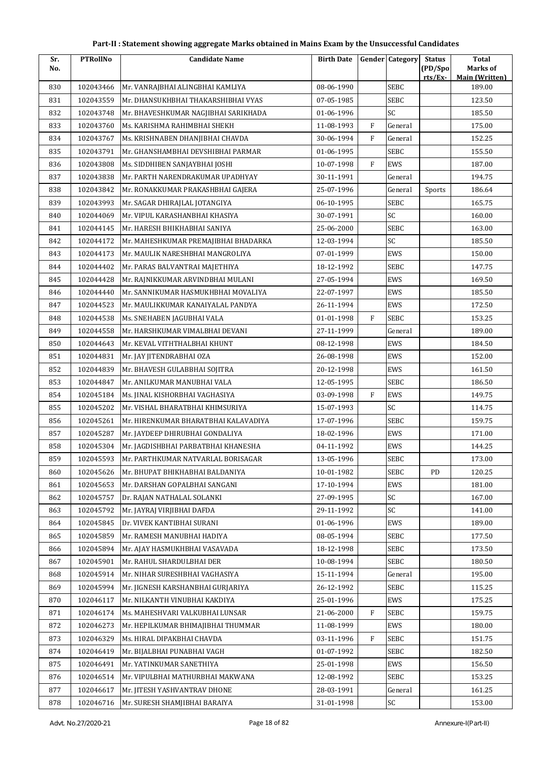| Sr. | <b>PTRollNo</b> | Candidate Name                       | <b>Birth Date</b> |              | <b>Gender Category</b> | <b>Status</b> | <b>Total</b>                    |
|-----|-----------------|--------------------------------------|-------------------|--------------|------------------------|---------------|---------------------------------|
| No. |                 |                                      |                   |              |                        | (PD/Spo       | <b>Marks of</b>                 |
| 830 | 102043466       | Mr. VANRAJBHAI ALINGBHAI KAMLIYA     | 08-06-1990        |              | <b>SEBC</b>            | rts/Ex-       | <b>Main (Written)</b><br>189.00 |
| 831 | 102043559       | Mr. DHANSUKHBHAI THAKARSHIBHAI VYAS  | 07-05-1985        |              | <b>SEBC</b>            |               | 123.50                          |
| 832 | 102043748       | Mr. BHAVESHKUMAR NAGJIBHAI SARIKHADA | 01-06-1996        |              | SC                     |               | 185.50                          |
| 833 | 102043760       | Ms. KARISHMA RAHIMBHAI SHEKH         | 11-08-1993        | $\mathbf{F}$ | General                |               | 175.00                          |
| 834 | 102043767       | Ms. KRISHNABEN DHANJIBHAI CHAVDA     | 30-06-1994        | $\mathbf{F}$ | General                |               | 152.25                          |
| 835 | 102043791       | Mr. GHANSHAMBHAI DEVSHIBHAI PARMAR   | 01-06-1995        |              | <b>SEBC</b>            |               | 155.50                          |
| 836 | 102043808       | Ms. SIDDHIBEN SANJAYBHAI JOSHI       | 10-07-1998        | $\rm F$      | EWS                    |               | 187.00                          |
| 837 | 102043838       | Mr. PARTH NARENDRAKUMAR UPADHYAY     | 30-11-1991        |              | General                |               | 194.75                          |
| 838 | 102043842       | Mr. RONAKKUMAR PRAKASHBHAI GAJERA    | 25-07-1996        |              | General                | Sports        | 186.64                          |
| 839 | 102043993       | Mr. SAGAR DHIRAJLAL JOTANGIYA        | 06-10-1995        |              | <b>SEBC</b>            |               | 165.75                          |
| 840 | 102044069       | Mr. VIPUL KARASHANBHAI KHASIYA       | 30-07-1991        |              | SC                     |               | 160.00                          |
| 841 | 102044145       | Mr. HARESH BHIKHABHAI SANIYA         | 25-06-2000        |              | <b>SEBC</b>            |               | 163.00                          |
| 842 | 102044172       | Mr. MAHESHKUMAR PREMAJIBHAI BHADARKA | 12-03-1994        |              | SC                     |               | 185.50                          |
| 843 | 102044173       | Mr. MAULIK NARESHBHAI MANGROLIYA     | 07-01-1999        |              | EWS                    |               | 150.00                          |
| 844 | 102044402       | Mr. PARAS BALVANTRAI MAJETHIYA       | 18-12-1992        |              | <b>SEBC</b>            |               | 147.75                          |
| 845 | 102044428       | Mr. RAJNIKKUMAR ARVINDBHAI MULANI    | 27-05-1994        |              | EWS                    |               | 169.50                          |
| 846 | 102044440       | Mr. SANNIKUMAR HASMUKHBHAI MOVALIYA  | 22-07-1997        |              | EWS                    |               | 185.50                          |
| 847 | 102044523       | Mr. MAULIKKUMAR KANAIYALAL PANDYA    | 26-11-1994        |              | EWS                    |               | 172.50                          |
| 848 | 102044538       | Ms. SNEHABEN JAGUBHAI VALA           | 01-01-1998        | $\mathbf{F}$ | <b>SEBC</b>            |               | 153.25                          |
| 849 | 102044558       | Mr. HARSHKUMAR VIMALBHAI DEVANI      | 27-11-1999        |              | General                |               | 189.00                          |
| 850 | 102044643       | Mr. KEVAL VITHTHALBHAI KHUNT         | 08-12-1998        |              | EWS                    |               | 184.50                          |
| 851 | 102044831       | Mr. JAY JITENDRABHAI OZA             | 26-08-1998        |              | EWS                    |               | 152.00                          |
| 852 | 102044839       | Mr. BHAVESH GULABBHAI SOJITRA        | 20-12-1998        |              | EWS                    |               | 161.50                          |
| 853 | 102044847       | Mr. ANILKUMAR MANUBHAI VALA          | 12-05-1995        |              | <b>SEBC</b>            |               | 186.50                          |
| 854 | 102045184       | Ms. JINAL KISHORBHAI VAGHASIYA       | 03-09-1998        | $\mathbf{F}$ | EWS                    |               | 149.75                          |
| 855 | 102045202       | Mr. VISHAL BHARATBHAI KHIMSURIYA     | 15-07-1993        |              | SC                     |               | 114.75                          |
| 856 | 102045261       | Mr. HIRENKUMAR BHARATBHAI KALAVADIYA | 17-07-1996        |              | SEBC                   |               | 159.75                          |
| 857 | 102045287       | Mr. JAYDEEP DHIRUBHAI GONDALIYA      | 18-02-1996        |              | EWS                    |               | 171.00                          |
| 858 | 102045304       | Mr. JAGDISHBHAI PARBATBHAI KHANESHA  | 04-11-1992        |              | EWS                    |               | 144.25                          |
| 859 | 102045593       | Mr. PARTHKUMAR NATVARLAL BORISAGAR   | 13-05-1996        |              | SEBC                   |               | 173.00                          |
| 860 | 102045626       | Mr. BHUPAT BHIKHABHAI BALDANIYA      | 10-01-1982        |              | <b>SEBC</b>            | PD            | 120.25                          |
| 861 | 102045653       | Mr. DARSHAN GOPALBHAI SANGANI        | 17-10-1994        |              | EWS                    |               | 181.00                          |
| 862 | 102045757       | Dr. RAJAN NATHALAL SOLANKI           | 27-09-1995        |              | SC                     |               | 167.00                          |
| 863 | 102045792       | Mr. JAYRAJ VIRJIBHAI DAFDA           | 29-11-1992        |              | SC                     |               | 141.00                          |
| 864 | 102045845       | Dr. VIVEK KANTIBHAI SURANI           | 01-06-1996        |              | EWS                    |               | 189.00                          |
| 865 | 102045859       | Mr. RAMESH MANUBHAI HADIYA           | 08-05-1994        |              | SEBC                   |               | 177.50                          |
| 866 | 102045894       | Mr. AJAY HASMUKHBHAI VASAVADA        | 18-12-1998        |              | SEBC                   |               | 173.50                          |
| 867 | 102045901       | Mr. RAHUL SHARDULBHAI DER            | 10-08-1994        |              | <b>SEBC</b>            |               | 180.50                          |
| 868 | 102045914       | Mr. NIHAR SURESHBHAI VAGHASIYA       | 15-11-1994        |              | General                |               | 195.00                          |
| 869 | 102045994       | Mr. JIGNESH KARSHANBHAI GURJARIYA    | 26-12-1992        |              | <b>SEBC</b>            |               | 115.25                          |
| 870 | 102046117       | Mr. NILKANTH VINUBHAI KAKDIYA        | 25-01-1996        |              | EWS                    |               | 175.25                          |
| 871 | 102046174       | Ms. MAHESHVARI VALKUBHAI LUNSAR      | 21-06-2000        | F            | <b>SEBC</b>            |               | 159.75                          |
| 872 | 102046273       | Mr. HEPILKUMAR BHIMAJIBHAI THUMMAR   | 11-08-1999        |              | EWS                    |               | 180.00                          |
| 873 | 102046329       | Ms. HIRAL DIPAKBHAI CHAVDA           | 03-11-1996        | F            | <b>SEBC</b>            |               | 151.75                          |
| 874 | 102046419       | Mr. BIJALBHAI PUNABHAI VAGH          | 01-07-1992        |              | <b>SEBC</b>            |               | 182.50                          |
| 875 | 102046491       | Mr. YATINKUMAR SANETHIYA             | 25-01-1998        |              | EWS                    |               | 156.50                          |
| 876 | 102046514       | Mr. VIPULBHAI MATHURBHAI MAKWANA     | 12-08-1992        |              | SEBC                   |               | 153.25                          |
| 877 | 102046617       | Mr. JITESH YASHVANTRAV DHONE         | 28-03-1991        |              | General                |               | 161.25                          |
| 878 | 102046716       | Mr. SURESH SHAMJIBHAI BARAIYA        | 31-01-1998        |              | SC                     |               | 153.00                          |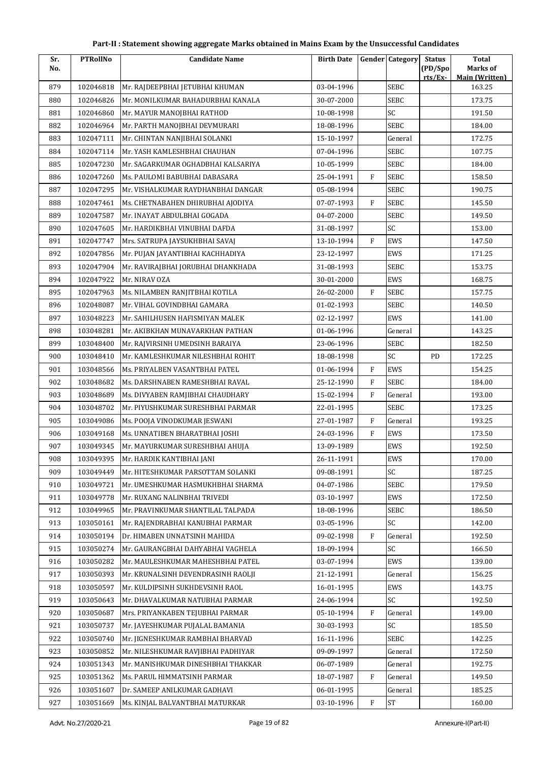| Sr. | <b>PTRollNo</b> | <b>Candidate Name</b>              | <b>Birth Date</b> |              | <b>Gender Category</b> | <b>Status</b> | <b>Total</b>                    |
|-----|-----------------|------------------------------------|-------------------|--------------|------------------------|---------------|---------------------------------|
| No. |                 |                                    |                   |              |                        | (PD/Spo       | Marks of                        |
| 879 | 102046818       | Mr. RAJDEEPBHAI JETUBHAI KHUMAN    | 03-04-1996        |              | <b>SEBC</b>            | rts/Ex        | <b>Main (Written)</b><br>163.25 |
| 880 | 102046826       | Mr. MONILKUMAR BAHADURBHAI KANALA  | 30-07-2000        |              | <b>SEBC</b>            |               | 173.75                          |
| 881 | 102046860       | Mr. MAYUR MANOJBHAI RATHOD         | 10-08-1998        |              | SC                     |               | 191.50                          |
| 882 | 102046964       | Mr. PARTH MANOJBHAI DEVMURARI      | 18-08-1996        |              | <b>SEBC</b>            |               | 184.00                          |
| 883 | 102047111       | Mr. CHINTAN NANJIBHAI SOLANKI      | 15-10-1997        |              | General                |               | 172.75                          |
| 884 | 102047114       | Mr. YASH KAMLESHBHAI CHAUHAN       | 07-04-1996        |              | SEBC                   |               | 107.75                          |
| 885 | 102047230       | Mr. SAGARKUMAR OGHADBHAI KALSARIYA | 10-05-1999        |              | SEBC                   |               | 184.00                          |
| 886 | 102047260       | Ms. PAULOMI BABUBHAI DABASARA      | 25-04-1991        | F            | <b>SEBC</b>            |               | 158.50                          |
| 887 | 102047295       | Mr. VISHALKUMAR RAYDHANBHAI DANGAR | 05-08-1994        |              | SEBC                   |               | 190.75                          |
| 888 | 102047461       | Ms. CHETNABAHEN DHIRUBHAI AJODIYA  | 07-07-1993        | $\mathbf{F}$ | <b>SEBC</b>            |               | 145.50                          |
| 889 | 102047587       | Mr. INAYAT ABDULBHAI GOGADA        | 04-07-2000        |              | SEBC                   |               | 149.50                          |
| 890 | 102047605       | Mr. HARDIKBHAI VINUBHAI DAFDA      | 31-08-1997        |              | SC                     |               | 153.00                          |
| 891 | 102047747       | Mrs. SATRUPA JAYSUKHBHAI SAVAJ     | 13-10-1994        | $\mathbf{F}$ | EWS                    |               | 147.50                          |
| 892 | 102047856       | Mr. PUJAN JAYANTIBHAI KACHHADIYA   | 23-12-1997        |              | EWS                    |               | 171.25                          |
| 893 | 102047904       | Mr. RAVIRAJBHAI JORUBHAI DHANKHADA | 31-08-1993        |              | SEBC                   |               | 153.75                          |
| 894 | 102047922       | Mr. NIRAV OZA                      | 30-01-2000        |              | EWS                    |               | 168.75                          |
| 895 | 102047963       | Ms. NILAMBEN RANJITBHAI KOTILA     | 26-02-2000        | F            | <b>SEBC</b>            |               | 157.75                          |
| 896 | 102048087       | Mr. VIHAL GOVINDBHAI GAMARA        | 01-02-1993        |              | SEBC                   |               | 140.50                          |
| 897 | 103048223       | Mr. SAHILHUSEN HAFISMIYAN MALEK    | 02-12-1997        |              | EWS                    |               | 141.00                          |
| 898 | 103048281       | Mr. AKIBKHAN MUNAVARKHAN PATHAN    | 01-06-1996        |              | General                |               | 143.25                          |
| 899 | 103048400       | Mr. RAJVIRSINH UMEDSINH BARAIYA    | 23-06-1996        |              | <b>SEBC</b>            |               | 182.50                          |
| 900 | 103048410       | Mr. KAMLESHKUMAR NILESHBHAI ROHIT  | 18-08-1998        |              | SC                     | PD            | 172.25                          |
| 901 | 103048566       | Ms. PRIYALBEN VASANTBHAI PATEL     | 01-06-1994        | $\mathbf F$  | EWS                    |               | 154.25                          |
| 902 | 103048682       | Ms. DARSHNABEN RAMESHBHAI RAVAL    | 25-12-1990        | F            | SEBC                   |               | 184.00                          |
| 903 | 103048689       | Ms. DIVYABEN RAMJIBHAI CHAUDHARY   | 15-02-1994        | F            | General                |               | 193.00                          |
| 904 | 103048702       | Mr. PIYUSHKUMAR SURESHBHAI PARMAR  | 22-01-1995        |              | <b>SEBC</b>            |               | 173.25                          |
| 905 | 103049086       | Ms. POOJA VINODKUMAR JESWANI       | 27-01-1987        | F            | General                |               | 193.25                          |
| 906 | 103049168       | Ms. UNNATIBEN BHARATBHAI JOSHI     | 24-03-1996        | F            | EWS                    |               | 173.50                          |
| 907 | 103049345       | Mr. MAYURKUMAR SURESHBHAI AHUJA    | 13-09-1989        |              | EWS                    |               | 192.50                          |
| 908 | 103049395       | Mr. HARDIK KANTIBHAI JANI          | 26-11-1991        |              | EWS                    |               | 170.00                          |
| 909 | 103049449       | Mr. HITESHKUMAR PARSOTTAM SOLANKI  | 09-08-1991        |              | SC                     |               | 187.25                          |
| 910 | 103049721       | Mr. UMESHKUMAR HASMUKHBHAI SHARMA  | 04-07-1986        |              | <b>SEBC</b>            |               | 179.50                          |
| 911 | 103049778       | Mr. RUXANG NALINBHAI TRIVEDI       | 03-10-1997        |              | EWS                    |               | 172.50                          |
| 912 | 103049965       | Mr. PRAVINKUMAR SHANTILAL TALPADA  | 18-08-1996        |              | SEBC                   |               | 186.50                          |
| 913 | 103050161       | Mr. RAJENDRABHAI KANUBHAI PARMAR   | 03-05-1996        |              | <b>SC</b>              |               | 142.00                          |
| 914 | 103050194       | Dr. HIMABEN UNNATSINH MAHIDA       | 09-02-1998        | F            | General                |               | 192.50                          |
| 915 | 103050274       | Mr. GAURANGBHAI DAHYABHAI VAGHELA  | 18-09-1994        |              | SC                     |               | 166.50                          |
| 916 | 103050282       | Mr. MAULESHKUMAR MAHESHBHAI PATEL  | 03-07-1994        |              | EWS                    |               | 139.00                          |
| 917 | 103050393       | Mr. KRUNALSINH DEVENDRASINH RAOLJI | 21-12-1991        |              | General                |               | 156.25                          |
| 918 | 103050597       | Mr. KULDIPSINH SUKHDEVSINH RAOL    | 16-01-1995        |              | EWS                    |               | 143.75                          |
| 919 | 103050643       | Mr. DHAVALKUMAR NATUBHAI PARMAR    | 24-06-1994        |              | SC                     |               | 192.50                          |
| 920 | 103050687       | Mrs. PRIYANKABEN TEJUBHAI PARMAR   | 05-10-1994        | F            | General                |               | 149.00                          |
| 921 | 103050737       | Mr. JAYESHKUMAR PUJALAL BAMANIA    | 30-03-1993        |              | SC                     |               | 185.50                          |
| 922 | 103050740       | Mr. JIGNESHKUMAR RAMBHAI BHARVAD   | 16-11-1996        |              | <b>SEBC</b>            |               | 142.25                          |
| 923 | 103050852       | Mr. NILESHKUMAR RAVJIBHAI PADHIYAR | 09-09-1997        |              | General                |               | 172.50                          |
| 924 | 103051343       | Mr. MANISHKUMAR DINESHBHAI THAKKAR | 06-07-1989        |              | General                |               | 192.75                          |
| 925 | 103051362       | Ms. PARUL HIMMATSINH PARMAR        | 18-07-1987        | F            | General                |               | 149.50                          |
| 926 | 103051607       | Dr. SAMEEP ANILKUMAR GADHAVI       | 06-01-1995        |              | General                |               | 185.25                          |
| 927 | 103051669       | Ms. KINJAL BALVANTBHAI MATURKAR    | 03-10-1996        | F            | $\operatorname{ST}$    |               | 160.00                          |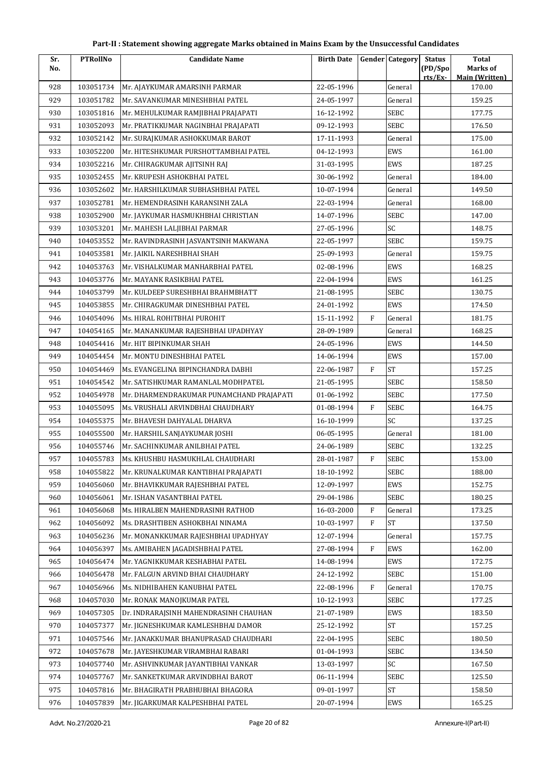| Sr. | <b>PTRollNo</b> | <b>Candidate Name</b>                    | <b>Birth Date</b> |              | <b>Gender Category</b> | <b>Status</b> | <b>Total</b>                    |
|-----|-----------------|------------------------------------------|-------------------|--------------|------------------------|---------------|---------------------------------|
| No. |                 |                                          |                   |              |                        | (PD/Spo       | Marks of                        |
| 928 | 103051734       | Mr. AJAYKUMAR AMARSINH PARMAR            | 22-05-1996        |              | General                | rts/Ex-       | <b>Main (Written)</b><br>170.00 |
| 929 | 103051782       | Mr. SAVANKUMAR MINESHBHAI PATEL          | 24-05-1997        |              | General                |               | 159.25                          |
| 930 | 103051816       | Mr. MEHULKUMAR RAMJIBHAI PRAJAPATI       | 16-12-1992        |              | SEBC                   |               | 177.75                          |
| 931 | 103052093       | Mr. PRATIKKUMAR NAGINBHAI PRAJAPATI      | 09-12-1993        |              | <b>SEBC</b>            |               | 176.50                          |
| 932 | 103052142       | Mr. SURAJKUMAR ASHOKKUMAR BAROT          | 17-11-1993        |              | General                |               | 175.00                          |
| 933 | 103052200       | Mr. HITESHKUMAR PURSHOTTAMBHAI PATEL     | 04-12-1993        |              | EWS                    |               | 161.00                          |
| 934 | 103052216       | Mr. CHIRAGKUMAR AJITSINH RAJ             | 31-03-1995        |              | EWS                    |               | 187.25                          |
| 935 | 103052455       | Mr. KRUPESH ASHOKBHAI PATEL              | 30-06-1992        |              | General                |               | 184.00                          |
| 936 | 103052602       | Mr. HARSHILKUMAR SUBHASHBHAI PATEL       | 10-07-1994        |              | General                |               | 149.50                          |
| 937 | 103052781       | Mr. HEMENDRASINH KARANSINH ZALA          | 22-03-1994        |              | General                |               | 168.00                          |
| 938 | 103052900       | Mr. JAYKUMAR HASMUKHBHAI CHRISTIAN       | 14-07-1996        |              | <b>SEBC</b>            |               | 147.00                          |
| 939 | 103053201       | Mr. MAHESH LALJIBHAI PARMAR              | 27-05-1996        |              | SC                     |               | 148.75                          |
| 940 | 104053552       | Mr. RAVINDRASINH JASVANTSINH MAKWANA     | 22-05-1997        |              | <b>SEBC</b>            |               | 159.75                          |
| 941 | 104053581       | Mr. IAIKIL NARESHBHAI SHAH               | 25-09-1993        |              | General                |               | 159.75                          |
| 942 | 104053763       | Mr. VISHALKUMAR MANHARBHAI PATEL         | 02-08-1996        |              | EWS                    |               | 168.25                          |
| 943 | 104053776       | Mr. MAYANK RASIKBHAI PATEL               | 22-04-1994        |              | EWS                    |               | 161.25                          |
| 944 | 104053799       | Mr. KULDEEP SURESHBHAI BRAHMBHATT        | 21-08-1995        |              | <b>SEBC</b>            |               | 130.75                          |
| 945 | 104053855       | Mr. CHIRAGKUMAR DINESHBHAI PATEL         | 24-01-1992        |              | EWS                    |               | 174.50                          |
| 946 | 104054096       | Ms. HIRAL ROHITBHAI PUROHIT              | 15-11-1992        | $\mathbf{F}$ | General                |               | 181.75                          |
| 947 | 104054165       | Mr. MANANKUMAR RAJESHBHAI UPADHYAY       | 28-09-1989        |              | General                |               | 168.25                          |
| 948 | 104054416       | Mr. HIT BIPINKUMAR SHAH                  | 24-05-1996        |              | EWS                    |               | 144.50                          |
| 949 | 104054454       | Mr. MONTU DINESHBHAI PATEL               | 14-06-1994        |              | EWS                    |               | 157.00                          |
| 950 | 104054469       | Ms. EVANGELINA BIPINCHANDRA DABHI        | 22-06-1987        | $\mathbf{F}$ | <b>ST</b>              |               | 157.25                          |
| 951 | 104054542       | Mr. SATISHKUMAR RAMANLAL MODHPATEL       | 21-05-1995        |              | <b>SEBC</b>            |               | 158.50                          |
| 952 | 104054978       | Mr. DHARMENDRAKUMAR PUNAMCHAND PRAJAPATI | 01-06-1992        |              | <b>SEBC</b>            |               | 177.50                          |
| 953 | 104055095       | Ms. VRUSHALI ARVINDBHAI CHAUDHARY        | 01-08-1994        | F            | <b>SEBC</b>            |               | 164.75                          |
| 954 | 104055375       | Mr. BHAVESH DAHYALAL DHARVA              | 16-10-1999        |              | SC                     |               | 137.25                          |
| 955 | 104055500       | Mr. HARSHIL SANJAYKUMAR JOSHI            | 06-05-1995        |              | General                |               | 181.00                          |
| 956 | 104055746       | Mr. SACHINKUMAR ANILBHAI PATEL           | 24-06-1989        |              | <b>SEBC</b>            |               | 132.25                          |
| 957 | 104055783       | Ms. KHUSHBU HASMUKHLAL CHAUDHARI         | 28-01-1987        | $\mathbf{F}$ | <b>SEBC</b>            |               | 153.00                          |
| 958 | 104055822       | Mr. KRUNALKUMAR KANTIBHAI PRAJAPATI      | 18-10-1992        |              | <b>SEBC</b>            |               | 188.00                          |
| 959 | 104056060       | Mr. BHAVIKKUMAR RAJESHBHAI PATEL         | 12-09-1997        |              | EWS                    |               | 152.75                          |
| 960 | 104056061       | Mr. ISHAN VASANTBHAI PATEL               | 29-04-1986        |              | SEBC                   |               | 180.25                          |
| 961 | 104056068       | Ms. HIRALBEN MAHENDRASINH RATHOD         | 16-03-2000        | F            | General                |               | 173.25                          |
| 962 | 104056092       | Ms. DRASHTIBEN ASHOKBHAI NINAMA          | 10-03-1997        | F            | <b>ST</b>              |               | 137.50                          |
| 963 | 104056236       | Mr. MONANKKUMAR RAJESHBHAI UPADHYAY      | 12-07-1994        |              | General                |               | 157.75                          |
| 964 | 104056397       | Ms. AMIBAHEN JAGADISHBHAI PATEL          | 27-08-1994        | $\mathbf{F}$ | EWS                    |               | 162.00                          |
| 965 | 104056474       | Mr. YAGNIKKUMAR KESHABHAI PATEL          | 14-08-1994        |              | EWS                    |               | 172.75                          |
| 966 | 104056478       | Mr. FALGUN ARVIND BHAI CHAUDHARY         | 24-12-1992        |              | SEBC                   |               | 151.00                          |
| 967 | 104056966       | Ms. NIDHIBAHEN KANUBHAI PATEL            | 22-08-1996        | F            | General                |               | 170.75                          |
| 968 | 104057030       | Mr. RONAK MANOJKUMAR PATEL               | 10-12-1993        |              | <b>SEBC</b>            |               | 177.25                          |
| 969 | 104057305       | Dr. INDRARAJSINH MAHENDRASINH CHAUHAN    | 21-07-1989        |              | EWS                    |               | 183.50                          |
| 970 | 104057377       | Mr. JIGNESHKUMAR KAMLESHBHAI DAMOR       | 25-12-1992        |              | <b>ST</b>              |               | 157.25                          |
| 971 | 104057546       | Mr. JANAKKUMAR BHANUPRASAD CHAUDHARI     | 22-04-1995        |              | SEBC                   |               | 180.50                          |
| 972 | 104057678       | Mr. JAYESHKUMAR VIRAMBHAI RABARI         | 01-04-1993        |              | <b>SEBC</b>            |               | 134.50                          |
| 973 | 104057740       | Mr. ASHVINKUMAR JAYANTIBHAI VANKAR       | 13-03-1997        |              | SC                     |               | 167.50                          |
| 974 | 104057767       | Mr. SANKETKUMAR ARVINDBHAI BAROT         | 06-11-1994        |              | SEBC                   |               | 125.50                          |
| 975 | 104057816       | Mr. BHAGIRATH PRABHUBHAI BHAGORA         | 09-01-1997        |              | <b>ST</b>              |               | 158.50                          |
| 976 | 104057839       | Mr. JIGARKUMAR KALPESHBHAI PATEL         | 20-07-1994        |              | EWS                    |               | 165.25                          |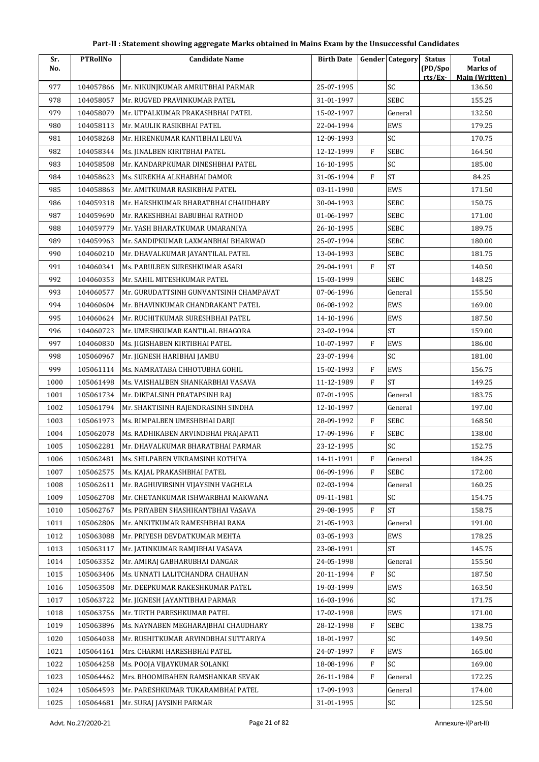| Part-II : Statement showing aggregate Marks obtained in Mains Exam by the Unsuccessful Candidates |  |
|---------------------------------------------------------------------------------------------------|--|
|---------------------------------------------------------------------------------------------------|--|

| Sr.  | <b>PTRollNo</b> | <b>Candidate Name</b>                  | <b>Birth Date</b> |              | <b>Gender</b> Category | <b>Status</b><br>(PD/Spo) | Total<br>Marks of     |
|------|-----------------|----------------------------------------|-------------------|--------------|------------------------|---------------------------|-----------------------|
| No.  |                 |                                        |                   |              |                        | rts/Ex-                   | <b>Main (Written)</b> |
| 977  | 104057866       | Mr. NIKUNJKUMAR AMRUTBHAI PARMAR       | 25-07-1995        |              | SC                     |                           | 136.50                |
| 978  | 104058057       | Mr. RUGVED PRAVINKUMAR PATEL           | 31-01-1997        |              | <b>SEBC</b>            |                           | 155.25                |
| 979  | 104058079       | Mr. UTPALKUMAR PRAKASHBHAI PATEL       | 15-02-1997        |              | General                |                           | 132.50                |
| 980  | 104058113       | Mr. MAULIK RASIKBHAI PATEL             | 22-04-1994        |              | EWS                    |                           | 179.25                |
| 981  | 104058268       | Mr. HIRENKUMAR KANTIBHAI LEUVA         | 12-09-1993        |              | SC                     |                           | 170.75                |
| 982  | 104058344       | Ms. JINALBEN KIRITBHAI PATEL           | 12-12-1999        | $\mathbf{F}$ | <b>SEBC</b>            |                           | 164.50                |
| 983  | 104058508       | Mr. KANDARPKUMAR DINESHBHAI PATEL      | 16-10-1995        |              | SC                     |                           | 185.00                |
| 984  | 104058623       | Ms. SUREKHA ALKHABHAI DAMOR            | 31-05-1994        | $\mathbf{F}$ | <b>ST</b>              |                           | 84.25                 |
| 985  | 104058863       | Mr. AMITKUMAR RASIKBHAI PATEL          | 03-11-1990        |              | <b>EWS</b>             |                           | 171.50                |
| 986  | 104059318       | Mr. HARSHKUMAR BHARATBHAI CHAUDHARY    | 30-04-1993        |              | SEBC                   |                           | 150.75                |
| 987  | 104059690       | Mr. RAKESHBHAI BABUBHAI RATHOD         | 01-06-1997        |              | <b>SEBC</b>            |                           | 171.00                |
| 988  | 104059779       | Mr. YASH BHARATKUMAR UMARANIYA         | 26-10-1995        |              | SEBC                   |                           | 189.75                |
| 989  | 104059963       | Mr. SANDIPKUMAR LAXMANBHAI BHARWAD     | 25-07-1994        |              | <b>SEBC</b>            |                           | 180.00                |
| 990  | 104060210       | Mr. DHAVALKUMAR JAYANTILAL PATEL       | 13-04-1993        |              | SEBC                   |                           | 181.75                |
| 991  | 104060341       | Ms. PARULBEN SURESHKUMAR ASARI         | 29-04-1991        | $\mathbf{F}$ | <b>ST</b>              |                           | 140.50                |
| 992  | 104060353       | Mr. SAHIL MITESHKUMAR PATEL            | 15-03-1999        |              | <b>SEBC</b>            |                           | 148.25                |
| 993  | 104060577       | Mr. GURUDATTSINH GUNVANTSINH CHAMPAVAT | 07-06-1996        |              | General                |                           | 155.50                |
| 994  | 104060604       | Mr. BHAVINKUMAR CHANDRAKANT PATEL      | 06-08-1992        |              | EWS                    |                           | 169.00                |
| 995  | 104060624       | Mr. RUCHITKUMAR SURESHBHAI PATEL       | 14-10-1996        |              | EWS                    |                           | 187.50                |
| 996  | 104060723       | Mr. UMESHKUMAR KANTILAL BHAGORA        | 23-02-1994        |              | <b>ST</b>              |                           | 159.00                |
| 997  | 104060830       | Ms. JIGISHABEN KIRTIBHAI PATEL         | 10-07-1997        | F            | EWS                    |                           | 186.00                |
| 998  | 105060967       | Mr. JIGNESH HARIBHAI JAMBU             | 23-07-1994        |              | SC                     |                           | 181.00                |
| 999  | 105061114       | Ms. NAMRATABA CHHOTUBHA GOHIL          | 15-02-1993        | $\rm F$      | <b>EWS</b>             |                           | 156.75                |
| 1000 | 105061498       | Ms. VAISHALIBEN SHANKARBHAI VASAVA     | 11-12-1989        | $\mathbf{F}$ | <b>ST</b>              |                           | 149.25                |
| 1001 | 105061734       | Mr. DIKPALSINH PRATAPSINH RAJ          | 07-01-1995        |              | General                |                           | 183.75                |
| 1002 | 105061794       | Mr. SHAKTISINH RAJENDRASINH SINDHA     | 12-10-1997        |              | General                |                           | 197.00                |
| 1003 | 105061973       | Ms. RIMPALBEN UMESHBHAI DARJI          | 28-09-1992        | $\mathbf{F}$ | SEBC                   |                           | 168.50                |
| 1004 | 105062078       | Ms. RADHIKABEN ARVINDBHAI PRAJAPATI    | 17-09-1996        | $\mathbf F$  | SEBC                   |                           | 138.00                |
| 1005 | 105062281       | Mr. DHAVALKUMAR BHARATBHAI PARMAR      | 23-12-1995        |              | SC                     |                           | 152.75                |
| 1006 | 105062481       | Ms. SHILPABEN VIKRAMSINH KOTHIYA       | 14-11-1991        | F            | General                |                           | 184.25                |
| 1007 | 105062575       | Ms. KAJAL PRAKASHBHAI PATEL            | 06-09-1996        | F            | SEBC                   |                           | 172.00                |
| 1008 | 105062611       | Mr. RAGHUVIRSINH VIIAYSINH VAGHELA     | 02-03-1994        |              | General                |                           | 160.25                |
| 1009 | 105062708       | Mr. CHETANKUMAR ISHWARBHAI MAKWANA     | 09-11-1981        |              | SC                     |                           | 154.75                |
| 1010 | 105062767       | Ms. PRIYABEN SHASHIKANTBHAI VASAVA     | 29-08-1995        | $\rm F$      | <b>ST</b>              |                           | 158.75                |
| 1011 | 105062806       | Mr. ANKITKUMAR RAMESHBHAI RANA         | 21-05-1993        |              | General                |                           | 191.00                |
| 1012 | 105063088       | Mr. PRIYESH DEVDATKUMAR MEHTA          | 03-05-1993        |              | EWS                    |                           | 178.25                |
| 1013 | 105063117       | Mr. JATINKUMAR RAMJIBHAI VASAVA        | 23-08-1991        |              | <b>ST</b>              |                           | 145.75                |
| 1014 | 105063352       | Mr. AMIRAJ GABHARUBHAI DANGAR          | 24-05-1998        |              | General                |                           | 155.50                |
| 1015 | 105063406       | Ms. UNNATI LALITCHANDRA CHAUHAN        | 20-11-1994        | $\mathbf{F}$ | SC                     |                           | 187.50                |
| 1016 | 105063508       | Mr. DEEPKUMAR RAKESHKUMAR PATEL        | 19-03-1999        |              | EWS                    |                           | 163.50                |
| 1017 | 105063722       | Mr. JIGNESH JAYANTIBHAI PARMAR         | 16-03-1996        |              | SC                     |                           | 171.75                |
| 1018 | 105063756       | Mr. TIRTH PARESHKUMAR PATEL            | 17-02-1998        |              | EWS                    |                           | 171.00                |
| 1019 | 105063896       | Ms. NAYNABEN MEGHARAJBHAI CHAUDHARY    | 28-12-1998        | $\mathbf{F}$ | <b>SEBC</b>            |                           | 138.75                |
| 1020 | 105064038       | Mr. RUSHITKUMAR ARVINDBHAI SUTTARIYA   | 18-01-1997        |              | SC                     |                           | 149.50                |
| 1021 | 105064161       | Mrs. CHARMI HARESHBHAI PATEL           | 24-07-1997        | F            | EWS                    |                           | 165.00                |
| 1022 | 105064258       | Ms. POOJA VIJAYKUMAR SOLANKI           | 18-08-1996        | $\mathbf{F}$ | SC                     |                           | 169.00                |
| 1023 | 105064462       | Mrs. BHOOMIBAHEN RAMSHANKAR SEVAK      | 26-11-1984        | F            | General                |                           | 172.25                |
| 1024 | 105064593       | Mr. PARESHKUMAR TUKARAMBHAI PATEL      | 17-09-1993        |              | General                |                           | 174.00                |
| 1025 | 105064681       | Mr. SURAJ JAYSINH PARMAR               | 31-01-1995        |              | SC                     |                           | 125.50                |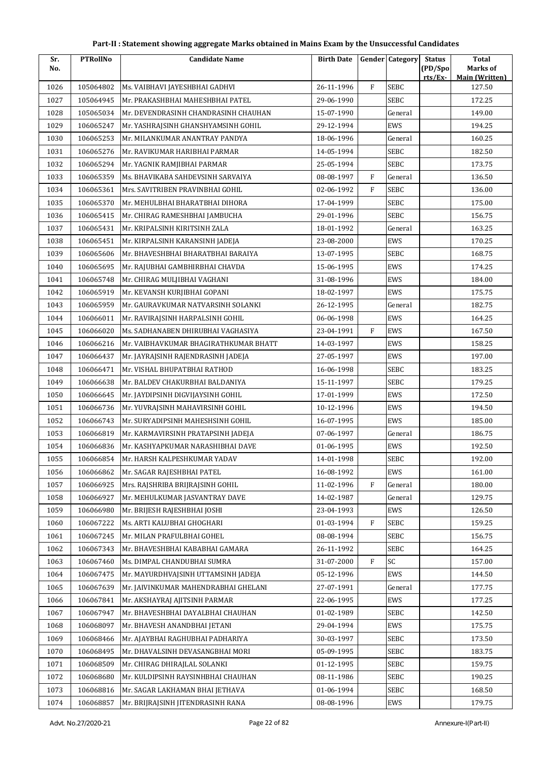| Sr.  | <b>PTRollNo</b> | <b>Candidate Name</b>                 | <b>Birth Date</b> |              | <b>Gender Category</b> | <b>Status</b>      | <b>Total</b>               |
|------|-----------------|---------------------------------------|-------------------|--------------|------------------------|--------------------|----------------------------|
| No.  |                 |                                       |                   |              |                        | (PD/Spo<br>rts/Ex- | Marks of<br>Main (Written) |
| 1026 | 105064802       | Ms. VAIBHAVI JAYESHBHAI GADHVI        | 26-11-1996        | $\mathbf{F}$ | <b>SEBC</b>            |                    | 127.50                     |
| 1027 | 105064945       | Mr. PRAKASHBHAI MAHESHBHAI PATEL      | 29-06-1990        |              | <b>SEBC</b>            |                    | 172.25                     |
| 1028 | 105065034       | Mr. DEVENDRASINH CHANDRASINH CHAUHAN  | 15-07-1990        |              | General                |                    | 149.00                     |
| 1029 | 106065247       | Mr. YASHRAJSINH GHANSHYAMSINH GOHIL   | 29-12-1994        |              | EWS                    |                    | 194.25                     |
| 1030 | 106065253       | Mr. MILANKUMAR ANANTRAY PANDYA        | 18-06-1996        |              | General                |                    | 160.25                     |
| 1031 | 106065276       | Mr. RAVIKUMAR HARIBHAI PARMAR         | 14-05-1994        |              | SEBC                   |                    | 182.50                     |
| 1032 | 106065294       | Mr. YAGNIK RAMJIBHAI PARMAR           | 25-05-1994        |              | <b>SEBC</b>            |                    | 173.75                     |
| 1033 | 106065359       | Ms. BHAVIKABA SAHDEVSINH SARVAIYA     | 08-08-1997        | $\mathbf{F}$ | General                |                    | 136.50                     |
| 1034 | 106065361       | Mrs. SAVITRIBEN PRAVINBHAI GOHIL      | 02-06-1992        | F            | SEBC                   |                    | 136.00                     |
| 1035 | 106065370       | Mr. MEHULBHAI BHARATBHAI DIHORA       | 17-04-1999        |              | <b>SEBC</b>            |                    | 175.00                     |
| 1036 | 106065415       | Mr. CHIRAG RAMESHBHAI JAMBUCHA        | 29-01-1996        |              | SEBC                   |                    | 156.75                     |
| 1037 | 106065431       | Mr. KRIPALSINH KIRITSINH ZALA         | 18-01-1992        |              | General                |                    | 163.25                     |
| 1038 | 106065451       | Mr. KIRPALSINH KARANSINH JADEJA       | 23-08-2000        |              | EWS                    |                    | 170.25                     |
| 1039 | 106065606       | Mr. BHAVESHBHAI BHARATBHAI BARAIYA    | 13-07-1995        |              | SEBC                   |                    | 168.75                     |
| 1040 | 106065695       | Mr. RAJUBHAI GAMBHIRBHAI CHAVDA       | 15-06-1995        |              | EWS                    |                    | 174.25                     |
| 1041 | 106065748       | Mr. CHIRAG MULJIBHAI VAGHANI          | 31-08-1996        |              | <b>EWS</b>             |                    | 184.00                     |
| 1042 | 106065919       | Mr. KEVANSH KURJIBHAI GOPANI          | 18-02-1997        |              | EWS                    |                    | 175.75                     |
| 1043 | 106065959       | Mr. GAURAVKUMAR NATVARSINH SOLANKI    | 26-12-1995        |              | General                |                    | 182.75                     |
| 1044 | 106066011       | Mr. RAVIRAJSINH HARPALSINH GOHIL      | 06-06-1998        |              | EWS                    |                    | 164.25                     |
| 1045 | 106066020       | Ms. SADHANABEN DHIRUBHAI VAGHASIYA    | 23-04-1991        | F            | EWS                    |                    | 167.50                     |
| 1046 | 106066216       | Mr. VAIBHAVKUMAR BHAGIRATHKUMAR BHATT | 14-03-1997        |              | <b>EWS</b>             |                    | 158.25                     |
| 1047 | 106066437       | Mr. JAYRAJSINH RAJENDRASINH JADEJA    | 27-05-1997        |              | EWS                    |                    | 197.00                     |
| 1048 | 106066471       | Mr. VISHAL BHUPATBHAI RATHOD          | 16-06-1998        |              | SEBC                   |                    | 183.25                     |
| 1049 | 106066638       | Mr. BALDEV CHAKURBHAI BALDANIYA       | 15-11-1997        |              | SEBC                   |                    | 179.25                     |
| 1050 | 106066645       | Mr. JAYDIPSINH DIGVIJAYSINH GOHIL     | 17-01-1999        |              | EWS                    |                    | 172.50                     |
| 1051 | 106066736       | Mr. YUVRAJSINH MAHAVIRSINH GOHIL      | 10-12-1996        |              | EWS                    |                    | 194.50                     |
| 1052 | 106066743       | Mr. SURYADIPSINH MAHESHSINH GOHIL     | 16-07-1995        |              | EWS                    |                    | 185.00                     |
| 1053 | 106066819       | Mr. KARMAVIRSINH PRATAPSINH JADEJA    | 07-06-1997        |              | General                |                    | 186.75                     |
| 1054 | 106066836       | Mr. KASHYAPKUMAR NARASHIBHAI DAVE     | 01-06-1995        |              | EWS                    |                    | 192.50                     |
| 1055 | 106066854       | Mr. HARSH KALPESHKUMAR YADAV          | 14-01-1998        |              | SEBC                   |                    | 192.00                     |
| 1056 | 106066862       | Mr. SAGAR RAJESHBHAI PATEL            | 16-08-1992        |              | EWS                    |                    | 161.00                     |
| 1057 | 106066925       | Mrs. RAJSHRIBA BRIJRAJSINH GOHIL      | 11-02-1996        | $\rm F$      | General                |                    | 180.00                     |
| 1058 | 106066927       | Mr. MEHULKUMAR JASVANTRAY DAVE        | 14-02-1987        |              | General                |                    | 129.75                     |
| 1059 | 106066980       | Mr. BRIJESH RAJESHBHAI JOSHI          | 23-04-1993        |              | EWS                    |                    | 126.50                     |
| 1060 | 106067222       | Ms. ARTI KALUBHAI GHOGHARI            | 01-03-1994        | $\rm F$      | SEBC                   |                    | 159.25                     |
| 1061 | 106067245       | Mr. MILAN PRAFULBHAI GOHEL            | 08-08-1994        |              | SEBC                   |                    | 156.75                     |
| 1062 | 106067343       | Mr. BHAVESHBHAI KABABHAI GAMARA       | 26-11-1992        |              | SEBC                   |                    | 164.25                     |
| 1063 | 106067460       | Ms. DIMPAL CHANDUBHAI SUMRA           | 31-07-2000        | $\mathbf{F}$ | SC                     |                    | 157.00                     |
| 1064 | 106067475       | Mr. MAYURDHVAJSINH UTTAMSINH JADEJA   | 05-12-1996        |              | EWS                    |                    | 144.50                     |
| 1065 | 106067639       | Mr. JAIVINKUMAR MAHENDRABHAI GHELANI  | 27-07-1991        |              | General                |                    | 177.75                     |
| 1066 | 106067841       | Mr. AKSHAYRAJ AJITSINH PARMAR         | 22-06-1995        |              | EWS                    |                    | 177.25                     |
| 1067 | 106067947       | Mr. BHAVESHBHAI DAYALBHAI CHAUHAN     | 01-02-1989        |              | SEBC                   |                    | 142.50                     |
| 1068 | 106068097       | Mr. BHAVESH ANANDBHAI JETANI          | 29-04-1994        |              | EWS                    |                    | 175.75                     |
| 1069 | 106068466       | Mr. AJAYBHAI RAGHUBHAI PADHARIYA      | 30-03-1997        |              | SEBC                   |                    | 173.50                     |
| 1070 | 106068495       | Mr. DHAVALSINH DEVASANGBHAI MORI      | 05-09-1995        |              | SEBC                   |                    | 183.75                     |
| 1071 | 106068509       | Mr. CHIRAG DHIRAJLAL SOLANKI          | 01-12-1995        |              | SEBC                   |                    | 159.75                     |
| 1072 | 106068680       | Mr. KULDIPSINH RAYSINHBHAI CHAUHAN    | 08-11-1986        |              | SEBC                   |                    | 190.25                     |
| 1073 | 106068816       | Mr. SAGAR LAKHAMAN BHAI JETHAVA       | 01-06-1994        |              | SEBC                   |                    | 168.50                     |
| 1074 | 106068857       | Mr. BRIJRAJSINH JITENDRASINH RANA     | 08-08-1996        |              | EWS                    |                    | 179.75                     |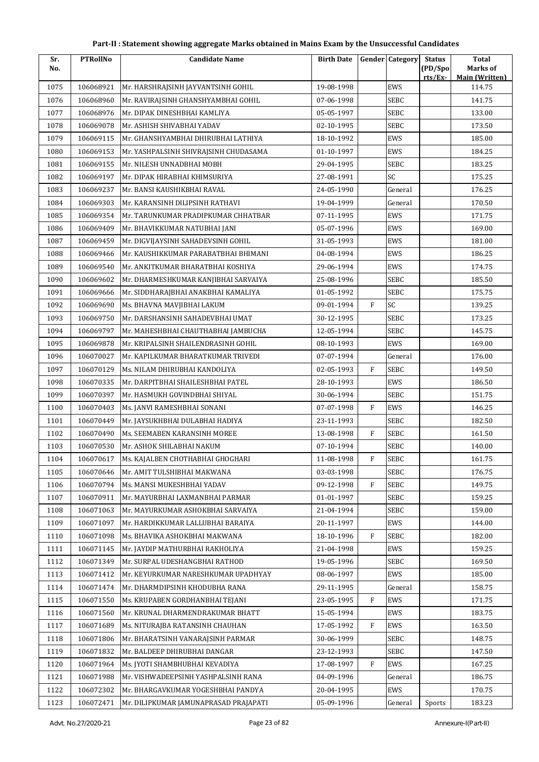| Sr.  | <b>PTRollNo</b> | <b>Candidate Name</b>                 | <b>Birth Date</b> |              | <b>Gender Category</b> | <b>Status</b> | <b>Total</b>                    |
|------|-----------------|---------------------------------------|-------------------|--------------|------------------------|---------------|---------------------------------|
| No.  |                 |                                       |                   |              |                        | (PD/Spo       | Marks of                        |
| 1075 | 106068921       | Mr. HARSHRAJSINH JAYVANTSINH GOHIL    | 19-08-1998        |              | EWS                    | rts/Ex        | <b>Main (Written)</b><br>114.75 |
| 1076 | 106068960       | Mr. RAVIRAJSINH GHANSHYAMBHAI GOHIL   | 07-06-1998        |              | <b>SEBC</b>            |               | 141.75                          |
| 1077 | 106068976       | Mr. DIPAK DINESHBHAI KAMLIYA          | 05-05-1997        |              | <b>SEBC</b>            |               | 133.00                          |
| 1078 | 106069078       | Mr. ASHISH SHIVABHAI YADAV            | 02-10-1995        |              | <b>SEBC</b>            |               | 173.50                          |
| 1079 | 106069115       | Mr. GHANSHYAMBHAI DHIRUBHAI LATHIYA   | 18-10-1992        |              | EWS                    |               | 185.00                          |
| 1080 | 106069153       | Mr. YASHPALSINH SHIVRAJSINH CHUDASAMA | 01-10-1997        |              | EWS                    |               | 184.25                          |
| 1081 | 106069155       | Mr. NILESH UNNADBHAI MOBH             | 29-04-1995        |              | <b>SEBC</b>            |               | 183.25                          |
| 1082 | 106069197       | Mr. DIPAK HIRABHAI KHIMSURIYA         | 27-08-1991        |              | SC                     |               | 175.25                          |
| 1083 | 106069237       | Mr. BANSI KAUSHIKBHAI RAVAL           | 24-05-1990        |              | General                |               | 176.25                          |
| 1084 | 106069303       | Mr. KARANSINH DILIPSINH RATHAVI       | 19-04-1999        |              | General                |               | 170.50                          |
| 1085 | 106069354       | Mr. TARUNKUMAR PRADIPKUMAR CHHATBAR   | 07-11-1995        |              | EWS                    |               | 171.75                          |
| 1086 | 106069409       | Mr. BHAVIKKUMAR NATUBHAI JANI         | 05-07-1996        |              | EWS                    |               | 169.00                          |
| 1087 | 106069459       | Mr. DIGVIJAYSINH SAHADEVSINH GOHIL    | 31-05-1993        |              | EWS                    |               | 181.00                          |
| 1088 | 106069466       | Mr. KAUSHIKKUMAR PARABATBHAI BHIMANI  | 04-08-1994        |              | EWS                    |               | 186.25                          |
| 1089 | 106069540       | Mr. ANKITKUMAR BHARATBHAI KOSHIYA     | 29-06-1994        |              | EWS                    |               | 174.75                          |
| 1090 | 106069602       | Mr. DHARMESHKUMAR KANJIBHAI SARVAIYA  | 25-08-1996        |              | <b>SEBC</b>            |               | 185.50                          |
| 1091 | 106069666       | Mr. SIDDHARAJBHAI ANAKBHAI KAMALIYA   | 01-05-1992        |              | <b>SEBC</b>            |               | 175.75                          |
| 1092 | 106069690       | Ms. BHAVNA MAVJIBHAI LAKUM            | 09-01-1994        | $\mathbf{F}$ | SC                     |               | 139.25                          |
| 1093 | 106069750       | Mr. DARSHANSINH SAHADEVBHAI UMAT      | 30-12-1995        |              | <b>SEBC</b>            |               | 173.25                          |
| 1094 | 106069797       | Mr. MAHESHBHAI CHAUTHABHAI JAMBUCHA   | 12-05-1994        |              | <b>SEBC</b>            |               | 145.75                          |
| 1095 | 106069878       | Mr. KRIPALSINH SHAILENDRASINH GOHIL   | 08-10-1993        |              | EWS                    |               | 169.00                          |
| 1096 | 106070027       | Mr. KAPILKUMAR BHARATKUMAR TRIVEDI    | 07-07-1994        |              | General                |               | 176.00                          |
| 1097 | 106070129       | Ms. NILAM DHIRUBHAI KANDOLIYA         | 02-05-1993        | F            | <b>SEBC</b>            |               | 149.50                          |
| 1098 | 106070335       | Mr. DARPITBHAI SHAILESHBHAI PATEL     | 28-10-1993        |              | EWS                    |               | 186.50                          |
| 1099 | 106070397       | Mr. HASMUKH GOVINDBHAI SHIYAL         | 30-06-1994        |              | <b>SEBC</b>            |               | 151.75                          |
| 1100 | 106070403       | Ms. JANVI RAMESHBHAI SONANI           | 07-07-1998        | F            | EWS                    |               | 146.25                          |
| 1101 | 106070449       | Mr. JAYSUKHBHAI DULABHAI HADIYA       | 23-11-1993        |              | <b>SEBC</b>            |               | 182.50                          |
| 1102 | 106070490       | Ms. SEEMABEN KARANSINH MOREE          | 13-08-1998        | F            | <b>SEBC</b>            |               | 161.50                          |
| 1103 | 106070530       | Mr. ASHOK SHILABHAI NAKUM             | 07-10-1994        |              | <b>SEBC</b>            |               | 140.00                          |
| 1104 | 106070617       | Ms. KAJALBEN CHOTHABHAI GHOGHARI      | 11-08-1998        | F            | SEBC                   |               | 161.75                          |
| 1105 | 106070646       | Mr. AMIT TULSHIBHAI MAKWANA           | 03-03-1998        |              | <b>SEBC</b>            |               | 176.75                          |
| 1106 | 106070794       | Ms. MANSI MUKESHBHAI YADAV            | 09-12-1998        | F            | <b>SEBC</b>            |               | 149.75                          |
| 1107 | 106070911       | Mr. MAYURBHAI LAXMANBHAI PARMAR       | 01-01-1997        |              | <b>SEBC</b>            |               | 159.25                          |
| 1108 | 106071063       | Mr. MAYURKUMAR ASHOKBHAI SARVAIYA     | 21-04-1994        |              | <b>SEBC</b>            |               | 159.00                          |
| 1109 | 106071097       | Mr. HARDIKKUMAR LALLUBHAI BARAIYA     | 20-11-1997        |              | EWS                    |               | 144.00                          |
| 1110 | 106071098       | Ms. BHAVIKA ASHOKBHAI MAKWANA         | 18-10-1996        | F            | <b>SEBC</b>            |               | 182.00                          |
| 1111 | 106071145       | Mr. JAYDIP MATHURBHAI RAKHOLIYA       | 21-04-1998        |              | EWS                    |               | 159.25                          |
| 1112 | 106071349       | Mr. SURPAL UDESHANGBHAI RATHOD        | 19-05-1996        |              | <b>SEBC</b>            |               | 169.50                          |
| 1113 | 106071412       | Mr. KEYURKUMAR NARESHKUMAR UPADHYAY   | 08-06-1997        |              | EWS                    |               | 185.00                          |
| 1114 | 106071474       | Mr. DHARMDIPSINH KHODUBHA RANA        | 29-11-1995        |              | General                |               | 158.75                          |
| 1115 | 106071550       | Ms. KRUPABEN GORDHANBHAI TEJANI       | 23-05-1995        | F            | EWS                    |               | 171.75                          |
| 1116 | 106071560       | Mr. KRUNAL DHARMENDRAKUMAR BHATT      | 15-05-1994        |              | EWS                    |               | 183.75                          |
| 1117 | 106071689       | Ms. NITURAJBA RATANSINH CHAUHAN       | 17-05-1992        | F            | EWS                    |               | 163.50                          |
| 1118 | 106071806       | Mr. BHARATSINH VANARAJSINH PARMAR     | 30-06-1999        |              | <b>SEBC</b>            |               | 148.75                          |
| 1119 | 106071832       | Mr. BALDEEP DHIRUBHAI DANGAR          | 23-12-1993        |              | <b>SEBC</b>            |               | 147.50                          |
| 1120 | 106071964       | Ms. JYOTI SHAMBHUBHAI KEVADIYA        | 17-08-1997        | F            | EWS                    |               | 167.25                          |
| 1121 | 106071988       | Mr. VISHWADEEPSINH YASHPALSINH RANA   | 04-09-1996        |              | General                |               | 186.75                          |
| 1122 | 106072302       | Mr. BHARGAVKUMAR YOGESHBHAI PANDYA    | 20-04-1995        |              | EWS                    |               | 170.75                          |
| 1123 | 106072471       | Mr. DILIPKUMAR JAMUNAPRASAD PRAJAPATI | 05-09-1996        |              | General                | Sports        | 183.23                          |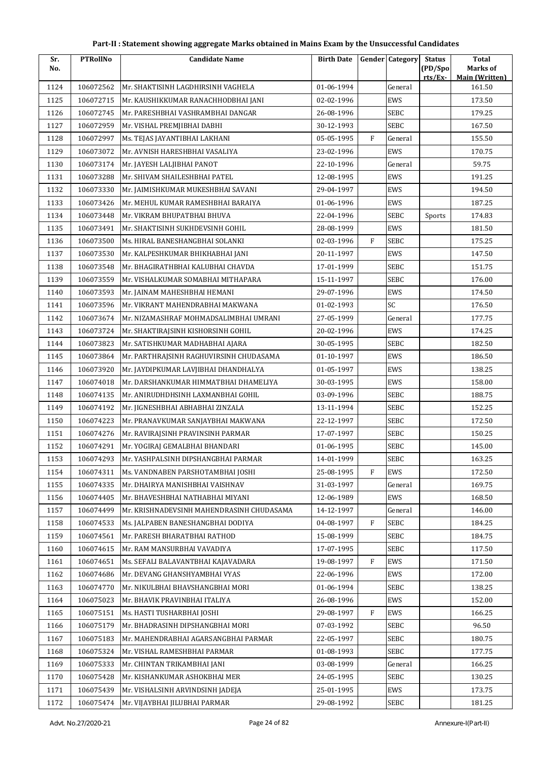| Part-II : Statement showing aggregate Marks obtained in Mains Exam by the Unsuccessful Candidates |  |
|---------------------------------------------------------------------------------------------------|--|
|---------------------------------------------------------------------------------------------------|--|

| Sr.  | <b>PTRollNo</b> | <b>Candidate Name</b>                     | <b>Birth Date</b> |         | <b>Gender Category</b> | <b>Status</b><br>(PD/Spo) | Total<br>Marks of     |
|------|-----------------|-------------------------------------------|-------------------|---------|------------------------|---------------------------|-----------------------|
| No.  |                 |                                           |                   |         |                        | rts/Ex-                   | <b>Main (Written)</b> |
| 1124 | 106072562       | Mr. SHAKTISINH LAGDHIRSINH VAGHELA        | 01-06-1994        |         | General                |                           | 161.50                |
| 1125 | 106072715       | Mr. KAUSHIKKUMAR RANACHHODBHAI JANI       | 02-02-1996        |         | EWS                    |                           | 173.50                |
| 1126 | 106072745       | Mr. PARESHBHAI VASHRAMBHAI DANGAR         | 26-08-1996        |         | SEBC                   |                           | 179.25                |
| 1127 | 106072959       | Mr. VISHAL PREMJIBHAI DABHI               | 30-12-1993        |         | <b>SEBC</b>            |                           | 167.50                |
| 1128 | 106072997       | Ms. TEJAS JAYANTIBHAI LAKHANI             | 05-05-1995        | F       | General                |                           | 155.50                |
| 1129 | 106073072       | Mr. AVNISH HARESHBHAI VASALIYA            | 23-02-1996        |         | EWS                    |                           | 170.75                |
| 1130 | 106073174       | Mr. JAYESH LALJIBHAI PANOT                | 22-10-1996        |         | General                |                           | 59.75                 |
| 1131 | 106073288       | Mr. SHIVAM SHAILESHBHAI PATEL             | 12-08-1995        |         | EWS                    |                           | 191.25                |
| 1132 | 106073330       | Mr. JAIMISHKUMAR MUKESHBHAI SAVANI        | 29-04-1997        |         | EWS                    |                           | 194.50                |
| 1133 | 106073426       | Mr. MEHUL KUMAR RAMESHBHAI BARAIYA        | 01-06-1996        |         | EWS                    |                           | 187.25                |
| 1134 | 106073448       | Mr. VIKRAM BHUPATBHAI BHUVA               | 22-04-1996        |         | <b>SEBC</b>            | Sports                    | 174.83                |
| 1135 | 106073491       | Mr. SHAKTISINH SUKHDEVSINH GOHIL          | 28-08-1999        |         | EWS                    |                           | 181.50                |
| 1136 | 106073500       | Ms. HIRAL BANESHANGBHAI SOLANKI           | 02-03-1996        | F       | <b>SEBC</b>            |                           | 175.25                |
| 1137 | 106073530       | Mr. KALPESHKUMAR BHIKHABHAI JANI          | 20-11-1997        |         | EWS                    |                           | 147.50                |
| 1138 | 106073548       | Mr. BHAGIRATHBHAI KALUBHAI CHAVDA         | 17-01-1999        |         | <b>SEBC</b>            |                           | 151.75                |
| 1139 | 106073559       | Mr. VISHALKUMAR SOMABHAI MITHAPARA        | 15-11-1997        |         | <b>SEBC</b>            |                           | 176.00                |
| 1140 | 106073593       | Mr. JAINAM MAHESHBHAI HEMANI              | 29-07-1996        |         | EWS                    |                           | 174.50                |
| 1141 | 106073596       | Mr. VIKRANT MAHENDRABHAI MAKWANA          | 01-02-1993        |         | SC                     |                           | 176.50                |
| 1142 | 106073674       | Mr. NIZAMASHRAF MOHMADSALIMBHAI UMRANI    | 27-05-1999        |         | General                |                           | 177.75                |
| 1143 | 106073724       | Mr. SHAKTIRAJSINH KISHORSINH GOHIL        | 20-02-1996        |         | EWS                    |                           | 174.25                |
| 1144 | 106073823       | Mr. SATISHKUMAR MADHABHAI AJARA           | 30-05-1995        |         | <b>SEBC</b>            |                           | 182.50                |
| 1145 | 106073864       | Mr. PARTHRAJSINH RAGHUVIRSINH CHUDASAMA   | 01-10-1997        |         | EWS                    |                           | 186.50                |
| 1146 | 106073920       | Mr. JAYDIPKUMAR LAVJIBHAI DHANDHALYA      | 01-05-1997        |         | EWS                    |                           | 138.25                |
| 1147 | 106074018       | Mr. DARSHANKUMAR HIMMATBHAI DHAMELIYA     | 30-03-1995        |         | EWS                    |                           | 158.00                |
| 1148 | 106074135       | Mr. ANIRUDHDHSINH LAXMANBHAI GOHIL        | 03-09-1996        |         | <b>SEBC</b>            |                           | 188.75                |
| 1149 | 106074192       | Mr. JIGNESHBHAI ABHABHAI ZINZALA          | 13-11-1994        |         | <b>SEBC</b>            |                           | 152.25                |
| 1150 | 106074223       | Mr. PRANAVKUMAR SANJAYBHAI MAKWANA        | 22-12-1997        |         | <b>SEBC</b>            |                           | 172.50                |
| 1151 | 106074276       | Mr. RAVIRAJSINH PRAVINSINH PARMAR         | 17-07-1997        |         | <b>SEBC</b>            |                           | 150.25                |
| 1152 | 106074291       | Mr. YOGIRAJ GEMALBHAI BHANDARI            | 01-06-1995        |         | <b>SEBC</b>            |                           | 145.00                |
| 1153 | 106074293       | Mr. YASHPALSINH DIPSHANGBHAI PARMAR       | 14-01-1999        |         | SEBC                   |                           | 163.25                |
| 1154 | 106074311       | Ms. VANDNABEN PARSHOTAMBHAI JOSHI         | 25-08-1995        | F       | EWS                    |                           | 172.50                |
| 1155 | 106074335       | Mr. DHAIRYA MANISHBHAI VAISHNAV           | 31-03-1997        |         | General                |                           | 169.75                |
| 1156 | 106074405       | Mr. BHAVESHBHAI NATHABHAI MIYANI          | 12-06-1989        |         | EWS                    |                           | 168.50                |
| 1157 | 106074499       | Mr. KRISHNADEVSINH MAHENDRASINH CHUDASAMA | 14-12-1997        |         | General                |                           | 146.00                |
| 1158 | 106074533       | Ms. JALPABEN BANESHANGBHAI DODIYA         | 04-08-1997        | F       | <b>SEBC</b>            |                           | 184.25                |
| 1159 | 106074561       | Mr. PARESH BHARATBHAI RATHOD              | 15-08-1999        |         | <b>SEBC</b>            |                           | 184.75                |
| 1160 | 106074615       | Mr. RAM MANSURBHAI VAVADIYA               | 17-07-1995        |         | <b>SEBC</b>            |                           | 117.50                |
| 1161 | 106074651       | Ms. SEFALI BALAVANTBHAI KAJAVADARA        | 19-08-1997        | F       | EWS                    |                           | 171.50                |
| 1162 | 106074686       | Mr. DEVANG GHANSHYAMBHAI VYAS             | 22-06-1996        |         | EWS                    |                           | 172.00                |
| 1163 | 106074770       | Mr. NIKULBHAI BHAVSHANGBHAI MORI          | 01-06-1994        |         | SEBC                   |                           | 138.25                |
| 1164 | 106075023       | Mr. BHAVIK PRAVINBHAI ITALIYA             | 26-08-1996        |         | EWS                    |                           | 152.00                |
| 1165 | 106075151       | Ms. HASTI TUSHARBHAI JOSHI                | 29-08-1997        | $\rm F$ | EWS                    |                           | 166.25                |
| 1166 | 106075179       | Mr. BHADRASINH DIPSHANGBHAI MORI          | 07-03-1992        |         | <b>SEBC</b>            |                           | 96.50                 |
| 1167 | 106075183       | Mr. MAHENDRABHAI AGARSANGBHAI PARMAR      | 22-05-1997        |         | <b>SEBC</b>            |                           | 180.75                |
| 1168 | 106075324       | Mr. VISHAL RAMESHBHAI PARMAR              | 01-08-1993        |         | SEBC                   |                           | 177.75                |
| 1169 | 106075333       | Mr. CHINTAN TRIKAMBHAI JANI               | 03-08-1999        |         | General                |                           | 166.25                |
| 1170 | 106075428       | Mr. KISHANKUMAR ASHOKBHAI MER             | 24-05-1995        |         | <b>SEBC</b>            |                           | 130.25                |
| 1171 | 106075439       | Mr. VISHALSINH ARVINDSINH JADEJA          | 25-01-1995        |         | EWS                    |                           | 173.75                |
| 1172 | 106075474       | Mr. VIJAYBHAI JILUBHAI PARMAR             | 29-08-1992        |         | SEBC                   |                           | 181.25                |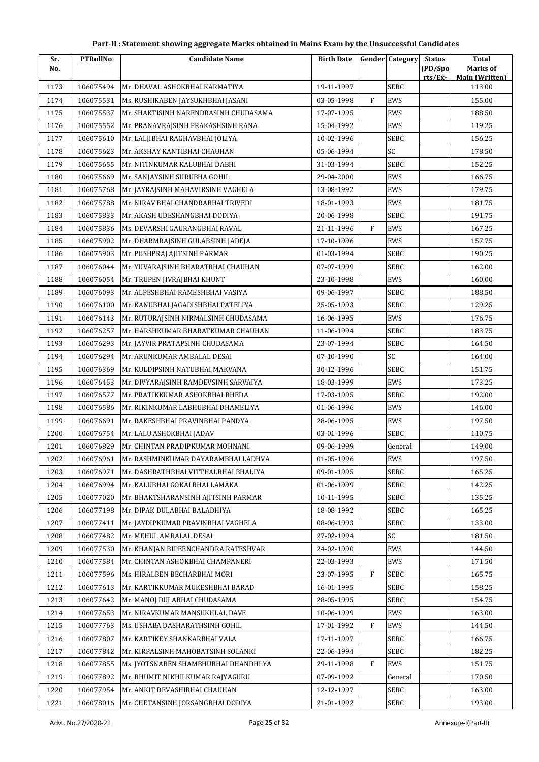| Sr.  | <b>PTRollNo</b> | <b>Candidate Name</b>                 | <b>Birth Date</b> |              | <b>Gender Category</b> | <b>Status</b>      | <b>Total</b>                      |
|------|-----------------|---------------------------------------|-------------------|--------------|------------------------|--------------------|-----------------------------------|
| No.  |                 |                                       |                   |              |                        | (PD/Spo<br>rts/Ex- | Marks of<br><b>Main (Written)</b> |
| 1173 | 106075494       | Mr. DHAVAL ASHOKBHAI KARMATIYA        | 19-11-1997        |              | <b>SEBC</b>            |                    | 113.00                            |
| 1174 | 106075531       | Ms. RUSHIKABEN JAYSUKHBHAI JASANI     | 03-05-1998        | F            | EWS                    |                    | 155.00                            |
| 1175 | 106075537       | Mr. SHAKTISINH NARENDRASINH CHUDASAMA | 17-07-1995        |              | EWS                    |                    | 188.50                            |
| 1176 | 106075552       | Mr. PRANAVRAJSINH PRAKASHSINH RANA    | 15-04-1992        |              | EWS                    |                    | 119.25                            |
| 1177 | 106075610       | Mr. LALJIBHAI RAGHAVBHAI JOLIYA       | 10-02-1996        |              | <b>SEBC</b>            |                    | 156.25                            |
| 1178 | 106075623       | Mr. AKSHAY KANTIBHAI CHAUHAN          | 05-06-1994        |              | <b>SC</b>              |                    | 178.50                            |
| 1179 | 106075655       | Mr. NITINKUMAR KALUBHAI DABHI         | 31-03-1994        |              | <b>SEBC</b>            |                    | 152.25                            |
| 1180 | 106075669       | Mr. SANJAYSINH SURUBHA GOHIL          | 29-04-2000        |              | EWS                    |                    | 166.75                            |
| 1181 | 106075768       | Mr. JAYRAJSINH MAHAVIRSINH VAGHELA    | 13-08-1992        |              | EWS                    |                    | 179.75                            |
| 1182 | 106075788       | Mr. NIRAV BHALCHANDRABHAI TRIVEDI     | 18-01-1993        |              | EWS                    |                    | 181.75                            |
| 1183 | 106075833       | Mr. AKASH UDESHANGBHAI DODIYA         | 20-06-1998        |              | <b>SEBC</b>            |                    | 191.75                            |
| 1184 | 106075836       | Ms. DEVARSHI GAURANGBHAI RAVAL        | 21-11-1996        | $\mathbf{F}$ | EWS                    |                    | 167.25                            |
| 1185 | 106075902       | Mr. DHARMRAJSINH GULABSINH JADEJA     | 17-10-1996        |              | EWS                    |                    | 157.75                            |
| 1186 | 106075903       | Mr. PUSHPRAJ AJITSINH PARMAR          | 01-03-1994        |              | <b>SEBC</b>            |                    | 190.25                            |
| 1187 | 106076044       | Mr. YUVARAJSINH BHARATBHAI CHAUHAN    | 07-07-1999        |              | <b>SEBC</b>            |                    | 162.00                            |
| 1188 | 106076054       | Mr. TRUPEN JIVRAJBHAI KHUNT           | 23-10-1998        |              | EWS                    |                    | 160.00                            |
| 1189 | 106076093       | Mr. ALPESHBHAI RAMESHBHAI VASIYA      | 09-06-1997        |              | <b>SEBC</b>            |                    | 188.50                            |
| 1190 | 106076100       | Mr. KANUBHAI JAGADISHBHAI PATELIYA    | 25-05-1993        |              | <b>SEBC</b>            |                    | 129.25                            |
| 1191 | 106076143       | Mr. RUTURAJSINH NIRMALSINH CHUDASAMA  | 16-06-1995        |              | EWS                    |                    | 176.75                            |
| 1192 | 106076257       | Mr. HARSHKUMAR BHARATKUMAR CHAUHAN    | 11-06-1994        |              | <b>SEBC</b>            |                    | 183.75                            |
| 1193 | 106076293       | Mr. JAYVIR PRATAPSINH CHUDASAMA       | 23-07-1994        |              | <b>SEBC</b>            |                    | 164.50                            |
| 1194 | 106076294       | Mr. ARUNKUMAR AMBALAL DESAI           | 07-10-1990        |              | SC                     |                    | 164.00                            |
| 1195 | 106076369       | Mr. KULDIPSINH NATUBHAI MAKVANA       | 30-12-1996        |              | <b>SEBC</b>            |                    | 151.75                            |
| 1196 | 106076453       | Mr. DIVYARAJSINH RAMDEVSINH SARVAIYA  | 18-03-1999        |              | EWS                    |                    | 173.25                            |
| 1197 | 106076577       | Mr. PRATIKKUMAR ASHOKBHAI BHEDA       | 17-03-1995        |              | <b>SEBC</b>            |                    | 192.00                            |
| 1198 | 106076586       | Mr. RIKINKUMAR LABHUBHAI DHAMELIYA    | 01-06-1996        |              | EWS                    |                    | 146.00                            |
| 1199 | 106076691       | Mr. RAKESHBHAI PRAVINBHAI PANDYA      | 28-06-1995        |              | EWS                    |                    | 197.50                            |
| 1200 | 106076754       | Mr. LALU ASHOKBHAI JADAV              | 03-01-1996        |              | <b>SEBC</b>            |                    | 110.75                            |
| 1201 | 106076829       | Mr. CHINTAN PRADIPKUMAR MOHNANI       | 09-06-1999        |              | General                |                    | 149.00                            |
| 1202 | 106076961       | Mr. RASHMINKUMAR DAYARAMBHAI LADHVA   | 01-05-1996        |              | EWS                    |                    | 197.50                            |
| 1203 | 106076971       | Mr. DASHRATHBHAI VITTHALBHAI BHALIYA  | 09-01-1995        |              | <b>SEBC</b>            |                    | 165.25                            |
| 1204 | 106076994       | Mr. KALUBHAI GOKALBHAI LAMAKA         | 01-06-1999        |              | <b>SEBC</b>            |                    | 142.25                            |
| 1205 | 106077020       | Mr. BHAKTSHARANSINH AJITSINH PARMAR   | 10-11-1995        |              | <b>SEBC</b>            |                    | 135.25                            |
| 1206 | 106077198       | Mr. DIPAK DULABHAI BALADHIYA          | 18-08-1992        |              | <b>SEBC</b>            |                    | 165.25                            |
| 1207 | 106077411       | Mr. JAYDIPKUMAR PRAVINBHAI VAGHELA    | 08-06-1993        |              | <b>SEBC</b>            |                    | 133.00                            |
| 1208 | 106077482       | Mr. MEHUL AMBALAL DESAI               | 27-02-1994        |              | SC                     |                    | 181.50                            |
| 1209 | 106077530       | Mr. KHANJAN BIPEENCHANDRA RATESHVAR   | 24-02-1990        |              | EWS                    |                    | 144.50                            |
| 1210 | 106077584       | Mr. CHINTAN ASHOKBHAI CHAMPANERI      | 22-03-1993        |              | EWS                    |                    | 171.50                            |
| 1211 | 106077596       | Ms. HIRALBEN BECHARBHAI MORI          | 23-07-1995        | F            | SEBC                   |                    | 165.75                            |
| 1212 | 106077613       | Mr. KARTIKKUMAR MUKESHBHAI BARAD      | 16-01-1995        |              | <b>SEBC</b>            |                    | 158.25                            |
| 1213 | 106077642       | Mr. MANOJ DULABHAI CHUDASAMA          | 28-05-1995        |              | <b>SEBC</b>            |                    | 154.75                            |
| 1214 | 106077653       | Mr. NIRAVKUMAR MANSUKHLAL DAVE        | 10-06-1999        |              | EWS                    |                    | 163.00                            |
| 1215 | 106077763       | Ms. USHABA DASHARATHSINH GOHIL        | 17-01-1992        | $\, {\bf F}$ | EWS                    |                    | 144.50                            |
| 1216 | 106077807       | Mr. KARTIKEY SHANKARBHAI VALA         | 17-11-1997        |              | <b>SEBC</b>            |                    | 166.75                            |
| 1217 | 106077842       | Mr. KIRPALSINH MAHOBATSINH SOLANKI    | 22-06-1994        |              | <b>SEBC</b>            |                    | 182.25                            |
| 1218 | 106077855       | Ms. JYOTSNABEN SHAMBHUBHAI DHANDHLYA  | 29-11-1998        | F            | EWS                    |                    | 151.75                            |
| 1219 | 106077892       | Mr. BHUMIT NIKHILKUMAR RAJYAGURU      | 07-09-1992        |              | General                |                    | 170.50                            |
| 1220 | 106077954       | Mr. ANKIT DEVASHIBHAI CHAUHAN         | 12-12-1997        |              | <b>SEBC</b>            |                    | 163.00                            |
| 1221 | 106078016       | Mr. CHETANSINH JORSANGBHAI DODIYA     | 21-01-1992        |              | SEBC                   |                    | 193.00                            |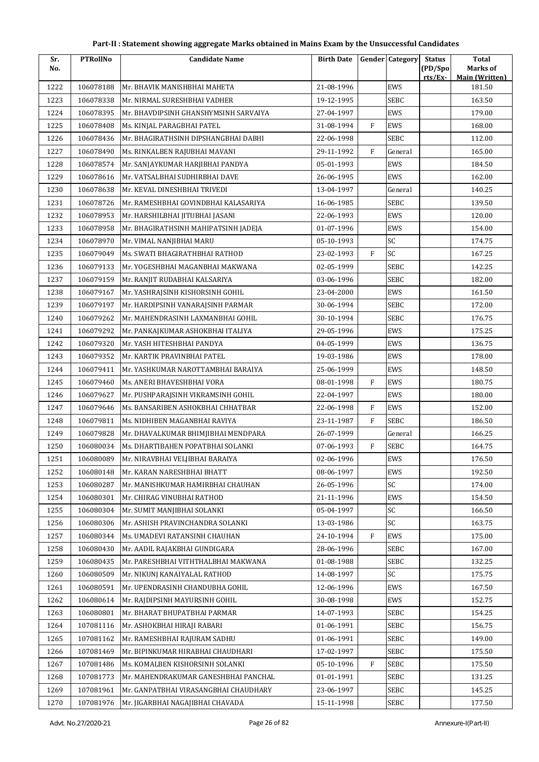| Sr.  | <b>PTRollNo</b> | <b>Candidate Name</b>                 | <b>Birth Date</b> |              | <b>Gender Category</b> | <b>Status</b>      | <b>Total</b>                      |
|------|-----------------|---------------------------------------|-------------------|--------------|------------------------|--------------------|-----------------------------------|
| No.  |                 |                                       |                   |              |                        | (PD/Spo<br>rts/Ex- | Marks of<br><b>Main (Written)</b> |
| 1222 | 106078188       | Mr. BHAVIK MANISHBHAI MAHETA          | 21-08-1996        |              | EWS                    |                    | 181.50                            |
| 1223 | 106078338       | Mr. NIRMAL SURESHBHAI VADHER          | 19-12-1995        |              | <b>SEBC</b>            |                    | 163.50                            |
| 1224 | 106078395       | Mr. BHAVDIPSINH GHANSHYMSINH SARVAIYA | 27-04-1997        |              | EWS                    |                    | 179.00                            |
| 1225 | 106078408       | Ms. KINJAL PARAGBHAI PATEL            | 31-08-1994        | $\mathbf{F}$ | EWS                    |                    | 168.00                            |
| 1226 | 106078436       | Mr. BHAGIRATHSINH DIPSHANGBHAI DABHI  | 22-06-1998        |              | SEBC                   |                    | 112.00                            |
| 1227 | 106078490       | Ms. RINKALBEN RAJUBHAI MAVANI         | 29-11-1992        | F            | General                |                    | 165.00                            |
| 1228 | 106078574       | Mr. SANJAYKUMAR HARJIBHAI PANDYA      | 05-01-1993        |              | EWS                    |                    | 184.50                            |
| 1229 | 106078616       | Mr. VATSALBHAI SUDHIRBHAI DAVE        | 26-06-1995        |              | EWS                    |                    | 162.00                            |
| 1230 | 106078638       | Mr. KEVAL DINESHBHAI TRIVEDI          | 13-04-1997        |              | General                |                    | 140.25                            |
| 1231 | 106078726       | Mr. RAMESHBHAI GOVINDBHAI KALASARIYA  | 16-06-1985        |              | <b>SEBC</b>            |                    | 139.50                            |
| 1232 | 106078953       | Mr. HARSHILBHAI JITUBHAI JASANI       | 22-06-1993        |              | EWS                    |                    | 120.00                            |
| 1233 | 106078958       | Mr. BHAGIRATHSINH MAHIPATSINH JADEJA  | 01-07-1996        |              | EWS                    |                    | 154.00                            |
| 1234 | 106078970       | Mr. VIMAL NANJIBHAI MARU              | 05-10-1993        |              | SC                     |                    | 174.75                            |
| 1235 | 106079049       | Ms. SWATI BHAGIRATHBHAI RATHOD        | 23-02-1993        | $\mathbf{F}$ | SC                     |                    | 167.25                            |
| 1236 | 106079133       | Mr. YOGESHBHAI MAGANBHAI MAKWANA      | 02-05-1999        |              | <b>SEBC</b>            |                    | 142.25                            |
| 1237 | 106079159       | Mr. RANJIT RUDABHAI KALSARIYA         | 03-06-1996        |              | <b>SEBC</b>            |                    | 182.00                            |
| 1238 | 106079167       | Mr. YASHRAJSINH KISHORSINH GOHIL      | 23-04-2000        |              | EWS                    |                    | 161.50                            |
| 1239 | 106079197       | Mr. HARDIPSINH VANARAJSINH PARMAR     | 30-06-1994        |              | <b>SEBC</b>            |                    | 172.00                            |
| 1240 | 106079262       | Mr. MAHENDRASINH LAXMANBHAI GOHIL     | 30-10-1994        |              | <b>SEBC</b>            |                    | 176.75                            |
| 1241 | 106079292       | Mr. PANKAJKUMAR ASHOKBHAI ITALIYA     | 29-05-1996        |              | EWS                    |                    | 175.25                            |
| 1242 | 106079320       | Mr. YASH HITESHBHAI PANDYA            | 04-05-1999        |              | EWS                    |                    | 136.75                            |
| 1243 | 106079352       | Mr. KARTIK PRAVINBHAI PATEL           | 19-03-1986        |              | EWS                    |                    | 178.00                            |
| 1244 | 106079411       | Mr. YASHKUMAR NAROTTAMBHAI BARAIYA    | 25-06-1999        |              | EWS                    |                    | 148.50                            |
| 1245 | 106079460       | Ms. ANERI BHAVESHBHAI VORA            | 08-01-1998        | $\mathbf{F}$ | EWS                    |                    | 180.75                            |
| 1246 | 106079627       | Mr. PUSHPARAJSINH VIKRAMSINH GOHIL    | 22-04-1997        |              | EWS                    |                    | 180.00                            |
| 1247 | 106079646       | Ms. BANSARIBEN ASHOKBHAI CHHATBAR     | 22-06-1998        | $\rm F$      | EWS                    |                    | 152.00                            |
| 1248 | 106079811       | Ms. NIDHIBEN MAGANBHAI RAVIYA         | 23-11-1987        | F            | <b>SEBC</b>            |                    | 186.50                            |
| 1249 | 106079828       | Mr. DHAVALKUMAR BHIMJIBHAI MENDPARA   | 26-07-1999        |              | General                |                    | 166.25                            |
| 1250 | 106080034       | Ms. DHARTIBAHEN POPATBHAI SOLANKI     | 07-06-1993        | $\rm F$      | <b>SEBC</b>            |                    | 164.75                            |
| 1251 | 106080089       | Mr. NIRAVBHAI VELJIBHAI BARAIYA       | 02-06-1996        |              | EWS                    |                    | 176.50                            |
| 1252 | 106080148       | Mr. KARAN NARESHBHAI BHATT            | 08-06-1997        |              | EWS                    |                    | 192.50                            |
| 1253 | 106080287       | Mr. MANISHKUMAR HAMIRBHAI CHAUHAN     | 26-05-1996        |              | SC                     |                    | 174.00                            |
| 1254 | 106080301       | Mr. CHIRAG VINUBHAI RATHOD            | 21-11-1996        |              | EWS                    |                    | 154.50                            |
| 1255 | 106080304       | Mr. SUMIT MANJIBHAI SOLANKI           | 05-04-1997        |              | SC                     |                    | 166.50                            |
| 1256 | 106080306       | Mr. ASHISH PRAVINCHANDRA SOLANKI      | 13-03-1986        |              | SC                     |                    | 163.75                            |
| 1257 | 106080344       | Ms. UMADEVI RATANSINH CHAUHAN         | 24-10-1994        | F            | EWS                    |                    | 175.00                            |
| 1258 | 106080430       | Mr. AADIL RAJAKBHAI GUNDIGARA         | 28-06-1996        |              | <b>SEBC</b>            |                    | 167.00                            |
| 1259 | 106080435       | Mr. PARESHBHAI VITHTHALBHAI MAKWANA   | 01-08-1988        |              | SEBC                   |                    | 132.25                            |
| 1260 | 106080509       | Mr. NIKUNJ KANAIYALAL RATHOD          | 14-08-1997        |              | SC                     |                    | 175.75                            |
| 1261 | 106080591       | Mr. UPENDRASINH CHANDUBHA GOHIL       | 12-06-1996        |              | EWS                    |                    | 167.50                            |
| 1262 | 106080614       | Mr. RAJDIPSINH MAYURSINH GOHIL        | 30-08-1998        |              | EWS                    |                    | 152.75                            |
| 1263 | 106080801       | Mr. BHARAT BHUPATBHAI PARMAR          | 14-07-1993        |              | SEBC                   |                    | 154.25                            |
| 1264 | 107081116       | Mr. ASHOKBHAI HIRAJI RABARI           | 01-06-1991        |              | <b>SEBC</b>            |                    | 156.75                            |
| 1265 | 107081162       | Mr. RAMESHBHAI RAJURAM SADHU          | 01-06-1991        |              | <b>SEBC</b>            |                    | 149.00                            |
| 1266 | 107081469       | Mr. BIPINKUMAR HIRABHAI CHAUDHARI     | 17-02-1997        |              | <b>SEBC</b>            |                    | 175.50                            |
| 1267 | 107081486       | Ms. KOMALBEN KISHORSINH SOLANKI       | 05-10-1996        | ${\rm F}$    | <b>SEBC</b>            |                    | 175.50                            |
| 1268 | 107081773       | Mr. MAHENDRAKUMAR GANESHBHAI PANCHAL  | 01-01-1991        |              | SEBC                   |                    | 131.25                            |
| 1269 | 107081961       | Mr. GANPATBHAI VIRASANGBHAI CHAUDHARY | 23-06-1997        |              | <b>SEBC</b>            |                    | 145.25                            |
| 1270 | 107081976       | Mr. JIGARBHAI NAGAJIBHAI CHAVADA      | 15-11-1998        |              | SEBC                   |                    | 177.50                            |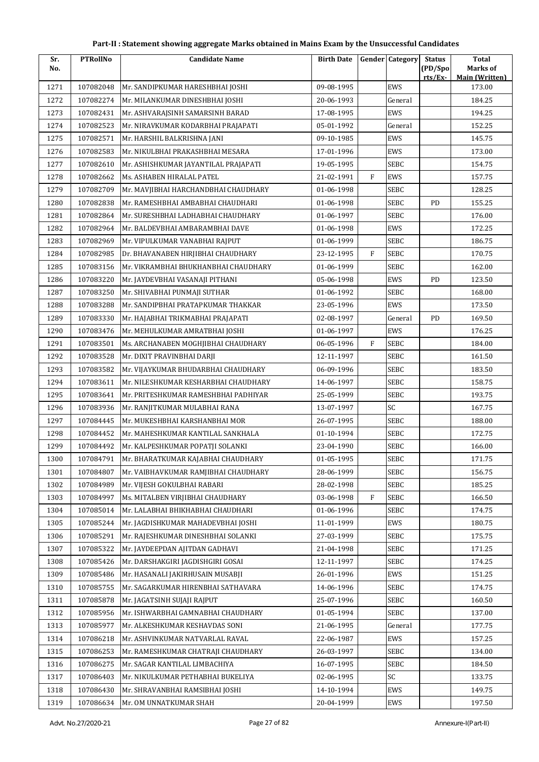| Sr.  | <b>PTRollNo</b> | <b>Candidate Name</b>                | <b>Birth Date</b> |              | <b>Gender Category</b> | <b>Status</b> | <b>Total</b>                    |
|------|-----------------|--------------------------------------|-------------------|--------------|------------------------|---------------|---------------------------------|
| No.  |                 |                                      |                   |              |                        | (PD/Spo       | Marks of                        |
| 1271 | 107082048       | Mr. SANDIPKUMAR HARESHBHAI JOSHI     | 09-08-1995        |              | EWS                    | rts/Ex-       | <b>Main (Written)</b><br>173.00 |
| 1272 | 107082274       | Mr. MILANKUMAR DINESHBHAI JOSHI      | 20-06-1993        |              | General                |               | 184.25                          |
| 1273 | 107082431       | Mr. ASHVARAJSINH SAMARSINH BARAD     | 17-08-1995        |              | EWS                    |               | 194.25                          |
| 1274 | 107082523       | Mr. NIRAVKUMAR KODARBHAI PRAJAPATI   | 05-01-1992        |              | General                |               | 152.25                          |
| 1275 | 107082571       | Mr. HARSHIL BALKRISHNA JANI          | 09-10-1985        |              | EWS                    |               | 145.75                          |
| 1276 | 107082583       | Mr. NIKULBHAI PRAKASHBHAI MESARA     | 17-01-1996        |              | EWS                    |               | 173.00                          |
| 1277 | 107082610       | Mr. ASHISHKUMAR JAYANTILAL PRAJAPATI | 19-05-1995        |              | SEBC                   |               | 154.75                          |
| 1278 | 107082662       | Ms. ASHABEN HIRALAL PATEL            | 21-02-1991        | $\mathbf{F}$ | EWS                    |               | 157.75                          |
| 1279 | 107082709       | Mr. MAVJIBHAI HARCHANDBHAI CHAUDHARY | 01-06-1998        |              | SEBC                   |               | 128.25                          |
| 1280 | 107082838       | Mr. RAMESHBHAI AMBABHAI CHAUDHARI    | 01-06-1998        |              | SEBC                   | <b>PD</b>     | 155.25                          |
| 1281 | 107082864       | Mr. SURESHBHAI LADHABHAI CHAUDHARY   | 01-06-1997        |              | SEBC                   |               | 176.00                          |
| 1282 | 107082964       | Mr. BALDEVBHAI AMBARAMBHAI DAVE      | 01-06-1998        |              | EWS                    |               | 172.25                          |
| 1283 | 107082969       | Mr. VIPULKUMAR VANABHAI RAJPUT       | 01-06-1999        |              | SEBC                   |               | 186.75                          |
| 1284 | 107082985       | Dr. BHAVANABEN HIRJIBHAI CHAUDHARY   | 23-12-1995        | F            | SEBC                   |               | 170.75                          |
| 1285 | 107083156       | Mr. VIKRAMBHAI BHUKHANBHAI CHAUDHARY | 01-06-1999        |              | SEBC                   |               | 162.00                          |
| 1286 | 107083220       | Mr. JAYDEVBHAI VASANAJI PITHANI      | 05-06-1998        |              | EWS                    | PD            | 123.50                          |
| 1287 | 107083250       | Mr. SHIVABHAI PUNMAJI SUTHAR         | 01-06-1992        |              | SEBC                   |               | 168.00                          |
| 1288 | 107083288       | Mr. SANDIPBHAI PRATAPKUMAR THAKKAR   | 23-05-1996        |              | EWS                    |               | 173.50                          |
| 1289 | 107083330       | Mr. HAJABHAI TRIKMABHAI PRAJAPATI    | 02-08-1997        |              | General                | PD            | 169.50                          |
| 1290 | 107083476       | Mr. MEHULKUMAR AMRATBHAI JOSHI       | 01-06-1997        |              | EWS                    |               | 176.25                          |
| 1291 | 107083501       | Ms. ARCHANABEN MOGHJIBHAI CHAUDHARY  | 06-05-1996        | $\rm F$      | <b>SEBC</b>            |               | 184.00                          |
| 1292 | 107083528       | Mr. DIXIT PRAVINBHAI DARJI           | 12-11-1997        |              | SEBC                   |               | 161.50                          |
| 1293 | 107083582       | Mr. VIJAYKUMAR BHUDARBHAI CHAUDHARY  | 06-09-1996        |              | SEBC                   |               | 183.50                          |
| 1294 | 107083611       | Mr. NILESHKUMAR KESHARBHAI CHAUDHARY | 14-06-1997        |              | <b>SEBC</b>            |               | 158.75                          |
| 1295 | 107083641       | Mr. PRITESHKUMAR RAMESHBHAI PADHIYAR | 25-05-1999        |              | SEBC                   |               | 193.75                          |
| 1296 | 107083936       | Mr. RANJITKUMAR MULABHAI RANA        | 13-07-1997        |              | SC                     |               | 167.75                          |
| 1297 | 107084445       | Mr. MUKESHBHAI KARSHANBHAI MOR       | 26-07-1995        |              | SEBC                   |               | 188.00                          |
| 1298 | 107084452       | Mr. MAHESHKUMAR KANTILAL SANKHALA    | 01-10-1994        |              | SEBC                   |               | 172.75                          |
| 1299 | 107084492       | Mr. KALPESHKUMAR POPATJI SOLANKI     | 23-04-1990        |              | SEBC                   |               | 166.00                          |
| 1300 | 107084791       | Mr. BHARATKUMAR KAJABHAI CHAUDHARY   | 01-05-1995        |              | SEBC                   |               | 171.75                          |
| 1301 | 107084807       | Mr. VAIBHAVKUMAR RAMJIBHAI CHAUDHARY | 28-06-1999        |              | SEBC                   |               | 156.75                          |
| 1302 | 107084989       | Mr. VIJESH GOKULBHAI RABARI          | 28-02-1998        |              | <b>SEBC</b>            |               | 185.25                          |
| 1303 | 107084997       | Ms. MITALBEN VIRJIBHAI CHAUDHARY     | 03-06-1998        | F            | SEBC                   |               | 166.50                          |
| 1304 | 107085014       | Mr. LALABHAI BHIKHABHAI CHAUDHARI    | 01-06-1996        |              | SEBC                   |               | 174.75                          |
| 1305 | 107085244       | Mr. JAGDISHKUMAR MAHADEVBHAI JOSHI   | 11-01-1999        |              | EWS                    |               | 180.75                          |
| 1306 | 107085291       | Mr. RAJESHKUMAR DINESHBHAI SOLANKI   | 27-03-1999        |              | SEBC                   |               | 175.75                          |
| 1307 | 107085322       | Mr. JAYDEEPDAN AJITDAN GADHAVI       | 21-04-1998        |              | SEBC                   |               | 171.25                          |
| 1308 | 107085426       | Mr. DARSHAKGIRI JAGDISHGIRI GOSAI    | 12-11-1997        |              | SEBC                   |               | 174.25                          |
| 1309 | 107085486       | Mr. HASANALI JAKIRHUSAIN MUSABJI     | 26-01-1996        |              | EWS                    |               | 151.25                          |
| 1310 | 107085755       | Mr. SAGARKUMAR HIRENBHAI SATHAVARA   | 14-06-1996        |              | SEBC                   |               | 174.75                          |
| 1311 | 107085878       | Mr. JAGATSINH SUJAJI RAJPUT          | 25-07-1996        |              | SEBC                   |               | 160.50                          |
| 1312 | 107085956       | Mr. ISHWARBHAI GAMNABHAI CHAUDHARY   | 01-05-1994        |              | SEBC                   |               | 137.00                          |
| 1313 | 107085977       | Mr. ALKESHKUMAR KESHAVDAS SONI       | 21-06-1995        |              | General                |               | 177.75                          |
| 1314 | 107086218       | Mr. ASHVINKUMAR NATVARLAL RAVAL      | 22-06-1987        |              | EWS                    |               | 157.25                          |
| 1315 | 107086253       | Mr. RAMESHKUMAR CHATRAJI CHAUDHARY   | 26-03-1997        |              | SEBC                   |               | 134.00                          |
| 1316 | 107086275       | Mr. SAGAR KANTILAL LIMBACHIYA        | 16-07-1995        |              | SEBC                   |               | 184.50                          |
| 1317 | 107086403       | Mr. NIKULKUMAR PETHABHAI BUKELIYA    | 02-06-1995        |              | SC                     |               | 133.75                          |
| 1318 | 107086430       | Mr. SHRAVANBHAI RAMSIBHAI JOSHI      | 14-10-1994        |              | EWS                    |               | 149.75                          |
| 1319 | 107086634       | Mr. OM UNNATKUMAR SHAH               | 20-04-1999        |              | EWS                    |               | 197.50                          |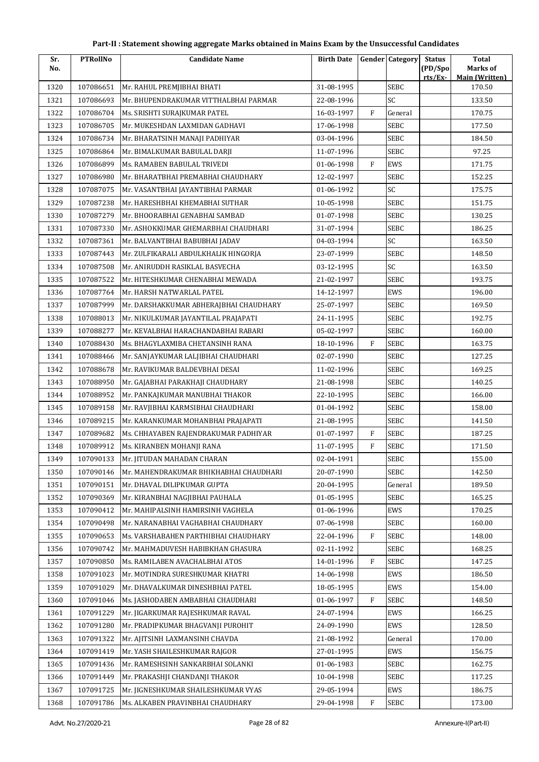| Sr.  | <b>PTRollNo</b> | <b>Candidate Name</b>                  | <b>Birth Date</b> |              | <b>Gender Category</b> | <b>Status</b>      | <b>Total</b>                      |
|------|-----------------|----------------------------------------|-------------------|--------------|------------------------|--------------------|-----------------------------------|
| No.  |                 |                                        |                   |              |                        | (PD/Spo<br>rts/Ex- | Marks of<br><b>Main (Written)</b> |
| 1320 | 107086651       | Mr. RAHUL PREMJIBHAI BHATI             | 31-08-1995        |              | <b>SEBC</b>            |                    | 170.50                            |
| 1321 | 107086693       | Mr. BHUPENDRAKUMAR VITTHALBHAI PARMAR  | 22-08-1996        |              | SC                     |                    | 133.50                            |
| 1322 | 107086704       | Ms. SRISHTI SURAJKUMAR PATEL           | 16-03-1997        | $\mathbf{F}$ | General                |                    | 170.75                            |
| 1323 | 107086705       | Mr. MUKESHDAN LAXMIDAN GADHAVI         | 17-06-1998        |              | <b>SEBC</b>            |                    | 177.50                            |
| 1324 | 107086734       | Mr. BHARATSINH MANAJI PADHIYAR         | 03-04-1996        |              | SEBC                   |                    | 184.50                            |
| 1325 | 107086864       | Mr. BIMALKUMAR BABULAL DARJI           | 11-07-1996        |              | SEBC                   |                    | 97.25                             |
| 1326 | 107086899       | Ms. RAMABEN BABULAL TRIVEDI            | 01-06-1998        | $\mathbf{F}$ | EWS                    |                    | 171.75                            |
| 1327 | 107086980       | Mr. BHARATBHAI PREMABHAI CHAUDHARY     | 12-02-1997        |              | <b>SEBC</b>            |                    | 152.25                            |
| 1328 | 107087075       | Mr. VASANTBHAI JAYANTIBHAI PARMAR      | 01-06-1992        |              | SC                     |                    | 175.75                            |
| 1329 | 107087238       | Mr. HARESHBHAI KHEMABHAI SUTHAR        | 10-05-1998        |              | <b>SEBC</b>            |                    | 151.75                            |
| 1330 | 107087279       | Mr. BHOORABHAI GENABHAI SAMBAD         | 01-07-1998        |              | <b>SEBC</b>            |                    | 130.25                            |
| 1331 | 107087330       | Mr. ASHOKKUMAR GHEMARBHAI CHAUDHARI    | 31-07-1994        |              | SEBC                   |                    | 186.25                            |
| 1332 | 107087361       | Mr. BALVANTBHAI BABUBHAI JADAV         | 04-03-1994        |              | SC                     |                    | 163.50                            |
| 1333 | 107087443       | Mr. ZULFIKARALI ABDULKHALIK HINGORJA   | 23-07-1999        |              | <b>SEBC</b>            |                    | 148.50                            |
| 1334 | 107087508       | Mr. ANIRUDDH RASIKLAL BASVECHA         | 03-12-1995        |              | SC                     |                    | 163.50                            |
| 1335 | 107087522       | Mr. HITESHKUMAR CHENABHAI MEWADA       | 21-02-1997        |              | <b>SEBC</b>            |                    | 193.75                            |
| 1336 | 107087764       | Mr. HARSH NATWARLAL PATEL              | 14-12-1997        |              | EWS                    |                    | 196.00                            |
| 1337 | 107087999       | Mr. DARSHAKKUMAR ABHERAJBHAI CHAUDHARY | 25-07-1997        |              | <b>SEBC</b>            |                    | 169.50                            |
| 1338 | 107088013       | Mr. NIKULKUMAR JAYANTILAL PRAJAPATI    | 24-11-1995        |              | <b>SEBC</b>            |                    | 192.75                            |
| 1339 | 107088277       | Mr. KEVALBHAI HARACHANDABHAI RABARI    | 05-02-1997        |              | <b>SEBC</b>            |                    | 160.00                            |
| 1340 | 107088430       | Ms. BHAGYLAXMIBA CHETANSINH RANA       | 18-10-1996        | $\mathbf F$  | SEBC                   |                    | 163.75                            |
| 1341 | 107088466       | Mr. SANJAYKUMAR LALJIBHAI CHAUDHARI    | 02-07-1990        |              | <b>SEBC</b>            |                    | 127.25                            |
| 1342 | 107088678       | Mr. RAVIKUMAR BALDEVBHAI DESAI         | 11-02-1996        |              | <b>SEBC</b>            |                    | 169.25                            |
| 1343 | 107088950       | Mr. GAJABHAI PARAKHAJI CHAUDHARY       | 21-08-1998        |              | <b>SEBC</b>            |                    | 140.25                            |
| 1344 | 107088952       | Mr. PANKAJKUMAR MANUBHAI THAKOR        | 22-10-1995        |              | <b>SEBC</b>            |                    | 166.00                            |
| 1345 | 107089158       | Mr. RAVJIBHAI KARMSIBHAI CHAUDHARI     | 01-04-1992        |              | <b>SEBC</b>            |                    | 158.00                            |
| 1346 | 107089215       | Mr. KARANKUMAR MOHANBHAI PRAJAPATI     | 21-08-1995        |              | <b>SEBC</b>            |                    | 141.50                            |
| 1347 | 107089682       | Ms. CHHAYABEN RAJENDRAKUMAR PADHIYAR   | 01-07-1997        | F            | <b>SEBC</b>            |                    | 187.25                            |
| 1348 | 107089912       | Ms. KIRANBEN MOHANJI RANA              | 11-07-1995        | ${\rm F}$    | <b>SEBC</b>            |                    | 171.50                            |
| 1349 | 107090133       | Mr. JITUDAN MAHADAN CHARAN             | 02-04-1991        |              | <b>SEBC</b>            |                    | 155.00                            |
| 1350 | 107090146       | Mr. MAHENDRAKUMAR BHIKHABHAI CHAUDHARI | 20-07-1990        |              | <b>SEBC</b>            |                    | 142.50                            |
| 1351 | 107090151       | Mr. DHAVAL DILIPKUMAR GUPTA            | 20-04-1995        |              | General                |                    | 189.50                            |
| 1352 | 107090369       | Mr. KIRANBHAI NAGJIBHAI PAUHALA        | 01-05-1995        |              | <b>SEBC</b>            |                    | 165.25                            |
| 1353 | 107090412       | Mr. MAHIPALSINH HAMIRSINH VAGHELA      | 01-06-1996        |              | EWS                    |                    | 170.25                            |
| 1354 | 107090498       | Mr. NARANABHAI VAGHABHAI CHAUDHARY     | 07-06-1998        |              | SEBC                   |                    | 160.00                            |
| 1355 | 107090653       | Ms. VARSHABAHEN PARTHIBHAI CHAUDHARY   | 22-04-1996        | F            | <b>SEBC</b>            |                    | 148.00                            |
| 1356 | 107090742       | Mr. MAHMADUVESH HABIBKHAN GHASURA      | 02-11-1992        |              | <b>SEBC</b>            |                    | 168.25                            |
| 1357 | 107090850       | Ms. RAMILABEN AVACHALBHAI ATOS         | 14-01-1996        | ${\rm F}$    | <b>SEBC</b>            |                    | 147.25                            |
| 1358 | 107091023       | Mr. MOTINDRA SURESHKUMAR KHATRI        | 14-06-1998        |              | EWS                    |                    | 186.50                            |
| 1359 | 107091029       | Mr. DHAVALKUMAR DINESHBHAI PATEL       | 18-05-1995        |              | EWS                    |                    | 154.00                            |
| 1360 | 107091046       | Ms. JASHODABEN AMBABHAI CHAUDHARI      | 01-06-1997        | F            | <b>SEBC</b>            |                    | 148.50                            |
| 1361 | 107091229       | Mr. JIGARKUMAR RAJESHKUMAR RAVAL       | 24-07-1994        |              | EWS                    |                    | 166.25                            |
| 1362 | 107091280       | Mr. PRADIPKUMAR BHAGVANJI PUROHIT      | 24-09-1990        |              | EWS                    |                    | 128.50                            |
| 1363 | 107091322       | Mr. AJITSINH LAXMANSINH CHAVDA         | 21-08-1992        |              | General                |                    | 170.00                            |
| 1364 | 107091419       | Mr. YASH SHAILESHKUMAR RAJGOR          | 27-01-1995        |              | EWS                    |                    | 156.75                            |
| 1365 | 107091436       | Mr. RAMESHSINH SANKARBHAI SOLANKI      | 01-06-1983        |              | <b>SEBC</b>            |                    | 162.75                            |
| 1366 | 107091449       | Mr. PRAKASHJI CHANDANJI THAKOR         | 10-04-1998        |              | SEBC                   |                    | 117.25                            |
| 1367 | 107091725       | Mr. JIGNESHKUMAR SHAILESHKUMAR VYAS    | 29-05-1994        |              | EWS                    |                    | 186.75                            |
| 1368 | 107091786       | Ms. ALKABEN PRAVINBHAI CHAUDHARY       | 29-04-1998        | F            | SEBC                   |                    | 173.00                            |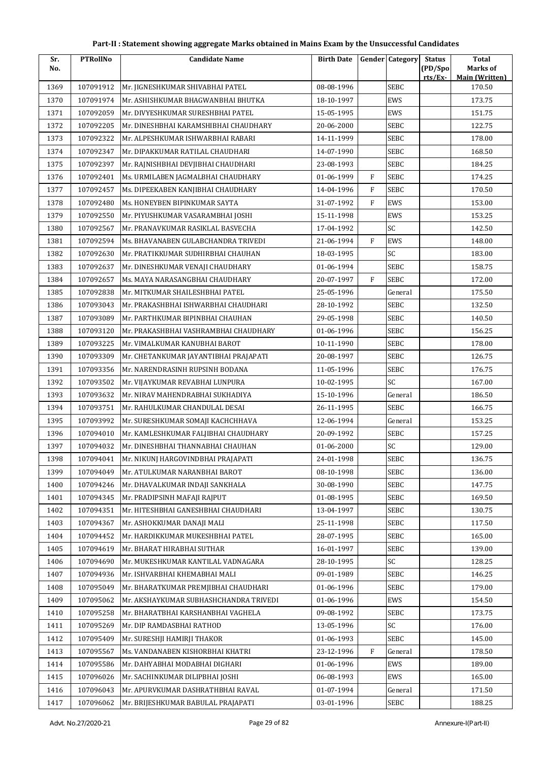| Sr.  | <b>PTRollNo</b> | <b>Candidate Name</b>                  | <b>Birth Date</b> |              | <b>Gender Category</b> | <b>Status</b>      | <b>Total</b>                      |
|------|-----------------|----------------------------------------|-------------------|--------------|------------------------|--------------------|-----------------------------------|
| No.  |                 |                                        |                   |              |                        | (PD/Spo<br>rts/Ex- | Marks of<br><b>Main (Written)</b> |
| 1369 | 107091912       | Mr. JIGNESHKUMAR SHIVABHAI PATEL       | 08-08-1996        |              | <b>SEBC</b>            |                    | 170.50                            |
| 1370 | 107091974       | Mr. ASHISHKUMAR BHAGWANBHAI BHUTKA     | 18-10-1997        |              | EWS                    |                    | 173.75                            |
| 1371 | 107092059       | Mr. DIVYESHKUMAR SURESHBHAI PATEL      | 15-05-1995        |              | EWS                    |                    | 151.75                            |
| 1372 | 107092205       | Mr. DINESHBHAI KARAMSHIBHAI CHAUDHARY  | 20-06-2000        |              | <b>SEBC</b>            |                    | 122.75                            |
| 1373 | 107092322       | Mr. ALPESHKUMAR ISHWARBHAI RABARI      | 14-11-1999        |              | SEBC                   |                    | 178.00                            |
| 1374 | 107092347       | Mr. DIPAKKUMAR RATILAL CHAUDHARI       | 14-07-1990        |              | <b>SEBC</b>            |                    | 168.50                            |
| 1375 | 107092397       | Mr. RAJNISHBHAI DEVJIBHAI CHAUDHARI    | 23-08-1993        |              | <b>SEBC</b>            |                    | 184.25                            |
| 1376 | 107092401       | Ms. URMILABEN JAGMALBHAI CHAUDHARY     | 01-06-1999        | $\mathbf{F}$ | SEBC                   |                    | 174.25                            |
| 1377 | 107092457       | Ms. DIPEEKABEN KANJIBHAI CHAUDHARY     | 14-04-1996        | F            | <b>SEBC</b>            |                    | 170.50                            |
| 1378 | 107092480       | Ms. HONEYBEN BIPINKUMAR SAYTA          | 31-07-1992        | $\mathbf{F}$ | EWS                    |                    | 153.00                            |
| 1379 | 107092550       | Mr. PIYUSHKUMAR VASARAMBHAI JOSHI      | 15-11-1998        |              | EWS                    |                    | 153.25                            |
| 1380 | 107092567       | Mr. PRANAVKUMAR RASIKLAL BASVECHA      | 17-04-1992        |              | SC                     |                    | 142.50                            |
| 1381 | 107092594       | Ms. BHAVANABEN GULABCHANDRA TRIVEDI    | 21-06-1994        | $\mathbf{F}$ | EWS                    |                    | 148.00                            |
| 1382 | 107092630       | Mr. PRATIKKUMAR SUDHIRBHAI CHAUHAN     | 18-03-1995        |              | SC                     |                    | 183.00                            |
| 1383 | 107092637       | Mr. DINESHKUMAR VENAJI CHAUDHARY       | 01-06-1994        |              | <b>SEBC</b>            |                    | 158.75                            |
| 1384 | 107092657       | Ms. MAYA NARASANGBHAI CHAUDHARY        | 20-07-1997        | $\rm F$      | <b>SEBC</b>            |                    | 172.00                            |
| 1385 | 107092838       | Mr. MITKUMAR SHAILESHBHAI PATEL        | 25-05-1996        |              | General                |                    | 175.50                            |
| 1386 | 107093043       | Mr. PRAKASHBHAI ISHWARBHAI CHAUDHARI   | 28-10-1992        |              | <b>SEBC</b>            |                    | 132.50                            |
| 1387 | 107093089       | Mr. PARTHKUMAR BIPINBHAI CHAUHAN       | 29-05-1998        |              | <b>SEBC</b>            |                    | 140.50                            |
| 1388 | 107093120       | Mr. PRAKASHBHAI VASHRAMBHAI CHAUDHARY  | 01-06-1996        |              | SEBC                   |                    | 156.25                            |
| 1389 | 107093225       | Mr. VIMALKUMAR KANUBHAI BAROT          | 10-11-1990        |              | SEBC                   |                    | 178.00                            |
| 1390 | 107093309       | Mr. CHETANKUMAR JAYANTIBHAI PRAJAPATI  | 20-08-1997        |              | <b>SEBC</b>            |                    | 126.75                            |
| 1391 | 107093356       | Mr. NARENDRASINH RUPSINH BODANA        | 11-05-1996        |              | <b>SEBC</b>            |                    | 176.75                            |
| 1392 | 107093502       | Mr. VIJAYKUMAR REVABHAI LUNPURA        | 10-02-1995        |              | SC                     |                    | 167.00                            |
| 1393 | 107093632       | Mr. NIRAV MAHENDRABHAI SUKHADIYA       | 15-10-1996        |              | General                |                    | 186.50                            |
| 1394 | 107093751       | Mr. RAHULKUMAR CHANDULAL DESAI         | 26-11-1995        |              | SEBC                   |                    | 166.75                            |
| 1395 | 107093992       | Mr. SURESHKUMAR SOMAJI KACHCHHAVA      | 12-06-1994        |              | General                |                    | 153.25                            |
| 1396 | 107094010       | Mr. KAMLESHKUMAR FALJIBHAI CHAUDHARY   | 20-09-1992        |              | SEBC                   |                    | 157.25                            |
| 1397 | 107094032       | Mr. DINESHBHAI THANNABHAI CHAUHAN      | 01-06-2000        |              | SC                     |                    | 129.00                            |
| 1398 | 107094041       | Mr. NIKUNJ HARGOVINDBHAI PRAJAPATI     | 24-01-1998        |              | <b>SEBC</b>            |                    | 136.75                            |
| 1399 | 107094049       | Mr. ATULKUMAR NARANBHAI BAROT          | 08-10-1998        |              | <b>SEBC</b>            |                    | 136.00                            |
| 1400 | 107094246       | Mr. DHAVALKUMAR INDAJI SANKHALA        | 30-08-1990        |              | SEBC                   |                    | 147.75                            |
| 1401 | 107094345       | Mr. PRADIPSINH MAFAJI RAJPUT           | 01-08-1995        |              | <b>SEBC</b>            |                    | 169.50                            |
| 1402 | 107094351       | Mr. HITESHBHAI GANESHBHAI CHAUDHARI    | 13-04-1997        |              | <b>SEBC</b>            |                    | 130.75                            |
| 1403 | 107094367       | Mr. ASHOKKUMAR DANAJI MALI             | 25-11-1998        |              | SEBC                   |                    | 117.50                            |
| 1404 | 107094452       | Mr. HARDIKKUMAR MUKESHBHAI PATEL       | 28-07-1995        |              | SEBC                   |                    | 165.00                            |
| 1405 | 107094619       | Mr. BHARAT HIRABHAI SUTHAR             | 16-01-1997        |              | <b>SEBC</b>            |                    | 139.00                            |
| 1406 | 107094690       | Mr. MUKESHKUMAR KANTILAL VADNAGARA     | 28-10-1995        |              | SC                     |                    | 128.25                            |
| 1407 | 107094936       | Mr. ISHVARBHAI KHEMABHAI MALI          | 09-01-1989        |              | SEBC                   |                    | 146.25                            |
| 1408 | 107095049       | Mr. BHARATKUMAR PREMJIBHAI CHAUDHARI   | 01-06-1996        |              | SEBC                   |                    | 179.00                            |
| 1409 | 107095062       | Mr. AKSHAYKUMAR SUBHASHCHANDRA TRIVEDI | 01-06-1996        |              | EWS                    |                    | 154.50                            |
| 1410 | 107095258       | Mr. BHARATBHAI KARSHANBHAI VAGHELA     | 09-08-1992        |              | SEBC                   |                    | 173.75                            |
| 1411 | 107095269       | Mr. DIP RAMDASBHAI RATHOD              | 13-05-1996        |              | <b>SC</b>              |                    | 176.00                            |
| 1412 | 107095409       | Mr. SURESHJI HAMIRJI THAKOR            | 01-06-1993        |              | SEBC                   |                    | 145.00                            |
| 1413 | 107095567       | Ms. VANDANABEN KISHORBHAI KHATRI       | 23-12-1996        | F            | General                |                    | 178.50                            |
| 1414 | 107095586       | Mr. DAHYABHAI MODABHAI DIGHARI         | 01-06-1996        |              | EWS                    |                    | 189.00                            |
| 1415 | 107096026       | Mr. SACHINKUMAR DILIPBHAI JOSHI        | 06-08-1993        |              | EWS                    |                    | 165.00                            |
| 1416 | 107096043       | Mr. APURVKUMAR DASHRATHBHAI RAVAL      | 01-07-1994        |              | General                |                    | 171.50                            |
| 1417 | 107096062       | Mr. BRIJESHKUMAR BABULAL PRAJAPATI     | 03-01-1996        |              | <b>SEBC</b>            |                    | 188.25                            |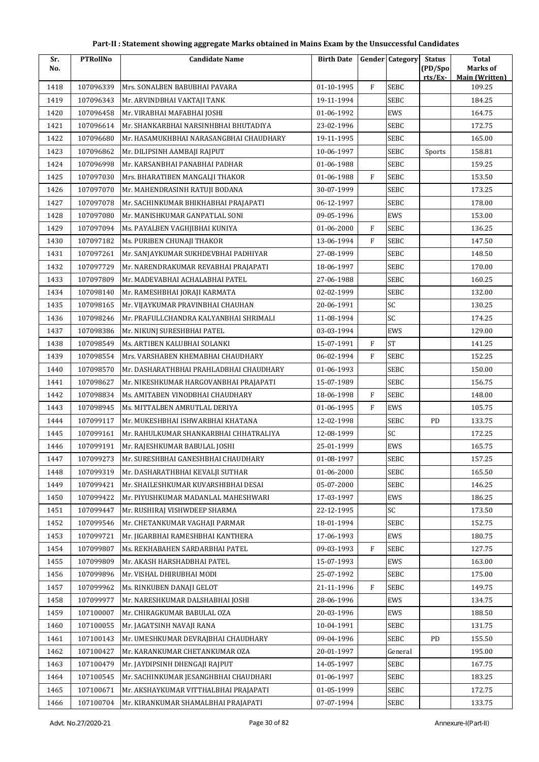| Sr.  | <b>PTRollNo</b> | <b>Candidate Name</b>                   | <b>Birth Date</b> |              | <b>Gender Category</b> | <b>Status</b> | <b>Total</b>                    |
|------|-----------------|-----------------------------------------|-------------------|--------------|------------------------|---------------|---------------------------------|
| No.  |                 |                                         |                   |              |                        | (PD/Spo       | Marks of                        |
| 1418 | 107096339       | Mrs. SONALBEN BABUBHAI PAVARA           | 01-10-1995        | $\mathbf{F}$ | <b>SEBC</b>            | rts/Ex        | <b>Main (Written)</b><br>109.25 |
| 1419 | 107096343       | Mr. ARVINDBHAI VAKTAJI TANK             | 19-11-1994        |              | <b>SEBC</b>            |               | 184.25                          |
| 1420 | 107096458       | Mr. VIRABHAI MAFABHAI JOSHI             | 01-06-1992        |              | EWS                    |               | 164.75                          |
| 1421 | 107096614       | Mr. SHANKARBHAI NARSINHBHAI BHUTADIYA   | 23-02-1996        |              | <b>SEBC</b>            |               | 172.75                          |
| 1422 | 107096680       | Mr. HASAMUKHBHAI NARASANGBHAI CHAUDHARY | 19-11-1995        |              | SEBC                   |               | 165.00                          |
| 1423 | 107096862       | Mr. DILIPSINH AAMBAJI RAJPUT            | 10-06-1997        |              | SEBC                   | Sports        | 158.81                          |
| 1424 | 107096998       | Mr. KARSANBHAI PANABHAI PADHAR          | 01-06-1988        |              | SEBC                   |               | 159.25                          |
| 1425 | 107097030       | Mrs. BHARATIBEN MANGALJI THAKOR         | 01-06-1988        | F            | <b>SEBC</b>            |               | 153.50                          |
| 1426 | 107097070       | Mr. MAHENDRASINH RATUJI BODANA          | 30-07-1999        |              | SEBC                   |               | 173.25                          |
| 1427 | 107097078       | Mr. SACHINKUMAR BHIKHABHAI PRAJAPATI    | 06-12-1997        |              | <b>SEBC</b>            |               | 178.00                          |
| 1428 | 107097080       | Mr. MANISHKUMAR GANPATLAL SONI          | 09-05-1996        |              | EWS                    |               | 153.00                          |
| 1429 | 107097094       | Ms. PAYALBEN VAGHJIBHAI KUNIYA          | 01-06-2000        | $\mathbf{F}$ | <b>SEBC</b>            |               | 136.25                          |
| 1430 | 107097182       | Ms. PURIBEN CHUNAJI THAKOR              | 13-06-1994        | $\mathbf{F}$ | SEBC                   |               | 147.50                          |
| 1431 | 107097261       | Mr. SANJAYKUMAR SUKHDEVBHAI PADHIYAR    | 27-08-1999        |              | <b>SEBC</b>            |               | 148.50                          |
| 1432 | 107097729       | Mr. NARENDRAKUMAR REVABHAI PRAJAPATI    | 18-06-1997        |              | <b>SEBC</b>            |               | 170.00                          |
| 1433 | 107097809       | Mr. MADEVABHAI ACHALABHAI PATEL         | 27-06-1988        |              | SEBC                   |               | 160.25                          |
| 1434 | 107098140       | Mr. RAMESHBHAI JORAJI KARMATA           | 02-02-1999        |              | <b>SEBC</b>            |               | 132.00                          |
| 1435 | 107098165       | Mr. VIJAYKUMAR PRAVINBHAI CHAUHAN       | 20-06-1991        |              | SC                     |               | 130.25                          |
| 1436 | 107098246       | Mr. PRAFULLCHANDRA KALYANBHAI SHRIMALI  | 11-08-1994        |              | SC                     |               | 174.25                          |
| 1437 | 107098386       | Mr. NIKUNJ SURESHBHAI PATEL             | 03-03-1994        |              | EWS                    |               | 129.00                          |
| 1438 | 107098549       | Ms. ARTIBEN KALUBHAI SOLANKI            | 15-07-1991        | $\mathbf{F}$ | <b>ST</b>              |               | 141.25                          |
| 1439 | 107098554       | Mrs. VARSHABEN KHEMABHAI CHAUDHARY      | 06-02-1994        | F            | <b>SEBC</b>            |               | 152.25                          |
| 1440 | 107098570       | Mr. DASHARATHBHAI PRAHLADBHAI CHAUDHARY | 01-06-1993        |              | <b>SEBC</b>            |               | 150.00                          |
| 1441 | 107098627       | Mr. NIKESHKUMAR HARGOVANBHAI PRAJAPATI  | 15-07-1989        |              | SEBC                   |               | 156.75                          |
| 1442 | 107098834       | Ms. AMITABEN VINODBHAI CHAUDHARY        | 18-06-1998        | $\mathbf{F}$ | SEBC                   |               | 148.00                          |
| 1443 | 107098945       | Ms. MITTALBEN AMRUTLAL DERIYA           | 01-06-1995        | F            | EWS                    |               | 105.75                          |
| 1444 | 107099117       | Mr. MUKESHBHAI ISHWARBHAI KHATANA       | 12-02-1998        |              | SEBC                   | PD            | 133.75                          |
| 1445 | 107099161       | Mr. RAHULKUMAR SHANKARBHAI CHHATRALIYA  | 12-08-1999        |              | <b>SC</b>              |               | 172.25                          |
| 1446 | 107099191       | Mr. RAJESHKUMAR BABULAL JOSHI           | 25-01-1999        |              | EWS                    |               | 165.75                          |
| 1447 | 107099273       | Mr. SURESHBHAI GANESHBHAI CHAUDHARY     | 01-08-1997        |              | SEBC                   |               | 157.25                          |
| 1448 | 107099319       | Mr. DASHARATHBHAI KEVALJI SUTHAR        | 01-06-2000        |              | <b>SEBC</b>            |               | 165.50                          |
| 1449 | 107099421       | Mr. SHAILESHKUMAR KUVARSHIBHAI DESAI    | 05-07-2000        |              | <b>SEBC</b>            |               | 146.25                          |
| 1450 | 107099422       | Mr. PIYUSHKUMAR MADANLAL MAHESHWARI     | 17-03-1997        |              | EWS                    |               | 186.25                          |
| 1451 | 107099447       | Mr. RUSHIRAJ VISHWDEEP SHARMA           | 22-12-1995        |              | SC                     |               | 173.50                          |
| 1452 | 107099546       | Mr. CHETANKUMAR VAGHAJI PARMAR          | 18-01-1994        |              | <b>SEBC</b>            |               | 152.75                          |
| 1453 | 107099721       | Mr. JIGARBHAI RAMESHBHAI KANTHERA       | 17-06-1993        |              | EWS                    |               | 180.75                          |
| 1454 | 107099807       | Ms. REKHABAHEN SARDARBHAI PATEL         | 09-03-1993        | $\mathbf{F}$ | <b>SEBC</b>            |               | 127.75                          |
| 1455 | 107099809       | Mr. AKASH HARSHADBHAI PATEL             | 15-07-1993        |              | EWS                    |               | 163.00                          |
| 1456 | 107099896       | Mr. VISHAL DHIRUBHAI MODI               | 25-07-1992        |              | <b>SEBC</b>            |               | 175.00                          |
| 1457 | 107099962       | Ms. RINKUBEN DANAJI GELOT               | 21-11-1996        | F            | <b>SEBC</b>            |               | 149.75                          |
| 1458 | 107099977       | Mr. NARESHKUMAR DALSHABHAI JOSHI        | 28-06-1996        |              | EWS                    |               | 134.75                          |
| 1459 | 107100007       | Mr. CHIRAGKUMAR BABULAL OZA             | 20-03-1996        |              | EWS                    |               | 188.50                          |
| 1460 | 107100055       | Mr. JAGATSINH NAVAJI RANA               | 10-04-1991        |              | SEBC                   |               | 131.75                          |
| 1461 | 107100143       | Mr. UMESHKUMAR DEVRAJBHAI CHAUDHARY     | 09-04-1996        |              | <b>SEBC</b>            | PD            | 155.50                          |
| 1462 | 107100427       | Mr. KARANKUMAR CHETANKUMAR OZA          | 20-01-1997        |              | General                |               | 195.00                          |
| 1463 | 107100479       | Mr. JAYDIPSINH DHENGAJI RAJPUT          | 14-05-1997        |              | <b>SEBC</b>            |               | 167.75                          |
| 1464 | 107100545       | Mr. SACHINKUMAR JESANGHBHAI CHAUDHARI   | 01-06-1997        |              | <b>SEBC</b>            |               | 183.25                          |
| 1465 | 107100671       | Mr. AKSHAYKUMAR VITTHALBHAI PRAJAPATI   | 01-05-1999        |              | SEBC                   |               | 172.75                          |
| 1466 | 107100704       | Mr. KIRANKUMAR SHAMALBHAI PRAJAPATI     | 07-07-1994        |              | SEBC                   |               | 133.75                          |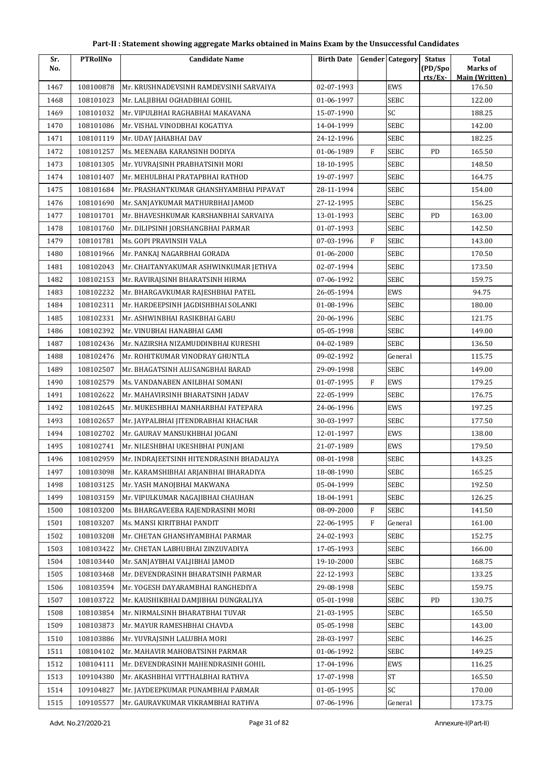| Part-II : Statement showing aggregate Marks obtained in Mains Exam by the Unsuccessful Candidates |  |
|---------------------------------------------------------------------------------------------------|--|
|---------------------------------------------------------------------------------------------------|--|

| Sr.  | <b>PTRollNo</b> | <b>Candidate Name</b>                    | <b>Birth Date</b> |              | <b>Gender Category</b> | <b>Status</b>      | <b>Total</b>                      |
|------|-----------------|------------------------------------------|-------------------|--------------|------------------------|--------------------|-----------------------------------|
| No.  |                 |                                          |                   |              |                        | (PD/Spo<br>rts/Ex- | Marks of<br><b>Main (Written)</b> |
| 1467 | 108100878       | Mr. KRUSHNADEVSINH RAMDEVSINH SARVAIYA   | 02-07-1993        |              | EWS                    |                    | 176.50                            |
| 1468 | 108101023       | Mr. LALJIBHAI OGHADBHAI GOHIL            | 01-06-1997        |              | <b>SEBC</b>            |                    | 122.00                            |
| 1469 | 108101032       | Mr. VIPULBHAI RAGHABHAI MAKAVANA         | 15-07-1990        |              | SC                     |                    | 188.25                            |
| 1470 | 108101086       | Mr. VISHAL VINODBHAI KOGATIYA            | 14-04-1999        |              | <b>SEBC</b>            |                    | 142.00                            |
| 1471 | 108101119       | Mr. UDAY JAHABHAI DAV                    | 24-12-1996        |              | SEBC                   |                    | 182.25                            |
| 1472 | 108101257       | Ms. MEENABA KARANSINH DODIYA             | 01-06-1989        | $\mathbf{F}$ | <b>SEBC</b>            | PD                 | 165.50                            |
| 1473 | 108101305       | Mr. YUVRAJSINH PRABHATSINH MORI          | 18-10-1995        |              | <b>SEBC</b>            |                    | 148.50                            |
| 1474 | 108101407       | Mr. MEHULBHAI PRATAPBHAI RATHOD          | 19-07-1997        |              | SEBC                   |                    | 164.75                            |
| 1475 | 108101684       | Mr. PRASHANTKUMAR GHANSHYAMBHAI PIPAVAT  | 28-11-1994        |              | SEBC                   |                    | 154.00                            |
| 1476 | 108101690       | Mr. SANJAYKUMAR MATHURBHAI JAMOD         | 27-12-1995        |              | SEBC                   |                    | 156.25                            |
| 1477 | 108101701       | Mr. BHAVESHKUMAR KARSHANBHAI SARVAIYA    | 13-01-1993        |              | SEBC                   | PD                 | 163.00                            |
| 1478 | 108101760       | Mr. DILIPSINH JORSHANGBHAI PARMAR        | 01-07-1993        |              | <b>SEBC</b>            |                    | 142.50                            |
| 1479 | 108101781       | Ms. GOPI PRAVINSIH VALA                  | 07-03-1996        | $\mathbf{F}$ | <b>SEBC</b>            |                    | 143.00                            |
| 1480 | 108101966       | Mr. PANKAJ NAGARBHAI GORADA              | 01-06-2000        |              | <b>SEBC</b>            |                    | 170.50                            |
| 1481 | 108102043       | Mr. CHAITANYAKUMAR ASHWINKUMAR JETHVA    | 02-07-1994        |              | <b>SEBC</b>            |                    | 173.50                            |
| 1482 | 108102153       | Mr. RAVIRAJSINH BHARATSINH HIRMA         | 07-06-1992        |              | SEBC                   |                    | 159.75                            |
| 1483 | 108102232       | Mr. BHARGAVKUMAR RAJESHBHAI PATEL        | 26-05-1994        |              | <b>EWS</b>             |                    | 94.75                             |
| 1484 | 108102311       | Mr. HARDEEPSINH JAGDISHBHAI SOLANKI      | 01-08-1996        |              | SEBC                   |                    | 180.00                            |
| 1485 | 108102331       | Mr. ASHWINBHAI RASIKBHAI GABU            | 20-06-1996        |              | SEBC                   |                    | 121.75                            |
| 1486 | 108102392       | Mr. VINUBHAI HANABHAI GAMI               | 05-05-1998        |              | SEBC                   |                    | 149.00                            |
| 1487 | 108102436       | Mr. NAZIRSHA NIZAMUDDINBHAI KURESHI      | 04-02-1989        |              | <b>SEBC</b>            |                    | 136.50                            |
| 1488 | 108102476       | Mr. ROHITKUMAR VINODRAY GHUNTLA          | 09-02-1992        |              | General                |                    | 115.75                            |
| 1489 | 108102507       | Mr. BHAGATSINH ALUSANGBHAI BARAD         | 29-09-1998        |              | <b>SEBC</b>            |                    | 149.00                            |
| 1490 | 108102579       | Ms. VANDANABEN ANILBHAI SOMANI           | 01-07-1995        | $\mathbf{F}$ | EWS                    |                    | 179.25                            |
| 1491 | 108102622       | Mr. MAHAVIRSINH BHARATSINH JADAV         | 22-05-1999        |              | SEBC                   |                    | 176.75                            |
| 1492 | 108102645       | Mr. MUKESHBHAI MANHARBHAI FATEPARA       | 24-06-1996        |              | <b>EWS</b>             |                    | 197.25                            |
| 1493 | 108102657       | Mr. JAYPALBHAI JITENDRABHAI KHACHAR      | 30-03-1997        |              | SEBC                   |                    | 177.50                            |
| 1494 | 108102702       | Mr. GAURAV MANSUKHBHAI JOGANI            | 12-01-1997        |              | <b>EWS</b>             |                    | 138.00                            |
| 1495 | 108102741       | Mr. NILESHBHAI UKESHBHAI PUNJANI         | 21-07-1989        |              | EWS                    |                    | 179.50                            |
| 1496 | 108102959       | Mr. INDRAJEETSINH HITENDRASINH BHADALIYA | 08-01-1998        |              | <b>SEBC</b>            |                    | 143.25                            |
| 1497 | 108103098       | Mr. KARAMSHIBHAI ARJANBHAI BHARADIYA     | 18-08-1990        |              | SEBC                   |                    | 165.25                            |
| 1498 | 108103125       | Mr. YASH MANOJBHAI MAKWANA               | 05-04-1999        |              | SEBC                   |                    | 192.50                            |
| 1499 | 108103159       | Mr. VIPULKUMAR NAGAJIBHAI CHAUHAN        | 18-04-1991        |              | SEBC                   |                    | 126.25                            |
| 1500 | 108103200       | Ms. BHARGAVEEBA RAJENDRASINH MORI        | 08-09-2000        | F            | SEBC                   |                    | 141.50                            |
| 1501 | 108103207       | Ms. MANSI KIRITBHAI PANDIT               | 22-06-1995        | $\mathbf{F}$ | General                |                    | 161.00                            |
| 1502 | 108103208       | Mr. CHETAN GHANSHYAMBHAI PARMAR          | 24-02-1993        |              | SEBC                   |                    | 152.75                            |
| 1503 | 108103422       | Mr. CHETAN LABHUBHAI ZINZUVADIYA         | 17-05-1993        |              | SEBC                   |                    | 166.00                            |
| 1504 | 108103440       | Mr. SANJAYBHAI VALJIBHAI JAMOD           | 19-10-2000        |              | SEBC                   |                    | 168.75                            |
| 1505 | 108103468       | Mr. DEVENDRASINH BHARATSINH PARMAR       | 22-12-1993        |              | SEBC                   |                    | 133.25                            |
| 1506 | 108103594       | Mr. YOGESH DAYARAMBHAI RANGHEDIYA        | 29-08-1998        |              | SEBC                   |                    | 159.75                            |
| 1507 | 108103722       | Mr. KAUSHIKBHAI DAMJIBHAI DUNGRALIYA     | 05-01-1998        |              | SEBC                   | PD                 | 130.75                            |
| 1508 | 108103854       | Mr. NIRMALSINH BHARATBHAI TUVAR          | 21-03-1995        |              | SEBC                   |                    | 165.50                            |
| 1509 | 108103873       | Mr. MAYUR RAMESHBHAI CHAVDA              | 05-05-1998        |              | SEBC                   |                    | 143.00                            |
| 1510 | 108103886       | Mr. YUVRAJSINH LALUBHA MORI              | 28-03-1997        |              | SEBC                   |                    | 146.25                            |
| 1511 | 108104102       | Mr. MAHAVIR MAHOBATSINH PARMAR           | 01-06-1992        |              | SEBC                   |                    | 149.25                            |
| 1512 | 108104111       | Mr. DEVENDRASINH MAHENDRASINH GOHIL      | 17-04-1996        |              | EWS                    |                    | 116.25                            |
| 1513 | 109104380       | Mr. AKASHBHAI VITTHALBHAI RATHVA         | 17-07-1998        |              | <b>ST</b>              |                    | 165.50                            |
| 1514 | 109104827       | Mr. JAYDEEPKUMAR PUNAMBHAI PARMAR        | 01-05-1995        |              | SC                     |                    | 170.00                            |
| 1515 | 109105577       | Mr. GAURAVKUMAR VIKRAMBHAI RATHVA        | 07-06-1996        |              | General                |                    | 173.75                            |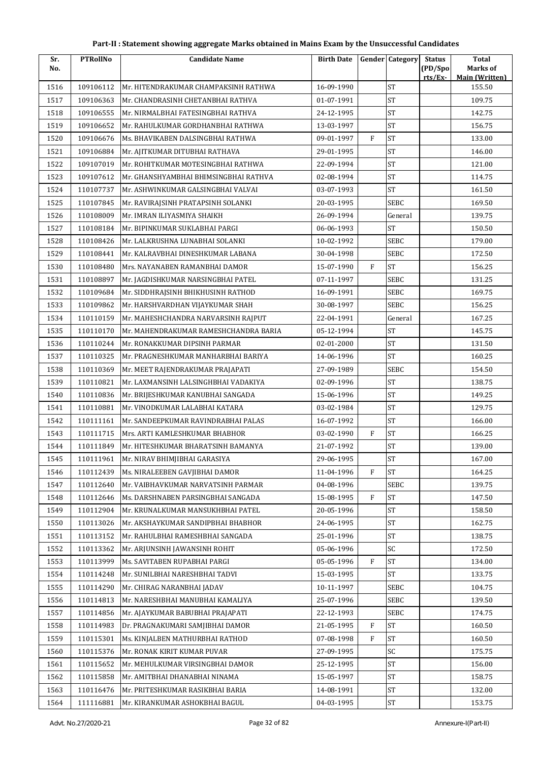| Sr.  | <b>PTRollNo</b> | <b>Candidate Name</b>                 | <b>Birth Date</b> |              | <b>Gender Category</b> | <b>Status</b> | <b>Total</b>                    |
|------|-----------------|---------------------------------------|-------------------|--------------|------------------------|---------------|---------------------------------|
| No.  |                 |                                       |                   |              |                        | (PD/Spo       | Marks of                        |
| 1516 | 109106112       | Mr. HITENDRAKUMAR CHAMPAKSINH RATHWA  | 16-09-1990        |              | <b>ST</b>              | rts/Ex-       | <b>Main (Written)</b><br>155.50 |
| 1517 | 109106363       | Mr. CHANDRASINH CHETANBHAI RATHVA     | 01-07-1991        |              | <b>ST</b>              |               | 109.75                          |
| 1518 | 109106555       | Mr. NIRMALBHAI FATESINGBHAI RATHVA    | 24-12-1995        |              | $\operatorname{ST}$    |               | 142.75                          |
| 1519 | 109106652       | Mr. RAHULKUMAR GORDHANBHAI RATHWA     | 13-03-1997        |              | <b>ST</b>              |               | 156.75                          |
| 1520 | 109106676       | Ms. BHAVIKABEN DALSINGBHAI RATHWA     | 09-01-1997        | $\mathbf{F}$ | <b>ST</b>              |               | 133.00                          |
| 1521 | 109106884       | Mr. AJITKUMAR DITUBHAI RATHAVA        | 29-01-1995        |              | <b>ST</b>              |               | 146.00                          |
| 1522 | 109107019       | Mr. ROHITKUMAR MOTESINGBHAI RATHWA    | 22-09-1994        |              | <b>ST</b>              |               | 121.00                          |
| 1523 | 109107612       | Mr. GHANSHYAMBHAI BHIMSINGBHAI RATHVA | 02-08-1994        |              | <b>ST</b>              |               | 114.75                          |
| 1524 | 110107737       | Mr. ASHWINKUMAR GALSINGBHAI VALVAI    | 03-07-1993        |              | <b>ST</b>              |               | 161.50                          |
| 1525 | 110107845       | Mr. RAVIRAJSINH PRATAPSINH SOLANKI    | 20-03-1995        |              | <b>SEBC</b>            |               | 169.50                          |
| 1526 | 110108009       | Mr. IMRAN ILIYASMIYA SHAIKH           | 26-09-1994        |              | General                |               | 139.75                          |
| 1527 | 110108184       | Mr. BIPINKUMAR SUKLABHAI PARGI        | 06-06-1993        |              | <b>ST</b>              |               | 150.50                          |
| 1528 | 110108426       | Mr. LALKRUSHNA LUNABHAI SOLANKI       | 10-02-1992        |              | <b>SEBC</b>            |               | 179.00                          |
| 1529 | 110108441       | Mr. KALRAVBHAI DINESHKUMAR LABANA     | 30-04-1998        |              | <b>SEBC</b>            |               | 172.50                          |
| 1530 | 110108480       | Mrs. NAYANABEN RAMANBHAI DAMOR        | 15-07-1990        | $\mathbf{F}$ | <b>ST</b>              |               | 156.25                          |
| 1531 | 110108897       | Mr. JAGDISHKUMAR NARSINGBHAI PATEL    | 07-11-1997        |              | SEBC                   |               | 131.25                          |
| 1532 | 110109684       | Mr. SIDDHRAJSINH BHIKHUSINH RATHOD    | 16-09-1991        |              | <b>SEBC</b>            |               | 169.75                          |
| 1533 | 110109862       | Mr. HARSHVARDHAN VIJAYKUMAR SHAH      | 30-08-1997        |              | <b>SEBC</b>            |               | 156.25                          |
| 1534 | 110110159       | Mr. MAHESHCHANDRA NARVARSINH RAJPUT   | 22-04-1991        |              | General                |               | 167.25                          |
| 1535 | 110110170       | Mr. MAHENDRAKUMAR RAMESHCHANDRA BARIA | 05-12-1994        |              | <b>ST</b>              |               | 145.75                          |
| 1536 | 110110244       | Mr. RONAKKUMAR DIPSINH PARMAR         | 02-01-2000        |              | <b>ST</b>              |               | 131.50                          |
| 1537 | 110110325       | Mr. PRAGNESHKUMAR MANHARBHAI BARIYA   | 14-06-1996        |              | <b>ST</b>              |               | 160.25                          |
| 1538 | 110110369       | Mr. MEET RAJENDRAKUMAR PRAJAPATI      | 27-09-1989        |              | <b>SEBC</b>            |               | 154.50                          |
| 1539 | 110110821       | Mr. LAXMANSINH LALSINGHBHAI VADAKIYA  | 02-09-1996        |              | <b>ST</b>              |               | 138.75                          |
| 1540 | 110110836       | Mr. BRIJESHKUMAR KANUBHAI SANGADA     | 15-06-1996        |              | $\operatorname{ST}$    |               | 149.25                          |
| 1541 | 110110881       | Mr. VINODKUMAR LALABHAI KATARA        | 03-02-1984        |              | <b>ST</b>              |               | 129.75                          |
| 1542 | 110111161       | Mr. SANDEEPKUMAR RAVINDRABHAI PALAS   | 16-07-1992        |              | <b>ST</b>              |               | 166.00                          |
| 1543 | 110111715       | Mrs. ARTI KAMLESHKUMAR BHABHOR        | 03-02-1990        | F            | <b>ST</b>              |               | 166.25                          |
| 1544 | 110111849       | Mr. HITESHKUMAR BHARATSINH BAMANYA    | 21-07-1992        |              | <b>ST</b>              |               | 139.00                          |
| 1545 | 110111961       | Mr. NIRAV BHIMJIBHAI GARASIYA         | 29-06-1995        |              | <b>ST</b>              |               | 167.00                          |
| 1546 | 110112439       | Ms. NIRALEEBEN GAVJIBHAI DAMOR        | 11-04-1996        | F            | <b>ST</b>              |               | 164.25                          |
| 1547 | 110112640       | Mr. VAIBHAVKUMAR NARVATSINH PARMAR    | 04-08-1996        |              | <b>SEBC</b>            |               | 139.75                          |
| 1548 | 110112646       | Ms. DARSHNABEN PARSINGBHAI SANGADA    | 15-08-1995        | F            | <b>ST</b>              |               | 147.50                          |
| 1549 | 110112904       | Mr. KRUNALKUMAR MANSUKHBHAI PATEL     | 20-05-1996        |              | $\operatorname{ST}$    |               | 158.50                          |
| 1550 | 110113026       | Mr. AKSHAYKUMAR SANDIPBHAI BHABHOR    | 24-06-1995        |              | <b>ST</b>              |               | 162.75                          |
| 1551 | 110113152       | Mr. RAHULBHAI RAMESHBHAI SANGADA      | 25-01-1996        |              | ST                     |               | 138.75                          |
| 1552 | 110113362       | Mr. ARJUNSINH JAWANSINH ROHIT         | 05-06-1996        |              | SC                     |               | 172.50                          |
| 1553 | 110113999       | Ms. SAVITABEN RUPABHAI PARGI          | 05-05-1996        | F            | <b>ST</b>              |               | 134.00                          |
| 1554 | 110114248       | Mr. SUNILBHAI NARESHBHAI TADVI        | 15-03-1995        |              | ST                     |               | 133.75                          |
| 1555 | 110114290       | Mr. CHIRAG NARANBHAI JADAV            | 10-11-1997        |              | <b>SEBC</b>            |               | 104.75                          |
| 1556 | 110114813       | Mr. NARESHBHAI MANUBHAI KAMALIYA      | 25-07-1996        |              | <b>SEBC</b>            |               | 139.50                          |
| 1557 | 110114856       | Mr. AJAYKUMAR BABUBHAI PRAJAPATI      | 22-12-1993        |              | <b>SEBC</b>            |               | 174.75                          |
| 1558 | 110114983       | Dr. PRAGNAKUMARI SAMJIBHAI DAMOR      | 21-05-1995        | $\rm F$      | <b>ST</b>              |               | 160.50                          |
| 1559 | 110115301       | Ms. KINJALBEN MATHURBHAI RATHOD       | 07-08-1998        | F            | <b>ST</b>              |               | 160.50                          |
| 1560 | 110115376       | Mr. RONAK KIRIT KUMAR PUVAR           | 27-09-1995        |              | SC                     |               | 175.75                          |
| 1561 | 110115652       | Mr. MEHULKUMAR VIRSINGBHAI DAMOR      | 25-12-1995        |              | <b>ST</b>              |               | 156.00                          |
| 1562 | 110115858       | Mr. AMITBHAI DHANABHAI NINAMA         | 15-05-1997        |              | ST                     |               | 158.75                          |
| 1563 | 110116476       | Mr. PRITESHKUMAR RASIKBHAI BARIA      | 14-08-1991        |              | <b>ST</b>              |               | 132.00                          |
| 1564 | 111116881       | Mr. KIRANKUMAR ASHOKBHAI BAGUL        | 04-03-1995        |              | $\operatorname{ST}$    |               | 153.75                          |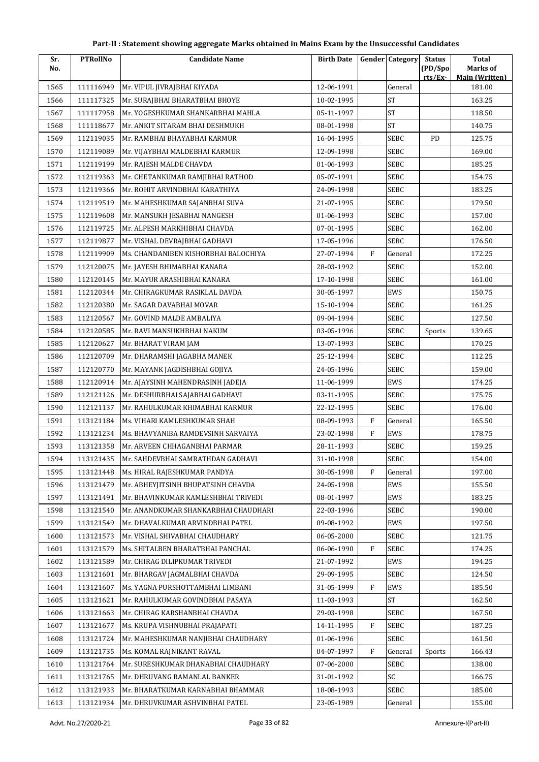| No.<br>rts/Ex-<br><b>Main (Written)</b><br>1565<br>111116949<br>12-06-1991<br>General<br>181.00<br>Mr. VIPUL JIVRAJBHAI KIYADA<br><b>ST</b><br>163.25<br>111117325<br>Mr. SURAJBHAI BHARATBHAI BHOYE<br>10-02-1995<br>1566<br><b>ST</b><br>1567<br>111117958<br>Mr. YOGESHKUMAR SHANKARBHAI MAHLA<br>05-11-1997<br>118.50<br><b>ST</b><br>1568<br>111118677<br>08-01-1998<br>140.75<br>Mr. ANKIT SITARAM BHAI DESHMUKH<br><b>SEBC</b><br>1569<br>112119035<br>16-04-1995<br>PD<br>125.75<br>Mr. RAMBHAI BHAYABHAI KARMUR<br>1570<br>112119089<br>12-09-1998<br><b>SEBC</b><br>169.00<br>Mr. VIJAYBHAI MALDEBHAI KARMUR<br>112119199<br>Mr. RAJESH MALDE CHAVDA<br>01-06-1993<br><b>SEBC</b><br>185.25<br>1571<br>SEBC<br>1572<br>112119363<br>05-07-1991<br>154.75<br>Mr. CHETANKUMAR RAMJIBHAI RATHOD<br>112119366<br>Mr. ROHIT ARVINDBHAI KARATHIYA<br>24-09-1998<br>SEBC<br>183.25<br>1573<br>21-07-1995<br>SEBC<br>179.50<br>1574<br>112119519<br>Mr. MAHESHKUMAR SAJANBHAI SUVA<br>1575<br>01-06-1993<br><b>SEBC</b><br>157.00<br>112119608<br>Mr. MANSUKH JESABHAI NANGESH<br>SEBC<br>1576<br>112119725<br>Mr. ALPESH MARKHIBHAI CHAVDA<br>07-01-1995<br>162.00<br><b>SEBC</b><br>1577<br>112119877<br>17-05-1996<br>176.50<br>Mr. VISHAL DEVRAJBHAI GADHAVI<br>F<br>1578<br>112119909<br>Ms. CHANDANIBEN KISHORBHAI BALOCHIYA<br>27-07-1994<br>172.25<br>General<br>1579<br>112120075<br>28-03-1992<br><b>SEBC</b><br>152.00<br>Mr. JAYESH BHIMABHAI KANARA<br><b>SEBC</b><br>1580<br>112120145<br>Mr. MAYUR ARASHIBHAI KANARA<br>17-10-1998<br>161.00<br>1581<br>112120344<br>30-05-1997<br>EWS<br>150.75<br>Mr. CHIRAGKUMAR RASIKLAL DAVDA<br>161.25<br>1582<br>112120380<br>Mr. SAGAR DAVABHAI MOVAR<br>15-10-1994<br><b>SEBC</b><br>09-04-1994<br>SEBC<br>1583<br>112120567<br>Mr. GOVIND MALDE AMBALIYA<br>127.50<br>112120585<br>03-05-1996<br><b>SEBC</b><br>139.65<br>1584<br>Mr. RAVI MANSUKHBHAI NAKUM<br>Sports<br>13-07-1993<br>SEBC<br>170.25<br>1585<br>112120627<br>Mr. BHARAT VIRAM JAM<br>112120709<br>25-12-1994<br><b>SEBC</b><br>112.25<br>1586<br>Mr. DHARAMSHI JAGABHA MANEK<br>1587<br>112120770<br>Mr. MAYANK JAGDISHBHAI GOJIYA<br>24-05-1996<br><b>SEBC</b><br>159.00<br>174.25<br>1588<br>112120914<br>Mr. AJAYSINH MAHENDRASINH JADEJA<br>11-06-1999<br>EWS<br>1589<br>112121126<br>03-11-1995<br><b>SEBC</b><br>175.75<br>Mr. DESHURBHAI SAJABHAI GADHAVI<br>SEBC<br>1590<br>112121137<br>Mr. RAHULKUMAR KHIMABHAI KARMUR<br>22-12-1995<br>176.00<br>$\mathbf{F}$<br>1591<br>113121184<br>Ms. VIHARI KAMLESHKUMAR SHAH<br>08-09-1993<br>General<br>165.50<br>$\mathbf{F}$<br>1592<br>113121234<br>Ms. BHAVYANIBA RAMDEVSINH SARVAIYA<br>23-02-1998<br>EWS<br>178.75<br>1593<br>113121358<br>28-11-1993<br><b>SEBC</b><br>159.25<br>Mr. ARVEEN CHHAGANBHAI PARMAR<br><b>SEBC</b><br>1594<br>113121435<br>Mr. SAHDEVBHAI SAMRATHDAN GADHAVI<br>31-10-1998<br>154.00<br>197.00<br>1595<br>113121448<br>Ms. HIRAL RAJESHKUMAR PANDYA<br>30-05-1998<br>F<br>General<br>1596<br>113121479<br>Mr. ABHEYJITSINH BHUPATSINH CHAVDA<br>24-05-1998<br>EWS<br>155.50<br>1597<br>08-01-1997<br>EWS<br>113121491<br>Mr. BHAVINKUMAR KAMLESHBHAI TRIVEDI<br>183.25<br>1598<br>113121540<br>22-03-1996<br>SEBC<br>190.00<br>Mr. ANANDKUMAR SHANKARBHAI CHAUDHARI<br>09-08-1992<br>EWS<br>1599<br>113121549<br>197.50<br>Mr. DHAVALKUMAR ARVINDBHAI PATEL<br>113121573<br>06-05-2000<br>SEBC<br>121.75<br>1600<br>Mr. VISHAL SHIVABHAI CHAUDHARY<br>1601<br>113121579<br>Ms. SHITALBEN BHARATBHAI PANCHAL<br>06-06-1990<br>F<br><b>SEBC</b><br>174.25<br>113121589<br>Mr. CHIRAG DILIPKUMAR TRIVEDI<br>21-07-1992<br>EWS<br>194.25<br>1602<br>1603<br>113121601<br>29-09-1995<br>SEBC<br>124.50<br>Mr. BHARGAV JAGMALBHAI CHAVDA<br>113121607<br>Ms. YAGNA PURSHOTTAMBHAI LIMBANI<br>31-05-1999<br>F<br>EWS<br>185.50<br>1604<br><b>ST</b><br>1605<br>113121621<br>11-03-1993<br>162.50<br>Mr. RAHULKUMAR GOVINDBHAI PASAYA<br>113121663<br>29-03-1998<br>SEBC<br>167.50<br>1606<br>Mr. CHIRAG KARSHANBHAI CHAVDA<br>1607<br>113121677<br>14-11-1995<br>F<br><b>SEBC</b><br>187.25<br>Ms. KRUPA VISHNUBHAI PRAJAPATI<br>1608<br>113121724<br>01-06-1996<br><b>SEBC</b><br>Mr. MAHESHKUMAR NANJIBHAI CHAUDHARY<br>161.50<br>1609<br>113121735<br>Ms. KOMAL RAJNIKANT RAVAL<br>04-07-1997<br>F<br>166.43<br>General<br>Sports<br>SEBC<br>113121764<br>Mr. SURESHKUMAR DHANABHAI CHAUDHARY<br>07-06-2000<br>138.00<br>1610<br>SC<br>31-01-1992<br>166.75<br>1611<br>113121765<br>Mr. DHRUVANG RAMANLAL BANKER<br>1612<br>113121933<br>18-08-1993<br><b>SEBC</b><br>185.00<br>Mr. BHARATKUMAR KARNABHAI BHAMMAR | Sr.  | <b>PTRollNo</b> | <b>Candidate Name</b>           | <b>Birth Date</b> | Gender Category | <b>Status</b> | <b>Total</b> |
|--------------------------------------------------------------------------------------------------------------------------------------------------------------------------------------------------------------------------------------------------------------------------------------------------------------------------------------------------------------------------------------------------------------------------------------------------------------------------------------------------------------------------------------------------------------------------------------------------------------------------------------------------------------------------------------------------------------------------------------------------------------------------------------------------------------------------------------------------------------------------------------------------------------------------------------------------------------------------------------------------------------------------------------------------------------------------------------------------------------------------------------------------------------------------------------------------------------------------------------------------------------------------------------------------------------------------------------------------------------------------------------------------------------------------------------------------------------------------------------------------------------------------------------------------------------------------------------------------------------------------------------------------------------------------------------------------------------------------------------------------------------------------------------------------------------------------------------------------------------------------------------------------------------------------------------------------------------------------------------------------------------------------------------------------------------------------------------------------------------------------------------------------------------------------------------------------------------------------------------------------------------------------------------------------------------------------------------------------------------------------------------------------------------------------------------------------------------------------------------------------------------------------------------------------------------------------------------------------------------------------------------------------------------------------------------------------------------------------------------------------------------------------------------------------------------------------------------------------------------------------------------------------------------------------------------------------------------------------------------------------------------------------------------------------------------------------------------------------------------------------------------------------------------------------------------------------------------------------------------------------------------------------------------------------------------------------------------------------------------------------------------------------------------------------------------------------------------------------------------------------------------------------------------------------------------------------------------------------------------------------------------------------------------------------------------------------------------------------------------------------------------------------------------------------------------------------------------------------------------------------------------------------------------------------------------------------------------------------------------------------------------------------------------------------------------------------------------------------------------------------------------------------------------------------------------------------------------------------------------------------------------------------------------------------------------------------------------------------------------------------------------------------------------------------------------------------------------------------------------------------------------------------------------------------------------------------------------------------------------------------------|------|-----------------|---------------------------------|-------------------|-----------------|---------------|--------------|
|                                                                                                                                                                                                                                                                                                                                                                                                                                                                                                                                                                                                                                                                                                                                                                                                                                                                                                                                                                                                                                                                                                                                                                                                                                                                                                                                                                                                                                                                                                                                                                                                                                                                                                                                                                                                                                                                                                                                                                                                                                                                                                                                                                                                                                                                                                                                                                                                                                                                                                                                                                                                                                                                                                                                                                                                                                                                                                                                                                                                                                                                                                                                                                                                                                                                                                                                                                                                                                                                                                                                                                                                                                                                                                                                                                                                                                                                                                                                                                                                                                                                                                                                                                                                                                                                                                                                                                                                                                                                                                                                                                                                                                |      |                 |                                 |                   |                 | (PD/Spo       | Marks of     |
|                                                                                                                                                                                                                                                                                                                                                                                                                                                                                                                                                                                                                                                                                                                                                                                                                                                                                                                                                                                                                                                                                                                                                                                                                                                                                                                                                                                                                                                                                                                                                                                                                                                                                                                                                                                                                                                                                                                                                                                                                                                                                                                                                                                                                                                                                                                                                                                                                                                                                                                                                                                                                                                                                                                                                                                                                                                                                                                                                                                                                                                                                                                                                                                                                                                                                                                                                                                                                                                                                                                                                                                                                                                                                                                                                                                                                                                                                                                                                                                                                                                                                                                                                                                                                                                                                                                                                                                                                                                                                                                                                                                                                                |      |                 |                                 |                   |                 |               |              |
|                                                                                                                                                                                                                                                                                                                                                                                                                                                                                                                                                                                                                                                                                                                                                                                                                                                                                                                                                                                                                                                                                                                                                                                                                                                                                                                                                                                                                                                                                                                                                                                                                                                                                                                                                                                                                                                                                                                                                                                                                                                                                                                                                                                                                                                                                                                                                                                                                                                                                                                                                                                                                                                                                                                                                                                                                                                                                                                                                                                                                                                                                                                                                                                                                                                                                                                                                                                                                                                                                                                                                                                                                                                                                                                                                                                                                                                                                                                                                                                                                                                                                                                                                                                                                                                                                                                                                                                                                                                                                                                                                                                                                                |      |                 |                                 |                   |                 |               |              |
|                                                                                                                                                                                                                                                                                                                                                                                                                                                                                                                                                                                                                                                                                                                                                                                                                                                                                                                                                                                                                                                                                                                                                                                                                                                                                                                                                                                                                                                                                                                                                                                                                                                                                                                                                                                                                                                                                                                                                                                                                                                                                                                                                                                                                                                                                                                                                                                                                                                                                                                                                                                                                                                                                                                                                                                                                                                                                                                                                                                                                                                                                                                                                                                                                                                                                                                                                                                                                                                                                                                                                                                                                                                                                                                                                                                                                                                                                                                                                                                                                                                                                                                                                                                                                                                                                                                                                                                                                                                                                                                                                                                                                                |      |                 |                                 |                   |                 |               |              |
|                                                                                                                                                                                                                                                                                                                                                                                                                                                                                                                                                                                                                                                                                                                                                                                                                                                                                                                                                                                                                                                                                                                                                                                                                                                                                                                                                                                                                                                                                                                                                                                                                                                                                                                                                                                                                                                                                                                                                                                                                                                                                                                                                                                                                                                                                                                                                                                                                                                                                                                                                                                                                                                                                                                                                                                                                                                                                                                                                                                                                                                                                                                                                                                                                                                                                                                                                                                                                                                                                                                                                                                                                                                                                                                                                                                                                                                                                                                                                                                                                                                                                                                                                                                                                                                                                                                                                                                                                                                                                                                                                                                                                                |      |                 |                                 |                   |                 |               |              |
|                                                                                                                                                                                                                                                                                                                                                                                                                                                                                                                                                                                                                                                                                                                                                                                                                                                                                                                                                                                                                                                                                                                                                                                                                                                                                                                                                                                                                                                                                                                                                                                                                                                                                                                                                                                                                                                                                                                                                                                                                                                                                                                                                                                                                                                                                                                                                                                                                                                                                                                                                                                                                                                                                                                                                                                                                                                                                                                                                                                                                                                                                                                                                                                                                                                                                                                                                                                                                                                                                                                                                                                                                                                                                                                                                                                                                                                                                                                                                                                                                                                                                                                                                                                                                                                                                                                                                                                                                                                                                                                                                                                                                                |      |                 |                                 |                   |                 |               |              |
|                                                                                                                                                                                                                                                                                                                                                                                                                                                                                                                                                                                                                                                                                                                                                                                                                                                                                                                                                                                                                                                                                                                                                                                                                                                                                                                                                                                                                                                                                                                                                                                                                                                                                                                                                                                                                                                                                                                                                                                                                                                                                                                                                                                                                                                                                                                                                                                                                                                                                                                                                                                                                                                                                                                                                                                                                                                                                                                                                                                                                                                                                                                                                                                                                                                                                                                                                                                                                                                                                                                                                                                                                                                                                                                                                                                                                                                                                                                                                                                                                                                                                                                                                                                                                                                                                                                                                                                                                                                                                                                                                                                                                                |      |                 |                                 |                   |                 |               |              |
|                                                                                                                                                                                                                                                                                                                                                                                                                                                                                                                                                                                                                                                                                                                                                                                                                                                                                                                                                                                                                                                                                                                                                                                                                                                                                                                                                                                                                                                                                                                                                                                                                                                                                                                                                                                                                                                                                                                                                                                                                                                                                                                                                                                                                                                                                                                                                                                                                                                                                                                                                                                                                                                                                                                                                                                                                                                                                                                                                                                                                                                                                                                                                                                                                                                                                                                                                                                                                                                                                                                                                                                                                                                                                                                                                                                                                                                                                                                                                                                                                                                                                                                                                                                                                                                                                                                                                                                                                                                                                                                                                                                                                                |      |                 |                                 |                   |                 |               |              |
|                                                                                                                                                                                                                                                                                                                                                                                                                                                                                                                                                                                                                                                                                                                                                                                                                                                                                                                                                                                                                                                                                                                                                                                                                                                                                                                                                                                                                                                                                                                                                                                                                                                                                                                                                                                                                                                                                                                                                                                                                                                                                                                                                                                                                                                                                                                                                                                                                                                                                                                                                                                                                                                                                                                                                                                                                                                                                                                                                                                                                                                                                                                                                                                                                                                                                                                                                                                                                                                                                                                                                                                                                                                                                                                                                                                                                                                                                                                                                                                                                                                                                                                                                                                                                                                                                                                                                                                                                                                                                                                                                                                                                                |      |                 |                                 |                   |                 |               |              |
|                                                                                                                                                                                                                                                                                                                                                                                                                                                                                                                                                                                                                                                                                                                                                                                                                                                                                                                                                                                                                                                                                                                                                                                                                                                                                                                                                                                                                                                                                                                                                                                                                                                                                                                                                                                                                                                                                                                                                                                                                                                                                                                                                                                                                                                                                                                                                                                                                                                                                                                                                                                                                                                                                                                                                                                                                                                                                                                                                                                                                                                                                                                                                                                                                                                                                                                                                                                                                                                                                                                                                                                                                                                                                                                                                                                                                                                                                                                                                                                                                                                                                                                                                                                                                                                                                                                                                                                                                                                                                                                                                                                                                                |      |                 |                                 |                   |                 |               |              |
|                                                                                                                                                                                                                                                                                                                                                                                                                                                                                                                                                                                                                                                                                                                                                                                                                                                                                                                                                                                                                                                                                                                                                                                                                                                                                                                                                                                                                                                                                                                                                                                                                                                                                                                                                                                                                                                                                                                                                                                                                                                                                                                                                                                                                                                                                                                                                                                                                                                                                                                                                                                                                                                                                                                                                                                                                                                                                                                                                                                                                                                                                                                                                                                                                                                                                                                                                                                                                                                                                                                                                                                                                                                                                                                                                                                                                                                                                                                                                                                                                                                                                                                                                                                                                                                                                                                                                                                                                                                                                                                                                                                                                                |      |                 |                                 |                   |                 |               |              |
|                                                                                                                                                                                                                                                                                                                                                                                                                                                                                                                                                                                                                                                                                                                                                                                                                                                                                                                                                                                                                                                                                                                                                                                                                                                                                                                                                                                                                                                                                                                                                                                                                                                                                                                                                                                                                                                                                                                                                                                                                                                                                                                                                                                                                                                                                                                                                                                                                                                                                                                                                                                                                                                                                                                                                                                                                                                                                                                                                                                                                                                                                                                                                                                                                                                                                                                                                                                                                                                                                                                                                                                                                                                                                                                                                                                                                                                                                                                                                                                                                                                                                                                                                                                                                                                                                                                                                                                                                                                                                                                                                                                                                                |      |                 |                                 |                   |                 |               |              |
|                                                                                                                                                                                                                                                                                                                                                                                                                                                                                                                                                                                                                                                                                                                                                                                                                                                                                                                                                                                                                                                                                                                                                                                                                                                                                                                                                                                                                                                                                                                                                                                                                                                                                                                                                                                                                                                                                                                                                                                                                                                                                                                                                                                                                                                                                                                                                                                                                                                                                                                                                                                                                                                                                                                                                                                                                                                                                                                                                                                                                                                                                                                                                                                                                                                                                                                                                                                                                                                                                                                                                                                                                                                                                                                                                                                                                                                                                                                                                                                                                                                                                                                                                                                                                                                                                                                                                                                                                                                                                                                                                                                                                                |      |                 |                                 |                   |                 |               |              |
|                                                                                                                                                                                                                                                                                                                                                                                                                                                                                                                                                                                                                                                                                                                                                                                                                                                                                                                                                                                                                                                                                                                                                                                                                                                                                                                                                                                                                                                                                                                                                                                                                                                                                                                                                                                                                                                                                                                                                                                                                                                                                                                                                                                                                                                                                                                                                                                                                                                                                                                                                                                                                                                                                                                                                                                                                                                                                                                                                                                                                                                                                                                                                                                                                                                                                                                                                                                                                                                                                                                                                                                                                                                                                                                                                                                                                                                                                                                                                                                                                                                                                                                                                                                                                                                                                                                                                                                                                                                                                                                                                                                                                                |      |                 |                                 |                   |                 |               |              |
|                                                                                                                                                                                                                                                                                                                                                                                                                                                                                                                                                                                                                                                                                                                                                                                                                                                                                                                                                                                                                                                                                                                                                                                                                                                                                                                                                                                                                                                                                                                                                                                                                                                                                                                                                                                                                                                                                                                                                                                                                                                                                                                                                                                                                                                                                                                                                                                                                                                                                                                                                                                                                                                                                                                                                                                                                                                                                                                                                                                                                                                                                                                                                                                                                                                                                                                                                                                                                                                                                                                                                                                                                                                                                                                                                                                                                                                                                                                                                                                                                                                                                                                                                                                                                                                                                                                                                                                                                                                                                                                                                                                                                                |      |                 |                                 |                   |                 |               |              |
|                                                                                                                                                                                                                                                                                                                                                                                                                                                                                                                                                                                                                                                                                                                                                                                                                                                                                                                                                                                                                                                                                                                                                                                                                                                                                                                                                                                                                                                                                                                                                                                                                                                                                                                                                                                                                                                                                                                                                                                                                                                                                                                                                                                                                                                                                                                                                                                                                                                                                                                                                                                                                                                                                                                                                                                                                                                                                                                                                                                                                                                                                                                                                                                                                                                                                                                                                                                                                                                                                                                                                                                                                                                                                                                                                                                                                                                                                                                                                                                                                                                                                                                                                                                                                                                                                                                                                                                                                                                                                                                                                                                                                                |      |                 |                                 |                   |                 |               |              |
|                                                                                                                                                                                                                                                                                                                                                                                                                                                                                                                                                                                                                                                                                                                                                                                                                                                                                                                                                                                                                                                                                                                                                                                                                                                                                                                                                                                                                                                                                                                                                                                                                                                                                                                                                                                                                                                                                                                                                                                                                                                                                                                                                                                                                                                                                                                                                                                                                                                                                                                                                                                                                                                                                                                                                                                                                                                                                                                                                                                                                                                                                                                                                                                                                                                                                                                                                                                                                                                                                                                                                                                                                                                                                                                                                                                                                                                                                                                                                                                                                                                                                                                                                                                                                                                                                                                                                                                                                                                                                                                                                                                                                                |      |                 |                                 |                   |                 |               |              |
|                                                                                                                                                                                                                                                                                                                                                                                                                                                                                                                                                                                                                                                                                                                                                                                                                                                                                                                                                                                                                                                                                                                                                                                                                                                                                                                                                                                                                                                                                                                                                                                                                                                                                                                                                                                                                                                                                                                                                                                                                                                                                                                                                                                                                                                                                                                                                                                                                                                                                                                                                                                                                                                                                                                                                                                                                                                                                                                                                                                                                                                                                                                                                                                                                                                                                                                                                                                                                                                                                                                                                                                                                                                                                                                                                                                                                                                                                                                                                                                                                                                                                                                                                                                                                                                                                                                                                                                                                                                                                                                                                                                                                                |      |                 |                                 |                   |                 |               |              |
|                                                                                                                                                                                                                                                                                                                                                                                                                                                                                                                                                                                                                                                                                                                                                                                                                                                                                                                                                                                                                                                                                                                                                                                                                                                                                                                                                                                                                                                                                                                                                                                                                                                                                                                                                                                                                                                                                                                                                                                                                                                                                                                                                                                                                                                                                                                                                                                                                                                                                                                                                                                                                                                                                                                                                                                                                                                                                                                                                                                                                                                                                                                                                                                                                                                                                                                                                                                                                                                                                                                                                                                                                                                                                                                                                                                                                                                                                                                                                                                                                                                                                                                                                                                                                                                                                                                                                                                                                                                                                                                                                                                                                                |      |                 |                                 |                   |                 |               |              |
|                                                                                                                                                                                                                                                                                                                                                                                                                                                                                                                                                                                                                                                                                                                                                                                                                                                                                                                                                                                                                                                                                                                                                                                                                                                                                                                                                                                                                                                                                                                                                                                                                                                                                                                                                                                                                                                                                                                                                                                                                                                                                                                                                                                                                                                                                                                                                                                                                                                                                                                                                                                                                                                                                                                                                                                                                                                                                                                                                                                                                                                                                                                                                                                                                                                                                                                                                                                                                                                                                                                                                                                                                                                                                                                                                                                                                                                                                                                                                                                                                                                                                                                                                                                                                                                                                                                                                                                                                                                                                                                                                                                                                                |      |                 |                                 |                   |                 |               |              |
|                                                                                                                                                                                                                                                                                                                                                                                                                                                                                                                                                                                                                                                                                                                                                                                                                                                                                                                                                                                                                                                                                                                                                                                                                                                                                                                                                                                                                                                                                                                                                                                                                                                                                                                                                                                                                                                                                                                                                                                                                                                                                                                                                                                                                                                                                                                                                                                                                                                                                                                                                                                                                                                                                                                                                                                                                                                                                                                                                                                                                                                                                                                                                                                                                                                                                                                                                                                                                                                                                                                                                                                                                                                                                                                                                                                                                                                                                                                                                                                                                                                                                                                                                                                                                                                                                                                                                                                                                                                                                                                                                                                                                                |      |                 |                                 |                   |                 |               |              |
|                                                                                                                                                                                                                                                                                                                                                                                                                                                                                                                                                                                                                                                                                                                                                                                                                                                                                                                                                                                                                                                                                                                                                                                                                                                                                                                                                                                                                                                                                                                                                                                                                                                                                                                                                                                                                                                                                                                                                                                                                                                                                                                                                                                                                                                                                                                                                                                                                                                                                                                                                                                                                                                                                                                                                                                                                                                                                                                                                                                                                                                                                                                                                                                                                                                                                                                                                                                                                                                                                                                                                                                                                                                                                                                                                                                                                                                                                                                                                                                                                                                                                                                                                                                                                                                                                                                                                                                                                                                                                                                                                                                                                                |      |                 |                                 |                   |                 |               |              |
|                                                                                                                                                                                                                                                                                                                                                                                                                                                                                                                                                                                                                                                                                                                                                                                                                                                                                                                                                                                                                                                                                                                                                                                                                                                                                                                                                                                                                                                                                                                                                                                                                                                                                                                                                                                                                                                                                                                                                                                                                                                                                                                                                                                                                                                                                                                                                                                                                                                                                                                                                                                                                                                                                                                                                                                                                                                                                                                                                                                                                                                                                                                                                                                                                                                                                                                                                                                                                                                                                                                                                                                                                                                                                                                                                                                                                                                                                                                                                                                                                                                                                                                                                                                                                                                                                                                                                                                                                                                                                                                                                                                                                                |      |                 |                                 |                   |                 |               |              |
|                                                                                                                                                                                                                                                                                                                                                                                                                                                                                                                                                                                                                                                                                                                                                                                                                                                                                                                                                                                                                                                                                                                                                                                                                                                                                                                                                                                                                                                                                                                                                                                                                                                                                                                                                                                                                                                                                                                                                                                                                                                                                                                                                                                                                                                                                                                                                                                                                                                                                                                                                                                                                                                                                                                                                                                                                                                                                                                                                                                                                                                                                                                                                                                                                                                                                                                                                                                                                                                                                                                                                                                                                                                                                                                                                                                                                                                                                                                                                                                                                                                                                                                                                                                                                                                                                                                                                                                                                                                                                                                                                                                                                                |      |                 |                                 |                   |                 |               |              |
|                                                                                                                                                                                                                                                                                                                                                                                                                                                                                                                                                                                                                                                                                                                                                                                                                                                                                                                                                                                                                                                                                                                                                                                                                                                                                                                                                                                                                                                                                                                                                                                                                                                                                                                                                                                                                                                                                                                                                                                                                                                                                                                                                                                                                                                                                                                                                                                                                                                                                                                                                                                                                                                                                                                                                                                                                                                                                                                                                                                                                                                                                                                                                                                                                                                                                                                                                                                                                                                                                                                                                                                                                                                                                                                                                                                                                                                                                                                                                                                                                                                                                                                                                                                                                                                                                                                                                                                                                                                                                                                                                                                                                                |      |                 |                                 |                   |                 |               |              |
|                                                                                                                                                                                                                                                                                                                                                                                                                                                                                                                                                                                                                                                                                                                                                                                                                                                                                                                                                                                                                                                                                                                                                                                                                                                                                                                                                                                                                                                                                                                                                                                                                                                                                                                                                                                                                                                                                                                                                                                                                                                                                                                                                                                                                                                                                                                                                                                                                                                                                                                                                                                                                                                                                                                                                                                                                                                                                                                                                                                                                                                                                                                                                                                                                                                                                                                                                                                                                                                                                                                                                                                                                                                                                                                                                                                                                                                                                                                                                                                                                                                                                                                                                                                                                                                                                                                                                                                                                                                                                                                                                                                                                                |      |                 |                                 |                   |                 |               |              |
|                                                                                                                                                                                                                                                                                                                                                                                                                                                                                                                                                                                                                                                                                                                                                                                                                                                                                                                                                                                                                                                                                                                                                                                                                                                                                                                                                                                                                                                                                                                                                                                                                                                                                                                                                                                                                                                                                                                                                                                                                                                                                                                                                                                                                                                                                                                                                                                                                                                                                                                                                                                                                                                                                                                                                                                                                                                                                                                                                                                                                                                                                                                                                                                                                                                                                                                                                                                                                                                                                                                                                                                                                                                                                                                                                                                                                                                                                                                                                                                                                                                                                                                                                                                                                                                                                                                                                                                                                                                                                                                                                                                                                                |      |                 |                                 |                   |                 |               |              |
|                                                                                                                                                                                                                                                                                                                                                                                                                                                                                                                                                                                                                                                                                                                                                                                                                                                                                                                                                                                                                                                                                                                                                                                                                                                                                                                                                                                                                                                                                                                                                                                                                                                                                                                                                                                                                                                                                                                                                                                                                                                                                                                                                                                                                                                                                                                                                                                                                                                                                                                                                                                                                                                                                                                                                                                                                                                                                                                                                                                                                                                                                                                                                                                                                                                                                                                                                                                                                                                                                                                                                                                                                                                                                                                                                                                                                                                                                                                                                                                                                                                                                                                                                                                                                                                                                                                                                                                                                                                                                                                                                                                                                                |      |                 |                                 |                   |                 |               |              |
|                                                                                                                                                                                                                                                                                                                                                                                                                                                                                                                                                                                                                                                                                                                                                                                                                                                                                                                                                                                                                                                                                                                                                                                                                                                                                                                                                                                                                                                                                                                                                                                                                                                                                                                                                                                                                                                                                                                                                                                                                                                                                                                                                                                                                                                                                                                                                                                                                                                                                                                                                                                                                                                                                                                                                                                                                                                                                                                                                                                                                                                                                                                                                                                                                                                                                                                                                                                                                                                                                                                                                                                                                                                                                                                                                                                                                                                                                                                                                                                                                                                                                                                                                                                                                                                                                                                                                                                                                                                                                                                                                                                                                                |      |                 |                                 |                   |                 |               |              |
|                                                                                                                                                                                                                                                                                                                                                                                                                                                                                                                                                                                                                                                                                                                                                                                                                                                                                                                                                                                                                                                                                                                                                                                                                                                                                                                                                                                                                                                                                                                                                                                                                                                                                                                                                                                                                                                                                                                                                                                                                                                                                                                                                                                                                                                                                                                                                                                                                                                                                                                                                                                                                                                                                                                                                                                                                                                                                                                                                                                                                                                                                                                                                                                                                                                                                                                                                                                                                                                                                                                                                                                                                                                                                                                                                                                                                                                                                                                                                                                                                                                                                                                                                                                                                                                                                                                                                                                                                                                                                                                                                                                                                                |      |                 |                                 |                   |                 |               |              |
|                                                                                                                                                                                                                                                                                                                                                                                                                                                                                                                                                                                                                                                                                                                                                                                                                                                                                                                                                                                                                                                                                                                                                                                                                                                                                                                                                                                                                                                                                                                                                                                                                                                                                                                                                                                                                                                                                                                                                                                                                                                                                                                                                                                                                                                                                                                                                                                                                                                                                                                                                                                                                                                                                                                                                                                                                                                                                                                                                                                                                                                                                                                                                                                                                                                                                                                                                                                                                                                                                                                                                                                                                                                                                                                                                                                                                                                                                                                                                                                                                                                                                                                                                                                                                                                                                                                                                                                                                                                                                                                                                                                                                                |      |                 |                                 |                   |                 |               |              |
|                                                                                                                                                                                                                                                                                                                                                                                                                                                                                                                                                                                                                                                                                                                                                                                                                                                                                                                                                                                                                                                                                                                                                                                                                                                                                                                                                                                                                                                                                                                                                                                                                                                                                                                                                                                                                                                                                                                                                                                                                                                                                                                                                                                                                                                                                                                                                                                                                                                                                                                                                                                                                                                                                                                                                                                                                                                                                                                                                                                                                                                                                                                                                                                                                                                                                                                                                                                                                                                                                                                                                                                                                                                                                                                                                                                                                                                                                                                                                                                                                                                                                                                                                                                                                                                                                                                                                                                                                                                                                                                                                                                                                                |      |                 |                                 |                   |                 |               |              |
|                                                                                                                                                                                                                                                                                                                                                                                                                                                                                                                                                                                                                                                                                                                                                                                                                                                                                                                                                                                                                                                                                                                                                                                                                                                                                                                                                                                                                                                                                                                                                                                                                                                                                                                                                                                                                                                                                                                                                                                                                                                                                                                                                                                                                                                                                                                                                                                                                                                                                                                                                                                                                                                                                                                                                                                                                                                                                                                                                                                                                                                                                                                                                                                                                                                                                                                                                                                                                                                                                                                                                                                                                                                                                                                                                                                                                                                                                                                                                                                                                                                                                                                                                                                                                                                                                                                                                                                                                                                                                                                                                                                                                                |      |                 |                                 |                   |                 |               |              |
|                                                                                                                                                                                                                                                                                                                                                                                                                                                                                                                                                                                                                                                                                                                                                                                                                                                                                                                                                                                                                                                                                                                                                                                                                                                                                                                                                                                                                                                                                                                                                                                                                                                                                                                                                                                                                                                                                                                                                                                                                                                                                                                                                                                                                                                                                                                                                                                                                                                                                                                                                                                                                                                                                                                                                                                                                                                                                                                                                                                                                                                                                                                                                                                                                                                                                                                                                                                                                                                                                                                                                                                                                                                                                                                                                                                                                                                                                                                                                                                                                                                                                                                                                                                                                                                                                                                                                                                                                                                                                                                                                                                                                                |      |                 |                                 |                   |                 |               |              |
|                                                                                                                                                                                                                                                                                                                                                                                                                                                                                                                                                                                                                                                                                                                                                                                                                                                                                                                                                                                                                                                                                                                                                                                                                                                                                                                                                                                                                                                                                                                                                                                                                                                                                                                                                                                                                                                                                                                                                                                                                                                                                                                                                                                                                                                                                                                                                                                                                                                                                                                                                                                                                                                                                                                                                                                                                                                                                                                                                                                                                                                                                                                                                                                                                                                                                                                                                                                                                                                                                                                                                                                                                                                                                                                                                                                                                                                                                                                                                                                                                                                                                                                                                                                                                                                                                                                                                                                                                                                                                                                                                                                                                                |      |                 |                                 |                   |                 |               |              |
|                                                                                                                                                                                                                                                                                                                                                                                                                                                                                                                                                                                                                                                                                                                                                                                                                                                                                                                                                                                                                                                                                                                                                                                                                                                                                                                                                                                                                                                                                                                                                                                                                                                                                                                                                                                                                                                                                                                                                                                                                                                                                                                                                                                                                                                                                                                                                                                                                                                                                                                                                                                                                                                                                                                                                                                                                                                                                                                                                                                                                                                                                                                                                                                                                                                                                                                                                                                                                                                                                                                                                                                                                                                                                                                                                                                                                                                                                                                                                                                                                                                                                                                                                                                                                                                                                                                                                                                                                                                                                                                                                                                                                                |      |                 |                                 |                   |                 |               |              |
|                                                                                                                                                                                                                                                                                                                                                                                                                                                                                                                                                                                                                                                                                                                                                                                                                                                                                                                                                                                                                                                                                                                                                                                                                                                                                                                                                                                                                                                                                                                                                                                                                                                                                                                                                                                                                                                                                                                                                                                                                                                                                                                                                                                                                                                                                                                                                                                                                                                                                                                                                                                                                                                                                                                                                                                                                                                                                                                                                                                                                                                                                                                                                                                                                                                                                                                                                                                                                                                                                                                                                                                                                                                                                                                                                                                                                                                                                                                                                                                                                                                                                                                                                                                                                                                                                                                                                                                                                                                                                                                                                                                                                                |      |                 |                                 |                   |                 |               |              |
|                                                                                                                                                                                                                                                                                                                                                                                                                                                                                                                                                                                                                                                                                                                                                                                                                                                                                                                                                                                                                                                                                                                                                                                                                                                                                                                                                                                                                                                                                                                                                                                                                                                                                                                                                                                                                                                                                                                                                                                                                                                                                                                                                                                                                                                                                                                                                                                                                                                                                                                                                                                                                                                                                                                                                                                                                                                                                                                                                                                                                                                                                                                                                                                                                                                                                                                                                                                                                                                                                                                                                                                                                                                                                                                                                                                                                                                                                                                                                                                                                                                                                                                                                                                                                                                                                                                                                                                                                                                                                                                                                                                                                                |      |                 |                                 |                   |                 |               |              |
|                                                                                                                                                                                                                                                                                                                                                                                                                                                                                                                                                                                                                                                                                                                                                                                                                                                                                                                                                                                                                                                                                                                                                                                                                                                                                                                                                                                                                                                                                                                                                                                                                                                                                                                                                                                                                                                                                                                                                                                                                                                                                                                                                                                                                                                                                                                                                                                                                                                                                                                                                                                                                                                                                                                                                                                                                                                                                                                                                                                                                                                                                                                                                                                                                                                                                                                                                                                                                                                                                                                                                                                                                                                                                                                                                                                                                                                                                                                                                                                                                                                                                                                                                                                                                                                                                                                                                                                                                                                                                                                                                                                                                                |      |                 |                                 |                   |                 |               |              |
|                                                                                                                                                                                                                                                                                                                                                                                                                                                                                                                                                                                                                                                                                                                                                                                                                                                                                                                                                                                                                                                                                                                                                                                                                                                                                                                                                                                                                                                                                                                                                                                                                                                                                                                                                                                                                                                                                                                                                                                                                                                                                                                                                                                                                                                                                                                                                                                                                                                                                                                                                                                                                                                                                                                                                                                                                                                                                                                                                                                                                                                                                                                                                                                                                                                                                                                                                                                                                                                                                                                                                                                                                                                                                                                                                                                                                                                                                                                                                                                                                                                                                                                                                                                                                                                                                                                                                                                                                                                                                                                                                                                                                                |      |                 |                                 |                   |                 |               |              |
|                                                                                                                                                                                                                                                                                                                                                                                                                                                                                                                                                                                                                                                                                                                                                                                                                                                                                                                                                                                                                                                                                                                                                                                                                                                                                                                                                                                                                                                                                                                                                                                                                                                                                                                                                                                                                                                                                                                                                                                                                                                                                                                                                                                                                                                                                                                                                                                                                                                                                                                                                                                                                                                                                                                                                                                                                                                                                                                                                                                                                                                                                                                                                                                                                                                                                                                                                                                                                                                                                                                                                                                                                                                                                                                                                                                                                                                                                                                                                                                                                                                                                                                                                                                                                                                                                                                                                                                                                                                                                                                                                                                                                                |      |                 |                                 |                   |                 |               |              |
|                                                                                                                                                                                                                                                                                                                                                                                                                                                                                                                                                                                                                                                                                                                                                                                                                                                                                                                                                                                                                                                                                                                                                                                                                                                                                                                                                                                                                                                                                                                                                                                                                                                                                                                                                                                                                                                                                                                                                                                                                                                                                                                                                                                                                                                                                                                                                                                                                                                                                                                                                                                                                                                                                                                                                                                                                                                                                                                                                                                                                                                                                                                                                                                                                                                                                                                                                                                                                                                                                                                                                                                                                                                                                                                                                                                                                                                                                                                                                                                                                                                                                                                                                                                                                                                                                                                                                                                                                                                                                                                                                                                                                                |      |                 |                                 |                   |                 |               |              |
|                                                                                                                                                                                                                                                                                                                                                                                                                                                                                                                                                                                                                                                                                                                                                                                                                                                                                                                                                                                                                                                                                                                                                                                                                                                                                                                                                                                                                                                                                                                                                                                                                                                                                                                                                                                                                                                                                                                                                                                                                                                                                                                                                                                                                                                                                                                                                                                                                                                                                                                                                                                                                                                                                                                                                                                                                                                                                                                                                                                                                                                                                                                                                                                                                                                                                                                                                                                                                                                                                                                                                                                                                                                                                                                                                                                                                                                                                                                                                                                                                                                                                                                                                                                                                                                                                                                                                                                                                                                                                                                                                                                                                                |      |                 |                                 |                   |                 |               |              |
|                                                                                                                                                                                                                                                                                                                                                                                                                                                                                                                                                                                                                                                                                                                                                                                                                                                                                                                                                                                                                                                                                                                                                                                                                                                                                                                                                                                                                                                                                                                                                                                                                                                                                                                                                                                                                                                                                                                                                                                                                                                                                                                                                                                                                                                                                                                                                                                                                                                                                                                                                                                                                                                                                                                                                                                                                                                                                                                                                                                                                                                                                                                                                                                                                                                                                                                                                                                                                                                                                                                                                                                                                                                                                                                                                                                                                                                                                                                                                                                                                                                                                                                                                                                                                                                                                                                                                                                                                                                                                                                                                                                                                                |      |                 |                                 |                   |                 |               |              |
|                                                                                                                                                                                                                                                                                                                                                                                                                                                                                                                                                                                                                                                                                                                                                                                                                                                                                                                                                                                                                                                                                                                                                                                                                                                                                                                                                                                                                                                                                                                                                                                                                                                                                                                                                                                                                                                                                                                                                                                                                                                                                                                                                                                                                                                                                                                                                                                                                                                                                                                                                                                                                                                                                                                                                                                                                                                                                                                                                                                                                                                                                                                                                                                                                                                                                                                                                                                                                                                                                                                                                                                                                                                                                                                                                                                                                                                                                                                                                                                                                                                                                                                                                                                                                                                                                                                                                                                                                                                                                                                                                                                                                                |      |                 |                                 |                   |                 |               |              |
|                                                                                                                                                                                                                                                                                                                                                                                                                                                                                                                                                                                                                                                                                                                                                                                                                                                                                                                                                                                                                                                                                                                                                                                                                                                                                                                                                                                                                                                                                                                                                                                                                                                                                                                                                                                                                                                                                                                                                                                                                                                                                                                                                                                                                                                                                                                                                                                                                                                                                                                                                                                                                                                                                                                                                                                                                                                                                                                                                                                                                                                                                                                                                                                                                                                                                                                                                                                                                                                                                                                                                                                                                                                                                                                                                                                                                                                                                                                                                                                                                                                                                                                                                                                                                                                                                                                                                                                                                                                                                                                                                                                                                                |      |                 |                                 |                   |                 |               |              |
|                                                                                                                                                                                                                                                                                                                                                                                                                                                                                                                                                                                                                                                                                                                                                                                                                                                                                                                                                                                                                                                                                                                                                                                                                                                                                                                                                                                                                                                                                                                                                                                                                                                                                                                                                                                                                                                                                                                                                                                                                                                                                                                                                                                                                                                                                                                                                                                                                                                                                                                                                                                                                                                                                                                                                                                                                                                                                                                                                                                                                                                                                                                                                                                                                                                                                                                                                                                                                                                                                                                                                                                                                                                                                                                                                                                                                                                                                                                                                                                                                                                                                                                                                                                                                                                                                                                                                                                                                                                                                                                                                                                                                                |      |                 |                                 |                   |                 |               |              |
|                                                                                                                                                                                                                                                                                                                                                                                                                                                                                                                                                                                                                                                                                                                                                                                                                                                                                                                                                                                                                                                                                                                                                                                                                                                                                                                                                                                                                                                                                                                                                                                                                                                                                                                                                                                                                                                                                                                                                                                                                                                                                                                                                                                                                                                                                                                                                                                                                                                                                                                                                                                                                                                                                                                                                                                                                                                                                                                                                                                                                                                                                                                                                                                                                                                                                                                                                                                                                                                                                                                                                                                                                                                                                                                                                                                                                                                                                                                                                                                                                                                                                                                                                                                                                                                                                                                                                                                                                                                                                                                                                                                                                                |      |                 |                                 |                   |                 |               |              |
|                                                                                                                                                                                                                                                                                                                                                                                                                                                                                                                                                                                                                                                                                                                                                                                                                                                                                                                                                                                                                                                                                                                                                                                                                                                                                                                                                                                                                                                                                                                                                                                                                                                                                                                                                                                                                                                                                                                                                                                                                                                                                                                                                                                                                                                                                                                                                                                                                                                                                                                                                                                                                                                                                                                                                                                                                                                                                                                                                                                                                                                                                                                                                                                                                                                                                                                                                                                                                                                                                                                                                                                                                                                                                                                                                                                                                                                                                                                                                                                                                                                                                                                                                                                                                                                                                                                                                                                                                                                                                                                                                                                                                                |      |                 |                                 |                   |                 |               |              |
|                                                                                                                                                                                                                                                                                                                                                                                                                                                                                                                                                                                                                                                                                                                                                                                                                                                                                                                                                                                                                                                                                                                                                                                                                                                                                                                                                                                                                                                                                                                                                                                                                                                                                                                                                                                                                                                                                                                                                                                                                                                                                                                                                                                                                                                                                                                                                                                                                                                                                                                                                                                                                                                                                                                                                                                                                                                                                                                                                                                                                                                                                                                                                                                                                                                                                                                                                                                                                                                                                                                                                                                                                                                                                                                                                                                                                                                                                                                                                                                                                                                                                                                                                                                                                                                                                                                                                                                                                                                                                                                                                                                                                                | 1613 | 113121934       | Mr. DHRUVKUMAR ASHVINBHAI PATEL | 23-05-1989        | General         |               | 155.00       |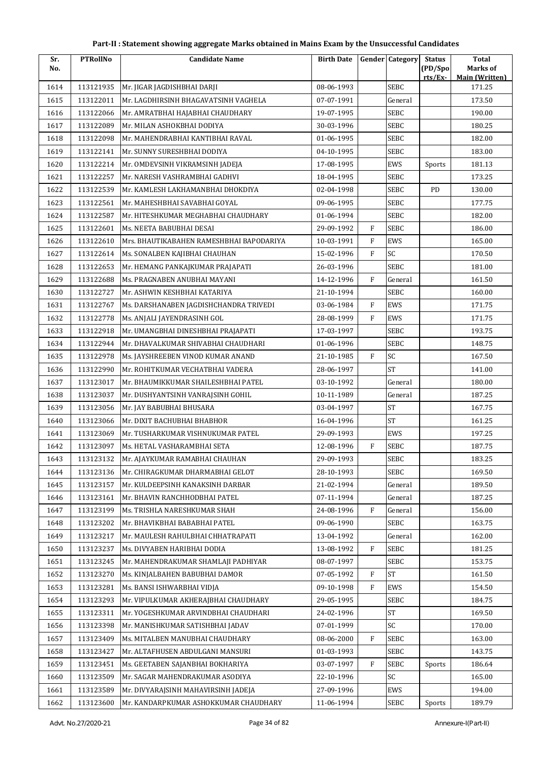| Sr.  | <b>PTRollNo</b> | <b>Candidate Name</b>                    | <b>Birth Date</b> |              | <b>Gender Category</b> | <b>Status</b>      | <b>Total</b>                      |
|------|-----------------|------------------------------------------|-------------------|--------------|------------------------|--------------------|-----------------------------------|
| No.  |                 |                                          |                   |              |                        | (PD/Spo<br>rts/Ex- | Marks of<br><b>Main (Written)</b> |
| 1614 | 113121935       | Mr. JIGAR JAGDISHBHAI DARJI              | 08-06-1993        |              | <b>SEBC</b>            |                    | 171.25                            |
| 1615 | 113122011       | Mr. LAGDHIRSINH BHAGAVATSINH VAGHELA     | 07-07-1991        |              | General                |                    | 173.50                            |
| 1616 | 113122066       | Mr. AMRATBHAI HAJABHAI CHAUDHARY         | 19-07-1995        |              | <b>SEBC</b>            |                    | 190.00                            |
| 1617 | 113122089       | Mr. MILAN ASHOKBHAI DODIYA               | 30-03-1996        |              | <b>SEBC</b>            |                    | 180.25                            |
| 1618 | 113122098       | Mr. MAHENDRABHAI KANTIBHAI RAVAL         | 01-06-1995        |              | <b>SEBC</b>            |                    | 182.00                            |
| 1619 | 113122141       | Mr. SUNNY SURESHBHAI DODIYA              | 04-10-1995        |              | SEBC                   |                    | 183.00                            |
| 1620 | 113122214       | Mr. OMDEVSINH VIKRAMSINH JADEJA          | 17-08-1995        |              | EWS                    | Sports             | 181.13                            |
| 1621 | 113122257       | Mr. NARESH VASHRAMBHAI GADHVI            | 18-04-1995        |              | <b>SEBC</b>            |                    | 173.25                            |
| 1622 | 113122539       | Mr. KAMLESH LAKHAMANBHAI DHOKDIYA        | 02-04-1998        |              | <b>SEBC</b>            | PD                 | 130.00                            |
| 1623 | 113122561       | Mr. MAHESHBHAI SAVABHAI GOYAL            | 09-06-1995        |              | <b>SEBC</b>            |                    | 177.75                            |
| 1624 | 113122587       | Mr. HITESHKUMAR MEGHABHAI CHAUDHARY      | 01-06-1994        |              | <b>SEBC</b>            |                    | 182.00                            |
| 1625 | 113122601       | Ms. NEETA BABUBHAI DESAI                 | 29-09-1992        | $\mathbf{F}$ | <b>SEBC</b>            |                    | 186.00                            |
| 1626 | 113122610       | Mrs. BHAUTIKABAHEN RAMESHBHAI BAPODARIYA | 10-03-1991        | F            | EWS                    |                    | 165.00                            |
| 1627 | 113122614       | Ms. SONALBEN KAJIBHAI CHAUHAN            | 15-02-1996        | $\mathbf{F}$ | SC                     |                    | 170.50                            |
| 1628 | 113122653       | Mr. HEMANG PANKAJKUMAR PRAJAPATI         | 26-03-1996        |              | <b>SEBC</b>            |                    | 181.00                            |
| 1629 | 113122688       | Ms. PRAGNABEN ANUBHAI MAYANI             | 14-12-1996        | $\mathbf{F}$ | General                |                    | 161.50                            |
| 1630 | 113122727       | Mr. ASHWIN KESHBHAI KATARIYA             | 21-10-1994        |              | <b>SEBC</b>            |                    | 160.00                            |
| 1631 | 113122767       | Ms. DARSHANABEN JAGDISHCHANDRA TRIVEDI   | 03-06-1984        | $\, {\bf F}$ | EWS                    |                    | 171.75                            |
| 1632 | 113122778       | Ms. ANJALI JAYENDRASINH GOL              | 28-08-1999        | $\mathbf{F}$ | EWS                    |                    | 171.75                            |
| 1633 | 113122918       | Mr. UMANGBHAI DINESHBHAI PRAJAPATI       | 17-03-1997        |              | <b>SEBC</b>            |                    | 193.75                            |
| 1634 | 113122944       | Mr. DHAVALKUMAR SHIVABHAI CHAUDHARI      | 01-06-1996        |              | SEBC                   |                    | 148.75                            |
| 1635 | 113122978       | Ms. JAYSHREEBEN VINOD KUMAR ANAND        | 21-10-1985        | $\mathbf{F}$ | SC                     |                    | 167.50                            |
| 1636 | 113122990       | Mr. ROHITKUMAR VECHATBHAI VADERA         | 28-06-1997        |              | <b>ST</b>              |                    | 141.00                            |
| 1637 | 113123017       | Mr. BHAUMIKKUMAR SHAILESHBHAI PATEL      | 03-10-1992        |              | General                |                    | 180.00                            |
| 1638 | 113123037       | Mr. DUSHYANTSINH VANRAJSINH GOHIL        | 10-11-1989        |              | General                |                    | 187.25                            |
| 1639 | 113123056       | Mr. JAY BABUBHAI BHUSARA                 | 03-04-1997        |              | <b>ST</b>              |                    | 167.75                            |
| 1640 | 113123066       | Mr. DIXIT BACHUBHAI BHABHOR              | 16-04-1996        |              | <b>ST</b>              |                    | 161.25                            |
| 1641 | 113123069       | Mr. TUSHARKUMAR VISHNUKUMAR PATEL        | 29-09-1993        |              | EWS                    |                    | 197.25                            |
| 1642 | 113123097       | Ms. HETAL VASHARAMBHAI SETA              | 12-08-1996        | $\, {\rm F}$ | <b>SEBC</b>            |                    | 187.75                            |
| 1643 | 113123132       | Mr. AJAYKUMAR RAMABHAI CHAUHAN           | 29-09-1993        |              | <b>SEBC</b>            |                    | 183.25                            |
| 1644 | 113123136       | Mr. CHIRAGKUMAR DHARMABHAI GELOT         | 28-10-1993        |              | <b>SEBC</b>            |                    | 169.50                            |
| 1645 | 113123157       | Mr. KULDEEPSINH KANAKSINH DARBAR         | 21-02-1994        |              | General                |                    | 189.50                            |
| 1646 | 113123161       | Mr. BHAVIN RANCHHODBHAI PATEL            | 07-11-1994        |              | General                |                    | 187.25                            |
| 1647 | 113123199       | Ms. TRISHLA NARESHKUMAR SHAH             | 24-08-1996        | F            | General                |                    | 156.00                            |
| 1648 | 113123202       | Mr. BHAVIKBHAI BABABHAI PATEL            | 09-06-1990        |              | SEBC                   |                    | 163.75                            |
| 1649 | 113123217       | Mr. MAULESH RAHULBHAI CHHATRAPATI        | 13-04-1992        |              | General                |                    | 162.00                            |
| 1650 | 113123237       | Ms. DIVYABEN HARIBHAI DODIA              | 13-08-1992        | F            | <b>SEBC</b>            |                    | 181.25                            |
| 1651 | 113123245       | Mr. MAHENDRAKUMAR SHAMLAJI PADHIYAR      | 08-07-1997        |              | <b>SEBC</b>            |                    | 153.75                            |
| 1652 | 113123270       | Ms. KINJALBAHEN BABUBHAI DAMOR           | 07-05-1992        | F            | <b>ST</b>              |                    | 161.50                            |
| 1653 | 113123281       | Ms. BANSI ISHWARBHAI VIDJA               | 09-10-1998        | F            | EWS                    |                    | 154.50                            |
| 1654 | 113123293       | Mr. VIPULKUMAR AKHERAJBHAI CHAUDHARY     | 29-05-1995        |              | <b>SEBC</b>            |                    | 184.75                            |
| 1655 | 113123311       | Mr. YOGESHKUMAR ARVINDBHAI CHAUDHARI     | 24-02-1996        |              | ST                     |                    | 169.50                            |
| 1656 | 113123398       | Mr. MANISHKUMAR SATISHBHAI JADAV         | 07-01-1999        |              | SC                     |                    | 170.00                            |
| 1657 | 113123409       | Ms. MITALBEN MANUBHAI CHAUDHARY          | 08-06-2000        | ${\rm F}$    | <b>SEBC</b>            |                    | 163.00                            |
| 1658 | 113123427       | Mr. ALTAFHUSEN ABDULGANI MANSURI         | 01-03-1993        |              | <b>SEBC</b>            |                    | 143.75                            |
| 1659 | 113123451       | Ms. GEETABEN SAJANBHAI BOKHARIYA         | 03-07-1997        | ${\rm F}$    | <b>SEBC</b>            | Sports             | 186.64                            |
| 1660 | 113123509       | Mr. SAGAR MAHENDRAKUMAR ASODIYA          | 22-10-1996        |              | SC                     |                    | 165.00                            |
| 1661 | 113123589       | Mr. DIVYARAJSINH MAHAVIRSINH JADEJA      | 27-09-1996        |              | EWS                    |                    | 194.00                            |
| 1662 | 113123600       | Mr. KANDARPKUMAR ASHOKKUMAR CHAUDHARY    | 11-06-1994        |              | <b>SEBC</b>            | Sports             | 189.79                            |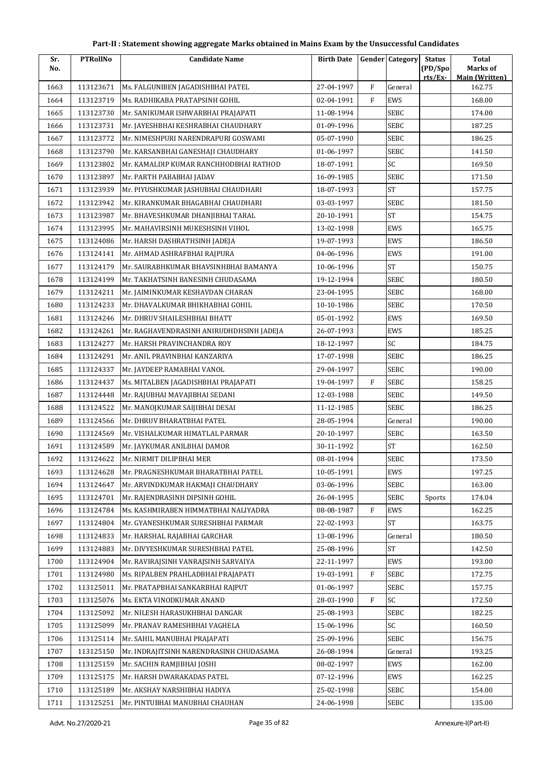| Sr.  | <b>PTRollNo</b> | <b>Candidate Name</b>                    | <b>Birth Date</b> |              | <b>Gender Category</b> | <b>Status</b>      | <b>Total</b>                      |
|------|-----------------|------------------------------------------|-------------------|--------------|------------------------|--------------------|-----------------------------------|
| No.  |                 |                                          |                   |              |                        | (PD/Spo<br>rts/Ex- | Marks of<br><b>Main (Written)</b> |
| 1663 | 113123671       | Ms. FALGUNIBEN JAGADISHBHAI PATEL        | 27-04-1997        | ${\rm F}$    | General                |                    | 162.75                            |
| 1664 | 113123719       | Ms. RADHIKABA PRATAPSINH GOHIL           | 02-04-1991        | $\mathbf{F}$ | EWS                    |                    | 168.00                            |
| 1665 | 113123730       | Mr. SANIKUMAR ISHWARBHAI PRAJAPATI       | 11-08-1994        |              | <b>SEBC</b>            |                    | 174.00                            |
| 1666 | 113123731       | Mr. JAYESHBHAI KESHRABHAI CHAUDHARY      | 01-09-1996        |              | <b>SEBC</b>            |                    | 187.25                            |
| 1667 | 113123772       | Mr. NIMESHPURI NARENDRAPURI GOSWAMI      | 05-07-1990        |              | <b>SEBC</b>            |                    | 186.25                            |
| 1668 | 113123790       | Mr. KARSANBHAI GANESHAJI CHAUDHARY       | 01-06-1997        |              | <b>SEBC</b>            |                    | 141.50                            |
| 1669 | 113123802       | Mr. KAMALDIP KUMAR RANCHHODBHAI RATHOD   | 18-07-1991        |              | SC                     |                    | 169.50                            |
| 1670 | 113123897       | Mr. PARTH PABABHAI JADAV                 | 16-09-1985        |              | <b>SEBC</b>            |                    | 171.50                            |
| 1671 | 113123939       | Mr. PIYUSHKUMAR JASHUBHAI CHAUDHARI      | 18-07-1993        |              | $\operatorname{ST}$    |                    | 157.75                            |
| 1672 | 113123942       | Mr. KIRANKUMAR BHAGABHAI CHAUDHARI       | 03-03-1997        |              | <b>SEBC</b>            |                    | 181.50                            |
| 1673 | 113123987       | Mr. BHAVESHKUMAR DHANJIBHAI TARAL        | 20-10-1991        |              | <b>ST</b>              |                    | 154.75                            |
| 1674 | 113123995       | Mr. MAHAVIRSINH MUKESHSINH VIHOL         | 13-02-1998        |              | EWS                    |                    | 165.75                            |
| 1675 | 113124086       | Mr. HARSH DASHRATHSINH JADEJA            | 19-07-1993        |              | EWS                    |                    | 186.50                            |
| 1676 | 113124141       | Mr. AHMAD ASHRAFBHAI RAJPURA             | 04-06-1996        |              | EWS                    |                    | 191.00                            |
| 1677 | 113124179       | Mr. SAURABHKUMAR BHAVSINHBHAI BAMANYA    | 10-06-1996        |              | <b>ST</b>              |                    | 150.75                            |
| 1678 | 113124199       | Mr. TAKHATSINH BANESINH CHUDASAMA        | 19-12-1994        |              | <b>SEBC</b>            |                    | 180.50                            |
| 1679 | 113124211       | Mr. JAIMINKUMAR KESHAVDAN CHARAN         | 23-04-1995        |              | <b>SEBC</b>            |                    | 168.00                            |
| 1680 | 113124233       | Mr. DHAVALKUMAR BHIKHABHAI GOHIL         | 10-10-1986        |              | <b>SEBC</b>            |                    | 170.50                            |
| 1681 | 113124246       | Mr. DHRUV SHAILESHBHAI BHATT             | 05-01-1992        |              | EWS                    |                    | 169.50                            |
| 1682 | 113124261       | Mr. RAGHAVENDRASINH ANIRUDHDHSINH JADEJA | 26-07-1993        |              | EWS                    |                    | 185.25                            |
| 1683 | 113124277       | Mr. HARSH PRAVINCHANDRA ROY              | 18-12-1997        |              | SC                     |                    | 184.75                            |
| 1684 | 113124291       | Mr. ANIL PRAVINBHAI KANZARIYA            | 17-07-1998        |              | <b>SEBC</b>            |                    | 186.25                            |
| 1685 | 113124337       | Mr. JAYDEEP RAMABHAI VANOL               | 29-04-1997        |              | <b>SEBC</b>            |                    | 190.00                            |
| 1686 | 113124437       | Ms. MITALBEN JAGADISHBHAI PRAJAPATI      | 19-04-1997        | F            | <b>SEBC</b>            |                    | 158.25                            |
| 1687 | 113124448       | Mr. RAJUBHAI MAVAJIBHAI SEDANI           | 12-03-1988        |              | <b>SEBC</b>            |                    | 149.50                            |
| 1688 | 113124522       | Mr. MANOJKUMAR SAIJIBHAI DESAI           | 11-12-1985        |              | <b>SEBC</b>            |                    | 186.25                            |
| 1689 | 113124566       | Mr. DHRUV BHARATBHAI PATEL               | 28-05-1994        |              | General                |                    | 190.00                            |
| 1690 | 113124569       | Mr. VISHALKUMAR HIMATLAL PARMAR          | 20-10-1997        |              | <b>SEBC</b>            |                    | 163.50                            |
| 1691 | 113124589       | Mr. JAYKUMAR ANILBHAI DAMOR              | 30-11-1992        |              | $\operatorname{ST}$    |                    | 162.50                            |
| 1692 | 113124622       | Mr. NIRMIT DILIPBHAI MER                 | 08-01-1994        |              | <b>SEBC</b>            |                    | 173.50                            |
| 1693 | 113124628       | Mr. PRAGNESHKUMAR BHARATBHAI PATEL       | 10-05-1991        |              | EWS                    |                    | 197.25                            |
| 1694 | 113124647       | Mr. ARVINDKUMAR HAKMAJI CHAUDHARY        | 03-06-1996        |              | SEBC                   |                    | 163.00                            |
| 1695 | 113124701       | Mr. RAJENDRASINH DIPSINH GOHIL           | 26-04-1995        |              | <b>SEBC</b>            | Sports             | 174.04                            |
| 1696 | 113124784       | Ms. KASHMIRABEN HIMMATBHAI NALIYADRA     | 08-08-1987        | F            | EWS                    |                    | 162.25                            |
| 1697 | 113124804       | Mr. GYANESHKUMAR SURESHBHAI PARMAR       | 22-02-1993        |              | ST                     |                    | 163.75                            |
| 1698 | 113124833       | Mr. HARSHAL RAJABHAI GARCHAR             | 13-08-1996        |              | General                |                    | 180.50                            |
| 1699 | 113124883       | Mr. DIVYESHKUMAR SURESHBHAI PATEL        | 25-08-1996        |              | <b>ST</b>              |                    | 142.50                            |
| 1700 | 113124904       | Mr. RAVIRAJSINH VANRAJSINH SARVAIYA      | 22-11-1997        |              | EWS                    |                    | 193.00                            |
| 1701 | 113124980       | Ms. RIPALBEN PRAHLADBHAI PRAJAPATI       | 19-03-1991        | F            | <b>SEBC</b>            |                    | 172.75                            |
| 1702 | 113125011       | Mr. PRATAPBHAI SANKARBHAI RAJPUT         | 01-06-1997        |              | <b>SEBC</b>            |                    | 157.75                            |
| 1703 | 113125076       | Ms. EKTA VINODKUMAR ANAND                | 28-03-1990        | F            | SC                     |                    | 172.50                            |
| 1704 | 113125092       | Mr. NILESH HARASUKHBHAI DANGAR           | 25-08-1993        |              | SEBC                   |                    | 182.25                            |
| 1705 | 113125099       | Mr. PRANAV RAMESHBHAI VAGHELA            | 15-06-1996        |              | SC                     |                    | 160.50                            |
| 1706 | 113125114       | Mr. SAHIL MANUBHAI PRAJAPATI             | 25-09-1996        |              | <b>SEBC</b>            |                    | 156.75                            |
| 1707 | 113125150       | Mr. INDRAJITSINH NARENDRASINH CHUDASAMA  | 26-08-1994        |              | General                |                    | 193.25                            |
| 1708 | 113125159       | Mr. SACHIN RAMJIBHAI JOSHI               | 08-02-1997        |              | EWS                    |                    | 162.00                            |
| 1709 | 113125175       | Mr. HARSH DWARAKADAS PATEL               | 07-12-1996        |              | EWS                    |                    | 162.25                            |
| 1710 | 113125189       | Mr. AKSHAY NARSHIBHAI HADIYA             | 25-02-1998        |              | <b>SEBC</b>            |                    | 154.00                            |
| 1711 | 113125251       | Mr. PINTUBHAI MANUBHAI CHAUHAN           | 24-06-1998        |              | <b>SEBC</b>            |                    | 135.00                            |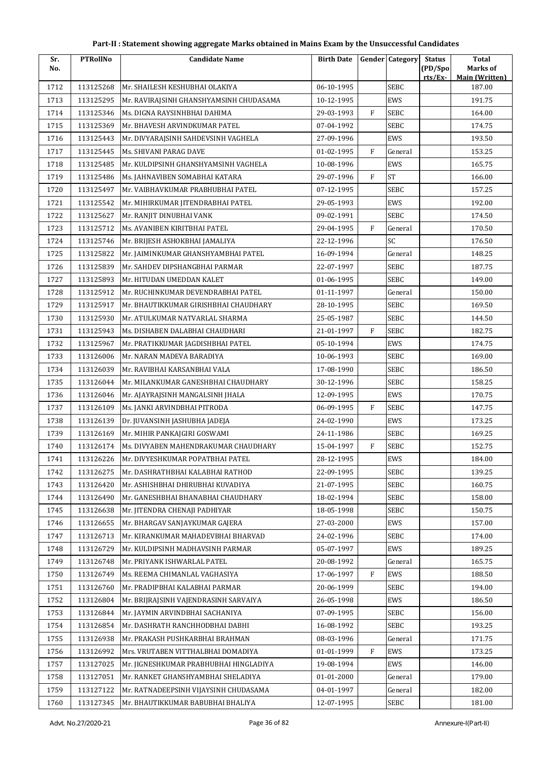| Sr.  | <b>PTRollNo</b> | <b>Candidate Name</b>                   | <b>Birth Date</b> |              | <b>Gender</b> Category | <b>Status</b>     | <b>Total</b>                      |
|------|-----------------|-----------------------------------------|-------------------|--------------|------------------------|-------------------|-----------------------------------|
| No.  |                 |                                         |                   |              |                        | (PD/Spo<br>rts/Ex | Marks of<br><b>Main (Written)</b> |
| 1712 | 113125268       | Mr. SHAILESH KESHUBHAI OLAKIYA          | 06-10-1995        |              | <b>SEBC</b>            |                   | 187.00                            |
| 1713 | 113125295       | Mr. RAVIRAJSINH GHANSHYAMSINH CHUDASAMA | 10-12-1995        |              | EWS                    |                   | 191.75                            |
| 1714 | 113125346       | Ms. DIGNA RAYSINHBHAI DAHIMA            | 29-03-1993        | F            | SEBC                   |                   | 164.00                            |
| 1715 | 113125369       | Mr. BHAVESH ARVINDKUMAR PATEL           | 07-04-1992        |              | SEBC                   |                   | 174.75                            |
| 1716 | 113125443       | Mr. DIVYARAJSINH SAHDEVSINH VAGHELA     | 27-09-1996        |              | <b>EWS</b>             |                   | 193.50                            |
| 1717 | 113125445       | Ms. SHIVANI PARAG DAVE                  | 01-02-1995        | $\mathbf{F}$ | General                |                   | 153.25                            |
| 1718 | 113125485       | Mr. KULDIPSINH GHANSHYAMSINH VAGHELA    | 10-08-1996        |              | EWS                    |                   | 165.75                            |
| 1719 | 113125486       | Ms. JAHNAVIBEN SOMABHAI KATARA          | 29-07-1996        | $\mathbf{F}$ | <b>ST</b>              |                   | 166.00                            |
| 1720 | 113125497       | Mr. VAIBHAVKUMAR PRABHUBHAI PATEL       | 07-12-1995        |              | <b>SEBC</b>            |                   | 157.25                            |
| 1721 | 113125542       | Mr. MIHIRKUMAR JITENDRABHAI PATEL       | 29-05-1993        |              | <b>EWS</b>             |                   | 192.00                            |
| 1722 | 113125627       | Mr. RANJIT DINUBHAI VANK                | 09-02-1991        |              | SEBC                   |                   | 174.50                            |
| 1723 | 113125712       | Ms. AVANIBEN KIRITBHAI PATEL            | 29-04-1995        | F            | General                |                   | 170.50                            |
| 1724 | 113125746       | Mr. BRIJESH ASHOKBHAI JAMALIYA          | 22-12-1996        |              | SC                     |                   | 176.50                            |
| 1725 | 113125822       | Mr. JAIMINKUMAR GHANSHYAMBHAI PATEL     | 16-09-1994        |              | General                |                   | 148.25                            |
| 1726 | 113125839       | Mr. SAHDEV DIPSHANGBHAI PARMAR          | 22-07-1997        |              | SEBC                   |                   | 187.75                            |
| 1727 | 113125893       | Mr. HITUDAN UMEDDAN KALET               | 01-06-1995        |              | <b>SEBC</b>            |                   | 149.00                            |
| 1728 | 113125912       | Mr. RUCHINKUMAR DEVENDRABHAI PATEL      | 01-11-1997        |              | General                |                   | 150.00                            |
| 1729 | 113125917       | Mr. BHAUTIKKUMAR GIRISHBHAI CHAUDHARY   | 28-10-1995        |              | <b>SEBC</b>            |                   | 169.50                            |
| 1730 | 113125930       | Mr. ATULKUMAR NATVARLAL SHARMA          | 25-05-1987        |              | SEBC                   |                   | 144.50                            |
| 1731 | 113125943       | Ms. DISHABEN DALABHAI CHAUDHARI         | 21-01-1997        | $\mathbf{F}$ | SEBC                   |                   | 182.75                            |
| 1732 | 113125967       | Mr. PRATIKKUMAR JAGDISHBHAI PATEL       | 05-10-1994        |              | EWS                    |                   | 174.75                            |
| 1733 | 113126006       | Mr. NARAN MADEVA BARADIYA               | 10-06-1993        |              | SEBC                   |                   | 169.00                            |
| 1734 | 113126039       | Mr. RAVIBHAI KARSANBHAI VALA            | 17-08-1990        |              | SEBC                   |                   | 186.50                            |
| 1735 | 113126044       | Mr. MILANKUMAR GANESHBHAI CHAUDHARY     | 30-12-1996        |              | SEBC                   |                   | 158.25                            |
| 1736 | 113126046       | Mr. AJAYRAJSINH MANGALSINH JHALA        | 12-09-1995        |              | EWS                    |                   | 170.75                            |
| 1737 | 113126109       | Ms. JANKI ARVINDBHAI PITRODA            | 06-09-1995        | $\rm F$      | SEBC                   |                   | 147.75                            |
| 1738 | 113126139       | Dr. JUVANSINH JASHUBHA JADEJA           | 24-02-1990        |              | EWS                    |                   | 173.25                            |
| 1739 | 113126169       | Mr. MIHIR PANKAJGIRI GOSWAMI            | 24-11-1986        |              | SEBC                   |                   | 169.25                            |
| 1740 | 113126174       | Ms. DIVYABEN MAHENDRAKUMAR CHAUDHARY    | 15-04-1997        | $\rm F$      | SEBC                   |                   | 152.75                            |
| 1741 | 113126226       | Mr. DIVYESHKUMAR POPATBHAI PATEL        | 28-12-1995        |              | EWS                    |                   | 184.00                            |
| 1742 | 113126275       | Mr. DASHRATHBHAI KALABHAI RATHOD        | 22-09-1995        |              | SEBC                   |                   | 139.25                            |
| 1743 | 113126420       | Mr. ASHISHBHAI DHIRUBHAI KUVADIYA       | 21-07-1995        |              | SEBC                   |                   | 160.75                            |
| 1744 | 113126490       | Mr. GANESHBHAI BHANABHAI CHAUDHARY      | 18-02-1994        |              | SEBC                   |                   | 158.00                            |
| 1745 | 113126638       | Mr. JITENDRA CHENAJI PADHIYAR           | 18-05-1998        |              | SEBC                   |                   | 150.75                            |
| 1746 | 113126655       | Mr. BHARGAV SANJAYKUMAR GAJERA          | 27-03-2000        |              | EWS                    |                   | 157.00                            |
| 1747 | 113126713       | Mr. KIRANKUMAR MAHADEVBHAI BHARVAD      | 24-02-1996        |              | SEBC                   |                   | 174.00                            |
| 1748 | 113126729       | Mr. KULDIPSINH MADHAVSINH PARMAR        | 05-07-1997        |              | EWS                    |                   | 189.25                            |
| 1749 | 113126748       | Mr. PRIYANK ISHWARLAL PATEL             | 20-08-1992        |              | General                |                   | 165.75                            |
| 1750 | 113126749       | Ms. REEMA CHIMANLAL VAGHASIYA           | 17-06-1997        | F            | EWS                    |                   | 188.50                            |
| 1751 | 113126760       | Mr. PRADIPBHAI KALABHAI PARMAR          | 20-06-1999        |              | SEBC                   |                   | 194.00                            |
| 1752 | 113126804       | Mr. BRIJRAJSINH VAJENDRASINH SARVAIYA   | 26-05-1998        |              | EWS                    |                   | 186.50                            |
| 1753 | 113126844       | Mr. JAYMIN ARVINDBHAI SACHANIYA         | 07-09-1995        |              | SEBC                   |                   | 156.00                            |
| 1754 | 113126854       | Mr. DASHRATH RANCHHODBHAI DABHI         | 16-08-1992        |              | SEBC                   |                   | 193.25                            |
| 1755 | 113126938       | Mr. PRAKASH PUSHKARBHAI BRAHMAN         | 08-03-1996        |              | General                |                   | 171.75                            |
| 1756 | 113126992       | Mrs. VRUTABEN VITTHALBHAI DOMADIYA      | 01-01-1999        | F            | EWS                    |                   | 173.25                            |
| 1757 | 113127025       | Mr. JIGNESHKUMAR PRABHUBHAI HINGLADIYA  | 19-08-1994        |              | EWS                    |                   | 146.00                            |
| 1758 | 113127051       | Mr. RANKET GHANSHYAMBHAI SHELADIYA      | 01-01-2000        |              | General                |                   | 179.00                            |
| 1759 | 113127122       | Mr. RATNADEEPSINH VIJAYSINH CHUDASAMA   | 04-01-1997        |              | General                |                   | 182.00                            |
| 1760 | 113127345       | Mr. BHAUTIKKUMAR BABUBHAI BHALIYA       | 12-07-1995        |              | SEBC                   |                   | 181.00                            |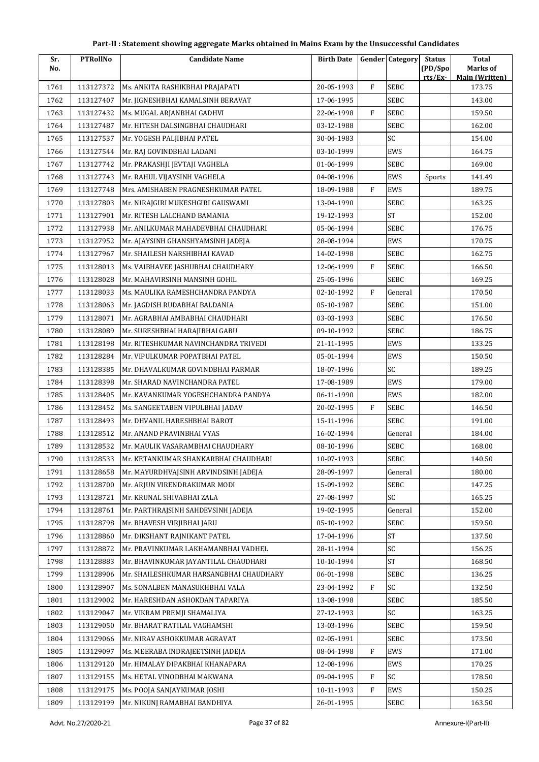| Part-II : Statement showing aggregate Marks obtained in Mains Exam by the Unsuccessful Candidates |  |
|---------------------------------------------------------------------------------------------------|--|
|---------------------------------------------------------------------------------------------------|--|

| Sr.<br>No. | <b>PTRollNo</b> | <b>Candidate Name</b>                   | <b>Birth Date</b> |              | <b>Gender</b> Category | <b>Status</b><br>(PD/Spo) | <b>Total</b><br>Marks of |
|------------|-----------------|-----------------------------------------|-------------------|--------------|------------------------|---------------------------|--------------------------|
|            |                 |                                         |                   |              |                        | rts/Ex-                   | <b>Main (Written)</b>    |
| 1761       | 113127372       | Ms. ANKITA RASHIKBHAI PRAJAPATI         | 20-05-1993        | $\rm F$      | <b>SEBC</b>            |                           | 173.75                   |
| 1762       | 113127407       | Mr. JIGNESHBHAI KAMALSINH BERAVAT       | 17-06-1995        |              | <b>SEBC</b>            |                           | 143.00                   |
| 1763       | 113127432       | Ms. MUGAL ARJANBHAI GADHVI              | 22-06-1998        | $\mathbf{F}$ | SEBC                   |                           | 159.50                   |
| 1764       | 113127487       | Mr. HITESH DALSINGBHAI CHAUDHARI        | 03-12-1988        |              | <b>SEBC</b>            |                           | 162.00                   |
| 1765       | 113127537       | Mr. YOGESH PALJIBHAI PATEL              | 30-04-1983        |              | SC                     |                           | 154.00                   |
| 1766       | 113127544       | Mr. RAJ GOVINDBHAI LADANI               | 03-10-1999        |              | <b>EWS</b>             |                           | 164.75                   |
| 1767       | 113127742       | Mr. PRAKASHJI JEVTAJI VAGHELA           | 01-06-1999        |              | <b>SEBC</b>            |                           | 169.00                   |
| 1768       | 113127743       | Mr. RAHUL VIJAYSINH VAGHELA             | 04-08-1996        |              | EWS                    | Sports                    | 141.49                   |
| 1769       | 113127748       | Mrs. AMISHABEN PRAGNESHKUMAR PATEL      | 18-09-1988        | $\mathbf{F}$ | EWS                    |                           | 189.75                   |
| 1770       | 113127803       | Mr. NIRAJGIRI MUKESHGIRI GAUSWAMI       | 13-04-1990        |              | SEBC                   |                           | 163.25                   |
| 1771       | 113127901       | Mr. RITESH LALCHAND BAMANIA             | 19-12-1993        |              | ${\rm ST}$             |                           | 152.00                   |
| 1772       | 113127938       | Mr. ANILKUMAR MAHADEVBHAI CHAUDHARI     | 05-06-1994        |              | <b>SEBC</b>            |                           | 176.75                   |
| 1773       | 113127952       | Mr. AJAYSINH GHANSHYAMSINH JADEJA       | 28-08-1994        |              | EWS                    |                           | 170.75                   |
| 1774       | 113127967       | Mr. SHAILESH NARSHIBHAI KAVAD           | 14-02-1998        |              | SEBC                   |                           | 162.75                   |
| 1775       | 113128013       | Ms. VAIBHAVEE JASHUBHAI CHAUDHARY       | 12-06-1999        | $\mathbf{F}$ | SEBC                   |                           | 166.50                   |
| 1776       | 113128028       | Mr. MAHAVIRSINH MANSINH GOHIL           | 25-05-1996        |              | SEBC                   |                           | 169.25                   |
| 1777       | 113128033       | Ms. MAULIKA RAMESHCHANDRA PANDYA        | 02-10-1992        | $\mathbf{F}$ | General                |                           | 170.50                   |
| 1778       | 113128063       | Mr. JAGDISH RUDABHAI BALDANIA           | 05-10-1987        |              | SEBC                   |                           | 151.00                   |
| 1779       | 113128071       | Mr. AGRABHAI AMBABHAI CHAUDHARI         | 03-03-1993        |              | SEBC                   |                           | 176.50                   |
| 1780       | 113128089       | Mr. SURESHBHAI HARAJIBHAI GABU          | 09-10-1992        |              | SEBC                   |                           | 186.75                   |
| 1781       | 113128198       | Mr. RITESHKUMAR NAVINCHANDRA TRIVEDI    | 21-11-1995        |              | EWS                    |                           | 133.25                   |
| 1782       | 113128284       | Mr. VIPULKUMAR POPATBHAI PATEL          | 05-01-1994        |              | EWS                    |                           | 150.50                   |
| 1783       | 113128385       | Mr. DHAVALKUMAR GOVINDBHAI PARMAR       | 18-07-1996        |              | SC                     |                           | 189.25                   |
| 1784       | 113128398       | Mr. SHARAD NAVINCHANDRA PATEL           | 17-08-1989        |              | EWS                    |                           | 179.00                   |
| 1785       | 113128405       | Mr. KAVANKUMAR YOGESHCHANDRA PANDYA     | 06-11-1990        |              | EWS                    |                           | 182.00                   |
| 1786       | 113128452       | Ms. SANGEETABEN VIPULBHAI JADAV         | 20-02-1995        | $\mathbf{F}$ | SEBC                   |                           | 146.50                   |
| 1787       | 113128493       | Mr. DHVANIL HARESHBHAI BAROT            | 15-11-1996        |              | <b>SEBC</b>            |                           | 191.00                   |
| 1788       | 113128512       | Mr. ANAND PRAVINBHAI VYAS               | 16-02-1994        |              | General                |                           | 184.00                   |
| 1789       | 113128532       | Mr. MAULIK VASARAMBHAI CHAUDHARY        | 08-10-1996        |              | SEBC                   |                           | 168.00                   |
| 1790       | 113128533       | Mr. KETANKUMAR SHANKARBHAI CHAUDHARI    | 10-07-1993        |              | <b>SEBC</b>            |                           | 140.50                   |
| 1791       | 113128658       | Mr. MAYURDHVAJSINH ARVINDSINH JADEJA    | 28-09-1997        |              | General                |                           | 180.00                   |
| 1792       | 113128700       | Mr. ARJUN VIRENDRAKUMAR MODI            | 15-09-1992        |              | SEBC                   |                           | 147.25                   |
| 1793       | 113128721       | Mr. KRUNAL SHIVABHAI ZALA               | 27-08-1997        |              | SC                     |                           | 165.25                   |
| 1794       | 113128761       | Mr. PARTHRAJSINH SAHDEVSINH JADEJA      | 19-02-1995        |              | General                |                           | 152.00                   |
| 1795       | 113128798       | Mr. BHAVESH VIRJIBHAI JARU              | 05-10-1992        |              | SEBC                   |                           | 159.50                   |
| 1796       | 113128860       | Mr. DIKSHANT RAJNIKANT PATEL            | 17-04-1996        |              | ST                     |                           | 137.50                   |
| 1797       | 113128872       | Mr. PRAVINKUMAR LAKHAMANBHAI VADHEL     | 28-11-1994        |              | SC                     |                           | 156.25                   |
| 1798       | 113128883       | Mr. BHAVINKUMAR JAYANTILAL CHAUDHARI    | 10-10-1994        |              | <b>ST</b>              |                           | 168.50                   |
| 1799       | 113128906       | Mr. SHAILESHKUMAR HARSANGBHAI CHAUDHARY | 06-01-1998        |              | SEBC                   |                           | 136.25                   |
| 1800       | 113128907       | Ms. SONALBEN MANASUKHBHAI VALA          | 23-04-1992        | F            | SC                     |                           | 132.50                   |
| 1801       | 113129002       | Mr. HARESHDAN ASHOKDAN TAPARIYA         | 13-08-1998        |              | SEBC                   |                           | 185.50                   |
| 1802       | 113129047       | Mr. VIKRAM PREMJI SHAMALIYA             | 27-12-1993        |              | SC                     |                           | 163.25                   |
| 1803       | 113129050       | Mr. BHARAT RATILAL VAGHAMSHI            | 13-03-1996        |              | <b>SEBC</b>            |                           | 159.50                   |
| 1804       | 113129066       | Mr. NIRAV ASHOKKUMAR AGRAVAT            | 02-05-1991        |              | SEBC                   |                           | 173.50                   |
| 1805       | 113129097       | Ms. MEERABA INDRAJEETSINH JADEJA        | 08-04-1998        | $\rm F$      | EWS                    |                           | 171.00                   |
| 1806       | 113129120       | Mr. HIMALAY DIPAKBHAI KHANAPARA         | 12-08-1996        |              | EWS                    |                           | 170.25                   |
| 1807       | 113129155       | Ms. HETAL VINODBHAI MAKWANA             | 09-04-1995        | F            | SC                     |                           | 178.50                   |
| 1808       | 113129175       | Ms. POOJA SANJAYKUMAR JOSHI             | 10-11-1993        | $\rm F$      | EWS                    |                           | 150.25                   |
| 1809       | 113129199       | Mr. NIKUNJ RAMABHAI BANDHIYA            | 26-01-1995        |              | SEBC                   |                           | 163.50                   |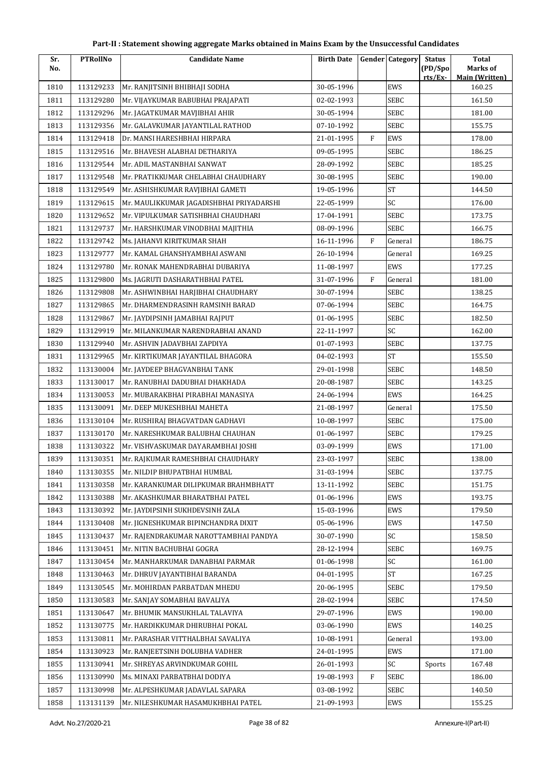| Sr.  | <b>PTRollNo</b> | <b>Candidate Name</b>                    | <b>Birth Date</b> |              | <b>Gender Category</b> | <b>Status</b>      | <b>Total</b>                      |
|------|-----------------|------------------------------------------|-------------------|--------------|------------------------|--------------------|-----------------------------------|
| No.  |                 |                                          |                   |              |                        | (PD/Spo<br>rts/Ex- | Marks of<br><b>Main (Written)</b> |
| 1810 | 113129233       | Mr. RANJITSINH BHIBHAJI SODHA            | 30-05-1996        |              | EWS                    |                    | 160.25                            |
| 1811 | 113129280       | Mr. VIJAYKUMAR BABUBHAI PRAJAPATI        | 02-02-1993        |              | <b>SEBC</b>            |                    | 161.50                            |
| 1812 | 113129296       | Mr. JAGATKUMAR MAVJIBHAI AHIR            | 30-05-1994        |              | <b>SEBC</b>            |                    | 181.00                            |
| 1813 | 113129356       | Mr. GALAVKUMAR JAYANTILAL RATHOD         | 07-10-1992        |              | <b>SEBC</b>            |                    | 155.75                            |
| 1814 | 113129418       | Dr. MANSI HARESHBHAI HIRPARA             | 21-01-1995        | F            | EWS                    |                    | 178.00                            |
| 1815 | 113129516       | Mr. BHAVESH ALABHAI DETHARIYA            | 09-05-1995        |              | SEBC                   |                    | 186.25                            |
| 1816 | 113129544       | Mr. ADIL MASTANBHAI SANWAT               | 28-09-1992        |              | <b>SEBC</b>            |                    | 185.25                            |
| 1817 | 113129548       | Mr. PRATIKKUMAR CHELABHAI CHAUDHARY      | 30-08-1995        |              | <b>SEBC</b>            |                    | 190.00                            |
| 1818 | 113129549       | Mr. ASHISHKUMAR RAVJIBHAI GAMETI         | 19-05-1996        |              | <b>ST</b>              |                    | 144.50                            |
| 1819 | 113129615       | Mr. MAULIKKUMAR JAGADISHBHAI PRIYADARSHI | 22-05-1999        |              | SC                     |                    | 176.00                            |
| 1820 | 113129652       | Mr. VIPULKUMAR SATISHBHAI CHAUDHARI      | 17-04-1991        |              | <b>SEBC</b>            |                    | 173.75                            |
| 1821 | 113129737       | Mr. HARSHKUMAR VINODBHAI MAJITHIA        | 08-09-1996        |              | <b>SEBC</b>            |                    | 166.75                            |
| 1822 | 113129742       | Ms. JAHANVI KIRITKUMAR SHAH              | 16-11-1996        | $\mathbf{F}$ | General                |                    | 186.75                            |
| 1823 | 113129777       | Mr. KAMAL GHANSHYAMBHAI ASWANI           | 26-10-1994        |              | General                |                    | 169.25                            |
| 1824 | 113129780       | Mr. RONAK MAHENDRABHAI DUBARIYA          | 11-08-1997        |              | EWS                    |                    | 177.25                            |
| 1825 | 113129800       | Ms. JAGRUTI DASHARATHBHAI PATEL          | 31-07-1996        | F            | General                |                    | 181.00                            |
| 1826 | 113129808       | Mr. ASHWINBHAI HARJIBHAI CHAUDHARY       | 30-07-1994        |              | <b>SEBC</b>            |                    | 138.25                            |
| 1827 | 113129865       | Mr. DHARMENDRASINH RAMSINH BARAD         | 07-06-1994        |              | <b>SEBC</b>            |                    | 164.75                            |
| 1828 | 113129867       | Mr. JAYDIPSINH JAMABHAI RAJPUT           | 01-06-1995        |              | <b>SEBC</b>            |                    | 182.50                            |
| 1829 | 113129919       | Mr. MILANKUMAR NARENDRABHAI ANAND        | 22-11-1997        |              | SC                     |                    | 162.00                            |
| 1830 | 113129940       | Mr. ASHVIN JADAVBHAI ZAPDIYA             | 01-07-1993        |              | SEBC                   |                    | 137.75                            |
| 1831 | 113129965       | Mr. KIRTIKUMAR JAYANTILAL BHAGORA        | 04-02-1993        |              | <b>ST</b>              |                    | 155.50                            |
| 1832 | 113130004       | Mr. JAYDEEP BHAGVANBHAI TANK             | 29-01-1998        |              | <b>SEBC</b>            |                    | 148.50                            |
| 1833 | 113130017       | Mr. RANUBHAI DADUBHAI DHAKHADA           | 20-08-1987        |              | <b>SEBC</b>            |                    | 143.25                            |
| 1834 | 113130053       | Mr. MUBARAKBHAI PIRABHAI MANASIYA        | 24-06-1994        |              | EWS                    |                    | 164.25                            |
| 1835 | 113130091       | Mr. DEEP MUKESHBHAI MAHETA               | 21-08-1997        |              | General                |                    | 175.50                            |
| 1836 | 113130104       | Mr. RUSHIRAJ BHAGVATDAN GADHAVI          | 10-08-1997        |              | <b>SEBC</b>            |                    | 175.00                            |
| 1837 | 113130170       | Mr. NARESHKUMAR BALUBHAI CHAUHAN         | 01-06-1997        |              | SEBC                   |                    | 179.25                            |
| 1838 | 113130322       | Mr. VISHVASKUMAR DAYARAMBHAI JOSHI       | 03-09-1999        |              | EWS                    |                    | 171.00                            |
| 1839 | 113130351       | Mr. RAJKUMAR RAMESHBHAI CHAUDHARY        | 23-03-1997        |              | SEBC                   |                    | 138.00                            |
| 1840 | 113130355       | Mr. NILDIP BHUPATBHAI HUMBAL             | 31-03-1994        |              | <b>SEBC</b>            |                    | 137.75                            |
| 1841 | 113130358       | Mr. KARANKUMAR DILIPKUMAR BRAHMBHATT     | 13-11-1992        |              | SEBC                   |                    | 151.75                            |
| 1842 | 113130388       | Mr. AKASHKUMAR BHARATBHAI PATEL          | 01-06-1996        |              | EWS                    |                    | 193.75                            |
| 1843 | 113130392       | Mr. JAYDIPSINH SUKHDEVSINH ZALA          | 15-03-1996        |              | EWS                    |                    | 179.50                            |
| 1844 | 113130408       | Mr. JIGNESHKUMAR BIPINCHANDRA DIXIT      | 05-06-1996        |              | EWS                    |                    | 147.50                            |
| 1845 | 113130437       | Mr. RAJENDRAKUMAR NAROTTAMBHAI PANDYA    | 30-07-1990        |              | SC                     |                    | 158.50                            |
| 1846 | 113130451       | Mr. NITIN BACHUBHAI GOGRA                | 28-12-1994        |              | <b>SEBC</b>            |                    | 169.75                            |
| 1847 | 113130454       | Mr. MANHARKUMAR DANABHAI PARMAR          | 01-06-1998        |              | SC                     |                    | 161.00                            |
| 1848 | 113130463       | Mr. DHRUV JAYANTIBHAI BARANDA            | 04-01-1995        |              | <b>ST</b>              |                    | 167.25                            |
| 1849 | 113130545       | Mr. MOHIRDAN PARBATDAN MHEDU             | 20-06-1995        |              | <b>SEBC</b>            |                    | 179.50                            |
| 1850 | 113130583       | Mr. SANJAY SOMABHAI BAVALIYA             | 28-02-1994        |              | <b>SEBC</b>            |                    | 174.50                            |
| 1851 | 113130647       | Mr. BHUMIK MANSUKHLAL TALAVIYA           | 29-07-1996        |              | EWS                    |                    | 190.00                            |
| 1852 | 113130775       | Mr. HARDIKKUMAR DHIRUBHAI POKAL          | 03-06-1990        |              | EWS                    |                    | 140.25                            |
| 1853 | 113130811       | Mr. PARASHAR VITTHALBHAI SAVALIYA        | 10-08-1991        |              | General                |                    | 193.00                            |
| 1854 | 113130923       | Mr. RANJEETSINH DOLUBHA VADHER           | 24-01-1995        |              | EWS                    |                    | 171.00                            |
| 1855 | 113130941       | Mr. SHREYAS ARVINDKUMAR GOHIL            | 26-01-1993        |              | SC                     | Sports             | 167.48                            |
| 1856 | 113130990       | Ms. MINAXI PARBATBHAI DODIYA             | 19-08-1993        | F            | <b>SEBC</b>            |                    | 186.00                            |
| 1857 | 113130998       | Mr. ALPESHKUMAR JADAVLAL SAPARA          | 03-08-1992        |              | <b>SEBC</b>            |                    | 140.50                            |
| 1858 | 113131139       | Mr. NILESHKUMAR HASAMUKHBHAI PATEL       | 21-09-1993        |              | EWS                    |                    | 155.25                            |
|      |                 |                                          |                   |              |                        |                    |                                   |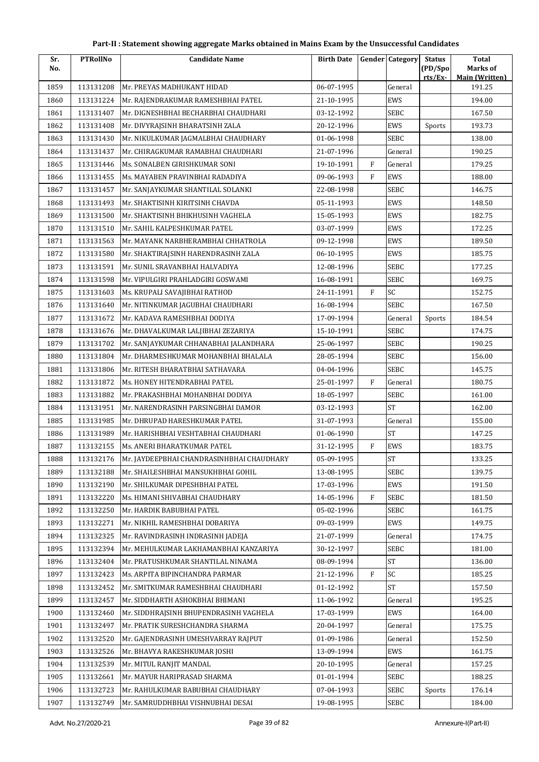| Sr.  | <b>PTRollNo</b> | <b>Candidate Name</b>                     | <b>Birth Date</b> |              | <b>Gender Category</b> | <b>Status</b>      | <b>Total</b>                      |
|------|-----------------|-------------------------------------------|-------------------|--------------|------------------------|--------------------|-----------------------------------|
| No.  |                 |                                           |                   |              |                        | (PD/Spo<br>rts/Ex- | Marks of<br><b>Main (Written)</b> |
| 1859 | 113131208       | Mr. PREYAS MADHUKANT HIDAD                | 06-07-1995        |              | General                |                    | 191.25                            |
| 1860 | 113131224       | Mr. RAJENDRAKUMAR RAMESHBHAI PATEL        | 21-10-1995        |              | EWS                    |                    | 194.00                            |
| 1861 | 113131407       | Mr. DIGNESHBHAI BECHARBHAI CHAUDHARI      | 03-12-1992        |              | <b>SEBC</b>            |                    | 167.50                            |
| 1862 | 113131408       | Mr. DIVYRAJSINH BHARATSINH ZALA           | 20-12-1996        |              | EWS                    | Sports             | 193.73                            |
| 1863 | 113131430       | Mr. NIKULKUMAR JAGMALBHAI CHAUDHARY       | 01-06-1998        |              | <b>SEBC</b>            |                    | 138.00                            |
| 1864 | 113131437       | Mr. CHIRAGKUMAR RAMABHAI CHAUDHARI        | 21-07-1996        |              | General                |                    | 190.25                            |
| 1865 | 113131446       | Ms. SONALBEN GIRISHKUMAR SONI             | 19-10-1991        | $\mathbf{F}$ | General                |                    | 179.25                            |
| 1866 | 113131455       | Ms. MAYABEN PRAVINBHAI RADADIYA           | 09-06-1993        | F            | EWS                    |                    | 188.00                            |
| 1867 | 113131457       | Mr. SANJAYKUMAR SHANTILAL SOLANKI         | 22-08-1998        |              | SEBC                   |                    | 146.75                            |
| 1868 | 113131493       | Mr. SHAKTISINH KIRITSINH CHAVDA           | 05-11-1993        |              | EWS                    |                    | 148.50                            |
| 1869 | 113131500       | Mr. SHAKTISINH BHIKHUSINH VAGHELA         | 15-05-1993        |              | EWS                    |                    | 182.75                            |
| 1870 | 113131510       | Mr. SAHIL KALPESHKUMAR PATEL              | 03-07-1999        |              | EWS                    |                    | 172.25                            |
| 1871 | 113131563       | Mr. MAYANK NARBHERAMBHAI CHHATROLA        | 09-12-1998        |              | EWS                    |                    | 189.50                            |
| 1872 | 113131580       | Mr. SHAKTIRAJSINH HARENDRASINH ZALA       | 06-10-1995        |              | EWS                    |                    | 185.75                            |
| 1873 | 113131591       | Mr. SUNIL SRAVANBHAI HALVADIYA            | 12-08-1996        |              | <b>SEBC</b>            |                    | 177.25                            |
| 1874 | 113131598       | Mr. VIPULGIRI PRAHLADGIRI GOSWAMI         | 16-08-1991        |              | SEBC                   |                    | 169.75                            |
| 1875 | 113131603       | Ms. KRUPALI SAVAJIBHAI RATHOD             | 24-11-1991        | F            | <b>SC</b>              |                    | 152.75                            |
| 1876 | 113131640       | Mr. NITINKUMAR JAGUBHAI CHAUDHARI         | 16-08-1994        |              | <b>SEBC</b>            |                    | 167.50                            |
| 1877 | 113131672       | Mr. KADAVA RAMESHBHAI DODIYA              | 17-09-1994        |              | General                | Sports             | 184.54                            |
| 1878 | 113131676       | Mr. DHAVALKUMAR LALJIBHAI ZEZARIYA        | 15-10-1991        |              | <b>SEBC</b>            |                    | 174.75                            |
| 1879 | 113131702       | Mr. SANJAYKUMAR CHHANABHAI JALANDHARA     | 25-06-1997        |              | <b>SEBC</b>            |                    | 190.25                            |
| 1880 | 113131804       | Mr. DHARMESHKUMAR MOHANBHAI BHALALA       | 28-05-1994        |              | <b>SEBC</b>            |                    | 156.00                            |
| 1881 | 113131806       | Mr. RITESH BHARATBHAI SATHAVARA           | 04-04-1996        |              | <b>SEBC</b>            |                    | 145.75                            |
| 1882 | 113131872       | Ms. HONEY HITENDRABHAI PATEL              | 25-01-1997        | $\mathbf{F}$ | General                |                    | 180.75                            |
| 1883 | 113131882       | Mr. PRAKASHBHAI MOHANBHAI DODIYA          | 18-05-1997        |              | <b>SEBC</b>            |                    | 161.00                            |
| 1884 | 113131951       | Mr. NARENDRASINH PARSINGBHAI DAMOR        | 03-12-1993        |              | <b>ST</b>              |                    | 162.00                            |
| 1885 | 113131985       | Mr. DHRUPAD HARESHKUMAR PATEL             | 31-07-1993        |              | General                |                    | 155.00                            |
| 1886 | 113131989       | Mr. HARISHBHAI VESHTABHAI CHAUDHARI       | 01-06-1990        |              | <b>ST</b>              |                    | 147.25                            |
| 1887 | 113132155       | Ms. ANERI BHARATKUMAR PATEL               | 31-12-1995        | $\rm F$      | EWS                    |                    | 183.75                            |
| 1888 | 113132176       | Mr. JAYDEEPBHAI CHANDRASINHBHAI CHAUDHARY | 05-09-1995        |              | $\mbox{ST}$            |                    | 133.25                            |
| 1889 | 113132188       | Mr. SHAILESHBHAI MANSUKHBHAI GOHIL        | 13-08-1995        |              | <b>SEBC</b>            |                    | 139.75                            |
| 1890 | 113132190       | Mr. SHILKUMAR DIPESHBHAI PATEL            | 17-03-1996        |              | EWS                    |                    | 191.50                            |
| 1891 | 113132220       | Ms. HIMANI SHIVABHAI CHAUDHARY            | 14-05-1996        | F            | <b>SEBC</b>            |                    | 181.50                            |
| 1892 | 113132250       | Mr. HARDIK BABUBHAI PATEL                 | 05-02-1996        |              | <b>SEBC</b>            |                    | 161.75                            |
| 1893 | 113132271       | Mr. NIKHIL RAMESHBHAI DOBARIYA            | 09-03-1999        |              | EWS                    |                    | 149.75                            |
| 1894 | 113132325       | Mr. RAVINDRASINH INDRASINH JADEJA         | 21-07-1999        |              | General                |                    | 174.75                            |
| 1895 | 113132394       | Mr. MEHULKUMAR LAKHAMANBHAI KANZARIYA     | 30-12-1997        |              | SEBC                   |                    | 181.00                            |
| 1896 | 113132404       | Mr. PRATUSHKUMAR SHANTILAL NINAMA         | 08-09-1994        |              | <b>ST</b>              |                    | 136.00                            |
| 1897 | 113132423       | Ms. ARPITA BIPINCHANDRA PARMAR            | 21-12-1996        | F            | SC                     |                    | 185.25                            |
| 1898 | 113132452       | Mr. SMITKUMAR RAMESHBHAI CHAUDHARI        | 01-12-1992        |              | ST                     |                    | 157.50                            |
| 1899 | 113132457       | Mr. SIDDHARTH ASHOKBHAI BHIMANI           | 11-06-1992        |              | General                |                    | 195.25                            |
| 1900 | 113132460       | Mr. SIDDHRAJSINH BHUPENDRASINH VAGHELA    | 17-03-1999        |              | EWS                    |                    | 164.00                            |
| 1901 | 113132497       | Mr. PRATIK SURESHCHANDRA SHARMA           | 20-04-1997        |              | General                |                    | 175.75                            |
| 1902 | 113132520       | Mr. GAJENDRASINH UMESHVARRAY RAJPUT       | 01-09-1986        |              | General                |                    | 152.50                            |
| 1903 | 113132526       | Mr. BHAVYA RAKESHKUMAR JOSHI              | 13-09-1994        |              | EWS                    |                    | 161.75                            |
| 1904 | 113132539       | Mr. MITUL RANJIT MANDAL                   | 20-10-1995        |              | General                |                    | 157.25                            |
| 1905 | 113132661       | Mr. MAYUR HARIPRASAD SHARMA               | 01-01-1994        |              | <b>SEBC</b>            |                    | 188.25                            |
| 1906 | 113132723       | Mr. RAHULKUMAR BABUBHAI CHAUDHARY         | 07-04-1993        |              | <b>SEBC</b>            | Sports             | 176.14                            |
| 1907 | 113132749       | Mr. SAMRUDDHBHAI VISHNUBHAI DESAI         | 19-08-1995        |              | SEBC                   |                    | 184.00                            |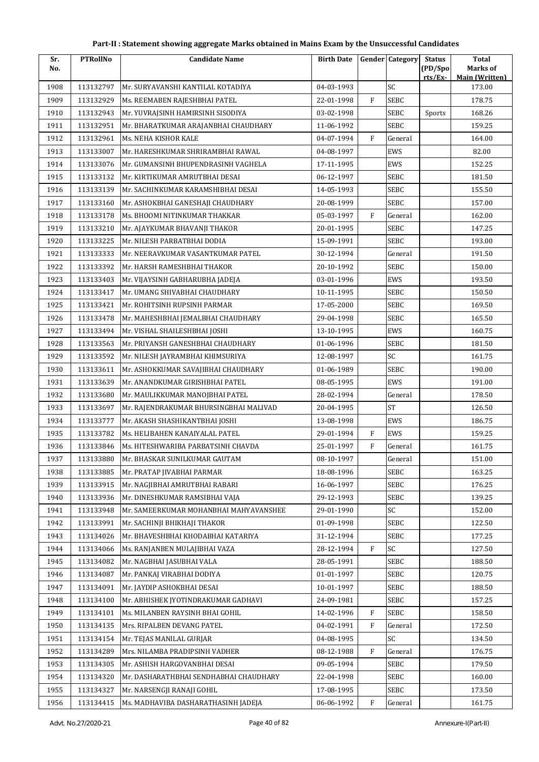| Part-II : Statement showing aggregate Marks obtained in Mains Exam by the Unsuccessful Candidates |  |  |
|---------------------------------------------------------------------------------------------------|--|--|
|---------------------------------------------------------------------------------------------------|--|--|

| Sr.<br>No. | <b>PTRollNo</b> | <b>Candidate Name</b>                  | <b>Birth Date</b> |              | <b>Gender Category</b> | <b>Status</b><br>(PD/Spo | <b>Total</b><br>Marks of |
|------------|-----------------|----------------------------------------|-------------------|--------------|------------------------|--------------------------|--------------------------|
|            |                 |                                        |                   |              |                        | rts/Ex                   | <b>Main (Written)</b>    |
| 1908       | 113132797       | Mr. SURYAVANSHI KANTILAL KOTADIYA      | 04-03-1993        |              | SC                     |                          | 173.00                   |
| 1909       | 113132929       | Ms. REEMABEN RAJESHBHAI PATEL          | 22-01-1998        | F            | <b>SEBC</b>            |                          | 178.75                   |
| 1910       | 113132943       | Mr. YUVRAJSINH HAMIRSINH SISODIYA      | 03-02-1998        |              | <b>SEBC</b>            | Sports                   | 168.26                   |
| 1911       | 113132951       | Mr. BHARATKUMAR ARAJANBHAI CHAUDHARY   | 11-06-1992        |              | SEBC                   |                          | 159.25                   |
| 1912       | 113132961       | Ms. NEHA KISHOR KALE                   | 04-07-1994        | $\mathbf{F}$ | General                |                          | 164.00                   |
| 1913       | 113133007       | Mr. HARESHKUMAR SHRIRAMBHAI RAWAL      | 04-08-1997        |              | EWS                    |                          | 82.00                    |
| 1914       | 113133076       | Mr. GUMANSINH BHUPENDRASINH VAGHELA    | 17-11-1995        |              | EWS                    |                          | 152.25                   |
| 1915       | 113133132       | Mr. KIRTIKUMAR AMRUTBHAI DESAI         | 06-12-1997        |              | <b>SEBC</b>            |                          | 181.50                   |
| 1916       | 113133139       | Mr. SACHINKUMAR KARAMSHIBHAI DESAI     | 14-05-1993        |              | <b>SEBC</b>            |                          | 155.50                   |
| 1917       | 113133160       | Mr. ASHOKBHAI GANESHAJI CHAUDHARY      | 20-08-1999        |              | <b>SEBC</b>            |                          | 157.00                   |
| 1918       | 113133178       | Ms. BHOOMI NITINKUMAR THAKKAR          | 05-03-1997        | $\mathbf{F}$ | General                |                          | 162.00                   |
| 1919       | 113133210       | Mr. AJAYKUMAR BHAVANJI THAKOR          | 20-01-1995        |              | <b>SEBC</b>            |                          | 147.25                   |
| 1920       | 113133225       | Mr. NILESH PARBATBHAI DODIA            | 15-09-1991        |              | <b>SEBC</b>            |                          | 193.00                   |
| 1921       | 113133333       | Mr. NEERAVKUMAR VASANTKUMAR PATEL      | 30-12-1994        |              | General                |                          | 191.50                   |
| 1922       | 113133392       | Mr. HARSH RAMESHBHAI THAKOR            | 20-10-1992        |              | SEBC                   |                          | 150.00                   |
| 1923       | 113133403       | Mr. VIJAYSINH GABHARUBHA JADEJA        | 03-01-1996        |              | EWS                    |                          | 193.50                   |
| 1924       | 113133417       | Mr. UMANG SHIVABHAI CHAUDHARY          | 10-11-1995        |              | <b>SEBC</b>            |                          | 150.50                   |
| 1925       | 113133421       | Mr. ROHITSINH RUPSINH PARMAR           | 17-05-2000        |              | <b>SEBC</b>            |                          | 169.50                   |
| 1926       | 113133478       | Mr. MAHESHBHAI JEMALBHAI CHAUDHARY     | 29-04-1998        |              | <b>SEBC</b>            |                          | 165.50                   |
| 1927       | 113133494       | Mr. VISHAL SHAILESHBHAI JOSHI          | 13-10-1995        |              | EWS                    |                          | 160.75                   |
| 1928       | 113133563       | Mr. PRIYANSH GANESHBHAI CHAUDHARY      | 01-06-1996        |              | <b>SEBC</b>            |                          | 181.50                   |
| 1929       | 113133592       | Mr. NILESH JAYRAMBHAI KHIMSURIYA       | 12-08-1997        |              | SC                     |                          | 161.75                   |
| 1930       | 113133611       | Mr. ASHOKKUMAR SAVAJIBHAI CHAUDHARY    | 01-06-1989        |              | <b>SEBC</b>            |                          | 190.00                   |
| 1931       | 113133639       | Mr. ANANDKUMAR GIRISHBHAI PATEL        | 08-05-1995        |              | EWS                    |                          | 191.00                   |
| 1932       | 113133680       | Mr. MAULIKKUMAR MANOJBHAI PATEL        | 28-02-1994        |              | General                |                          | 178.50                   |
| 1933       | 113133697       | Mr. RAJENDRAKUMAR BHURSINGBHAI MALIVAD | 20-04-1995        |              | <b>ST</b>              |                          | 126.50                   |
| 1934       | 113133777       | Mr. AKASH SHASHIKANTBHAI JOSHI         | 13-08-1998        |              | EWS                    |                          | 186.75                   |
| 1935       | 113133782       | Ms. HELIBAHEN KANAIYALAL PATEL         | 29-01-1994        | F            | EWS                    |                          | 159.25                   |
| 1936       | 113133846       | Ms. HITESHWARIBA PARBATSINH CHAVDA     | 25-01-1997        | ${\bf F}$    | General                |                          | 161.75                   |
| 1937       | 113133880       | Mr. BHASKAR SUNILKUMAR GAUTAM          | 08-10-1997        |              | General                |                          | 151.00                   |
| 1938       | 113133885       | Mr. PRATAP JIVABHAI PARMAR             | 18-08-1996        |              | <b>SEBC</b>            |                          | 163.25                   |
| 1939       | 113133915       | Mr. NAGJIBHAI AMRUTBHAI RABARI         | 16-06-1997        |              | <b>SEBC</b>            |                          | 176.25                   |
| 1940       | 113133936       | Mr. DINESHKUMAR RAMSIBHAI VAJA         | 29-12-1993        |              | SEBC                   |                          | 139.25                   |
| 1941       | 113133948       | Mr. SAMEERKUMAR MOHANBHAI MAHYAVANSHEE | 29-01-1990        |              | SC                     |                          | 152.00                   |
| 1942       | 113133991       | Mr. SACHINJI BHIKHAJI THAKOR           | 01-09-1998        |              | SEBC                   |                          | 122.50                   |
| 1943       | 113134026       | Mr. BHAVESHBHAI KHODABHAI KATARIYA     | 31-12-1994        |              | SEBC                   |                          | 177.25                   |
| 1944       | 113134066       | Ms. RANJANBEN MULAJIBHAI VAZA          | 28-12-1994        | F            | SC                     |                          | 127.50                   |
| 1945       | 113134082       | Mr. NAGBHAI JASUBHAI VALA              | 28-05-1991        |              | <b>SEBC</b>            |                          | 188.50                   |
| 1946       | 113134087       | Mr. PANKAJ VIRABHAI DODIYA             | 01-01-1997        |              | SEBC                   |                          | 120.75                   |
| 1947       | 113134091       | Mr. JAYDIP ASHOKBHAI DESAI             | 10-01-1997        |              | SEBC                   |                          | 188.50                   |
| 1948       | 113134100       | Mr. ABHISHEK JYOTINDRAKUMAR GADHAVI    | 24-09-1981        |              | SEBC                   |                          | 157.25                   |
| 1949       | 113134101       | Ms. MILANBEN RAYSINH BHAI GOHIL        | 14-02-1996        | F            | SEBC                   |                          | 158.50                   |
| 1950       | 113134135       | Mrs. RIPALBEN DEVANG PATEL             | 04-02-1991        | F            | General                |                          | 172.50                   |
| 1951       | 113134154       | Mr. TEJAS MANILAL GURJAR               | 04-08-1995        |              | SC                     |                          | 134.50                   |
| 1952       | 113134289       | Mrs. NILAMBA PRADIPSINH VADHER         | 08-12-1988        | F            | General                |                          | 176.75                   |
| 1953       | 113134305       | Mr. ASHISH HARGOVANBHAI DESAI          | 09-05-1994        |              | SEBC                   |                          | 179.50                   |
| 1954       | 113134320       | Mr. DASHARATHBHAI SENDHABHAI CHAUDHARY | 22-04-1998        |              | SEBC                   |                          | 160.00                   |
| 1955       | 113134327       | Mr. NARSENGJI RANAJI GOHIL             | 17-08-1995        |              | SEBC                   |                          | 173.50                   |
| 1956       | 113134415       | Ms. MADHAVIBA DASHARATHASINH JADEJA    | 06-06-1992        | ${\rm F}$    | General                |                          | 161.75                   |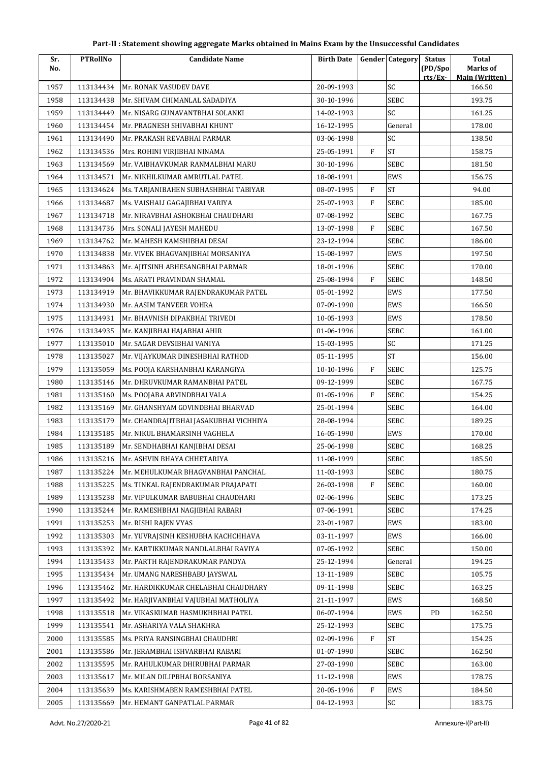| Sr.  | <b>PTRollNo</b> | <b>Candidate Name</b>                  | <b>Birth Date</b> |              | <b>Gender Category</b> | <b>Status</b> | <b>Total</b>                    |
|------|-----------------|----------------------------------------|-------------------|--------------|------------------------|---------------|---------------------------------|
| No.  |                 |                                        |                   |              |                        | (PD/Spo       | Marks of                        |
| 1957 | 113134434       | Mr. RONAK VASUDEV DAVE                 | 20-09-1993        |              | SC                     | rts/Ex-       | <b>Main (Written)</b><br>166.50 |
| 1958 | 113134438       | Mr. SHIVAM CHIMANLAL SADADIYA          | 30-10-1996        |              | <b>SEBC</b>            |               | 193.75                          |
| 1959 | 113134449       | Mr. NISARG GUNAVANTBHAI SOLANKI        | 14-02-1993        |              | SC                     |               | 161.25                          |
| 1960 | 113134454       | Mr. PRAGNESH SHIVABHAI KHUNT           | 16-12-1995        |              | General                |               | 178.00                          |
| 1961 | 113134490       | Mr. PRAKASH REVABHAI PARMAR            | 03-06-1998        |              | SC                     |               | 138.50                          |
| 1962 | 113134536       | Mrs. ROHINI VIRJIBHAI NINAMA           | 25-05-1991        | $\mathbf{F}$ | <b>ST</b>              |               | 158.75                          |
| 1963 | 113134569       | Mr. VAIBHAVKUMAR RANMALBHAI MARU       | 30-10-1996        |              | <b>SEBC</b>            |               | 181.50                          |
| 1964 | 113134571       | Mr. NIKHILKUMAR AMRUTLAL PATEL         | 18-08-1991        |              | EWS                    |               | 156.75                          |
| 1965 | 113134624       | Ms. TARJANIBAHEN SUBHASHBHAI TABIYAR   | 08-07-1995        | F            | <b>ST</b>              |               | 94.00                           |
| 1966 | 113134687       | Ms. VAISHALI GAGAJIBHAI VARIYA         | 25-07-1993        | $\mathbf{F}$ | SEBC                   |               | 185.00                          |
| 1967 | 113134718       | Mr. NIRAVBHAI ASHOKBHAI CHAUDHARI      | 07-08-1992        |              | SEBC                   |               | 167.75                          |
| 1968 | 113134736       | Mrs. SONALI JAYESH MAHEDU              | 13-07-1998        | $\mathbf{F}$ | SEBC                   |               | 167.50                          |
| 1969 | 113134762       | Mr. MAHESH KAMSHIBHAI DESAI            | 23-12-1994        |              | SEBC                   |               | 186.00                          |
| 1970 | 113134838       | Mr. VIVEK BHAGVANJIBHAI MORSANIYA      | 15-08-1997        |              | <b>EWS</b>             |               | 197.50                          |
| 1971 | 113134863       | Mr. AJITSINH ABHESANGBHAI PARMAR       | 18-01-1996        |              | <b>SEBC</b>            |               | 170.00                          |
| 1972 | 113134904       | Ms. ARATI PRAVINDAN SHAMAL             | 25-08-1994        | $\mathbf{F}$ | SEBC                   |               | 148.50                          |
| 1973 | 113134919       | Mr. BHAVIKKUMAR RAJENDRAKUMAR PATEL    | 05-01-1992        |              | EWS                    |               | 177.50                          |
| 1974 | 113134930       | Mr. AASIM TANVEER VOHRA                | 07-09-1990        |              | EWS                    |               | 166.50                          |
| 1975 | 113134931       | Mr. BHAVNISH DIPAKBHAI TRIVEDI         | 10-05-1993        |              | EWS                    |               | 178.50                          |
| 1976 | 113134935       | Mr. KANJIBHAI HAJABHAI AHIR            | 01-06-1996        |              | SEBC                   |               | 161.00                          |
| 1977 | 113135010       | Mr. SAGAR DEVSIBHAI VANIYA             | 15-03-1995        |              | SC                     |               | 171.25                          |
| 1978 | 113135027       | Mr. VIJAYKUMAR DINESHBHAI RATHOD       | 05-11-1995        |              | <b>ST</b>              |               | 156.00                          |
| 1979 | 113135059       | Ms. POOJA KARSHANBHAI KARANGIYA        | 10-10-1996        | $\mathbf{F}$ | SEBC                   |               | 125.75                          |
| 1980 | 113135146       | Mr. DHRUVKUMAR RAMANBHAI PATEL         | 09-12-1999        |              | SEBC                   |               | 167.75                          |
| 1981 | 113135160       | Ms. POOJABA ARVINDBHAI VALA            | 01-05-1996        | $\mathbf{F}$ | SEBC                   |               | 154.25                          |
| 1982 | 113135169       | Mr. GHANSHYAM GOVINDBHAI BHARVAD       | 25-01-1994        |              | SEBC                   |               | 164.00                          |
| 1983 | 113135179       | Mr. CHANDRAJITBHAI JASAKUBHAI VICHHIYA | 28-08-1994        |              | SEBC                   |               | 189.25                          |
| 1984 | 113135185       | Mr. NIKUL BHAMARSINH VAGHELA           | 16-05-1990        |              | EWS                    |               | 170.00                          |
| 1985 | 113135189       | Mr. SENDHABHAI KANJIBHAI DESAI         | 25-06-1998        |              | SEBC                   |               | 168.25                          |
| 1986 | 113135216       | Mr. ASHVIN BHAYA CHHETARIYA            | 11-08-1999        |              | SEBC                   |               | 185.50                          |
| 1987 | 113135224       | Mr. MEHULKUMAR BHAGVANBHAI PANCHAL     | 11-03-1993        |              | SEBC                   |               | 180.75                          |
| 1988 | 113135225       | Ms. TINKAL RAJENDRAKUMAR PRAJAPATI     | 26-03-1998        | $\rm F$      | SEBC                   |               | 160.00                          |
| 1989 | 113135238       | Mr. VIPULKUMAR BABUBHAI CHAUDHARI      | 02-06-1996        |              | SEBC                   |               | 173.25                          |
| 1990 | 113135244       | Mr. RAMESHBHAI NAGJIBHAI RABARI        | 07-06-1991        |              | SEBC                   |               | 174.25                          |
| 1991 | 113135253       | Mr. RISHI RAJEN VYAS                   | 23-01-1987        |              | EWS                    |               | 183.00                          |
| 1992 | 113135303       | Mr. YUVRAJSINH KESHUBHA KACHCHHAVA     | 03-11-1997        |              | EWS                    |               | 166.00                          |
| 1993 | 113135392       | Mr. KARTIKKUMAR NANDLALBHAI RAVIYA     | 07-05-1992        |              | SEBC                   |               | 150.00                          |
| 1994 | 113135433       | Mr. PARTH RAJENDRAKUMAR PANDYA         | 25-12-1994        |              | General                |               | 194.25                          |
| 1995 | 113135434       | Mr. UMANG NARESHBABU JAYSWAL           | 13-11-1989        |              | SEBC                   |               | 105.75                          |
| 1996 | 113135462       | Mr. HARDIKKUMAR CHELABHAI CHAUDHARY    | 09-11-1998        |              | SEBC                   |               | 163.25                          |
| 1997 | 113135492       | Mr. HARJIVANBHAI VAJUBHAI MATHOLIYA    | 21-11-1997        |              | EWS                    |               | 168.50                          |
| 1998 | 113135518       | Mr. VIKASKUMAR HASMUKHBHAI PATEL       | 06-07-1994        |              | EWS                    | PD            | 162.50                          |
| 1999 | 113135541       | Mr. ASHARIYA VALA SHAKHRA              | 25-12-1993        |              | SEBC                   |               | 175.75                          |
| 2000 | 113135585       | Ms. PRIYA RANSINGBHAI CHAUDHRI         | 02-09-1996        | F            | <b>ST</b>              |               | 154.25                          |
| 2001 | 113135586       | Mr. JERAMBHAI ISHVARBHAI RABARI        | 01-07-1990        |              | SEBC                   |               | 162.50                          |
| 2002 | 113135595       | Mr. RAHULKUMAR DHIRUBHAI PARMAR        | 27-03-1990        |              | SEBC                   |               | 163.00                          |
| 2003 | 113135617       | Mr. MILAN DILIPBHAI BORSANIYA          | 11-12-1998        |              | EWS                    |               | 178.75                          |
| 2004 | 113135639       | Ms. KARISHMABEN RAMESHBHAI PATEL       | 20-05-1996        | F            | EWS                    |               | 184.50                          |
| 2005 | 113135669       | Mr. HEMANT GANPATLAL PARMAR            | 04-12-1993        |              | SC                     |               | 183.75                          |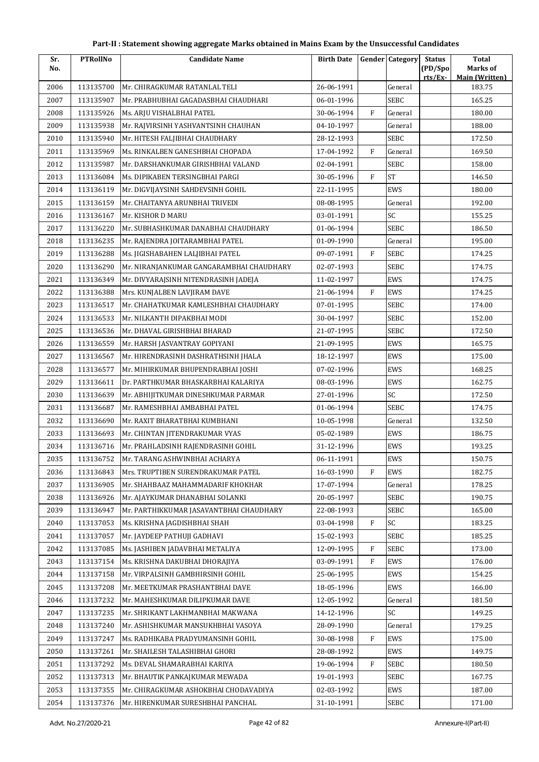| Sr.  | <b>PTRollNo</b> | <b>Candidate Name</b>                    | <b>Birth Date</b> |           | <b>Gender Category</b> | <b>Status</b>      | <b>Total</b>                      |
|------|-----------------|------------------------------------------|-------------------|-----------|------------------------|--------------------|-----------------------------------|
| No.  |                 |                                          |                   |           |                        | (PD/Spo<br>rts/Ex- | Marks of<br><b>Main (Written)</b> |
| 2006 | 113135700       | Mr. CHIRAGKUMAR RATANLAL TELI            | 26-06-1991        |           | General                |                    | 183.75                            |
| 2007 | 113135907       | Mr. PRABHUBHAI GAGADASBHAI CHAUDHARI     | 06-01-1996        |           | <b>SEBC</b>            |                    | 165.25                            |
| 2008 | 113135926       | Ms. ARJU VISHALBHAI PATEL                | 30-06-1994        | F         | General                |                    | 180.00                            |
| 2009 | 113135938       | Mr. RAJVIRSINH YASHVANTSINH CHAUHAN      | 04-10-1997        |           | General                |                    | 188.00                            |
| 2010 | 113135940       | Mr. HITESH FALJIBHAI CHAUDHARY           | 28-12-1993        |           | SEBC                   |                    | 172.50                            |
| 2011 | 113135969       | Ms. RINKALBEN GANESHBHAI CHOPADA         | 17-04-1992        | F         | General                |                    | 169.50                            |
| 2012 | 113135987       | Mr. DARSHANKUMAR GIRISHBHAI VALAND       | 02-04-1991        |           | <b>SEBC</b>            |                    | 158.00                            |
| 2013 | 113136084       | Ms. DIPIKABEN TERSINGBHAI PARGI          | 30-05-1996        | F         | <b>ST</b>              |                    | 146.50                            |
| 2014 | 113136119       | Mr. DIGVIJAYSINH SAHDEVSINH GOHIL        | 22-11-1995        |           | EWS                    |                    | 180.00                            |
| 2015 | 113136159       | Mr. CHAITANYA ARUNBHAI TRIVEDI           | 08-08-1995        |           | General                |                    | 192.00                            |
| 2016 | 113136167       | Mr. KISHOR D MARU                        | 03-01-1991        |           | SC                     |                    | 155.25                            |
| 2017 | 113136220       | Mr. SUBHASHKUMAR DANABHAI CHAUDHARY      | 01-06-1994        |           | <b>SEBC</b>            |                    | 186.50                            |
| 2018 | 113136235       | Mr. RAJENDRA JOITARAMBHAI PATEL          | 01-09-1990        |           | General                |                    | 195.00                            |
| 2019 | 113136288       | Ms. JIGISHABAHEN LALJIBHAI PATEL         | 09-07-1991        | F         | <b>SEBC</b>            |                    | 174.25                            |
| 2020 | 113136290       | Mr. NIRANJANKUMAR GANGARAMBHAI CHAUDHARY | 02-07-1993        |           | <b>SEBC</b>            |                    | 174.75                            |
| 2021 | 113136349       | Mr. DIVYARAJSINH NITENDRASINH JADEJA     | 11-02-1997        |           | EWS                    |                    | 174.75                            |
| 2022 | 113136388       | Mrs. KUNJALBEN LAVJIRAM DAVE             | 21-06-1994        | F         | EWS                    |                    | 174.25                            |
| 2023 | 113136517       | Mr. CHAHATKUMAR KAMLESHBHAI CHAUDHARY    | 07-01-1995        |           | <b>SEBC</b>            |                    | 174.00                            |
| 2024 | 113136533       | Mr. NILKANTH DIPAKBHAI MODI              | 30-04-1997        |           | <b>SEBC</b>            |                    | 152.00                            |
| 2025 | 113136536       | Mr. DHAVAL GIRISHBHAI BHARAD             | 21-07-1995        |           | <b>SEBC</b>            |                    | 172.50                            |
| 2026 | 113136559       | Mr. HARSH JASVANTRAY GOPIYANI            | 21-09-1995        |           | EWS                    |                    | 165.75                            |
| 2027 | 113136567       | Mr. HIRENDRASINH DASHRATHSINH JHALA      | 18-12-1997        |           | EWS                    |                    | 175.00                            |
| 2028 | 113136577       | Mr. MIHIRKUMAR BHUPENDRABHAI JOSHI       | 07-02-1996        |           | EWS                    |                    | 168.25                            |
| 2029 | 113136611       | Dr. PARTHKUMAR BHASKARBHAI KALARIYA      | 08-03-1996        |           | EWS                    |                    | 162.75                            |
| 2030 | 113136639       | Mr. ABHIJITKUMAR DINESHKUMAR PARMAR      | 27-01-1996        |           | SC                     |                    | 172.50                            |
| 2031 | 113136687       | Mr. RAMESHBHAI AMBABHAI PATEL            | 01-06-1994        |           | <b>SEBC</b>            |                    | 174.75                            |
| 2032 | 113136690       | Mr. RAXIT BHARATBHAI KUMBHANI            | 10-05-1998        |           | General                |                    | 132.50                            |
| 2033 | 113136693       | Mr. CHINTAN JITENDRAKUMAR VYAS           | 05-02-1989        |           | EWS                    |                    | 186.75                            |
| 2034 | 113136716       | Mr. PRAHLADSINH RAJENDRASINH GOHIL       | 31-12-1996        |           | EWS                    |                    | 193.25                            |
| 2035 | 113136752       | Mr. TARANG ASHWINBHAI ACHARYA            | 06-11-1991        |           | EWS                    |                    | 150.75                            |
| 2036 | 113136843       | Mrs. TRUPTIBEN SURENDRAKUMAR PATEL       | 16-03-1990        | F         | EWS                    |                    | 182.75                            |
| 2037 | 113136905       | Mr. SHAHBAAZ MAHAMMADARIF KHOKHAR        | 17-07-1994        |           | General                |                    | 178.25                            |
| 2038 | 113136926       | Mr. AJAYKUMAR DHANABHAI SOLANKI          | 20-05-1997        |           | <b>SEBC</b>            |                    | 190.75                            |
| 2039 | 113136947       | Mr. PARTHIKKUMAR JASAVANTBHAI CHAUDHARY  | 22-08-1993        |           | <b>SEBC</b>            |                    | 165.00                            |
| 2040 | 113137053       | Ms. KRISHNA JAGDISHBHAI SHAH             | 03-04-1998        | F         | SC                     |                    | 183.25                            |
| 2041 | 113137057       | Mr. JAYDEEP PATHUJI GADHAVI              | 15-02-1993        |           | <b>SEBC</b>            |                    | 185.25                            |
| 2042 | 113137085       | Ms. JASHIBEN JADAVBHAI METALIYA          | 12-09-1995        | F         | <b>SEBC</b>            |                    | 173.00                            |
| 2043 | 113137154       | Ms. KRISHNA DAKUBHAI DHORAJIYA           | 03-09-1991        | F         | EWS                    |                    | 176.00                            |
| 2044 | 113137158       | Mr. VIRPALSINH GAMBHIRSINH GOHIL         | 25-06-1995        |           | EWS                    |                    | 154.25                            |
| 2045 | 113137208       | Mr. MEETKUMAR PRASHANTBHAI DAVE          | 18-05-1996        |           | EWS                    |                    | 166.00                            |
| 2046 | 113137232       | Mr. MAHESHKUMAR DILIPKUMAR DAVE          | 12-05-1992        |           | General                |                    | 181.50                            |
| 2047 | 113137235       | Mr. SHRIKANT LAKHMANBHAI MAKWANA         | 14-12-1996        |           | SC                     |                    | 149.25                            |
| 2048 | 113137240       | Mr. ASHISHKUMAR MANSUKHBHAI VASOYA       | 28-09-1990        |           | General                |                    | 179.25                            |
| 2049 | 113137247       | Ms. RADHIKABA PRADYUMANSINH GOHIL        | 30-08-1998        | F         | EWS                    |                    | 175.00                            |
| 2050 | 113137261       | Mr. SHAILESH TALASHIBHAI GHORI           | 28-08-1992        |           | EWS                    |                    | 149.75                            |
| 2051 | 113137292       | Ms. DEVAL SHAMARABHAI KARIYA             | 19-06-1994        | ${\rm F}$ | <b>SEBC</b>            |                    | 180.50                            |
| 2052 | 113137313       | Mr. BHAUTIK PANKAJKUMAR MEWADA           | 19-01-1993        |           | <b>SEBC</b>            |                    | 167.75                            |
| 2053 | 113137355       | Mr. CHIRAGKUMAR ASHOKBHAI CHODAVADIYA    | 02-03-1992        |           | EWS                    |                    | 187.00                            |
| 2054 | 113137376       | Mr. HIRENKUMAR SURESHBHAI PANCHAL        | 31-10-1991        |           | SEBC                   |                    | 171.00                            |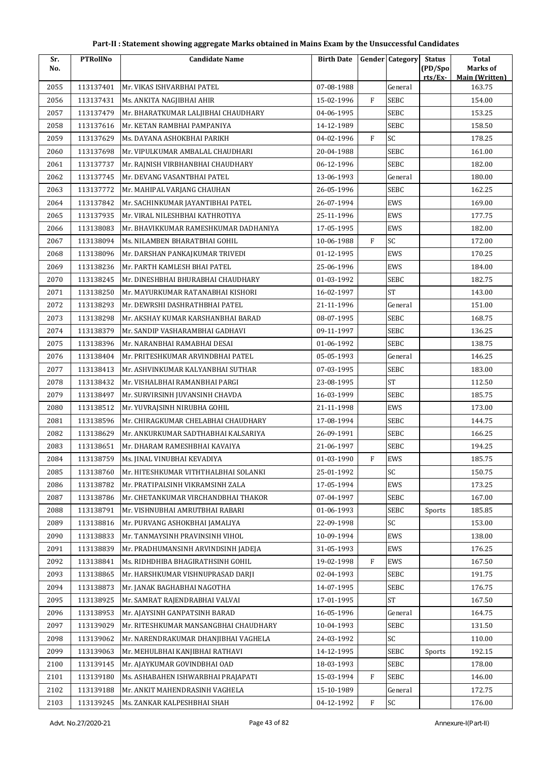| Sr.  | <b>PTRollNo</b> | <b>Candidate Name</b>                 | <b>Birth Date</b> |              | <b>Gender Category</b> | <b>Status</b>      | <b>Total</b>                      |
|------|-----------------|---------------------------------------|-------------------|--------------|------------------------|--------------------|-----------------------------------|
| No.  |                 |                                       |                   |              |                        | (PD/Spo<br>rts/Ex- | Marks of<br><b>Main (Written)</b> |
| 2055 | 113137401       | Mr. VIKAS ISHVARBHAI PATEL            | 07-08-1988        |              | General                |                    | 163.75                            |
| 2056 | 113137431       | Ms. ANKITA NAGJIBHAI AHIR             | 15-02-1996        | $\mathbf{F}$ | <b>SEBC</b>            |                    | 154.00                            |
| 2057 | 113137479       | Mr. BHARATKUMAR LALJIBHAI CHAUDHARY   | 04-06-1995        |              | <b>SEBC</b>            |                    | 153.25                            |
| 2058 | 113137616       | Mr. KETAN RAMBHAI PAMPANIYA           | 14-12-1989        |              | <b>SEBC</b>            |                    | 158.50                            |
| 2059 | 113137629       | Ms. DAYANA ASHOKBHAI PARIKH           | 04-02-1996        | F            | SC                     |                    | 178.25                            |
| 2060 | 113137698       | Mr. VIPULKUMAR AMBALAL CHAUDHARI      | 20-04-1988        |              | SEBC                   |                    | 161.00                            |
| 2061 | 113137737       | Mr. RAJNISH VIRBHANBHAI CHAUDHARY     | 06-12-1996        |              | <b>SEBC</b>            |                    | 182.00                            |
| 2062 | 113137745       | Mr. DEVANG VASANTBHAI PATEL           | 13-06-1993        |              | General                |                    | 180.00                            |
| 2063 | 113137772       | Mr. MAHIPAL VARJANG CHAUHAN           | 26-05-1996        |              | <b>SEBC</b>            |                    | 162.25                            |
| 2064 | 113137842       | Mr. SACHINKUMAR JAYANTIBHAI PATEL     | 26-07-1994        |              | EWS                    |                    | 169.00                            |
| 2065 | 113137935       | Mr. VIRAL NILESHBHAI KATHROTIYA       | 25-11-1996        |              | EWS                    |                    | 177.75                            |
| 2066 | 113138083       | Mr. BHAVIKKUMAR RAMESHKUMAR DADHANIYA | 17-05-1995        |              | EWS                    |                    | 182.00                            |
| 2067 | 113138094       | Ms. NILAMBEN BHARATBHAI GOHIL         | 10-06-1988        | $\mathbf{F}$ | SC                     |                    | 172.00                            |
| 2068 | 113138096       | Mr. DARSHAN PANKAJKUMAR TRIVEDI       | 01-12-1995        |              | EWS                    |                    | 170.25                            |
| 2069 | 113138236       | Mr. PARTH KAMLESH BHAI PATEL          | 25-06-1996        |              | EWS                    |                    | 184.00                            |
| 2070 | 113138245       | Mr. DINESHBHAI BHURABHAI CHAUDHARY    | 01-03-1992        |              | <b>SEBC</b>            |                    | 182.75                            |
| 2071 | 113138250       | Mr. MAYURKUMAR RATANABHAI KISHORI     | 16-02-1997        |              | <b>ST</b>              |                    | 143.00                            |
| 2072 | 113138293       | Mr. DEWRSHI DASHRATHBHAI PATEL        | 21-11-1996        |              | General                |                    | 151.00                            |
| 2073 | 113138298       | Mr. AKSHAY KUMAR KARSHANBHAI BARAD    | 08-07-1995        |              | <b>SEBC</b>            |                    | 168.75                            |
| 2074 | 113138379       | Mr. SANDIP VASHARAMBHAI GADHAVI       | 09-11-1997        |              | SEBC                   |                    | 136.25                            |
| 2075 | 113138396       | Mr. NARANBHAI RAMABHAI DESAI          | 01-06-1992        |              | SEBC                   |                    | 138.75                            |
| 2076 | 113138404       | Mr. PRITESHKUMAR ARVINDBHAI PATEL     | 05-05-1993        |              | General                |                    | 146.25                            |
| 2077 | 113138413       | Mr. ASHVINKUMAR KALYANBHAI SUTHAR     | 07-03-1995        |              | <b>SEBC</b>            |                    | 183.00                            |
| 2078 | 113138432       | Mr. VISHALBHAI RAMANBHAI PARGI        | 23-08-1995        |              | <b>ST</b>              |                    | 112.50                            |
| 2079 | 113138497       | Mr. SURVIRSINH JUVANSINH CHAVDA       | 16-03-1999        |              | <b>SEBC</b>            |                    | 185.75                            |
| 2080 | 113138512       | Mr. YUVRAJSINH NIRUBHA GOHIL          | 21-11-1998        |              | EWS                    |                    | 173.00                            |
| 2081 | 113138596       | Mr. CHIRAGKUMAR CHELABHAI CHAUDHARY   | 17-08-1994        |              | <b>SEBC</b>            |                    | 144.75                            |
| 2082 | 113138629       | Mr. ANKURKUMAR SADTHABHAI KALSARIYA   | 26-09-1991        |              | <b>SEBC</b>            |                    | 166.25                            |
| 2083 | 113138651       | Mr. DHARAM RAMESHBHAI KAVAIYA         | 21-06-1997        |              | <b>SEBC</b>            |                    | 194.25                            |
| 2084 | 113138759       | Ms. JINAL VINUBHAI KEVADIYA           | 01-03-1990        | $\rm F$      | EWS                    |                    | 185.75                            |
| 2085 | 113138760       | Mr. HITESHKUMAR VITHTHALBHAI SOLANKI  | 25-01-1992        |              | SC                     |                    | 150.75                            |
| 2086 | 113138782       | Mr. PRATIPALSINH VIKRAMSINH ZALA      | 17-05-1994        |              | EWS                    |                    | 173.25                            |
| 2087 | 113138786       | Mr. CHETANKUMAR VIRCHANDBHAI THAKOR   | 07-04-1997        |              | <b>SEBC</b>            |                    | 167.00                            |
| 2088 | 113138791       | Mr. VISHNUBHAI AMRUTBHAI RABARI       | 01-06-1993        |              | <b>SEBC</b>            | Sports             | 185.85                            |
| 2089 | 113138816       | Mr. PURVANG ASHOKBHAI JAMALIYA        | 22-09-1998        |              | SC                     |                    | 153.00                            |
| 2090 | 113138833       | Mr. TANMAYSINH PRAVINSINH VIHOL       | 10-09-1994        |              | EWS                    |                    | 138.00                            |
| 2091 | 113138839       | Mr. PRADHUMANSINH ARVINDSINH JADEJA   | 31-05-1993        |              | EWS                    |                    | 176.25                            |
| 2092 | 113138841       | Ms. RIDHDHIBA BHAGIRATHSINH GOHIL     | 19-02-1998        | $\rm F$      | EWS                    |                    | 167.50                            |
| 2093 | 113138865       | Mr. HARSHKUMAR VISHNUPRASAD DARJI     | 02-04-1993        |              | <b>SEBC</b>            |                    | 191.75                            |
| 2094 | 113138873       | Mr. JANAK BAGHABHAI NAGOTHA           | 14-07-1995        |              | <b>SEBC</b>            |                    | 176.75                            |
| 2095 | 113138925       | Mr. SAMRAT RAJENDRABHAI VALVAI        | 17-01-1995        |              | $\operatorname{ST}$    |                    | 167.50                            |
| 2096 | 113138953       | Mr. AJAYSINH GANPATSINH BARAD         | 16-05-1996        |              | General                |                    | 164.75                            |
| 2097 | 113139029       | Mr. RITESHKUMAR MANSANGBHAI CHAUDHARY | 10-04-1993        |              | SEBC                   |                    | 131.50                            |
| 2098 | 113139062       | Mr. NARENDRAKUMAR DHANJIBHAI VAGHELA  | 24-03-1992        |              | SC                     |                    | 110.00                            |
| 2099 | 113139063       | Mr. MEHULBHAI KANJIBHAI RATHAVI       | 14-12-1995        |              | <b>SEBC</b>            | Sports             | 192.15                            |
| 2100 | 113139145       | Mr. AJAYKUMAR GOVINDBHAI OAD          | 18-03-1993        |              | <b>SEBC</b>            |                    | 178.00                            |
| 2101 | 113139180       | Ms. ASHABAHEN ISHWARBHAI PRAJAPATI    | 15-03-1994        | F            | <b>SEBC</b>            |                    | 146.00                            |
| 2102 | 113139188       | Mr. ANKIT MAHENDRASINH VAGHELA        | 15-10-1989        |              | General                |                    | 172.75                            |
| 2103 | 113139245       | Ms. ZANKAR KALPESHBHAI SHAH           | 04-12-1992        | ${\rm F}$    | SC                     |                    | 176.00                            |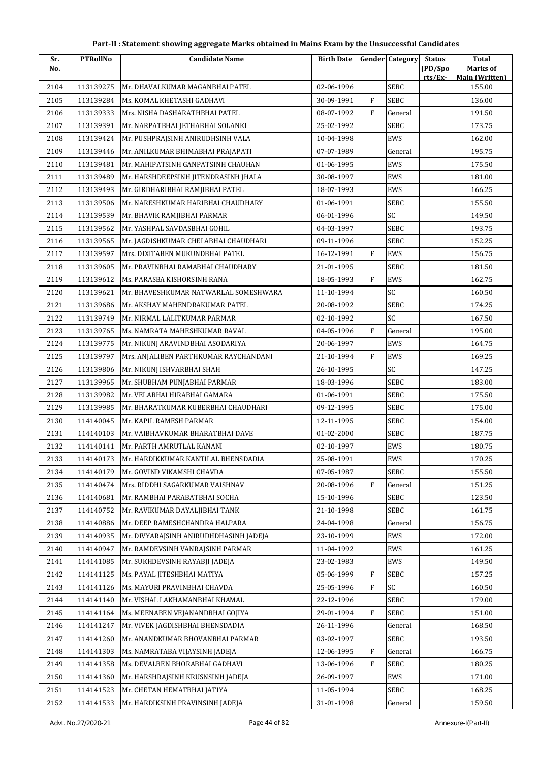| Sr.  | <b>PTRollNo</b> | <b>Candidate Name</b>                  | <b>Birth Date</b> |                | <b>Gender Category</b> | <b>Status</b> | <b>Total</b>                    |
|------|-----------------|----------------------------------------|-------------------|----------------|------------------------|---------------|---------------------------------|
| No.  |                 |                                        |                   |                |                        | (PD/Spo       | Marks of                        |
| 2104 | 113139275       | Mr. DHAVALKUMAR MAGANBHAI PATEL        | 02-06-1996        |                | SEBC                   | rts/Ex        | <b>Main (Written)</b><br>155.00 |
| 2105 | 113139284       | Ms. KOMAL KHETASHI GADHAVI             | 30-09-1991        | $\mathbf{F}$   | <b>SEBC</b>            |               | 136.00                          |
| 2106 | 113139333       | Mrs. NISHA DASHARATHBHAI PATEL         | 08-07-1992        | F              | General                |               | 191.50                          |
| 2107 | 113139391       | Mr. NARPATBHAI JETHABHAI SOLANKI       | 25-02-1992        |                | SEBC                   |               | 173.75                          |
| 2108 | 113139424       | Mr. PUSHPRAJSINH ANIRUDHSINH VALA      | 10-04-1998        |                | EWS                    |               | 162.00                          |
| 2109 | 113139446       | Mr. ANILKUMAR BHIMABHAI PRAJAPATI      | 07-07-1989        |                | General                |               | 195.75                          |
| 2110 | 113139481       | Mr. MAHIPATSINH GANPATSINH CHAUHAN     | 01-06-1995        |                | EWS                    |               | 175.50                          |
| 2111 | 113139489       | Mr. HARSHDEEPSINH JITENDRASINH JHALA   | 30-08-1997        |                | EWS                    |               | 181.00                          |
| 2112 | 113139493       | Mr. GIRDHARIBHAI RAMJIBHAI PATEL       | 18-07-1993        |                | EWS                    |               | 166.25                          |
| 2113 | 113139506       | Mr. NARESHKUMAR HARIBHAI CHAUDHARY     | 01-06-1991        |                | SEBC                   |               | 155.50                          |
| 2114 | 113139539       | Mr. BHAVIK RAMJIBHAI PARMAR            | 06-01-1996        |                | SC                     |               | 149.50                          |
| 2115 | 113139562       | Mr. YASHPAL SAVDASBHAI GOHIL           | 04-03-1997        |                | <b>SEBC</b>            |               | 193.75                          |
| 2116 | 113139565       | Mr. JAGDISHKUMAR CHELABHAI CHAUDHARI   | 09-11-1996        |                | <b>SEBC</b>            |               | 152.25                          |
| 2117 | 113139597       | Mrs. DIXITABEN MUKUNDBHAI PATEL        | 16-12-1991        | F              | EWS                    |               | 156.75                          |
| 2118 | 113139605       | Mr. PRAVINBHAI RAMABHAI CHAUDHARY      | 21-01-1995        |                | SEBC                   |               | 181.50                          |
| 2119 | 113139612       | Ms. PARASBA KISHORSINH RANA            | 18-05-1993        | F              | EWS                    |               | 162.75                          |
| 2120 | 113139621       | Mr. BHAVESHKUMAR NATWARLAL SOMESHWARA  | 11-10-1994        |                | SC                     |               | 160.50                          |
| 2121 | 113139686       | Mr. AKSHAY MAHENDRAKUMAR PATEL         | 20-08-1992        |                | <b>SEBC</b>            |               | 174.25                          |
| 2122 | 113139749       | Mr. NIRMAL LALITKUMAR PARMAR           | 02-10-1992        |                | SC                     |               | 167.50                          |
| 2123 | 113139765       | Ms. NAMRATA MAHESHKUMAR RAVAL          | 04-05-1996        | F              | General                |               | 195.00                          |
| 2124 | 113139775       | Mr. NIKUNJ ARAVINDBHAI ASODARIYA       | 20-06-1997        |                | EWS                    |               | 164.75                          |
| 2125 | 113139797       | Mrs. ANJALIBEN PARTHKUMAR RAYCHANDANI  | 21-10-1994        | $\overline{F}$ | EWS                    |               | 169.25                          |
| 2126 | 113139806       | Mr. NIKUNJ ISHVARBHAI SHAH             | 26-10-1995        |                | SC                     |               | 147.25                          |
| 2127 | 113139965       | Mr. SHUBHAM PUNJABHAI PARMAR           | 18-03-1996        |                | <b>SEBC</b>            |               | 183.00                          |
| 2128 | 113139982       | Mr. VELABHAI HIRABHAI GAMARA           | 01-06-1991        |                | <b>SEBC</b>            |               | 175.50                          |
| 2129 | 113139985       | Mr. BHARATKUMAR KUBERBHAI CHAUDHARI    | 09-12-1995        |                | SEBC                   |               | 175.00                          |
| 2130 | 114140045       | Mr. KAPIL RAMESH PARMAR                | 12-11-1995        |                | <b>SEBC</b>            |               | 154.00                          |
| 2131 | 114140103       | Mr. VAIBHAVKUMAR BHARATBHAI DAVE       | 01-02-2000        |                | <b>SEBC</b>            |               | 187.75                          |
| 2132 | 114140141       | Mr. PARTH AMRUTLAL KANANI              | 02-10-1997        |                | EWS                    |               | 180.75                          |
| 2133 | 114140173       | Mr. HARDIKKUMAR KANTILAL BHENSDADIA    | 25-08-1991        |                | EWS                    |               | 170.25                          |
| 2134 | 114140179       | Mr. GOVIND VIKAMSHI CHAVDA             | 07-05-1987        |                | SEBC                   |               | 155.50                          |
| 2135 | 114140474       | Mrs. RIDDHI SAGARKUMAR VAISHNAV        | 20-08-1996        | F              | General                |               | 151.25                          |
| 2136 | 114140681       | Mr. RAMBHAI PARABATBHAI SOCHA          | 15-10-1996        |                | SEBC                   |               | 123.50                          |
| 2137 | 114140752       | Mr. RAVIKUMAR DAYALJIBHAI TANK         | 21-10-1998        |                | <b>SEBC</b>            |               | 161.75                          |
| 2138 | 114140886       | Mr. DEEP RAMESHCHANDRA HALPARA         | 24-04-1998        |                | General                |               | 156.75                          |
| 2139 | 114140935       | Mr. DIVYARAJSINH ANIRUDHDHASINH JADEJA | 23-10-1999        |                | EWS                    |               | 172.00                          |
| 2140 | 114140947       | Mr. RAMDEVSINH VANRAJSINH PARMAR       | 11-04-1992        |                | EWS                    |               | 161.25                          |
| 2141 | 114141085       | Mr. SUKHDEVSINH RAYABJI JADEJA         | 23-02-1983        |                | EWS                    |               | 149.50                          |
| 2142 | 114141125       | Ms. PAYAL JITESHBHAI MATIYA            | 05-06-1999        | F              | <b>SEBC</b>            |               | 157.25                          |
| 2143 | 114141126       | Ms. MAYURI PRAVINBHAI CHAVDA           | 25-05-1996        | F              | SC                     |               | 160.50                          |
| 2144 | 114141140       | Mr. VISHAL LAKHAMANBHAI KHAMAL         | 22-12-1996        |                | <b>SEBC</b>            |               | 179.00                          |
| 2145 | 114141164       | Ms. MEENABEN VEJANANDBHAI GOJIYA       | 29-01-1994        | F              | <b>SEBC</b>            |               | 151.00                          |
| 2146 | 114141247       | Mr. VIVEK JAGDISHBHAI BHENSDADIA       | 26-11-1996        |                | General                |               | 168.50                          |
| 2147 | 114141260       | Mr. ANANDKUMAR BHOVANBHAI PARMAR       | 03-02-1997        |                | SEBC                   |               | 193.50                          |
| 2148 | 114141303       | Ms. NAMRATABA VIJAYSINH JADEJA         | 12-06-1995        | F              | General                |               | 166.75                          |
| 2149 | 114141358       | Ms. DEVALBEN BHORABHAI GADHAVI         | 13-06-1996        | ${\rm F}$      | <b>SEBC</b>            |               | 180.25                          |
| 2150 | 114141360       | Mr. HARSHRAJSINH KRUSNSINH JADEJA      | 26-09-1997        |                | EWS                    |               | 171.00                          |
| 2151 | 114141523       | Mr. CHETAN HEMATBHAI JATIYA            | 11-05-1994        |                | <b>SEBC</b>            |               | 168.25                          |
| 2152 | 114141533       | Mr. HARDIKSINH PRAVINSINH JADEJA       | 31-01-1998        |                | General                |               | 159.50                          |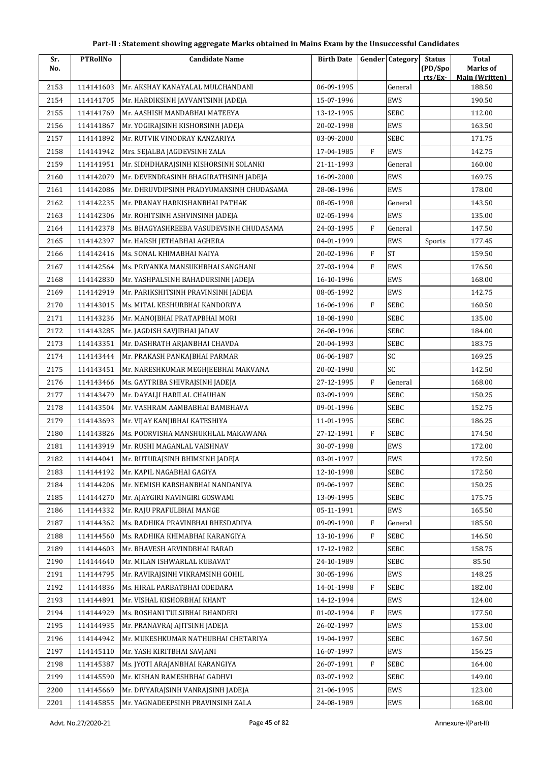| Sr.  | <b>PTRollNo</b> | <b>Candidate Name</b>                    | <b>Birth Date</b> |              | <b>Gender</b> Category | <b>Status</b> | Total                           |
|------|-----------------|------------------------------------------|-------------------|--------------|------------------------|---------------|---------------------------------|
| No.  |                 |                                          |                   |              |                        | (PD/Spo       | Marks of                        |
| 2153 | 114141603       | Mr. AKSHAY KANAYALAL MULCHANDANI         | 06-09-1995        |              | General                | rts/Ex        | <b>Main (Written)</b><br>188.50 |
| 2154 | 114141705       | Mr. HARDIKSINH JAYVANTSINH JADEJA        | 15-07-1996        |              | EWS                    |               | 190.50                          |
| 2155 | 114141769       | Mr. AASHISH MANDABHAI MATEEYA            | 13-12-1995        |              | <b>SEBC</b>            |               | 112.00                          |
| 2156 | 114141867       | Mr. YOGIRAJSINH KISHORSINH JADEJA        | 20-02-1998        |              | EWS                    |               | 163.50                          |
| 2157 | 114141892       | Mr. RUTVIK VINODRAY KANZARIYA            | 03-09-2000        |              | <b>SEBC</b>            |               | 171.75                          |
| 2158 | 114141942       | Mrs. SEJALBA JAGDEVSINH ZALA             | 17-04-1985        | F            | EWS                    |               | 142.75                          |
| 2159 | 114141951       | Mr. SIDHDHARAJSINH KISHORSINH SOLANKI    | 21-11-1993        |              | General                |               | 160.00                          |
| 2160 | 114142079       | Mr. DEVENDRASINH BHAGIRATHSINH JADEJA    | 16-09-2000        |              | EWS                    |               | 169.75                          |
| 2161 | 114142086       | Mr. DHRUVDIPSINH PRADYUMANSINH CHUDASAMA | 28-08-1996        |              | EWS                    |               | 178.00                          |
| 2162 | 114142235       | Mr. PRANAY HARKISHANBHAI PATHAK          | 08-05-1998        |              | General                |               | 143.50                          |
| 2163 | 114142306       | Mr. ROHITSINH ASHVINSINH JADEJA          | 02-05-1994        |              | EWS                    |               | 135.00                          |
| 2164 | 114142378       | Ms. BHAGYASHREEBA VASUDEVSINH CHUDASAMA  | 24-03-1995        | F            | General                |               | 147.50                          |
| 2165 | 114142397       | Mr. HARSH JETHABHAI AGHERA               | 04-01-1999        |              | EWS                    | Sports        | 177.45                          |
| 2166 | 114142416       | Ms. SONAL KHIMABHAI NAIYA                | 20-02-1996        | F            | $\operatorname{ST}$    |               | 159.50                          |
| 2167 | 114142564       | Ms. PRIYANKA MANSUKHBHAI SANGHANI        | 27-03-1994        | F            | EWS                    |               | 176.50                          |
| 2168 | 114142830       | Mr. YASHPALSINH BAHADURSINH JADEJA       | 16-10-1996        |              | EWS                    |               | 168.00                          |
| 2169 | 114142919       | Mr. PARIKSHITSINH PRAVINSINH JADEJA      | 08-05-1992        |              | EWS                    |               | 142.75                          |
| 2170 | 114143015       | Ms. MITAL KESHURBHAI KANDORIYA           | 16-06-1996        | $\mathbf{F}$ | SEBC                   |               | 160.50                          |
| 2171 | 114143236       | Mr. MANOJBHAI PRATAPBHAI MORI            | 18-08-1990        |              | <b>SEBC</b>            |               | 135.00                          |
| 2172 | 114143285       | Mr. JAGDISH SAVJIBHAI JADAV              | 26-08-1996        |              | SEBC                   |               | 184.00                          |
| 2173 | 114143351       | Mr. DASHRATH ARJANBHAI CHAVDA            | 20-04-1993        |              | <b>SEBC</b>            |               | 183.75                          |
| 2174 | 114143444       | Mr. PRAKASH PANKAJBHAI PARMAR            | 06-06-1987        |              | SC                     |               | 169.25                          |
| 2175 | 114143451       | Mr. NARESHKUMAR MEGHJEEBHAI MAKVANA      | 20-02-1990        |              | SC                     |               | 142.50                          |
| 2176 | 114143466       | Ms. GAYTRIBA SHIVRAJSINH JADEJA          | 27-12-1995        | F            | General                |               | 168.00                          |
| 2177 | 114143479       | Mr. DAYALJI HARILAL CHAUHAN              | 03-09-1999        |              | <b>SEBC</b>            |               | 150.25                          |
| 2178 | 114143504       | Mr. VASHRAM AAMBABHAI BAMBHAVA           | 09-01-1996        |              | <b>SEBC</b>            |               | 152.75                          |
| 2179 | 114143693       | Mr. VIJAY KANJIBHAI KATESHIYA            | 11-01-1995        |              | SEBC                   |               | 186.25                          |
| 2180 | 114143826       | Ms. POORVISHA MANSHUKHLAL MAKAWANA       | 27-12-1991        | F            | <b>SEBC</b>            |               | 174.50                          |
| 2181 | 114143919       | Mr. RUSHI MAGANLAL VAISHNAV              | 30-07-1998        |              | EWS                    |               | 172.00                          |
| 2182 | 114144041       | Mr. RUTURAJSINH BHIMSINH JADEJA          | 03-01-1997        |              | EWS                    |               | 172.50                          |
| 2183 | 114144192       | Mr. KAPIL NAGABHAI GAGIYA                | 12-10-1998        |              | <b>SEBC</b>            |               | 172.50                          |
| 2184 | 114144206       | Mr. NEMISH KARSHANBHAI NANDANIYA         | 09-06-1997        |              | <b>SEBC</b>            |               | 150.25                          |
| 2185 | 114144270       | Mr. AJAYGIRI NAVINGIRI GOSWAMI           | 13-09-1995        |              | <b>SEBC</b>            |               | 175.75                          |
| 2186 | 114144332       | Mr. RAJU PRAFULBHAI MANGE                | 05-11-1991        |              | EWS                    |               | 165.50                          |
| 2187 | 114144362       | Ms. RADHIKA PRAVINBHAI BHESDADIYA        | 09-09-1990        | F            | General                |               | 185.50                          |
| 2188 | 114144560       | Ms. RADHIKA KHIMABHAI KARANGIYA          | 13-10-1996        | F            | <b>SEBC</b>            |               | 146.50                          |
| 2189 | 114144603       | Mr. BHAVESH ARVINDBHAI BARAD             | 17-12-1982        |              | <b>SEBC</b>            |               | 158.75                          |
| 2190 | 114144640       | Mr. MILAN ISHWARLAL KUBAVAT              | 24-10-1989        |              | SEBC                   |               | 85.50                           |
| 2191 | 114144795       | Mr. RAVIRAJSINH VIKRAMSINH GOHIL         | 30-05-1996        |              | EWS                    |               | 148.25                          |
| 2192 | 114144836       | Ms. HIRAL PARBATBHAI ODEDARA             | 14-01-1998        | F            | <b>SEBC</b>            |               | 182.00                          |
| 2193 | 114144891       | Mr. VISHAL KISHORBHAI KHANT              | 14-12-1994        |              | EWS                    |               | 124.00                          |
| 2194 | 114144929       | Ms. ROSHANI TULSIBHAI BHANDERI           | 01-02-1994        | F            | EWS                    |               | 177.50                          |
| 2195 | 114144935       | Mr. PRANAVRAJ AJITSINH JADEJA            | 26-02-1997        |              | EWS                    |               | 153.00                          |
| 2196 | 114144942       | Mr. MUKESHKUMAR NATHUBHAI CHETARIYA      | 19-04-1997        |              | <b>SEBC</b>            |               | 167.50                          |
| 2197 | 114145110       | Mr. YASH KIRITBHAI SAVJANI               | 16-07-1997        |              | EWS                    |               | 156.25                          |
| 2198 | 114145387       | Ms. JYOTI ARAJANBHAI KARANGIYA           | 26-07-1991        | F            | <b>SEBC</b>            |               | 164.00                          |
| 2199 | 114145590       | Mr. KISHAN RAMESHBHAI GADHVI             | 03-07-1992        |              | <b>SEBC</b>            |               | 149.00                          |
| 2200 | 114145669       | Mr. DIVYARAJSINH VANRAJSINH JADEJA       | 21-06-1995        |              | EWS                    |               | 123.00                          |
| 2201 | 114145855       | Mr. YAGNADEEPSINH PRAVINSINH ZALA        | 24-08-1989        |              | EWS                    |               | 168.00                          |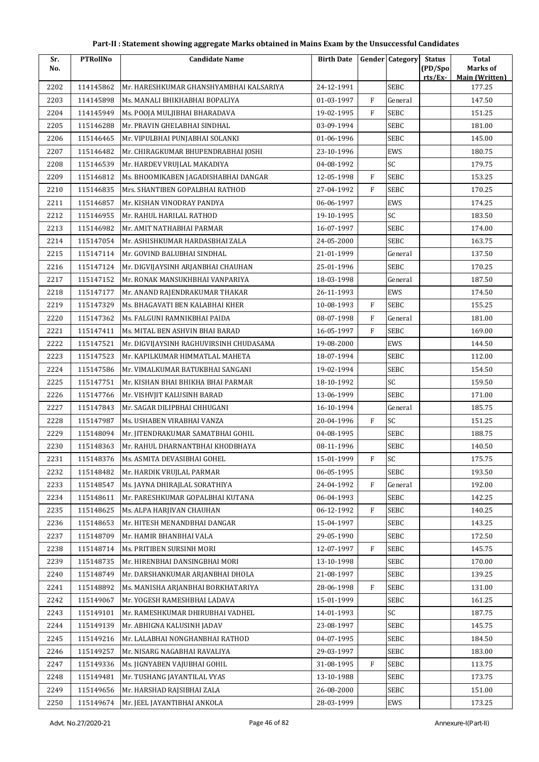| Part-II : Statement showing aggregate Marks obtained in Mains Exam by the Unsuccessful Candidates |  |
|---------------------------------------------------------------------------------------------------|--|
|---------------------------------------------------------------------------------------------------|--|

| Sr.<br>No. | <b>PTRollNo</b> | <b>Candidate Name</b>                   | <b>Birth Date</b> |              | <b>Gender Category</b> | <b>Status</b><br>(PD/Spo) | Total<br>Marks of     |
|------------|-----------------|-----------------------------------------|-------------------|--------------|------------------------|---------------------------|-----------------------|
|            |                 |                                         |                   |              |                        | rts/Ex-                   | <b>Main (Written)</b> |
| 2202       | 114145862       | Mr. HARESHKUMAR GHANSHYAMBHAI KALSARIYA | 24-12-1991        |              | <b>SEBC</b>            |                           | 177.25                |
| 2203       | 114145898       | Ms. MANALI BHIKHABHAI BOPALIYA          | 01-03-1997        | $\mathbf{F}$ | General                |                           | 147.50                |
| 2204       | 114145949       | Ms. POOJA MULJIBHAI BHARADAVA           | 19-02-1995        | F            | SEBC                   |                           | 151.25                |
| 2205       | 115146288       | Mr. PRAVIN GHELABHAI SINDHAL            | 03-09-1994        |              | <b>SEBC</b>            |                           | 181.00                |
| 2206       | 115146465       | Mr. VIPULBHAI PUNJABHAI SOLANKI         | 01-06-1996        |              | SEBC                   |                           | 145.00                |
| 2207       | 115146482       | Mr. CHIRAGKUMAR BHUPENDRABHAI JOSHI     | 23-10-1996        |              | EWS                    |                           | 180.75                |
| 2208       | 115146539       | Mr. HARDEV VRUJLAL MAKADIYA             | 04-08-1992        |              | SC                     |                           | 179.75                |
| 2209       | 115146812       | Ms. BHOOMIKABEN JAGADISHABHAI DANGAR    | 12-05-1998        | $\mathbf{F}$ | <b>SEBC</b>            |                           | 153.25                |
| 2210       | 115146835       | Mrs. SHANTIBEN GOPALBHAI RATHOD         | 27-04-1992        | $\mathbf{F}$ | SEBC                   |                           | 170.25                |
| 2211       | 115146857       | Mr. KISHAN VINODRAY PANDYA              | 06-06-1997        |              | EWS                    |                           | 174.25                |
| 2212       | 115146955       | Mr. RAHUL HARILAL RATHOD                | 19-10-1995        |              | SC                     |                           | 183.50                |
| 2213       | 115146982       | Mr. AMIT NATHABHAI PARMAR               | 16-07-1997        |              | <b>SEBC</b>            |                           | 174.00                |
| 2214       | 115147054       | Mr. ASHISHKUMAR HARDASBHAI ZALA         | 24-05-2000        |              | SEBC                   |                           | 163.75                |
| 2215       | 115147114       | Mr. GOVIND BALUBHAI SINDHAL             | 21-01-1999        |              | General                |                           | 137.50                |
| 2216       | 115147124       | Mr. DIGVIJAYSINH ARJANBHAI CHAUHAN      | 25-01-1996        |              | <b>SEBC</b>            |                           | 170.25                |
| 2217       | 115147152       | Mr. RONAK MANSUKHBHAI VANPARIYA         | 18-03-1998        |              | General                |                           | 187.50                |
| 2218       | 115147177       | Mr. ANAND RAJENDRAKUMAR THAKAR          | 26-11-1993        |              | EWS                    |                           | 174.50                |
| 2219       | 115147329       | Ms. BHAGAVATI BEN KALABHAI KHER         | 10-08-1993        | $\mathbf{F}$ | <b>SEBC</b>            |                           | 155.25                |
| 2220       | 115147362       | Ms. FALGUNI RAMNIKBHAI PAIDA            | 08-07-1998        | F            | General                |                           | 181.00                |
| 2221       | 115147411       | Ms. MITAL BEN ASHVIN BHAI BARAD         | 16-05-1997        | F            | SEBC                   |                           | 169.00                |
| 2222       | 115147521       | Mr. DIGVIJAYSINH RAGHUVIRSINH CHUDASAMA | 19-08-2000        |              | EWS                    |                           | 144.50                |
| 2223       | 115147523       | Mr. KAPILKUMAR HIMMATLAL MAHETA         | 18-07-1994        |              | SEBC                   |                           | 112.00                |
| 2224       | 115147586       | Mr. VIMALKUMAR BATUKBHAI SANGANI        | 19-02-1994        |              | SEBC                   |                           | 154.50                |
| 2225       | 115147751       | Mr. KISHAN BHAI BHIKHA BHAI PARMAR      | 18-10-1992        |              | SC                     |                           | 159.50                |
| 2226       | 115147766       | Mr. VISHVJIT KALUSINH BARAD             | 13-06-1999        |              | <b>SEBC</b>            |                           | 171.00                |
| 2227       | 115147843       | Mr. SAGAR DILIPBHAI CHHUGANI            | 16-10-1994        |              | General                |                           | 185.75                |
| 2228       | 115147987       | Ms. USHABEN VIRABHAI VANZA              | 20-04-1996        | F            | SC                     |                           | 151.25                |
| 2229       | 115148094       | Mr. JITENDRAKUMAR SAMATBHAI GOHIL       | 04-08-1995        |              | SEBC                   |                           | 188.75                |
| 2230       | 115148363       | Mr. RAHUL DHARNANTBHAI KHODBHAYA        | 08-11-1996        |              | SEBC                   |                           | 140.50                |
| 2231       | 115148376       | Ms. ASMITA DEVASIBHAI GOHEL             | 15-01-1999        | F            | SC                     |                           | 175.75                |
| 2232       | 115148482       | Mr. HARDIK VRUJLAL PARMAR               | 06-05-1995        |              | <b>SEBC</b>            |                           | 193.50                |
| 2233       | 115148547       | Ms. JAYNA DHIRAJLAL SORATHIYA           | 24-04-1992        | $\mathbf{F}$ | General                |                           | 192.00                |
| 2234       | 115148611       | Mr. PARESHKUMAR GOPALBHAI KUTANA        | 06-04-1993        |              | SEBC                   |                           | 142.25                |
| 2235       | 115148625       | Ms. ALPA HARJIVAN CHAUHAN               | 06-12-1992        | $\rm F$      | SEBC                   |                           | 140.25                |
| 2236       | 115148653       | Mr. HITESH MENANDBHAI DANGAR            | 15-04-1997        |              | SEBC                   |                           | 143.25                |
| 2237       | 115148709       | Mr. HAMIR BHANBHAI VALA                 | 29-05-1990        |              | SEBC                   |                           | 172.50                |
| 2238       | 115148714       | Ms. PRITIBEN SURSINH MORI               | 12-07-1997        | $\rm F$      | <b>SEBC</b>            |                           | 145.75                |
| 2239       | 115148735       | Mr. HIRENBHAI DANSINGBHAI MORI          | 13-10-1998        |              | SEBC                   |                           | 170.00                |
| 2240       | 115148749       | Mr. DARSHANKUMAR ARJANBHAI DHOLA        | 21-08-1997        |              | SEBC                   |                           | 139.25                |
| 2241       | 115148892       | Ms. MANISHA ARJANBHAI BORKHATARIYA      | 28-06-1998        | F            | SEBC                   |                           | 131.00                |
| 2242       | 115149067       | Mr. YOGESH RAMESHBHAI LADAVA            | 15-01-1999        |              | SEBC                   |                           | 161.25                |
| 2243       | 115149101       | Mr. RAMESHKUMAR DHIRUBHAI VADHEL        | 14-01-1993        |              | SC                     |                           | 187.75                |
| 2244       | 115149139       | Mr. ABHIGNA KALUSINH JADAV              | 23-08-1997        |              | SEBC                   |                           | 145.75                |
| 2245       | 115149216       | Mr. LALABHAI NONGHANBHAI RATHOD         | 04-07-1995        |              | SEBC                   |                           | 184.50                |
| 2246       | 115149257       | Mr. NISARG NAGABHAI RAVALIYA            | 29-03-1997        |              | SEBC                   |                           | 183.00                |
| 2247       | 115149336       | Ms. JIGNYABEN VAJUBHAI GOHIL            | 31-08-1995        | F            | SEBC                   |                           | 113.75                |
| 2248       | 115149481       | Mr. TUSHANG JAYANTILAL VYAS             | 13-10-1988        |              | SEBC                   |                           | 173.75                |
| 2249       | 115149656       | Mr. HARSHAD RAJSIBHAI ZALA              | 26-08-2000        |              | SEBC                   |                           | 151.00                |
| 2250       | 115149674       | Mr. JEEL JAYANTIBHAI ANKOLA             | 28-03-1999        |              | EWS                    |                           | 173.25                |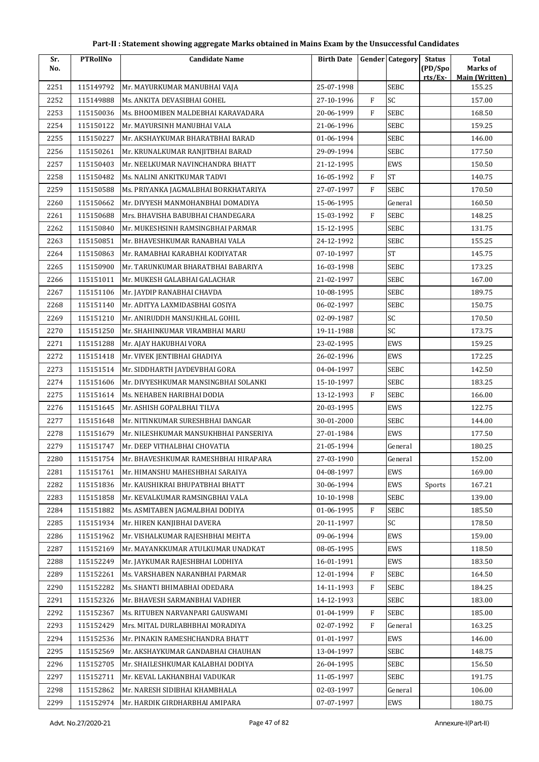| Sr.  | <b>PTRollNo</b> | <b>Candidate Name</b>                 | <b>Birth Date</b> |                | <b>Gender Category</b> | <b>Status</b> | <b>Total</b>                    |
|------|-----------------|---------------------------------------|-------------------|----------------|------------------------|---------------|---------------------------------|
| No.  |                 |                                       |                   |                |                        | (PD/Spo       | Marks of                        |
| 2251 | 115149792       | Mr. MAYURKUMAR MANUBHAI VAJA          | 25-07-1998        |                | SEBC                   | rts/Ex        | <b>Main (Written)</b><br>155.25 |
| 2252 | 115149888       | Ms. ANKITA DEVASIBHAI GOHEL           | 27-10-1996        | $\mathbf{F}$   | SC                     |               | 157.00                          |
| 2253 | 115150036       | Ms. BHOOMIBEN MALDEBHAI KARAVADARA    | 20-06-1999        | F              | <b>SEBC</b>            |               | 168.50                          |
| 2254 | 115150122       | Mr. MAYURSINH MANUBHAI VALA           | 21-06-1996        |                | SEBC                   |               | 159.25                          |
| 2255 | 115150227       | Mr. AKSHAYKUMAR BHARATBHAI BARAD      | 01-06-1994        |                | SEBC                   |               | 146.00                          |
| 2256 | 115150261       | Mr. KRUNALKUMAR RANJITBHAI BARAD      | 29-09-1994        |                | <b>SEBC</b>            |               | 177.50                          |
| 2257 | 115150403       | Mr. NEELKUMAR NAVINCHANDRA BHATT      | 21-12-1995        |                | EWS                    |               | 150.50                          |
| 2258 | 115150482       | Ms. NALINI ANKITKUMAR TADVI           | 16-05-1992        | $\overline{F}$ | <b>ST</b>              |               | 140.75                          |
| 2259 | 115150588       | Ms. PRIYANKA JAGMALBHAI BORKHATARIYA  | 27-07-1997        | F              | <b>SEBC</b>            |               | 170.50                          |
| 2260 | 115150662       | Mr. DIVYESH MANMOHANBHAI DOMADIYA     | 15-06-1995        |                | General                |               | 160.50                          |
| 2261 | 115150688       | Mrs. BHAVISHA BABUBHAI CHANDEGARA     | 15-03-1992        | F              | SEBC                   |               | 148.25                          |
| 2262 | 115150840       | Mr. MUKESHSINH RAMSINGBHAI PARMAR     | 15-12-1995        |                | SEBC                   |               | 131.75                          |
| 2263 | 115150851       | Mr. BHAVESHKUMAR RANABHAI VALA        | 24-12-1992        |                | <b>SEBC</b>            |               | 155.25                          |
| 2264 | 115150863       | Mr. RAMABHAI KARABHAI KODIYATAR       | 07-10-1997        |                | <b>ST</b>              |               | 145.75                          |
| 2265 | 115150900       | Mr. TARUNKUMAR BHARATBHAI BABARIYA    | 16-03-1998        |                | <b>SEBC</b>            |               | 173.25                          |
| 2266 | 115151011       | Mr. MUKESH GALABHAI GALACHAR          | 21-02-1997        |                | <b>SEBC</b>            |               | 167.00                          |
| 2267 | 115151106       | Mr. JAYDIP RANABHAI CHAVDA            | 10-08-1995        |                | <b>SEBC</b>            |               | 189.75                          |
| 2268 | 115151140       | Mr. ADITYA LAXMIDASBHAI GOSIYA        | 06-02-1997        |                | <b>SEBC</b>            |               | 150.75                          |
| 2269 | 115151210       | Mr. ANIRUDDH MANSUKHLAL GOHIL         | 02-09-1987        |                | SC                     |               | 170.50                          |
| 2270 | 115151250       | Mr. SHAHINKUMAR VIRAMBHAI MARU        | 19-11-1988        |                | SC                     |               | 173.75                          |
| 2271 | 115151288       | Mr. AJAY HAKUBHAI VORA                | 23-02-1995        |                | EWS                    |               | 159.25                          |
| 2272 | 115151418       | Mr. VIVEK JENTIBHAI GHADIYA           | 26-02-1996        |                | EWS                    |               | 172.25                          |
| 2273 | 115151514       | Mr. SIDDHARTH JAYDEVBHAI GORA         | 04-04-1997        |                | <b>SEBC</b>            |               | 142.50                          |
| 2274 | 115151606       | Mr. DIVYESHKUMAR MANSINGBHAI SOLANKI  | 15-10-1997        |                | <b>SEBC</b>            |               | 183.25                          |
| 2275 | 115151614       | Ms. NEHABEN HARIBHAI DODIA            | 13-12-1993        | F              | <b>SEBC</b>            |               | 166.00                          |
| 2276 | 115151645       | Mr. ASHISH GOPALBHAI TILVA            | 20-03-1995        |                | EWS                    |               | 122.75                          |
| 2277 | 115151648       | Mr. NITINKUMAR SURESHBHAI DANGAR      | 30-01-2000        |                | <b>SEBC</b>            |               | 144.00                          |
| 2278 | 115151679       | Mr. NILESHKUMAR MANSUKHBHAI PANSERIYA | 27-01-1984        |                | EWS                    |               | 177.50                          |
| 2279 | 115151747       | Mr. DEEP VITHALBHAI CHOVATIA          | 21-05-1994        |                | General                |               | 180.25                          |
| 2280 | 115151754       | Mr. BHAVESHKUMAR RAMESHBHAI HIRAPARA  | 27-03-1990        |                | General                |               | 152.00                          |
| 2281 | 115151761       | Mr. HIMANSHU MAHESHBHAI SARAIYA       | 04-08-1997        |                | EWS                    |               | 169.00                          |
| 2282 | 115151836       | Mr. KAUSHIKRAI BHUPATBHAI BHATT       | 30-06-1994        |                | EWS                    | Sports        | 167.21                          |
| 2283 | 115151858       | Mr. KEVALKUMAR RAMSINGBHAI VALA       | 10-10-1998        |                | SEBC                   |               | 139.00                          |
| 2284 | 115151882       | Ms. ASMITABEN JAGMALBHAI DODIYA       | 01-06-1995        | F              | <b>SEBC</b>            |               | 185.50                          |
| 2285 | 115151934       | Mr. HIREN KANJIBHAI DAVERA            | 20-11-1997        |                | SC                     |               | 178.50                          |
| 2286 | 115151962       | Mr. VISHALKUMAR RAJESHBHAI MEHTA      | 09-06-1994        |                | EWS                    |               | 159.00                          |
| 2287 | 115152169       | Mr. MAYANKKUMAR ATULKUMAR UNADKAT     | 08-05-1995        |                | EWS                    |               | 118.50                          |
| 2288 | 115152249       | Mr. JAYKUMAR RAJESHBHAI LODHIYA       | 16-01-1991        |                | EWS                    |               | 183.50                          |
| 2289 | 115152261       | Ms. VARSHABEN NARANBHAI PARMAR        | 12-01-1994        | F              | <b>SEBC</b>            |               | 164.50                          |
| 2290 | 115152282       | Ms. SHANTI BHIMABHAI ODEDARA          | 14-11-1993        | F              | SEBC                   |               | 184.25                          |
| 2291 | 115152326       | Mr. BHAVESH SARMANBHAI VADHER         | 14-12-1993        |                | <b>SEBC</b>            |               | 183.00                          |
| 2292 | 115152367       | Ms. RITUBEN NARVANPARI GAUSWAMI       | 01-04-1999        | F              | <b>SEBC</b>            |               | 185.00                          |
| 2293 | 115152429       | Mrs. MITAL DURLABHBHAI MORADIYA       | 02-07-1992        | F              | General                |               | 163.25                          |
| 2294 | 115152536       | Mr. PINAKIN RAMESHCHANDRA BHATT       | 01-01-1997        |                | EWS                    |               | 146.00                          |
| 2295 | 115152569       | Mr. AKSHAYKUMAR GANDABHAI CHAUHAN     | 13-04-1997        |                | <b>SEBC</b>            |               | 148.75                          |
| 2296 | 115152705       | Mr. SHAILESHKUMAR KALABHAI DODIYA     | 26-04-1995        |                | <b>SEBC</b>            |               | 156.50                          |
| 2297 | 115152711       | Mr. KEVAL LAKHANBHAI VADUKAR          | 11-05-1997        |                | <b>SEBC</b>            |               | 191.75                          |
| 2298 | 115152862       | Mr. NARESH SIDIBHAI KHAMBHALA         | 02-03-1997        |                | General                |               | 106.00                          |
| 2299 | 115152974       | Mr. HARDIK GIRDHARBHAI AMIPARA        | 07-07-1997        |                | EWS                    |               | 180.75                          |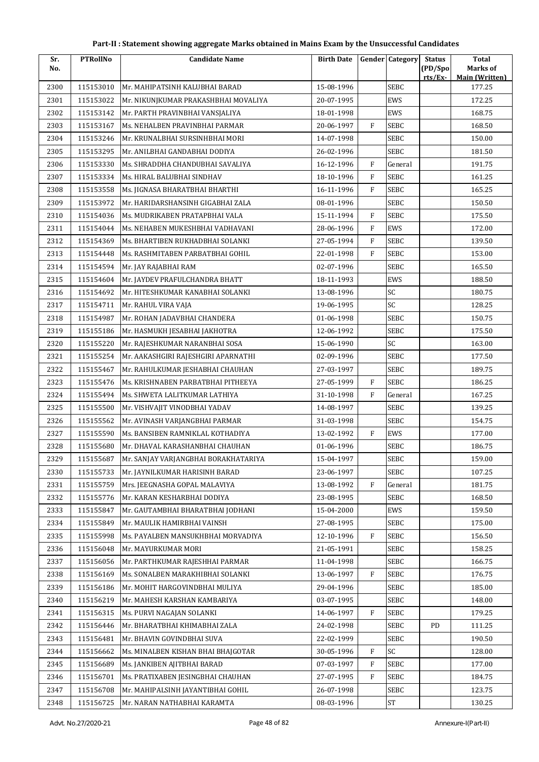| Sr.  | <b>PTRollNo</b> | <b>Candidate Name</b>                | <b>Birth Date</b> |              | <b>Gender Category</b> | <b>Status</b>     | <b>Total</b>                      |
|------|-----------------|--------------------------------------|-------------------|--------------|------------------------|-------------------|-----------------------------------|
| No.  |                 |                                      |                   |              |                        | (PD/Spo<br>rts/Ex | Marks of<br><b>Main (Written)</b> |
| 2300 | 115153010       | Mr. MAHIPATSINH KALUBHAI BARAD       | 15-08-1996        |              | <b>SEBC</b>            |                   | 177.25                            |
| 2301 | 115153022       | Mr. NIKUNJKUMAR PRAKASHBHAI MOVALIYA | 20-07-1995        |              | EWS                    |                   | 172.25                            |
| 2302 | 115153142       | Mr. PARTH PRAVINBHAI VANSJALIYA      | 18-01-1998        |              | EWS                    |                   | 168.75                            |
| 2303 | 115153167       | Ms. NEHALBEN PRAVINBHAI PARMAR       | 20-06-1997        | F            | SEBC                   |                   | 168.50                            |
| 2304 | 115153246       | Mr. KRUNALBHAI SURSINHBHAI MORI      | 14-07-1998        |              | SEBC                   |                   | 150.00                            |
| 2305 | 115153295       | Mr. ANILBHAI GANDABHAI DODIYA        | 26-02-1996        |              | <b>SEBC</b>            |                   | 181.50                            |
| 2306 | 115153330       | Ms. SHRADDHA CHANDUBHAI SAVALIYA     | 16-12-1996        | F            | General                |                   | 191.75                            |
| 2307 | 115153334       | Ms. HIRAL BALUBHAI SINDHAV           | 18-10-1996        | $\mathbf{F}$ | <b>SEBC</b>            |                   | 161.25                            |
| 2308 | 115153558       | Ms. JIGNASA BHARATBHAI BHARTHI       | 16-11-1996        | F            | SEBC                   |                   | 165.25                            |
| 2309 | 115153972       | Mr. HARIDARSHANSINH GIGABHAI ZALA    | 08-01-1996        |              | <b>SEBC</b>            |                   | 150.50                            |
| 2310 | 115154036       | Ms. MUDRIKABEN PRATAPBHAI VALA       | 15-11-1994        | F            | <b>SEBC</b>            |                   | 175.50                            |
| 2311 | 115154044       | Ms. NEHABEN MUKESHBHAI VADHAVANI     | 28-06-1996        | F            | EWS                    |                   | 172.00                            |
| 2312 | 115154369       | Ms. BHARTIBEN RUKHADBHAI SOLANKI     | 27-05-1994        | F            | <b>SEBC</b>            |                   | 139.50                            |
| 2313 | 115154448       | Ms. RASHMITABEN PARBATBHAI GOHIL     | 22-01-1998        | F            | <b>SEBC</b>            |                   | 153.00                            |
| 2314 | 115154594       | Mr. JAY RAJABHAI RAM                 | 02-07-1996        |              | <b>SEBC</b>            |                   | 165.50                            |
| 2315 | 115154604       | Mr. JAYDEV PRAFULCHANDRA BHATT       | 18-11-1993        |              | EWS                    |                   | 188.50                            |
| 2316 | 115154692       | Mr. HITESHKUMAR KANABHAI SOLANKI     | 13-08-1996        |              | SC                     |                   | 180.75                            |
| 2317 | 115154711       | Mr. RAHUL VIRA VAJA                  | 19-06-1995        |              | SC                     |                   | 128.25                            |
| 2318 | 115154987       | Mr. ROHAN JADAVBHAI CHANDERA         | 01-06-1998        |              | <b>SEBC</b>            |                   | 150.75                            |
| 2319 | 115155186       | Mr. HASMUKH JESABHAI JAKHOTRA        | 12-06-1992        |              | <b>SEBC</b>            |                   | 175.50                            |
| 2320 | 115155220       | Mr. RAJESHKUMAR NARANBHAI SOSA       | 15-06-1990        |              | SC                     |                   | 163.00                            |
| 2321 | 115155254       | Mr. AAKASHGIRI RAJESHGIRI APARNATHI  | 02-09-1996        |              | <b>SEBC</b>            |                   | 177.50                            |
| 2322 | 115155467       | Mr. RAHULKUMAR JESHABHAI CHAUHAN     | 27-03-1997        |              | SEBC                   |                   | 189.75                            |
| 2323 | 115155476       | Ms. KRISHNABEN PARBATBHAI PITHEEYA   | 27-05-1999        | F            | <b>SEBC</b>            |                   | 186.25                            |
| 2324 | 115155494       | Ms. SHWETA LALITKUMAR LATHIYA        | 31-10-1998        | F            | General                |                   | 167.25                            |
| 2325 | 115155500       | Mr. VISHVAJIT VINODBHAI YADAV        | 14-08-1997        |              | <b>SEBC</b>            |                   | 139.25                            |
| 2326 | 115155562       | Mr. AVINASH VARJANGBHAI PARMAR       | 31-03-1998        |              | SEBC                   |                   | 154.75                            |
| 2327 | 115155590       | Ms. BANSIBEN RAMNIKLAL KOTHADIYA     | 13-02-1992        | F            | EWS                    |                   | 177.00                            |
| 2328 | 115155680       | Mr. DHAVAL KARASHANBHAI CHAUHAN      | 01-06-1996        |              | <b>SEBC</b>            |                   | 186.75                            |
| 2329 | 115155687       | Mr. SANJAY VARJANGBHAI BORAKHATARIYA | 15-04-1997        |              | <b>SEBC</b>            |                   | 159.00                            |
| 2330 | 115155733       | Mr. JAYNILKUMAR HARISINH BARAD       | 23-06-1997        |              | <b>SEBC</b>            |                   | 107.25                            |
| 2331 | 115155759       | Mrs. JEEGNASHA GOPAL MALAVIYA        | 13-08-1992        | $\rm F$      | General                |                   | 181.75                            |
| 2332 | 115155776       | Mr. KARAN KESHARBHAI DODIYA          | 23-08-1995        |              | <b>SEBC</b>            |                   | 168.50                            |
| 2333 | 115155847       | Mr. GAUTAMBHAI BHARATBHAI JODHANI    | 15-04-2000        |              | EWS                    |                   | 159.50                            |
| 2334 | 115155849       | Mr. MAULIK HAMIRBHAI VAINSH          | 27-08-1995        |              | <b>SEBC</b>            |                   | 175.00                            |
| 2335 | 115155998       | Ms. PAYALBEN MANSUKHBHAI MORVADIYA   | 12-10-1996        | F            | <b>SEBC</b>            |                   | 156.50                            |
| 2336 | 115156048       | Mr. MAYURKUMAR MORI                  | 21-05-1991        |              | <b>SEBC</b>            |                   | 158.25                            |
| 2337 | 115156056       | Mr. PARTHKUMAR RAJESHHAI PARMAR      | 11-04-1998        |              | <b>SEBC</b>            |                   | 166.75                            |
| 2338 | 115156169       | Ms. SONALBEN MARAKHIBHAI SOLANKI     | 13-06-1997        | F            | <b>SEBC</b>            |                   | 176.75                            |
| 2339 | 115156186       | Mr. MOHIT HARGOVINDBHAI MULIYA       | 29-04-1996        |              | <b>SEBC</b>            |                   | 185.00                            |
| 2340 | 115156219       | Mr. MAHESH KARSHAN KAMBARIYA         | 03-07-1995        |              | SEBC                   |                   | 148.00                            |
| 2341 | 115156315       | Ms. PURVI NAGAJAN SOLANKI            | 14-06-1997        | F            | <b>SEBC</b>            |                   | 179.25                            |
| 2342 | 115156446       | Mr. BHARATBHAI KHIMABHAI ZALA        | 24-02-1998        |              | <b>SEBC</b>            | PD                | 111.25                            |
| 2343 | 115156481       | Mr. BHAVIN GOVINDBHAI SUVA           | 22-02-1999        |              | <b>SEBC</b>            |                   | 190.50                            |
| 2344 | 115156662       | Ms. MINALBEN KISHAN BHAI BHAJGOTAR   | 30-05-1996        | F            | SC                     |                   | 128.00                            |
| 2345 | 115156689       | Ms. JANKIBEN AJITBHAI BARAD          | 07-03-1997        | ${\rm F}$    | <b>SEBC</b>            |                   | 177.00                            |
| 2346 | 115156701       | Ms. PRATIXABEN JESINGBHAI CHAUHAN    | 27-07-1995        | F            | <b>SEBC</b>            |                   | 184.75                            |
| 2347 | 115156708       | Mr. MAHIPALSINH JAYANTIBHAI GOHIL    | 26-07-1998        |              | <b>SEBC</b>            |                   | 123.75                            |
| 2348 | 115156725       | Mr. NARAN NATHABHAI KARAMTA          | 08-03-1996        |              | ST                     |                   | 130.25                            |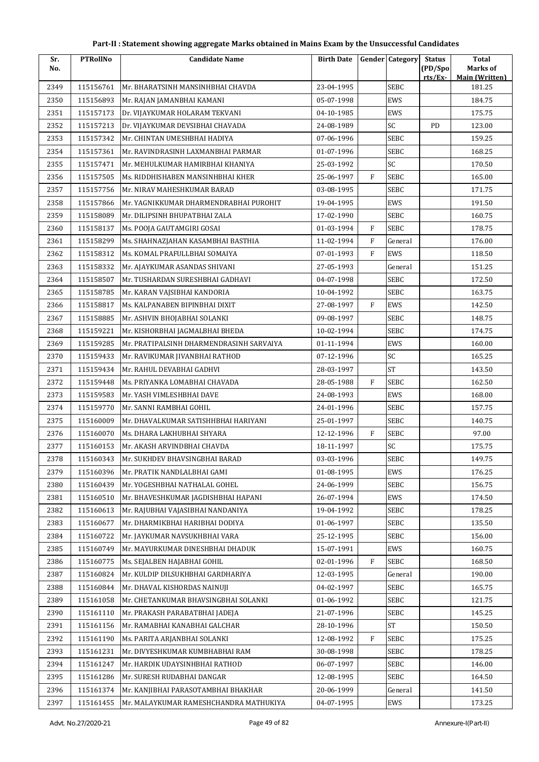| Sr.  | <b>PTRollNo</b> | <b>Candidate Name</b>                    | <b>Birth Date</b> |              | <b>Gender Category</b> | <b>Status</b>      | <b>Total</b>                      |
|------|-----------------|------------------------------------------|-------------------|--------------|------------------------|--------------------|-----------------------------------|
| No.  |                 |                                          |                   |              |                        | (PD/Spo<br>rts/Ex- | Marks of<br><b>Main (Written)</b> |
| 2349 | 115156761       | Mr. BHARATSINH MANSINHBHAI CHAVDA        | 23-04-1995        |              | <b>SEBC</b>            |                    | 181.25                            |
| 2350 | 115156893       | Mr. RAJAN JAMANBHAI KAMANI               | 05-07-1998        |              | EWS                    |                    | 184.75                            |
| 2351 | 115157173       | Dr. VIJAYKUMAR HOLARAM TEKVANI           | 04-10-1985        |              | EWS                    |                    | 175.75                            |
| 2352 | 115157213       | Dr. VIJAYKUMAR DEVSIBHAI CHAVADA         | 24-08-1989        |              | SC                     | PD                 | 123.00                            |
| 2353 | 115157342       | Mr. CHINTAN UMESHBHAI HADIYA             | 07-06-1996        |              | <b>SEBC</b>            |                    | 159.25                            |
| 2354 | 115157361       | Mr. RAVINDRASINH LAXMANBHAI PARMAR       | 01-07-1996        |              | <b>SEBC</b>            |                    | 168.25                            |
| 2355 | 115157471       | Mr. MEHULKUMAR HAMIRBHAI KHANIYA         | 25-03-1992        |              | SC                     |                    | 170.50                            |
| 2356 | 115157505       | Ms. RIDDHISHABEN MANSINHBHAI KHER        | 25-06-1997        | F            | SEBC                   |                    | 165.00                            |
| 2357 | 115157756       | Mr. NIRAV MAHESHKUMAR BARAD              | 03-08-1995        |              | SEBC                   |                    | 171.75                            |
| 2358 | 115157866       | Mr. YAGNIKKUMAR DHARMENDRABHAI PUROHIT   | 19-04-1995        |              | EWS                    |                    | 191.50                            |
| 2359 | 115158089       | Mr. DILIPSINH BHUPATBHAI ZALA            | 17-02-1990        |              | SEBC                   |                    | 160.75                            |
| 2360 | 115158137       | Ms. POOJA GAUTAMGIRI GOSAI               | 01-03-1994        | $\mathbf{F}$ | SEBC                   |                    | 178.75                            |
| 2361 | 115158299       | Ms. SHAHNAZJAHAN KASAMBHAI BASTHIA       | 11-02-1994        | $\mathbf{F}$ | General                |                    | 176.00                            |
| 2362 | 115158312       | Ms. KOMAL PRAFULLBHAI SOMAIYA            | 07-01-1993        | F            | EWS                    |                    | 118.50                            |
| 2363 | 115158332       | Mr. AJAYKUMAR ASANDAS SHIVANI            | 27-05-1993        |              | General                |                    | 151.25                            |
| 2364 | 115158507       | Mr. TUSHARDAN SURESHBHAI GADHAVI         | 04-07-1998        |              | SEBC                   |                    | 172.50                            |
| 2365 | 115158785       | Mr. KARAN VAJSIBHAI KANDORIA             | 10-04-1992        |              | <b>SEBC</b>            |                    | 163.75                            |
| 2366 | 115158817       | Ms. KALPANABEN BIPINBHAI DIXIT           | 27-08-1997        | $\rm F$      | EWS                    |                    | 142.50                            |
| 2367 | 115158885       | Mr. ASHVIN BHOJABHAI SOLANKI             | 09-08-1997        |              | SEBC                   |                    | 148.75                            |
| 2368 | 115159221       | Mr. KISHORBHAI JAGMALBHAI BHEDA          | 10-02-1994        |              | SEBC                   |                    | 174.75                            |
| 2369 | 115159285       | Mr. PRATIPALSINH DHARMENDRASINH SARVAIYA | 01-11-1994        |              | EWS                    |                    | 160.00                            |
| 2370 | 115159433       | Mr. RAVIKUMAR JIVANBHAI RATHOD           | 07-12-1996        |              | SC                     |                    | 165.25                            |
| 2371 | 115159434       | Mr. RAHUL DEVABHAI GADHVI                | 28-03-1997        |              | <b>ST</b>              |                    | 143.50                            |
| 2372 | 115159448       | Ms. PRIYANKA LOMABHAI CHAVADA            | 28-05-1988        | F            | SEBC                   |                    | 162.50                            |
| 2373 | 115159583       | Mr. YASH VIMLESHBHAI DAVE                | 24-08-1993        |              | EWS                    |                    | 168.00                            |
| 2374 | 115159770       | Mr. SANNI RAMBHAI GOHIL                  | 24-01-1996        |              | SEBC                   |                    | 157.75                            |
| 2375 | 115160009       | Mr. DHAVALKUMAR SATISHHBHAI HARIYANI     | 25-01-1997        |              | <b>SEBC</b>            |                    | 140.75                            |
| 2376 | 115160070       | Ms. DHARA LAKHUBHAI SHYARA               | 12-12-1996        | F            | SEBC                   |                    | 97.00                             |
| 2377 | 115160153       | Mr. AKASH ARVINDBHAI CHAVDA              | 18-11-1997        |              | SC                     |                    | 175.75                            |
| 2378 | 115160343       | Mr. SUKHDEV BHAVSINGBHAI BARAD           | 03-03-1996        |              | SEBC                   |                    | 149.75                            |
| 2379 | 115160396       | Mr. PRATIK NANDLALBHAI GAMI              | 01-08-1995        |              | EWS                    |                    | 176.25                            |
| 2380 | 115160439       | Mr. YOGESHBHAI NATHALAL GOHEL            | 24-06-1999        |              | SEBC                   |                    | 156.75                            |
| 2381 | 115160510       | Mr. BHAVESHKUMAR JAGDISHBHAI HAPANI      | 26-07-1994        |              | EWS                    |                    | 174.50                            |
| 2382 | 115160613       | Mr. RAJUBHAI VAJASIBHAI NANDANIYA        | 19-04-1992        |              | SEBC                   |                    | 178.25                            |
| 2383 | 115160677       | Mr. DHARMIKBHAI HARIBHAI DODIYA          | 01-06-1997        |              | SEBC                   |                    | 135.50                            |
| 2384 | 115160722       | Mr. JAYKUMAR NAVSUKHBHAI VARA            | 25-12-1995        |              | SEBC                   |                    | 156.00                            |
| 2385 | 115160749       | Mr. MAYURKUMAR DINESHBHAI DHADUK         | 15-07-1991        |              | EWS                    |                    | 160.75                            |
| 2386 | 115160775       | Ms. SEJALBEN HAJABHAI GOHIL              | 02-01-1996        | $\mathbf{F}$ | SEBC                   |                    | 168.50                            |
| 2387 | 115160824       | Mr. KULDIP DILSUKHBHAI GARDHARIYA        | 12-03-1995        |              | General                |                    | 190.00                            |
| 2388 | 115160844       | Mr. DHAVAL KISHORDAS NAINUJI             | 04-02-1997        |              | SEBC                   |                    | 165.75                            |
| 2389 | 115161058       | Mr. CHETANKUMAR BHAVSINGBHAI SOLANKI     | 01-06-1992        |              | SEBC                   |                    | 121.75                            |
| 2390 | 115161110       | Mr. PRAKASH PARABATBHAI JADEJA           | 21-07-1996        |              | SEBC                   |                    | 145.25                            |
| 2391 | 115161156       | Mr. RAMABHAI KANABHAI GALCHAR            | 28-10-1996        |              | <b>ST</b>              |                    | 150.50                            |
| 2392 | 115161190       | Ms. PARITA ARJANBHAI SOLANKI             | 12-08-1992        | F            | SEBC                   |                    | 175.25                            |
| 2393 | 115161231       | Mr. DIVYESHKUMAR KUMBHABHAI RAM          | 30-08-1998        |              | SEBC                   |                    | 178.25                            |
| 2394 | 115161247       | Mr. HARDIK UDAYSINHBHAI RATHOD           | 06-07-1997        |              | SEBC                   |                    | 146.00                            |
| 2395 | 115161286       | Mr. SURESH RUDABHAI DANGAR               | 12-08-1995        |              | SEBC                   |                    | 164.50                            |
| 2396 | 115161374       | Mr. KANJIBHAI PARASOTAMBHAI BHAKHAR      | 20-06-1999        |              | General                |                    | 141.50                            |
| 2397 | 115161455       | Mr. MALAYKUMAR RAMESHCHANDRA MATHUKIYA   | 04-07-1995        |              | EWS                    |                    | 173.25                            |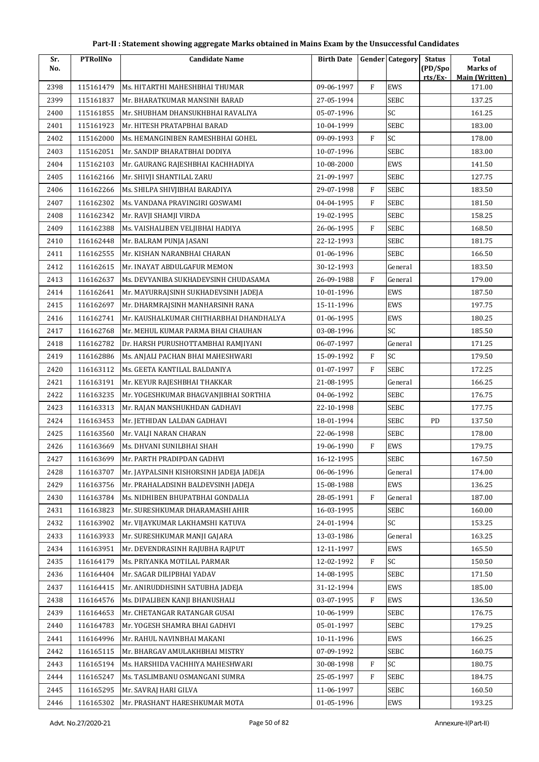| Sr.  | <b>PTRollNo</b> | <b>Candidate Name</b>                   | <b>Birth Date</b> |              | <b>Gender Category</b> | <b>Status</b>      | <b>Total</b>                      |
|------|-----------------|-----------------------------------------|-------------------|--------------|------------------------|--------------------|-----------------------------------|
| No.  |                 |                                         |                   |              |                        | (PD/Spo<br>rts/Ex- | Marks of<br><b>Main (Written)</b> |
| 2398 | 115161479       | Ms. HITARTHI MAHESHBHAI THUMAR          | 09-06-1997        | $\rm F$      | EWS                    |                    | 171.00                            |
| 2399 | 115161837       | Mr. BHARATKUMAR MANSINH BARAD           | 27-05-1994        |              | <b>SEBC</b>            |                    | 137.25                            |
| 2400 | 115161855       | Mr. SHUBHAM DHANSUKHBHAI RAVALIYA       | 05-07-1996        |              | SC                     |                    | 161.25                            |
| 2401 | 115161923       | Mr. HITESH PRATAPBHAI BARAD             | 10-04-1999        |              | SEBC                   |                    | 183.00                            |
| 2402 | 115162000       | Ms. HEMANGINIBEN RAMESHBHAI GOHEL       | 09-09-1993        | F            | SC                     |                    | 178.00                            |
| 2403 | 115162051       | Mr. SANDIP BHARATBHAI DODIYA            | 10-07-1996        |              | <b>SEBC</b>            |                    | 183.00                            |
| 2404 | 115162103       | Mr. GAURANG RAJESHBHAI KACHHADIYA       | 10-08-2000        |              | EWS                    |                    | 141.50                            |
| 2405 | 116162166       | Mr. SHIVJI SHANTILAL ZARU               | 21-09-1997        |              | SEBC                   |                    | 127.75                            |
| 2406 | 116162266       | Ms. SHILPA SHIVJIBHAI BARADIYA          | 29-07-1998        | $\mathbf{F}$ | SEBC                   |                    | 183.50                            |
| 2407 | 116162302       | Ms. VANDANA PRAVINGIRI GOSWAMI          | 04-04-1995        | $\mathbf{F}$ | <b>SEBC</b>            |                    | 181.50                            |
| 2408 | 116162342       | Mr. RAVJI SHAMJI VIRDA                  | 19-02-1995        |              | <b>SEBC</b>            |                    | 158.25                            |
| 2409 | 116162388       | Ms. VAISHALIBEN VELJIBHAI HADIYA        | 26-06-1995        | $\mathbf{F}$ | SEBC                   |                    | 168.50                            |
| 2410 | 116162448       | Mr. BALRAM PUNJA JASANI                 | 22-12-1993        |              | SEBC                   |                    | 181.75                            |
| 2411 | 116162555       | Mr. KISHAN NARANBHAI CHARAN             | 01-06-1996        |              | <b>SEBC</b>            |                    | 166.50                            |
| 2412 | 116162615       | Mr. INAYAT ABDULGAFUR MEMON             | 30-12-1993        |              | General                |                    | 183.50                            |
| 2413 | 116162637       | Ms. DEVYANIBA SUKHADEVSINH CHUDASAMA    | 26-09-1988        | F            | General                |                    | 179.00                            |
| 2414 | 116162641       | Mr. MAYURRAJSINH SUKHADEVSINH JADEJA    | 10-01-1996        |              | EWS                    |                    | 187.50                            |
| 2415 | 116162697       | Mr. DHARMRAJSINH MANHARSINH RANA        | 15-11-1996        |              | EWS                    |                    | 197.75                            |
| 2416 | 116162741       | Mr. KAUSHALKUMAR CHITHARBHAI DHANDHALYA | 01-06-1995        |              | EWS                    |                    | 180.25                            |
| 2417 | 116162768       | Mr. MEHUL KUMAR PARMA BHAI CHAUHAN      | 03-08-1996        |              | SC                     |                    | 185.50                            |
| 2418 | 116162782       | Dr. HARSH PURUSHOTTAMBHAI RAMJIYANI     | 06-07-1997        |              | General                |                    | 171.25                            |
| 2419 | 116162886       | Ms. ANJALI PACHAN BHAI MAHESHWARI       | 15-09-1992        | $\mathbf{F}$ | SC                     |                    | 179.50                            |
| 2420 | 116163112       | Ms. GEETA KANTILAL BALDANIYA            | 01-07-1997        | $\mathbf{F}$ | SEBC                   |                    | 172.25                            |
| 2421 | 116163191       | Mr. KEYUR RAJESHBHAI THAKKAR            | 21-08-1995        |              | General                |                    | 166.25                            |
| 2422 | 116163235       | Mr. YOGESHKUMAR BHAGVANJIBHAI SORTHIA   | 04-06-1992        |              | SEBC                   |                    | 176.75                            |
| 2423 | 116163313       | Mr. RAJAN MANSHUKHDAN GADHAVI           | 22-10-1998        |              | SEBC                   |                    | 177.75                            |
| 2424 | 116163453       | Mr. JETHIDAN LALDAN GADHAVI             | 18-01-1994        |              | SEBC                   | <b>PD</b>          | 137.50                            |
| 2425 | 116163560       | Mr. VALJI NARAN CHARAN                  | 22-06-1998        |              | <b>SEBC</b>            |                    | 178.00                            |
| 2426 | 116163669       | Ms. DHVANI SUNILBHAI SHAH               | 19-06-1990        | $\rm F$      | EWS                    |                    | 179.75                            |
| 2427 | 116163699       | Mr. PARTH PRADIPDAN GADHVI              | $16 - 12 - 1995$  |              | SEBC                   |                    | 167.50                            |
| 2428 | 116163707       | Mr. JAYPALSINH KISHORSINH JADEJA JADEJA | 06-06-1996        |              | General                |                    | 174.00                            |
| 2429 | 116163756       | Mr. PRAHALADSINH BALDEVSINH JADEJA      | 15-08-1988        |              | EWS                    |                    | 136.25                            |
| 2430 | 116163784       | Ms. NIDHIBEN BHUPATBHAI GONDALIA        | 28-05-1991        | F            | General                |                    | 187.00                            |
| 2431 | 116163823       | Mr. SURESHKUMAR DHARAMASHI AHIR         | 16-03-1995        |              | SEBC                   |                    | 160.00                            |
| 2432 | 116163902       | Mr. VIJAYKUMAR LAKHAMSHI KATUVA         | 24-01-1994        |              | SC                     |                    | 153.25                            |
| 2433 | 116163933       | Mr. SURESHKUMAR MANJI GAJARA            | 13-03-1986        |              | General                |                    | 163.25                            |
| 2434 | 116163951       | Mr. DEVENDRASINH RAJUBHA RAJPUT         | 12-11-1997        |              | EWS                    |                    | 165.50                            |
| 2435 | 116164179       | Ms. PRIYANKA MOTILAL PARMAR             | 12-02-1992        | $\mathbf{F}$ | SC                     |                    | 150.50                            |
| 2436 | 116164404       | Mr. SAGAR DILIPBHAI YADAV               | 14-08-1995        |              | SEBC                   |                    | 171.50                            |
| 2437 | 116164415       | Mr. ANIRUDDHSINH SATUBHA JADEJA         | 31-12-1994        |              | EWS                    |                    | 185.00                            |
| 2438 | 116164576       | Ms. DIPALIBEN KANJI BHANUSHALI          | 03-07-1995        | F            | EWS                    |                    | 136.50                            |
| 2439 | 116164653       | Mr. CHETANGAR RATANGAR GUSAI            | 10-06-1999        |              | SEBC                   |                    | 176.75                            |
| 2440 | 116164783       | Mr. YOGESH SHAMRA BHAI GADHVI           | 05-01-1997        |              | SEBC                   |                    | 179.25                            |
| 2441 | 116164996       | Mr. RAHUL NAVINBHAI MAKANI              | 10-11-1996        |              | EWS                    |                    | 166.25                            |
| 2442 | 116165115       | Mr. BHARGAV AMULAKHBHAI MISTRY          | 07-09-1992        |              | SEBC                   |                    | 160.75                            |
| 2443 | 116165194       | Ms. HARSHIDA VACHHIYA MAHESHWARI        | 30-08-1998        | F            | SC                     |                    | 180.75                            |
| 2444 | 116165247       | Ms. TASLIMBANU OSMANGANI SUMRA          | 25-05-1997        | F            | SEBC                   |                    | 184.75                            |
| 2445 | 116165295       | Mr. SAVRAJ HARI GILVA                   | 11-06-1997        |              | SEBC                   |                    | 160.50                            |
| 2446 | 116165302       | Mr. PRASHANT HARESHKUMAR MOTA           | 01-05-1996        |              | EWS                    |                    | 193.25                            |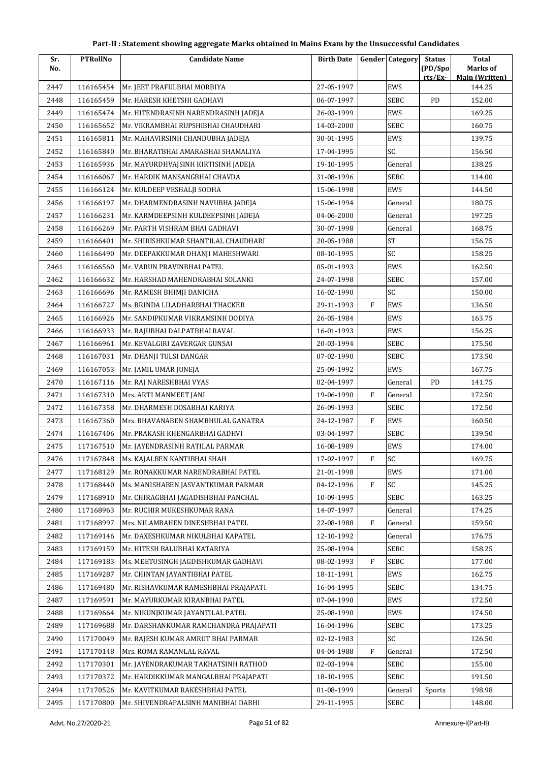| Sr.  | <b>PTRollNo</b> | <b>Candidate Name</b>                 | <b>Birth Date</b> |             | <b>Gender Category</b> | <b>Status</b> | <b>Total</b>                    |
|------|-----------------|---------------------------------------|-------------------|-------------|------------------------|---------------|---------------------------------|
| No.  |                 |                                       |                   |             |                        | (PD/Spo       | Marks of                        |
| 2447 | 116165454       | Mr. JEET PRAFULBHAI MORBIYA           | 27-05-1997        |             | EWS                    | rts/Ex        | <b>Main (Written)</b><br>144.25 |
| 2448 | 116165459       | Mr. HARESH KHETSHI GADHAVI            | 06-07-1997        |             | <b>SEBC</b>            | PD            | 152.00                          |
| 2449 | 116165474       | Mr. HITENDRASINH NARENDRASINH JADEJA  | 26-03-1999        |             | EWS                    |               | 169.25                          |
| 2450 | 116165652       | Mr. VIKRAMBHAI RUPSHIBHAI CHAUDHARI   | 14-03-2000        |             | SEBC                   |               | 160.75                          |
| 2451 | 116165811       | Mr. MAHAVIRSINH CHANDUBHA JADEJA      | 30-01-1995        |             | EWS                    |               | 139.75                          |
| 2452 | 116165840       | Mr. BHARATBHAI AMARABHAI SHAMALIYA    | 17-04-1995        |             | SC                     |               | 156.50                          |
| 2453 | 116165936       | Mr. MAYURDHVAJSINH KIRTISINH JADEJA   | 19-10-1995        |             | General                |               | 138.25                          |
| 2454 | 116166067       | Mr. HARDIK MANSANGBHAI CHAVDA         | 31-08-1996        |             | <b>SEBC</b>            |               | 114.00                          |
| 2455 | 116166124       | Mr. KULDEEP VESHALJI SODHA            | 15-06-1998        |             | EWS                    |               | 144.50                          |
| 2456 | 116166197       | Mr. DHARMENDRASINH NAVUBHA JADEJA     | 15-06-1994        |             | General                |               | 180.75                          |
| 2457 | 116166231       | Mr. KARMDEEPSINH KULDEEPSINH JADEJA   | 04-06-2000        |             | General                |               | 197.25                          |
| 2458 | 116166269       | Mr. PARTH VISHRAM BHAI GADHAVI        | 30-07-1998        |             | General                |               | 168.75                          |
| 2459 | 116166401       | Mr. SHIRISHKUMAR SHANTILAL CHAUDHARI  | 20-05-1988        |             | <b>ST</b>              |               | 156.75                          |
| 2460 | 116166490       | Mr. DEEPAKKUMAR DHANJI MAHESHWARI     | 08-10-1995        |             | SC                     |               | 158.25                          |
| 2461 | 116166560       | Mr. VARUN PRAVINBHAI PATEL            | 05-01-1993        |             | EWS                    |               | 162.50                          |
| 2462 | 116166632       | Mr. HARSHAD MAHENDRABHAI SOLANKI      | 24-07-1998        |             | <b>SEBC</b>            |               | 157.00                          |
| 2463 | 116166696       | Mr. RAMESH BHIMJI DANICHA             | 16-02-1990        |             | SC                     |               | 150.00                          |
| 2464 | 116166727       | Ms. BRINDA LILADHARBHAI THACKER       | 29-11-1993        | $\mathbf F$ | EWS                    |               | 136.50                          |
| 2465 | 116166926       | Mr. SANDIPKUMAR VIKRAMSINH DODIYA     | 26-05-1984        |             | EWS                    |               | 163.75                          |
| 2466 | 116166933       | Mr. RAJUBHAI DALPATBHAI RAVAL         | 16-01-1993        |             | EWS                    |               | 156.25                          |
| 2467 | 116166961       | Mr. KEVALGIRI ZAVERGAR GUNSAI         | 20-03-1994        |             | <b>SEBC</b>            |               | 175.50                          |
| 2468 | 116167031       | Mr. DHANJI TULSI DANGAR               | 07-02-1990        |             | SEBC                   |               | 173.50                          |
| 2469 | 116167053       | Mr. JAMIL UMAR JUNEJA                 | 25-09-1992        |             | EWS                    |               | 167.75                          |
| 2470 | 116167116       | Mr. RAJ NARESHBHAI VYAS               | 02-04-1997        |             | General                | PD            | 141.75                          |
| 2471 | 116167310       | Mrs. ARTI MANMEET JANI                | 19-06-1990        | F           | General                |               | 172.50                          |
| 2472 | 116167358       | Mr. DHARMESH DOSABHAI KARIYA          | 26-09-1993        |             | SEBC                   |               | 172.50                          |
| 2473 | 116167360       | Mrs. BHAVANABEN SHAMBHULAL GANATRA    | 24-12-1987        | ${\rm F}$   | EWS                    |               | 160.50                          |
| 2474 | 116167406       | Mr. PRAKASH KHENGARBHAI GADHVI        | 03-04-1997        |             | <b>SEBC</b>            |               | 139.50                          |
| 2475 | 117167510       | Mr. JAYENDRASINH RATILAL PARMAR       | 16-08-1989        |             | EWS                    |               | 174.00                          |
| 2476 | 117167848       | Ms. KAJALBEN KANTIBHAI SHAH           | 17-02-1997        | F           | SC                     |               | 169.75                          |
| 2477 | 117168129       | Mr. RONAKKUMAR NARENDRABHAI PATEL     | 21-01-1998        |             | EWS                    |               | 171.00                          |
| 2478 | 117168440       | Ms. MANISHABEN JASVANTKUMAR PARMAR    | 04-12-1996        | F           | SC                     |               | 145.25                          |
| 2479 | 117168910       | Mr. CHIRAGBHAI JAGADISHBHAI PANCHAL   | 10-09-1995        |             | <b>SEBC</b>            |               | 163.25                          |
| 2480 | 117168963       | Mr. RUCHIR MUKESHKUMAR RANA           | 14-07-1997        |             | General                |               | 174.25                          |
| 2481 | 117168997       | Mrs. NILAMBAHEN DINESHBHAI PATEL      | 22-08-1988        | F           | General                |               | 159.50                          |
| 2482 | 117169146       | Mr. DAXESHKUMAR NIKULBHAI KAPATEL     | 12-10-1992        |             | General                |               | 176.75                          |
| 2483 | 117169159       | Mr. HITESH BALUBHAI KATARIYA          | 25-08-1994        |             | <b>SEBC</b>            |               | 158.25                          |
| 2484 | 117169183       | Ms. MEETUSINGH JAGDISHKUMAR GADHAVI   | 08-02-1993        | F           | <b>SEBC</b>            |               | 177.00                          |
| 2485 | 117169287       | Mr. CHINTAN JAYANTIBHAI PATEL         | 18-11-1991        |             | EWS                    |               | 162.75                          |
| 2486 | 117169480       | Mr. RISHAVKUMAR RAMESHBHAI PRAJAPATI  | 16-04-1995        |             | <b>SEBC</b>            |               | 134.75                          |
| 2487 | 117169591       | Mr. MAYURKUMAR KIRANBHAI PATEL        | 07-04-1990        |             | EWS                    |               | 172.50                          |
| 2488 | 117169664       | Mr. NIKUNJKUMAR JAYANTILAL PATEL      | 25-08-1990        |             | EWS                    |               | 174.50                          |
| 2489 | 117169688       | Mr. DARSHANKUMAR RAMCHANDRA PRAJAPATI | 16-04-1996        |             | <b>SEBC</b>            |               | 173.25                          |
| 2490 | 117170049       | Mr. RAJESH KUMAR AMRUT BHAI PARMAR    | 02-12-1983        |             | SC                     |               | 126.50                          |
| 2491 | 117170148       | Mrs. ROMA RAMANLAL RAVAL              | 04-04-1988        | F           | General                |               | 172.50                          |
| 2492 | 117170301       | Mr. JAYENDRAKUMAR TAKHATSINH RATHOD   | 02-03-1994        |             | <b>SEBC</b>            |               | 155.00                          |
| 2493 | 117170372       | Mr. HARDIKKUMAR MANGALBHAI PRAJAPATI  | 18-10-1995        |             | <b>SEBC</b>            |               | 191.50                          |
| 2494 | 117170526       | Mr. KAVITKUMAR RAKESHBHAI PATEL       | 01-08-1999        |             | General                | Sports        | 198.98                          |
| 2495 | 117170800       | Mr. SHIVENDRAPALSINH MANIBHAI DABHI   | 29-11-1995        |             | <b>SEBC</b>            |               | 148.00                          |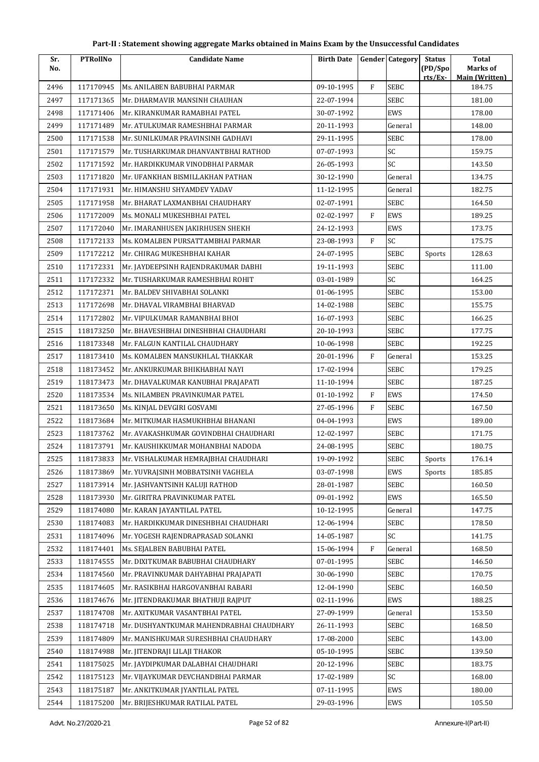| Marks of<br>No.<br>rts/Ex-<br><b>Main (Written)</b><br>$\mathbf{F}$<br><b>SEBC</b><br>2496<br>117170945<br>09-10-1995<br>184.75<br>Ms. ANILABEN BABUBHAI PARMAR<br>117171365<br>Mr. DHARMAVIR MANSINH CHAUHAN<br>22-07-1994<br>SEBC<br>181.00<br>2497<br>2498<br>117171406<br>30-07-1992<br>EWS<br>178.00<br>Mr. KIRANKUMAR RAMABHAI PATEL<br>2499<br>117171489<br>20-11-1993<br>148.00<br>Mr. ATULKUMAR RAMESHBHAI PARMAR<br>General<br>SEBC<br>2500<br>29-11-1995<br>178.00<br>117171538<br>Mr. SUNILKUMAR PRAVINSINH GADHAVI<br>SC<br>117171579<br>07-07-1993<br>159.75<br>2501<br>Mr. TUSHARKUMAR DHANVANTBHAI RATHOD<br>SC<br>2502<br>117171592<br>26-05-1993<br>143.50<br>Mr. HARDIKKUMAR VINODBHAI PARMAR<br>2503<br>117171820<br>30-12-1990<br>General<br>Mr. UFANKHAN BISMILLAKHAN PATHAN<br>134.75<br>2504<br>117171931<br>Mr. HIMANSHU SHYAMDEV YADAV<br>11-12-1995<br>182.75<br>General<br>02-07-1991<br>SEBC<br>2505<br>117171958<br>Mr. BHARAT LAXMANBHAI CHAUDHARY<br>164.50<br>$\mathbf{F}$<br><b>EWS</b><br>02-02-1997<br>189.25<br>2506<br>117172009<br>Ms. MONALI MUKESHBHAI PATEL<br>2507<br>117172040<br>Mr. IMARANHUSEN JAKIRHUSEN SHEKH<br>24-12-1993<br>EWS<br>173.75<br>$\rm F$<br>SC<br>2508<br>117172133<br>Ms. KOMALBEN PURSATTAMBHAI PARMAR<br>23-08-1993<br>175.75<br><b>SEBC</b><br>2509<br>117172212<br>Mr. CHIRAG MUKESHBHAI KAHAR<br>24-07-1995<br>128.63<br>Sports<br><b>SEBC</b><br>2510<br>117172331<br>19-11-1993<br>111.00<br>Mr. JAYDEEPSINH RAJENDRAKUMAR DABHI<br>SC<br>2511<br>117172332<br>Mr. TUSHARKUMAR RAMESHBHAI ROHIT<br>03-01-1989<br>164.25<br>2512<br>01-06-1995<br>SEBC<br>153.00<br>117172371<br>Mr. BALDEV SHIVABHAI SOLANKI<br>117172698<br>155.75<br>2513<br>Mr. DHAVAL VIRAMBHAI BHARVAD<br>14-02-1988<br>SEBC<br>SEBC<br>2514<br>117172802<br>Mr. VIPULKUMAR RAMANBHAI BHOI<br>16-07-1993<br>166.25<br>118173250<br>20-10-1993<br>SEBC<br>177.75<br>2515<br>Mr. BHAVESHBHAI DINESHBHAI CHAUDHARI<br><b>SEBC</b><br>192.25<br>2516<br>118173348<br>Mr. FALGUN KANTILAL CHAUDHARY<br>10-06-1998<br>$\mathbf{F}$<br>2517<br>20-01-1996<br>153.25<br>118173410<br>Ms. KOMALBEN MANSUKHLAL THAKKAR<br>General<br>2518<br>118173452<br>17-02-1994<br>SEBC<br>179.25<br>Mr. ANKURKUMAR BHIKHABHAI NAYI<br><b>SEBC</b><br>2519<br>118173473<br>11-10-1994<br>187.25<br>Mr. DHAVALKUMAR KANUBHAI PRAJAPATI<br>2520<br>118173534<br>F<br>EWS<br>174.50<br>Ms. NILAMBEN PRAVINKUMAR PATEL<br>01-10-1992<br>$\mathbf{F}$<br>2521<br>118173650<br>27-05-1996<br>SEBC<br>167.50<br>Ms. KINJAL DEVGIRI GOSVAMI<br>2522<br>118173684<br>Mr. MITKUMAR HASMUKHBHAI BHANANI<br>04-04-1993<br>EWS<br>189.00<br>SEBC<br>2523<br>118173762<br>Mr. AVAKASHKUMAR GOVINDBHAI CHAUDHARI<br>12-02-1997<br>171.75<br>180.75<br>2524<br>118173791<br>24-08-1995<br>SEBC<br>Mr. KAUSHIKKUMAR MOHANBHAI NADODA<br>SEBC<br>2525<br>Sports<br>118173833<br>Mr. VISHALKUMAR HEMRAJBHAI CHAUDHARI<br>19-09-1992<br>176.14<br>EWS<br>185.85<br>2526<br>118173869<br>Mr. YUVRAJSINH MOBBATSINH VAGHELA<br>03-07-1998<br>Sports<br>2527<br>118173914<br>Mr. JASHVANTSINH KALUJI RATHOD<br>28-01-1987<br>SEBC<br>160.50<br>EWS<br>2528<br>118173930<br>09-01-1992<br>Mr. GIRITRA PRAVINKUMAR PATEL<br>165.50<br>2529<br>118174080<br>10-12-1995<br>147.75<br>Mr. KARAN JAYANTILAL PATEL<br>General<br>SEBC<br>2530<br>118174083<br>Mr. HARDIKKUMAR DINESHBHAI CHAUDHARI<br>12-06-1994<br>178.50<br>SC<br>2531<br>118174096<br>14-05-1987<br>141.75<br>Mr. YOGESH RAJENDRAPRASAD SOLANKI<br>2532<br>118174401<br>Ms. SEJALBEN BABUBHAI PATEL<br>15-06-1994<br>F<br>168.50<br>General<br>2533<br>07-01-1995<br>SEBC<br>146.50<br>118174555<br>Mr. DIXITKUMAR BABUBHAI CHAUDHARY<br>2534<br>118174560<br>30-06-1990<br>SEBC<br>170.75<br>Mr. PRAVINKUMAR DAHYABHAI PRAJAPATI<br>2535<br>118174605<br>Mr. RASIKBHAI HARGOVANBHAI RABARI<br>12-04-1990<br>SEBC<br>160.50<br>2536<br>02-11-1996<br>EWS<br>188.25<br>118174676<br>Mr. JITENDRAKUMAR BHATHUJI RAJPUT<br>2537<br>Mr. AXITKUMAR VASANTBHAI PATEL<br>27-09-1999<br>153.50<br>118174708<br>General<br>2538<br>118174718<br>26-11-1993<br>SEBC<br>168.50<br>Mr. DUSHYANTKUMAR MAHENDRABHAI CHAUDHARY<br>SEBC<br>2539<br>118174809<br>17-08-2000<br>143.00<br>Mr. MANISHKUMAR SURESHBHAI CHAUDHARY<br>118174988<br>05-10-1995<br>SEBC<br>139.50<br>2540<br>Mr. JITENDRAJI LILAJI THAKOR<br>SEBC<br>2541<br>118175025<br>Mr. JAYDIPKUMAR DALABHAI CHAUDHARI<br>20-12-1996<br>183.75<br>SC<br>118175123<br>17-02-1989<br>168.00<br>2542<br>Mr. VIJAYKUMAR DEVCHANDBHAI PARMAR<br>2543<br>118175187<br>07-11-1995<br>EWS<br>180.00<br>Mr. ANKITKUMAR JYANTILAL PATEL | Sr.  | <b>PTRollNo</b> | <b>Candidate Name</b>          | <b>Birth Date</b> | <b>Gender Category</b> | <b>Status</b> | <b>Total</b> |
|------------------------------------------------------------------------------------------------------------------------------------------------------------------------------------------------------------------------------------------------------------------------------------------------------------------------------------------------------------------------------------------------------------------------------------------------------------------------------------------------------------------------------------------------------------------------------------------------------------------------------------------------------------------------------------------------------------------------------------------------------------------------------------------------------------------------------------------------------------------------------------------------------------------------------------------------------------------------------------------------------------------------------------------------------------------------------------------------------------------------------------------------------------------------------------------------------------------------------------------------------------------------------------------------------------------------------------------------------------------------------------------------------------------------------------------------------------------------------------------------------------------------------------------------------------------------------------------------------------------------------------------------------------------------------------------------------------------------------------------------------------------------------------------------------------------------------------------------------------------------------------------------------------------------------------------------------------------------------------------------------------------------------------------------------------------------------------------------------------------------------------------------------------------------------------------------------------------------------------------------------------------------------------------------------------------------------------------------------------------------------------------------------------------------------------------------------------------------------------------------------------------------------------------------------------------------------------------------------------------------------------------------------------------------------------------------------------------------------------------------------------------------------------------------------------------------------------------------------------------------------------------------------------------------------------------------------------------------------------------------------------------------------------------------------------------------------------------------------------------------------------------------------------------------------------------------------------------------------------------------------------------------------------------------------------------------------------------------------------------------------------------------------------------------------------------------------------------------------------------------------------------------------------------------------------------------------------------------------------------------------------------------------------------------------------------------------------------------------------------------------------------------------------------------------------------------------------------------------------------------------------------------------------------------------------------------------------------------------------------------------------------------------------------------------------------------------------------------------------------------------------------------------------------------------------------------------------------------------------------------------------------------------------------------------------------------------------------------------------------------------------------------------------------------------------------------------------------------------------------------------------------------------------------------------------------------------------------------------------------------------------------|------|-----------------|--------------------------------|-------------------|------------------------|---------------|--------------|
|                                                                                                                                                                                                                                                                                                                                                                                                                                                                                                                                                                                                                                                                                                                                                                                                                                                                                                                                                                                                                                                                                                                                                                                                                                                                                                                                                                                                                                                                                                                                                                                                                                                                                                                                                                                                                                                                                                                                                                                                                                                                                                                                                                                                                                                                                                                                                                                                                                                                                                                                                                                                                                                                                                                                                                                                                                                                                                                                                                                                                                                                                                                                                                                                                                                                                                                                                                                                                                                                                                                                                                                                                                                                                                                                                                                                                                                                                                                                                                                                                                                                                                                                                                                                                                                                                                                                                                                                                                                                                                                                                                                                                                          |      |                 |                                |                   |                        | (PD/Spo       |              |
|                                                                                                                                                                                                                                                                                                                                                                                                                                                                                                                                                                                                                                                                                                                                                                                                                                                                                                                                                                                                                                                                                                                                                                                                                                                                                                                                                                                                                                                                                                                                                                                                                                                                                                                                                                                                                                                                                                                                                                                                                                                                                                                                                                                                                                                                                                                                                                                                                                                                                                                                                                                                                                                                                                                                                                                                                                                                                                                                                                                                                                                                                                                                                                                                                                                                                                                                                                                                                                                                                                                                                                                                                                                                                                                                                                                                                                                                                                                                                                                                                                                                                                                                                                                                                                                                                                                                                                                                                                                                                                                                                                                                                                          |      |                 |                                |                   |                        |               |              |
|                                                                                                                                                                                                                                                                                                                                                                                                                                                                                                                                                                                                                                                                                                                                                                                                                                                                                                                                                                                                                                                                                                                                                                                                                                                                                                                                                                                                                                                                                                                                                                                                                                                                                                                                                                                                                                                                                                                                                                                                                                                                                                                                                                                                                                                                                                                                                                                                                                                                                                                                                                                                                                                                                                                                                                                                                                                                                                                                                                                                                                                                                                                                                                                                                                                                                                                                                                                                                                                                                                                                                                                                                                                                                                                                                                                                                                                                                                                                                                                                                                                                                                                                                                                                                                                                                                                                                                                                                                                                                                                                                                                                                                          |      |                 |                                |                   |                        |               |              |
|                                                                                                                                                                                                                                                                                                                                                                                                                                                                                                                                                                                                                                                                                                                                                                                                                                                                                                                                                                                                                                                                                                                                                                                                                                                                                                                                                                                                                                                                                                                                                                                                                                                                                                                                                                                                                                                                                                                                                                                                                                                                                                                                                                                                                                                                                                                                                                                                                                                                                                                                                                                                                                                                                                                                                                                                                                                                                                                                                                                                                                                                                                                                                                                                                                                                                                                                                                                                                                                                                                                                                                                                                                                                                                                                                                                                                                                                                                                                                                                                                                                                                                                                                                                                                                                                                                                                                                                                                                                                                                                                                                                                                                          |      |                 |                                |                   |                        |               |              |
|                                                                                                                                                                                                                                                                                                                                                                                                                                                                                                                                                                                                                                                                                                                                                                                                                                                                                                                                                                                                                                                                                                                                                                                                                                                                                                                                                                                                                                                                                                                                                                                                                                                                                                                                                                                                                                                                                                                                                                                                                                                                                                                                                                                                                                                                                                                                                                                                                                                                                                                                                                                                                                                                                                                                                                                                                                                                                                                                                                                                                                                                                                                                                                                                                                                                                                                                                                                                                                                                                                                                                                                                                                                                                                                                                                                                                                                                                                                                                                                                                                                                                                                                                                                                                                                                                                                                                                                                                                                                                                                                                                                                                                          |      |                 |                                |                   |                        |               |              |
|                                                                                                                                                                                                                                                                                                                                                                                                                                                                                                                                                                                                                                                                                                                                                                                                                                                                                                                                                                                                                                                                                                                                                                                                                                                                                                                                                                                                                                                                                                                                                                                                                                                                                                                                                                                                                                                                                                                                                                                                                                                                                                                                                                                                                                                                                                                                                                                                                                                                                                                                                                                                                                                                                                                                                                                                                                                                                                                                                                                                                                                                                                                                                                                                                                                                                                                                                                                                                                                                                                                                                                                                                                                                                                                                                                                                                                                                                                                                                                                                                                                                                                                                                                                                                                                                                                                                                                                                                                                                                                                                                                                                                                          |      |                 |                                |                   |                        |               |              |
|                                                                                                                                                                                                                                                                                                                                                                                                                                                                                                                                                                                                                                                                                                                                                                                                                                                                                                                                                                                                                                                                                                                                                                                                                                                                                                                                                                                                                                                                                                                                                                                                                                                                                                                                                                                                                                                                                                                                                                                                                                                                                                                                                                                                                                                                                                                                                                                                                                                                                                                                                                                                                                                                                                                                                                                                                                                                                                                                                                                                                                                                                                                                                                                                                                                                                                                                                                                                                                                                                                                                                                                                                                                                                                                                                                                                                                                                                                                                                                                                                                                                                                                                                                                                                                                                                                                                                                                                                                                                                                                                                                                                                                          |      |                 |                                |                   |                        |               |              |
|                                                                                                                                                                                                                                                                                                                                                                                                                                                                                                                                                                                                                                                                                                                                                                                                                                                                                                                                                                                                                                                                                                                                                                                                                                                                                                                                                                                                                                                                                                                                                                                                                                                                                                                                                                                                                                                                                                                                                                                                                                                                                                                                                                                                                                                                                                                                                                                                                                                                                                                                                                                                                                                                                                                                                                                                                                                                                                                                                                                                                                                                                                                                                                                                                                                                                                                                                                                                                                                                                                                                                                                                                                                                                                                                                                                                                                                                                                                                                                                                                                                                                                                                                                                                                                                                                                                                                                                                                                                                                                                                                                                                                                          |      |                 |                                |                   |                        |               |              |
|                                                                                                                                                                                                                                                                                                                                                                                                                                                                                                                                                                                                                                                                                                                                                                                                                                                                                                                                                                                                                                                                                                                                                                                                                                                                                                                                                                                                                                                                                                                                                                                                                                                                                                                                                                                                                                                                                                                                                                                                                                                                                                                                                                                                                                                                                                                                                                                                                                                                                                                                                                                                                                                                                                                                                                                                                                                                                                                                                                                                                                                                                                                                                                                                                                                                                                                                                                                                                                                                                                                                                                                                                                                                                                                                                                                                                                                                                                                                                                                                                                                                                                                                                                                                                                                                                                                                                                                                                                                                                                                                                                                                                                          |      |                 |                                |                   |                        |               |              |
|                                                                                                                                                                                                                                                                                                                                                                                                                                                                                                                                                                                                                                                                                                                                                                                                                                                                                                                                                                                                                                                                                                                                                                                                                                                                                                                                                                                                                                                                                                                                                                                                                                                                                                                                                                                                                                                                                                                                                                                                                                                                                                                                                                                                                                                                                                                                                                                                                                                                                                                                                                                                                                                                                                                                                                                                                                                                                                                                                                                                                                                                                                                                                                                                                                                                                                                                                                                                                                                                                                                                                                                                                                                                                                                                                                                                                                                                                                                                                                                                                                                                                                                                                                                                                                                                                                                                                                                                                                                                                                                                                                                                                                          |      |                 |                                |                   |                        |               |              |
|                                                                                                                                                                                                                                                                                                                                                                                                                                                                                                                                                                                                                                                                                                                                                                                                                                                                                                                                                                                                                                                                                                                                                                                                                                                                                                                                                                                                                                                                                                                                                                                                                                                                                                                                                                                                                                                                                                                                                                                                                                                                                                                                                                                                                                                                                                                                                                                                                                                                                                                                                                                                                                                                                                                                                                                                                                                                                                                                                                                                                                                                                                                                                                                                                                                                                                                                                                                                                                                                                                                                                                                                                                                                                                                                                                                                                                                                                                                                                                                                                                                                                                                                                                                                                                                                                                                                                                                                                                                                                                                                                                                                                                          |      |                 |                                |                   |                        |               |              |
|                                                                                                                                                                                                                                                                                                                                                                                                                                                                                                                                                                                                                                                                                                                                                                                                                                                                                                                                                                                                                                                                                                                                                                                                                                                                                                                                                                                                                                                                                                                                                                                                                                                                                                                                                                                                                                                                                                                                                                                                                                                                                                                                                                                                                                                                                                                                                                                                                                                                                                                                                                                                                                                                                                                                                                                                                                                                                                                                                                                                                                                                                                                                                                                                                                                                                                                                                                                                                                                                                                                                                                                                                                                                                                                                                                                                                                                                                                                                                                                                                                                                                                                                                                                                                                                                                                                                                                                                                                                                                                                                                                                                                                          |      |                 |                                |                   |                        |               |              |
|                                                                                                                                                                                                                                                                                                                                                                                                                                                                                                                                                                                                                                                                                                                                                                                                                                                                                                                                                                                                                                                                                                                                                                                                                                                                                                                                                                                                                                                                                                                                                                                                                                                                                                                                                                                                                                                                                                                                                                                                                                                                                                                                                                                                                                                                                                                                                                                                                                                                                                                                                                                                                                                                                                                                                                                                                                                                                                                                                                                                                                                                                                                                                                                                                                                                                                                                                                                                                                                                                                                                                                                                                                                                                                                                                                                                                                                                                                                                                                                                                                                                                                                                                                                                                                                                                                                                                                                                                                                                                                                                                                                                                                          |      |                 |                                |                   |                        |               |              |
|                                                                                                                                                                                                                                                                                                                                                                                                                                                                                                                                                                                                                                                                                                                                                                                                                                                                                                                                                                                                                                                                                                                                                                                                                                                                                                                                                                                                                                                                                                                                                                                                                                                                                                                                                                                                                                                                                                                                                                                                                                                                                                                                                                                                                                                                                                                                                                                                                                                                                                                                                                                                                                                                                                                                                                                                                                                                                                                                                                                                                                                                                                                                                                                                                                                                                                                                                                                                                                                                                                                                                                                                                                                                                                                                                                                                                                                                                                                                                                                                                                                                                                                                                                                                                                                                                                                                                                                                                                                                                                                                                                                                                                          |      |                 |                                |                   |                        |               |              |
|                                                                                                                                                                                                                                                                                                                                                                                                                                                                                                                                                                                                                                                                                                                                                                                                                                                                                                                                                                                                                                                                                                                                                                                                                                                                                                                                                                                                                                                                                                                                                                                                                                                                                                                                                                                                                                                                                                                                                                                                                                                                                                                                                                                                                                                                                                                                                                                                                                                                                                                                                                                                                                                                                                                                                                                                                                                                                                                                                                                                                                                                                                                                                                                                                                                                                                                                                                                                                                                                                                                                                                                                                                                                                                                                                                                                                                                                                                                                                                                                                                                                                                                                                                                                                                                                                                                                                                                                                                                                                                                                                                                                                                          |      |                 |                                |                   |                        |               |              |
|                                                                                                                                                                                                                                                                                                                                                                                                                                                                                                                                                                                                                                                                                                                                                                                                                                                                                                                                                                                                                                                                                                                                                                                                                                                                                                                                                                                                                                                                                                                                                                                                                                                                                                                                                                                                                                                                                                                                                                                                                                                                                                                                                                                                                                                                                                                                                                                                                                                                                                                                                                                                                                                                                                                                                                                                                                                                                                                                                                                                                                                                                                                                                                                                                                                                                                                                                                                                                                                                                                                                                                                                                                                                                                                                                                                                                                                                                                                                                                                                                                                                                                                                                                                                                                                                                                                                                                                                                                                                                                                                                                                                                                          |      |                 |                                |                   |                        |               |              |
|                                                                                                                                                                                                                                                                                                                                                                                                                                                                                                                                                                                                                                                                                                                                                                                                                                                                                                                                                                                                                                                                                                                                                                                                                                                                                                                                                                                                                                                                                                                                                                                                                                                                                                                                                                                                                                                                                                                                                                                                                                                                                                                                                                                                                                                                                                                                                                                                                                                                                                                                                                                                                                                                                                                                                                                                                                                                                                                                                                                                                                                                                                                                                                                                                                                                                                                                                                                                                                                                                                                                                                                                                                                                                                                                                                                                                                                                                                                                                                                                                                                                                                                                                                                                                                                                                                                                                                                                                                                                                                                                                                                                                                          |      |                 |                                |                   |                        |               |              |
|                                                                                                                                                                                                                                                                                                                                                                                                                                                                                                                                                                                                                                                                                                                                                                                                                                                                                                                                                                                                                                                                                                                                                                                                                                                                                                                                                                                                                                                                                                                                                                                                                                                                                                                                                                                                                                                                                                                                                                                                                                                                                                                                                                                                                                                                                                                                                                                                                                                                                                                                                                                                                                                                                                                                                                                                                                                                                                                                                                                                                                                                                                                                                                                                                                                                                                                                                                                                                                                                                                                                                                                                                                                                                                                                                                                                                                                                                                                                                                                                                                                                                                                                                                                                                                                                                                                                                                                                                                                                                                                                                                                                                                          |      |                 |                                |                   |                        |               |              |
|                                                                                                                                                                                                                                                                                                                                                                                                                                                                                                                                                                                                                                                                                                                                                                                                                                                                                                                                                                                                                                                                                                                                                                                                                                                                                                                                                                                                                                                                                                                                                                                                                                                                                                                                                                                                                                                                                                                                                                                                                                                                                                                                                                                                                                                                                                                                                                                                                                                                                                                                                                                                                                                                                                                                                                                                                                                                                                                                                                                                                                                                                                                                                                                                                                                                                                                                                                                                                                                                                                                                                                                                                                                                                                                                                                                                                                                                                                                                                                                                                                                                                                                                                                                                                                                                                                                                                                                                                                                                                                                                                                                                                                          |      |                 |                                |                   |                        |               |              |
|                                                                                                                                                                                                                                                                                                                                                                                                                                                                                                                                                                                                                                                                                                                                                                                                                                                                                                                                                                                                                                                                                                                                                                                                                                                                                                                                                                                                                                                                                                                                                                                                                                                                                                                                                                                                                                                                                                                                                                                                                                                                                                                                                                                                                                                                                                                                                                                                                                                                                                                                                                                                                                                                                                                                                                                                                                                                                                                                                                                                                                                                                                                                                                                                                                                                                                                                                                                                                                                                                                                                                                                                                                                                                                                                                                                                                                                                                                                                                                                                                                                                                                                                                                                                                                                                                                                                                                                                                                                                                                                                                                                                                                          |      |                 |                                |                   |                        |               |              |
|                                                                                                                                                                                                                                                                                                                                                                                                                                                                                                                                                                                                                                                                                                                                                                                                                                                                                                                                                                                                                                                                                                                                                                                                                                                                                                                                                                                                                                                                                                                                                                                                                                                                                                                                                                                                                                                                                                                                                                                                                                                                                                                                                                                                                                                                                                                                                                                                                                                                                                                                                                                                                                                                                                                                                                                                                                                                                                                                                                                                                                                                                                                                                                                                                                                                                                                                                                                                                                                                                                                                                                                                                                                                                                                                                                                                                                                                                                                                                                                                                                                                                                                                                                                                                                                                                                                                                                                                                                                                                                                                                                                                                                          |      |                 |                                |                   |                        |               |              |
|                                                                                                                                                                                                                                                                                                                                                                                                                                                                                                                                                                                                                                                                                                                                                                                                                                                                                                                                                                                                                                                                                                                                                                                                                                                                                                                                                                                                                                                                                                                                                                                                                                                                                                                                                                                                                                                                                                                                                                                                                                                                                                                                                                                                                                                                                                                                                                                                                                                                                                                                                                                                                                                                                                                                                                                                                                                                                                                                                                                                                                                                                                                                                                                                                                                                                                                                                                                                                                                                                                                                                                                                                                                                                                                                                                                                                                                                                                                                                                                                                                                                                                                                                                                                                                                                                                                                                                                                                                                                                                                                                                                                                                          |      |                 |                                |                   |                        |               |              |
|                                                                                                                                                                                                                                                                                                                                                                                                                                                                                                                                                                                                                                                                                                                                                                                                                                                                                                                                                                                                                                                                                                                                                                                                                                                                                                                                                                                                                                                                                                                                                                                                                                                                                                                                                                                                                                                                                                                                                                                                                                                                                                                                                                                                                                                                                                                                                                                                                                                                                                                                                                                                                                                                                                                                                                                                                                                                                                                                                                                                                                                                                                                                                                                                                                                                                                                                                                                                                                                                                                                                                                                                                                                                                                                                                                                                                                                                                                                                                                                                                                                                                                                                                                                                                                                                                                                                                                                                                                                                                                                                                                                                                                          |      |                 |                                |                   |                        |               |              |
|                                                                                                                                                                                                                                                                                                                                                                                                                                                                                                                                                                                                                                                                                                                                                                                                                                                                                                                                                                                                                                                                                                                                                                                                                                                                                                                                                                                                                                                                                                                                                                                                                                                                                                                                                                                                                                                                                                                                                                                                                                                                                                                                                                                                                                                                                                                                                                                                                                                                                                                                                                                                                                                                                                                                                                                                                                                                                                                                                                                                                                                                                                                                                                                                                                                                                                                                                                                                                                                                                                                                                                                                                                                                                                                                                                                                                                                                                                                                                                                                                                                                                                                                                                                                                                                                                                                                                                                                                                                                                                                                                                                                                                          |      |                 |                                |                   |                        |               |              |
|                                                                                                                                                                                                                                                                                                                                                                                                                                                                                                                                                                                                                                                                                                                                                                                                                                                                                                                                                                                                                                                                                                                                                                                                                                                                                                                                                                                                                                                                                                                                                                                                                                                                                                                                                                                                                                                                                                                                                                                                                                                                                                                                                                                                                                                                                                                                                                                                                                                                                                                                                                                                                                                                                                                                                                                                                                                                                                                                                                                                                                                                                                                                                                                                                                                                                                                                                                                                                                                                                                                                                                                                                                                                                                                                                                                                                                                                                                                                                                                                                                                                                                                                                                                                                                                                                                                                                                                                                                                                                                                                                                                                                                          |      |                 |                                |                   |                        |               |              |
|                                                                                                                                                                                                                                                                                                                                                                                                                                                                                                                                                                                                                                                                                                                                                                                                                                                                                                                                                                                                                                                                                                                                                                                                                                                                                                                                                                                                                                                                                                                                                                                                                                                                                                                                                                                                                                                                                                                                                                                                                                                                                                                                                                                                                                                                                                                                                                                                                                                                                                                                                                                                                                                                                                                                                                                                                                                                                                                                                                                                                                                                                                                                                                                                                                                                                                                                                                                                                                                                                                                                                                                                                                                                                                                                                                                                                                                                                                                                                                                                                                                                                                                                                                                                                                                                                                                                                                                                                                                                                                                                                                                                                                          |      |                 |                                |                   |                        |               |              |
|                                                                                                                                                                                                                                                                                                                                                                                                                                                                                                                                                                                                                                                                                                                                                                                                                                                                                                                                                                                                                                                                                                                                                                                                                                                                                                                                                                                                                                                                                                                                                                                                                                                                                                                                                                                                                                                                                                                                                                                                                                                                                                                                                                                                                                                                                                                                                                                                                                                                                                                                                                                                                                                                                                                                                                                                                                                                                                                                                                                                                                                                                                                                                                                                                                                                                                                                                                                                                                                                                                                                                                                                                                                                                                                                                                                                                                                                                                                                                                                                                                                                                                                                                                                                                                                                                                                                                                                                                                                                                                                                                                                                                                          |      |                 |                                |                   |                        |               |              |
|                                                                                                                                                                                                                                                                                                                                                                                                                                                                                                                                                                                                                                                                                                                                                                                                                                                                                                                                                                                                                                                                                                                                                                                                                                                                                                                                                                                                                                                                                                                                                                                                                                                                                                                                                                                                                                                                                                                                                                                                                                                                                                                                                                                                                                                                                                                                                                                                                                                                                                                                                                                                                                                                                                                                                                                                                                                                                                                                                                                                                                                                                                                                                                                                                                                                                                                                                                                                                                                                                                                                                                                                                                                                                                                                                                                                                                                                                                                                                                                                                                                                                                                                                                                                                                                                                                                                                                                                                                                                                                                                                                                                                                          |      |                 |                                |                   |                        |               |              |
|                                                                                                                                                                                                                                                                                                                                                                                                                                                                                                                                                                                                                                                                                                                                                                                                                                                                                                                                                                                                                                                                                                                                                                                                                                                                                                                                                                                                                                                                                                                                                                                                                                                                                                                                                                                                                                                                                                                                                                                                                                                                                                                                                                                                                                                                                                                                                                                                                                                                                                                                                                                                                                                                                                                                                                                                                                                                                                                                                                                                                                                                                                                                                                                                                                                                                                                                                                                                                                                                                                                                                                                                                                                                                                                                                                                                                                                                                                                                                                                                                                                                                                                                                                                                                                                                                                                                                                                                                                                                                                                                                                                                                                          |      |                 |                                |                   |                        |               |              |
|                                                                                                                                                                                                                                                                                                                                                                                                                                                                                                                                                                                                                                                                                                                                                                                                                                                                                                                                                                                                                                                                                                                                                                                                                                                                                                                                                                                                                                                                                                                                                                                                                                                                                                                                                                                                                                                                                                                                                                                                                                                                                                                                                                                                                                                                                                                                                                                                                                                                                                                                                                                                                                                                                                                                                                                                                                                                                                                                                                                                                                                                                                                                                                                                                                                                                                                                                                                                                                                                                                                                                                                                                                                                                                                                                                                                                                                                                                                                                                                                                                                                                                                                                                                                                                                                                                                                                                                                                                                                                                                                                                                                                                          |      |                 |                                |                   |                        |               |              |
|                                                                                                                                                                                                                                                                                                                                                                                                                                                                                                                                                                                                                                                                                                                                                                                                                                                                                                                                                                                                                                                                                                                                                                                                                                                                                                                                                                                                                                                                                                                                                                                                                                                                                                                                                                                                                                                                                                                                                                                                                                                                                                                                                                                                                                                                                                                                                                                                                                                                                                                                                                                                                                                                                                                                                                                                                                                                                                                                                                                                                                                                                                                                                                                                                                                                                                                                                                                                                                                                                                                                                                                                                                                                                                                                                                                                                                                                                                                                                                                                                                                                                                                                                                                                                                                                                                                                                                                                                                                                                                                                                                                                                                          |      |                 |                                |                   |                        |               |              |
|                                                                                                                                                                                                                                                                                                                                                                                                                                                                                                                                                                                                                                                                                                                                                                                                                                                                                                                                                                                                                                                                                                                                                                                                                                                                                                                                                                                                                                                                                                                                                                                                                                                                                                                                                                                                                                                                                                                                                                                                                                                                                                                                                                                                                                                                                                                                                                                                                                                                                                                                                                                                                                                                                                                                                                                                                                                                                                                                                                                                                                                                                                                                                                                                                                                                                                                                                                                                                                                                                                                                                                                                                                                                                                                                                                                                                                                                                                                                                                                                                                                                                                                                                                                                                                                                                                                                                                                                                                                                                                                                                                                                                                          |      |                 |                                |                   |                        |               |              |
|                                                                                                                                                                                                                                                                                                                                                                                                                                                                                                                                                                                                                                                                                                                                                                                                                                                                                                                                                                                                                                                                                                                                                                                                                                                                                                                                                                                                                                                                                                                                                                                                                                                                                                                                                                                                                                                                                                                                                                                                                                                                                                                                                                                                                                                                                                                                                                                                                                                                                                                                                                                                                                                                                                                                                                                                                                                                                                                                                                                                                                                                                                                                                                                                                                                                                                                                                                                                                                                                                                                                                                                                                                                                                                                                                                                                                                                                                                                                                                                                                                                                                                                                                                                                                                                                                                                                                                                                                                                                                                                                                                                                                                          |      |                 |                                |                   |                        |               |              |
|                                                                                                                                                                                                                                                                                                                                                                                                                                                                                                                                                                                                                                                                                                                                                                                                                                                                                                                                                                                                                                                                                                                                                                                                                                                                                                                                                                                                                                                                                                                                                                                                                                                                                                                                                                                                                                                                                                                                                                                                                                                                                                                                                                                                                                                                                                                                                                                                                                                                                                                                                                                                                                                                                                                                                                                                                                                                                                                                                                                                                                                                                                                                                                                                                                                                                                                                                                                                                                                                                                                                                                                                                                                                                                                                                                                                                                                                                                                                                                                                                                                                                                                                                                                                                                                                                                                                                                                                                                                                                                                                                                                                                                          |      |                 |                                |                   |                        |               |              |
|                                                                                                                                                                                                                                                                                                                                                                                                                                                                                                                                                                                                                                                                                                                                                                                                                                                                                                                                                                                                                                                                                                                                                                                                                                                                                                                                                                                                                                                                                                                                                                                                                                                                                                                                                                                                                                                                                                                                                                                                                                                                                                                                                                                                                                                                                                                                                                                                                                                                                                                                                                                                                                                                                                                                                                                                                                                                                                                                                                                                                                                                                                                                                                                                                                                                                                                                                                                                                                                                                                                                                                                                                                                                                                                                                                                                                                                                                                                                                                                                                                                                                                                                                                                                                                                                                                                                                                                                                                                                                                                                                                                                                                          |      |                 |                                |                   |                        |               |              |
|                                                                                                                                                                                                                                                                                                                                                                                                                                                                                                                                                                                                                                                                                                                                                                                                                                                                                                                                                                                                                                                                                                                                                                                                                                                                                                                                                                                                                                                                                                                                                                                                                                                                                                                                                                                                                                                                                                                                                                                                                                                                                                                                                                                                                                                                                                                                                                                                                                                                                                                                                                                                                                                                                                                                                                                                                                                                                                                                                                                                                                                                                                                                                                                                                                                                                                                                                                                                                                                                                                                                                                                                                                                                                                                                                                                                                                                                                                                                                                                                                                                                                                                                                                                                                                                                                                                                                                                                                                                                                                                                                                                                                                          |      |                 |                                |                   |                        |               |              |
|                                                                                                                                                                                                                                                                                                                                                                                                                                                                                                                                                                                                                                                                                                                                                                                                                                                                                                                                                                                                                                                                                                                                                                                                                                                                                                                                                                                                                                                                                                                                                                                                                                                                                                                                                                                                                                                                                                                                                                                                                                                                                                                                                                                                                                                                                                                                                                                                                                                                                                                                                                                                                                                                                                                                                                                                                                                                                                                                                                                                                                                                                                                                                                                                                                                                                                                                                                                                                                                                                                                                                                                                                                                                                                                                                                                                                                                                                                                                                                                                                                                                                                                                                                                                                                                                                                                                                                                                                                                                                                                                                                                                                                          |      |                 |                                |                   |                        |               |              |
|                                                                                                                                                                                                                                                                                                                                                                                                                                                                                                                                                                                                                                                                                                                                                                                                                                                                                                                                                                                                                                                                                                                                                                                                                                                                                                                                                                                                                                                                                                                                                                                                                                                                                                                                                                                                                                                                                                                                                                                                                                                                                                                                                                                                                                                                                                                                                                                                                                                                                                                                                                                                                                                                                                                                                                                                                                                                                                                                                                                                                                                                                                                                                                                                                                                                                                                                                                                                                                                                                                                                                                                                                                                                                                                                                                                                                                                                                                                                                                                                                                                                                                                                                                                                                                                                                                                                                                                                                                                                                                                                                                                                                                          |      |                 |                                |                   |                        |               |              |
|                                                                                                                                                                                                                                                                                                                                                                                                                                                                                                                                                                                                                                                                                                                                                                                                                                                                                                                                                                                                                                                                                                                                                                                                                                                                                                                                                                                                                                                                                                                                                                                                                                                                                                                                                                                                                                                                                                                                                                                                                                                                                                                                                                                                                                                                                                                                                                                                                                                                                                                                                                                                                                                                                                                                                                                                                                                                                                                                                                                                                                                                                                                                                                                                                                                                                                                                                                                                                                                                                                                                                                                                                                                                                                                                                                                                                                                                                                                                                                                                                                                                                                                                                                                                                                                                                                                                                                                                                                                                                                                                                                                                                                          |      |                 |                                |                   |                        |               |              |
|                                                                                                                                                                                                                                                                                                                                                                                                                                                                                                                                                                                                                                                                                                                                                                                                                                                                                                                                                                                                                                                                                                                                                                                                                                                                                                                                                                                                                                                                                                                                                                                                                                                                                                                                                                                                                                                                                                                                                                                                                                                                                                                                                                                                                                                                                                                                                                                                                                                                                                                                                                                                                                                                                                                                                                                                                                                                                                                                                                                                                                                                                                                                                                                                                                                                                                                                                                                                                                                                                                                                                                                                                                                                                                                                                                                                                                                                                                                                                                                                                                                                                                                                                                                                                                                                                                                                                                                                                                                                                                                                                                                                                                          |      |                 |                                |                   |                        |               |              |
|                                                                                                                                                                                                                                                                                                                                                                                                                                                                                                                                                                                                                                                                                                                                                                                                                                                                                                                                                                                                                                                                                                                                                                                                                                                                                                                                                                                                                                                                                                                                                                                                                                                                                                                                                                                                                                                                                                                                                                                                                                                                                                                                                                                                                                                                                                                                                                                                                                                                                                                                                                                                                                                                                                                                                                                                                                                                                                                                                                                                                                                                                                                                                                                                                                                                                                                                                                                                                                                                                                                                                                                                                                                                                                                                                                                                                                                                                                                                                                                                                                                                                                                                                                                                                                                                                                                                                                                                                                                                                                                                                                                                                                          |      |                 |                                |                   |                        |               |              |
|                                                                                                                                                                                                                                                                                                                                                                                                                                                                                                                                                                                                                                                                                                                                                                                                                                                                                                                                                                                                                                                                                                                                                                                                                                                                                                                                                                                                                                                                                                                                                                                                                                                                                                                                                                                                                                                                                                                                                                                                                                                                                                                                                                                                                                                                                                                                                                                                                                                                                                                                                                                                                                                                                                                                                                                                                                                                                                                                                                                                                                                                                                                                                                                                                                                                                                                                                                                                                                                                                                                                                                                                                                                                                                                                                                                                                                                                                                                                                                                                                                                                                                                                                                                                                                                                                                                                                                                                                                                                                                                                                                                                                                          |      |                 |                                |                   |                        |               |              |
|                                                                                                                                                                                                                                                                                                                                                                                                                                                                                                                                                                                                                                                                                                                                                                                                                                                                                                                                                                                                                                                                                                                                                                                                                                                                                                                                                                                                                                                                                                                                                                                                                                                                                                                                                                                                                                                                                                                                                                                                                                                                                                                                                                                                                                                                                                                                                                                                                                                                                                                                                                                                                                                                                                                                                                                                                                                                                                                                                                                                                                                                                                                                                                                                                                                                                                                                                                                                                                                                                                                                                                                                                                                                                                                                                                                                                                                                                                                                                                                                                                                                                                                                                                                                                                                                                                                                                                                                                                                                                                                                                                                                                                          |      |                 |                                |                   |                        |               |              |
|                                                                                                                                                                                                                                                                                                                                                                                                                                                                                                                                                                                                                                                                                                                                                                                                                                                                                                                                                                                                                                                                                                                                                                                                                                                                                                                                                                                                                                                                                                                                                                                                                                                                                                                                                                                                                                                                                                                                                                                                                                                                                                                                                                                                                                                                                                                                                                                                                                                                                                                                                                                                                                                                                                                                                                                                                                                                                                                                                                                                                                                                                                                                                                                                                                                                                                                                                                                                                                                                                                                                                                                                                                                                                                                                                                                                                                                                                                                                                                                                                                                                                                                                                                                                                                                                                                                                                                                                                                                                                                                                                                                                                                          |      |                 |                                |                   |                        |               |              |
|                                                                                                                                                                                                                                                                                                                                                                                                                                                                                                                                                                                                                                                                                                                                                                                                                                                                                                                                                                                                                                                                                                                                                                                                                                                                                                                                                                                                                                                                                                                                                                                                                                                                                                                                                                                                                                                                                                                                                                                                                                                                                                                                                                                                                                                                                                                                                                                                                                                                                                                                                                                                                                                                                                                                                                                                                                                                                                                                                                                                                                                                                                                                                                                                                                                                                                                                                                                                                                                                                                                                                                                                                                                                                                                                                                                                                                                                                                                                                                                                                                                                                                                                                                                                                                                                                                                                                                                                                                                                                                                                                                                                                                          |      |                 |                                |                   |                        |               |              |
|                                                                                                                                                                                                                                                                                                                                                                                                                                                                                                                                                                                                                                                                                                                                                                                                                                                                                                                                                                                                                                                                                                                                                                                                                                                                                                                                                                                                                                                                                                                                                                                                                                                                                                                                                                                                                                                                                                                                                                                                                                                                                                                                                                                                                                                                                                                                                                                                                                                                                                                                                                                                                                                                                                                                                                                                                                                                                                                                                                                                                                                                                                                                                                                                                                                                                                                                                                                                                                                                                                                                                                                                                                                                                                                                                                                                                                                                                                                                                                                                                                                                                                                                                                                                                                                                                                                                                                                                                                                                                                                                                                                                                                          |      |                 |                                |                   |                        |               |              |
|                                                                                                                                                                                                                                                                                                                                                                                                                                                                                                                                                                                                                                                                                                                                                                                                                                                                                                                                                                                                                                                                                                                                                                                                                                                                                                                                                                                                                                                                                                                                                                                                                                                                                                                                                                                                                                                                                                                                                                                                                                                                                                                                                                                                                                                                                                                                                                                                                                                                                                                                                                                                                                                                                                                                                                                                                                                                                                                                                                                                                                                                                                                                                                                                                                                                                                                                                                                                                                                                                                                                                                                                                                                                                                                                                                                                                                                                                                                                                                                                                                                                                                                                                                                                                                                                                                                                                                                                                                                                                                                                                                                                                                          |      |                 |                                |                   |                        |               |              |
|                                                                                                                                                                                                                                                                                                                                                                                                                                                                                                                                                                                                                                                                                                                                                                                                                                                                                                                                                                                                                                                                                                                                                                                                                                                                                                                                                                                                                                                                                                                                                                                                                                                                                                                                                                                                                                                                                                                                                                                                                                                                                                                                                                                                                                                                                                                                                                                                                                                                                                                                                                                                                                                                                                                                                                                                                                                                                                                                                                                                                                                                                                                                                                                                                                                                                                                                                                                                                                                                                                                                                                                                                                                                                                                                                                                                                                                                                                                                                                                                                                                                                                                                                                                                                                                                                                                                                                                                                                                                                                                                                                                                                                          |      |                 |                                |                   |                        |               |              |
|                                                                                                                                                                                                                                                                                                                                                                                                                                                                                                                                                                                                                                                                                                                                                                                                                                                                                                                                                                                                                                                                                                                                                                                                                                                                                                                                                                                                                                                                                                                                                                                                                                                                                                                                                                                                                                                                                                                                                                                                                                                                                                                                                                                                                                                                                                                                                                                                                                                                                                                                                                                                                                                                                                                                                                                                                                                                                                                                                                                                                                                                                                                                                                                                                                                                                                                                                                                                                                                                                                                                                                                                                                                                                                                                                                                                                                                                                                                                                                                                                                                                                                                                                                                                                                                                                                                                                                                                                                                                                                                                                                                                                                          |      |                 |                                |                   |                        |               |              |
|                                                                                                                                                                                                                                                                                                                                                                                                                                                                                                                                                                                                                                                                                                                                                                                                                                                                                                                                                                                                                                                                                                                                                                                                                                                                                                                                                                                                                                                                                                                                                                                                                                                                                                                                                                                                                                                                                                                                                                                                                                                                                                                                                                                                                                                                                                                                                                                                                                                                                                                                                                                                                                                                                                                                                                                                                                                                                                                                                                                                                                                                                                                                                                                                                                                                                                                                                                                                                                                                                                                                                                                                                                                                                                                                                                                                                                                                                                                                                                                                                                                                                                                                                                                                                                                                                                                                                                                                                                                                                                                                                                                                                                          | 2544 | 118175200       | Mr. BRIJESHKUMAR RATILAL PATEL | 29-03-1996        | EWS                    |               | 105.50       |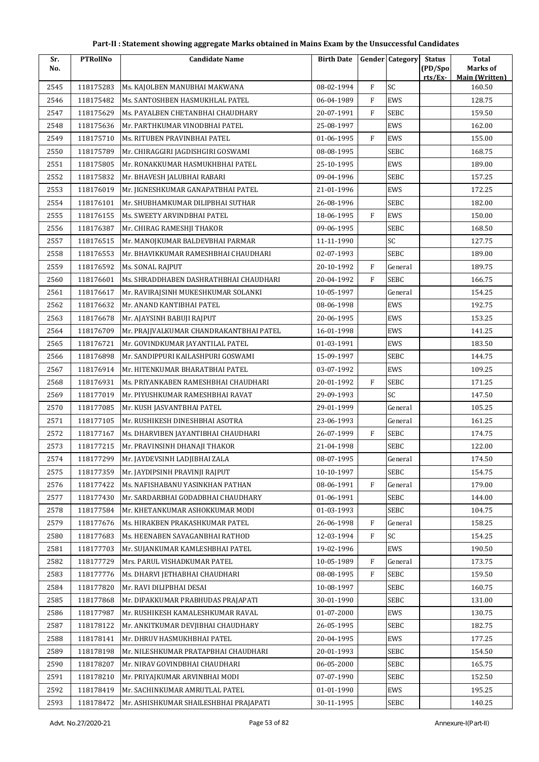| No.<br>rts/Ex<br><b>Main (Written)</b><br>SC<br>F<br>2545<br>118175283<br>08-02-1994<br>160.50<br>Ms. KAJOLBEN MANUBHAI MAKWANA<br>$\mathbf{F}$<br>128.75<br>118175482<br>Ms. SANTOSHBEN HASMUKHLAL PATEL<br>06-04-1989<br>EWS<br>2546<br>F<br>SEBC<br>2547<br>118175629<br>20-07-1991<br>159.50<br>Ms. PAYALBEN CHETANBHAI CHAUDHARY<br>EWS<br>2548<br>118175636<br>25-08-1997<br>162.00<br>Mr. PARTHKUMAR VINODBHAI PATEL<br>F<br>EWS<br>2549<br>Ms. RITUBEN PRAVINBHAI PATEL<br>155.00<br>118175710<br>01-06-1995<br>2550<br>Mr. CHIRAGGIRI JAGDISHGIRI GOSWAMI<br>08-08-1995<br><b>SEBC</b><br>168.75<br>118175789<br>2551<br>118175805<br>Mr. RONAKKUMAR HASMUKHBHAI PATEL<br>25-10-1995<br>EWS<br>189.00<br>SEBC<br>2552<br>118175832<br>09-04-1996<br>157.25<br>Mr. BHAVESH JALUBHAI RABARI<br>2553<br>118176019<br>Mr. JIGNESHKUMAR GANAPATBHAI PATEL<br>21-01-1996<br>EWS<br>172.25<br>26-08-1996<br>SEBC<br>182.00<br>2554<br>118176101<br>Mr. SHUBHAMKUMAR DILIPBHAI SUTHAR<br>F<br>EWS<br>2555<br>118176155<br>18-06-1995<br>150.00<br>Ms. SWEETY ARVINDBHAI PATEL<br>SEBC<br>2556<br>118176387<br>Mr. CHIRAG RAMESHJI THAKOR<br>09-06-1995<br>168.50<br>SC<br>127.75<br>2557<br>118176515<br>Mr. MANOJKUMAR BALDEVBHAI PARMAR<br>11-11-1990<br>2558<br>118176553<br>02-07-1993<br><b>SEBC</b><br>189.00<br>Mr. BHAVIKKUMAR RAMESHBHAI CHAUDHARI<br>F<br>2559<br>118176592<br>20-10-1992<br>General<br>189.75<br>Ms. SONAL RAJPUT<br>F<br>Ms. SHRADDHABEN DASHRATHBHAI CHAUDHARI<br>20-04-1992<br><b>SEBC</b><br>166.75<br>2560<br>118176601<br>10-05-1997<br>154.25<br>2561<br>118176617<br>Mr. RAVIRAJSINH MUKESHKUMAR SOLANKI<br>General<br>118176632<br>08-06-1998<br>EWS<br>2562<br>Mr. ANAND KANTIBHAI PATEL<br>192.75<br>EWS<br>2563<br>118176678<br>Mr. AJAYSINH BABUJI RAJPUT<br>20-06-1995<br>153.25<br>118176709<br>Mr. PRAJJVALKUMAR CHANDRAKANTBHAI PATEL<br>16-01-1998<br>EWS<br>141.25<br>2564<br>183.50<br>2565<br>118176721<br>Mr. GOVINDKUMAR JAYANTILAL PATEL<br>01-03-1991<br>EWS<br><b>SEBC</b><br>118176898<br>15-09-1997<br>144.75<br>2566<br>Mr. SANDIPPURI KAILASHPURI GOSWAMI<br>EWS<br>2567<br>118176914<br>03-07-1992<br>109.25<br>Mr. HITENKUMAR BHARATBHAI PATEL<br>F<br>171.25<br>118176931<br>Ms. PRIYANKABEN RAMESHBHAI CHAUDHARI<br>20-01-1992<br><b>SEBC</b><br>2568<br>SC<br>2569<br>118177019<br>29-09-1993<br>147.50<br>Mr. PIYUSHKUMAR RAMESHBHAI RAVAT<br>2570<br>118177085<br>29-01-1999<br>General<br>105.25<br>Mr. KUSH JASVANTBHAI PATEL<br>2571<br>118177105<br>Mr. RUSHIKESH DINESHBHAI ASOTRA<br>23-06-1993<br>General<br>161.25<br>F<br>SEBC<br>174.75<br>2572<br>118177167<br>Ms. DHARVIBEN JAYANTIBHAI CHAUDHARI<br>26-07-1999<br>2573<br>118177215<br>Mr. PRAVINSINH DHANAJI THAKOR<br>21-04-1998<br><b>SEBC</b><br>122.00<br>2574<br>General<br>118177299<br>Mr. JAYDEVSINH LADJIBHAI ZALA<br>08-07-1995<br>174.50<br><b>SEBC</b><br>2575<br>118177359<br>Mr. JAYDIPSINH PRAVINJI RAJPUT<br>10-10-1997<br>154.75<br>F<br>2576<br>118177422<br>Ms. NAFISHABANU YASINKHAN PATHAN<br>08-06-1991<br>179.00<br>General<br>SEBC<br>2577<br>118177430<br>01-06-1991<br>144.00<br>Mr. SARDARBHAI GODADBHAI CHAUDHARY<br>2578<br>118177584<br>01-03-1993<br><b>SEBC</b><br>104.75<br>Mr. KHETANKUMAR ASHOKKUMAR MODI<br>F<br>158.25<br>2579<br>118177676<br>Ms. HIRAKBEN PRAKASHKUMAR PATEL<br>26-06-1998<br>General<br>F<br>SC<br>118177683<br>Ms. HEENABEN SAVAGANBHAI RATHOD<br>12-03-1994<br>154.25<br>2580<br>118177703<br>2581<br>Mr. SUJANKUMAR KAMLESHBHAI PATEL<br>19-02-1996<br>EWS<br>190.50<br>F<br>2582<br>118177729<br>Mrs. PARUL VISHADKUMAR PATEL<br>10-05-1989<br>173.75<br>General<br>F<br>2583<br>118177776<br>Ms. DHARVI JETHABHAI CHAUDHARI<br>08-08-1995<br><b>SEBC</b><br>159.50<br>2584<br>118177820<br>10-08-1997<br><b>SEBC</b><br>160.75<br>Mr. RAVI DILIPBHAI DESAI<br>SEBC<br>2585<br>118177868<br>30-01-1990<br>131.00<br>Mr. DIPAKKUMAR PRABHUDAS PRAJAPATI<br>2586<br>118177987<br>01-07-2000<br>EWS<br>130.75<br>Mr. RUSHIKESH KAMALESHKUMAR RAVAL<br>2587<br>118178122<br>Mr. ANKITKUMAR DEVJIBHAI CHAUDHARY<br>26-05-1995<br><b>SEBC</b><br>182.75<br>EWS<br>2588<br>118178141<br>Mr. DHRUV HASMUKHBHAI PATEL<br>20-04-1995<br>177.25<br>2589<br>118178198<br>Mr. NILESHKUMAR PRATAPBHAI CHAUDHARI<br>20-01-1993<br><b>SEBC</b><br>154.50<br>SEBC<br>2590<br>118178207<br>Mr. NIRAV GOVINDBHAI CHAUDHARI<br>06-05-2000<br>165.75<br>2591<br>07-07-1990<br><b>SEBC</b><br>152.50<br>118178210<br>Mr. PRIYAJKUMAR ARVINBHAI MODI<br>2592<br>118178419<br>Mr. SACHINKUMAR AMRUTLAL PATEL<br>01-01-1990<br>EWS<br>195.25 | Sr.  | <b>PTRollNo</b> | <b>Candidate Name</b>                  | <b>Birth Date</b> | <b>Gender Category</b> | <b>Status</b> | <b>Total</b> |
|----------------------------------------------------------------------------------------------------------------------------------------------------------------------------------------------------------------------------------------------------------------------------------------------------------------------------------------------------------------------------------------------------------------------------------------------------------------------------------------------------------------------------------------------------------------------------------------------------------------------------------------------------------------------------------------------------------------------------------------------------------------------------------------------------------------------------------------------------------------------------------------------------------------------------------------------------------------------------------------------------------------------------------------------------------------------------------------------------------------------------------------------------------------------------------------------------------------------------------------------------------------------------------------------------------------------------------------------------------------------------------------------------------------------------------------------------------------------------------------------------------------------------------------------------------------------------------------------------------------------------------------------------------------------------------------------------------------------------------------------------------------------------------------------------------------------------------------------------------------------------------------------------------------------------------------------------------------------------------------------------------------------------------------------------------------------------------------------------------------------------------------------------------------------------------------------------------------------------------------------------------------------------------------------------------------------------------------------------------------------------------------------------------------------------------------------------------------------------------------------------------------------------------------------------------------------------------------------------------------------------------------------------------------------------------------------------------------------------------------------------------------------------------------------------------------------------------------------------------------------------------------------------------------------------------------------------------------------------------------------------------------------------------------------------------------------------------------------------------------------------------------------------------------------------------------------------------------------------------------------------------------------------------------------------------------------------------------------------------------------------------------------------------------------------------------------------------------------------------------------------------------------------------------------------------------------------------------------------------------------------------------------------------------------------------------------------------------------------------------------------------------------------------------------------------------------------------------------------------------------------------------------------------------------------------------------------------------------------------------------------------------------------------------------------------------------------------------------------------------------------------------------------------------------------------------------------------------------------------------------------------------------------------------------------------------------------------------------------------------------------------------------------------------------------------------------------------------------------------------------------------------------------------------------------------------------------------------------------------------|------|-----------------|----------------------------------------|-------------------|------------------------|---------------|--------------|
|                                                                                                                                                                                                                                                                                                                                                                                                                                                                                                                                                                                                                                                                                                                                                                                                                                                                                                                                                                                                                                                                                                                                                                                                                                                                                                                                                                                                                                                                                                                                                                                                                                                                                                                                                                                                                                                                                                                                                                                                                                                                                                                                                                                                                                                                                                                                                                                                                                                                                                                                                                                                                                                                                                                                                                                                                                                                                                                                                                                                                                                                                                                                                                                                                                                                                                                                                                                                                                                                                                                                                                                                                                                                                                                                                                                                                                                                                                                                                                                                                                                                                                                                                                                                                                                                                                                                                                                                                                                                                                                                                                                                                |      |                 |                                        |                   |                        | (PD/Spo       | Marks of     |
|                                                                                                                                                                                                                                                                                                                                                                                                                                                                                                                                                                                                                                                                                                                                                                                                                                                                                                                                                                                                                                                                                                                                                                                                                                                                                                                                                                                                                                                                                                                                                                                                                                                                                                                                                                                                                                                                                                                                                                                                                                                                                                                                                                                                                                                                                                                                                                                                                                                                                                                                                                                                                                                                                                                                                                                                                                                                                                                                                                                                                                                                                                                                                                                                                                                                                                                                                                                                                                                                                                                                                                                                                                                                                                                                                                                                                                                                                                                                                                                                                                                                                                                                                                                                                                                                                                                                                                                                                                                                                                                                                                                                                |      |                 |                                        |                   |                        |               |              |
|                                                                                                                                                                                                                                                                                                                                                                                                                                                                                                                                                                                                                                                                                                                                                                                                                                                                                                                                                                                                                                                                                                                                                                                                                                                                                                                                                                                                                                                                                                                                                                                                                                                                                                                                                                                                                                                                                                                                                                                                                                                                                                                                                                                                                                                                                                                                                                                                                                                                                                                                                                                                                                                                                                                                                                                                                                                                                                                                                                                                                                                                                                                                                                                                                                                                                                                                                                                                                                                                                                                                                                                                                                                                                                                                                                                                                                                                                                                                                                                                                                                                                                                                                                                                                                                                                                                                                                                                                                                                                                                                                                                                                |      |                 |                                        |                   |                        |               |              |
|                                                                                                                                                                                                                                                                                                                                                                                                                                                                                                                                                                                                                                                                                                                                                                                                                                                                                                                                                                                                                                                                                                                                                                                                                                                                                                                                                                                                                                                                                                                                                                                                                                                                                                                                                                                                                                                                                                                                                                                                                                                                                                                                                                                                                                                                                                                                                                                                                                                                                                                                                                                                                                                                                                                                                                                                                                                                                                                                                                                                                                                                                                                                                                                                                                                                                                                                                                                                                                                                                                                                                                                                                                                                                                                                                                                                                                                                                                                                                                                                                                                                                                                                                                                                                                                                                                                                                                                                                                                                                                                                                                                                                |      |                 |                                        |                   |                        |               |              |
|                                                                                                                                                                                                                                                                                                                                                                                                                                                                                                                                                                                                                                                                                                                                                                                                                                                                                                                                                                                                                                                                                                                                                                                                                                                                                                                                                                                                                                                                                                                                                                                                                                                                                                                                                                                                                                                                                                                                                                                                                                                                                                                                                                                                                                                                                                                                                                                                                                                                                                                                                                                                                                                                                                                                                                                                                                                                                                                                                                                                                                                                                                                                                                                                                                                                                                                                                                                                                                                                                                                                                                                                                                                                                                                                                                                                                                                                                                                                                                                                                                                                                                                                                                                                                                                                                                                                                                                                                                                                                                                                                                                                                |      |                 |                                        |                   |                        |               |              |
|                                                                                                                                                                                                                                                                                                                                                                                                                                                                                                                                                                                                                                                                                                                                                                                                                                                                                                                                                                                                                                                                                                                                                                                                                                                                                                                                                                                                                                                                                                                                                                                                                                                                                                                                                                                                                                                                                                                                                                                                                                                                                                                                                                                                                                                                                                                                                                                                                                                                                                                                                                                                                                                                                                                                                                                                                                                                                                                                                                                                                                                                                                                                                                                                                                                                                                                                                                                                                                                                                                                                                                                                                                                                                                                                                                                                                                                                                                                                                                                                                                                                                                                                                                                                                                                                                                                                                                                                                                                                                                                                                                                                                |      |                 |                                        |                   |                        |               |              |
|                                                                                                                                                                                                                                                                                                                                                                                                                                                                                                                                                                                                                                                                                                                                                                                                                                                                                                                                                                                                                                                                                                                                                                                                                                                                                                                                                                                                                                                                                                                                                                                                                                                                                                                                                                                                                                                                                                                                                                                                                                                                                                                                                                                                                                                                                                                                                                                                                                                                                                                                                                                                                                                                                                                                                                                                                                                                                                                                                                                                                                                                                                                                                                                                                                                                                                                                                                                                                                                                                                                                                                                                                                                                                                                                                                                                                                                                                                                                                                                                                                                                                                                                                                                                                                                                                                                                                                                                                                                                                                                                                                                                                |      |                 |                                        |                   |                        |               |              |
|                                                                                                                                                                                                                                                                                                                                                                                                                                                                                                                                                                                                                                                                                                                                                                                                                                                                                                                                                                                                                                                                                                                                                                                                                                                                                                                                                                                                                                                                                                                                                                                                                                                                                                                                                                                                                                                                                                                                                                                                                                                                                                                                                                                                                                                                                                                                                                                                                                                                                                                                                                                                                                                                                                                                                                                                                                                                                                                                                                                                                                                                                                                                                                                                                                                                                                                                                                                                                                                                                                                                                                                                                                                                                                                                                                                                                                                                                                                                                                                                                                                                                                                                                                                                                                                                                                                                                                                                                                                                                                                                                                                                                |      |                 |                                        |                   |                        |               |              |
|                                                                                                                                                                                                                                                                                                                                                                                                                                                                                                                                                                                                                                                                                                                                                                                                                                                                                                                                                                                                                                                                                                                                                                                                                                                                                                                                                                                                                                                                                                                                                                                                                                                                                                                                                                                                                                                                                                                                                                                                                                                                                                                                                                                                                                                                                                                                                                                                                                                                                                                                                                                                                                                                                                                                                                                                                                                                                                                                                                                                                                                                                                                                                                                                                                                                                                                                                                                                                                                                                                                                                                                                                                                                                                                                                                                                                                                                                                                                                                                                                                                                                                                                                                                                                                                                                                                                                                                                                                                                                                                                                                                                                |      |                 |                                        |                   |                        |               |              |
|                                                                                                                                                                                                                                                                                                                                                                                                                                                                                                                                                                                                                                                                                                                                                                                                                                                                                                                                                                                                                                                                                                                                                                                                                                                                                                                                                                                                                                                                                                                                                                                                                                                                                                                                                                                                                                                                                                                                                                                                                                                                                                                                                                                                                                                                                                                                                                                                                                                                                                                                                                                                                                                                                                                                                                                                                                                                                                                                                                                                                                                                                                                                                                                                                                                                                                                                                                                                                                                                                                                                                                                                                                                                                                                                                                                                                                                                                                                                                                                                                                                                                                                                                                                                                                                                                                                                                                                                                                                                                                                                                                                                                |      |                 |                                        |                   |                        |               |              |
|                                                                                                                                                                                                                                                                                                                                                                                                                                                                                                                                                                                                                                                                                                                                                                                                                                                                                                                                                                                                                                                                                                                                                                                                                                                                                                                                                                                                                                                                                                                                                                                                                                                                                                                                                                                                                                                                                                                                                                                                                                                                                                                                                                                                                                                                                                                                                                                                                                                                                                                                                                                                                                                                                                                                                                                                                                                                                                                                                                                                                                                                                                                                                                                                                                                                                                                                                                                                                                                                                                                                                                                                                                                                                                                                                                                                                                                                                                                                                                                                                                                                                                                                                                                                                                                                                                                                                                                                                                                                                                                                                                                                                |      |                 |                                        |                   |                        |               |              |
|                                                                                                                                                                                                                                                                                                                                                                                                                                                                                                                                                                                                                                                                                                                                                                                                                                                                                                                                                                                                                                                                                                                                                                                                                                                                                                                                                                                                                                                                                                                                                                                                                                                                                                                                                                                                                                                                                                                                                                                                                                                                                                                                                                                                                                                                                                                                                                                                                                                                                                                                                                                                                                                                                                                                                                                                                                                                                                                                                                                                                                                                                                                                                                                                                                                                                                                                                                                                                                                                                                                                                                                                                                                                                                                                                                                                                                                                                                                                                                                                                                                                                                                                                                                                                                                                                                                                                                                                                                                                                                                                                                                                                |      |                 |                                        |                   |                        |               |              |
|                                                                                                                                                                                                                                                                                                                                                                                                                                                                                                                                                                                                                                                                                                                                                                                                                                                                                                                                                                                                                                                                                                                                                                                                                                                                                                                                                                                                                                                                                                                                                                                                                                                                                                                                                                                                                                                                                                                                                                                                                                                                                                                                                                                                                                                                                                                                                                                                                                                                                                                                                                                                                                                                                                                                                                                                                                                                                                                                                                                                                                                                                                                                                                                                                                                                                                                                                                                                                                                                                                                                                                                                                                                                                                                                                                                                                                                                                                                                                                                                                                                                                                                                                                                                                                                                                                                                                                                                                                                                                                                                                                                                                |      |                 |                                        |                   |                        |               |              |
|                                                                                                                                                                                                                                                                                                                                                                                                                                                                                                                                                                                                                                                                                                                                                                                                                                                                                                                                                                                                                                                                                                                                                                                                                                                                                                                                                                                                                                                                                                                                                                                                                                                                                                                                                                                                                                                                                                                                                                                                                                                                                                                                                                                                                                                                                                                                                                                                                                                                                                                                                                                                                                                                                                                                                                                                                                                                                                                                                                                                                                                                                                                                                                                                                                                                                                                                                                                                                                                                                                                                                                                                                                                                                                                                                                                                                                                                                                                                                                                                                                                                                                                                                                                                                                                                                                                                                                                                                                                                                                                                                                                                                |      |                 |                                        |                   |                        |               |              |
|                                                                                                                                                                                                                                                                                                                                                                                                                                                                                                                                                                                                                                                                                                                                                                                                                                                                                                                                                                                                                                                                                                                                                                                                                                                                                                                                                                                                                                                                                                                                                                                                                                                                                                                                                                                                                                                                                                                                                                                                                                                                                                                                                                                                                                                                                                                                                                                                                                                                                                                                                                                                                                                                                                                                                                                                                                                                                                                                                                                                                                                                                                                                                                                                                                                                                                                                                                                                                                                                                                                                                                                                                                                                                                                                                                                                                                                                                                                                                                                                                                                                                                                                                                                                                                                                                                                                                                                                                                                                                                                                                                                                                |      |                 |                                        |                   |                        |               |              |
|                                                                                                                                                                                                                                                                                                                                                                                                                                                                                                                                                                                                                                                                                                                                                                                                                                                                                                                                                                                                                                                                                                                                                                                                                                                                                                                                                                                                                                                                                                                                                                                                                                                                                                                                                                                                                                                                                                                                                                                                                                                                                                                                                                                                                                                                                                                                                                                                                                                                                                                                                                                                                                                                                                                                                                                                                                                                                                                                                                                                                                                                                                                                                                                                                                                                                                                                                                                                                                                                                                                                                                                                                                                                                                                                                                                                                                                                                                                                                                                                                                                                                                                                                                                                                                                                                                                                                                                                                                                                                                                                                                                                                |      |                 |                                        |                   |                        |               |              |
|                                                                                                                                                                                                                                                                                                                                                                                                                                                                                                                                                                                                                                                                                                                                                                                                                                                                                                                                                                                                                                                                                                                                                                                                                                                                                                                                                                                                                                                                                                                                                                                                                                                                                                                                                                                                                                                                                                                                                                                                                                                                                                                                                                                                                                                                                                                                                                                                                                                                                                                                                                                                                                                                                                                                                                                                                                                                                                                                                                                                                                                                                                                                                                                                                                                                                                                                                                                                                                                                                                                                                                                                                                                                                                                                                                                                                                                                                                                                                                                                                                                                                                                                                                                                                                                                                                                                                                                                                                                                                                                                                                                                                |      |                 |                                        |                   |                        |               |              |
|                                                                                                                                                                                                                                                                                                                                                                                                                                                                                                                                                                                                                                                                                                                                                                                                                                                                                                                                                                                                                                                                                                                                                                                                                                                                                                                                                                                                                                                                                                                                                                                                                                                                                                                                                                                                                                                                                                                                                                                                                                                                                                                                                                                                                                                                                                                                                                                                                                                                                                                                                                                                                                                                                                                                                                                                                                                                                                                                                                                                                                                                                                                                                                                                                                                                                                                                                                                                                                                                                                                                                                                                                                                                                                                                                                                                                                                                                                                                                                                                                                                                                                                                                                                                                                                                                                                                                                                                                                                                                                                                                                                                                |      |                 |                                        |                   |                        |               |              |
|                                                                                                                                                                                                                                                                                                                                                                                                                                                                                                                                                                                                                                                                                                                                                                                                                                                                                                                                                                                                                                                                                                                                                                                                                                                                                                                                                                                                                                                                                                                                                                                                                                                                                                                                                                                                                                                                                                                                                                                                                                                                                                                                                                                                                                                                                                                                                                                                                                                                                                                                                                                                                                                                                                                                                                                                                                                                                                                                                                                                                                                                                                                                                                                                                                                                                                                                                                                                                                                                                                                                                                                                                                                                                                                                                                                                                                                                                                                                                                                                                                                                                                                                                                                                                                                                                                                                                                                                                                                                                                                                                                                                                |      |                 |                                        |                   |                        |               |              |
|                                                                                                                                                                                                                                                                                                                                                                                                                                                                                                                                                                                                                                                                                                                                                                                                                                                                                                                                                                                                                                                                                                                                                                                                                                                                                                                                                                                                                                                                                                                                                                                                                                                                                                                                                                                                                                                                                                                                                                                                                                                                                                                                                                                                                                                                                                                                                                                                                                                                                                                                                                                                                                                                                                                                                                                                                                                                                                                                                                                                                                                                                                                                                                                                                                                                                                                                                                                                                                                                                                                                                                                                                                                                                                                                                                                                                                                                                                                                                                                                                                                                                                                                                                                                                                                                                                                                                                                                                                                                                                                                                                                                                |      |                 |                                        |                   |                        |               |              |
|                                                                                                                                                                                                                                                                                                                                                                                                                                                                                                                                                                                                                                                                                                                                                                                                                                                                                                                                                                                                                                                                                                                                                                                                                                                                                                                                                                                                                                                                                                                                                                                                                                                                                                                                                                                                                                                                                                                                                                                                                                                                                                                                                                                                                                                                                                                                                                                                                                                                                                                                                                                                                                                                                                                                                                                                                                                                                                                                                                                                                                                                                                                                                                                                                                                                                                                                                                                                                                                                                                                                                                                                                                                                                                                                                                                                                                                                                                                                                                                                                                                                                                                                                                                                                                                                                                                                                                                                                                                                                                                                                                                                                |      |                 |                                        |                   |                        |               |              |
|                                                                                                                                                                                                                                                                                                                                                                                                                                                                                                                                                                                                                                                                                                                                                                                                                                                                                                                                                                                                                                                                                                                                                                                                                                                                                                                                                                                                                                                                                                                                                                                                                                                                                                                                                                                                                                                                                                                                                                                                                                                                                                                                                                                                                                                                                                                                                                                                                                                                                                                                                                                                                                                                                                                                                                                                                                                                                                                                                                                                                                                                                                                                                                                                                                                                                                                                                                                                                                                                                                                                                                                                                                                                                                                                                                                                                                                                                                                                                                                                                                                                                                                                                                                                                                                                                                                                                                                                                                                                                                                                                                                                                |      |                 |                                        |                   |                        |               |              |
|                                                                                                                                                                                                                                                                                                                                                                                                                                                                                                                                                                                                                                                                                                                                                                                                                                                                                                                                                                                                                                                                                                                                                                                                                                                                                                                                                                                                                                                                                                                                                                                                                                                                                                                                                                                                                                                                                                                                                                                                                                                                                                                                                                                                                                                                                                                                                                                                                                                                                                                                                                                                                                                                                                                                                                                                                                                                                                                                                                                                                                                                                                                                                                                                                                                                                                                                                                                                                                                                                                                                                                                                                                                                                                                                                                                                                                                                                                                                                                                                                                                                                                                                                                                                                                                                                                                                                                                                                                                                                                                                                                                                                |      |                 |                                        |                   |                        |               |              |
|                                                                                                                                                                                                                                                                                                                                                                                                                                                                                                                                                                                                                                                                                                                                                                                                                                                                                                                                                                                                                                                                                                                                                                                                                                                                                                                                                                                                                                                                                                                                                                                                                                                                                                                                                                                                                                                                                                                                                                                                                                                                                                                                                                                                                                                                                                                                                                                                                                                                                                                                                                                                                                                                                                                                                                                                                                                                                                                                                                                                                                                                                                                                                                                                                                                                                                                                                                                                                                                                                                                                                                                                                                                                                                                                                                                                                                                                                                                                                                                                                                                                                                                                                                                                                                                                                                                                                                                                                                                                                                                                                                                                                |      |                 |                                        |                   |                        |               |              |
|                                                                                                                                                                                                                                                                                                                                                                                                                                                                                                                                                                                                                                                                                                                                                                                                                                                                                                                                                                                                                                                                                                                                                                                                                                                                                                                                                                                                                                                                                                                                                                                                                                                                                                                                                                                                                                                                                                                                                                                                                                                                                                                                                                                                                                                                                                                                                                                                                                                                                                                                                                                                                                                                                                                                                                                                                                                                                                                                                                                                                                                                                                                                                                                                                                                                                                                                                                                                                                                                                                                                                                                                                                                                                                                                                                                                                                                                                                                                                                                                                                                                                                                                                                                                                                                                                                                                                                                                                                                                                                                                                                                                                |      |                 |                                        |                   |                        |               |              |
|                                                                                                                                                                                                                                                                                                                                                                                                                                                                                                                                                                                                                                                                                                                                                                                                                                                                                                                                                                                                                                                                                                                                                                                                                                                                                                                                                                                                                                                                                                                                                                                                                                                                                                                                                                                                                                                                                                                                                                                                                                                                                                                                                                                                                                                                                                                                                                                                                                                                                                                                                                                                                                                                                                                                                                                                                                                                                                                                                                                                                                                                                                                                                                                                                                                                                                                                                                                                                                                                                                                                                                                                                                                                                                                                                                                                                                                                                                                                                                                                                                                                                                                                                                                                                                                                                                                                                                                                                                                                                                                                                                                                                |      |                 |                                        |                   |                        |               |              |
|                                                                                                                                                                                                                                                                                                                                                                                                                                                                                                                                                                                                                                                                                                                                                                                                                                                                                                                                                                                                                                                                                                                                                                                                                                                                                                                                                                                                                                                                                                                                                                                                                                                                                                                                                                                                                                                                                                                                                                                                                                                                                                                                                                                                                                                                                                                                                                                                                                                                                                                                                                                                                                                                                                                                                                                                                                                                                                                                                                                                                                                                                                                                                                                                                                                                                                                                                                                                                                                                                                                                                                                                                                                                                                                                                                                                                                                                                                                                                                                                                                                                                                                                                                                                                                                                                                                                                                                                                                                                                                                                                                                                                |      |                 |                                        |                   |                        |               |              |
|                                                                                                                                                                                                                                                                                                                                                                                                                                                                                                                                                                                                                                                                                                                                                                                                                                                                                                                                                                                                                                                                                                                                                                                                                                                                                                                                                                                                                                                                                                                                                                                                                                                                                                                                                                                                                                                                                                                                                                                                                                                                                                                                                                                                                                                                                                                                                                                                                                                                                                                                                                                                                                                                                                                                                                                                                                                                                                                                                                                                                                                                                                                                                                                                                                                                                                                                                                                                                                                                                                                                                                                                                                                                                                                                                                                                                                                                                                                                                                                                                                                                                                                                                                                                                                                                                                                                                                                                                                                                                                                                                                                                                |      |                 |                                        |                   |                        |               |              |
|                                                                                                                                                                                                                                                                                                                                                                                                                                                                                                                                                                                                                                                                                                                                                                                                                                                                                                                                                                                                                                                                                                                                                                                                                                                                                                                                                                                                                                                                                                                                                                                                                                                                                                                                                                                                                                                                                                                                                                                                                                                                                                                                                                                                                                                                                                                                                                                                                                                                                                                                                                                                                                                                                                                                                                                                                                                                                                                                                                                                                                                                                                                                                                                                                                                                                                                                                                                                                                                                                                                                                                                                                                                                                                                                                                                                                                                                                                                                                                                                                                                                                                                                                                                                                                                                                                                                                                                                                                                                                                                                                                                                                |      |                 |                                        |                   |                        |               |              |
|                                                                                                                                                                                                                                                                                                                                                                                                                                                                                                                                                                                                                                                                                                                                                                                                                                                                                                                                                                                                                                                                                                                                                                                                                                                                                                                                                                                                                                                                                                                                                                                                                                                                                                                                                                                                                                                                                                                                                                                                                                                                                                                                                                                                                                                                                                                                                                                                                                                                                                                                                                                                                                                                                                                                                                                                                                                                                                                                                                                                                                                                                                                                                                                                                                                                                                                                                                                                                                                                                                                                                                                                                                                                                                                                                                                                                                                                                                                                                                                                                                                                                                                                                                                                                                                                                                                                                                                                                                                                                                                                                                                                                |      |                 |                                        |                   |                        |               |              |
|                                                                                                                                                                                                                                                                                                                                                                                                                                                                                                                                                                                                                                                                                                                                                                                                                                                                                                                                                                                                                                                                                                                                                                                                                                                                                                                                                                                                                                                                                                                                                                                                                                                                                                                                                                                                                                                                                                                                                                                                                                                                                                                                                                                                                                                                                                                                                                                                                                                                                                                                                                                                                                                                                                                                                                                                                                                                                                                                                                                                                                                                                                                                                                                                                                                                                                                                                                                                                                                                                                                                                                                                                                                                                                                                                                                                                                                                                                                                                                                                                                                                                                                                                                                                                                                                                                                                                                                                                                                                                                                                                                                                                |      |                 |                                        |                   |                        |               |              |
|                                                                                                                                                                                                                                                                                                                                                                                                                                                                                                                                                                                                                                                                                                                                                                                                                                                                                                                                                                                                                                                                                                                                                                                                                                                                                                                                                                                                                                                                                                                                                                                                                                                                                                                                                                                                                                                                                                                                                                                                                                                                                                                                                                                                                                                                                                                                                                                                                                                                                                                                                                                                                                                                                                                                                                                                                                                                                                                                                                                                                                                                                                                                                                                                                                                                                                                                                                                                                                                                                                                                                                                                                                                                                                                                                                                                                                                                                                                                                                                                                                                                                                                                                                                                                                                                                                                                                                                                                                                                                                                                                                                                                |      |                 |                                        |                   |                        |               |              |
|                                                                                                                                                                                                                                                                                                                                                                                                                                                                                                                                                                                                                                                                                                                                                                                                                                                                                                                                                                                                                                                                                                                                                                                                                                                                                                                                                                                                                                                                                                                                                                                                                                                                                                                                                                                                                                                                                                                                                                                                                                                                                                                                                                                                                                                                                                                                                                                                                                                                                                                                                                                                                                                                                                                                                                                                                                                                                                                                                                                                                                                                                                                                                                                                                                                                                                                                                                                                                                                                                                                                                                                                                                                                                                                                                                                                                                                                                                                                                                                                                                                                                                                                                                                                                                                                                                                                                                                                                                                                                                                                                                                                                |      |                 |                                        |                   |                        |               |              |
|                                                                                                                                                                                                                                                                                                                                                                                                                                                                                                                                                                                                                                                                                                                                                                                                                                                                                                                                                                                                                                                                                                                                                                                                                                                                                                                                                                                                                                                                                                                                                                                                                                                                                                                                                                                                                                                                                                                                                                                                                                                                                                                                                                                                                                                                                                                                                                                                                                                                                                                                                                                                                                                                                                                                                                                                                                                                                                                                                                                                                                                                                                                                                                                                                                                                                                                                                                                                                                                                                                                                                                                                                                                                                                                                                                                                                                                                                                                                                                                                                                                                                                                                                                                                                                                                                                                                                                                                                                                                                                                                                                                                                |      |                 |                                        |                   |                        |               |              |
|                                                                                                                                                                                                                                                                                                                                                                                                                                                                                                                                                                                                                                                                                                                                                                                                                                                                                                                                                                                                                                                                                                                                                                                                                                                                                                                                                                                                                                                                                                                                                                                                                                                                                                                                                                                                                                                                                                                                                                                                                                                                                                                                                                                                                                                                                                                                                                                                                                                                                                                                                                                                                                                                                                                                                                                                                                                                                                                                                                                                                                                                                                                                                                                                                                                                                                                                                                                                                                                                                                                                                                                                                                                                                                                                                                                                                                                                                                                                                                                                                                                                                                                                                                                                                                                                                                                                                                                                                                                                                                                                                                                                                |      |                 |                                        |                   |                        |               |              |
|                                                                                                                                                                                                                                                                                                                                                                                                                                                                                                                                                                                                                                                                                                                                                                                                                                                                                                                                                                                                                                                                                                                                                                                                                                                                                                                                                                                                                                                                                                                                                                                                                                                                                                                                                                                                                                                                                                                                                                                                                                                                                                                                                                                                                                                                                                                                                                                                                                                                                                                                                                                                                                                                                                                                                                                                                                                                                                                                                                                                                                                                                                                                                                                                                                                                                                                                                                                                                                                                                                                                                                                                                                                                                                                                                                                                                                                                                                                                                                                                                                                                                                                                                                                                                                                                                                                                                                                                                                                                                                                                                                                                                |      |                 |                                        |                   |                        |               |              |
|                                                                                                                                                                                                                                                                                                                                                                                                                                                                                                                                                                                                                                                                                                                                                                                                                                                                                                                                                                                                                                                                                                                                                                                                                                                                                                                                                                                                                                                                                                                                                                                                                                                                                                                                                                                                                                                                                                                                                                                                                                                                                                                                                                                                                                                                                                                                                                                                                                                                                                                                                                                                                                                                                                                                                                                                                                                                                                                                                                                                                                                                                                                                                                                                                                                                                                                                                                                                                                                                                                                                                                                                                                                                                                                                                                                                                                                                                                                                                                                                                                                                                                                                                                                                                                                                                                                                                                                                                                                                                                                                                                                                                |      |                 |                                        |                   |                        |               |              |
|                                                                                                                                                                                                                                                                                                                                                                                                                                                                                                                                                                                                                                                                                                                                                                                                                                                                                                                                                                                                                                                                                                                                                                                                                                                                                                                                                                                                                                                                                                                                                                                                                                                                                                                                                                                                                                                                                                                                                                                                                                                                                                                                                                                                                                                                                                                                                                                                                                                                                                                                                                                                                                                                                                                                                                                                                                                                                                                                                                                                                                                                                                                                                                                                                                                                                                                                                                                                                                                                                                                                                                                                                                                                                                                                                                                                                                                                                                                                                                                                                                                                                                                                                                                                                                                                                                                                                                                                                                                                                                                                                                                                                |      |                 |                                        |                   |                        |               |              |
|                                                                                                                                                                                                                                                                                                                                                                                                                                                                                                                                                                                                                                                                                                                                                                                                                                                                                                                                                                                                                                                                                                                                                                                                                                                                                                                                                                                                                                                                                                                                                                                                                                                                                                                                                                                                                                                                                                                                                                                                                                                                                                                                                                                                                                                                                                                                                                                                                                                                                                                                                                                                                                                                                                                                                                                                                                                                                                                                                                                                                                                                                                                                                                                                                                                                                                                                                                                                                                                                                                                                                                                                                                                                                                                                                                                                                                                                                                                                                                                                                                                                                                                                                                                                                                                                                                                                                                                                                                                                                                                                                                                                                |      |                 |                                        |                   |                        |               |              |
|                                                                                                                                                                                                                                                                                                                                                                                                                                                                                                                                                                                                                                                                                                                                                                                                                                                                                                                                                                                                                                                                                                                                                                                                                                                                                                                                                                                                                                                                                                                                                                                                                                                                                                                                                                                                                                                                                                                                                                                                                                                                                                                                                                                                                                                                                                                                                                                                                                                                                                                                                                                                                                                                                                                                                                                                                                                                                                                                                                                                                                                                                                                                                                                                                                                                                                                                                                                                                                                                                                                                                                                                                                                                                                                                                                                                                                                                                                                                                                                                                                                                                                                                                                                                                                                                                                                                                                                                                                                                                                                                                                                                                |      |                 |                                        |                   |                        |               |              |
|                                                                                                                                                                                                                                                                                                                                                                                                                                                                                                                                                                                                                                                                                                                                                                                                                                                                                                                                                                                                                                                                                                                                                                                                                                                                                                                                                                                                                                                                                                                                                                                                                                                                                                                                                                                                                                                                                                                                                                                                                                                                                                                                                                                                                                                                                                                                                                                                                                                                                                                                                                                                                                                                                                                                                                                                                                                                                                                                                                                                                                                                                                                                                                                                                                                                                                                                                                                                                                                                                                                                                                                                                                                                                                                                                                                                                                                                                                                                                                                                                                                                                                                                                                                                                                                                                                                                                                                                                                                                                                                                                                                                                |      |                 |                                        |                   |                        |               |              |
|                                                                                                                                                                                                                                                                                                                                                                                                                                                                                                                                                                                                                                                                                                                                                                                                                                                                                                                                                                                                                                                                                                                                                                                                                                                                                                                                                                                                                                                                                                                                                                                                                                                                                                                                                                                                                                                                                                                                                                                                                                                                                                                                                                                                                                                                                                                                                                                                                                                                                                                                                                                                                                                                                                                                                                                                                                                                                                                                                                                                                                                                                                                                                                                                                                                                                                                                                                                                                                                                                                                                                                                                                                                                                                                                                                                                                                                                                                                                                                                                                                                                                                                                                                                                                                                                                                                                                                                                                                                                                                                                                                                                                |      |                 |                                        |                   |                        |               |              |
|                                                                                                                                                                                                                                                                                                                                                                                                                                                                                                                                                                                                                                                                                                                                                                                                                                                                                                                                                                                                                                                                                                                                                                                                                                                                                                                                                                                                                                                                                                                                                                                                                                                                                                                                                                                                                                                                                                                                                                                                                                                                                                                                                                                                                                                                                                                                                                                                                                                                                                                                                                                                                                                                                                                                                                                                                                                                                                                                                                                                                                                                                                                                                                                                                                                                                                                                                                                                                                                                                                                                                                                                                                                                                                                                                                                                                                                                                                                                                                                                                                                                                                                                                                                                                                                                                                                                                                                                                                                                                                                                                                                                                |      |                 |                                        |                   |                        |               |              |
|                                                                                                                                                                                                                                                                                                                                                                                                                                                                                                                                                                                                                                                                                                                                                                                                                                                                                                                                                                                                                                                                                                                                                                                                                                                                                                                                                                                                                                                                                                                                                                                                                                                                                                                                                                                                                                                                                                                                                                                                                                                                                                                                                                                                                                                                                                                                                                                                                                                                                                                                                                                                                                                                                                                                                                                                                                                                                                                                                                                                                                                                                                                                                                                                                                                                                                                                                                                                                                                                                                                                                                                                                                                                                                                                                                                                                                                                                                                                                                                                                                                                                                                                                                                                                                                                                                                                                                                                                                                                                                                                                                                                                |      |                 |                                        |                   |                        |               |              |
|                                                                                                                                                                                                                                                                                                                                                                                                                                                                                                                                                                                                                                                                                                                                                                                                                                                                                                                                                                                                                                                                                                                                                                                                                                                                                                                                                                                                                                                                                                                                                                                                                                                                                                                                                                                                                                                                                                                                                                                                                                                                                                                                                                                                                                                                                                                                                                                                                                                                                                                                                                                                                                                                                                                                                                                                                                                                                                                                                                                                                                                                                                                                                                                                                                                                                                                                                                                                                                                                                                                                                                                                                                                                                                                                                                                                                                                                                                                                                                                                                                                                                                                                                                                                                                                                                                                                                                                                                                                                                                                                                                                                                |      |                 |                                        |                   |                        |               |              |
|                                                                                                                                                                                                                                                                                                                                                                                                                                                                                                                                                                                                                                                                                                                                                                                                                                                                                                                                                                                                                                                                                                                                                                                                                                                                                                                                                                                                                                                                                                                                                                                                                                                                                                                                                                                                                                                                                                                                                                                                                                                                                                                                                                                                                                                                                                                                                                                                                                                                                                                                                                                                                                                                                                                                                                                                                                                                                                                                                                                                                                                                                                                                                                                                                                                                                                                                                                                                                                                                                                                                                                                                                                                                                                                                                                                                                                                                                                                                                                                                                                                                                                                                                                                                                                                                                                                                                                                                                                                                                                                                                                                                                |      |                 |                                        |                   |                        |               |              |
|                                                                                                                                                                                                                                                                                                                                                                                                                                                                                                                                                                                                                                                                                                                                                                                                                                                                                                                                                                                                                                                                                                                                                                                                                                                                                                                                                                                                                                                                                                                                                                                                                                                                                                                                                                                                                                                                                                                                                                                                                                                                                                                                                                                                                                                                                                                                                                                                                                                                                                                                                                                                                                                                                                                                                                                                                                                                                                                                                                                                                                                                                                                                                                                                                                                                                                                                                                                                                                                                                                                                                                                                                                                                                                                                                                                                                                                                                                                                                                                                                                                                                                                                                                                                                                                                                                                                                                                                                                                                                                                                                                                                                |      |                 |                                        |                   |                        |               |              |
|                                                                                                                                                                                                                                                                                                                                                                                                                                                                                                                                                                                                                                                                                                                                                                                                                                                                                                                                                                                                                                                                                                                                                                                                                                                                                                                                                                                                                                                                                                                                                                                                                                                                                                                                                                                                                                                                                                                                                                                                                                                                                                                                                                                                                                                                                                                                                                                                                                                                                                                                                                                                                                                                                                                                                                                                                                                                                                                                                                                                                                                                                                                                                                                                                                                                                                                                                                                                                                                                                                                                                                                                                                                                                                                                                                                                                                                                                                                                                                                                                                                                                                                                                                                                                                                                                                                                                                                                                                                                                                                                                                                                                |      |                 |                                        |                   |                        |               |              |
|                                                                                                                                                                                                                                                                                                                                                                                                                                                                                                                                                                                                                                                                                                                                                                                                                                                                                                                                                                                                                                                                                                                                                                                                                                                                                                                                                                                                                                                                                                                                                                                                                                                                                                                                                                                                                                                                                                                                                                                                                                                                                                                                                                                                                                                                                                                                                                                                                                                                                                                                                                                                                                                                                                                                                                                                                                                                                                                                                                                                                                                                                                                                                                                                                                                                                                                                                                                                                                                                                                                                                                                                                                                                                                                                                                                                                                                                                                                                                                                                                                                                                                                                                                                                                                                                                                                                                                                                                                                                                                                                                                                                                |      |                 |                                        |                   |                        |               |              |
|                                                                                                                                                                                                                                                                                                                                                                                                                                                                                                                                                                                                                                                                                                                                                                                                                                                                                                                                                                                                                                                                                                                                                                                                                                                                                                                                                                                                                                                                                                                                                                                                                                                                                                                                                                                                                                                                                                                                                                                                                                                                                                                                                                                                                                                                                                                                                                                                                                                                                                                                                                                                                                                                                                                                                                                                                                                                                                                                                                                                                                                                                                                                                                                                                                                                                                                                                                                                                                                                                                                                                                                                                                                                                                                                                                                                                                                                                                                                                                                                                                                                                                                                                                                                                                                                                                                                                                                                                                                                                                                                                                                                                | 2593 | 118178472       | Mr. ASHISHKUMAR SHAILESHBHAI PRAJAPATI | 30-11-1995        | <b>SEBC</b>            |               | 140.25       |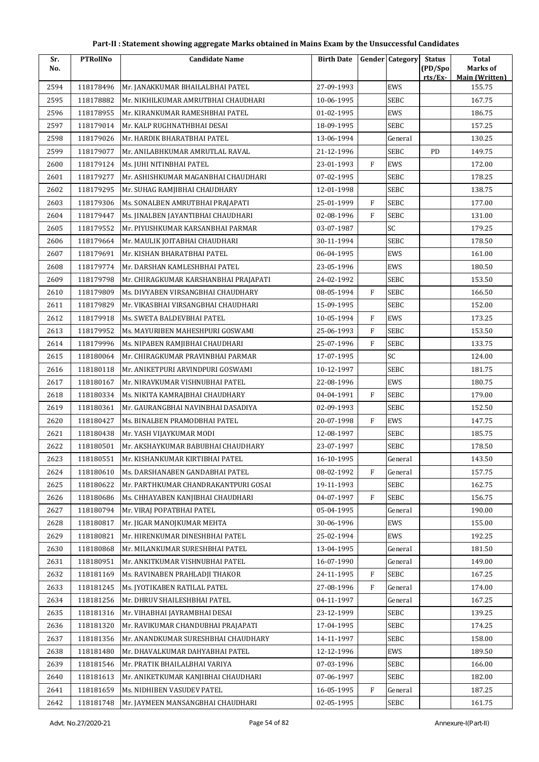| Part-II : Statement showing aggregate Marks obtained in Mains Exam by the Unsuccessful Candidates |  |
|---------------------------------------------------------------------------------------------------|--|
|---------------------------------------------------------------------------------------------------|--|

| Sr.  | <b>PTRollNo</b> | <b>Candidate Name</b>                 | <b>Birth Date</b> |              | <b>Gender Category</b> | <b>Status</b>      | <b>Total</b>                      |
|------|-----------------|---------------------------------------|-------------------|--------------|------------------------|--------------------|-----------------------------------|
| No.  |                 |                                       |                   |              |                        | (PD/Spo<br>rts/Ex- | Marks of<br><b>Main (Written)</b> |
| 2594 | 118178496       | Mr. JANAKKUMAR BHAILALBHAI PATEL      | 27-09-1993        |              | EWS                    |                    | 155.75                            |
| 2595 | 118178882       | Mr. NIKHILKUMAR AMRUTBHAI CHAUDHARI   | 10-06-1995        |              | SEBC                   |                    | 167.75                            |
| 2596 | 118178955       | Mr. KIRANKUMAR RAMESHBHAI PATEL       | 01-02-1995        |              | EWS                    |                    | 186.75                            |
| 2597 | 118179014       | Mr. KALP RUGHNATHBHAI DESAI           | 18-09-1995        |              | SEBC                   |                    | 157.25                            |
| 2598 | 118179026       | Mr. HARDIK BHARATBHAI PATEL           | 13-06-1994        |              | General                |                    | 130.25                            |
| 2599 | 118179077       | Mr. ANILABHKUMAR AMRUTLAL RAVAL       | 21-12-1996        |              | SEBC                   | PD                 | 149.75                            |
| 2600 | 118179124       | Ms. JUHI NITINBHAI PATEL              | 23-01-1993        | $\rm F$      | EWS                    |                    | 172.00                            |
| 2601 | 118179277       | Mr. ASHISHKUMAR MAGANBHAI CHAUDHARI   | 07-02-1995        |              | SEBC                   |                    | 178.25                            |
| 2602 | 118179295       | Mr. SUHAG RAMJIBHAI CHAUDHARY         | 12-01-1998        |              | SEBC                   |                    | 138.75                            |
| 2603 | 118179306       | Ms. SONALBEN AMRUTBHAI PRAJAPATI      | 25-01-1999        | $\mathbf{F}$ | SEBC                   |                    | 177.00                            |
| 2604 | 118179447       | Ms. JINALBEN JAYANTIBHAI CHAUDHARI    | 02-08-1996        | $\mathbf{F}$ | SEBC                   |                    | 131.00                            |
| 2605 | 118179552       | Mr. PIYUSHKUMAR KARSANBHAI PARMAR     | 03-07-1987        |              | SC                     |                    | 179.25                            |
| 2606 | 118179664       | Mr. MAULIK JOITABHAI CHAUDHARI        | 30-11-1994        |              | SEBC                   |                    | 178.50                            |
| 2607 | 118179691       | Mr. KISHAN BHARATBHAI PATEL           | 06-04-1995        |              | EWS                    |                    | 161.00                            |
| 2608 | 118179774       | Mr. DARSHAN KAMLESHBHAI PATEL         | 23-05-1996        |              | EWS                    |                    | 180.50                            |
| 2609 | 118179798       | Mr. CHIRAGKUMAR KARSHANBHAI PRAJAPATI | 24-02-1992        |              | SEBC                   |                    | 153.50                            |
| 2610 | 118179809       | Ms. DIVYABEN VIRSANGBHAI CHAUDHARY    | 08-05-1994        | $\mathbf{F}$ | SEBC                   |                    | 166.50                            |
| 2611 | 118179829       | Mr. VIKASBHAI VIRSANGBHAI CHAUDHARI   | 15-09-1995        |              | <b>SEBC</b>            |                    | 152.00                            |
| 2612 | 118179918       | Ms. SWETA BALDEVBHAI PATEL            | 10-05-1994        | $\mathbf{F}$ | EWS                    |                    | 173.25                            |
| 2613 | 118179952       | Ms. MAYURIBEN MAHESHPURI GOSWAMI      | 25-06-1993        | $\rm F$      | SEBC                   |                    | 153.50                            |
| 2614 | 118179996       | Ms. NIPABEN RAMJIBHAI CHAUDHARI       | 25-07-1996        | $\mathbf{F}$ | SEBC                   |                    | 133.75                            |
| 2615 | 118180064       | Mr. CHIRAGKUMAR PRAVINBHAI PARMAR     | 17-07-1995        |              | SC                     |                    | 124.00                            |
| 2616 | 118180118       | Mr. ANIKETPURI ARVINDPURI GOSWAMI     | 10-12-1997        |              | SEBC                   |                    | 181.75                            |
| 2617 | 118180167       | Mr. NIRAVKUMAR VISHNUBHAI PATEL       | 22-08-1996        |              | EWS                    |                    | 180.75                            |
| 2618 | 118180334       | Ms. NIKITA KAMRAJBHAI CHAUDHARY       | 04-04-1991        | $\mathbf{F}$ | <b>SEBC</b>            |                    | 179.00                            |
| 2619 | 118180361       | Mr. GAURANGBHAI NAVINBHAI DASADIYA    | 02-09-1993        |              | SEBC                   |                    | 152.50                            |
| 2620 | 118180427       | Ms. BINALBEN PRAMODBHAI PATEL         | 20-07-1998        | $\mathbf{F}$ | EWS                    |                    | 147.75                            |
| 2621 | 118180438       | Mr. YASH VIJAYKUMAR MODI              | 12-08-1997        |              | SEBC                   |                    | 185.75                            |
| 2622 | 118180501       | Mr. AKSHAYKUMAR BABUBHAI CHAUDHARY    | 23-07-1997        |              | SEBC                   |                    | 178.50                            |
| 2623 | 118180551       | Mr. KISHANKUMAR KIRTIBHAI PATEL       | 16-10-1995        |              | $\mbox{General}$       |                    | 143.50                            |
| 2624 | 118180610       | Ms. DARSHANABEN GANDABHAI PATEL       | 08-02-1992        | F            | General                |                    | 157.75                            |
| 2625 | 118180622       | Mr. PARTHKUMAR CHANDRAKANTPURI GOSAI  | 19-11-1993        |              | SEBC                   |                    | 162.75                            |
| 2626 | 118180686       | Ms. CHHAYABEN KANJIBHAI CHAUDHARI     | 04-07-1997        | F            | SEBC                   |                    | 156.75                            |
| 2627 | 118180794       | Mr. VIRAJ POPATBHAI PATEL             | 05-04-1995        |              | General                |                    | 190.00                            |
| 2628 | 118180817       | Mr. JIGAR MANOJKUMAR MEHTA            | 30-06-1996        |              | EWS                    |                    | 155.00                            |
| 2629 | 118180821       | Mr. HIRENKUMAR DINESHBHAI PATEL       | 25-02-1994        |              | EWS                    |                    | 192.25                            |
| 2630 | 118180868       | Mr. MILANKUMAR SURESHBHAI PATEL       | 13-04-1995        |              | General                |                    | 181.50                            |
| 2631 | 118180951       | Mr. ANKITKUMAR VISHNUBHAI PATEL       | 16-07-1990        |              | General                |                    | 149.00                            |
| 2632 | 118181169       | Ms. RAVINABEN PRAHLADJI THAKOR        | 24-11-1995        | F            | SEBC                   |                    | 167.25                            |
| 2633 | 118181245       | Ms. JYOTIKABEN RATILAL PATEL          | 27-08-1996        | $\rm F$      | General                |                    | 174.00                            |
| 2634 | 118181256       | Mr. DHRUV SHAILESHBHAI PATEL          | 04-11-1997        |              | General                |                    | 167.25                            |
| 2635 | 118181316       | Mr. VIHABHAI JAYRAMBHAI DESAI         | 23-12-1999        |              | SEBC                   |                    | 139.25                            |
| 2636 | 118181320       | Mr. RAVIKUMAR CHANDUBHAI PRAJAPATI    | 17-04-1995        |              | SEBC                   |                    | 174.25                            |
| 2637 | 118181356       | Mr. ANANDKUMAR SURESHBHAI CHAUDHARY   | 14-11-1997        |              | SEBC                   |                    | 158.00                            |
| 2638 | 118181480       | Mr. DHAVALKUMAR DAHYABHAI PATEL       | 12-12-1996        |              | EWS                    |                    | 189.50                            |
| 2639 | 118181546       | Mr. PRATIK BHAILALBHAI VARIYA         | 07-03-1996        |              | SEBC                   |                    | 166.00                            |
| 2640 | 118181613       | Mr. ANIKETKUMAR KANJIBHAI CHAUDHARI   | 07-06-1997        |              | SEBC                   |                    | 182.00                            |
| 2641 | 118181659       | Ms. NIDHIBEN VASUDEV PATEL            | 16-05-1995        | F            | General                |                    | 187.25                            |
| 2642 | 118181748       | Mr. JAYMEEN MANSANGBHAI CHAUDHARI     | 02-05-1995        |              | SEBC                   |                    | 161.75                            |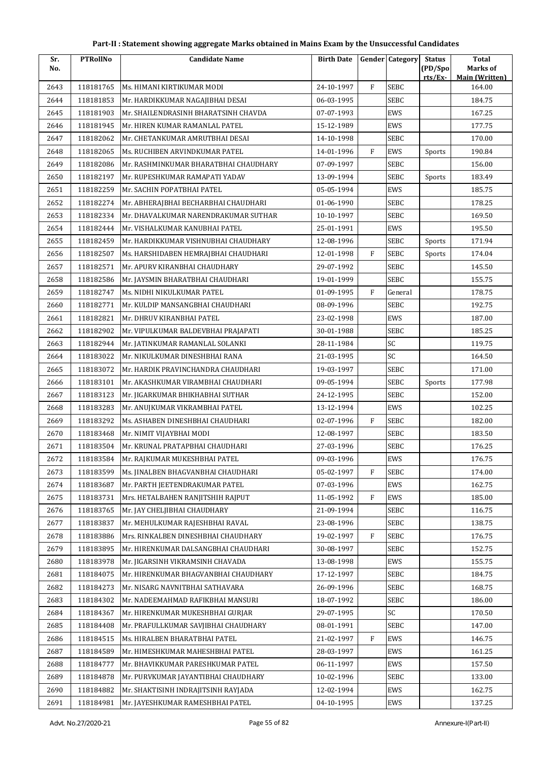| Sr.          | <b>PTRollNo</b> | <b>Candidate Name</b>                                                  | <b>Birth Date</b> |              | <b>Gender</b> Category | <b>Status</b> | <b>Total</b>                    |
|--------------|-----------------|------------------------------------------------------------------------|-------------------|--------------|------------------------|---------------|---------------------------------|
| No.          |                 |                                                                        |                   |              |                        | (PD/Spo       | Marks of                        |
| 2643         | 118181765       | Ms. HIMANI KIRTIKUMAR MODI                                             | 24-10-1997        | $\rm F$      | <b>SEBC</b>            | rts/Ex-       | <b>Main (Written)</b><br>164.00 |
| 2644         | 118181853       | Mr. HARDIKKUMAR NAGAJIBHAI DESAI                                       | 06-03-1995        |              | <b>SEBC</b>            |               | 184.75                          |
| 2645         | 118181903       | Mr. SHAILENDRASINH BHARATSINH CHAVDA                                   | 07-07-1993        |              | EWS                    |               | 167.25                          |
| 2646         | 118181945       | Mr. HIREN KUMAR RAMANLAL PATEL                                         | 15-12-1989        |              | EWS                    |               | 177.75                          |
| 2647         | 118182062       | Mr. CHETANKUMAR AMRUTBHAI DESAI                                        | 14-10-1998        |              | <b>SEBC</b>            |               | 170.00                          |
| 2648         | 118182065       | Ms. RUCHIBEN ARVINDKUMAR PATEL                                         | 14-01-1996        | F            | EWS                    | Sports        | 190.84                          |
| 2649         | 118182086       | Mr. RASHMINKUMAR BHARATBHAI CHAUDHARY                                  | 07-09-1997        |              | SEBC                   |               | 156.00                          |
| 2650         | 118182197       | Mr. RUPESHKUMAR RAMAPATI YADAV                                         | 13-09-1994        |              | <b>SEBC</b>            | Sports        | 183.49                          |
| 2651         | 118182259       | Mr. SACHIN POPATBHAI PATEL                                             | 05-05-1994        |              | EWS                    |               | 185.75                          |
| 2652         | 118182274       | Mr. ABHERAJBHAI BECHARBHAI CHAUDHARI                                   | 01-06-1990        |              | SEBC                   |               | 178.25                          |
| 2653         | 118182334       | Mr. DHAVALKUMAR NARENDRAKUMAR SUTHAR                                   | 10-10-1997        |              | SEBC                   |               | 169.50                          |
| 2654         | 118182444       | Mr. VISHALKUMAR KANUBHAI PATEL                                         | 25-01-1991        |              | EWS                    |               | 195.50                          |
| 2655         | 118182459       | Mr. HARDIKKUMAR VISHNUBHAI CHAUDHARY                                   | 12-08-1996        |              | SEBC                   | Sports        | 171.94                          |
| 2656         | 118182507       | Ms. HARSHIDABEN HEMRAJBHAI CHAUDHARI                                   | 12-01-1998        | F            | SEBC                   | Sports        | 174.04                          |
| 2657         | 118182571       | Mr. APURV KIRANBHAI CHAUDHARY                                          | 29-07-1992        |              | <b>SEBC</b>            |               | 145.50                          |
| 2658         | 118182586       | Mr. JAYSMIN BHARATBHAI CHAUDHARI                                       | 19-01-1999        |              | SEBC                   |               | 155.75                          |
| 2659         | 118182747       | Ms. NIDHI NIKULKUMAR PATEL                                             | 01-09-1995        | F            | General                |               | 178.75                          |
| 2660         | 118182771       | Mr. KULDIP MANSANGBHAI CHAUDHARI                                       | 08-09-1996        |              | SEBC                   |               | 192.75                          |
| 2661         | 118182821       | Mr. DHRUV KIRANBHAI PATEL                                              | 23-02-1998        |              | EWS                    |               | 187.00                          |
| 2662         | 118182902       | Mr. VIPULKUMAR BALDEVBHAI PRAJAPATI                                    | 30-01-1988        |              | SEBC                   |               | 185.25                          |
| 2663         | 118182944       | Mr. JATINKUMAR RAMANLAL SOLANKI                                        | 28-11-1984        |              | SC                     |               | 119.75                          |
| 2664         | 118183022       | Mr. NIKULKUMAR DINESHBHAI RANA                                         | 21-03-1995        |              | SC                     |               | 164.50                          |
|              | 118183072       | Mr. HARDIK PRAVINCHANDRA CHAUDHARI                                     | 19-03-1997        |              | SEBC                   |               | 171.00                          |
| 2665         | 118183101       |                                                                        | 09-05-1994        |              | <b>SEBC</b>            |               | 177.98                          |
| 2666<br>2667 | 118183123       | Mr. AKASHKUMAR VIRAMBHAI CHAUDHARI<br>Mr. JIGARKUMAR BHIKHABHAI SUTHAR | 24-12-1995        |              | SEBC                   | Sports        | 152.00                          |
| 2668         | 118183283       | Mr. ANUJKUMAR VIKRAMBHAI PATEL                                         | 13-12-1994        |              | EWS                    |               | 102.25                          |
| 2669         | 118183292       | Ms. ASHABEN DINESHBHAI CHAUDHARI                                       | 02-07-1996        | F            | SEBC                   |               | 182.00                          |
| 2670         | 118183468       | Mr. NIMIT VIJAYBHAI MODI                                               | 12-08-1997        |              | SEBC                   |               | 183.50                          |
| 2671         | 118183504       | Mr. KRUNAL PRATAPBHAI CHAUDHARI                                        | 27-03-1996        |              | <b>SEBC</b>            |               | 176.25                          |
| 2672         | 118183584       | Mr. RAJKUMAR MUKESHBHAI PATEL                                          | 09-03-1996        |              | EWS                    |               | 176.75                          |
| 2673         | 118183599       | Ms. JINALBEN BHAGVANBHAI CHAUDHARI                                     | 05-02-1997        | F            | SEBC                   |               | 174.00                          |
| 2674         | 118183687       | Mr. PARTH JEETENDRAKUMAR PATEL                                         | 07-03-1996        |              | EWS                    |               | 162.75                          |
| 2675         | 118183731       | Mrs. HETALBAHEN RANJITSHIH RAJPUT                                      | 11-05-1992        | F            | EWS                    |               | 185.00                          |
| 2676         | 118183765       | Mr. JAY CHELJIBHAI CHAUDHARY                                           | 21-09-1994        |              | SEBC                   |               | 116.75                          |
| 2677         | 118183837       | Mr. MEHULKUMAR RAJESHBHAI RAVAL                                        | 23-08-1996        |              | SEBC                   |               | 138.75                          |
| 2678         | 118183886       | Mrs. RINKALBEN DINESHBHAI CHAUDHARY                                    | 19-02-1997        | $\mathbf{F}$ | SEBC                   |               | 176.75                          |
| 2679         | 118183895       | Mr. HIRENKUMAR DALSANGBHAI CHAUDHARI                                   | 30-08-1997        |              | SEBC                   |               | 152.75                          |
| 2680         | 118183978       | Mr. JIGARSINH VIKRAMSINH CHAVADA                                       | 13-08-1998        |              | EWS                    |               | 155.75                          |
| 2681         | 118184075       | Mr. HIRENKUMAR BHAGVANBHAI CHAUDHARY                                   | 17-12-1997        |              | SEBC                   |               | 184.75                          |
| 2682         | 118184273       | Mr. NISARG NAVNITBHAI SATHAVARA                                        | 26-09-1996        |              | SEBC                   |               | 168.75                          |
| 2683         | 118184302       | Mr. NADEEMAHMAD RAFIKBHAI MANSURI                                      | 18-07-1992        |              | SEBC                   |               | 186.00                          |
| 2684         | 118184367       | Mr. HIRENKUMAR MUKESHBHAI GURJAR                                       | 29-07-1995        |              | SC                     |               | 170.50                          |
| 2685         | 118184408       | Mr. PRAFULLKUMAR SAVJIBHAI CHAUDHARY                                   | 08-01-1991        |              | SEBC                   |               | 147.00                          |
| 2686         | 118184515       | Ms. HIRALBEN BHARATBHAI PATEL                                          | 21-02-1997        | F            | EWS                    |               | 146.75                          |
| 2687         | 118184589       | Mr. HIMESHKUMAR MAHESHBHAI PATEL                                       | 28-03-1997        |              | EWS                    |               | 161.25                          |
| 2688         | 118184777       | Mr. BHAVIKKUMAR PARESHKUMAR PATEL                                      | 06-11-1997        |              | EWS                    |               | 157.50                          |
| 2689         | 118184878       | Mr. PURVKUMAR JAYANTIBHAI CHAUDHARY                                    | 10-02-1996        |              | SEBC                   |               | 133.00                          |
| 2690         | 118184882       | Mr. SHAKTISINH INDRAJITSINH RAYJADA                                    | 12-02-1994        |              | EWS                    |               | 162.75                          |
| 2691         | 118184981       | Mr. JAYESHKUMAR RAMESHBHAI PATEL                                       | 04-10-1995        |              | EWS                    |               | 137.25                          |
|              |                 |                                                                        |                   |              |                        |               |                                 |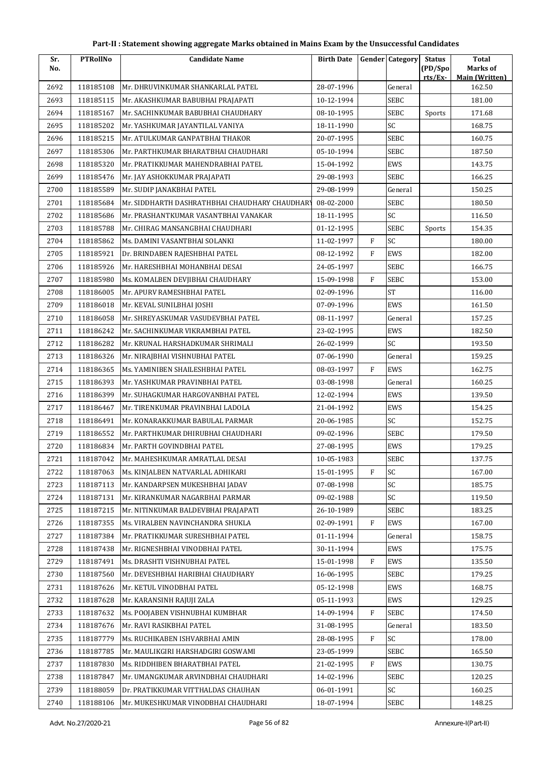| Sr.  | <b>PTRollNo</b> | <b>Candidate Name</b>                          | <b>Birth Date</b> |              | Gender Category | <b>Status</b>      | <b>Total</b>                      |
|------|-----------------|------------------------------------------------|-------------------|--------------|-----------------|--------------------|-----------------------------------|
| No.  |                 |                                                |                   |              |                 | (PD/Spo<br>rts/Ex- | Marks of<br><b>Main (Written)</b> |
| 2692 | 118185108       | Mr. DHRUVINKUMAR SHANKARLAL PATEL              | 28-07-1996        |              | General         |                    | 162.50                            |
| 2693 | 118185115       | Mr. AKASHKUMAR BABUBHAI PRAJAPATI              | 10-12-1994        |              | <b>SEBC</b>     |                    | 181.00                            |
| 2694 | 118185167       | Mr. SACHINKUMAR BABUBHAI CHAUDHARY             | 08-10-1995        |              | <b>SEBC</b>     | Sports             | 171.68                            |
| 2695 | 118185202       | Mr. YASHKUMAR JAYANTILAL VANIYA                | 18-11-1990        |              | SC              |                    | 168.75                            |
| 2696 | 118185215       | Mr. ATULKUMAR GANPATBHAI THAKOR                | 20-07-1995        |              | <b>SEBC</b>     |                    | 160.75                            |
| 2697 | 118185306       | Mr. PARTHKUMAR BHARATBHAI CHAUDHARI            | 05-10-1994        |              | <b>SEBC</b>     |                    | 187.50                            |
| 2698 | 118185320       | Mr. PRATIKKUMAR MAHENDRABHAI PATEL             | 15-04-1992        |              | EWS             |                    | 143.75                            |
| 2699 | 118185476       | Mr. JAY ASHOKKUMAR PRAJAPATI                   | 29-08-1993        |              | <b>SEBC</b>     |                    | 166.25                            |
| 2700 | 118185589       | Mr. SUDIP JANAKBHAI PATEL                      | 29-08-1999        |              | General         |                    | 150.25                            |
| 2701 | 118185684       | Mr. SIDDHARTH DASHRATHBHAI CHAUDHARY CHAUDHARY | 08-02-2000        |              | <b>SEBC</b>     |                    | 180.50                            |
| 2702 | 118185686       | Mr. PRASHANTKUMAR VASANTBHAI VANAKAR           | 18-11-1995        |              | SC              |                    | 116.50                            |
| 2703 | 118185788       | Mr. CHIRAG MANSANGBHAI CHAUDHARI               | 01-12-1995        |              | <b>SEBC</b>     | Sports             | 154.35                            |
| 2704 | 118185862       | Ms. DAMINI VASANTBHAI SOLANKI                  | 11-02-1997        | $\mathbf F$  | SC              |                    | 180.00                            |
| 2705 | 118185921       | Dr. BRINDABEN RAJESHBHAI PATEL                 | 08-12-1992        | F            | EWS             |                    | 182.00                            |
| 2706 | 118185926       | Mr. HARESHBHAI MOHANBHAI DESAI                 | 24-05-1997        |              | <b>SEBC</b>     |                    | 166.75                            |
| 2707 | 118185980       | Ms. KOMALBEN DEVJIBHAI CHAUDHARY               | 15-09-1998        | $\rm F$      | <b>SEBC</b>     |                    | 153.00                            |
| 2708 | 118186005       | Mr. APURV RAMESHBHAI PATEL                     | 02-09-1996        |              | <b>ST</b>       |                    | 116.00                            |
| 2709 | 118186018       | Mr. KEVAL SUNILBHAI JOSHI                      | 07-09-1996        |              | EWS             |                    | 161.50                            |
| 2710 | 118186058       | Mr. SHREYASKUMAR VASUDEVBHAI PATEL             | 08-11-1997        |              | General         |                    | 157.25                            |
| 2711 | 118186242       | Mr. SACHINKUMAR VIKRAMBHAI PATEL               | 23-02-1995        |              | EWS             |                    | 182.50                            |
| 2712 | 118186282       | Mr. KRUNAL HARSHADKUMAR SHRIMALI               | 26-02-1999        |              | SC              |                    | 193.50                            |
| 2713 | 118186326       | Mr. NIRAJBHAI VISHNUBHAI PATEL                 | 07-06-1990        |              | General         |                    | 159.25                            |
| 2714 | 118186365       | Ms. YAMINIBEN SHAILESHBHAI PATEL               | 08-03-1997        | $\mathbf{F}$ | EWS             |                    | 162.75                            |
| 2715 | 118186393       | Mr. YASHKUMAR PRAVINBHAI PATEL                 | 03-08-1998        |              | General         |                    | 160.25                            |
| 2716 | 118186399       | Mr. SUHAGKUMAR HARGOVANBHAI PATEL              | 12-02-1994        |              | EWS             |                    | 139.50                            |
| 2717 | 118186467       | Mr. TIRENKUMAR PRAVINBHAI LADOLA               | 21-04-1992        |              | EWS             |                    | 154.25                            |
| 2718 | 118186491       | Mr. KONARAKKUMAR BABULAL PARMAR                | 20-06-1985        |              | SC              |                    | 152.75                            |
| 2719 | 118186552       | Mr. PARTHKUMAR DHIRUBHAI CHAUDHARI             | 09-02-1996        |              | <b>SEBC</b>     |                    | 179.50                            |
| 2720 | 118186834       | Mr. PARTH GOVINDBHAI PATEL                     | 27-08-1995        |              | EWS             |                    | 179.25                            |
| 2721 | 118187042       | Mr. MAHESHKUMAR AMRATLAL DESAI                 | 10-05-1983        |              | <b>SEBC</b>     |                    | 137.75                            |
| 2722 | 118187063       | Ms. KINJALBEN NATVARLAL ADHIKARI               | 15-01-1995        | F            | SC              |                    | 167.00                            |
| 2723 | 118187113       | Mr. KANDARPSEN MUKESHBHAI JADAV                | 07-08-1998        |              | SC              |                    | 185.75                            |
| 2724 | 118187131       | Mr. KIRANKUMAR NAGARBHAI PARMAR                | 09-02-1988        |              | SC              |                    | 119.50                            |
| 2725 | 118187215       | Mr. NITINKUMAR BALDEVBHAI PRAJAPATI            | 26-10-1989        |              | <b>SEBC</b>     |                    | 183.25                            |
| 2726 | 118187355       | Ms. VIRALBEN NAVINCHANDRA SHUKLA               | 02-09-1991        | F            | EWS             |                    | 167.00                            |
| 2727 | 118187384       | Mr. PRATIKKUMAR SURESHBHAI PATEL               | 01-11-1994        |              | General         |                    | 158.75                            |
| 2728 | 118187438       | Mr. RIGNESHBHAI VINODBHAI PATEL                | 30-11-1994        |              | EWS             |                    | 175.75                            |
| 2729 | 118187491       | Ms. DRASHTI VISHNUBHAI PATEL                   | 15-01-1998        | F            | EWS             |                    | 135.50                            |
| 2730 | 118187560       | Mr. DEVESHBHAI HARIBHAI CHAUDHARY              | 16-06-1995        |              | SEBC            |                    | 179.25                            |
| 2731 | 118187626       | Mr. KETUL VINODBHAI PATEL                      | 05-12-1998        |              | EWS             |                    | 168.75                            |
| 2732 | 118187628       | Mr. KARANSINH RAJUJI ZALA                      | 05-11-1993        |              | EWS             |                    | 129.25                            |
| 2733 | 118187632       | Ms. POOJABEN VISHNUBHAI KUMBHAR                | 14-09-1994        | F            | <b>SEBC</b>     |                    | 174.50                            |
| 2734 | 118187676       | Mr. RAVI RASIKBHAI PATEL                       | 31-08-1995        |              | General         |                    | 183.50                            |
| 2735 | 118187779       | Ms. RUCHIKABEN ISHVARBHAI AMIN                 | 28-08-1995        | F            | <b>SC</b>       |                    | 178.00                            |
| 2736 | 118187785       | Mr. MAULIKGIRI HARSHADGIRI GOSWAMI             | 23-05-1999        |              | <b>SEBC</b>     |                    | 165.50                            |
| 2737 | 118187830       | Ms. RIDDHIBEN BHARATBHAI PATEL                 | 21-02-1995        | $\mathbf{F}$ | EWS             |                    | 130.75                            |
| 2738 | 118187847       | Mr. UMANGKUMAR ARVINDBHAI CHAUDHARI            | 14-02-1996        |              | <b>SEBC</b>     |                    | 120.25                            |
| 2739 | 118188059       | Dr. PRATIKKUMAR VITTHALDAS CHAUHAN             | 06-01-1991        |              | SC              |                    | 160.25                            |
| 2740 | 118188106       | Mr. MUKESHKUMAR VINODBHAI CHAUDHARI            | 18-07-1994        |              | SEBC            |                    | 148.25                            |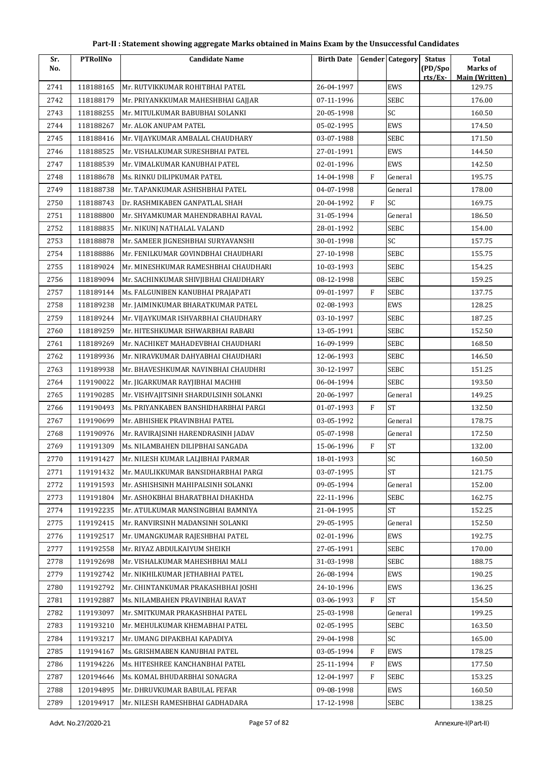| Part-II : Statement showing aggregate Marks obtained in Mains Exam by the Unsuccessful Candidates |  |
|---------------------------------------------------------------------------------------------------|--|
|---------------------------------------------------------------------------------------------------|--|

| Sr.  | <b>PTRollNo</b> | <b>Candidate Name</b>                 | <b>Birth Date</b> |              | <b>Gender Category</b> | <b>Status</b>      | <b>Total</b>                      |
|------|-----------------|---------------------------------------|-------------------|--------------|------------------------|--------------------|-----------------------------------|
| No.  |                 |                                       |                   |              |                        | (PD/Spo<br>rts/Ex- | Marks of<br><b>Main (Written)</b> |
| 2741 | 118188165       | Mr. RUTVIKKUMAR ROHITBHAI PATEL       | 26-04-1997        |              | EWS                    |                    | 129.75                            |
| 2742 | 118188179       | Mr. PRIYANKKUMAR MAHESHBHAI GAJJAR    | 07-11-1996        |              | <b>SEBC</b>            |                    | 176.00                            |
| 2743 | 118188255       | Mr. MITULKUMAR BABUBHAI SOLANKI       | 20-05-1998        |              | SC                     |                    | 160.50                            |
| 2744 | 118188267       | Mr. ALOK ANUPAM PATEL                 | 05-02-1995        |              | EWS                    |                    | 174.50                            |
| 2745 | 118188416       | Mr. VIJAYKUMAR AMBALAL CHAUDHARY      | 03-07-1988        |              | SEBC                   |                    | 171.50                            |
| 2746 | 118188525       | Mr. VISHALKUMAR SURESHBHAI PATEL      | 27-01-1991        |              | EWS                    |                    | 144.50                            |
| 2747 | 118188539       | Mr. VIMALKUMAR KANUBHAI PATEL         | 02-01-1996        |              | EWS                    |                    | 142.50                            |
| 2748 | 118188678       | Ms. RINKU DILIPKUMAR PATEL            | 14-04-1998        | F            | General                |                    | 195.75                            |
| 2749 | 118188738       | Mr. TAPANKUMAR ASHISHBHAI PATEL       | 04-07-1998        |              | General                |                    | 178.00                            |
| 2750 | 118188743       | Dr. RASHMIKABEN GANPATLAL SHAH        | 20-04-1992        | F            | SC                     |                    | 169.75                            |
| 2751 | 118188800       | Mr. SHYAMKUMAR MAHENDRABHAI RAVAL     | 31-05-1994        |              | General                |                    | 186.50                            |
| 2752 | 118188835       | Mr. NIKUNJ NATHALAL VALAND            | 28-01-1992        |              | <b>SEBC</b>            |                    | 154.00                            |
| 2753 | 118188878       | Mr. SAMEER JIGNESHBHAI SURYAVANSHI    | 30-01-1998        |              | SC                     |                    | 157.75                            |
| 2754 | 118188886       | Mr. FENILKUMAR GOVINDBHAI CHAUDHARI   | 27-10-1998        |              | <b>SEBC</b>            |                    | 155.75                            |
| 2755 | 118189024       | Mr. MINESHKUMAR RAMESHBHAI CHAUDHARI  | 10-03-1993        |              | <b>SEBC</b>            |                    | 154.25                            |
| 2756 | 118189094       | Mr. SACHINKUMAR SHIVJIBHAI CHAUDHARY  | 08-12-1998        |              | SEBC                   |                    | 159.25                            |
| 2757 | 118189144       | Ms. FALGUNIBEN KANUBHAI PRAJAPATI     | 09-01-1997        | $\mathbf{F}$ | SEBC                   |                    | 137.75                            |
| 2758 | 118189238       | Mr. JAIMINKUMAR BHARATKUMAR PATEL     | 02-08-1993        |              | EWS                    |                    | 128.25                            |
| 2759 | 118189244       | Mr. VIJAYKUMAR ISHVARBHAI CHAUDHARY   | 03-10-1997        |              | SEBC                   |                    | 187.25                            |
| 2760 | 118189259       | Mr. HITESHKUMAR ISHWARBHAI RABARI     | 13-05-1991        |              | SEBC                   |                    | 152.50                            |
| 2761 | 118189269       | Mr. NACHIKET MAHADEVBHAI CHAUDHARI    | 16-09-1999        |              | SEBC                   |                    | 168.50                            |
| 2762 | 119189936       | Mr. NIRAVKUMAR DAHYABHAI CHAUDHARI    | 12-06-1993        |              | SEBC                   |                    | 146.50                            |
| 2763 | 119189938       | Mr. BHAVESHKUMAR NAVINBHAI CHAUDHRI   | 30-12-1997        |              | <b>SEBC</b>            |                    | 151.25                            |
| 2764 | 119190022       | Mr. JIGARKUMAR RAYJIBHAI MACHHI       | 06-04-1994        |              | <b>SEBC</b>            |                    | 193.50                            |
| 2765 | 119190285       | Mr. VISHVAJITSINH SHARDULSINH SOLANKI | 20-06-1997        |              | General                |                    | 149.25                            |
| 2766 | 119190493       | Ms. PRIYANKABEN BANSHIDHARBHAI PARGI  | 01-07-1993        | $\mathbf{F}$ | <b>ST</b>              |                    | 132.50                            |
| 2767 | 119190699       | Mr. ABHISHEK PRAVINBHAI PATEL         | 03-05-1992        |              | General                |                    | 178.75                            |
| 2768 | 119190976       | Mr. RAVIRAJSINH HARENDRASINH JADAV    | 05-07-1998        |              | General                |                    | 172.50                            |
| 2769 | 119191309       | Ms. NILAMBAHEN DILIPBHAI SANGADA      | 15-06-1996        | $\mathbf{F}$ | <b>ST</b>              |                    | 132.00                            |
| 2770 | 119191427       | Mr. NILESH KUMAR LALJIBHAI PARMAR     | 18-01-1993        |              | SC                     |                    | 160.50                            |
| 2771 | 119191432       | Mr. MAULIKKUMAR BANSIDHARBHAI PARGI   | 03-07-1995        |              | <b>ST</b>              |                    | 121.75                            |
| 2772 | 119191593       | Mr. ASHISHSINH MAHIPALSINH SOLANKI    | 09-05-1994        |              | General                |                    | 152.00                            |
| 2773 | 119191804       | Mr. ASHOKBHAI BHARATBHAI DHAKHDA      | 22-11-1996        |              | SEBC                   |                    | 162.75                            |
| 2774 | 119192235       | Mr. ATULKUMAR MANSINGBHAI BAMNIYA     | 21-04-1995        |              | <b>ST</b>              |                    | 152.25                            |
| 2775 | 119192415       | Mr. RANVIRSINH MADANSINH SOLANKI      | 29-05-1995        |              | General                |                    | 152.50                            |
| 2776 | 119192517       | Mr. UMANGKUMAR RAJESHBHAI PATEL       | 02-01-1996        |              | EWS                    |                    | 192.75                            |
| 2777 | 119192558       | Mr. RIYAZ ABDULKAIYUM SHEIKH          | 27-05-1991        |              | SEBC                   |                    | 170.00                            |
| 2778 | 119192698       | Mr. VISHALKUMAR MAHESHBHAI MALI       | 31-03-1998        |              | SEBC                   |                    | 188.75                            |
| 2779 | 119192742       | Mr. NIKHILKUMAR JETHABHAI PATEL       | 26-08-1994        |              | EWS                    |                    | 190.25                            |
| 2780 | 119192792       | Mr. CHINTANKUMAR PRAKASHBHAI JOSHI    | 24-10-1996        |              | EWS                    |                    | 136.25                            |
| 2781 | 119192887       | Ms. NILAMBAHEN PRAVINBHAI RAVAT       | 03-06-1993        | F            | <b>ST</b>              |                    | 154.50                            |
| 2782 | 119193097       | Mr. SMITKUMAR PRAKASHBHAI PATEL       | 25-03-1998        |              | General                |                    | 199.25                            |
| 2783 | 119193210       | Mr. MEHULKUMAR KHEMABHAI PATEL        | 02-05-1995        |              | <b>SEBC</b>            |                    | 163.50                            |
| 2784 | 119193217       | Mr. UMANG DIPAKBHAI KAPADIYA          | 29-04-1998        |              | SC                     |                    | 165.00                            |
| 2785 | 119194167       | Ms. GRISHMABEN KANUBHAI PATEL         | 03-05-1994        | $\rm F$      | EWS                    |                    | 178.25                            |
| 2786 | 119194226       | Ms. HITESHREE KANCHANBHAI PATEL       | 25-11-1994        | $\mathbf{F}$ | EWS                    |                    | 177.50                            |
| 2787 | 120194646       | Ms. KOMAL BHUDARBHAI SONAGRA          | 12-04-1997        | F            | SEBC                   |                    | 153.25                            |
| 2788 | 120194895       | Mr. DHRUVKUMAR BABULAL FEFAR          | 09-08-1998        |              | EWS                    |                    | 160.50                            |
| 2789 | 120194917       | Mr. NILESH RAMESHBHAI GADHADARA       | 17-12-1998        |              | SEBC                   |                    | 138.25                            |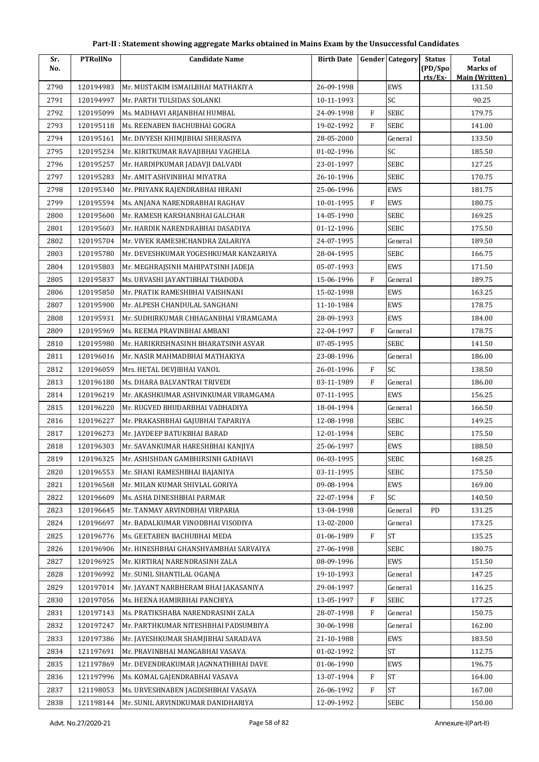| Part-II : Statement showing aggregate Marks obtained in Mains Exam by the Unsuccessful Candidates |  |
|---------------------------------------------------------------------------------------------------|--|
|---------------------------------------------------------------------------------------------------|--|

| (PD/Spo<br>Marks of<br>No.<br><b>Main (Written)</b><br>rts/Ex-<br>120194983<br>26-09-1998<br>EWS<br>131.50<br>2790<br>Mr. MUSTAKIM ISMAILBHAI MATHAKIYA<br>SC<br>120194997<br>90.25<br>2791<br>Mr. PARTH TULSIDAS SOLANKI<br>10-11-1993<br>$\mathbf{F}$<br>SEBC<br>2792<br>120195099<br>24-09-1998<br>179.75<br>Ms. MADHAVI ARJANBHAI HUMBAL<br>2793<br>$\mathbf{F}$<br>SEBC<br>120195118<br>Ms. REENABEN BACHUBHAI GOGRA<br>19-02-1992<br>141.00<br>2794<br>120195161<br>28-05-2000<br>Mr. DIVYESH KHIMJIBHAI SHERASIYA<br>General<br>133.50<br>SC<br>2795<br>120195234<br>Mr. KIRITKUMAR RAVAJIBHAI VAGHELA<br>01-02-1996<br>185.50<br>23-01-1997<br><b>SEBC</b><br>127.25<br>2796<br>120195257<br>Mr. HARDIPKUMAR JADAVJI DALVADI<br>2797<br>120195283<br>Mr. AMIT ASHVINBHAI MIYATRA<br>26-10-1996<br>SEBC<br>170.75<br>EWS<br>2798<br>120195340<br>Mr. PRIYANK RAJENDRABHAI HIRANI<br>25-06-1996<br>181.75<br>$\mathbf{F}$<br>2799<br>120195594<br>Ms. ANJANA NARENDRABHAI RAGHAV<br>10-01-1995<br>EWS<br>180.75<br>SEBC<br>2800<br>120195600<br>Mr. RAMESH KARSHANBHAI GALCHAR<br>14-05-1990<br>169.25<br>120195603<br>2801<br>Mr. HARDIK NARENDRABHAI DASADIYA<br>01-12-1996<br>SEBC<br>175.50<br>2802<br>120195704<br>Mr. VIVEK RAMESHCHANDRA ZALARIYA<br>24-07-1995<br>General<br>189.50<br>120195780<br>Mr. DEVESHKUMAR YOGESHKUMAR KANZARIYA<br>28-04-1995<br>SEBC<br>166.75<br>2803<br>EWS<br>2804<br>120195803<br>Mr. MEGHRAJSINH MAHIPATSINH JADEJA<br>05-07-1993<br>171.50<br>F<br>2805<br>120195837<br>15-06-1996<br>General<br>Ms. URVASHI JAYANTIBHAI THADODA<br>189.75<br>120195850<br>Mr. PRATIK RAMESHBHAI VAISHNANI<br>15-02-1998<br>EWS<br>163.25<br>2806<br>120195900<br>11-10-1984<br>EWS<br>2807<br>Mr. ALPESH CHANDULAL SANGHANI<br>178.75<br>2808<br>120195931<br>Mr. SUDHIRKUMAR CHHAGANBHAI VIRAMGAMA<br>28-09-1993<br>EWS<br>184.00<br>2809<br>120195969<br>22-04-1997<br>F<br>178.75<br>Ms. REEMA PRAVINBHAI AMBANI<br>General<br><b>SEBC</b><br>120195980<br>Mr. HARIKRISHNASINH BHARATSINH ASVAR<br>07-05-1995<br>141.50<br>2810<br>2811<br>120196016<br>23-08-1996<br>General<br>186.00<br>Mr. NASIR MAHMADBHAI MATHAKIYA<br>SC<br>$\rm F$<br>2812<br>120196059<br>26-01-1996<br>138.50<br>Mrs. HETAL DEVJIBHAI VANOL<br>$\mathbf{F}$<br>2813<br>120196180<br>Ms. DHARA BALVANTRAI TRIVEDI<br>03-11-1989<br>General<br>186.00<br>120196219<br>07-11-1995<br>EWS<br>156.25<br>2814<br>Mr. AKASHKUMAR ASHVINKUMAR VIRAMGAMA<br>2815<br>120196220<br>Mr. RUGVED BHUDARBHAI VADHADIYA<br>18-04-1994<br>166.50<br>General<br>SEBC<br>2816<br>120196227<br>12-08-1998<br>149.25<br>Mr. PRAKASHBHAI GAJUBHAI TAPARIYA<br>175.50<br>2817<br>120196273<br>Mr. JAYDEEP BATUKBHAI BARAD<br>12-01-1994<br>SEBC<br>Mr. SAVANKUMAR HARESHBHAI KANJIYA<br>25-06-1997<br>EWS<br>188.50<br>2818<br>120196303<br><b>SEBC</b><br>120196325<br>Mr. ASHISHDAN GAMBHIRSINH GADHAVI<br>2819<br>06-03-1995<br>168.25<br>2820<br>120196553<br>Mr. SHANI RAMESHBHAI BAJANIYA<br>SEBC<br>175.50<br>03-11-1995<br>EWS<br>2821<br>120196568<br>Mr. MILAN KUMAR SHIVLAL GORIYA<br>09-08-1994<br>169.00<br>F<br>SC<br>2822<br>120196609<br>Ms. ASHA DINESHBHAI PARMAR<br>22-07-1994<br>140.50<br>2823<br>120196645<br>General<br>PD<br>131.25<br>Mr. TANMAY ARVINDBHAI VIRPARIA<br>13-04-1998<br>13-02-2000<br>173.25<br>2824<br>120196697<br>Mr. BADALKUMAR VINODBHAI VISODIYA<br>General<br>$\mathbf{F}$<br>${\rm ST}$<br>120196776<br>01-06-1989<br>2825<br>Ms. GEETABEN BACHUBHAI MEDA<br>135.25<br>2826<br>120196906<br>Mr. HINESHBHAI GHANSHYAMBHAI SARVAIYA<br>27-06-1998<br>SEBC<br>180.75<br>EWS<br>2827<br>120196925<br>Mr. KIRTIRAI NARENDRASINH ZALA<br>08-09-1996<br>151.50<br>120196992<br>Mr. SUNIL SHANTILAL OGANJA<br>147.25<br>2828<br>19-10-1993<br>General<br>2829<br>120197014<br>Mr. JAYANT NARBHERAM BHAI JAKASANIYA<br>29-04-1997<br>116.25<br>General | Sr.  | <b>PTRollNo</b> | <b>Candidate Name</b> | <b>Birth Date</b> |              | <b>Gender</b> Category | <b>Status</b> | <b>Total</b> |
|------------------------------------------------------------------------------------------------------------------------------------------------------------------------------------------------------------------------------------------------------------------------------------------------------------------------------------------------------------------------------------------------------------------------------------------------------------------------------------------------------------------------------------------------------------------------------------------------------------------------------------------------------------------------------------------------------------------------------------------------------------------------------------------------------------------------------------------------------------------------------------------------------------------------------------------------------------------------------------------------------------------------------------------------------------------------------------------------------------------------------------------------------------------------------------------------------------------------------------------------------------------------------------------------------------------------------------------------------------------------------------------------------------------------------------------------------------------------------------------------------------------------------------------------------------------------------------------------------------------------------------------------------------------------------------------------------------------------------------------------------------------------------------------------------------------------------------------------------------------------------------------------------------------------------------------------------------------------------------------------------------------------------------------------------------------------------------------------------------------------------------------------------------------------------------------------------------------------------------------------------------------------------------------------------------------------------------------------------------------------------------------------------------------------------------------------------------------------------------------------------------------------------------------------------------------------------------------------------------------------------------------------------------------------------------------------------------------------------------------------------------------------------------------------------------------------------------------------------------------------------------------------------------------------------------------------------------------------------------------------------------------------------------------------------------------------------------------------------------------------------------------------------------------------------------------------------------------------------------------------------------------------------------------------------------------------------------------------------------------------------------------------------------------------------------------------------------------------------------------------------------------------------------------------------------------------------------------------------------------------------------------------------------------------------------------------------------------------------------------------------------------------------------------------------------------------------------------------------------------------------------|------|-----------------|-----------------------|-------------------|--------------|------------------------|---------------|--------------|
|                                                                                                                                                                                                                                                                                                                                                                                                                                                                                                                                                                                                                                                                                                                                                                                                                                                                                                                                                                                                                                                                                                                                                                                                                                                                                                                                                                                                                                                                                                                                                                                                                                                                                                                                                                                                                                                                                                                                                                                                                                                                                                                                                                                                                                                                                                                                                                                                                                                                                                                                                                                                                                                                                                                                                                                                                                                                                                                                                                                                                                                                                                                                                                                                                                                                                                                                                                                                                                                                                                                                                                                                                                                                                                                                                                                                                                                                                    |      |                 |                       |                   |              |                        |               |              |
|                                                                                                                                                                                                                                                                                                                                                                                                                                                                                                                                                                                                                                                                                                                                                                                                                                                                                                                                                                                                                                                                                                                                                                                                                                                                                                                                                                                                                                                                                                                                                                                                                                                                                                                                                                                                                                                                                                                                                                                                                                                                                                                                                                                                                                                                                                                                                                                                                                                                                                                                                                                                                                                                                                                                                                                                                                                                                                                                                                                                                                                                                                                                                                                                                                                                                                                                                                                                                                                                                                                                                                                                                                                                                                                                                                                                                                                                                    |      |                 |                       |                   |              |                        |               |              |
|                                                                                                                                                                                                                                                                                                                                                                                                                                                                                                                                                                                                                                                                                                                                                                                                                                                                                                                                                                                                                                                                                                                                                                                                                                                                                                                                                                                                                                                                                                                                                                                                                                                                                                                                                                                                                                                                                                                                                                                                                                                                                                                                                                                                                                                                                                                                                                                                                                                                                                                                                                                                                                                                                                                                                                                                                                                                                                                                                                                                                                                                                                                                                                                                                                                                                                                                                                                                                                                                                                                                                                                                                                                                                                                                                                                                                                                                                    |      |                 |                       |                   |              |                        |               |              |
|                                                                                                                                                                                                                                                                                                                                                                                                                                                                                                                                                                                                                                                                                                                                                                                                                                                                                                                                                                                                                                                                                                                                                                                                                                                                                                                                                                                                                                                                                                                                                                                                                                                                                                                                                                                                                                                                                                                                                                                                                                                                                                                                                                                                                                                                                                                                                                                                                                                                                                                                                                                                                                                                                                                                                                                                                                                                                                                                                                                                                                                                                                                                                                                                                                                                                                                                                                                                                                                                                                                                                                                                                                                                                                                                                                                                                                                                                    |      |                 |                       |                   |              |                        |               |              |
|                                                                                                                                                                                                                                                                                                                                                                                                                                                                                                                                                                                                                                                                                                                                                                                                                                                                                                                                                                                                                                                                                                                                                                                                                                                                                                                                                                                                                                                                                                                                                                                                                                                                                                                                                                                                                                                                                                                                                                                                                                                                                                                                                                                                                                                                                                                                                                                                                                                                                                                                                                                                                                                                                                                                                                                                                                                                                                                                                                                                                                                                                                                                                                                                                                                                                                                                                                                                                                                                                                                                                                                                                                                                                                                                                                                                                                                                                    |      |                 |                       |                   |              |                        |               |              |
|                                                                                                                                                                                                                                                                                                                                                                                                                                                                                                                                                                                                                                                                                                                                                                                                                                                                                                                                                                                                                                                                                                                                                                                                                                                                                                                                                                                                                                                                                                                                                                                                                                                                                                                                                                                                                                                                                                                                                                                                                                                                                                                                                                                                                                                                                                                                                                                                                                                                                                                                                                                                                                                                                                                                                                                                                                                                                                                                                                                                                                                                                                                                                                                                                                                                                                                                                                                                                                                                                                                                                                                                                                                                                                                                                                                                                                                                                    |      |                 |                       |                   |              |                        |               |              |
|                                                                                                                                                                                                                                                                                                                                                                                                                                                                                                                                                                                                                                                                                                                                                                                                                                                                                                                                                                                                                                                                                                                                                                                                                                                                                                                                                                                                                                                                                                                                                                                                                                                                                                                                                                                                                                                                                                                                                                                                                                                                                                                                                                                                                                                                                                                                                                                                                                                                                                                                                                                                                                                                                                                                                                                                                                                                                                                                                                                                                                                                                                                                                                                                                                                                                                                                                                                                                                                                                                                                                                                                                                                                                                                                                                                                                                                                                    |      |                 |                       |                   |              |                        |               |              |
|                                                                                                                                                                                                                                                                                                                                                                                                                                                                                                                                                                                                                                                                                                                                                                                                                                                                                                                                                                                                                                                                                                                                                                                                                                                                                                                                                                                                                                                                                                                                                                                                                                                                                                                                                                                                                                                                                                                                                                                                                                                                                                                                                                                                                                                                                                                                                                                                                                                                                                                                                                                                                                                                                                                                                                                                                                                                                                                                                                                                                                                                                                                                                                                                                                                                                                                                                                                                                                                                                                                                                                                                                                                                                                                                                                                                                                                                                    |      |                 |                       |                   |              |                        |               |              |
|                                                                                                                                                                                                                                                                                                                                                                                                                                                                                                                                                                                                                                                                                                                                                                                                                                                                                                                                                                                                                                                                                                                                                                                                                                                                                                                                                                                                                                                                                                                                                                                                                                                                                                                                                                                                                                                                                                                                                                                                                                                                                                                                                                                                                                                                                                                                                                                                                                                                                                                                                                                                                                                                                                                                                                                                                                                                                                                                                                                                                                                                                                                                                                                                                                                                                                                                                                                                                                                                                                                                                                                                                                                                                                                                                                                                                                                                                    |      |                 |                       |                   |              |                        |               |              |
|                                                                                                                                                                                                                                                                                                                                                                                                                                                                                                                                                                                                                                                                                                                                                                                                                                                                                                                                                                                                                                                                                                                                                                                                                                                                                                                                                                                                                                                                                                                                                                                                                                                                                                                                                                                                                                                                                                                                                                                                                                                                                                                                                                                                                                                                                                                                                                                                                                                                                                                                                                                                                                                                                                                                                                                                                                                                                                                                                                                                                                                                                                                                                                                                                                                                                                                                                                                                                                                                                                                                                                                                                                                                                                                                                                                                                                                                                    |      |                 |                       |                   |              |                        |               |              |
|                                                                                                                                                                                                                                                                                                                                                                                                                                                                                                                                                                                                                                                                                                                                                                                                                                                                                                                                                                                                                                                                                                                                                                                                                                                                                                                                                                                                                                                                                                                                                                                                                                                                                                                                                                                                                                                                                                                                                                                                                                                                                                                                                                                                                                                                                                                                                                                                                                                                                                                                                                                                                                                                                                                                                                                                                                                                                                                                                                                                                                                                                                                                                                                                                                                                                                                                                                                                                                                                                                                                                                                                                                                                                                                                                                                                                                                                                    |      |                 |                       |                   |              |                        |               |              |
|                                                                                                                                                                                                                                                                                                                                                                                                                                                                                                                                                                                                                                                                                                                                                                                                                                                                                                                                                                                                                                                                                                                                                                                                                                                                                                                                                                                                                                                                                                                                                                                                                                                                                                                                                                                                                                                                                                                                                                                                                                                                                                                                                                                                                                                                                                                                                                                                                                                                                                                                                                                                                                                                                                                                                                                                                                                                                                                                                                                                                                                                                                                                                                                                                                                                                                                                                                                                                                                                                                                                                                                                                                                                                                                                                                                                                                                                                    |      |                 |                       |                   |              |                        |               |              |
|                                                                                                                                                                                                                                                                                                                                                                                                                                                                                                                                                                                                                                                                                                                                                                                                                                                                                                                                                                                                                                                                                                                                                                                                                                                                                                                                                                                                                                                                                                                                                                                                                                                                                                                                                                                                                                                                                                                                                                                                                                                                                                                                                                                                                                                                                                                                                                                                                                                                                                                                                                                                                                                                                                                                                                                                                                                                                                                                                                                                                                                                                                                                                                                                                                                                                                                                                                                                                                                                                                                                                                                                                                                                                                                                                                                                                                                                                    |      |                 |                       |                   |              |                        |               |              |
|                                                                                                                                                                                                                                                                                                                                                                                                                                                                                                                                                                                                                                                                                                                                                                                                                                                                                                                                                                                                                                                                                                                                                                                                                                                                                                                                                                                                                                                                                                                                                                                                                                                                                                                                                                                                                                                                                                                                                                                                                                                                                                                                                                                                                                                                                                                                                                                                                                                                                                                                                                                                                                                                                                                                                                                                                                                                                                                                                                                                                                                                                                                                                                                                                                                                                                                                                                                                                                                                                                                                                                                                                                                                                                                                                                                                                                                                                    |      |                 |                       |                   |              |                        |               |              |
|                                                                                                                                                                                                                                                                                                                                                                                                                                                                                                                                                                                                                                                                                                                                                                                                                                                                                                                                                                                                                                                                                                                                                                                                                                                                                                                                                                                                                                                                                                                                                                                                                                                                                                                                                                                                                                                                                                                                                                                                                                                                                                                                                                                                                                                                                                                                                                                                                                                                                                                                                                                                                                                                                                                                                                                                                                                                                                                                                                                                                                                                                                                                                                                                                                                                                                                                                                                                                                                                                                                                                                                                                                                                                                                                                                                                                                                                                    |      |                 |                       |                   |              |                        |               |              |
|                                                                                                                                                                                                                                                                                                                                                                                                                                                                                                                                                                                                                                                                                                                                                                                                                                                                                                                                                                                                                                                                                                                                                                                                                                                                                                                                                                                                                                                                                                                                                                                                                                                                                                                                                                                                                                                                                                                                                                                                                                                                                                                                                                                                                                                                                                                                                                                                                                                                                                                                                                                                                                                                                                                                                                                                                                                                                                                                                                                                                                                                                                                                                                                                                                                                                                                                                                                                                                                                                                                                                                                                                                                                                                                                                                                                                                                                                    |      |                 |                       |                   |              |                        |               |              |
|                                                                                                                                                                                                                                                                                                                                                                                                                                                                                                                                                                                                                                                                                                                                                                                                                                                                                                                                                                                                                                                                                                                                                                                                                                                                                                                                                                                                                                                                                                                                                                                                                                                                                                                                                                                                                                                                                                                                                                                                                                                                                                                                                                                                                                                                                                                                                                                                                                                                                                                                                                                                                                                                                                                                                                                                                                                                                                                                                                                                                                                                                                                                                                                                                                                                                                                                                                                                                                                                                                                                                                                                                                                                                                                                                                                                                                                                                    |      |                 |                       |                   |              |                        |               |              |
|                                                                                                                                                                                                                                                                                                                                                                                                                                                                                                                                                                                                                                                                                                                                                                                                                                                                                                                                                                                                                                                                                                                                                                                                                                                                                                                                                                                                                                                                                                                                                                                                                                                                                                                                                                                                                                                                                                                                                                                                                                                                                                                                                                                                                                                                                                                                                                                                                                                                                                                                                                                                                                                                                                                                                                                                                                                                                                                                                                                                                                                                                                                                                                                                                                                                                                                                                                                                                                                                                                                                                                                                                                                                                                                                                                                                                                                                                    |      |                 |                       |                   |              |                        |               |              |
|                                                                                                                                                                                                                                                                                                                                                                                                                                                                                                                                                                                                                                                                                                                                                                                                                                                                                                                                                                                                                                                                                                                                                                                                                                                                                                                                                                                                                                                                                                                                                                                                                                                                                                                                                                                                                                                                                                                                                                                                                                                                                                                                                                                                                                                                                                                                                                                                                                                                                                                                                                                                                                                                                                                                                                                                                                                                                                                                                                                                                                                                                                                                                                                                                                                                                                                                                                                                                                                                                                                                                                                                                                                                                                                                                                                                                                                                                    |      |                 |                       |                   |              |                        |               |              |
|                                                                                                                                                                                                                                                                                                                                                                                                                                                                                                                                                                                                                                                                                                                                                                                                                                                                                                                                                                                                                                                                                                                                                                                                                                                                                                                                                                                                                                                                                                                                                                                                                                                                                                                                                                                                                                                                                                                                                                                                                                                                                                                                                                                                                                                                                                                                                                                                                                                                                                                                                                                                                                                                                                                                                                                                                                                                                                                                                                                                                                                                                                                                                                                                                                                                                                                                                                                                                                                                                                                                                                                                                                                                                                                                                                                                                                                                                    |      |                 |                       |                   |              |                        |               |              |
|                                                                                                                                                                                                                                                                                                                                                                                                                                                                                                                                                                                                                                                                                                                                                                                                                                                                                                                                                                                                                                                                                                                                                                                                                                                                                                                                                                                                                                                                                                                                                                                                                                                                                                                                                                                                                                                                                                                                                                                                                                                                                                                                                                                                                                                                                                                                                                                                                                                                                                                                                                                                                                                                                                                                                                                                                                                                                                                                                                                                                                                                                                                                                                                                                                                                                                                                                                                                                                                                                                                                                                                                                                                                                                                                                                                                                                                                                    |      |                 |                       |                   |              |                        |               |              |
|                                                                                                                                                                                                                                                                                                                                                                                                                                                                                                                                                                                                                                                                                                                                                                                                                                                                                                                                                                                                                                                                                                                                                                                                                                                                                                                                                                                                                                                                                                                                                                                                                                                                                                                                                                                                                                                                                                                                                                                                                                                                                                                                                                                                                                                                                                                                                                                                                                                                                                                                                                                                                                                                                                                                                                                                                                                                                                                                                                                                                                                                                                                                                                                                                                                                                                                                                                                                                                                                                                                                                                                                                                                                                                                                                                                                                                                                                    |      |                 |                       |                   |              |                        |               |              |
|                                                                                                                                                                                                                                                                                                                                                                                                                                                                                                                                                                                                                                                                                                                                                                                                                                                                                                                                                                                                                                                                                                                                                                                                                                                                                                                                                                                                                                                                                                                                                                                                                                                                                                                                                                                                                                                                                                                                                                                                                                                                                                                                                                                                                                                                                                                                                                                                                                                                                                                                                                                                                                                                                                                                                                                                                                                                                                                                                                                                                                                                                                                                                                                                                                                                                                                                                                                                                                                                                                                                                                                                                                                                                                                                                                                                                                                                                    |      |                 |                       |                   |              |                        |               |              |
|                                                                                                                                                                                                                                                                                                                                                                                                                                                                                                                                                                                                                                                                                                                                                                                                                                                                                                                                                                                                                                                                                                                                                                                                                                                                                                                                                                                                                                                                                                                                                                                                                                                                                                                                                                                                                                                                                                                                                                                                                                                                                                                                                                                                                                                                                                                                                                                                                                                                                                                                                                                                                                                                                                                                                                                                                                                                                                                                                                                                                                                                                                                                                                                                                                                                                                                                                                                                                                                                                                                                                                                                                                                                                                                                                                                                                                                                                    |      |                 |                       |                   |              |                        |               |              |
|                                                                                                                                                                                                                                                                                                                                                                                                                                                                                                                                                                                                                                                                                                                                                                                                                                                                                                                                                                                                                                                                                                                                                                                                                                                                                                                                                                                                                                                                                                                                                                                                                                                                                                                                                                                                                                                                                                                                                                                                                                                                                                                                                                                                                                                                                                                                                                                                                                                                                                                                                                                                                                                                                                                                                                                                                                                                                                                                                                                                                                                                                                                                                                                                                                                                                                                                                                                                                                                                                                                                                                                                                                                                                                                                                                                                                                                                                    |      |                 |                       |                   |              |                        |               |              |
|                                                                                                                                                                                                                                                                                                                                                                                                                                                                                                                                                                                                                                                                                                                                                                                                                                                                                                                                                                                                                                                                                                                                                                                                                                                                                                                                                                                                                                                                                                                                                                                                                                                                                                                                                                                                                                                                                                                                                                                                                                                                                                                                                                                                                                                                                                                                                                                                                                                                                                                                                                                                                                                                                                                                                                                                                                                                                                                                                                                                                                                                                                                                                                                                                                                                                                                                                                                                                                                                                                                                                                                                                                                                                                                                                                                                                                                                                    |      |                 |                       |                   |              |                        |               |              |
|                                                                                                                                                                                                                                                                                                                                                                                                                                                                                                                                                                                                                                                                                                                                                                                                                                                                                                                                                                                                                                                                                                                                                                                                                                                                                                                                                                                                                                                                                                                                                                                                                                                                                                                                                                                                                                                                                                                                                                                                                                                                                                                                                                                                                                                                                                                                                                                                                                                                                                                                                                                                                                                                                                                                                                                                                                                                                                                                                                                                                                                                                                                                                                                                                                                                                                                                                                                                                                                                                                                                                                                                                                                                                                                                                                                                                                                                                    |      |                 |                       |                   |              |                        |               |              |
|                                                                                                                                                                                                                                                                                                                                                                                                                                                                                                                                                                                                                                                                                                                                                                                                                                                                                                                                                                                                                                                                                                                                                                                                                                                                                                                                                                                                                                                                                                                                                                                                                                                                                                                                                                                                                                                                                                                                                                                                                                                                                                                                                                                                                                                                                                                                                                                                                                                                                                                                                                                                                                                                                                                                                                                                                                                                                                                                                                                                                                                                                                                                                                                                                                                                                                                                                                                                                                                                                                                                                                                                                                                                                                                                                                                                                                                                                    |      |                 |                       |                   |              |                        |               |              |
|                                                                                                                                                                                                                                                                                                                                                                                                                                                                                                                                                                                                                                                                                                                                                                                                                                                                                                                                                                                                                                                                                                                                                                                                                                                                                                                                                                                                                                                                                                                                                                                                                                                                                                                                                                                                                                                                                                                                                                                                                                                                                                                                                                                                                                                                                                                                                                                                                                                                                                                                                                                                                                                                                                                                                                                                                                                                                                                                                                                                                                                                                                                                                                                                                                                                                                                                                                                                                                                                                                                                                                                                                                                                                                                                                                                                                                                                                    |      |                 |                       |                   |              |                        |               |              |
|                                                                                                                                                                                                                                                                                                                                                                                                                                                                                                                                                                                                                                                                                                                                                                                                                                                                                                                                                                                                                                                                                                                                                                                                                                                                                                                                                                                                                                                                                                                                                                                                                                                                                                                                                                                                                                                                                                                                                                                                                                                                                                                                                                                                                                                                                                                                                                                                                                                                                                                                                                                                                                                                                                                                                                                                                                                                                                                                                                                                                                                                                                                                                                                                                                                                                                                                                                                                                                                                                                                                                                                                                                                                                                                                                                                                                                                                                    |      |                 |                       |                   |              |                        |               |              |
|                                                                                                                                                                                                                                                                                                                                                                                                                                                                                                                                                                                                                                                                                                                                                                                                                                                                                                                                                                                                                                                                                                                                                                                                                                                                                                                                                                                                                                                                                                                                                                                                                                                                                                                                                                                                                                                                                                                                                                                                                                                                                                                                                                                                                                                                                                                                                                                                                                                                                                                                                                                                                                                                                                                                                                                                                                                                                                                                                                                                                                                                                                                                                                                                                                                                                                                                                                                                                                                                                                                                                                                                                                                                                                                                                                                                                                                                                    |      |                 |                       |                   |              |                        |               |              |
|                                                                                                                                                                                                                                                                                                                                                                                                                                                                                                                                                                                                                                                                                                                                                                                                                                                                                                                                                                                                                                                                                                                                                                                                                                                                                                                                                                                                                                                                                                                                                                                                                                                                                                                                                                                                                                                                                                                                                                                                                                                                                                                                                                                                                                                                                                                                                                                                                                                                                                                                                                                                                                                                                                                                                                                                                                                                                                                                                                                                                                                                                                                                                                                                                                                                                                                                                                                                                                                                                                                                                                                                                                                                                                                                                                                                                                                                                    |      |                 |                       |                   |              |                        |               |              |
|                                                                                                                                                                                                                                                                                                                                                                                                                                                                                                                                                                                                                                                                                                                                                                                                                                                                                                                                                                                                                                                                                                                                                                                                                                                                                                                                                                                                                                                                                                                                                                                                                                                                                                                                                                                                                                                                                                                                                                                                                                                                                                                                                                                                                                                                                                                                                                                                                                                                                                                                                                                                                                                                                                                                                                                                                                                                                                                                                                                                                                                                                                                                                                                                                                                                                                                                                                                                                                                                                                                                                                                                                                                                                                                                                                                                                                                                                    |      |                 |                       |                   |              |                        |               |              |
|                                                                                                                                                                                                                                                                                                                                                                                                                                                                                                                                                                                                                                                                                                                                                                                                                                                                                                                                                                                                                                                                                                                                                                                                                                                                                                                                                                                                                                                                                                                                                                                                                                                                                                                                                                                                                                                                                                                                                                                                                                                                                                                                                                                                                                                                                                                                                                                                                                                                                                                                                                                                                                                                                                                                                                                                                                                                                                                                                                                                                                                                                                                                                                                                                                                                                                                                                                                                                                                                                                                                                                                                                                                                                                                                                                                                                                                                                    |      |                 |                       |                   |              |                        |               |              |
|                                                                                                                                                                                                                                                                                                                                                                                                                                                                                                                                                                                                                                                                                                                                                                                                                                                                                                                                                                                                                                                                                                                                                                                                                                                                                                                                                                                                                                                                                                                                                                                                                                                                                                                                                                                                                                                                                                                                                                                                                                                                                                                                                                                                                                                                                                                                                                                                                                                                                                                                                                                                                                                                                                                                                                                                                                                                                                                                                                                                                                                                                                                                                                                                                                                                                                                                                                                                                                                                                                                                                                                                                                                                                                                                                                                                                                                                                    |      |                 |                       |                   |              |                        |               |              |
|                                                                                                                                                                                                                                                                                                                                                                                                                                                                                                                                                                                                                                                                                                                                                                                                                                                                                                                                                                                                                                                                                                                                                                                                                                                                                                                                                                                                                                                                                                                                                                                                                                                                                                                                                                                                                                                                                                                                                                                                                                                                                                                                                                                                                                                                                                                                                                                                                                                                                                                                                                                                                                                                                                                                                                                                                                                                                                                                                                                                                                                                                                                                                                                                                                                                                                                                                                                                                                                                                                                                                                                                                                                                                                                                                                                                                                                                                    |      |                 |                       |                   |              |                        |               |              |
|                                                                                                                                                                                                                                                                                                                                                                                                                                                                                                                                                                                                                                                                                                                                                                                                                                                                                                                                                                                                                                                                                                                                                                                                                                                                                                                                                                                                                                                                                                                                                                                                                                                                                                                                                                                                                                                                                                                                                                                                                                                                                                                                                                                                                                                                                                                                                                                                                                                                                                                                                                                                                                                                                                                                                                                                                                                                                                                                                                                                                                                                                                                                                                                                                                                                                                                                                                                                                                                                                                                                                                                                                                                                                                                                                                                                                                                                                    |      |                 |                       |                   |              |                        |               |              |
|                                                                                                                                                                                                                                                                                                                                                                                                                                                                                                                                                                                                                                                                                                                                                                                                                                                                                                                                                                                                                                                                                                                                                                                                                                                                                                                                                                                                                                                                                                                                                                                                                                                                                                                                                                                                                                                                                                                                                                                                                                                                                                                                                                                                                                                                                                                                                                                                                                                                                                                                                                                                                                                                                                                                                                                                                                                                                                                                                                                                                                                                                                                                                                                                                                                                                                                                                                                                                                                                                                                                                                                                                                                                                                                                                                                                                                                                                    |      |                 |                       |                   |              |                        |               |              |
|                                                                                                                                                                                                                                                                                                                                                                                                                                                                                                                                                                                                                                                                                                                                                                                                                                                                                                                                                                                                                                                                                                                                                                                                                                                                                                                                                                                                                                                                                                                                                                                                                                                                                                                                                                                                                                                                                                                                                                                                                                                                                                                                                                                                                                                                                                                                                                                                                                                                                                                                                                                                                                                                                                                                                                                                                                                                                                                                                                                                                                                                                                                                                                                                                                                                                                                                                                                                                                                                                                                                                                                                                                                                                                                                                                                                                                                                                    |      |                 |                       |                   |              |                        |               |              |
|                                                                                                                                                                                                                                                                                                                                                                                                                                                                                                                                                                                                                                                                                                                                                                                                                                                                                                                                                                                                                                                                                                                                                                                                                                                                                                                                                                                                                                                                                                                                                                                                                                                                                                                                                                                                                                                                                                                                                                                                                                                                                                                                                                                                                                                                                                                                                                                                                                                                                                                                                                                                                                                                                                                                                                                                                                                                                                                                                                                                                                                                                                                                                                                                                                                                                                                                                                                                                                                                                                                                                                                                                                                                                                                                                                                                                                                                                    |      |                 |                       |                   |              |                        |               |              |
|                                                                                                                                                                                                                                                                                                                                                                                                                                                                                                                                                                                                                                                                                                                                                                                                                                                                                                                                                                                                                                                                                                                                                                                                                                                                                                                                                                                                                                                                                                                                                                                                                                                                                                                                                                                                                                                                                                                                                                                                                                                                                                                                                                                                                                                                                                                                                                                                                                                                                                                                                                                                                                                                                                                                                                                                                                                                                                                                                                                                                                                                                                                                                                                                                                                                                                                                                                                                                                                                                                                                                                                                                                                                                                                                                                                                                                                                                    |      |                 |                       |                   |              |                        |               |              |
| Ms. HEENA HAMIRBHAI PANCHIYA<br>13-05-1997<br>177.25                                                                                                                                                                                                                                                                                                                                                                                                                                                                                                                                                                                                                                                                                                                                                                                                                                                                                                                                                                                                                                                                                                                                                                                                                                                                                                                                                                                                                                                                                                                                                                                                                                                                                                                                                                                                                                                                                                                                                                                                                                                                                                                                                                                                                                                                                                                                                                                                                                                                                                                                                                                                                                                                                                                                                                                                                                                                                                                                                                                                                                                                                                                                                                                                                                                                                                                                                                                                                                                                                                                                                                                                                                                                                                                                                                                                                               | 2830 | 120197056       |                       |                   | $\mathbf{F}$ | SEBC                   |               |              |
| 2831<br>120197143<br>28-07-1998<br>150.75<br>Ms. PRATIKSHABA NARENDRASINH ZALA<br>F<br>General                                                                                                                                                                                                                                                                                                                                                                                                                                                                                                                                                                                                                                                                                                                                                                                                                                                                                                                                                                                                                                                                                                                                                                                                                                                                                                                                                                                                                                                                                                                                                                                                                                                                                                                                                                                                                                                                                                                                                                                                                                                                                                                                                                                                                                                                                                                                                                                                                                                                                                                                                                                                                                                                                                                                                                                                                                                                                                                                                                                                                                                                                                                                                                                                                                                                                                                                                                                                                                                                                                                                                                                                                                                                                                                                                                                     |      |                 |                       |                   |              |                        |               |              |
| 2832<br>120197247<br>Mr. PARTHKUMAR NITESHBHAI PADSUMBIYA<br>30-06-1998<br>162.00<br>General                                                                                                                                                                                                                                                                                                                                                                                                                                                                                                                                                                                                                                                                                                                                                                                                                                                                                                                                                                                                                                                                                                                                                                                                                                                                                                                                                                                                                                                                                                                                                                                                                                                                                                                                                                                                                                                                                                                                                                                                                                                                                                                                                                                                                                                                                                                                                                                                                                                                                                                                                                                                                                                                                                                                                                                                                                                                                                                                                                                                                                                                                                                                                                                                                                                                                                                                                                                                                                                                                                                                                                                                                                                                                                                                                                                       |      |                 |                       |                   |              |                        |               |              |
| 2833<br>120197386<br>21-10-1988<br>EWS<br>183.50<br>Mr. JAYESHKUMAR SHAMJIBHAI SARADAVA                                                                                                                                                                                                                                                                                                                                                                                                                                                                                                                                                                                                                                                                                                                                                                                                                                                                                                                                                                                                                                                                                                                                                                                                                                                                                                                                                                                                                                                                                                                                                                                                                                                                                                                                                                                                                                                                                                                                                                                                                                                                                                                                                                                                                                                                                                                                                                                                                                                                                                                                                                                                                                                                                                                                                                                                                                                                                                                                                                                                                                                                                                                                                                                                                                                                                                                                                                                                                                                                                                                                                                                                                                                                                                                                                                                            |      |                 |                       |                   |              |                        |               |              |
| <b>ST</b><br>2834<br>121197691<br>Mr. PRAVINBHAI MANGABHAI VASAVA<br>01-02-1992<br>112.75                                                                                                                                                                                                                                                                                                                                                                                                                                                                                                                                                                                                                                                                                                                                                                                                                                                                                                                                                                                                                                                                                                                                                                                                                                                                                                                                                                                                                                                                                                                                                                                                                                                                                                                                                                                                                                                                                                                                                                                                                                                                                                                                                                                                                                                                                                                                                                                                                                                                                                                                                                                                                                                                                                                                                                                                                                                                                                                                                                                                                                                                                                                                                                                                                                                                                                                                                                                                                                                                                                                                                                                                                                                                                                                                                                                          |      |                 |                       |                   |              |                        |               |              |
| 2835<br>121197869<br>01-06-1990<br>EWS<br>196.75<br>Mr. DEVENDRAKUMAR JAGNNATHBHAI DAVE                                                                                                                                                                                                                                                                                                                                                                                                                                                                                                                                                                                                                                                                                                                                                                                                                                                                                                                                                                                                                                                                                                                                                                                                                                                                                                                                                                                                                                                                                                                                                                                                                                                                                                                                                                                                                                                                                                                                                                                                                                                                                                                                                                                                                                                                                                                                                                                                                                                                                                                                                                                                                                                                                                                                                                                                                                                                                                                                                                                                                                                                                                                                                                                                                                                                                                                                                                                                                                                                                                                                                                                                                                                                                                                                                                                            |      |                 |                       |                   |              |                        |               |              |
| F<br>${\rm ST}$<br>2836<br>121197996<br>13-07-1994<br>164.00<br>Ms. KOMAL GAJENDRABHAI VASAVA                                                                                                                                                                                                                                                                                                                                                                                                                                                                                                                                                                                                                                                                                                                                                                                                                                                                                                                                                                                                                                                                                                                                                                                                                                                                                                                                                                                                                                                                                                                                                                                                                                                                                                                                                                                                                                                                                                                                                                                                                                                                                                                                                                                                                                                                                                                                                                                                                                                                                                                                                                                                                                                                                                                                                                                                                                                                                                                                                                                                                                                                                                                                                                                                                                                                                                                                                                                                                                                                                                                                                                                                                                                                                                                                                                                      |      |                 |                       |                   |              |                        |               |              |
| <b>ST</b><br>121198053<br>Ms. URVESHNABEN JAGDISHBHAI VASAVA<br>26-06-1992<br>F<br>167.00<br>2837                                                                                                                                                                                                                                                                                                                                                                                                                                                                                                                                                                                                                                                                                                                                                                                                                                                                                                                                                                                                                                                                                                                                                                                                                                                                                                                                                                                                                                                                                                                                                                                                                                                                                                                                                                                                                                                                                                                                                                                                                                                                                                                                                                                                                                                                                                                                                                                                                                                                                                                                                                                                                                                                                                                                                                                                                                                                                                                                                                                                                                                                                                                                                                                                                                                                                                                                                                                                                                                                                                                                                                                                                                                                                                                                                                                  |      |                 |                       |                   |              |                        |               |              |
| 2838<br>121198144<br>12-09-1992<br>SEBC<br>Mr. SUNIL ARVINDKUMAR DANIDHARIYA<br>150.00                                                                                                                                                                                                                                                                                                                                                                                                                                                                                                                                                                                                                                                                                                                                                                                                                                                                                                                                                                                                                                                                                                                                                                                                                                                                                                                                                                                                                                                                                                                                                                                                                                                                                                                                                                                                                                                                                                                                                                                                                                                                                                                                                                                                                                                                                                                                                                                                                                                                                                                                                                                                                                                                                                                                                                                                                                                                                                                                                                                                                                                                                                                                                                                                                                                                                                                                                                                                                                                                                                                                                                                                                                                                                                                                                                                             |      |                 |                       |                   |              |                        |               |              |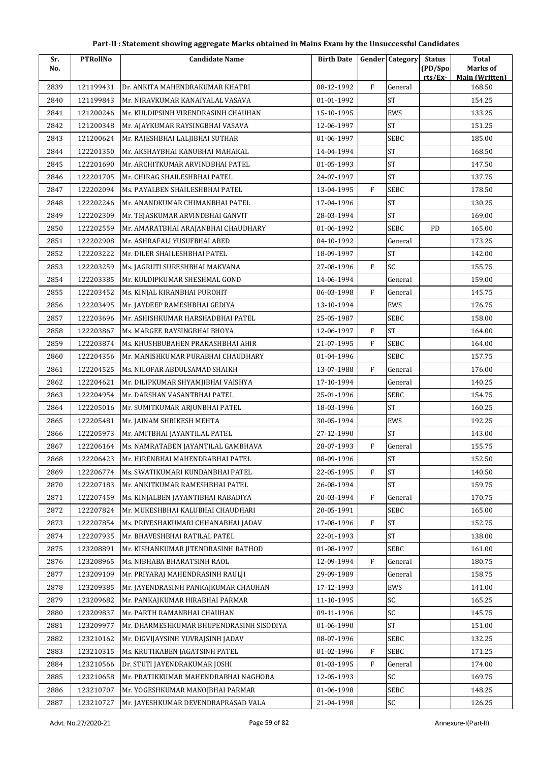| Sr.  | <b>PTRollNo</b> | <b>Candidate Name</b>                    | <b>Birth Date</b> |           | <b>Gender Category</b> | <b>Status</b> | <b>Total</b>                    |
|------|-----------------|------------------------------------------|-------------------|-----------|------------------------|---------------|---------------------------------|
| No.  |                 |                                          |                   |           |                        | (PD/Spo       | Marks of                        |
| 2839 | 121199431       | Dr. ANKITA MAHENDRAKUMAR KHATRI          | 08-12-1992        | F         | General                | rts/Ex        | <b>Main (Written)</b><br>168.50 |
| 2840 | 121199843       | Mr. NIRAVKUMAR KANAIYALAL VASAVA         | 01-01-1992        |           | <b>ST</b>              |               | 154.25                          |
| 2841 | 121200246       | Mr. KULDIPSINH VIRENDRASINH CHAUHAN      | 15-10-1995        |           | EWS                    |               | 133.25                          |
| 2842 | 121200348       | Mr. AJAYKUMAR RAYSINGBHAI VASAVA         | 12-06-1997        |           | <b>ST</b>              |               | 151.25                          |
| 2843 | 121200624       | Mr. RAJESHBHAI LALJIBHAI SUTHAR          | 01-06-1997        |           | SEBC                   |               | 185.00                          |
| 2844 | 122201350       | Mr. AKSHAYBHAI KANUBHAI MAHAKAL          | 14-04-1994        |           | $\operatorname{ST}$    |               | 168.50                          |
| 2845 | 122201690       | Mr. ARCHITKUMAR ARVINDBHAI PATEL         | 01-05-1993        |           | <b>ST</b>              |               | 147.50                          |
| 2846 | 122201705       | Mr. CHIRAG SHAILESHBHAI PATEL            | 24-07-1997        |           | <b>ST</b>              |               | 137.75                          |
| 2847 | 122202094       | Ms. PAYALBEN SHAILESHBHAI PATEL          | 13-04-1995        | F         | <b>SEBC</b>            |               | 178.50                          |
| 2848 | 122202246       | Mr. ANANDKUMAR CHIMANBHAI PATEL          | 17-04-1996        |           | <b>ST</b>              |               | 130.25                          |
| 2849 | 122202309       | Mr. TEJASKUMAR ARVINDBHAI GANVIT         | 28-03-1994        |           | <b>ST</b>              |               | 169.00                          |
| 2850 | 122202559       | Mr. AMARATBHAI ARAJANBHAI CHAUDHARY      | 01-06-1992        |           | <b>SEBC</b>            | PD            | 165.00                          |
| 2851 | 122202908       | Mr. ASHRAFALI YUSUFBHAI ABED             | 04-10-1992        |           | General                |               | 173.25                          |
| 2852 | 122203222       | Mr. DILER SHAILESHBHAI PATEL             | 18-09-1997        |           | <b>ST</b>              |               | 142.00                          |
| 2853 | 122203259       | Ms. JAGRUTI SURESHBHAI MAKVANA           | 27-08-1996        | F         | SC                     |               | 155.75                          |
| 2854 | 122203385       | Mr. KULDIPKUMAR SHESHMAL GOND            | 14-06-1994        |           | General                |               | 159.00                          |
| 2855 | 122203452       | Ms. KINJAL KIRANBHAI PUROHIT             | 06-03-1998        | F         | General                |               | 145.75                          |
| 2856 | 122203495       | Mr. JAYDEEP RAMESHBHAI GEDIYA            | 13-10-1994        |           | EWS                    |               | 176.75                          |
| 2857 | 122203696       | Mr. ASHISHKUMAR HARSHADBHAI PATEL        | 25-05-1987        |           | SEBC                   |               | 158.00                          |
| 2858 | 122203867       | Ms. MARGEE RAYSINGBHAI BHOYA             | 12-06-1997        | F         | <b>ST</b>              |               | 164.00                          |
| 2859 | 122203874       | Ms. KHUSHBUBAHEN PRAKASHBHAI AHIR        | 21-07-1995        | F         | <b>SEBC</b>            |               | 164.00                          |
| 2860 | 122204356       | Mr. MANISHKUMAR PURABHAI CHAUDHARY       | 01-04-1996        |           | <b>SEBC</b>            |               | 157.75                          |
| 2861 | 122204525       | Ms. NILOFAR ABDULSAMAD SHAIKH            | 13-07-1988        | F         | General                |               | 176.00                          |
| 2862 | 122204621       | Mr. DILIPKUMAR SHYAMJIBHAI VAISHYA       | 17-10-1994        |           | General                |               | 140.25                          |
| 2863 | 122204954       | Mr. DARSHAN VASANTBHAI PATEL             | 25-01-1996        |           | <b>SEBC</b>            |               | 154.75                          |
| 2864 | 122205016       | Mr. SUMITKUMAR ARJUNBHAI PATEL           | 18-03-1996        |           | <b>ST</b>              |               | 160.25                          |
| 2865 | 122205481       | Mr. JAINAM SHRIKESH MEHTA                | 30-05-1994        |           | EWS                    |               | 192.25                          |
| 2866 | 122205973       | Mr. AMITBHAI JAYANTILAL PATEL            | 27-12-1990        |           | <b>ST</b>              |               | 143.00                          |
| 2867 | 122206164       | Ms. NAMRATABEN JAYANTILAL GAMBHAVA       | 28-07-1993        | ${\rm F}$ | General                |               | 155.75                          |
| 2868 | 122206423       | Mr. HIRENBHAI MAHENDRABHAI PATEL         | 08-09-1996        |           | $\mbox{ST}$            |               | 152.50                          |
| 2869 | 122206774       | Ms. SWATIKUMARI KUNDANBHAI PATEL         | 22-05-1995        | F         | <b>ST</b>              |               | 140.50                          |
| 2870 | 122207183       | Mr. ANKITKUMAR RAMESHBHAI PATEL          | 26-08-1994        |           | <b>ST</b>              |               | 159.75                          |
| 2871 | 122207459       | Ms. KINJALBEN JAYANTIBHAI RABADIYA       | 20-03-1994        | F         | General                |               | 170.75                          |
| 2872 | 122207824       | Mr. MUKESHBHAI KALUBHAI CHAUDHARI        | 20-05-1991        |           | <b>SEBC</b>            |               | 165.00                          |
| 2873 | 122207854       | Ms. PRIYESHAKUMARI CHHANABHAI JADAV      | 17-08-1996        | ${\rm F}$ | ${\rm ST}$             |               | 152.75                          |
| 2874 | 122207935       | Mr. BHAVESHBHAI RATILAL PATEL            | 22-01-1993        |           | <b>ST</b>              |               | 138.00                          |
| 2875 | 123208891       | Mr. KISHANKUMAR JITENDRASINH RATHOD      | 01-08-1997        |           | <b>SEBC</b>            |               | 161.00                          |
| 2876 | 123208965       | Ms. NIBHABA BHARATSINH RAOL              | 12-09-1994        | F         | General                |               | 180.75                          |
| 2877 | 123209109       | Mr. PRIYARAJ MAHENDRASINH RAULJI         | 29-09-1989        |           | General                |               | 158.75                          |
| 2878 | 123209385       | Mr. JAYENDRASINH PANKAJKUMAR CHAUHAN     | 17-12-1993        |           | EWS                    |               | 141.00                          |
| 2879 | 123209682       | Mr. PANKAJKUMAR HIRABHAI PARMAR          | 11-10-1995        |           | SC                     |               | 165.25                          |
| 2880 | 123209837       | Mr. PARTH RAMANBHAI CHAUHAN              | 09-11-1996        |           | SC                     |               | 145.75                          |
| 2881 | 123209977       | Mr. DHARMESHKUMAR BHUPENDRASINH SISODIYA | 01-06-1990        |           | ST                     |               | 151.00                          |
| 2882 | 123210162       | Mr. DIGVIJAYSINH YUVRAJSINH JADAV        | 08-07-1996        |           | SEBC                   |               | 132.25                          |
| 2883 | 123210315       | Ms. KRUTIKABEN JAGATSINH PATEL           | 01-02-1996        | F         | <b>SEBC</b>            |               | 171.25                          |
| 2884 | 123210566       | Dr. STUTI JAYENDRAKUMAR JOSHI            | 01-03-1995        | ${\rm F}$ | General                |               | 174.00                          |
| 2885 | 123210658       | Mr. PRATIKKUMAR MAHENDRABHAI NAGHORA     | 12-05-1993        |           | SC                     |               | 169.75                          |
| 2886 | 123210707       | Mr. YOGESHKUMAR MANOJBHAI PARMAR         | 01-06-1998        |           | <b>SEBC</b>            |               | 148.25                          |
| 2887 | 123210727       | Mr. JAYESHKUMAR DEVENDRAPRASAD VALA      | 21-04-1998        |           | SC                     |               | 126.25                          |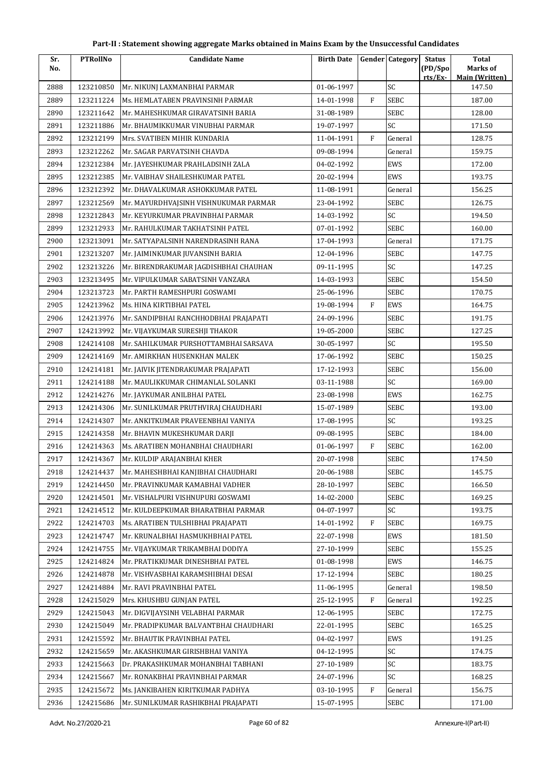| Sr.  | <b>PTRollNo</b> | <b>Candidate Name</b>                 | <b>Birth Date</b> |             | <b>Gender Category</b> | <b>Status</b>      | <b>Total</b>                      |
|------|-----------------|---------------------------------------|-------------------|-------------|------------------------|--------------------|-----------------------------------|
| No.  |                 |                                       |                   |             |                        | (PD/Spo<br>rts/Ex- | Marks of<br><b>Main (Written)</b> |
| 2888 | 123210850       | Mr. NIKUNJ LAXMANBHAI PARMAR          | 01-06-1997        |             | SC                     |                    | 147.50                            |
| 2889 | 123211224       | Ms. HEMLATABEN PRAVINSINH PARMAR      | 14-01-1998        | $\mathbf F$ | <b>SEBC</b>            |                    | 187.00                            |
| 2890 | 123211642       | Mr. MAHESHKUMAR GIRAVATSINH BARIA     | 31-08-1989        |             | SEBC                   |                    | 128.00                            |
| 2891 | 123211886       | Mr. BHAUMIKKUMAR VINUBHAI PARMAR      | 19-07-1997        |             | SC                     |                    | 171.50                            |
| 2892 | 123212199       | Mrs. SVATIBEN MIHIR KUNDARIA          | 11-04-1991        | F           | General                |                    | 128.75                            |
| 2893 | 123212262       | Mr. SAGAR PARVATSINH CHAVDA           | 09-08-1994        |             | General                |                    | 159.75                            |
| 2894 | 123212384       | Mr. JAYESHKUMAR PRAHLADSINH ZALA      | 04-02-1992        |             | EWS                    |                    | 172.00                            |
| 2895 | 123212385       | Mr. VAIBHAV SHAILESHKUMAR PATEL       | 20-02-1994        |             | EWS                    |                    | 193.75                            |
| 2896 | 123212392       | Mr. DHAVALKUMAR ASHOKKUMAR PATEL      | 11-08-1991        |             | General                |                    | 156.25                            |
| 2897 | 123212569       | Mr. MAYURDHVAJSINH VISHNUKUMAR PARMAR | 23-04-1992        |             | <b>SEBC</b>            |                    | 126.75                            |
| 2898 | 123212843       | Mr. KEYURKUMAR PRAVINBHAI PARMAR      | 14-03-1992        |             | SC                     |                    | 194.50                            |
| 2899 | 123212933       | Mr. RAHULKUMAR TAKHATSINH PATEL       | 07-01-1992        |             | <b>SEBC</b>            |                    | 160.00                            |
| 2900 | 123213091       | Mr. SATYAPALSINH NARENDRASINH RANA    | 17-04-1993        |             | General                |                    | 171.75                            |
| 2901 | 123213207       | Mr. JAIMINKUMAR JUVANSINH BARIA       | 12-04-1996        |             | <b>SEBC</b>            |                    | 147.75                            |
| 2902 | 123213226       | Mr. BIRENDRAKUMAR JAGDISHBHAI CHAUHAN | 09-11-1995        |             | SC                     |                    | 147.25                            |
| 2903 | 123213495       | Mr. VIPULKUMAR SABATSINH VANZARA      | 14-03-1993        |             | <b>SEBC</b>            |                    | 154.50                            |
| 2904 | 123213723       | Mr. PARTH RAMESHPURI GOSWAMI          | 25-06-1996        |             | <b>SEBC</b>            |                    | 170.75                            |
| 2905 | 124213962       | Ms. HINA KIRTIBHAI PATEL              | 19-08-1994        | F           | EWS                    |                    | 164.75                            |
| 2906 | 124213976       | Mr. SANDIPBHAI RANCHHODBHAI PRAJAPATI | 24-09-1996        |             | <b>SEBC</b>            |                    | 191.75                            |
| 2907 | 124213992       | Mr. VIJAYKUMAR SURESHJI THAKOR        | 19-05-2000        |             | <b>SEBC</b>            |                    | 127.25                            |
| 2908 | 124214108       | Mr. SAHILKUMAR PURSHOTTAMBHAI SARSAVA | 30-05-1997        |             | SC                     |                    | 195.50                            |
| 2909 | 124214169       | Mr. AMIRKHAN HUSENKHAN MALEK          | 17-06-1992        |             | <b>SEBC</b>            |                    | 150.25                            |
| 2910 | 124214181       | Mr. JAIVIK JITENDRAKUMAR PRAJAPATI    | 17-12-1993        |             | SEBC                   |                    | 156.00                            |
| 2911 | 124214188       | Mr. MAULIKKUMAR CHIMANLAL SOLANKI     | 03-11-1988        |             | SC                     |                    | 169.00                            |
| 2912 | 124214276       | Mr. JAYKUMAR ANILBHAI PATEL           | 23-08-1998        |             | EWS                    |                    | 162.75                            |
| 2913 | 124214306       | Mr. SUNILKUMAR PRUTHVIRAJ CHAUDHARI   | 15-07-1989        |             | SEBC                   |                    | 193.00                            |
| 2914 | 124214307       | Mr. ANKITKUMAR PRAVEENBHAI VANIYA     | 17-08-1995        |             | SC                     |                    | 193.25                            |
| 2915 | 124214358       | Mr. BHAVIN MUKESHKUMAR DARJI          | 09-08-1995        |             | <b>SEBC</b>            |                    | 184.00                            |
| 2916 | 124214363       | Ms. ARATIBEN MOHANBHAI CHAUDHARI      | 01-06-1997        | ${\rm F}$   | <b>SEBC</b>            |                    | 162.00                            |
| 2917 | 124214367       | Mr. KULDIP ARAJANBHAI KHER            | 20-07-1998        |             | SEBC                   |                    | 174.50                            |
| 2918 | 124214437       | Mr. MAHESHBHAI KANJIBHAI CHAUDHARI    | 20-06-1988        |             | <b>SEBC</b>            |                    | 145.75                            |
| 2919 | 124214450       | Mr. PRAVINKUMAR KAMABHAI VADHER       | 28-10-1997        |             | SEBC                   |                    | 166.50                            |
| 2920 | 124214501       | Mr. VISHALPURI VISHNUPURI GOSWAMI     | 14-02-2000        |             | <b>SEBC</b>            |                    | 169.25                            |
| 2921 | 124214512       | Mr. KULDEEPKUMAR BHARATBHAI PARMAR    | 04-07-1997        |             | SC                     |                    | 193.75                            |
| 2922 | 124214703       | Ms. ARATIBEN TULSHIBHAI PRAJAPATI     | 14-01-1992        | ${\rm F}$   | <b>SEBC</b>            |                    | 169.75                            |
| 2923 | 124214747       | Mr. KRUNALBHAI HASMUKHBHAI PATEL      | 22-07-1998        |             | EWS                    |                    | 181.50                            |
| 2924 | 124214755       | Mr. VIJAYKUMAR TRIKAMBHAI DODIYA      | 27-10-1999        |             | <b>SEBC</b>            |                    | 155.25                            |
| 2925 | 124214824       | Mr. PRATIKKUMAR DINESHBHAI PATEL      | 01-08-1998        |             | EWS                    |                    | 146.75                            |
| 2926 | 124214878       | Mr. VISHVASBHAI KARAMSHIBHAI DESAI    | 17-12-1994        |             | <b>SEBC</b>            |                    | 180.25                            |
| 2927 | 124214884       | Mr. RAVI PRAVINBHAI PATEL             | 11-06-1995        |             | General                |                    | 198.50                            |
| 2928 | 124215029       | Mrs. KHUSHBU GUNJAN PATEL             | 25-12-1995        | F           | General                |                    | 192.25                            |
| 2929 | 124215043       | Mr. DIGVIJAYSINH VELABHAI PARMAR      | 12-06-1995        |             | <b>SEBC</b>            |                    | 172.75                            |
| 2930 | 124215049       | Mr. PRADIPKUMAR BALVANTBHAI CHAUDHARI | 22-01-1995        |             | <b>SEBC</b>            |                    | 165.25                            |
| 2931 | 124215592       | Mr. BHAUTIK PRAVINBHAI PATEL          | 04-02-1997        |             | EWS                    |                    | 191.25                            |
| 2932 | 124215659       | Mr. AKASHKUMAR GIRISHBHAI VANIYA      | 04-12-1995        |             | SC                     |                    | 174.75                            |
| 2933 | 124215663       | Dr. PRAKASHKUMAR MOHANBHAI TABHANI    | 27-10-1989        |             | SC                     |                    | 183.75                            |
| 2934 | 124215667       | Mr. RONAKBHAI PRAVINBHAI PARMAR       | 24-07-1996        |             | SC                     |                    | 168.25                            |
| 2935 | 124215672       | Ms. JANKIBAHEN KIRITKUMAR PADHYA      | 03-10-1995        | F           | General                |                    | 156.75                            |
| 2936 | 124215686       | Mr. SUNILKUMAR RASHIKBHAI PRAJAPATI   | 15-07-1995        |             | <b>SEBC</b>            |                    | 171.00                            |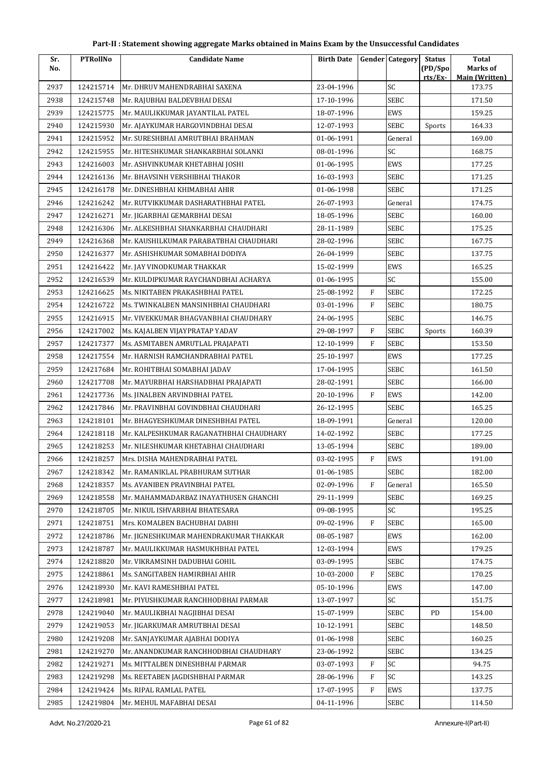| Sr.  | <b>PTRollNo</b> | <b>Candidate Name</b>                   | <b>Birth Date</b> |             | <b>Gender</b> Category | <b>Status</b> | <b>Total</b>                    |
|------|-----------------|-----------------------------------------|-------------------|-------------|------------------------|---------------|---------------------------------|
| No.  |                 |                                         |                   |             |                        | (PD/Spo       | Marks of                        |
| 2937 | 124215714       | Mr. DHRUV MAHENDRABHAI SAXENA           | 23-04-1996        |             | SC                     | rts/Ex        | <b>Main (Written)</b><br>173.75 |
| 2938 | 124215748       | Mr. RAJUBHAI BALDEVBHAI DESAI           | 17-10-1996        |             | <b>SEBC</b>            |               | 171.50                          |
| 2939 | 124215775       | Mr. MAULIKKUMAR JAYANTILAL PATEL        | 18-07-1996        |             | EWS                    |               | 159.25                          |
| 2940 | 124215930       | Mr. AJAYKUMAR HARGOVINDBHAI DESAI       | 12-07-1993        |             | <b>SEBC</b>            | Sports        | 164.33                          |
| 2941 | 124215952       | Mr. SURESHBHAI AMRUTBHAI BRAHMAN        | 01-06-1991        |             | General                |               | 169.00                          |
| 2942 | 124215955       | Mr. HITESHKUMAR SHANKARBHAI SOLANKI     | 08-01-1996        |             | SC                     |               | 168.75                          |
| 2943 | 124216003       | Mr. ASHVINKUMAR KHETABHAI JOSHI         | 01-06-1995        |             | EWS                    |               | 177.25                          |
| 2944 | 124216136       | Mr. BHAVSINH VERSHIBHAI THAKOR          | 16-03-1993        |             | SEBC                   |               | 171.25                          |
| 2945 | 124216178       | Mr. DINESHBHAI KHIMABHAI AHIR           | 01-06-1998        |             | <b>SEBC</b>            |               | 171.25                          |
| 2946 | 124216242       | Mr. RUTVIKKUMAR DASHARATHBHAI PATEL     | 26-07-1993        |             | General                |               | 174.75                          |
| 2947 | 124216271       | Mr. JIGARBHAI GEMARBHAI DESAI           | 18-05-1996        |             | SEBC                   |               | 160.00                          |
| 2948 | 124216306       | Mr. ALKESHBHAI SHANKARBHAI CHAUDHARI    | 28-11-1989        |             | SEBC                   |               | 175.25                          |
| 2949 | 124216368       | Mr. KAUSHILKUMAR PARABATBHAI CHAUDHARI  | 28-02-1996        |             | <b>SEBC</b>            |               | 167.75                          |
| 2950 | 124216377       | Mr. ASHISHKUMAR SOMABHAI DODIYA         | 26-04-1999        |             | <b>SEBC</b>            |               | 137.75                          |
| 2951 | 124216422       | Mr. JAY VINODKUMAR THAKKAR              | 15-02-1999        |             | EWS                    |               | 165.25                          |
| 2952 | 124216539       | Mr. KULDIPKUMAR RAYCHANDBHAI ACHARYA    | 01-06-1995        |             | SC                     |               | 155.00                          |
| 2953 | 124216625       | Ms. NIKITABEN PRAKASHBHAI PATEL         | 25-08-1992        | F           | <b>SEBC</b>            |               | 172.25                          |
| 2954 | 124216722       | Ms. TWINKALBEN MANSINHBHAI CHAUDHARI    | 03-01-1996        | $\mathbf F$ | <b>SEBC</b>            |               | 180.75                          |
| 2955 | 124216915       | Mr. VIVEKKUMAR BHAGVANBHAI CHAUDHARY    | 24-06-1995        |             | SEBC                   |               | 146.75                          |
| 2956 | 124217002       | Ms. KAJALBEN VIJAYPRATAP YADAV          | 29-08-1997        | F           | <b>SEBC</b>            | Sports        | 160.39                          |
| 2957 | 124217377       | Ms. ASMITABEN AMRUTLAL PRAJAPATI        | 12-10-1999        | F           | <b>SEBC</b>            |               | 153.50                          |
| 2958 | 124217554       | Mr. HARNISH RAMCHANDRABHAI PATEL        | 25-10-1997        |             | EWS                    |               | 177.25                          |
| 2959 | 124217684       | Mr. ROHITBHAI SOMABHAI JADAV            | 17-04-1995        |             | <b>SEBC</b>            |               | 161.50                          |
| 2960 | 124217708       | Mr. MAYURBHAI HARSHADBHAI PRAJAPATI     | 28-02-1991        |             | <b>SEBC</b>            |               | 166.00                          |
| 2961 | 124217736       | Ms. JINALBEN ARVINDBHAI PATEL           | 20-10-1996        | F           | EWS                    |               | 142.00                          |
| 2962 | 124217846       | Mr. PRAVINBHAI GOVINDBHAI CHAUDHARI     | 26-12-1995        |             | SEBC                   |               | 165.25                          |
| 2963 | 124218101       | Mr. BHAGYESHKUMAR DINESHBHAI PATEL      | 18-09-1991        |             | General                |               | 120.00                          |
| 2964 | 124218118       | Mr. KALPESHKUMAR RAGANATHBHAI CHAUDHARY | 14-02-1992        |             | SEBC                   |               | 177.25                          |
| 2965 | 124218253       | Mr. NILESHKUMAR KHETABHAI CHAUDHARI     | 13-05-1994        |             | <b>SEBC</b>            |               | 189.00                          |
| 2966 | 124218257       | Mrs. DISHA MAHENDRABHAI PATEL           | 03-02-1995        | F           | EWS                    |               | 191.00                          |
| 2967 | 124218342       | Mr. RAMANIKLAL PRABHURAM SUTHAR         | 01-06-1985        |             | SEBC                   |               | 182.00                          |
| 2968 | 124218357       | Ms. AVANIBEN PRAVINBHAI PATEL           | 02-09-1996        | F           | General                |               | 165.50                          |
| 2969 | 124218558       | Mr. MAHAMMADARBAZ INAYATHUSEN GHANCHI   | 29-11-1999        |             | SEBC                   |               | 169.25                          |
| 2970 | 124218705       | Mr. NIKUL ISHVARBHAI BHATESARA          | 09-08-1995        |             | SC                     |               | 195.25                          |
| 2971 | 124218751       | Mrs. KOMALBEN BACHUBHAI DABHI           | 09-02-1996        | F           | <b>SEBC</b>            |               | 165.00                          |
| 2972 | 124218786       | Mr. JIGNESHKUMAR MAHENDRAKUMAR THAKKAR  | 08-05-1987        |             | EWS                    |               | 162.00                          |
| 2973 | 124218787       | Mr. MAULIKKUMAR HASMUKHBHAI PATEL       | 12-03-1994        |             | EWS                    |               | 179.25                          |
| 2974 | 124218820       | Mr. VIKRAMSINH DADUBHAI GOHIL           | 03-09-1995        |             | <b>SEBC</b>            |               | 174.75                          |
| 2975 | 124218861       | Ms. SANGITABEN HAMIRBHAI AHIR           | 10-03-2000        | F           | <b>SEBC</b>            |               | 170.25                          |
| 2976 | 124218930       | Mr. KAVI RAMESHBHAI PATEL               | 05-10-1996        |             | EWS                    |               | 147.00                          |
| 2977 | 124218981       | Mr. PIYUSHKUMAR RANCHHODBHAI PARMAR     | 13-07-1997        |             | SC                     |               | 151.75                          |
| 2978 | 124219040       | Mr. MAULIKBHAI NAGJIBHAI DESAI          | 15-07-1999        |             | <b>SEBC</b>            | PD            | 154.00                          |
| 2979 | 124219053       | Mr. JIGARKUMAR AMRUTBHAI DESAI          | 10-12-1991        |             | <b>SEBC</b>            |               | 148.50                          |
| 2980 | 124219208       | Mr. SANJAYKUMAR AJABHAI DODIYA          | 01-06-1998        |             | SEBC                   |               | 160.25                          |
| 2981 | 124219270       | Mr. ANANDKUMAR RANCHHODBHAI CHAUDHARY   | 23-06-1992        |             | <b>SEBC</b>            |               | 134.25                          |
| 2982 | 124219271       | Ms. MITTALBEN DINESHBHAI PARMAR         | 03-07-1993        | F           | SC                     |               | 94.75                           |
| 2983 | 124219298       | Ms. REETABEN JAGDISHBHAI PARMAR         | 28-06-1996        | F           | SC                     |               | 143.25                          |
| 2984 | 124219424       | Ms. RIPAL RAMLAL PATEL                  | 17-07-1995        | F           | EWS                    |               | 137.75                          |
| 2985 | 124219804       | Mr. MEHUL MAFABHAI DESAI                | 04-11-1996        |             | SEBC                   |               | 114.50                          |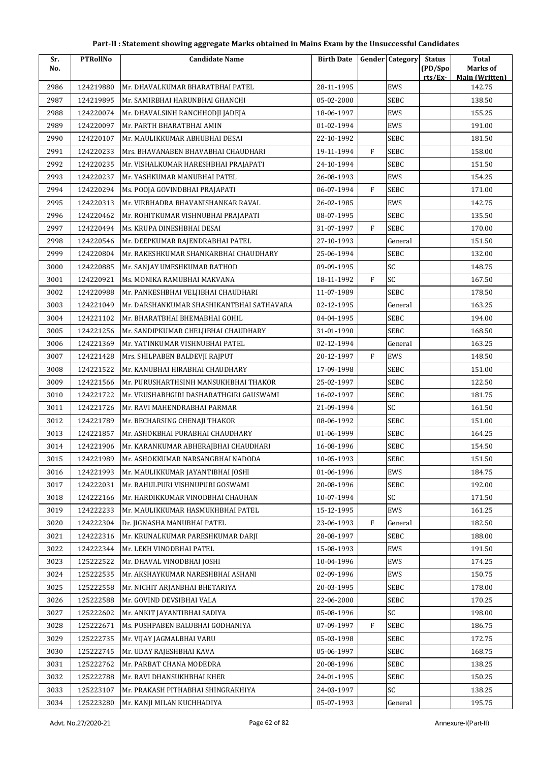| Part-II : Statement showing aggregate Marks obtained in Mains Exam by the Unsuccessful Candidates |  |
|---------------------------------------------------------------------------------------------------|--|
|---------------------------------------------------------------------------------------------------|--|

| Sr.  | <b>PTRollNo</b> | <b>Candidate Name</b>                     | <b>Birth Date</b> |              | <b>Gender Category</b> | <b>Status</b>      | <b>Total</b><br>Marks of |
|------|-----------------|-------------------------------------------|-------------------|--------------|------------------------|--------------------|--------------------------|
| No.  |                 |                                           |                   |              |                        | (PD/Spo<br>rts/Ex- | <b>Main (Written)</b>    |
| 2986 | 124219880       | Mr. DHAVALKUMAR BHARATBHAI PATEL          | 28-11-1995        |              | <b>EWS</b>             |                    | 142.75                   |
| 2987 | 124219895       | Mr. SAMIRBHAI HARUNBHAI GHANCHI           | 05-02-2000        |              | <b>SEBC</b>            |                    | 138.50                   |
| 2988 | 124220074       | Mr. DHAVALSINH RANCHHODJI JADEJA          | 18-06-1997        |              | EWS                    |                    | 155.25                   |
| 2989 | 124220097       | Mr. PARTH BHARATBHAI AMIN                 | 01-02-1994        |              | <b>EWS</b>             |                    | 191.00                   |
| 2990 | 124220107       | Mr. MAULIKKUMAR ABHUBHAI DESAI            | 22-10-1992        |              | SEBC                   |                    | 181.50                   |
| 2991 | 124220233       | Mrs. BHAVANABEN BHAVABHAI CHAUDHARI       | 19-11-1994        | $\mathbf{F}$ | <b>SEBC</b>            |                    | 158.00                   |
| 2992 | 124220235       | Mr. VISHALKUMAR HARESHBHAI PRAJAPATI      | 24-10-1994        |              | SEBC                   |                    | 151.50                   |
| 2993 | 124220237       | Mr. YASHKUMAR MANUBHAI PATEL              | 26-08-1993        |              | EWS                    |                    | 154.25                   |
| 2994 | 124220294       | Ms. POOJA GOVINDBHAI PRAJAPATI            | 06-07-1994        | $\mathbf{F}$ | SEBC                   |                    | 171.00                   |
| 2995 | 124220313       | Mr. VIRBHADRA BHAVANISHANKAR RAVAL        | 26-02-1985        |              | <b>EWS</b>             |                    | 142.75                   |
| 2996 | 124220462       | Mr. ROHITKUMAR VISHNUBHAI PRAJAPATI       | 08-07-1995        |              | SEBC                   |                    | 135.50                   |
| 2997 | 124220494       | Ms. KRUPA DINESHBHAI DESAI                | 31-07-1997        | F            | <b>SEBC</b>            |                    | 170.00                   |
| 2998 | 124220546       | Mr. DEEPKUMAR RAJENDRABHAI PATEL          | 27-10-1993        |              | General                |                    | 151.50                   |
| 2999 | 124220804       | Mr. RAKESHKUMAR SHANKARBHAI CHAUDHARY     | 25-06-1994        |              | SEBC                   |                    | 132.00                   |
| 3000 | 124220885       | Mr. SANJAY UMESHKUMAR RATHOD              | 09-09-1995        |              | SC                     |                    | 148.75                   |
| 3001 | 124220921       | Ms. MONIKA RAMUBHAI MAKVANA               | 18-11-1992        | F            | SC                     |                    | 167.50                   |
| 3002 | 124220988       | Mr. PANKESHBHAI VELJIBHAI CHAUDHARI       | 11-07-1989        |              | <b>SEBC</b>            |                    | 178.50                   |
| 3003 | 124221049       | Mr. DARSHANKUMAR SHASHIKANTBHAI SATHAVARA | 02-12-1995        |              | General                |                    | 163.25                   |
| 3004 | 124221102       | Mr. BHARATBHAI BHEMABHAI GOHIL            | 04-04-1995        |              | SEBC                   |                    | 194.00                   |
| 3005 | 124221256       | Mr. SANDIPKUMAR CHELJIBHAI CHAUDHARY      | 31-01-1990        |              | <b>SEBC</b>            |                    | 168.50                   |
| 3006 | 124221369       | Mr. YATINKUMAR VISHNUBHAI PATEL           | 02-12-1994        |              | General                |                    | 163.25                   |
| 3007 | 124221428       | Mrs. SHILPABEN BALDEVJI RAJPUT            | 20-12-1997        | F            | EWS                    |                    | 148.50                   |
| 3008 | 124221522       | Mr. KANUBHAI HIRABHAI CHAUDHARY           | 17-09-1998        |              | <b>SEBC</b>            |                    | 151.00                   |
| 3009 | 124221566       | Mr. PURUSHARTHSINH MANSUKHBHAI THAKOR     | 25-02-1997        |              | <b>SEBC</b>            |                    | 122.50                   |
| 3010 | 124221722       | Mr. VRUSHABHGIRI DASHARATHGIRI GAUSWAMI   | 16-02-1997        |              | SEBC                   |                    | 181.75                   |
| 3011 | 124221726       | Mr. RAVI MAHENDRABHAI PARMAR              | 21-09-1994        |              | SC                     |                    | 161.50                   |
| 3012 | 124221789       | Mr. BECHARSING CHENAJI THAKOR             | 08-06-1992        |              | SEBC                   |                    | 151.00                   |
| 3013 | 124221857       | Mr. ASHOKBHAI PURABHAI CHAUDHARY          | 01-06-1999        |              | SEBC                   |                    | 164.25                   |
| 3014 | 124221906       | Mr. KARANKUMAR ABHERAJBHAI CHAUDHARI      | 16-08-1996        |              | SEBC                   |                    | 154.50                   |
| 3015 | 124221989       | Mr. ASHOKKUMAR NARSANGBHAI NADODA         | 10-05-1993        |              | SEBC                   |                    | 151.50                   |
| 3016 | 124221993       | Mr. MAULIKKUMAR JAYANTIBHAI JOSHI         | 01-06-1996        |              | EWS                    |                    | 184.75                   |
| 3017 | 124222031       | Mr. RAHULPURI VISHNUPURI GOSWAMI          | 20-08-1996        |              | SEBC                   |                    | 192.00                   |
| 3018 | 124222166       | Mr. HARDIKKUMAR VINODBHAI CHAUHAN         | 10-07-1994        |              | SC                     |                    | 171.50                   |
| 3019 | 124222233       | Mr. MAULIKKUMAR HASMUKHBHAI PATEL         | 15-12-1995        |              | EWS                    |                    | 161.25                   |
| 3020 | 124222304       | Dr. JIGNASHA MANUBHAI PATEL               | 23-06-1993        | $\mathbf{F}$ | General                |                    | 182.50                   |
| 3021 | 124222316       | Mr. KRUNALKUMAR PARESHKUMAR DARJI         | 28-08-1997        |              | SEBC                   |                    | 188.00                   |
| 3022 | 124222344       | Mr. LEKH VINODBHAI PATEL                  | 15-08-1993        |              | EWS                    |                    | 191.50                   |
| 3023 | 125222522       | Mr. DHAVAL VINODBHAI JOSHI                | 10-04-1996        |              | EWS                    |                    | 174.25                   |
| 3024 | 125222535       | Mr. AKSHAYKUMAR NARESHBHAI ASHANI         | 02-09-1996        |              | EWS                    |                    | 150.75                   |
| 3025 | 125222558       | Mr. NICHIT ARJANBHAI BHETARIYA            | 20-03-1995        |              | SEBC                   |                    | 178.00                   |
| 3026 | 125222588       | Mr. GOVIND DEVSIBHAI VALA                 | 22-06-2000        |              | SEBC                   |                    | 170.25                   |
| 3027 | 125222602       | Mr. ANKIT JAYANTIBHAI SADIYA              | 05-08-1996        |              | SC                     |                    | 198.00                   |
| 3028 | 125222671       | Ms. PUSHPABEN BALUBHAI GODHANIYA          | 07-09-1997        | $\rm F$      | SEBC                   |                    | 186.75                   |
| 3029 | 125222735       | Mr. VIJAY JAGMALBHAI VARU                 | 05-03-1998        |              | SEBC                   |                    | 172.75                   |
| 3030 | 125222745       | Mr. UDAY RAJESHBHAI KAVA                  | 05-06-1997        |              | SEBC                   |                    | 168.75                   |
| 3031 | 125222762       | Mr. PARBAT CHANA MODEDRA                  | 20-08-1996        |              | SEBC                   |                    | 138.25                   |
| 3032 | 125222788       | Mr. RAVI DHANSUKHBHAI KHER                | 24-01-1995        |              | SEBC                   |                    | 150.25                   |
| 3033 | 125223107       | Mr. PRAKASH PITHABHAI SHINGRAKHIYA        | 24-03-1997        |              | SC                     |                    | 138.25                   |
| 3034 | 125223280       | Mr. KANJI MILAN KUCHHADIYA                | 05-07-1993        |              | General                |                    | 195.75                   |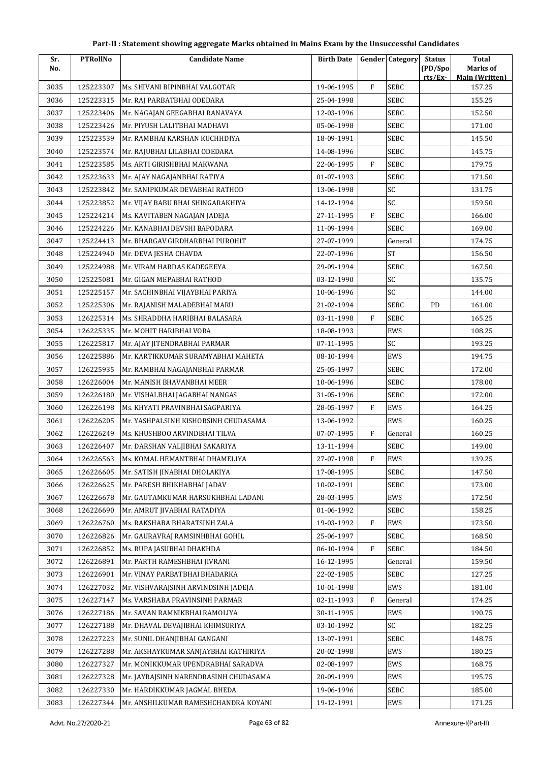| Sr.  | <b>PTRollNo</b> | <b>Candidate Name</b>                 | <b>Birth Date</b> |             | <b>Gender Category</b> | <b>Status</b> | <b>Total</b>                    |
|------|-----------------|---------------------------------------|-------------------|-------------|------------------------|---------------|---------------------------------|
| No.  |                 |                                       |                   |             |                        | (PD/Spo       | Marks of                        |
| 3035 | 125223307       | Ms. SHIVANI BIPINBHAI VALGOTAR        | 19-06-1995        | F           | SEBC                   | rts/Ex        | <b>Main (Written)</b><br>157.25 |
| 3036 | 125223315       | Mr. RAJ PARBATBHAI ODEDARA            | 25-04-1998        |             | <b>SEBC</b>            |               | 155.25                          |
| 3037 | 125223406       | Mr. NAGAJAN GEEGABHAI RANAVAYA        | 12-03-1996        |             | <b>SEBC</b>            |               | 152.50                          |
| 3038 | 125223426       | Mr. PIYUSH LALITBHAI MADHAVI          | 05-06-1998        |             | SEBC                   |               | 171.00                          |
| 3039 | 125223539       | Mr. RAMBHAI KARSHAN KUCHHDIYA         | 18-09-1991        |             | SEBC                   |               | 145.50                          |
| 3040 | 125223574       | Mr. RAJUBHAI LILABHAI ODEDARA         | 14-08-1996        |             | <b>SEBC</b>            |               | 145.75                          |
| 3041 | 125223585       | Ms. ARTI GIRISHBHAI MAKWANA           | 22-06-1995        | F           | <b>SEBC</b>            |               | 179.75                          |
| 3042 | 125223633       | Mr. AJAY NAGAJANBHAI RATIYA           | 01-07-1993        |             | SEBC                   |               | 171.50                          |
| 3043 | 125223842       | Mr. SANIPKUMAR DEVABHAI RATHOD        | 13-06-1998        |             | SC                     |               | 131.75                          |
| 3044 | 125223852       | Mr. VIJAY BABU BHAI SHINGARAKHIYA     | 14-12-1994        |             | SC                     |               | 159.50                          |
| 3045 | 125224214       | Ms. KAVITABEN NAGAJAN JADEJA          | 27-11-1995        | $\mathbf F$ | SEBC                   |               | 166.00                          |
| 3046 | 125224226       | Mr. KANABHAI DEVSHI BAPODARA          | 11-09-1994        |             | <b>SEBC</b>            |               | 169.00                          |
| 3047 | 125224413       | Mr. BHARGAV GIRDHARBHAI PUROHIT       | 27-07-1999        |             | General                |               | 174.75                          |
| 3048 | 125224940       | Mr. DEVA JESHA CHAVDA                 | 22-07-1996        |             | <b>ST</b>              |               | 156.50                          |
| 3049 | 125224988       | Mr. VIRAM HARDAS KADEGEEYA            | 29-09-1994        |             | SEBC                   |               | 167.50                          |
| 3050 | 125225081       | Mr. GIGAN MEPABHAI RATHOD             | 03-12-1990        |             | SC                     |               | 135.75                          |
| 3051 | 125225157       | Mr. SACHINBHAI VIJAYBHAI PARIYA       | 10-06-1996        |             | SC                     |               | 144.00                          |
| 3052 | 125225306       | Mr. RAJANISH MALADEBHAI MARU          | 21-02-1994        |             | <b>SEBC</b>            | PD            | 161.00                          |
| 3053 | 126225314       | Ms. SHRADDHA HARIBHAI BALASARA        | 03-11-1998        | F           | SEBC                   |               | 165.25                          |
| 3054 | 126225335       | Mr. MOHIT HARIBHAI VORA               | 18-08-1993        |             | EWS                    |               | 108.25                          |
| 3055 | 126225817       | Mr. AJAY JITENDRABHAI PARMAR          | 07-11-1995        |             | SC                     |               | 193.25                          |
| 3056 | 126225886       | Mr. KARTIKKUMAR SURAMYABHAI MAHETA    | 08-10-1994        |             | EWS                    |               | 194.75                          |
| 3057 | 126225935       | Mr. RAMBHAI NAGAJANBHAI PARMAR        | 25-05-1997        |             | <b>SEBC</b>            |               | 172.00                          |
| 3058 | 126226004       | Mr. MANISH BHAVANBHAI MEER            | 10-06-1996        |             | <b>SEBC</b>            |               | 178.00                          |
| 3059 | 126226180       | Mr. VISHALBHAI JAGABHAI NANGAS        | 31-05-1996        |             | <b>SEBC</b>            |               | 172.00                          |
| 3060 | 126226198       | Ms. KHYATI PRAVINBHAI SAGPARIYA       | 28-05-1997        | F           | EWS                    |               | 164.25                          |
| 3061 | 126226205       | Mr. YASHPALSINH KISHORSINH CHUDASAMA  | 13-06-1992        |             | EWS                    |               | 160.25                          |
| 3062 | 126226249       | Ms. KHUSHBOO ARVINDBHAI TILVA         | 07-07-1995        | F           | General                |               | 160.25                          |
| 3063 | 126226407       | Mr. DARSHAN VALJIBHAI SAKARIYA        | 13-11-1994        |             | <b>SEBC</b>            |               | 149.00                          |
| 3064 | 126226563       | Ms. KOMAL HEMANTBHAI DHAMELIYA        | 27-07-1998        | F           | EWS                    |               | 139.25                          |
| 3065 | 126226605       | Mr. SATISH JINABHAI DHOLAKIYA         | 17-08-1995        |             | <b>SEBC</b>            |               | 147.50                          |
| 3066 | 126226625       | Mr. PARESH BHIKHABHAI JADAV           | 10-02-1991        |             | <b>SEBC</b>            |               | 173.00                          |
| 3067 | 126226678       | Mr. GAUTAMKUMAR HARSUKHBHAI LADANI    | 28-03-1995        |             | EWS                    |               | 172.50                          |
| 3068 | 126226690       | Mr. AMRUT JIVABHAI RATADIYA           | 01-06-1992        |             | <b>SEBC</b>            |               | 158.25                          |
| 3069 | 126226760       | Ms. RAKSHABA BHARATSINH ZALA          | 19-03-1992        | F           | EWS                    |               | 173.50                          |
| 3070 | 126226826       | Mr. GAURAVRAJ RAMSINHBHAI GOHIL       | 25-06-1997        |             | <b>SEBC</b>            |               | 168.50                          |
| 3071 | 126226852       | Ms. RUPA JASUBHAI DHAKHDA             | 06-10-1994        | F           | <b>SEBC</b>            |               | 184.50                          |
| 3072 | 126226891       | Mr. PARTH RAMESHBHAI JIVRANI          | 16-12-1995        |             | General                |               | 159.50                          |
| 3073 | 126226901       | Mr. VINAY PARBATBHAI BHADARKA         | 22-02-1985        |             | <b>SEBC</b>            |               | 127.25                          |
| 3074 | 126227032       | Mr. VISHVARAJSINH ARVINDSINH JADEJA   | 10-01-1998        |             | EWS                    |               | 181.00                          |
| 3075 | 126227147       | Ms. VARSHABA PRAVINSINH PARMAR        | 02-11-1993        | F           | General                |               | 174.25                          |
| 3076 | 126227186       | Mr. SAVAN RAMNIKBHAI RAMOLIYA         | 30-11-1995        |             | EWS                    |               | 190.75                          |
| 3077 | 126227188       | Mr. DHAVAL DEVAJIBHAI KHIMSURIYA      | 03-10-1992        |             | SC                     |               | 182.25                          |
| 3078 | 126227223       | Mr. SUNIL DHANJIBHAI GANGANI          | 13-07-1991        |             | SEBC                   |               | 148.75                          |
| 3079 | 126227288       | Mr. AKSHAYKUMAR SANJAYBHAI KATHIRIYA  | 20-02-1998        |             | EWS                    |               | 180.25                          |
| 3080 | 126227327       | Mr. MONIKKUMAR UPENDRABHAI SARADVA    | 02-08-1997        |             | EWS                    |               | 168.75                          |
| 3081 | 126227328       | Mr. JAYRAJSINH NARENDRASINH CHUDASAMA | 20-09-1999        |             | EWS                    |               | 195.75                          |
| 3082 | 126227330       | Mr. HARDIKKUMAR JAGMAL BHEDA          | 19-06-1996        |             | <b>SEBC</b>            |               | 185.00                          |
| 3083 | 126227344       | Mr. ANSHILKUMAR RAMESHCHANDRA KOYANI  | 19-12-1991        |             | EWS                    |               | 171.25                          |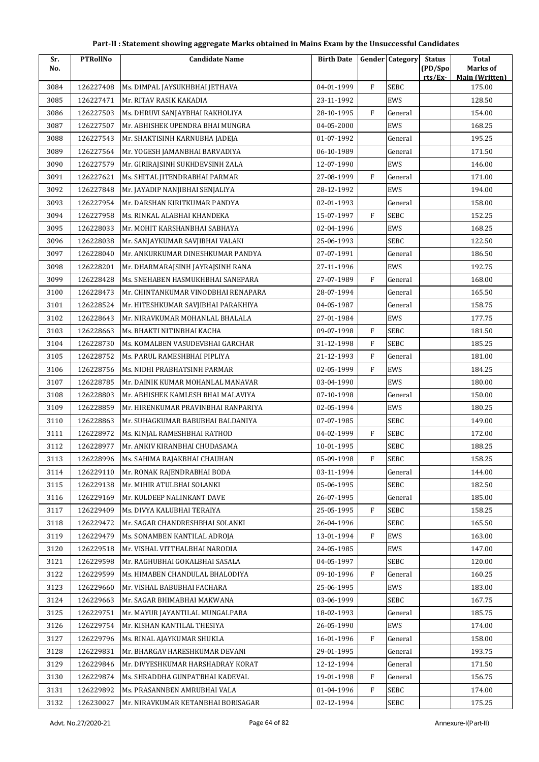| Part-II : Statement showing aggregate Marks obtained in Mains Exam by the Unsuccessful Candidates |  |  |
|---------------------------------------------------------------------------------------------------|--|--|
|---------------------------------------------------------------------------------------------------|--|--|

| Sr.  | <b>PTRollNo</b> | <b>Candidate Name</b>               | <b>Birth Date</b> |              | <b>Gender</b> Category | <b>Status</b>      | Total                                    |
|------|-----------------|-------------------------------------|-------------------|--------------|------------------------|--------------------|------------------------------------------|
| No.  |                 |                                     |                   |              |                        | (PD/Spo<br>rts/Ex- | <b>Marks of</b><br><b>Main (Written)</b> |
| 3084 | 126227408       | Ms. DIMPAL JAYSUKHBHAI JETHAVA      | 04-01-1999        | $\rm F$      | <b>SEBC</b>            |                    | 175.00                                   |
| 3085 | 126227471       | Mr. RITAV RASIK KAKADIA             | 23-11-1992        |              | EWS                    |                    | 128.50                                   |
| 3086 | 126227503       | Ms. DHRUVI SANJAYBHAI RAKHOLIYA     | 28-10-1995        | F            | General                |                    | 154.00                                   |
| 3087 | 126227507       | Mr. ABHISHEK UPENDRA BHAI MUNGRA    | 04-05-2000        |              | EWS                    |                    | 168.25                                   |
| 3088 | 126227543       | Mr. SHAKTISINH KARNUBHA JADEJA      | 01-07-1992        |              | General                |                    | 195.25                                   |
| 3089 | 126227564       | Mr. YOGESH JAMANBHAI BARVADIYA      | 06-10-1989        |              | General                |                    | 171.50                                   |
| 3090 | 126227579       | Mr. GIRIRAJSINH SUKHDEVSINH ZALA    | 12-07-1990        |              | EWS                    |                    | 146.00                                   |
| 3091 | 126227621       | Ms. SHITAL JITENDRABHAI PARMAR      | 27-08-1999        | $\mathbf{F}$ | General                |                    | 171.00                                   |
| 3092 | 126227848       | Mr. JAYADIP NANJIBHAI SENJALIYA     | 28-12-1992        |              | EWS                    |                    | 194.00                                   |
| 3093 | 126227954       | Mr. DARSHAN KIRITKUMAR PANDYA       | 02-01-1993        |              | General                |                    | 158.00                                   |
| 3094 | 126227958       | Ms. RINKAL ALABHAI KHANDEKA         | 15-07-1997        | $\mathbf{F}$ | SEBC                   |                    | 152.25                                   |
| 3095 | 126228033       | Mr. MOHIT KARSHANBHAI SABHAYA       | 02-04-1996        |              | EWS                    |                    | 168.25                                   |
| 3096 | 126228038       | Mr. SANJAYKUMAR SAVJIBHAI VALAKI    | 25-06-1993        |              | <b>SEBC</b>            |                    | 122.50                                   |
| 3097 | 126228040       | Mr. ANKURKUMAR DINESHKUMAR PANDYA   | 07-07-1991        |              | General                |                    | 186.50                                   |
| 3098 | 126228201       | Mr. DHARMARAJSINH JAYRAJSINH RANA   | 27-11-1996        |              | EWS                    |                    | 192.75                                   |
| 3099 | 126228428       | Ms. SNEHABEN HASMUKHBHAI SANEPARA   | 27-07-1989        | $\mathbf F$  | General                |                    | 168.00                                   |
| 3100 | 126228473       | Mr. CHINTANKUMAR VINODBHAI RENAPARA | 28-07-1994        |              | General                |                    | 165.50                                   |
| 3101 | 126228524       | Mr. HITESHKUMAR SAVJIBHAI PARAKHIYA | 04-05-1987        |              | General                |                    | 158.75                                   |
| 3102 | 126228643       | Mr. NIRAVKUMAR MOHANLAL BHALALA     | 27-01-1984        |              | EWS                    |                    | 177.75                                   |
| 3103 | 126228663       | Ms. BHAKTI NITINBHAI KACHA          | 09-07-1998        | F            | <b>SEBC</b>            |                    | 181.50                                   |
| 3104 | 126228730       | Ms. KOMALBEN VASUDEVBHAI GARCHAR    | 31-12-1998        | ${\rm F}$    | SEBC                   |                    | 185.25                                   |
| 3105 | 126228752       | Ms. PARUL RAMESHBHAI PIPLIYA        | 21-12-1993        | F            | General                |                    | 181.00                                   |
| 3106 | 126228756       | Ms. NIDHI PRABHATSINH PARMAR        | 02-05-1999        | ${\rm F}$    | EWS                    |                    | 184.25                                   |
| 3107 | 126228785       | Mr. DAINIK KUMAR MOHANLAL MANAVAR   | 03-04-1990        |              | EWS                    |                    | 180.00                                   |
| 3108 | 126228803       | Mr. ABHISHEK KAMLESH BHAI MALAVIYA  | 07-10-1998        |              | General                |                    | 150.00                                   |
| 3109 | 126228859       | Mr. HIRENKUMAR PRAVINBHAI RANPARIYA | 02-05-1994        |              | EWS                    |                    | 180.25                                   |
| 3110 | 126228863       | Mr. SUHAGKUMAR BABUBHAI BALDANIYA   | 07-07-1985        |              | <b>SEBC</b>            |                    | 149.00                                   |
| 3111 | 126228972       | Ms. KINJAL RAMESHBHAI RATHOD        | 04-02-1999        | F            | <b>SEBC</b>            |                    | 172.00                                   |
| 3112 | 126228977       | Mr. ANKIV KIRANBHAI CHUDASAMA       | 10-01-1995        |              | <b>SEBC</b>            |                    | 188.25                                   |
| 3113 | 126228996       | Ms. SAHIMA RAJAKBHAI CHAUHAN        | 05-09-1998        | F            | <b>SEBC</b>            |                    | 158.25                                   |
| 3114 | 126229110       | Mr. RONAK RAJENDRABHAI BODA         | 03-11-1994        |              | General                |                    | 144.00                                   |
| 3115 | 126229138       | Mr. MIHIR ATULBHAI SOLANKI          | 05-06-1995        |              | <b>SEBC</b>            |                    | 182.50                                   |
| 3116 | 126229169       | Mr. KULDEEP NALINKANT DAVE          | 26-07-1995        |              | General                |                    | 185.00                                   |
| 3117 | 126229409       | Ms. DIVYA KALUBHAI TERAIYA          | 25-05-1995        | F            | <b>SEBC</b>            |                    | 158.25                                   |
| 3118 | 126229472       | Mr. SAGAR CHANDRESHBHAI SOLANKI     | 26-04-1996        |              | <b>SEBC</b>            |                    | 165.50                                   |
| 3119 | 126229479       | Ms. SONAMBEN KANTILAL ADROJA        | 13-01-1994        | F            | EWS                    |                    | 163.00                                   |
| 3120 | 126229518       | Mr. VISHAL VITTHALBHAI NARODIA      | 24-05-1985        |              | EWS                    |                    | 147.00                                   |
| 3121 | 126229598       | Mr. RAGHUBHAI GOKALBHAI SASALA      | 04-05-1997        |              | <b>SEBC</b>            |                    | 120.00                                   |
| 3122 | 126229599       | Ms. HIMABEN CHANDULAL BHALODIYA     | 09-10-1996        | F            | General                |                    | 160.25                                   |
| 3123 | 126229660       | Mr. VISHAL BABUBHAI FACHARA         | 25-06-1995        |              | EWS                    |                    | 183.00                                   |
| 3124 | 126229663       | Mr. SAGAR BHIMABHAI MAKWANA         | 03-06-1999        |              | SEBC                   |                    | 167.75                                   |
| 3125 | 126229751       | Mr. MAYUR JAYANTILAL MUNGALPARA     | 18-02-1993        |              | General                |                    | 185.75                                   |
| 3126 | 126229754       | Mr. KISHAN KANTILAL THESIYA         | 26-05-1990        |              | EWS                    |                    | 174.00                                   |
| 3127 | 126229796       | Ms. RINAL AJAYKUMAR SHUKLA          | 16-01-1996        | F            | General                |                    | 158.00                                   |
| 3128 | 126229831       | Mr. BHARGAV HARESHKUMAR DEVANI      | 29-01-1995        |              | General                |                    | 193.75                                   |
| 3129 | 126229846       | Mr. DIVYESHKUMAR HARSHADRAY KORAT   | 12-12-1994        |              | General                |                    | 171.50                                   |
| 3130 | 126229874       | Ms. SHRADDHA GUNPATBHAI KADEVAL     | 19-01-1998        | F            | General                |                    | 156.75                                   |
| 3131 | 126229892       | Ms. PRASANNBEN AMRUBHAI VALA        | 01-04-1996        | F            | SEBC                   |                    | 174.00                                   |
| 3132 | 126230027       | Mr. NIRAVKUMAR KETANBHAI BORISAGAR  | 02-12-1994        |              | SEBC                   |                    | 175.25                                   |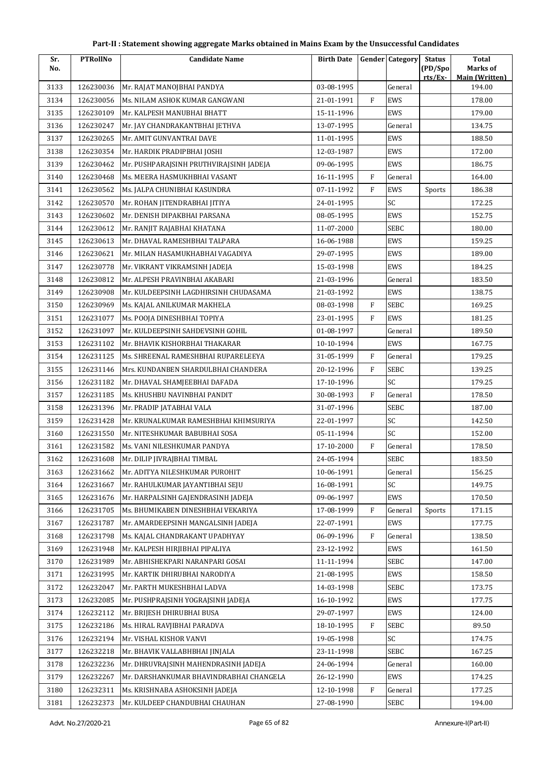| Sr.  | <b>PTRollNo</b> | <b>Candidate Name</b>                   | <b>Birth Date</b> |              | <b>Gender</b> Category | <b>Status</b> | <b>Total</b>                    |
|------|-----------------|-----------------------------------------|-------------------|--------------|------------------------|---------------|---------------------------------|
| No.  |                 |                                         |                   |              |                        | (PD/Spo       | Marks of                        |
| 3133 | 126230036       | Mr. RAJAT MANOJBHAI PANDYA              | 03-08-1995        |              | General                | rts/Ex-       | <b>Main (Written)</b><br>194.00 |
| 3134 | 126230056       | Ms. NILAM ASHOK KUMAR GANGWANI          | 21-01-1991        | $\rm F$      | EWS                    |               | 178.00                          |
| 3135 | 126230109       | Mr. KALPESH MANUBHAI BHATT              | 15-11-1996        |              | EWS                    |               | 179.00                          |
| 3136 | 126230247       | Mr. JAY CHANDRAKANTBHAI JETHVA          | 13-07-1995        |              | General                |               | 134.75                          |
| 3137 | 126230265       | Mr. AMIT GUNVANTRAI DAVE                | 11-01-1995        |              | EWS                    |               | 188.50                          |
| 3138 | 126230354       | Mr. HARDIK PRADIPBHAI JOSHI             | 12-03-1987        |              | EWS                    |               | 172.00                          |
| 3139 | 126230462       | Mr. PUSHPARAJSINH PRUTHVIRAJSINH JADEJA | 09-06-1995        |              | EWS                    |               | 186.75                          |
| 3140 | 126230468       | Ms. MEERA HASMUKHBHAI VASANT            | 16-11-1995        | $\mathbf{F}$ | General                |               | 164.00                          |
| 3141 | 126230562       | Ms. JALPA CHUNIBHAI KASUNDRA            | 07-11-1992        | F            | EWS                    | Sports        | 186.38                          |
| 3142 | 126230570       | Mr. ROHAN JITENDRABHAI JITIYA           | 24-01-1995        |              | SC                     |               | 172.25                          |
| 3143 | 126230602       | Mr. DENISH DIPAKBHAI PARSANA            | 08-05-1995        |              | <b>EWS</b>             |               | 152.75                          |
| 3144 | 126230612       | Mr. RANJIT RAJABHAI KHATANA             | 11-07-2000        |              | SEBC                   |               | 180.00                          |
| 3145 | 126230613       | Mr. DHAVAL RAMESHBHAI TALPARA           | 16-06-1988        |              | EWS                    |               | 159.25                          |
| 3146 | 126230621       | Mr. MILAN HASAMUKHABHAI VAGADIYA        | 29-07-1995        |              | EWS                    |               | 189.00                          |
| 3147 | 126230778       | Mr. VIKRANT VIKRAMSINH JADEJA           | 15-03-1998        |              | <b>EWS</b>             |               | 184.25                          |
| 3148 | 126230812       | Mr. ALPESH PRAVINBHAI AKABARI           | 21-03-1996        |              | General                |               | 183.50                          |
| 3149 | 126230908       | Mr. KULDEEPSINH LAGDHIRSINH CHUDASAMA   | 21-03-1992        |              | EWS                    |               | 138.75                          |
| 3150 | 126230969       | Ms. KAJAL ANILKUMAR MAKHELA             | 08-03-1998        | $\rm F$      | SEBC                   |               | 169.25                          |
| 3151 | 126231077       | Ms. POOJA DINESHBHAI TOPIYA             | 23-01-1995        | F            | EWS                    |               | 181.25                          |
| 3152 | 126231097       | Mr. KULDEEPSINH SAHDEVSINH GOHIL        | 01-08-1997        |              | General                |               | 189.50                          |
| 3153 | 126231102       | Mr. BHAVIK KISHORBHAI THAKARAR          | 10-10-1994        |              | <b>EWS</b>             |               | 167.75                          |
| 3154 | 126231125       | Ms. SHREENAL RAMESHBHAI RUPARELEEYA     | 31-05-1999        | $\mathbf{F}$ | General                |               | 179.25                          |
| 3155 | 126231146       | Mrs. KUNDANBEN SHARDULBHAI CHANDERA     | 20-12-1996        | F            | SEBC                   |               | 139.25                          |
| 3156 | 126231182       | Mr. DHAVAL SHAMJEEBHAI DAFADA           | 17-10-1996        |              | SC                     |               | 179.25                          |
| 3157 | 126231185       | Ms. KHUSHBU NAVINBHAI PANDIT            | 30-08-1993        | $\mathbf{F}$ | General                |               | 178.50                          |
| 3158 | 126231396       | Mr. PRADIP JATABHAI VALA                | 31-07-1996        |              | SEBC                   |               | 187.00                          |
| 3159 | 126231428       | Mr. KRUNALKUMAR RAMESHBHAI KHIMSURIYA   | 22-01-1997        |              | SC                     |               | 142.50                          |
| 3160 | 126231550       | Mr. NITESHKUMAR BABUBHAI SOSA           | 05-11-1994        |              | SC                     |               | 152.00                          |
| 3161 | 126231582       | Ms. VANI NILESHKUMAR PANDYA             | 17-10-2000        | $\rm F$      | General                |               | 178.50                          |
| 3162 | 126231608       | Mr. DILIP JIVRAJBHAI TIMBAL             | 24-05-1994        |              | <b>SEBC</b>            |               | 183.50                          |
| 3163 | 126231662       | Mr. ADITYA NILESHKUMAR PUROHIT          | 10-06-1991        |              | General                |               | 156.25                          |
| 3164 | 126231667       | Mr. RAHULKUMAR JAYANTIBHAI SEJU         | 16-08-1991        |              | SC                     |               | 149.75                          |
| 3165 | 126231676       | Mr. HARPALSINH GAJENDRASINH JADEJA      | 09-06-1997        |              | <b>EWS</b>             |               | 170.50                          |
| 3166 | 126231705       | Ms. BHUMIKABEN DINESHBHAI VEKARIYA      | 17-08-1999        | F            | General                | Sports        | 171.15                          |
| 3167 | 126231787       | Mr. AMARDEEPSINH MANGALSINH JADEJA      | 22-07-1991        |              | EWS                    |               | 177.75                          |
| 3168 | 126231798       | Ms. KAJAL CHANDRAKANT UPADHYAY          | 06-09-1996        | $\mathbf{F}$ | General                |               | 138.50                          |
| 3169 | 126231948       | Mr. KALPESH HIRJIBHAI PIPALIYA          | 23-12-1992        |              | EWS                    |               | 161.50                          |
| 3170 | 126231989       | Mr. ABHISHEKPARI NARANPARI GOSAI        | 11-11-1994        |              | SEBC                   |               | 147.00                          |
| 3171 | 126231995       | Mr. KARTIK DHIRUBHAI NARODIYA           | 21-08-1995        |              | EWS                    |               | 158.50                          |
| 3172 | 126232047       | Mr. PARTH MUKESHBHAI LADVA              | 14-03-1998        |              | SEBC                   |               | 173.75                          |
| 3173 | 126232085       | Mr. PUSHPRAJSINH YOGRAJSINH JADEJA      | 16-10-1992        |              | EWS                    |               | 177.75                          |
| 3174 | 126232112       | Mr. BRIJESH DHIRUBHAI BUSA              | 29-07-1997        |              | EWS                    |               | 124.00                          |
| 3175 | 126232186       | Ms. HIRAL RAVJIBHAI PARADVA             | 18-10-1995        | F            | SEBC                   |               | 89.50                           |
| 3176 | 126232194       | Mr. VISHAL KISHOR VANVI                 | 19-05-1998        |              | SC                     |               | 174.75                          |
| 3177 | 126232218       | Mr. BHAVIK VALLABHBHAI JINJALA          | 23-11-1998        |              | SEBC                   |               | 167.25                          |
| 3178 | 126232236       | Mr. DHRUVRAJSINH MAHENDRASINH JADEJA    | 24-06-1994        |              | General                |               | 160.00                          |
| 3179 | 126232267       | Mr. DARSHANKUMAR BHAVINDRABHAI CHANGELA | 26-12-1990        |              | EWS                    |               | 174.25                          |
| 3180 | 126232311       | Ms. KRISHNABA ASHOKSINH JADEJA          | 12-10-1998        | F            | General                |               | 177.25                          |
| 3181 | 126232373       | Mr. KULDEEP CHANDUBHAI CHAUHAN          | 27-08-1990        |              | SEBC                   |               | 194.00                          |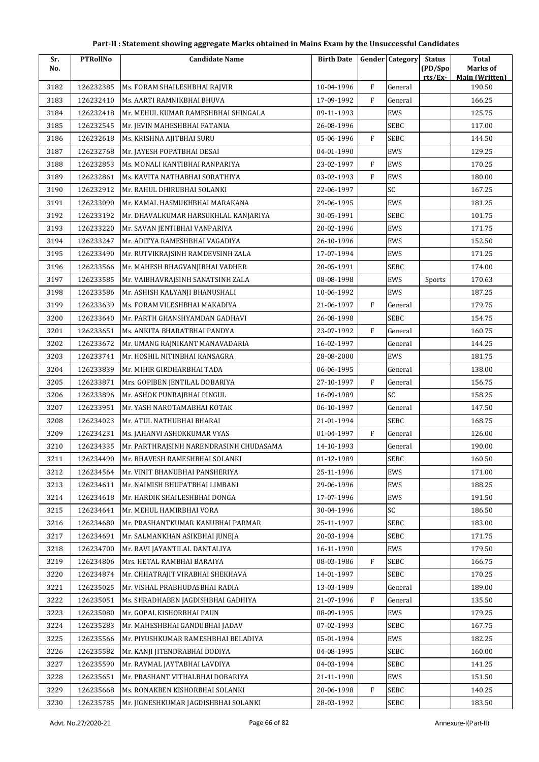| Part-II : Statement showing aggregate Marks obtained in Mains Exam by the Unsuccessful Candidates |  |  |
|---------------------------------------------------------------------------------------------------|--|--|
|---------------------------------------------------------------------------------------------------|--|--|

| Sr.  | <b>PTRollNo</b> | <b>Candidate Name</b>                   | <b>Birth Date</b> |              | <b>Gender Category</b> | <b>Status</b>      | <b>Total</b>                      |
|------|-----------------|-----------------------------------------|-------------------|--------------|------------------------|--------------------|-----------------------------------|
| No.  |                 |                                         |                   |              |                        | (PD/Spo<br>rts/Ex- | Marks of<br><b>Main (Written)</b> |
| 3182 | 126232385       | Ms. FORAM SHAILESHBHAI RAJVIR           | 10-04-1996        | $\rm F$      | General                |                    | 190.50                            |
| 3183 | 126232410       | Ms. AARTI RAMNIKBHAI BHUVA              | 17-09-1992        | $\mathbf{F}$ | General                |                    | 166.25                            |
| 3184 | 126232418       | Mr. MEHUL KUMAR RAMESHBHAI SHINGALA     | 09-11-1993        |              | EWS                    |                    | 125.75                            |
| 3185 | 126232545       | Mr. JEVIN MAHESHBHAI FATANIA            | 26-08-1996        |              | SEBC                   |                    | 117.00                            |
| 3186 | 126232618       | Ms. KRISHNA AJITBHAI SURU               | 05-06-1996        | $\mathbf{F}$ | SEBC                   |                    | 144.50                            |
| 3187 | 126232768       | Mr. JAYESH POPATBHAI DESAI              | 04-01-1990        |              | EWS                    |                    | 129.25                            |
| 3188 | 126232853       | Ms. MONALI KANTIBHAI RANPARIYA          | 23-02-1997        | $\mathbf{F}$ | EWS                    |                    | 170.25                            |
| 3189 | 126232861       | Ms. KAVITA NATHABHAI SORATHIYA          | 03-02-1993        | F            | EWS                    |                    | 180.00                            |
| 3190 | 126232912       | Mr. RAHUL DHIRUBHAI SOLANKI             | 22-06-1997        |              | SC                     |                    | 167.25                            |
| 3191 | 126233090       | Mr. KAMAL HASMUKHBHAI MARAKANA          | 29-06-1995        |              | EWS                    |                    | 181.25                            |
| 3192 | 126233192       | Mr. DHAVALKUMAR HARSUKHLAL KANJARIYA    | 30-05-1991        |              | SEBC                   |                    | 101.75                            |
| 3193 | 126233220       | Mr. SAVAN JENTIBHAI VANPARIYA           | 20-02-1996        |              | EWS                    |                    | 171.75                            |
| 3194 | 126233247       | Mr. ADITYA RAMESHBHAI VAGADIYA          | 26-10-1996        |              | EWS                    |                    | 152.50                            |
| 3195 | 126233490       | Mr. RUTVIKRAJSINH RAMDEVSINH ZALA       | 17-07-1994        |              | EWS                    |                    | 171.25                            |
| 3196 | 126233566       | Mr. MAHESH BHAGVANJIBHAI VADHER         | 20-05-1991        |              | SEBC                   |                    | 174.00                            |
| 3197 | 126233585       | Mr. VAIBHAVRAJSINH SANATSINH ZALA       | 08-08-1998        |              | EWS                    | Sports             | 170.63                            |
| 3198 | 126233586       | Mr. ASHISH KALYANJI BHANUSHALI          | 10-06-1992        |              | EWS                    |                    | 187.25                            |
| 3199 | 126233639       | Ms. FORAM VILESHBHAI MAKADIYA           | 21-06-1997        | $\mathbf{F}$ | General                |                    | 179.75                            |
| 3200 | 126233640       | Mr. PARTH GHANSHYAMDAN GADHAVI          | 26-08-1998        |              | SEBC                   |                    | 154.75                            |
| 3201 | 126233651       | Ms. ANKITA BHARATBHAI PANDYA            | 23-07-1992        | $\mathbf{F}$ | General                |                    | 160.75                            |
| 3202 | 126233672       | Mr. UMANG RAJNIKANT MANAVADARIA         | 16-02-1997        |              | General                |                    | 144.25                            |
| 3203 | 126233741       | Mr. HOSHIL NITINBHAI KANSAGRA           | 28-08-2000        |              | EWS                    |                    | 181.75                            |
| 3204 | 126233839       | Mr. MIHIR GIRDHARBHAI TADA              | 06-06-1995        |              | General                |                    | 138.00                            |
| 3205 | 126233871       | Mrs. GOPIBEN JENTILAL DOBARIYA          | 27-10-1997        | F            | General                |                    | 156.75                            |
| 3206 | 126233896       | Mr. ASHOK PUNRAJBHAI PINGUL             | 16-09-1989        |              | SC                     |                    | 158.25                            |
| 3207 | 126233951       | Mr. YASH NAROTAMABHAI KOTAK             | 06-10-1997        |              | General                |                    | 147.50                            |
| 3208 | 126234023       | Mr. ATUL NATHUBHAI BHARAI               | 21-01-1994        |              | <b>SEBC</b>            |                    | 168.75                            |
| 3209 | 126234231       | Ms. JAHANVI ASHOKKUMAR VYAS             | 01-04-1997        | F            | General                |                    | 126.00                            |
| 3210 | 126234335       | Mr. PARTHRAJSINH NARENDRASINH CHUDASAMA | 14-10-1993        |              | General                |                    | 190.00                            |
| 3211 | 126234490       | Mr. BHAVESH RAMESHBHAI SOLANKI          | 01-12-1989        |              | ${\tt SEBC}$           |                    | 160.50                            |
| 3212 | 126234564       | Mr. VINIT BHANUBHAI PANSHERIYA          | 25-11-1996        |              | EWS                    |                    | 171.00                            |
| 3213 | 126234611       | Mr. NAIMISH BHUPATBHAI LIMBANI          | 29-06-1996        |              | EWS                    |                    | 188.25                            |
| 3214 | 126234618       | Mr. HARDIK SHAILESHBHAI DONGA           | 17-07-1996        |              | EWS                    |                    | 191.50                            |
| 3215 | 126234641       | Mr. MEHUL HAMIRBHAI VORA                | 30-04-1996        |              | SC                     |                    | 186.50                            |
| 3216 | 126234680       | Mr. PRASHANTKUMAR KANUBHAI PARMAR       | 25-11-1997        |              | SEBC                   |                    | 183.00                            |
| 3217 | 126234691       | Mr. SALMANKHAN ASIKBHAI JUNEJA          | 20-03-1994        |              | SEBC                   |                    | 171.75                            |
| 3218 | 126234700       | Mr. RAVI JAYANTILAL DANTALIYA           | 16-11-1990        |              | EWS                    |                    | 179.50                            |
| 3219 | 126234806       | Mrs. HETAL RAMBHAI BARAIYA              | 08-03-1986        | $\mathbf{F}$ | SEBC                   |                    | 166.75                            |
| 3220 | 126234874       | Mr. CHHATRAJIT VIRABHAI SHEKHAVA        | 14-01-1997        |              | SEBC                   |                    | 170.25                            |
| 3221 | 126235025       | Mr. VISHAL PRABHUDASBHAI RADIA          | 13-03-1989        |              | General                |                    | 189.00                            |
| 3222 | 126235051       | Ms. SHRADHABEN JAGDISHBHAI GADHIYA      | 21-07-1996        | $\mathbf{F}$ | General                |                    | 135.50                            |
| 3223 | 126235080       | Mr. GOPAL KISHORBHAI PAUN               | 08-09-1995        |              | EWS                    |                    | 179.25                            |
| 3224 | 126235283       | Mr. MAHESHBHAI GANDUBHAI JADAV          | 07-02-1993        |              | SEBC                   |                    | 167.75                            |
| 3225 | 126235566       | Mr. PIYUSHKUMAR RAMESHBHAI BELADIYA     | 05-01-1994        |              | EWS                    |                    | 182.25                            |
| 3226 | 126235582       | Mr. KANJI JITENDRABHAI DODIYA           | 04-08-1995        |              | SEBC                   |                    | 160.00                            |
| 3227 | 126235590       | Mr. RAYMAL JAYTABHAI LAVDIYA            | 04-03-1994        |              | SEBC                   |                    | 141.25                            |
| 3228 | 126235651       | Mr. PRASHANT VITHALBHAI DOBARIYA        | 21-11-1990        |              | EWS                    |                    | 151.50                            |
| 3229 | 126235668       | Ms. RONAKBEN KISHORBHAI SOLANKI         | 20-06-1998        | F            | SEBC                   |                    | 140.25                            |
| 3230 | 126235785       | Mr. JIGNESHKUMAR JAGDISHBHAI SOLANKI    | 28-03-1992        |              | SEBC                   |                    | 183.50                            |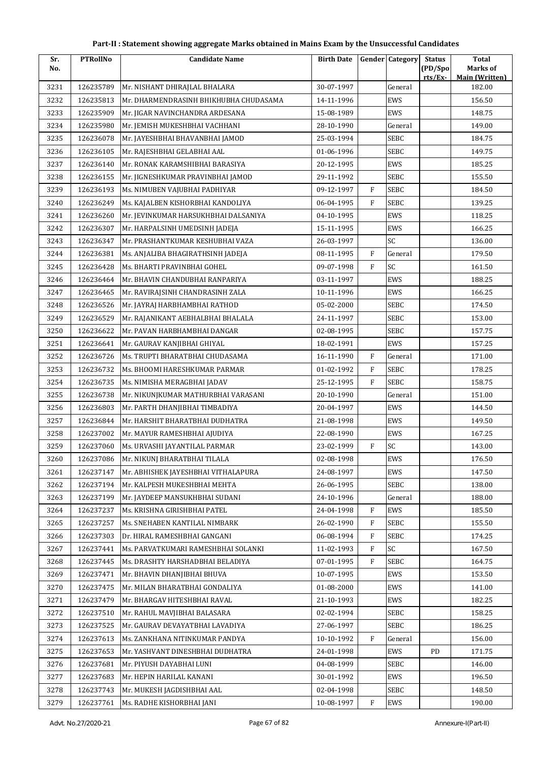| Sr.  | <b>PTRollNo</b> | <b>Candidate Name</b>                  | <b>Birth Date</b> |              | <b>Gender Category</b> | <b>Status</b>     | <b>Total</b>                      |
|------|-----------------|----------------------------------------|-------------------|--------------|------------------------|-------------------|-----------------------------------|
| No.  |                 |                                        |                   |              |                        | (PD/Spo<br>rts/Ex | Marks of<br><b>Main (Written)</b> |
| 3231 | 126235789       | Mr. NISHANT DHIRAJLAL BHALARA          | 30-07-1997        |              | General                |                   | 182.00                            |
| 3232 | 126235813       | Mr. DHARMENDRASINH BHIKHUBHA CHUDASAMA | 14-11-1996        |              | EWS                    |                   | 156.50                            |
| 3233 | 126235909       | Mr. JIGAR NAVINCHANDRA ARDESANA        | 15-08-1989        |              | EWS                    |                   | 148.75                            |
| 3234 | 126235980       | Mr. JEMISH MUKESHBHAI VACHHANI         | 28-10-1990        |              | General                |                   | 149.00                            |
| 3235 | 126236078       | Mr. JAYESHBHAI BHAVANBHAI JAMOD        | 25-03-1994        |              | SEBC                   |                   | 184.75                            |
| 3236 | 126236105       | Mr. RAJESHBHAI GELABHAI AAL            | 01-06-1996        |              | <b>SEBC</b>            |                   | 149.75                            |
| 3237 | 126236140       | Mr. RONAK KARAMSHIBHAI BARASIYA        | 20-12-1995        |              | EWS                    |                   | 185.25                            |
| 3238 | 126236155       | Mr. JIGNESHKUMAR PRAVINBHAI JAMOD      | 29-11-1992        |              | <b>SEBC</b>            |                   | 155.50                            |
| 3239 | 126236193       | Ms. NIMUBEN VAJUBHAI PADHIYAR          | 09-12-1997        | F            | SEBC                   |                   | 184.50                            |
| 3240 | 126236249       | Ms. KAJALBEN KISHORBHAI KANDOLIYA      | 06-04-1995        | F            | <b>SEBC</b>            |                   | 139.25                            |
| 3241 | 126236260       | Mr. JEVINKUMAR HARSUKHBHAI DALSANIYA   | 04-10-1995        |              | EWS                    |                   | 118.25                            |
| 3242 | 126236307       | Mr. HARPALSINH UMEDSINH JADEJA         | 15-11-1995        |              | EWS                    |                   | 166.25                            |
| 3243 | 126236347       | Mr. PRASHANTKUMAR KESHUBHAI VAZA       | 26-03-1997        |              | SC                     |                   | 136.00                            |
| 3244 | 126236381       | Ms. ANJALIBA BHAGIRATHSINH JADEJA      | 08-11-1995        | F            | General                |                   | 179.50                            |
| 3245 | 126236428       | Ms. BHARTI PRAVINBHAI GOHEL            | 09-07-1998        | $\mathbf{F}$ | SC                     |                   | 161.50                            |
| 3246 | 126236464       | Mr. BHAVIN CHANDUBHAI RANPARIYA        | 03-11-1997        |              | EWS                    |                   | 188.25                            |
| 3247 | 126236465       | Mr. RAVIRAJSINH CHANDRASINH ZALA       | 10-11-1996        |              | EWS                    |                   | 166.25                            |
| 3248 | 126236526       | Mr. JAYRAJ HARBHAMBHAI RATHOD          | 05-02-2000        |              | <b>SEBC</b>            |                   | 174.50                            |
| 3249 | 126236529       | Mr. RAJANIKANT AEBHALBHAI BHALALA      | 24-11-1997        |              | <b>SEBC</b>            |                   | 153.00                            |
| 3250 | 126236622       | Mr. PAVAN HARBHAMBHAI DANGAR           | 02-08-1995        |              | <b>SEBC</b>            |                   | 157.75                            |
| 3251 | 126236641       | Mr. GAURAV KANJIBHAI GHIYAL            | 18-02-1991        |              | EWS                    |                   | 157.25                            |
| 3252 | 126236726       | Ms. TRUPTI BHARATBHAI CHUDASAMA        | 16-11-1990        | F            | General                |                   | 171.00                            |
| 3253 | 126236732       | Ms. BHOOMI HARESHKUMAR PARMAR          | 01-02-1992        | F            | SEBC                   |                   | 178.25                            |
| 3254 | 126236735       | Ms. NIMISHA MERAGBHAI JADAV            | 25-12-1995        | F            | <b>SEBC</b>            |                   | 158.75                            |
| 3255 | 126236738       | Mr. NIKUNJKUMAR MATHURBHAI VARASANI    | 20-10-1990        |              | General                |                   | 151.00                            |
| 3256 | 126236803       | Mr. PARTH DHANJIBHAI TIMBADIYA         | 20-04-1997        |              | EWS                    |                   | 144.50                            |
| 3257 | 126236844       | Mr. HARSHIT BHARATBHAI DUDHATRA        | 21-08-1998        |              | EWS                    |                   | 149.50                            |
| 3258 | 126237002       | Mr. MAYUR RAMESHBHAI AJUDIYA           | 22-08-1990        |              | EWS                    |                   | 167.25                            |
| 3259 | 126237060       | Ms. URVASHI JAYANTILAL PARMAR          | 23-02-1999        | F            | SC                     |                   | 143.00                            |
| 3260 | 126237086       | Mr. NIKUNJ BHARATBHAI TILALA           | 02-08-1998        |              | EWS                    |                   | 176.50                            |
| 3261 | 126237147       | Mr. ABHISHEK JAYESHBHAI VITHALAPURA    | 24-08-1997        |              | EWS                    |                   | 147.50                            |
| 3262 | 126237194       | Mr. KALPESH MUKESHBHAI MEHTA           | 26-06-1995        |              | SEBC                   |                   | 138.00                            |
| 3263 | 126237199       | Mr. JAYDEEP MANSUKHBHAI SUDANI         | 24-10-1996        |              | General                |                   | 188.00                            |
| 3264 | 126237237       | Ms. KRISHNA GIRISHBHAI PATEL           | 24-04-1998        | F            | EWS                    |                   | 185.50                            |
| 3265 | 126237257       | Ms. SNEHABEN KANTILAL NIMBARK          | 26-02-1990        | ${\rm F}$    | <b>SEBC</b>            |                   | 155.50                            |
| 3266 | 126237303       | Dr. HIRAL RAMESHBHAI GANGANI           | 06-08-1994        | F            | SEBC                   |                   | 174.25                            |
| 3267 | 126237441       | Ms. PARVATKUMARI RAMESHBHAI SOLANKI    | 11-02-1993        | F            | SC                     |                   | 167.50                            |
| 3268 | 126237445       | Ms. DRASHTY HARSHADBHAI BELADIYA       | 07-01-1995        | F            | <b>SEBC</b>            |                   | 164.75                            |
| 3269 | 126237471       | Mr. BHAVIN DHANJIBHAI BHUVA            | 10-07-1995        |              | EWS                    |                   | 153.50                            |
| 3270 | 126237475       | Mr. MILAN BHARATBHAI GONDALIYA         | 01-08-2000        |              | EWS                    |                   | 141.00                            |
| 3271 | 126237479       | Mr. BHARGAV HITESHBHAI RAVAL           | 21-10-1993        |              | EWS                    |                   | 182.25                            |
| 3272 | 126237510       | Mr. RAHUL MAVJIBHAI BALASARA           | 02-02-1994        |              | SEBC                   |                   | 158.25                            |
| 3273 | 126237525       | Mr. GAURAV DEVAYATBHAI LAVADIYA        | 27-06-1997        |              | <b>SEBC</b>            |                   | 186.25                            |
| 3274 | 126237613       | Ms. ZANKHANA NITINKUMAR PANDYA         | 10-10-1992        | F            | General                |                   | 156.00                            |
| 3275 | 126237653       | Mr. YASHVANT DINESHBHAI DUDHATRA       | 24-01-1998        |              | EWS                    | PD                | 171.75                            |
| 3276 | 126237681       | Mr. PIYUSH DAYABHAI LUNI               | 04-08-1999        |              | <b>SEBC</b>            |                   | 146.00                            |
| 3277 | 126237683       | Mr. HEPIN HARILAL KANANI               | 30-01-1992        |              | EWS                    |                   | 196.50                            |
| 3278 | 126237743       | Mr. MUKESH JAGDISHBHAI AAL             | 02-04-1998        |              | <b>SEBC</b>            |                   | 148.50                            |
| 3279 | 126237761       | Ms. RADHE KISHORBHAI JANI              | 10-08-1997        | F            | EWS                    |                   | 190.00                            |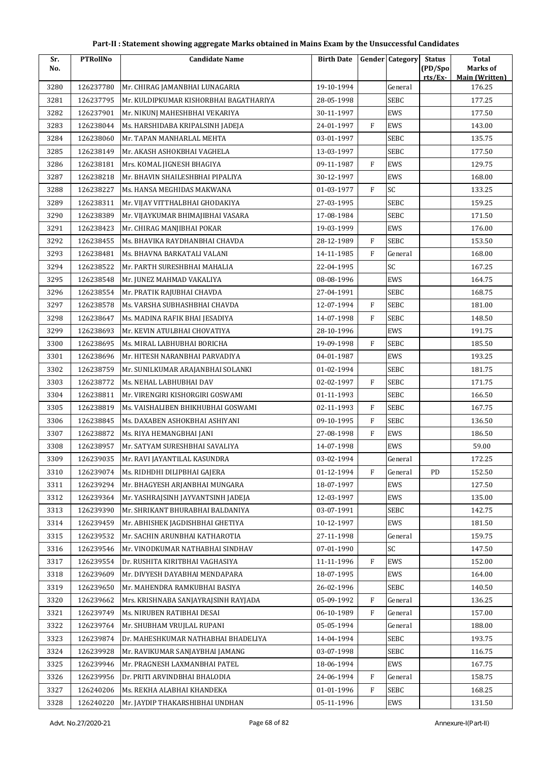| Part-II : Statement showing aggregate Marks obtained in Mains Exam by the Unsuccessful Candidates |  |
|---------------------------------------------------------------------------------------------------|--|
|---------------------------------------------------------------------------------------------------|--|

| Sr.  | <b>PTRollNo</b> | <b>Candidate Name</b>                  | <b>Birth Date</b> |              | Gender Category | <b>Status</b>       | Total                             |
|------|-----------------|----------------------------------------|-------------------|--------------|-----------------|---------------------|-----------------------------------|
| No.  |                 |                                        |                   |              |                 | (PD/Spo)<br>rts/Ex- | Marks of<br><b>Main (Written)</b> |
| 3280 | 126237780       | Mr. CHIRAG JAMANBHAI LUNAGARIA         | 19-10-1994        |              | General         |                     | 176.25                            |
| 3281 | 126237795       | Mr. KULDIPKUMAR KISHORBHAI BAGATHARIYA | 28-05-1998        |              | SEBC            |                     | 177.25                            |
| 3282 | 126237901       | Mr. NIKUNJ MAHESHBHAI VEKARIYA         | 30-11-1997        |              | EWS             |                     | 177.50                            |
| 3283 | 126238044       | Ms. HARSHIDABA KRIPALSINH JADEJA       | 24-01-1997        | $\mathbf{F}$ | EWS             |                     | 143.00                            |
| 3284 | 126238060       | Mr. TAPAN MANHARLAL MEHTA              | 03-01-1997        |              | SEBC            |                     | 135.75                            |
| 3285 | 126238149       | Mr. AKASH ASHOKBHAI VAGHELA            | 13-03-1997        |              | <b>SEBC</b>     |                     | 177.50                            |
| 3286 | 126238181       | Mrs. KOMAL JIGNESH BHAGIYA             | 09-11-1987        | F            | EWS             |                     | 129.75                            |
| 3287 | 126238218       | Mr. BHAVIN SHAILESHBHAI PIPALIYA       | 30-12-1997        |              | EWS             |                     | 168.00                            |
| 3288 | 126238227       | Ms. HANSA MEGHIDAS MAKWANA             | 01-03-1977        | $\mathbf{F}$ | SC              |                     | 133.25                            |
| 3289 | 126238311       | Mr. VIJAY VITTHALBHAI GHODAKIYA        | 27-03-1995        |              | <b>SEBC</b>     |                     | 159.25                            |
| 3290 | 126238389       | Mr. VIJAYKUMAR BHIMAJIBHAI VASARA      | 17-08-1984        |              | SEBC            |                     | 171.50                            |
| 3291 | 126238423       | Mr. CHIRAG MANJIBHAI POKAR             | 19-03-1999        |              | EWS             |                     | 176.00                            |
| 3292 | 126238455       | Ms. BHAVIKA RAYDHANBHAI CHAVDA         | 28-12-1989        | $\rm F$      | <b>SEBC</b>     |                     | 153.50                            |
| 3293 | 126238481       | Ms. BHAVNA BARKATALI VALANI            | 14-11-1985        | $\mathbf{F}$ | General         |                     | 168.00                            |
| 3294 | 126238522       | Mr. PARTH SURESHBHAI MAHALIA           | 22-04-1995        |              | SC              |                     | 167.25                            |
| 3295 | 126238548       | Mr. JUNEZ MAHMAD VAKALIYA              | 08-08-1996        |              | EWS             |                     | 164.75                            |
| 3296 | 126238554       | Mr. PRATIK RAJUBHAI CHAVDA             | 27-04-1991        |              | <b>SEBC</b>     |                     | 168.75                            |
| 3297 | 126238578       | Ms. VARSHA SUBHASHBHAI CHAVDA          | 12-07-1994        | $\mathbf{F}$ | SEBC            |                     | 181.00                            |
| 3298 | 126238647       | Ms. MADINA RAFIK BHAI JESADIYA         | 14-07-1998        | F            | SEBC            |                     | 148.50                            |
| 3299 | 126238693       | Mr. KEVIN ATULBHAI CHOVATIYA           | 28-10-1996        |              | EWS             |                     | 191.75                            |
| 3300 | 126238695       | Ms. MIRAL LABHUBHAI BORICHA            | 19-09-1998        | $\mathbf{F}$ | SEBC            |                     | 185.50                            |
| 3301 | 126238696       | Mr. HITESH NARANBHAI PARVADIYA         | 04-01-1987        |              | EWS             |                     | 193.25                            |
| 3302 | 126238759       | Mr. SUNILKUMAR ARAJANBHAI SOLANKI      | 01-02-1994        |              | SEBC            |                     | 181.75                            |
| 3303 | 126238772       | Ms. NEHAL LABHUBHAI DAV                | 02-02-1997        | $\mathbf{F}$ | SEBC            |                     | 171.75                            |
| 3304 | 126238811       | Mr. VIRENGIRI KISHORGIRI GOSWAMI       | 01-11-1993        |              | SEBC            |                     | 166.50                            |
| 3305 | 126238819       | Ms. VAISHALIBEN BHIKHUBHAI GOSWAMI     | 02-11-1993        | $\rm F$      | SEBC            |                     | 167.75                            |
| 3306 | 126238845       | Ms. DAXABEN ASHOKBHAI ASHIYANI         | 09-10-1995        | $\mathbf{F}$ | SEBC            |                     | 136.50                            |
| 3307 | 126238872       | Ms. RIYA HEMANGBHAI JANI               | 27-08-1998        | $\mathbf{F}$ | EWS             |                     | 186.50                            |
| 3308 | 126238957       | Mr. SATYAM SURESHBHAI SAVALIYA         | 14-07-1998        |              | EWS             |                     | 59.00                             |
| 3309 | 126239035       | Mr. RAVI JAYANTILAL KASUNDRA           | 03-02-1994        |              | General         |                     | 172.25                            |
| 3310 | 126239074       | Ms. RIDHDHI DILIPBHAI GAJERA           | 01-12-1994        | F            | General         | PD                  | 152.50                            |
| 3311 | 126239294       | Mr. BHAGYESH ARJANBHAI MUNGARA         | 18-07-1997        |              | EWS             |                     | 127.50                            |
| 3312 | 126239364       | Mr. YASHRAJSINH JAYVANTSINH JADEJA     | 12-03-1997        |              | EWS             |                     | 135.00                            |
| 3313 | 126239390       | Mr. SHRIKANT BHURABHAI BALDANIYA       | 03-07-1991        |              | SEBC            |                     | 142.75                            |
| 3314 | 126239459       | Mr. ABHISHEK JAGDISHBHAI GHETIYA       | 10-12-1997        |              | EWS             |                     | 181.50                            |
| 3315 | 126239532       | Mr. SACHIN ARUNBHAI KATHAROTIA         | 27-11-1998        |              | General         |                     | 159.75                            |
| 3316 | 126239546       | Mr. VINODKUMAR NATHABHAI SINDHAV       | 07-01-1990        |              | SC              |                     | 147.50                            |
| 3317 | 126239554       | Dr. RUSHITA KIRITBHAI VAGHASIYA        | 11-11-1996        | F            | EWS             |                     | 152.00                            |
| 3318 | 126239609       | Mr. DIVYESH DAYABHAI MENDAPARA         | 18-07-1995        |              | EWS             |                     | 164.00                            |
| 3319 | 126239650       | Mr. MAHENDRA RAMKUBHAI BASIYA          | 26-02-1996        |              | SEBC            |                     | 140.50                            |
| 3320 | 126239662       | Mrs. KRISHNABA SANJAYRAJSINH RAYJADA   | 05-09-1992        | F            | General         |                     | 136.25                            |
| 3321 | 126239749       | Ms. NIRUBEN RATIBHAI DESAI             | 06-10-1989        | F            | General         |                     | 157.00                            |
| 3322 | 126239764       | Mr. SHUBHAM VRUJLAL RUPANI             | 05-05-1994        |              | General         |                     | 188.00                            |
| 3323 | 126239874       | Dr. MAHESHKUMAR NATHABHAI BHADELIYA    | 14-04-1994        |              | SEBC            |                     | 193.75                            |
| 3324 | 126239928       | Mr. RAVIKUMAR SANJAYBHAI JAMANG        | 03-07-1998        |              | SEBC            |                     | 116.75                            |
| 3325 | 126239946       | Mr. PRAGNESH LAXMANBHAI PATEL          | 18-06-1994        |              | EWS             |                     | 167.75                            |
| 3326 | 126239956       | Dr. PRITI ARVINDBHAI BHALODIA          | 24-06-1994        | F            | General         |                     | 158.75                            |
| 3327 | 126240206       | Ms. REKHA ALABHAI KHANDEKA             | 01-01-1996        | $\rm F$      | SEBC            |                     | 168.25                            |
| 3328 | 126240220       | Mr. JAYDIP THAKARSHIBHAI UNDHAN        | 05-11-1996        |              | EWS             |                     | 131.50                            |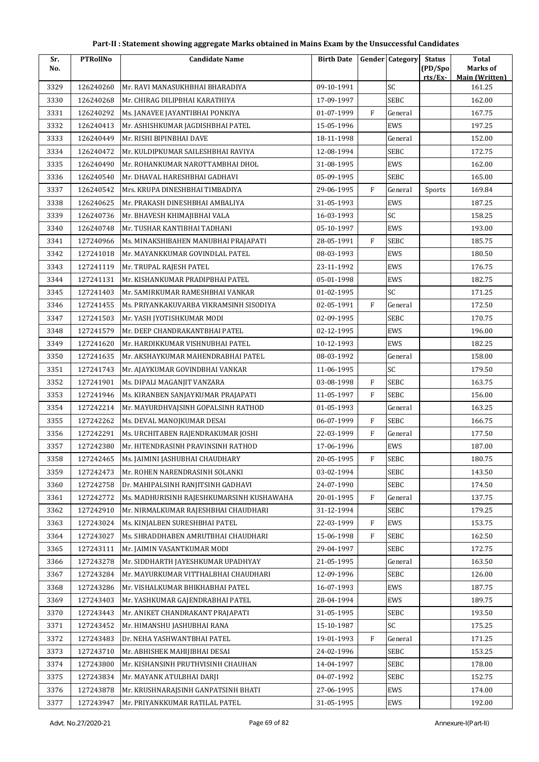| Sr.  | <b>PTRollNo</b> | <b>Candidate Name</b>                     | <b>Birth Date</b> |           | <b>Gender Category</b> | <b>Status</b>      | <b>Total</b>                      |
|------|-----------------|-------------------------------------------|-------------------|-----------|------------------------|--------------------|-----------------------------------|
| No.  |                 |                                           |                   |           |                        | (PD/Spo<br>rts/Ex- | Marks of<br><b>Main (Written)</b> |
| 3329 | 126240260       | Mr. RAVI MANASUKHBHAI BHARADIYA           | 09-10-1991        |           | SC                     |                    | 161.25                            |
| 3330 | 126240268       | Mr. CHIRAG DILIPBHAI KARATHIYA            | 17-09-1997        |           | <b>SEBC</b>            |                    | 162.00                            |
| 3331 | 126240292       | Ms. JANAVEE JAYANTIBHAI PONKIYA           | 01-07-1999        | F         | General                |                    | 167.75                            |
| 3332 | 126240413       | Mr. ASHISHKUMAR JAGDISHBHAI PATEL         | 15-05-1996        |           | EWS                    |                    | 197.25                            |
| 3333 | 126240449       | Mr. RISHI BIPINBHAI DAVE                  | 18-11-1998        |           | General                |                    | 152.00                            |
| 3334 | 126240472       | Mr. KULDIPKUMAR SAILESHBHAI RAVIYA        | 12-08-1994        |           | <b>SEBC</b>            |                    | 172.75                            |
| 3335 | 126240490       | Mr. ROHANKUMAR NAROTTAMBHAI DHOL          | 31-08-1995        |           | EWS                    |                    | 162.00                            |
| 3336 | 126240540       | Mr. DHAVAL HARESHBHAI GADHAVI             | 05-09-1995        |           | <b>SEBC</b>            |                    | 165.00                            |
| 3337 | 126240542       | Mrs. KRUPA DINESHBHAI TIMBADIYA           | 29-06-1995        | F         | General                | Sports             | 169.84                            |
| 3338 | 126240625       | Mr. PRAKASH DINESHBHAI AMBALIYA           | 31-05-1993        |           | EWS                    |                    | 187.25                            |
| 3339 | 126240736       | Mr. BHAVESH KHIMAJIBHAI VALA              | 16-03-1993        |           | SC                     |                    | 158.25                            |
| 3340 | 126240748       | Mr. TUSHAR KANTIBHAI TADHANI              | 05-10-1997        |           | EWS                    |                    | 193.00                            |
| 3341 | 127240966       | Ms. MINAKSHIBAHEN MANUBHAI PRAJAPATI      | 28-05-1991        | F         | <b>SEBC</b>            |                    | 185.75                            |
| 3342 | 127241018       | Mr. MAYANKKUMAR GOVINDLAL PATEL           | 08-03-1993        |           | EWS                    |                    | 180.50                            |
| 3343 | 127241119       | Mr. TRUPAL RAJESH PATEL                   | 23-11-1992        |           | EWS                    |                    | 176.75                            |
| 3344 | 127241131       | Mr. KISHANKUMAR PRADIPBHAI PATEL          | 05-01-1998        |           | EWS                    |                    | 182.75                            |
| 3345 | 127241403       | Mr. SAMIRKUMAR RAMESHBHAI VANKAR          | 01-02-1995        |           | SC                     |                    | 171.25                            |
| 3346 | 127241455       | Ms. PRIYANKAKUVARBA VIKRAMSINH SISODIYA   | 02-05-1991        | F         | General                |                    | 172.50                            |
| 3347 | 127241503       | Mr. YASH JYOTISHKUMAR MODI                | 02-09-1995        |           | <b>SEBC</b>            |                    | 170.75                            |
| 3348 | 127241579       | Mr. DEEP CHANDRAKANTBHAI PATEL            | 02-12-1995        |           | EWS                    |                    | 196.00                            |
| 3349 | 127241620       | Mr. HARDIKKUMAR VISHNUBHAI PATEL          | 10-12-1993        |           | EWS                    |                    | 182.25                            |
| 3350 | 127241635       | Mr. AKSHAYKUMAR MAHENDRABHAI PATEL        | 08-03-1992        |           | General                |                    | 158.00                            |
| 3351 | 127241743       | Mr. AJAYKUMAR GOVINDBHAI VANKAR           | 11-06-1995        |           | SC                     |                    | 179.50                            |
| 3352 | 127241901       | Ms. DIPALI MAGANJIT VANZARA               | 03-08-1998        | F         | <b>SEBC</b>            |                    | 163.75                            |
| 3353 | 127241946       | Ms. KIRANBEN SANJAYKUMAR PRAJAPATI        | 11-05-1997        | F         | <b>SEBC</b>            |                    | 156.00                            |
| 3354 | 127242214       | Mr. MAYURDHVAISINH GOPALSINH RATHOD       | 01-05-1993        |           | General                |                    | 163.25                            |
| 3355 | 127242262       | Ms. DEVAL MANOJKUMAR DESAI                | 06-07-1999        | F         | SEBC                   |                    | 166.75                            |
| 3356 | 127242291       | Ms. URCHITABEN RAJENDRAKUMAR JOSHI        | 22-03-1999        | F         | General                |                    | 177.50                            |
| 3357 | 127242380       | Mr. HITENDRASINH PRAVINSINH RATHOD        | 17-06-1996        |           | EWS                    |                    | 187.00                            |
| 3358 | 127242465       | Ms. JAIMINI JASHUBHAI CHAUDHARY           | 20-05-1995        | F         | SEBC                   |                    | 180.75                            |
| 3359 | 127242473       | Mr. ROHEN NARENDRASINH SOLANKI            | 03-02-1994        |           | <b>SEBC</b>            |                    | 143.50                            |
| 3360 | 127242758       | Dr. MAHIPALSINH RANJITSINH GADHAVI        | 24-07-1990        |           | SEBC                   |                    | 174.50                            |
| 3361 | 127242772       | Ms. MADHURISINH RAJESHKUMARSINH KUSHAWAHA | 20-01-1995        | F         | General                |                    | 137.75                            |
| 3362 | 127242910       | Mr. NIRMALKUMAR RAJESHBHAI CHAUDHARI      | 31-12-1994        |           | <b>SEBC</b>            |                    | 179.25                            |
| 3363 | 127243024       | Ms. KINJALBEN SURESHBHAI PATEL            | 22-03-1999        | ${\rm F}$ | EWS                    |                    | 153.75                            |
| 3364 | 127243027       | Ms. SHRADDHABEN AMRUTBHAI CHAUDHARI       | 15-06-1998        | F         | <b>SEBC</b>            |                    | 162.50                            |
| 3365 | 127243111       | Mr. JAIMIN VASANTKUMAR MODI               | 29-04-1997        |           | <b>SEBC</b>            |                    | 172.75                            |
| 3366 | 127243278       | Mr. SIDDHARTH JAYESHKUMAR UPADHYAY        | 21-05-1995        |           | General                |                    | 163.50                            |
| 3367 | 127243284       | Mr. MAYURKUMAR VITTHALBHAI CHAUDHARI      | 12-09-1996        |           | <b>SEBC</b>            |                    | 126.00                            |
| 3368 | 127243286       | Mr. VISHALKUMAR BHIKHABHAI PATEL          | 16-07-1993        |           | EWS                    |                    | 187.75                            |
| 3369 | 127243403       | Mr. YASHKUMAR GAJENDRABHAI PATEL          | 28-04-1994        |           | EWS                    |                    | 189.75                            |
| 3370 | 127243443       | Mr. ANIKET CHANDRAKANT PRAJAPATI          | 31-05-1995        |           | SEBC                   |                    | 193.50                            |
| 3371 | 127243452       | Mr. HIMANSHU JASHUBHAI RANA               | 15-10-1987        |           | SC                     |                    | 175.25                            |
| 3372 | 127243483       | Dr. NEHA YASHWANTBHAI PATEL               | 19-01-1993        | F         | General                |                    | 171.25                            |
| 3373 | 127243710       | Mr. ABHISHEK MAHIJIBHAI DESAI             | 24-02-1996        |           | <b>SEBC</b>            |                    | 153.25                            |
| 3374 | 127243800       | Mr. KISHANSINH PRUTHVISINH CHAUHAN        | 14-04-1997        |           | <b>SEBC</b>            |                    | 178.00                            |
| 3375 | 127243834       | Mr. MAYANK ATULBHAI DARJI                 | 04-07-1992        |           | <b>SEBC</b>            |                    | 152.75                            |
| 3376 | 127243878       | Mr. KRUSHNARAJSINH GANPATSINH BHATI       | 27-06-1995        |           | EWS                    |                    | 174.00                            |
| 3377 | 127243947       | Mr. PRIYANKKUMAR RATILAL PATEL            | 31-05-1995        |           | EWS                    |                    | 192.00                            |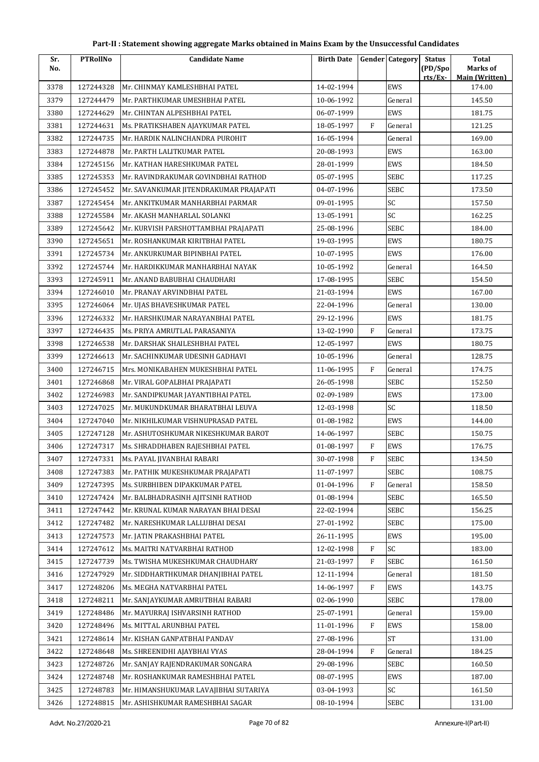| Sr.  | <b>PTRollNo</b> | <b>Candidate Name</b>                  | <b>Birth Date</b> |              | <b>Gender Category</b> | <b>Status</b>      | <b>Total</b>                      |
|------|-----------------|----------------------------------------|-------------------|--------------|------------------------|--------------------|-----------------------------------|
| No.  |                 |                                        |                   |              |                        | (PD/Spo<br>rts/Ex- | Marks of<br><b>Main (Written)</b> |
| 3378 | 127244328       | Mr. CHINMAY KAMLESHBHAI PATEL          | 14-02-1994        |              | EWS                    |                    | 174.00                            |
| 3379 | 127244479       | Mr. PARTHKUMAR UMESHBHAI PATEL         | 10-06-1992        |              | General                |                    | 145.50                            |
| 3380 | 127244629       | Mr. CHINTAN ALPESHBHAI PATEL           | 06-07-1999        |              | EWS                    |                    | 181.75                            |
| 3381 | 127244631       | Ms. PRATIKSHABEN AJAYKUMAR PATEL       | 18-05-1997        | F            | General                |                    | 121.25                            |
| 3382 | 127244735       | Mr. HARDIK NALINCHANDRA PUROHIT        | 16-05-1994        |              | General                |                    | 169.00                            |
| 3383 | 127244878       | Mr. PARTH LALITKUMAR PATEL             | 20-08-1993        |              | EWS                    |                    | 163.00                            |
| 3384 | 127245156       | Mr. KATHAN HARESHKUMAR PATEL           | 28-01-1999        |              | EWS                    |                    | 184.50                            |
| 3385 | 127245353       | Mr. RAVINDRAKUMAR GOVINDBHAI RATHOD    | 05-07-1995        |              | <b>SEBC</b>            |                    | 117.25                            |
| 3386 | 127245452       | Mr. SAVANKUMAR JITENDRAKUMAR PRAJAPATI | 04-07-1996        |              | SEBC                   |                    | 173.50                            |
| 3387 | 127245454       | Mr. ANKITKUMAR MANHARBHAI PARMAR       | 09-01-1995        |              | SC                     |                    | 157.50                            |
| 3388 | 127245584       | Mr. AKASH MANHARLAL SOLANKI            | 13-05-1991        |              | SC                     |                    | 162.25                            |
| 3389 | 127245642       | Mr. KURVISH PARSHOTTAMBHAI PRAJAPATI   | 25-08-1996        |              | <b>SEBC</b>            |                    | 184.00                            |
| 3390 | 127245651       | Mr. ROSHANKUMAR KIRITBHAI PATEL        | 19-03-1995        |              | EWS                    |                    | 180.75                            |
| 3391 | 127245734       | Mr. ANKURKUMAR BIPINBHAI PATEL         | 10-07-1995        |              | EWS                    |                    | 176.00                            |
| 3392 | 127245744       | Mr. HARDIKKUMAR MANHARBHAI NAYAK       | 10-05-1992        |              | General                |                    | 164.50                            |
| 3393 | 127245911       | Mr. ANAND BABUBHAI CHAUDHARI           | 17-08-1995        |              | SEBC                   |                    | 154.50                            |
| 3394 | 127246010       | Mr. PRANAY ARVINDBHAI PATEL            | 21-03-1994        |              | EWS                    |                    | 167.00                            |
| 3395 | 127246064       | Mr. UJAS BHAVESHKUMAR PATEL            | 22-04-1996        |              | General                |                    | 130.00                            |
| 3396 | 127246332       | Mr. HARSHKUMAR NARAYANBHAI PATEL       | 29-12-1996        |              | EWS                    |                    | 181.75                            |
| 3397 | 127246435       | Ms. PRIYA AMRUTLAL PARASANIYA          | 13-02-1990        | F            | General                |                    | 173.75                            |
| 3398 | 127246538       | Mr. DARSHAK SHAILESHBHAI PATEL         | 12-05-1997        |              | EWS                    |                    | 180.75                            |
| 3399 | 127246613       | Mr. SACHINKUMAR UDESINH GADHAVI        | 10-05-1996        |              | General                |                    | 128.75                            |
| 3400 | 127246715       | Mrs. MONIKABAHEN MUKESHBHAI PATEL      | 11-06-1995        | F            | General                |                    | 174.75                            |
| 3401 | 127246868       | Mr. VIRAL GOPALBHAI PRAJAPATI          | 26-05-1998        |              | <b>SEBC</b>            |                    | 152.50                            |
| 3402 | 127246983       | Mr. SANDIPKUMAR JAYANTIBHAI PATEL      | 02-09-1989        |              | EWS                    |                    | 173.00                            |
| 3403 | 127247025       | Mr. MUKUNDKUMAR BHARATBHAI LEUVA       | 12-03-1998        |              | SC                     |                    | 118.50                            |
| 3404 | 127247040       | Mr. NIKHILKUMAR VISHNUPRASAD PATEL     | 01-08-1982        |              | EWS                    |                    | 144.00                            |
| 3405 | 127247128       | Mr. ASHUTOSHKUMAR NIKESHKUMAR BAROT    | 14-06-1997        |              | <b>SEBC</b>            |                    | 150.75                            |
| 3406 | 127247317       | Ms. SHRADDHABEN RAJESHBHAI PATEL       | 01-08-1997        | ${\rm F}$    | EWS                    |                    | 176.75                            |
| 3407 | 127247331       | Ms. PAYAL JIVANBHAI RABARI             | 30-07-1998        | $\mathbf{F}$ | SEBC                   |                    | 134.50                            |
| 3408 | 127247383       | Mr. PATHIK MUKESHKUMAR PRAJAPATI       | 11-07-1997        |              | <b>SEBC</b>            |                    | 108.75                            |
| 3409 | 127247395       | Ms. SURBHIBEN DIPAKKUMAR PATEL         | 01-04-1996        | $\rm F$      | General                |                    | 158.50                            |
| 3410 | 127247424       | Mr. BALBHADRASINH AJITSINH RATHOD      | 01-08-1994        |              | <b>SEBC</b>            |                    | 165.50                            |
| 3411 | 127247442       | Mr. KRUNAL KUMAR NARAYAN BHAI DESAI    | 22-02-1994        |              | <b>SEBC</b>            |                    | 156.25                            |
| 3412 | 127247482       | Mr. NARESHKUMAR LALLUBHAI DESAI        | 27-01-1992        |              | <b>SEBC</b>            |                    | 175.00                            |
| 3413 | 127247573       | Mr. JATIN PRAKASHBHAI PATEL            | 26-11-1995        |              | EWS                    |                    | 195.00                            |
| 3414 | 127247612       | Ms. MAITRI NATVARBHAI RATHOD           | 12-02-1998        | F            | SC                     |                    | 183.00                            |
| 3415 | 127247739       | Ms. TWISHA MUKESHKUMAR CHAUDHARY       | 21-03-1997        | F            | <b>SEBC</b>            |                    | 161.50                            |
| 3416 | 127247929       | Mr. SIDDHARTHKUMAR DHANJIBHAI PATEL    | 12-11-1994        |              | General                |                    | 181.50                            |
| 3417 | 127248206       | Ms. MEGHA NATVARBHAI PATEL             | 14-06-1997        | ${\rm F}$    | EWS                    |                    | 143.75                            |
| 3418 | 127248211       | Mr. SANJAYKUMAR AMRUTBHAI RABARI       | 02-06-1990        |              | <b>SEBC</b>            |                    | 178.00                            |
| 3419 | 127248486       | Mr. MAYURRAJ ISHVARSINH RATHOD         | 25-07-1991        |              | General                |                    | 159.00                            |
| 3420 | 127248496       | Ms. MITTAL ARUNBHAI PATEL              | 11-01-1996        | F            | EWS                    |                    | 158.00                            |
| 3421 | 127248614       | Mr. KISHAN GANPATBHAI PANDAV           | 27-08-1996        |              | <b>ST</b>              |                    | 131.00                            |
| 3422 | 127248648       | Ms. SHREENIDHI AJAYBHAI VYAS           | 28-04-1994        | F            | General                |                    | 184.25                            |
| 3423 | 127248726       | Mr. SANJAY RAJENDRAKUMAR SONGARA       | 29-08-1996        |              | <b>SEBC</b>            |                    | 160.50                            |
| 3424 | 127248748       | Mr. ROSHANKUMAR RAMESHBHAI PATEL       | 08-07-1995        |              | EWS                    |                    | 187.00                            |
| 3425 | 127248783       | Mr. HIMANSHUKUMAR LAVAJIBHAI SUTARIYA  | 03-04-1993        |              | SC                     |                    | 161.50                            |
| 3426 | 127248815       | Mr. ASHISHKUMAR RAMESHBHAI SAGAR       | 08-10-1994        |              | <b>SEBC</b>            |                    | 131.00                            |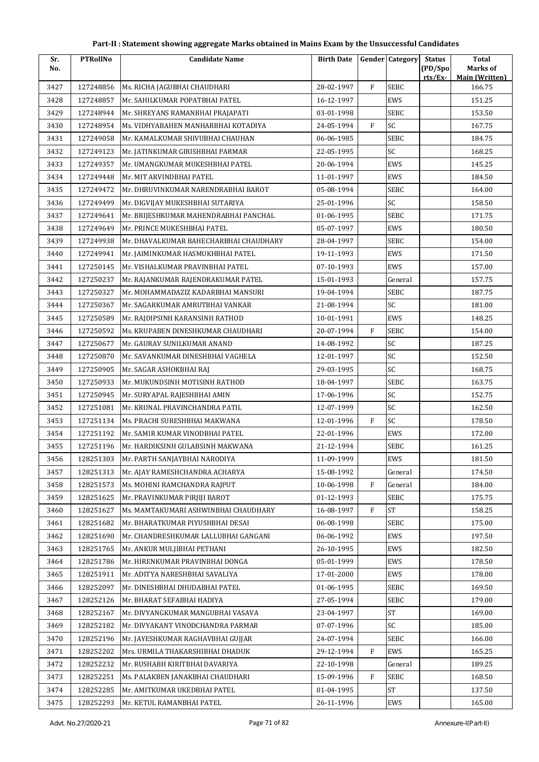| Sr.  | <b>PTRollNo</b> | <b>Candidate Name</b>                  | <b>Birth Date</b> |              | <b>Gender Category</b> | <b>Status</b>      | <b>Total</b>               |
|------|-----------------|----------------------------------------|-------------------|--------------|------------------------|--------------------|----------------------------|
| No.  |                 |                                        |                   |              |                        | (PD/Spo<br>rts/Ex- | Marks of<br>Main (Written) |
| 3427 | 127248856       | Ms. RICHA JAGUBHAI CHAUDHARI           | 28-02-1997        | $\mathbf{F}$ | <b>SEBC</b>            |                    | 166.75                     |
| 3428 | 127248857       | Mr. SAHILKUMAR POPATBHAI PATEL         | 16-12-1997        |              | EWS                    |                    | 151.25                     |
| 3429 | 127248944       | Mr. SHREYANS RAMANBHAI PRAJAPATI       | 03-01-1998        |              | SEBC                   |                    | 153.50                     |
| 3430 | 127248954       | Ms. VIDHYABAHEN MANHARBHAI KOTADIYA    | 24-05-1994        | $\mathbf{F}$ | SC                     |                    | 167.75                     |
| 3431 | 127249058       | Mr. KAMALKUMAR SHIVUBHAI CHAUHAN       | 06-06-1985        |              | SEBC                   |                    | 184.75                     |
| 3432 | 127249123       | Mr. JATINKUMAR GIRISHBHAI PARMAR       | 22-05-1995        |              | SC                     |                    | 168.25                     |
| 3433 | 127249357       | Mr. UMANGKUMAR MUKESHBHAI PATEL        | 20-06-1994        |              | EWS                    |                    | 145.25                     |
| 3434 | 127249448       | Mr. MIT ARVINDBHAI PATEL               | 11-01-1997        |              | EWS                    |                    | 184.50                     |
| 3435 | 127249472       | Mr. DHRUVINKUMAR NARENDRABHAI BAROT    | 05-08-1994        |              | SEBC                   |                    | 164.00                     |
| 3436 | 127249499       | Mr. DIGVIJAY MUKESHBHAI SUTARIYA       | 25-01-1996        |              | SC                     |                    | 158.50                     |
| 3437 | 127249641       | Mr. BRIJESHKUMAR MAHENDRABHAI PANCHAL  | 01-06-1995        |              | SEBC                   |                    | 171.75                     |
| 3438 | 127249649       | Mr. PRINCE MUKESHBHAI PATEL            | 05-07-1997        |              | EWS                    |                    | 180.50                     |
| 3439 | 127249938       | Mr. DHAVALKUMAR BAHECHARBHAI CHAUDHARY | 28-04-1997        |              | SEBC                   |                    | 154.00                     |
| 3440 | 127249941       | Mr. JAIMINKUMAR HASMUKHBHAI PATEL      | 19-11-1993        |              | EWS                    |                    | 171.50                     |
| 3441 | 127250145       | Mr. VISHALKUMAR PRAVINBHAI PATEL       | 07-10-1993        |              | EWS                    |                    | 157.00                     |
| 3442 | 127250237       | Mr. RAJANKUMAR RAJENDRAKUMAR PATEL     | 15-01-1993        |              | General                |                    | 157.75                     |
| 3443 | 127250327       | Mr. MOHAMMADAZIZ KADARBHAI MANSURI     | 19-04-1994        |              | SEBC                   |                    | 187.75                     |
| 3444 | 127250367       | Mr. SAGARKUMAR AMRUTBHAI VANKAR        | 21-08-1994        |              | SC                     |                    | 181.00                     |
| 3445 | 127250589       | Mr. RAJDIPSINH KARANSINH RATHOD        | 10-01-1991        |              | EWS                    |                    | 148.25                     |
| 3446 | 127250592       | Ms. KRUPABEN DINESHKUMAR CHAUDHARI     | 20-07-1994        | F            | SEBC                   |                    | 154.00                     |
| 3447 | 127250677       | Mr. GAURAV SUNILKUMAR ANAND            | 14-08-1992        |              | SC                     |                    | 187.25                     |
| 3448 | 127250870       | Mr. SAVANKUMAR DINESHBHAI VAGHELA      | 12-01-1997        |              | SC                     |                    | 152.50                     |
| 3449 | 127250905       | Mr. SAGAR ASHOKBHAI RAJ                | 29-03-1995        |              | SC                     |                    | 168.75                     |
| 3450 | 127250933       | Mr. MUKUNDSINH MOTISINH RATHOD         | 18-04-1997        |              | <b>SEBC</b>            |                    | 163.75                     |
| 3451 | 127250945       | Mr. SURYAPAL RAJESHBHAI AMIN           | 17-06-1996        |              | SC                     |                    | 152.75                     |
| 3452 | 127251081       | Mr. KRUNAL PRAVINCHANDRA PATIL         | 12-07-1999        |              | SC                     |                    | 162.50                     |
| 3453 | 127251134       | Ms. PRACHI SURESHBHAI MAKWANA          | 12-01-1996        | $\mathbf{F}$ | SC                     |                    | 178.50                     |
| 3454 | 127251192       | Mr. SAMIR KUMAR VINODBHAI PATEL        | 22-01-1996        |              | EWS                    |                    | 172.00                     |
| 3455 | 127251196       | Mr. HARDIKSINH GULABSINH MAKWANA       | 21-12-1994        |              | SEBC                   |                    | 161.25                     |
| 3456 | 128251303       | Mr. PARTH SANJAYBHAI NARODIYA          | 11-09-1999        |              | EWS                    |                    | 181.50                     |
| 3457 | 128251313       | Mr. AJAY RAMESHCHANDRA ACHARYA         | 15-08-1992        |              | General                |                    | 174.50                     |
| 3458 | 128251573       | Ms. MOHINI RAMCHANDRA RAJPUT           | 10-06-1998        | $\rm F$      | General                |                    | 184.00                     |
| 3459 | 128251625       | Mr. PRAVINKUMAR PIRJIJI BAROT          | 01-12-1993        |              | SEBC                   |                    | 175.75                     |
| 3460 | 128251627       | Ms. MAMTAKUMARI ASHWINBHAI CHAUDHARY   | 16-08-1997        | F            | <b>ST</b>              |                    | 158.25                     |
| 3461 | 128251682       | Mr. BHARATKUMAR PIYUSHBHAI DESAI       | 06-08-1998        |              | SEBC                   |                    | 175.00                     |
| 3462 | 128251690       | Mr. CHANDRESHKUMAR LALLUBHAI GANGANI   | 06-06-1992        |              | EWS                    |                    | 197.50                     |
| 3463 | 128251765       | Mr. ANKUR MULJIBHAI PETHANI            | 26-10-1995        |              | EWS                    |                    | 182.50                     |
| 3464 | 128251786       | Mr. HIRENKUMAR PRAVINBHAI DONGA        | 05-01-1999        |              | EWS                    |                    | 178.50                     |
| 3465 | 128251911       | Mr. ADITYA NARESHBHAI SAVALIYA         | 17-01-2000        |              | EWS                    |                    | 178.00                     |
| 3466 | 128252097       | Mr. DINESHBHAI DHUDABHAI PATEL         | 01-06-1995        |              | SEBC                   |                    | 169.50                     |
| 3467 | 128252126       | Mr. BHARAT SEFABHAI HADIYA             | 27-05-1994        |              | SEBC                   |                    | 179.00                     |
| 3468 | 128252167       | Mr. DIVYANGKUMAR MANGUBHAI VASAVA      | 23-04-1997        |              | <b>ST</b>              |                    | 169.00                     |
| 3469 | 128252182       | Mr. DIVYAKANT VINODCHANDRA PARMAR      | 07-07-1996        |              | SC                     |                    | 185.00                     |
| 3470 | 128252196       | Mr. JAYESHKUMAR RAGHAVBHAI GUJJAR      | 24-07-1994        |              | SEBC                   |                    | 166.00                     |
| 3471 | 128252202       | Mrs. URMILA THAKARSHIBHAI DHADUK       | 29-12-1994        | F            | EWS                    |                    | 165.25                     |
| 3472 | 128252232       | Mr. RUSHABH KIRITBHAI DAVARIYA         | 22-10-1998        |              | General                |                    | 189.25                     |
| 3473 | 128252251       | Ms. PALAKBEN JANAKBHAI CHAUDHARI       | 15-09-1996        | F            | SEBC                   |                    | 168.50                     |
| 3474 | 128252285       | Mr. AMITKUMAR UKEDBHAI PATEL           | 01-04-1995        |              | <b>ST</b>              |                    | 137.50                     |
| 3475 | 128252293       | Mr. KETUL RAMANBHAI PATEL              | 26-11-1996        |              | EWS                    |                    | 165.00                     |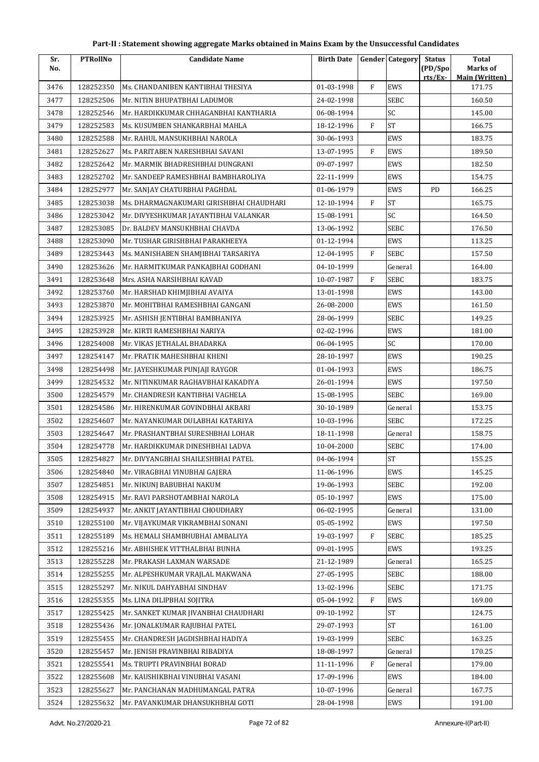| Sr.  | <b>PTRollNo</b> | <b>Candidate Name</b>                    | <b>Birth Date</b> |   | <b>Gender Category</b> | <b>Status</b> | <b>Total</b>                    |
|------|-----------------|------------------------------------------|-------------------|---|------------------------|---------------|---------------------------------|
| No.  |                 |                                          |                   |   |                        | (PD/Spo       | Marks of                        |
| 3476 | 128252350       | Ms. CHANDANIBEN KANTIBHAI THESIYA        | 01-03-1998        | F | EWS                    | rts/Ex        | <b>Main (Written)</b><br>171.75 |
| 3477 | 128252506       | Mr. NITIN BHUPATBHAI LADUMOR             | 24-02-1998        |   | <b>SEBC</b>            |               | 160.50                          |
| 3478 | 128252546       | Mr. HARDIKKUMAR CHHAGANBHAI KANTHARIA    | 06-08-1994        |   | SC                     |               | 145.00                          |
| 3479 | 128252583       | Ms. KUSUMBEN SHANKARBHAI MAHLA           | 18-12-1996        | F | <b>ST</b>              |               | 166.75                          |
| 3480 | 128252588       | Mr. RAHUL MANSUKHBHAI NAROLA             | 30-06-1993        |   | EWS                    |               | 183.75                          |
| 3481 | 128252627       | Ms. PARITABEN NARESHBHAI SAVANI          | 13-07-1995        | F | EWS                    |               | 189.50                          |
| 3482 | 128252642       | Mr. MARMIK BHADRESHBHAI DUNGRANI         | 09-07-1997        |   | EWS                    |               | 182.50                          |
| 3483 | 128252702       | Mr. SANDEEP RAMESHBHAI BAMBHAROLIYA      | 22-11-1999        |   | EWS                    |               | 154.75                          |
| 3484 | 128252977       | Mr. SANJAY CHATURBHAI PAGHDAL            | 01-06-1979        |   | EWS                    | PD            | 166.25                          |
| 3485 | 128253038       | Ms. DHARMAGNAKUMARI GIRISHBHAI CHAUDHARI | 12-10-1994        | F | <b>ST</b>              |               | 165.75                          |
| 3486 | 128253042       | Mr. DIVYESHKUMAR JAYANTIBHAI VALANKAR    | 15-08-1991        |   | SC                     |               | 164.50                          |
| 3487 | 128253085       | Dr. BALDEV MANSUKHBHAI CHAVDA            | 13-06-1992        |   | <b>SEBC</b>            |               | 176.50                          |
| 3488 | 128253090       | Mr. TUSHAR GIRISHBHAI PARAKHEEYA         | 01-12-1994        |   | EWS                    |               | 113.25                          |
| 3489 | 128253443       | Ms. MANISHABEN SHAMJIBHAI TARSARIYA      | 12-04-1995        | F | <b>SEBC</b>            |               | 157.50                          |
| 3490 | 128253626       | Mr. HARMITKUMAR PANKAJBHAI GODHANI       | 04-10-1999        |   | General                |               | 164.00                          |
| 3491 | 128253648       | Mrs. ASHA NARSIHBHAI KAVAD               | 10-07-1987        | F | <b>SEBC</b>            |               | 183.75                          |
| 3492 | 128253760       | Mr. HARSHAD KHIMJIBHAI AVAIYA            | 13-01-1998        |   | EWS                    |               | 143.00                          |
| 3493 | 128253870       | Mr. MOHITBHAI RAMESHBHAI GANGANI         | 26-08-2000        |   | EWS                    |               | 161.50                          |
| 3494 | 128253925       | Mr. ASHISH JENTIBHAI BAMBHANIYA          | 28-06-1999        |   | SEBC                   |               | 149.25                          |
| 3495 | 128253928       | Mr. KIRTI RAMESHBHAI NARIYA              | 02-02-1996        |   | EWS                    |               | 181.00                          |
| 3496 | 128254008       | Mr. VIKAS JETHALAL BHADARKA              | 06-04-1995        |   | SC                     |               | 170.00                          |
| 3497 | 128254147       | Mr. PRATIK MAHESHBHAI KHENI              | 28-10-1997        |   | EWS                    |               | 190.25                          |
| 3498 | 128254498       | Mr. JAYESHKUMAR PUNJAJI RAYGOR           | 01-04-1993        |   | EWS                    |               | 186.75                          |
| 3499 | 128254532       | Mr. NITINKUMAR RAGHAVBHAI KAKADIYA       | 26-01-1994        |   | EWS                    |               | 197.50                          |
| 3500 | 128254579       | Mr. CHANDRESH KANTIBHAI VAGHELA          | 15-08-1995        |   | <b>SEBC</b>            |               | 169.00                          |
| 3501 | 128254586       | Mr. HIRENKUMAR GOVINDBHAI AKBARI         | 30-10-1989        |   | General                |               | 153.75                          |
| 3502 | 128254607       | Mr. NAYANKUMAR DULABHAI KATARIYA         | 10-03-1996        |   | <b>SEBC</b>            |               | 172.25                          |
| 3503 | 128254647       | Mr. PRASHANTBHAI SURESHBHAI LOHAR        | 18-11-1998        |   | General                |               | 158.75                          |
| 3504 | 128254778       | Mr. HARDIKKUMAR DINESHBHAI LADVA         | 10-04-2000        |   | <b>SEBC</b>            |               | 174.00                          |
| 3505 | 128254827       | Mr. DIVYANGBHAI SHAILESHBHAI PATEL       | 04-06-1994        |   | $\mbox{ST}$            |               | 155.25                          |
| 3506 | 128254840       | Mr. VIRAGBHAI VINUBHAI GAJERA            | 11-06-1996        |   | EWS                    |               | 145.25                          |
| 3507 | 128254851       | Mr. NIKUNI BABUBHAI NAKUM                | 19-06-1993        |   | <b>SEBC</b>            |               | 192.00                          |
| 3508 | 128254915       | Mr. RAVI PARSHOTAMBHAI NAROLA            | 05-10-1997        |   | EWS                    |               | 175.00                          |
| 3509 | 128254937       | Mr. ANKIT JAYANTIBHAI CHOUDHARY          | 06-02-1995        |   | General                |               | 131.00                          |
| 3510 | 128255100       | Mr. VIJAYKUMAR VIKRAMBHAI SONANI         | 05-05-1992        |   | EWS                    |               | 197.50                          |
| 3511 | 128255189       | Ms. HEMALI SHAMBHUBHAI AMBALIYA          | 19-03-1997        | F | <b>SEBC</b>            |               | 185.25                          |
| 3512 | 128255216       | Mr. ABHISHEK VITTHALBHAI BUNHA           | 09-01-1995        |   | EWS                    |               | 193.25                          |
| 3513 | 128255228       | Mr. PRAKASH LAXMAN WARSADE               | 21-12-1989        |   | General                |               | 165.25                          |
| 3514 | 128255255       | Mr. ALPESHKUMAR VRAJLAL MAKWANA          | 27-05-1995        |   | <b>SEBC</b>            |               | 188.00                          |
| 3515 | 128255297       | Mr. NIKUL DAHYABHAI SINDHAV              | 13-02-1996        |   | <b>SEBC</b>            |               | 171.75                          |
| 3516 | 128255355       | Ms. LINA DILIPBHAI SOJITRA               | 05-04-1992        | F | EWS                    |               | 169.00                          |
| 3517 | 128255425       | Mr. SANKET KUMAR JIVANBHAI CHAUDHARI     | 09-10-1992        |   | <b>ST</b>              |               | 124.75                          |
| 3518 | 128255436       | Mr. JONALKUMAR RAJUBHAI PATEL            | 29-07-1993        |   | ST                     |               | 161.00                          |
| 3519 | 128255455       | Mr. CHANDRESH JAGDISHBHAI HADIYA         | 19-03-1999        |   | SEBC                   |               | 163.25                          |
| 3520 | 128255457       | Mr. JENISH PRAVINBHAI RIBADIYA           | 18-08-1997        |   | General                |               | 170.25                          |
| 3521 | 128255541       | Ms. TRUPTI PRAVINBHAI BORAD              | 11-11-1996        | F | General                |               | 179.00                          |
| 3522 | 128255608       | Mr. KAUSHIKBHAI VINUBHAI VASANI          | 17-09-1996        |   | EWS                    |               | 184.00                          |
| 3523 | 128255627       | Mr. PANCHANAN MADHUMANGAL PATRA          | 10-07-1996        |   | General                |               | 167.75                          |
| 3524 | 128255632       | Mr. PAVANKUMAR DHANSUKHBHAI GOTI         | 28-04-1998        |   | EWS                    |               | 191.00                          |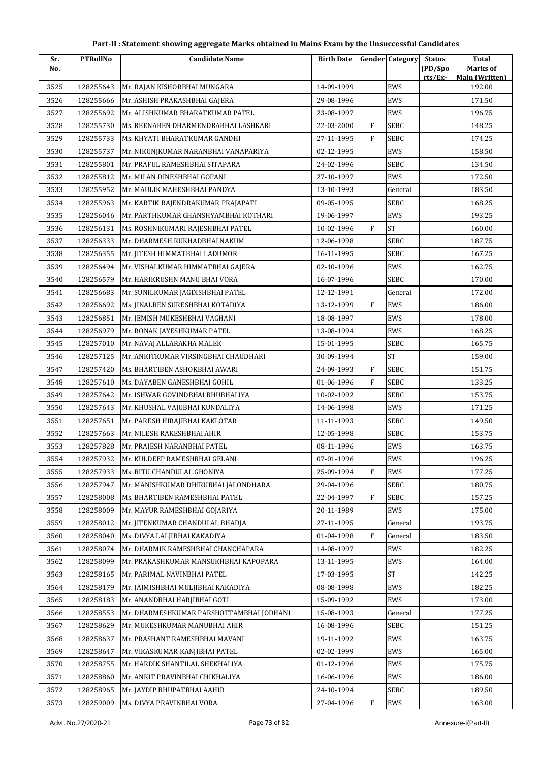| Sr.          | <b>PTRollNo</b>        | <b>Candidate Name</b>                                                     | <b>Birth Date</b>        |              | <b>Gender Category</b> | <b>Status</b> | <b>Total</b>                    |
|--------------|------------------------|---------------------------------------------------------------------------|--------------------------|--------------|------------------------|---------------|---------------------------------|
| No.          |                        |                                                                           |                          |              |                        | (PD/Spo       | Marks of                        |
| 3525         | 128255643              | Mr. RAJAN KISHORBHAI MUNGARA                                              | 14-09-1999               |              | EWS                    | rts/Ex-       | <b>Main (Written)</b><br>192.00 |
| 3526         | 128255666              | Mr. ASHISH PRAKASHBHAI GAJERA                                             | 29-08-1996               |              | EWS                    |               | 171.50                          |
| 3527         | 128255692              | Mr. ALISHKUMAR BHARATKUMAR PATEL                                          | 23-08-1997               |              | EWS                    |               | 196.75                          |
| 3528         | 128255730              | Ms. REENABEN DHARMENDRABHAI LASHKARI                                      | 22-03-2000               | $\rm F$      | SEBC                   |               | 148.25                          |
| 3529         | 128255733              | Ms. KHYATI BHARATKUMAR GANDHI                                             | 27-11-1995               | F            | SEBC                   |               | 174.25                          |
| 3530         | 128255737              | Mr. NIKUNJKUMAR NARANBHAI VANAPARIYA                                      | 02-12-1995               |              | EWS                    |               | 158.50                          |
| 3531         | 128255801              | Mr. PRAFUL RAMESHBHAI SITAPARA                                            | 24-02-1996               |              | <b>SEBC</b>            |               | 134.50                          |
| 3532         | 128255812              | Mr. MILAN DINESHBHAI GOPANI                                               | 27-10-1997               |              | EWS                    |               | 172.50                          |
| 3533         | 128255952              | Mr. MAULIK MAHESHBHAI PANDYA                                              | 13-10-1993               |              | General                |               | 183.50                          |
| 3534         | 128255963              | Mr. KARTIK RAJENDRAKUMAR PRAJAPATI                                        | 09-05-1995               |              | <b>SEBC</b>            |               | 168.25                          |
| 3535         | 128256046              | Mr. PARTHKUMAR GHANSHYAMBHAI KOTHARI                                      | 19-06-1997               |              | EWS                    |               | 193.25                          |
| 3536         | 128256131              | Ms. ROSHNIKUMARI RAJESHBHAI PATEL                                         | 10-02-1996               | F            | <b>ST</b>              |               | 160.00                          |
| 3537         | 128256333              | Mr. DHARMESH RUKHADBHAI NAKUM                                             | 12-06-1998               |              | SEBC                   |               | 187.75                          |
| 3538         | 128256355              | Mr. JITESH HIMMATBHAI LADUMOR                                             | 16-11-1995               |              | SEBC                   |               | 167.25                          |
| 3539         | 128256494              | Mr. VISHALKUMAR HIMMATBHAI GAJERA                                         | 02-10-1996               |              | EWS                    |               | 162.75                          |
| 3540         | 128256579              | Mr. HARIKRUSHN MANU BHAI VORA                                             | 16-07-1996               |              | SEBC                   |               | 170.00                          |
| 3541         | 128256683              | Mr. SUNILKUMAR JAGDISHBHAI PATEL                                          | 12-12-1991               |              | General                |               | 172.00                          |
| 3542         | 128256692              | Ms. JINALBEN SURESHBHAI KOTADIYA                                          | 13-12-1999               | $\mathbf{F}$ | EWS                    |               | 186.00                          |
| 3543         | 128256851              | Mr. JEMISH MUKESHBHAI VAGHANI                                             | 18-08-1997               |              | EWS                    |               | 178.00                          |
| 3544         | 128256979              | Mr. RONAK JAYESHKUMAR PATEL                                               | 13-08-1994               |              | EWS                    |               | 168.25                          |
| 3545         | 128257010              | Mr. NAVAJ ALLARAKHA MALEK                                                 | 15-01-1995               |              | SEBC                   |               | 165.75                          |
| 3546         | 128257125              | Mr. ANKITKUMAR VIRSINGBHAI CHAUDHARI                                      | 30-09-1994               |              | <b>ST</b>              |               | 159.00                          |
| 3547         | 128257420              | Ms. BHARTIBEN ASHOKBHAI AWARI                                             | 24-09-1993               | $\mathbf{F}$ | SEBC                   |               | 151.75                          |
| 3548         | 128257610              | Ms. DAYABEN GANESHBHAI GOHIL                                              | 01-06-1996               | $\mathbf{F}$ | SEBC                   |               | 133.25                          |
| 3549         | 128257642              | Mr. ISHWAR GOVINDBHAI BHUBHALIYA                                          | 10-02-1992               |              | SEBC                   |               | 153.75                          |
| 3550         | 128257643              | Mr. KHUSHAL VAJUBHAI KUNDALIYA                                            | 14-06-1998               |              | EWS                    |               | 171.25                          |
| 3551         | 128257651              | Mr. PARESH HIRAJIBHAI KAKLOTAR                                            | 11-11-1993               |              | SEBC                   |               | 149.50                          |
| 3552         | 128257663              | Mr. NILESH RAKESHBHAI AHIR                                                | 12-05-1998               |              | <b>SEBC</b>            |               | 153.75                          |
| 3553         | 128257828              | Mr. PRAJESH NARANBHAI PATEL                                               | 08-11-1996               |              | EWS                    |               | 163.75                          |
| 3554         | 128257932              | Mr. KULDEEP RAMESHBHAI GELANI                                             | 07-01-1996               |              | EWS                    |               | 196.25                          |
| 3555         | 128257933              | Ms. BITU CHANDULAL GHONIYA                                                | 25-09-1994               | F            | EWS                    |               | 177.25                          |
| 3556         | 128257947              | Mr. MANISHKUMAR DHIRUBHAI JALONDHARA                                      | 29-04-1996               |              | SEBC                   |               | 180.75                          |
| 3557         | 128258008              | Ms. BHARTIBEN RAMESHBHAI PATEL                                            | 22-04-1997               | $\rm F$      | SEBC                   |               | 157.25                          |
| 3558         | 128258009              | Mr. MAYUR RAMESHBHAI GOJARIYA                                             | 20-11-1989               |              | EWS                    |               | 175.00                          |
| 3559         | 128258012              | Mr. JITENKUMAR CHANDULAL BHADJA                                           | 27-11-1995               |              | General                |               | 193.75                          |
| 3560         | 128258040              | Ms. DIVYA LALJIBHAI KAKADIYA                                              | 01-04-1998               | F            | General                |               | 183.50                          |
|              | 128258074              | Mr. DHARMIK RAMESHBHAI CHANCHAPARA                                        |                          |              | EWS                    |               | 182.25                          |
| 3561<br>3562 | 128258099              | Mr. PRAKASHKUMAR MANSUKHBHAI KAPOPARA                                     | 14-08-1997<br>13-11-1995 |              | EWS                    |               | 164.00                          |
| 3563         | 128258165              | Mr. PARIMAL NAVINBHAI PATEL                                               | 17-03-1995               |              | <b>ST</b>              |               | 142.25                          |
| 3564         | 128258179              | Mr. JAIMISHBHAI MULJIBHAI KAKADIYA                                        | 08-08-1998               |              | EWS                    |               | 182.25                          |
|              |                        |                                                                           |                          |              |                        |               |                                 |
| 3565         | 128258183              | Mr. ANANDBHAI HARJIBHAI GOTI                                              | 15-09-1992               |              | EWS<br>General         |               | 173.00<br>177.25                |
| 3566<br>3567 | 128258553<br>128258629 | Mr. DHARMESHKUMAR PARSHOTTAMBHAI JODHANI<br>Mr. MUKESHKUMAR MANUBHAI AHIR | 15-08-1993<br>16-08-1996 |              | SEBC                   |               | 151.25                          |
|              |                        |                                                                           |                          |              |                        |               |                                 |
| 3568         | 128258637              | Mr. PRASHANT RAMESHBHAI MAVANI                                            | 19-11-1992               |              | EWS                    |               | 163.75                          |
| 3569         | 128258647              | Mr. VIKASKUMAR KANJIBHAI PATEL                                            | 02-02-1999               |              | EWS                    |               | 165.00                          |
| 3570         | 128258755              | Mr. HARDIK SHANTILAL SHEKHALIYA                                           | 01-12-1996               |              | EWS                    |               | 175.75                          |
| 3571         | 128258860              | Mr. ANKIT PRAVINBHAI CHIKHALIYA                                           | 16-06-1996               |              | EWS                    |               | 186.00                          |
| 3572         | 128258965              | Mr. JAYDIP BHUPATBHAI AAHIR                                               | 24-10-1994               |              | SEBC                   |               | 189.50                          |
| 3573         | 128259009              | Ms. DIVYA PRAVINBHAI VORA                                                 | 27-04-1996               | F            | EWS                    |               | 163.00                          |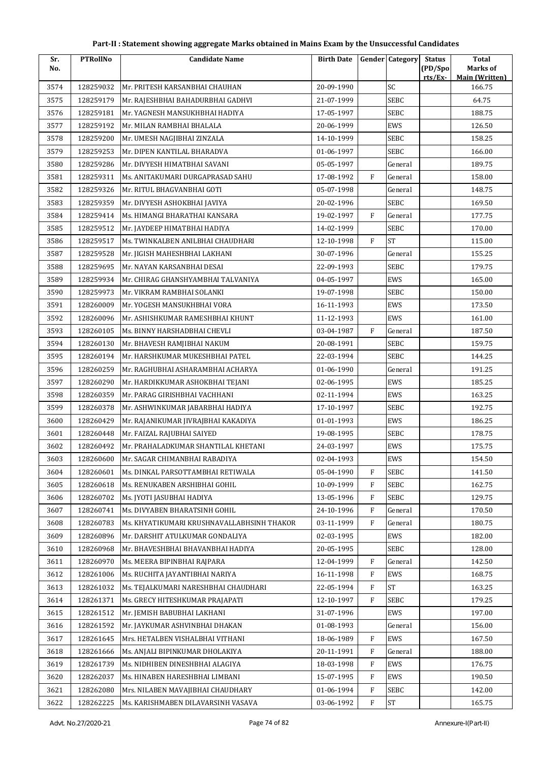| Sr.  | <b>PTRollNo</b> | <b>Candidate Name</b>                      | <b>Birth Date</b> |           | <b>Gender</b> Category | <b>Status</b> | <b>Total</b>                    |
|------|-----------------|--------------------------------------------|-------------------|-----------|------------------------|---------------|---------------------------------|
| No.  |                 |                                            |                   |           |                        | (PD/Spo       | <b>Marks of</b>                 |
| 3574 | 128259032       | Mr. PRITESH KARSANBHAI CHAUHAN             | 20-09-1990        |           | SC                     | rts/Ex        | <b>Main (Written)</b><br>166.75 |
| 3575 | 128259179       | Mr. RAJESHBHAI BAHADURBHAI GADHVI          | 21-07-1999        |           | <b>SEBC</b>            |               | 64.75                           |
| 3576 | 128259181       | Mr. YAGNESH MANSUKHBHAI HADIYA             | 17-05-1997        |           | <b>SEBC</b>            |               | 188.75                          |
| 3577 | 128259192       | Mr. MILAN RAMBHAI BHALALA                  | 20-06-1999        |           | EWS                    |               | 126.50                          |
| 3578 | 128259200       | Mr. UMESH NAGJIBHAI ZINZALA                | 14-10-1999        |           | <b>SEBC</b>            |               | 158.25                          |
| 3579 | 128259253       | Mr. DIPEN KANTILAL BHARADVA                | 01-06-1997        |           | SEBC                   |               | 166.00                          |
| 3580 | 128259286       | Mr. DIVYESH HIMATBHAI SAVANI               | 05-05-1997        |           | General                |               | 189.75                          |
| 3581 | 128259311       | Ms. ANITAKUMARI DURGAPRASAD SAHU           | 17-08-1992        | F         | General                |               | 158.00                          |
| 3582 | 128259326       | Mr. RITUL BHAGVANBHAI GOTI                 | 05-07-1998        |           | General                |               | 148.75                          |
| 3583 | 128259359       | Mr. DIVYESH ASHOKBHAI JAVIYA               | 20-02-1996        |           | <b>SEBC</b>            |               | 169.50                          |
| 3584 | 128259414       | Ms. HIMANGI BHARATHAI KANSARA              | 19-02-1997        | F         | General                |               | 177.75                          |
| 3585 | 128259512       | Mr. JAYDEEP HIMATBHAI HADIYA               | 14-02-1999        |           | <b>SEBC</b>            |               | 170.00                          |
| 3586 | 128259517       | Ms. TWINKALBEN ANILBHAI CHAUDHARI          | 12-10-1998        | F         | <b>ST</b>              |               | 115.00                          |
| 3587 | 128259528       | Mr. JIGISH MAHESHBHAI LAKHANI              | 30-07-1996        |           | General                |               | 155.25                          |
| 3588 | 128259695       | Mr. NAYAN KARSANBHAI DESAI                 | 22-09-1993        |           | SEBC                   |               | 179.75                          |
| 3589 | 128259934       | Mr. CHIRAG GHANSHYAMBHAI TALVANIYA         | 04-05-1997        |           | EWS                    |               | 165.00                          |
| 3590 | 128259973       | Mr. VIKRAM RAMBHAI SOLANKI                 | 19-07-1998        |           | <b>SEBC</b>            |               | 150.00                          |
| 3591 | 128260009       | Mr. YOGESH MANSUKHBHAI VORA                | 16-11-1993        |           | EWS                    |               | 173.50                          |
| 3592 | 128260096       | Mr. ASHISHKUMAR RAMESHBHAI KHUNT           | 11-12-1993        |           | EWS                    |               | 161.00                          |
| 3593 | 128260105       | Ms. BINNY HARSHADBHAI CHEVLI               | 03-04-1987        | F         | General                |               | 187.50                          |
| 3594 | 128260130       | Mr. BHAVESH RAMJIBHAI NAKUM                | 20-08-1991        |           | <b>SEBC</b>            |               | 159.75                          |
| 3595 | 128260194       | Mr. HARSHKUMAR MUKESHBHAI PATEL            | 22-03-1994        |           | <b>SEBC</b>            |               | 144.25                          |
| 3596 | 128260259       | Mr. RAGHUBHAI ASHARAMBHAI ACHARYA          | 01-06-1990        |           | General                |               | 191.25                          |
| 3597 | 128260290       | Mr. HARDIKKUMAR ASHOKBHAI TEJANI           | 02-06-1995        |           | EWS                    |               | 185.25                          |
| 3598 | 128260359       | Mr. PARAG GIRISHBHAI VACHHANI              | 02-11-1994        |           | EWS                    |               | 163.25                          |
| 3599 | 128260378       | Mr. ASHWINKUMAR JABARBHAI HADIYA           | 17-10-1997        |           | <b>SEBC</b>            |               | 192.75                          |
| 3600 | 128260429       | Mr. RAJANIKUMAR JIVRAJBHAI KAKADIYA        | 01-01-1993        |           | EWS                    |               | 186.25                          |
| 3601 | 128260448       | Mr. FAIZAL RAJUBHAI SAIYED                 | 19-08-1995        |           | <b>SEBC</b>            |               | 178.75                          |
| 3602 | 128260492       | Mr. PRAHALADKUMAR SHANTILAL KHETANI        | 24-03-1997        |           | EWS                    |               | 175.75                          |
| 3603 | 128260600       | Mr. SAGAR CHIMANBHAI RABADIYA              | 02-04-1993        |           | EWS                    |               | 154.50                          |
| 3604 | 128260601       | Ms. DINKAL PARSOTTAMBHAI RETIWALA          | 05-04-1990        | F         | <b>SEBC</b>            |               | 141.50                          |
| 3605 | 128260618       | Ms. RENUKABEN ARSHIBHAI GOHIL              | 10-09-1999        | ${\rm F}$ | <b>SEBC</b>            |               | 162.75                          |
| 3606 | 128260702       | Ms. JYOTI JASUBHAI HADIYA                  | 13-05-1996        | F         | <b>SEBC</b>            |               | 129.75                          |
| 3607 | 128260741       | Ms. DIVYABEN BHARATSINH GOHIL              | 24-10-1996        | F         | General                |               | 170.50                          |
| 3608 | 128260783       | Ms. KHYATIKUMARI KRUSHNAVALLABHSINH THAKOR | 03-11-1999        | F         | General                |               | 180.75                          |
| 3609 | 128260896       | Mr. DARSHIT ATULKUMAR GONDALIYA            | 02-03-1995        |           | EWS                    |               | 182.00                          |
| 3610 | 128260968       | Mr. BHAVESHBHAI BHAVANBHAI HADIYA          | 20-05-1995        |           | <b>SEBC</b>            |               | 128.00                          |
| 3611 | 128260970       | Ms. MEERA BIPINBHAI RAJPARA                | 12-04-1999        | F         | General                |               | 142.50                          |
| 3612 | 128261006       | Ms. RUCHITA JAYANTIBHAI NARIYA             | 16-11-1998        | F         | EWS                    |               | 168.75                          |
| 3613 | 128261032       | Ms. TEJALKUMARI NARESHBHAI CHAUDHARI       | 22-05-1994        | F         | <b>ST</b>              |               | 163.25                          |
| 3614 | 128261371       | Ms. GRECY HITESHKUMAR PRAJAPATI            | 12-10-1997        | F         | <b>SEBC</b>            |               | 179.25                          |
| 3615 | 128261512       | Mr. JEMISH BABUBHAI LAKHANI                | 31-07-1996        |           | EWS                    |               | 197.00                          |
| 3616 | 128261592       | Mr. JAYKUMAR ASHVINBHAI DHAKAN             | 01-08-1993        |           | General                |               | 156.00                          |
| 3617 | 128261645       | Mrs. HETALBEN VISHALBHAI VITHANI           | 18-06-1989        | F         | EWS                    |               | 167.50                          |
| 3618 | 128261666       | Ms. ANJALI BIPINKUMAR DHOLAKIYA            | 20-11-1991        | F         | General                |               | 188.00                          |
| 3619 | 128261739       | Ms. NIDHIBEN DINESHBHAI ALAGIYA            | 18-03-1998        | F         | EWS                    |               | 176.75                          |
| 3620 | 128262037       | Ms. HINABEN HARESHBHAI LIMBANI             | 15-07-1995        | F         | EWS                    |               | 190.50                          |
| 3621 | 128262080       | Mrs. NILABEN MAVAJIBHAI CHAUDHARY          | 01-06-1994        | F         | <b>SEBC</b>            |               | 142.00                          |
| 3622 | 128262225       | Ms. KARISHMABEN DILAVARSINH VASAVA         | 03-06-1992        | F         | $\operatorname{ST}$    |               | 165.75                          |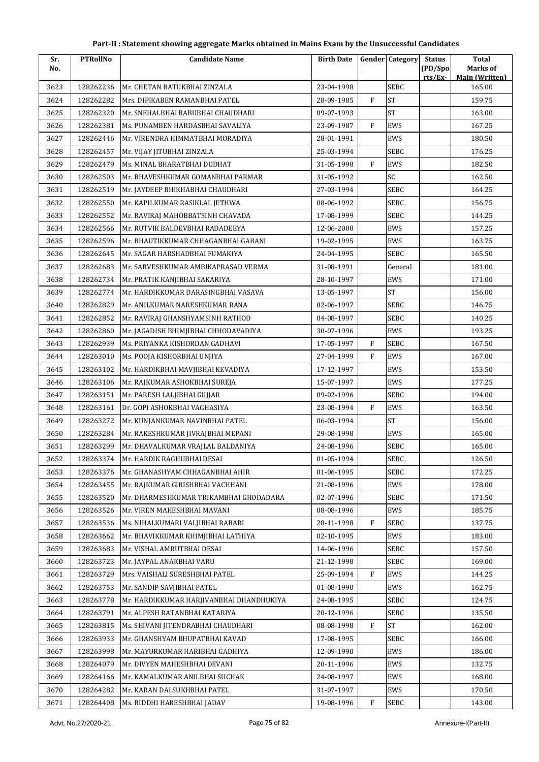| Sr.          | <b>PTRollNo</b>        | <b>Candidate Name</b>                                             | <b>Birth Date</b>        |              | <b>Gender Category</b> | <b>Status</b>      | <b>Total</b>                      |
|--------------|------------------------|-------------------------------------------------------------------|--------------------------|--------------|------------------------|--------------------|-----------------------------------|
| No.          |                        |                                                                   |                          |              |                        | (PD/Spo<br>rts/Ex- | Marks of<br><b>Main (Written)</b> |
| 3623         | 128262236              | Mr. CHETAN BATUKBHAI ZINZALA                                      | 23-04-1998               |              | <b>SEBC</b>            |                    | 165.00                            |
| 3624         | 128262282              | Mrs. DIPIKABEN RAMANBHAI PATEL                                    | 28-09-1985               | $\mathbf{F}$ | <b>ST</b>              |                    | 159.75                            |
| 3625         | 128262320              | Mr. SNEHALBHAI BABUBHAI CHAUDHARI                                 | 09-07-1993               |              | $\operatorname{ST}$    |                    | 163.00                            |
| 3626         | 128262381              | Ms. PUNAMBEN HARDASBHAI SAVALIYA                                  | 23-09-1987               | $\mathbf F$  | EWS                    |                    | 167.25                            |
| 3627         | 128262446              | Mr. VIRENDRA HIMMATBHAI MORADIYA                                  | 28-01-1991               |              | EWS                    |                    | 180.50                            |
| 3628         | 128262457              | Mr. VIJAY JITUBHAI ZINZALA                                        | 25-03-1994               |              | <b>SEBC</b>            |                    | 176.25                            |
| 3629         | 128262479              | Ms. MINAL BHARATBHAI DUDHAT                                       | 31-05-1998               | $\mathbf{F}$ | EWS                    |                    | 182.50                            |
| 3630         | 128262503              | Mr. BHAVESHKUMAR GOMANBHAI PARMAR                                 | 31-05-1992               |              | SC                     |                    | 162.50                            |
| 3631         | 128262519              | Mr. JAYDEEP BHIKHABHAI CHAUDHARI                                  | 27-03-1994               |              | <b>SEBC</b>            |                    | 164.25                            |
| 3632         | 128262550              | Mr. KAPILKUMAR RASIKLAL JETHWA                                    | 08-06-1992               |              | <b>SEBC</b>            |                    | 156.75                            |
| 3633         | 128262552              | Mr. RAVIRAJ MAHOBBATSINH CHAVADA                                  | 17-08-1999               |              | <b>SEBC</b>            |                    | 144.25                            |
| 3634         | 128262566              | Mr. RUTVIK BALDEVBHAI RADADEEYA                                   | 12-06-2000               |              | EWS                    |                    | 157.25                            |
| 3635         | 128262596              | Mr. BHAUTIKKUMAR CHHAGANBHAI GABANI                               | 19-02-1995               |              | EWS                    |                    | 163.75                            |
| 3636         | 128262645              | Mr. SAGAR HARSHADBHAI FUMAKIYA                                    | 24-04-1995               |              | <b>SEBC</b>            |                    | 165.50                            |
| 3637         | 128262683              | Mr. SARVESHKUMAR AMBIKAPRASAD VERMA                               | 31-08-1991               |              | General                |                    | 181.00                            |
| 3638         | 128262734              | Mr. PRATIK KANJIBHAI SAKARIYA                                     | 28-10-1997               |              | EWS                    |                    | 171.00                            |
| 3639         | 128262774              | Mr. HARDIKKUMAR DARASINGBHAI VASAVA                               | 13-05-1997               |              | <b>ST</b>              |                    | 156.00                            |
| 3640         | 128262829              | Mr. ANILKUMAR NARESHKUMAR RANA                                    | 02-06-1997               |              | <b>SEBC</b>            |                    | 146.75                            |
| 3641         | 128262852              | Mr. RAVIRAJ GHANSHYAMSINH RATHOD                                  | 04-08-1997               |              | <b>SEBC</b>            |                    | 140.25                            |
| 3642         | 128262860              | Mr. JAGADISH BHIMJIBHAI CHHODAVADIYA                              | 30-07-1996               |              | EWS                    |                    | 193.25                            |
| 3643         | 128262939              | Ms. PRIYANKA KISHORDAN GADHAVI                                    | 17-05-1997               | F            | SEBC                   |                    | 167.50                            |
| 3644         | 128263010              | Ms. POOJA KISHORBHAI UNJIYA                                       | 27-04-1999               | F            | EWS                    |                    | 167.00                            |
| 3645         | 128263102              | Mr. HARDIKBHAI MAVJIBHAI KEVADIYA                                 | 17-12-1997               |              | EWS                    |                    | 153.50                            |
| 3646         | 128263106              | Mr. RAJKUMAR ASHOKBHAI SUREJA                                     | 15-07-1997               |              | EWS                    |                    | 177.25                            |
| 3647         | 128263151              | Mr. PARESH LALJIBHAI GUJJAR                                       | 09-02-1996               |              | <b>SEBC</b>            |                    | 194.00                            |
| 3648         | 128263161              | Dr. GOPI ASHOKBHAI VAGHASIYA                                      | 23-08-1994               | $\mathbf F$  | EWS                    |                    | 163.50                            |
| 3649         | 128263272              | Mr. KUNJANKUMAR NAVINBHAI PATEL                                   | 06-03-1994               |              | <b>ST</b>              |                    | 156.00                            |
| 3650         | 128263284              | Mr. RAKESHKUMAR JIVRAJBHAI MEPANI                                 | 29-08-1998               |              | EWS                    |                    | 165.00                            |
| 3651         | 128263299              | Mr. DHAVALKUMAR VRAJLAL BALDANIYA                                 | 24-08-1996               |              | <b>SEBC</b>            |                    | 165.00                            |
| 3652         | 128263374              | Mr. HARDIK RAGHUBHAI DESAI                                        | 01-05-1994               |              | <b>SEBC</b>            |                    | 126.50                            |
| 3653         | 128263376              | Mr. GHANASHYAM CHHAGANBHAI AHIR                                   | 01-06-1995               |              | <b>SEBC</b>            |                    | 172.25                            |
| 3654         | 128263455              | Mr. RAJKUMAR GIRISHBHAI VACHHANI                                  | 21-08-1996               |              | EWS                    |                    | 178.00                            |
| 3655         | 128263520              | Mr. DHARMESHKUMAR TRIKAMBHAI GHODADARA                            | 02-07-1996               |              | <b>SEBC</b>            |                    | 171.50                            |
| 3656         | 128263526              | Mr. VIREN MAHESHBHAI MAVANI                                       | 08-08-1996               |              | EWS                    |                    | 185.75                            |
| 3657         | 128263536              | Ms. NIHALKUMARI VALJIBHAI RABARI                                  | 28-11-1998               | ${\rm F}$    | <b>SEBC</b>            |                    | 137.75                            |
| 3658         | 128263662              | Mr. BHAVIKKUMAR KHIMJIBHAI LATHIYA                                | 02-10-1995               |              | EWS                    |                    | 183.00                            |
| 3659         | 128263683              | Mr. VISHAL AMRUTBHAI DESAI                                        | 14-06-1996               |              | <b>SEBC</b>            |                    | 157.50                            |
| 3660         | 128263723              | Mr. JAYPAL ANAKBHAI VARU                                          | 21-12-1998               |              | <b>SEBC</b>            |                    | 169.00                            |
| 3661         | 128263729              | Mrs. VAISHALI SURESHBHAI PATEL                                    | 25-09-1994               | F            | EWS                    |                    | 144.25                            |
| 3662         | 128263753              | Mr. SANDIP SAVJIBHAI PATEL                                        | 01-08-1990               |              | EWS                    |                    | 162.75                            |
| 3663         | 128263778              | Mr. HARDIKKUMAR HARJIVANBHAI DHANDHUKIYA                          | 24-08-1995               |              | <b>SEBC</b>            |                    | 124.75                            |
| 3664         | 128263791              | Mr. ALPESH RATANBHAI KATARIYA                                     | 20-12-1996               |              | SEBC                   |                    | 135.50                            |
| 3665         | 128263815              | Ms. SHIVANI JITENDRABHAI CHAUDHARI                                | 08-08-1998               | $\mathbf{F}$ | <b>ST</b>              |                    | 162.00                            |
|              |                        |                                                                   |                          |              | <b>SEBC</b>            |                    | 166.00                            |
| 3666<br>3667 | 128263933<br>128263998 | Mr. GHANSHYAM BHUPATBHAI KAVAD<br>Mr. MAYURKUMAR HARIBHAI GADHIYA | 17-08-1995<br>12-09-1990 |              | EWS                    |                    | 186.00                            |
|              |                        |                                                                   |                          |              | EWS                    |                    | 132.75                            |
| 3668         | 128264079              | Mr. DIVYEN MAHESHBHAI DEVANI                                      | 20-11-1996               |              |                        |                    |                                   |
| 3669         | 128264166              | Mr. KAMALKUMAR ANILBHAI SUCHAK                                    | 24-08-1997               |              | EWS                    |                    | 168.00                            |
| 3670         | 128264282              | Mr. KARAN DALSUKHBHAI PATEL                                       | 31-07-1997               |              | EWS                    |                    | 170.50                            |
| 3671         | 128264408              | Ms. RIDDHI HARESHBHAI JADAV                                       | 19-08-1996               | F            | <b>SEBC</b>            |                    | 143.00                            |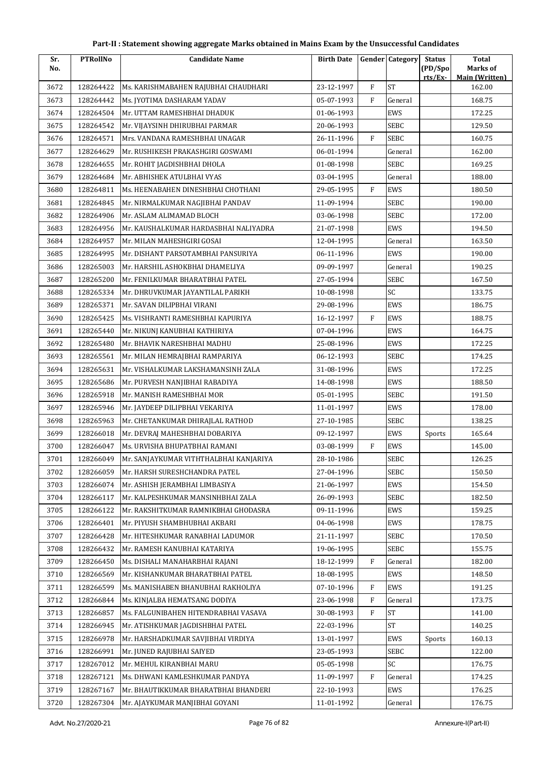| Part-II : Statement showing aggregate Marks obtained in Mains Exam by the Unsuccessful Candidates |  |  |
|---------------------------------------------------------------------------------------------------|--|--|
|---------------------------------------------------------------------------------------------------|--|--|

| Sr.  | <b>PTRollNo</b> | <b>Candidate Name</b>                  | <b>Birth Date</b> |              | <b>Gender Category</b> | <b>Status</b>      | <b>Total</b>                      |
|------|-----------------|----------------------------------------|-------------------|--------------|------------------------|--------------------|-----------------------------------|
| No.  |                 |                                        |                   |              |                        | (PD/Spo<br>rts/Ex- | Marks of<br><b>Main (Written)</b> |
| 3672 | 128264422       | Ms. KARISHMABAHEN RAJUBHAI CHAUDHARI   | 23-12-1997        | $\rm F$      | <b>ST</b>              |                    | 162.00                            |
| 3673 | 128264442       | Ms. JYOTIMA DASHARAM YADAV             | 05-07-1993        | $\mathbf{F}$ | General                |                    | 168.75                            |
| 3674 | 128264504       | Mr. UTTAM RAMESHBHAI DHADUK            | 01-06-1993        |              | EWS                    |                    | 172.25                            |
| 3675 | 128264542       | Mr. VIJAYSINH DHIRUBHAI PARMAR         | 20-06-1993        |              | <b>SEBC</b>            |                    | 129.50                            |
| 3676 | 128264571       | Mrs. VANDANA RAMESHBHAI UNAGAR         | 26-11-1996        | $\mathbf{F}$ | SEBC                   |                    | 160.75                            |
| 3677 | 128264629       | Mr. RUSHIKESH PRAKASHGIRI GOSWAMI      | 06-01-1994        |              | General                |                    | 162.00                            |
| 3678 | 128264655       | Mr. ROHIT JAGDISHBHAI DHOLA            | 01-08-1998        |              | <b>SEBC</b>            |                    | 169.25                            |
| 3679 | 128264684       | Mr. ABHISHEK ATULBHAI VYAS             | 03-04-1995        |              | General                |                    | 188.00                            |
| 3680 | 128264811       | Ms. HEENABAHEN DINESHBHAI CHOTHANI     | 29-05-1995        | $\mathbf{F}$ | EWS                    |                    | 180.50                            |
| 3681 | 128264845       | Mr. NIRMALKUMAR NAGJIBHAI PANDAV       | 11-09-1994        |              | SEBC                   |                    | 190.00                            |
| 3682 | 128264906       | Mr. ASLAM ALIMAMAD BLOCH               | 03-06-1998        |              | SEBC                   |                    | 172.00                            |
| 3683 | 128264956       | Mr. KAUSHALKUMAR HARDASBHAI NALIYADRA  | 21-07-1998        |              | EWS                    |                    | 194.50                            |
| 3684 | 128264957       | Mr. MILAN MAHESHGIRI GOSAI             | 12-04-1995        |              | General                |                    | 163.50                            |
| 3685 | 128264995       | Mr. DISHANT PARSOTAMBHAI PANSURIYA     | 06-11-1996        |              | EWS                    |                    | 190.00                            |
| 3686 | 128265003       | Mr. HARSHIL ASHOKBHAI DHAMELIYA        | 09-09-1997        |              | General                |                    | 190.25                            |
| 3687 | 128265200       | Mr. FENILKUMAR BHARATBHAI PATEL        | 27-05-1994        |              | SEBC                   |                    | 167.50                            |
| 3688 | 128265334       | Mr. DHRUVKUMAR JAYANTILAL PARIKH       | 10-08-1998        |              | SC                     |                    | 133.75                            |
| 3689 | 128265371       | Mr. SAVAN DILIPBHAI VIRANI             | 29-08-1996        |              | <b>EWS</b>             |                    | 186.75                            |
| 3690 | 128265425       | Ms. VISHRANTI RAMESHBHAI KAPURIYA      | 16-12-1997        | $\rm F$      | EWS                    |                    | 188.75                            |
| 3691 | 128265440       | Mr. NIKUNJ KANUBHAI KATHIRIYA          | 07-04-1996        |              | EWS                    |                    | 164.75                            |
| 3692 | 128265480       | Mr. BHAVIK NARESHBHAI MADHU            | 25-08-1996        |              | EWS                    |                    | 172.25                            |
| 3693 | 128265561       | Mr. MILAN HEMRAJBHAI RAMPARIYA         | 06-12-1993        |              | <b>SEBC</b>            |                    | 174.25                            |
| 3694 | 128265631       | Mr. VISHALKUMAR LAKSHAMANSINH ZALA     | 31-08-1996        |              | EWS                    |                    | 172.25                            |
| 3695 | 128265686       | Mr. PURVESH NANJIBHAI RABADIYA         | 14-08-1998        |              | <b>EWS</b>             |                    | 188.50                            |
| 3696 | 128265918       | Mr. MANISH RAMESHBHAI MOR              | 05-01-1995        |              | SEBC                   |                    | 191.50                            |
| 3697 | 128265946       | Mr. JAYDEEP DILIPBHAI VEKARIYA         | 11-01-1997        |              | EWS                    |                    | 178.00                            |
| 3698 | 128265963       | Mr. CHETANKUMAR DHIRAJLAL RATHOD       | 27-10-1985        |              | SEBC                   |                    | 138.25                            |
| 3699 | 128266018       | Mr. DEVRAJ MAHESHBHAI DOBARIYA         | 09-12-1997        |              | EWS                    | Sports             | 165.64                            |
| 3700 | 128266047       | Ms. URVISHA BHUPATBHAI RAMANI          | 03-08-1999        | $\mathbf F$  | EWS                    |                    | 145.00                            |
| 3701 | 128266049       | Mr. SANJAYKUMAR VITHTHALBHAI KANJARIYA | 28-10-1986        |              | <b>SEBC</b>            |                    | 126.25                            |
| 3702 | 128266059       | Mr. HARSH SURESHCHANDRA PATEL          | 27-04-1996        |              | SEBC                   |                    | 150.50                            |
| 3703 | 128266074       | Mr. ASHISH JERAMBHAI LIMBASIYA         | 21-06-1997        |              | EWS                    |                    | 154.50                            |
| 3704 | 128266117       | Mr. KALPESHKUMAR MANSINHBHAI ZALA      | 26-09-1993        |              | SEBC                   |                    | 182.50                            |
| 3705 | 128266122       | Mr. RAKSHITKUMAR RAMNIKBHAI GHODASRA   | 09-11-1996        |              | EWS                    |                    | 159.25                            |
| 3706 | 128266401       | Mr. PIYUSH SHAMBHUBHAI AKBARI          | 04-06-1998        |              | EWS                    |                    | 178.75                            |
| 3707 | 128266428       | Mr. HITESHKUMAR RANABHAI LADUMOR       | 21-11-1997        |              | SEBC                   |                    | 170.50                            |
| 3708 | 128266432       | Mr. RAMESH KANUBHAI KATARIYA           | 19-06-1995        |              | SEBC                   |                    | 155.75                            |
| 3709 | 128266450       | Ms. DISHALI MANAHARBHAI RAJANI         | 18-12-1999        | $\mathbf{F}$ | General                |                    | 182.00                            |
| 3710 | 128266569       | Mr. KISHANKUMAR BHARATBHAI PATEL       | 18-08-1995        |              | EWS                    |                    | 148.50                            |
| 3711 | 128266599       | Ms. MANISHABEN BHANUBHAI RAKHOLIYA     | 07-10-1996        | F            | EWS                    |                    | 191.25                            |
| 3712 | 128266844       | Ms. KINJALBA HEMATSANG DODIYA          | 23-06-1998        | $\mathbf{F}$ | General                |                    | 173.75                            |
| 3713 | 128266857       | Ms. FALGUNIBAHEN HITENDRABHAI VASAVA   | 30-08-1993        | F            | ST                     |                    | 141.00                            |
| 3714 | 128266945       | Mr. ATISHKUMAR JAGDISHBHAI PATEL       | 22-03-1996        |              | <b>ST</b>              |                    | 140.25                            |
| 3715 | 128266978       | Mr. HARSHADKUMAR SAVJIBHAI VIRDIYA     | 13-01-1997        |              | EWS                    | Sports             | 160.13                            |
| 3716 | 128266991       | Mr. JUNED RAJUBHAI SAIYED              | 23-05-1993        |              | SEBC                   |                    | 122.00                            |
| 3717 | 128267012       | Mr. MEHUL KIRANBHAI MARU               | 05-05-1998        |              | SC                     |                    | 176.75                            |
| 3718 | 128267121       | Ms. DHWANI KAMLESHKUMAR PANDYA         | 11-09-1997        | F            | General                |                    | 174.25                            |
| 3719 | 128267167       | Mr. BHAUTIKKUMAR BHARATBHAI BHANDERI   | 22-10-1993        |              | EWS                    |                    | 176.25                            |
| 3720 | 128267304       | Mr. AJAYKUMAR MANJIBHAI GOYANI         | 11-01-1992        |              | General                |                    | 176.75                            |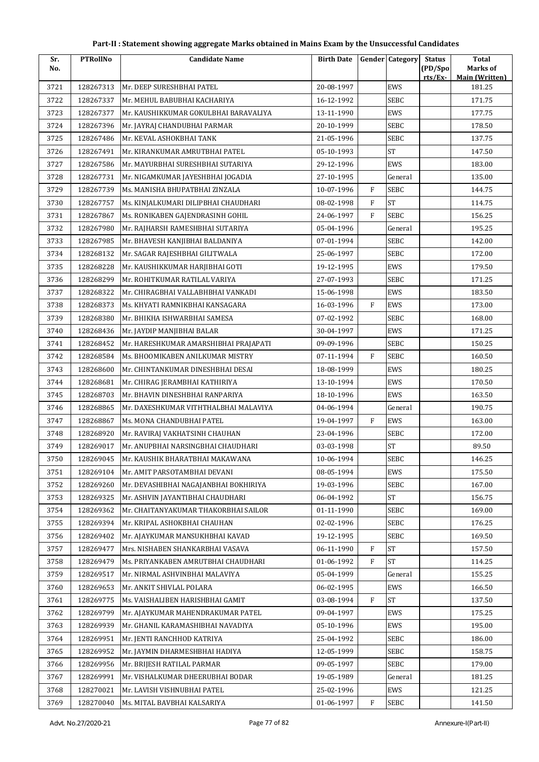| Sr.  | <b>PTRollNo</b> | <b>Candidate Name</b>                 | <b>Birth Date</b> |                   | <b>Gender Category</b>      | <b>Status</b>      | <b>Total</b>                      |
|------|-----------------|---------------------------------------|-------------------|-------------------|-----------------------------|--------------------|-----------------------------------|
| No.  |                 |                                       |                   |                   |                             | (PD/Spo<br>rts/Ex- | Marks of<br><b>Main (Written)</b> |
| 3721 | 128267313       | Mr. DEEP SURESHBHAI PATEL             | 20-08-1997        |                   | EWS                         |                    | 181.25                            |
| 3722 | 128267337       | Mr. MEHUL BABUBHAI KACHARIYA          | 16-12-1992        |                   | <b>SEBC</b>                 |                    | 171.75                            |
| 3723 | 128267377       | Mr. KAUSHIKKUMAR GOKULBHAI BARAVALIYA | 13-11-1990        |                   | EWS                         |                    | 177.75                            |
| 3724 | 128267396       | Mr. JAYRAJ CHANDUBHAI PARMAR          | 20-10-1999        |                   | SEBC                        |                    | 178.50                            |
| 3725 | 128267486       | Mr. KEVAL ASHOKBHAI TANK              | 21-05-1996        |                   | SEBC                        |                    | 137.75                            |
| 3726 | 128267491       | Mr. KIRANKUMAR AMRUTBHAI PATEL        | 05-10-1993        |                   | <b>ST</b>                   |                    | 147.50                            |
| 3727 | 128267586       | Mr. MAYURBHAI SURESHBHAI SUTARIYA     | 29-12-1996        |                   | <b>EWS</b>                  |                    | 183.00                            |
| 3728 | 128267731       | Mr. NIGAMKUMAR JAYESHBHAI JOGADIA     | 27-10-1995        |                   | General                     |                    | 135.00                            |
| 3729 | 128267739       | Ms. MANISHA BHUPATBHAI ZINZALA        | 10-07-1996        | F                 | <b>SEBC</b>                 |                    | 144.75                            |
| 3730 | 128267757       | Ms. KINJALKUMARI DILIPBHAI CHAUDHARI  | 08-02-1998        | $\mathbf{F}$      | <b>ST</b>                   |                    | 114.75                            |
| 3731 | 128267867       | Ms. RONIKABEN GAJENDRASINH GOHIL      | 24-06-1997        | F                 | SEBC                        |                    | 156.25                            |
| 3732 | 128267980       | Mr. RAJHARSH RAMESHBHAI SUTARIYA      | 05-04-1996        |                   | General                     |                    | 195.25                            |
| 3733 | 128267985       | Mr. BHAVESH KANJIBHAI BALDANIYA       | 07-01-1994        |                   | SEBC                        |                    | 142.00                            |
| 3734 | 128268132       | Mr. SAGAR RAJESHBHAI GILITWALA        | 25-06-1997        |                   | SEBC                        |                    | 172.00                            |
| 3735 | 128268228       | Mr. KAUSHIKKUMAR HARJIBHAI GOTI       | 19-12-1995        |                   | EWS                         |                    | 179.50                            |
| 3736 | 128268299       | Mr. ROHITKUMAR RATILAL VARIYA         | 27-07-1993        |                   | SEBC                        |                    | 171.25                            |
| 3737 | 128268322       | Mr. CHIRAGBHAI VALLABHBHAI VANKADI    | 15-06-1998        |                   | EWS                         |                    | 183.50                            |
| 3738 | 128268373       | Ms. KHYATI RAMNIKBHAI KANSAGARA       | 16-03-1996        | $\mathbf{F}$      | EWS                         |                    | 173.00                            |
| 3739 | 128268380       | Mr. BHIKHA ISHWARBHAI SAMESA          | 07-02-1992        |                   | SEBC                        |                    | 168.00                            |
| 3740 | 128268436       | Mr. JAYDIP MANJIBHAI BALAR            | 30-04-1997        |                   | EWS                         |                    | 171.25                            |
| 3741 | 128268452       | Mr. HARESHKUMAR AMARSHIBHAI PRAJAPATI | 09-09-1996        |                   | SEBC                        |                    | 150.25                            |
| 3742 | 128268584       | Ms. BHOOMIKABEN ANILKUMAR MISTRY      | 07-11-1994        | $\mathbf{F}$      | SEBC                        |                    | 160.50                            |
|      |                 |                                       |                   |                   |                             |                    |                                   |
| 3743 | 128268600       | Mr. CHINTANKUMAR DINESHBHAI DESAI     | 18-08-1999        |                   | EWS                         |                    | 180.25                            |
| 3744 | 128268681       | Mr. CHIRAG JERAMBHAI KATHIRIYA        | 13-10-1994        |                   | EWS                         |                    | 170.50                            |
| 3745 | 128268703       | Mr. BHAVIN DINESHBHAI RANPARIYA       | 18-10-1996        |                   | EWS                         |                    | 163.50                            |
| 3746 | 128268865       | Mr. DAXESHKUMAR VITHTHALBHAI MALAVIYA | 04-06-1994        |                   | General                     |                    | 190.75                            |
| 3747 | 128268867       | Ms. MONA CHANDUBHAI PATEL             | 19-04-1997        | F                 | EWS                         |                    | 163.00                            |
| 3748 | 128268920       | Mr. RAVIRAJ VAKHATSINH CHAUHAN        | 23-04-1996        |                   | SEBC                        |                    | 172.00                            |
| 3749 | 128269017       | Mr. ANUPBHAI NARSINGBHAI CHAUDHARI    | 03-03-1998        |                   | <b>ST</b>                   |                    | 89.50                             |
| 3750 | 128269045       | Mr. KAUSHIK BHARATBHAI MAKAWANA       | 10-06-1994        |                   | SEBC                        |                    | 146.25                            |
| 3751 | 128269104       | Mr. AMIT PARSOTAMBHAI DEVANI          | 08-05-1994        |                   | EWS                         |                    | 175.50                            |
| 3752 | 128269260       | Mr. DEVASHIBHAI NAGAJANBHAI BOKHIRIYA | 19-03-1996        |                   | SEBC<br>$\operatorname{ST}$ |                    | 167.00                            |
| 3753 | 128269325       | Mr. ASHVIN JAYANTIBHAI CHAUDHARI      | 06-04-1992        |                   |                             |                    | 156.75                            |
| 3754 | 128269362       | Mr. CHAITANYAKUMAR THAKORBHAI SAILOR  | 01-11-1990        |                   | SEBC                        |                    | 169.00                            |
| 3755 | 128269394       | Mr. KRIPAL ASHOKBHAI CHAUHAN          | 02-02-1996        |                   | SEBC                        |                    | 176.25                            |
| 3756 | 128269402       | Mr. AJAYKUMAR MANSUKHBHAI KAVAD       | 19-12-1995        |                   | SEBC                        |                    | 169.50                            |
| 3757 | 128269477       | Mrs. NISHABEN SHANKARBHAI VASAVA      | 06-11-1990        | F<br>$\mathbf{F}$ | <b>ST</b><br><b>ST</b>      |                    | 157.50                            |
| 3758 | 128269479       | Ms. PRIYANKABEN AMRUTBHAI CHAUDHARI   | 01-06-1992        |                   |                             |                    | 114.25                            |
| 3759 | 128269517       | Mr. NIRMAL ASHVINBHAI MALAVIYA        | 05-04-1999        |                   | General                     |                    | 155.25                            |
| 3760 | 128269653       | Mr. ANKIT SHIVLAL POLARA              | 06-02-1995        |                   | EWS                         |                    | 166.50                            |
| 3761 | 128269775       | Ms. VAISHALIBEN HARISHBHAI GAMIT      | 03-08-1994        | $\mathbf{F}$      | <b>ST</b>                   |                    | 137.50                            |
| 3762 | 128269799       | Mr. AJAYKUMAR MAHENDRAKUMAR PATEL     | 09-04-1997        |                   | EWS                         |                    | 175.25                            |
| 3763 | 128269939       | Mr. GHANIL KARAMASHIBHAI NAVADIYA     | 05-10-1996        |                   | EWS                         |                    | 195.00                            |
| 3764 | 128269951       | Mr. JENTI RANCHHOD KATRIYA            | 25-04-1992        |                   | SEBC                        |                    | 186.00                            |
| 3765 | 128269952       | Mr. JAYMIN DHARMESHBHAI HADIYA        | 12-05-1999        |                   | SEBC                        |                    | 158.75                            |
| 3766 | 128269956       | Mr. BRIJESH RATILAL PARMAR            | 09-05-1997        |                   | SEBC                        |                    | 179.00                            |
| 3767 | 128269991       | Mr. VISHALKUMAR DHEERUBHAI BODAR      | 19-05-1989        |                   | General                     |                    | 181.25                            |
| 3768 | 128270021       | Mr. LAVISH VISHNUBHAI PATEL           | 25-02-1996        |                   | EWS                         |                    | 121.25                            |
| 3769 | 128270040       | Ms. MITAL BAVBHAI KALSARIYA           | 01-06-1997        | F                 | SEBC                        |                    | 141.50                            |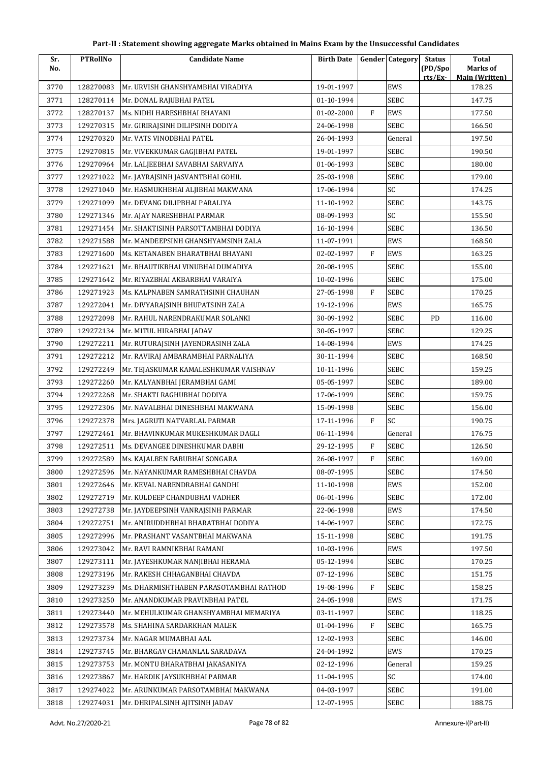| Part-II : Statement showing aggregate Marks obtained in Mains Exam by the Unsuccessful Candidates |  |
|---------------------------------------------------------------------------------------------------|--|
|---------------------------------------------------------------------------------------------------|--|

| Sr.<br>No. | <b>PTRollNo</b> | <b>Candidate Name</b>                   | <b>Birth Date</b> |              | <b>Gender Category</b> | <b>Status</b>      | <b>Total</b><br>Marks of |
|------------|-----------------|-----------------------------------------|-------------------|--------------|------------------------|--------------------|--------------------------|
|            |                 |                                         |                   |              |                        | (PD/Spo<br>rts/Ex- | <b>Main (Written)</b>    |
| 3770       | 128270083       | Mr. URVISH GHANSHYAMBHAI VIRADIYA       | 19-01-1997        |              | <b>EWS</b>             |                    | 178.25                   |
| 3771       | 128270114       | Mr. DONAL RAJUBHAI PATEL                | 01-10-1994        |              | <b>SEBC</b>            |                    | 147.75                   |
| 3772       | 128270137       | Ms. NIDHI HARESHBHAI BHAYANI            | 01-02-2000        | $\mathbf{F}$ | EWS                    |                    | 177.50                   |
| 3773       | 129270315       | Mr. GIRIRAJSINH DILIPSINH DODIYA        | 24-06-1998        |              | SEBC                   |                    | 166.50                   |
| 3774       | 129270320       | Mr. VATS VINODBHAI PATEL                | 26-04-1993        |              | General                |                    | 197.50                   |
| 3775       | 129270815       | Mr. VIVEKKUMAR GAGJIBHAI PATEL          | 19-01-1997        |              | <b>SEBC</b>            |                    | 190.50                   |
| 3776       | 129270964       | Mr. LALJEEBHAI SAVABHAI SARVAIYA        | 01-06-1993        |              | SEBC                   |                    | 180.00                   |
| 3777       | 129271022       | Mr. JAYRAJSINH JASVANTBHAI GOHIL        | 25-03-1998        |              | SEBC                   |                    | 179.00                   |
| 3778       | 129271040       | Mr. HASMUKHBHAI ALJIBHAI MAKWANA        | 17-06-1994        |              | SC                     |                    | 174.25                   |
| 3779       | 129271099       | Mr. DEVANG DILIPBHAI PARALIYA           | 11-10-1992        |              | <b>SEBC</b>            |                    | 143.75                   |
| 3780       | 129271346       | Mr. AJAY NARESHBHAI PARMAR              | 08-09-1993        |              | SC                     |                    | 155.50                   |
| 3781       | 129271454       | Mr. SHAKTISINH PARSOTTAMBHAI DODIYA     | 16-10-1994        |              | <b>SEBC</b>            |                    | 136.50                   |
| 3782       | 129271588       | Mr. MANDEEPSINH GHANSHYAMSINH ZALA      | 11-07-1991        |              | EWS                    |                    | 168.50                   |
| 3783       | 129271600       | Ms. KETANABEN BHARATBHAI BHAYANI        | 02-02-1997        | $\mathbf{F}$ | <b>EWS</b>             |                    | 163.25                   |
| 3784       | 129271621       | Mr. BHAUTIKBHAI VINUBHAI DUMADIYA       | 20-08-1995        |              | SEBC                   |                    | 155.00                   |
| 3785       | 129271642       | Mr. RIYAZBHAI AKBARBHAI VARAIYA         | 10-02-1996        |              | SEBC                   |                    | 175.00                   |
| 3786       | 129271923       | Ms. KALPNABEN SAMRATHSINH CHAUHAN       | 27-05-1998        | $\mathbf{F}$ | SEBC                   |                    | 170.25                   |
| 3787       | 129272041       | Mr. DIVYARAJSINH BHUPATSINH ZALA        | 19-12-1996        |              | <b>EWS</b>             |                    | 165.75                   |
| 3788       | 129272098       | Mr. RAHUL NARENDRAKUMAR SOLANKI         | 30-09-1992        |              | SEBC                   | PD                 | 116.00                   |
| 3789       | 129272134       | Mr. MITUL HIRABHAI JADAV                | 30-05-1997        |              | SEBC                   |                    | 129.25                   |
| 3790       | 129272211       | Mr. RUTURAJSINH JAYENDRASINH ZALA       | 14-08-1994        |              | EWS                    |                    | 174.25                   |
| 3791       | 129272212       | Mr. RAVIRAJ AMBARAMBHAI PARNALIYA       | 30-11-1994        |              | SEBC                   |                    | 168.50                   |
| 3792       | 129272249       | Mr. TEJASKUMAR KAMALESHKUMAR VAISHNAV   | 10-11-1996        |              | <b>SEBC</b>            |                    | 159.25                   |
| 3793       | 129272260       | Mr. KALYANBHAI JERAMBHAI GAMI           | 05-05-1997        |              | SEBC                   |                    | 189.00                   |
| 3794       | 129272268       | Mr. SHAKTI RAGHUBHAI DODIYA             | 17-06-1999        |              | SEBC                   |                    | 159.75                   |
| 3795       | 129272306       | Mr. NAVALBHAI DINESHBHAI MAKWANA        | 15-09-1998        |              | <b>SEBC</b>            |                    | 156.00                   |
| 3796       | 129272378       | Mrs. JAGRUTI NATVARLAL PARMAR           | 17-11-1996        | $\mathbf{F}$ | SC                     |                    | 190.75                   |
| 3797       | 129272461       | Mr. BHAVINKUMAR MUKESHKUMAR DAGLI       | 06-11-1994        |              | General                |                    | 176.75                   |
| 3798       | 129272511       | Ms. DEVANGEE DINESHKUMAR DABHI          | 29-12-1995        | $\mathbf{F}$ | <b>SEBC</b>            |                    | 126.50                   |
| 3799       | 129272589       | Ms. KAJALBEN BABUBHAI SONGARA           | 26-08-1997        | F            | SEBC                   |                    | 169.00                   |
| 3800       | 129272596       | Mr. NAYANKUMAR RAMESHBHAI CHAVDA        | 08-07-1995        |              | SEBC                   |                    | 174.50                   |
| 3801       | 129272646       | Mr. KEVAL NARENDRABHAI GANDHI           | 11-10-1998        |              | EWS                    |                    | 152.00                   |
| 3802       | 129272719       | Mr. KULDEEP CHANDUBHAI VADHER           | 06-01-1996        |              | SEBC                   |                    | 172.00                   |
| 3803       | 129272738       | Mr. JAYDEEPSINH VANRAJSINH PARMAR       | 22-06-1998        |              | EWS                    |                    | 174.50                   |
| 3804       | 129272751       | Mr. ANIRUDDHBHAI BHARATBHAI DODIYA      | 14-06-1997        |              | SEBC                   |                    | 172.75                   |
| 3805       | 129272996       | Mr. PRASHANT VASANTBHAI MAKWANA         | 15-11-1998        |              | SEBC                   |                    | 191.75                   |
| 3806       | 129273042       | Mr. RAVI RAMNIKBHAI RAMANI              | 10-03-1996        |              | EWS                    |                    | 197.50                   |
| 3807       | 129273111       | Mr. JAYESHKUMAR NANJIBHAI HERAMA        | 05-12-1994        |              | SEBC                   |                    | 170.25                   |
| 3808       | 129273196       | Mr. RAKESH CHHAGANBHAI CHAVDA           | 07-12-1996        |              | SEBC                   |                    | 151.75                   |
| 3809       | 129273239       | Ms. DHARMISHTHABEN PARASOTAMBHAI RATHOD | 19-08-1996        | F            | SEBC                   |                    | 158.25                   |
| 3810       | 129273250       | Mr. ANANDKUMAR PRAVINBHAI PATEL         | 24-05-1998        |              | EWS                    |                    | 171.75                   |
| 3811       | 129273440       | Mr. MEHULKUMAR GHANSHYAMBHAI MEMARIYA   | 03-11-1997        |              | SEBC                   |                    | 118.25                   |
| 3812       | 129273578       | Ms. SHAHINA SARDARKHAN MALEK            | 01-04-1996        | $\mathbf{F}$ | SEBC                   |                    | 165.75                   |
| 3813       | 129273734       | Mr. NAGAR MUMABHAI AAL                  | 12-02-1993        |              | SEBC                   |                    | 146.00                   |
| 3814       | 129273745       | Mr. BHARGAV CHAMANLAL SARADAVA          | 24-04-1992        |              | EWS                    |                    | 170.25                   |
| 3815       | 129273753       | Mr. MONTU BHARATBHAI JAKASANIYA         | 02-12-1996        |              | General                |                    | 159.25                   |
| 3816       | 129273867       | Mr. HARDIK JAYSUKHBHAI PARMAR           | 11-04-1995        |              | SC                     |                    | 174.00                   |
| 3817       | 129274022       | Mr. ARUNKUMAR PARSOTAMBHAI MAKWANA      | 04-03-1997        |              | SEBC                   |                    | 191.00                   |
| 3818       | 129274031       | Mr. DHRIPALSINH AJITSINH JADAV          | 12-07-1995        |              | SEBC                   |                    | 188.75                   |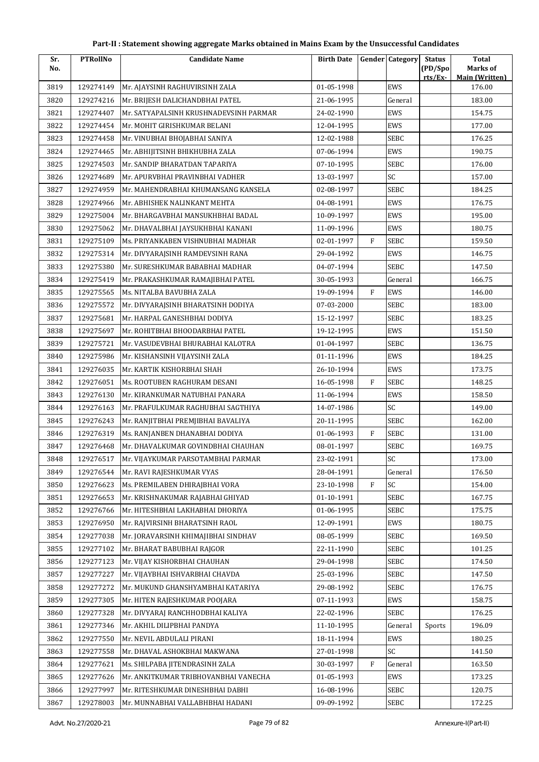| Sr.  | <b>PTRollNo</b> | <b>Candidate Name</b>                  | <b>Birth Date</b> |              | <b>Gender Category</b> | <b>Status</b>      | <b>Total</b>               |
|------|-----------------|----------------------------------------|-------------------|--------------|------------------------|--------------------|----------------------------|
| No.  |                 |                                        |                   |              |                        | (PD/Spo<br>rts/Ex- | Marks of<br>Main (Written) |
| 3819 | 129274149       | Mr. AJAYSINH RAGHUVIRSINH ZALA         | 01-05-1998        |              | EWS                    |                    | 176.00                     |
| 3820 | 129274216       | Mr. BRIJESH DALICHANDBHAI PATEL        | 21-06-1995        |              | General                |                    | 183.00                     |
| 3821 | 129274407       | Mr. SATYAPALSINH KRUSHNADEVSINH PARMAR | 24-02-1990        |              | EWS                    |                    | 154.75                     |
| 3822 | 129274454       | Mr. MOHIT GIRISHKUMAR BELANI           | 12-04-1995        |              | EWS                    |                    | 177.00                     |
| 3823 | 129274458       | Mr. VINUBHAI BHOJABHAI SANIYA          | 12-02-1988        |              | SEBC                   |                    | 176.25                     |
| 3824 | 129274465       | Mr. ABHIJITSINH BHIKHUBHA ZALA         | 07-06-1994        |              | EWS                    |                    | 190.75                     |
| 3825 | 129274503       | Mr. SANDIP BHARATDAN TAPARIYA          | 07-10-1995        |              | <b>SEBC</b>            |                    | 176.00                     |
| 3826 | 129274689       | Mr. APURVBHAI PRAVINBHAI VADHER        | 13-03-1997        |              | SC                     |                    | 157.00                     |
| 3827 | 129274959       | Mr. MAHENDRABHAI KHUMANSANG KANSELA    | 02-08-1997        |              | SEBC                   |                    | 184.25                     |
| 3828 | 129274966       | Mr. ABHISHEK NALINKANT MEHTA           | 04-08-1991        |              | <b>EWS</b>             |                    | 176.75                     |
| 3829 | 129275004       | Mr. BHARGAVBHAI MANSUKHBHAI BADAL      | 10-09-1997        |              | EWS                    |                    | 195.00                     |
| 3830 | 129275062       | Mr. DHAVALBHAI JAYSUKHBHAI KANANI      | 11-09-1996        |              | <b>EWS</b>             |                    | 180.75                     |
| 3831 | 129275109       | Ms. PRIYANKABEN VISHNUBHAI MADHAR      | 02-01-1997        | $\mathbf{F}$ | SEBC                   |                    | 159.50                     |
| 3832 | 129275314       | Mr. DIVYARAJSINH RAMDEVSINH RANA       | 29-04-1992        |              | EWS                    |                    | 146.75                     |
| 3833 | 129275380       | Mr. SURESHKUMAR BABABHAI MADHAR        | 04-07-1994        |              | <b>SEBC</b>            |                    | 147.50                     |
| 3834 | 129275419       | Mr. PRAKASHKUMAR RAMAJIBHAI PATEL      | 30-05-1993        |              | General                |                    | 166.75                     |
| 3835 | 129275565       | Ms. NITALBA BAVUBHA ZALA               | 19-09-1994        | $\mathbf{F}$ | EWS                    |                    | 146.00                     |
| 3836 | 129275572       | Mr. DIVYARAJSINH BHARATSINH DODIYA     | 07-03-2000        |              | SEBC                   |                    | 183.00                     |
| 3837 | 129275681       | Mr. HARPAL GANESHBHAI DODIYA           | 15-12-1997        |              | <b>SEBC</b>            |                    | 183.25                     |
| 3838 | 129275697       | Mr. ROHITBHAI BHOODARBHAI PATEL        | 19-12-1995        |              | EWS                    |                    | 151.50                     |
| 3839 | 129275721       | Mr. VASUDEVBHAI BHURABHAI KALOTRA      | 01-04-1997        |              | SEBC                   |                    | 136.75                     |
| 3840 | 129275986       | Mr. KISHANSINH VIJAYSINH ZALA          | 01-11-1996        |              | EWS                    |                    | 184.25                     |
| 3841 | 129276035       | Mr. KARTIK KISHORBHAI SHAH             | 26-10-1994        |              | <b>EWS</b>             |                    | 173.75                     |
| 3842 | 129276051       | Ms. ROOTUBEN RAGHURAM DESANI           | 16-05-1998        | $\mathbf{F}$ | SEBC                   |                    | 148.25                     |
| 3843 | 129276130       | Mr. KIRANKUMAR NATUBHAI PANARA         | 11-06-1994        |              | EWS                    |                    | 158.50                     |
| 3844 | 129276163       | Mr. PRAFULKUMAR RAGHUBHAI SAGTHIYA     | 14-07-1986        |              | SC                     |                    | 149.00                     |
| 3845 | 129276243       | Mr. RANJITBHAI PREMJIBHAI BAVALIYA     | 20-11-1995        |              | SEBC                   |                    | 162.00                     |
| 3846 | 129276319       | Ms. RANJANBEN DHANABHAI DODIYA         | 01-06-1993        | F            | <b>SEBC</b>            |                    | 131.00                     |
| 3847 | 129276468       | Mr. DHAVALKUMAR GOVINDBHAI CHAUHAN     | 08-01-1997        |              | SEBC                   |                    | 169.75                     |
| 3848 | 129276517       | Mr. VIJAYKUMAR PARSOTAMBHAI PARMAR     | 23-02-1991        |              | $\mathsf{SC}$          |                    | 173.00                     |
| 3849 | 129276544       | Mr. RAVI RAJESHKUMAR VYAS              | 28-04-1991        |              | General                |                    | 176.50                     |
| 3850 | 129276623       | Ms. PREMILABEN DHIRAJBHAI VORA         | 23-10-1998        | $\rm F$      | SC                     |                    | 154.00                     |
| 3851 | 129276653       | Mr. KRISHNAKUMAR RAJABHAI GHIYAD       | 01-10-1991        |              | SEBC                   |                    | 167.75                     |
| 3852 | 129276766       | Mr. HITESHBHAI LAKHABHAI DHORIYA       | 01-06-1995        |              | SEBC                   |                    | 175.75                     |
| 3853 | 129276950       | Mr. RAJVIRSINH BHARATSINH RAOL         | 12-09-1991        |              | EWS                    |                    | 180.75                     |
| 3854 | 129277038       | Mr. JORAVARSINH KHIMAJIBHAI SINDHAV    | 08-05-1999        |              | SEBC                   |                    | 169.50                     |
| 3855 | 129277102       | Mr. BHARAT BABUBHAI RAJGOR             | 22-11-1990        |              | SEBC                   |                    | 101.25                     |
| 3856 | 129277123       | Mr. VIJAY KISHORBHAI CHAUHAN           | 29-04-1998        |              | SEBC                   |                    | 174.50                     |
| 3857 | 129277227       | Mr. VIJAYBHAI ISHVARBHAI CHAVDA        | 25-03-1996        |              | SEBC                   |                    | 147.50                     |
| 3858 | 129277272       | Mr. MUKUND GHANSHYAMBHAI KATARIYA      | 29-08-1992        |              | SEBC                   |                    | 176.75                     |
| 3859 | 129277305       | Mr. HITEN RAJESHKUMAR POOJARA          | 07-11-1993        |              | EWS                    |                    | 158.75                     |
| 3860 | 129277328       | Mr. DIVYARAJ RANCHHODBHAI KALIYA       | 22-02-1996        |              | SEBC                   |                    | 176.25                     |
| 3861 | 129277346       | Mr. AKHIL DILIPBHAI PANDYA             | 11-10-1995        |              | General                | Sports             | 196.09                     |
| 3862 | 129277550       | Mr. NEVIL ABDULALI PIRANI              | 18-11-1994        |              | EWS                    |                    | 180.25                     |
| 3863 | 129277558       | Mr. DHAVAL ASHOKBHAI MAKWANA           | 27-01-1998        |              | SC                     |                    | 141.50                     |
| 3864 | 129277621       | Ms. SHILPABA JITENDRASINH ZALA         | 30-03-1997        | $\rm F$      | General                |                    | 163.50                     |
| 3865 | 129277626       | Mr. ANKITKUMAR TRIBHOVANBHAI VANECHA   | 01-05-1993        |              | EWS                    |                    | 173.25                     |
| 3866 | 129277997       | Mr. RITESHKUMAR DINESHBHAI DABHI       | 16-08-1996        |              | SEBC                   |                    | 120.75                     |
| 3867 | 129278003       | Mr. MUNNABHAI VALLABHBHAI HADANI       | 09-09-1992        |              | SEBC                   |                    | 172.25                     |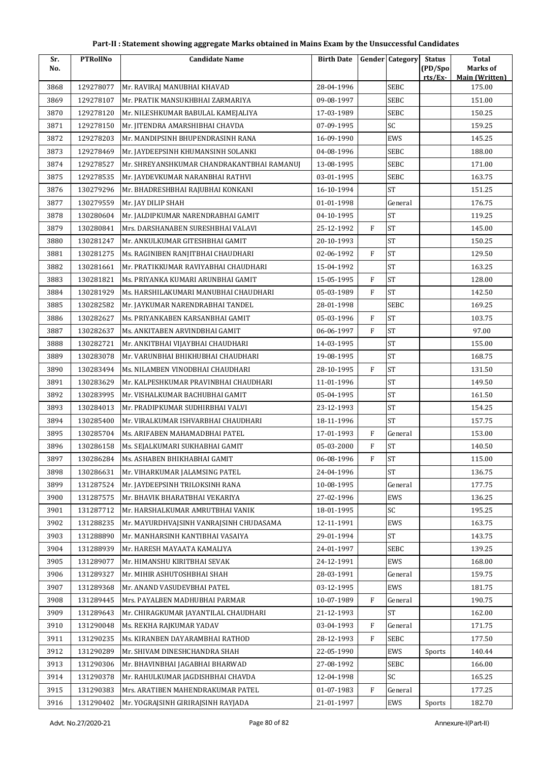| Sr.  | <b>PTRollNo</b> | <b>Candidate Name</b>                      | <b>Birth Date</b> |              | <b>Gender</b> Category | <b>Status</b> | <b>Total</b>                    |
|------|-----------------|--------------------------------------------|-------------------|--------------|------------------------|---------------|---------------------------------|
| No.  |                 |                                            |                   |              |                        | (PD/Spo       | Marks of                        |
| 3868 | 129278077       | Mr. RAVIRAJ MANUBHAI KHAVAD                | 28-04-1996        |              | <b>SEBC</b>            | rts/Ex-       | <b>Main (Written)</b><br>175.00 |
| 3869 | 129278107       | Mr. PRATIK MANSUKHBHAI ZARMARIYA           | 09-08-1997        |              | SEBC                   |               | 151.00                          |
| 3870 | 129278120       | Mr. NILESHKUMAR BABULAL KAMEJALIYA         | 17-03-1989        |              | SEBC                   |               | 150.25                          |
| 3871 | 129278150       | Mr. JITENDRA AMARSHIBHAI CHAVDA            | 07-09-1995        |              | SC                     |               | 159.25                          |
| 3872 | 129278203       | Mr. MANDIPSINH BHUPENDRASINH RANA          | 16-09-1990        |              | EWS                    |               | 145.25                          |
| 3873 | 129278469       | Mr. JAYDEEPSINH KHUMANSINH SOLANKI         | 04-08-1996        |              | SEBC                   |               | 188.00                          |
| 3874 | 129278527       | Mr. SHREYANSHKUMAR CHANDRAKANTBHAI RAMANUJ | 13-08-1995        |              | SEBC                   |               | 171.00                          |
| 3875 | 129278535       | Mr. JAYDEVKUMAR NARANBHAI RATHVI           | 03-01-1995        |              | SEBC                   |               | 163.75                          |
| 3876 | 130279296       | Mr. BHADRESHBHAI RAJUBHAI KONKANI          | 16-10-1994        |              | <b>ST</b>              |               | 151.25                          |
| 3877 | 130279559       | Mr. JAY DILIP SHAH                         | 01-01-1998        |              | General                |               | 176.75                          |
| 3878 | 130280604       | Mr. JALDIPKUMAR NARENDRABHAI GAMIT         | 04-10-1995        |              | <b>ST</b>              |               | 119.25                          |
| 3879 | 130280841       | Mrs. DARSHANABEN SURESHBHAI VALAVI         | 25-12-1992        | $\mathbf{F}$ | <b>ST</b>              |               | 145.00                          |
| 3880 | 130281247       | Mr. ANKULKUMAR GITESHBHAI GAMIT            | 20-10-1993        |              | <b>ST</b>              |               | 150.25                          |
| 3881 | 130281275       | Ms. RAGINIBEN RANJITBHAI CHAUDHARI         | 02-06-1992        | $\mathbf{F}$ | <b>ST</b>              |               | 129.50                          |
| 3882 | 130281661       | Mr. PRATIKKUMAR RAVIYABHAI CHAUDHARI       | 15-04-1992        |              | <b>ST</b>              |               | 163.25                          |
| 3883 | 130281821       | Ms. PRIYANKA KUMARI ARUNBHAI GAMIT         | 15-05-1995        | $\mathbf{F}$ | <b>ST</b>              |               | 128.00                          |
| 3884 | 130281929       | Ms. HARSHILAKUMARI MANUBHAI CHAUDHARI      | 05-03-1989        | $\mathbf{F}$ | <b>ST</b>              |               | 142.50                          |
| 3885 | 130282582       | Mr. JAYKUMAR NARENDRABHAI TANDEL           | 28-01-1998        |              | <b>SEBC</b>            |               | 169.25                          |
| 3886 | 130282627       | Ms. PRIYANKABEN KARSANBHAI GAMIT           | 05-03-1996        | $\mathbf{F}$ | <b>ST</b>              |               | 103.75                          |
| 3887 | 130282637       | Ms. ANKITABEN ARVINDBHAI GAMIT             | 06-06-1997        | $\mathbf{F}$ | <b>ST</b>              |               | 97.00                           |
| 3888 | 130282721       | Mr. ANKITBHAI VIJAYBHAI CHAUDHARI          | 14-03-1995        |              | <b>ST</b>              |               | 155.00                          |
| 3889 | 130283078       | Mr. VARUNBHAI BHIKHUBHAI CHAUDHARI         | 19-08-1995        |              | <b>ST</b>              |               | 168.75                          |
| 3890 | 130283494       | Ms. NILAMBEN VINODBHAI CHAUDHARI           | 28-10-1995        | $\mathbf{F}$ | <b>ST</b>              |               | 131.50                          |
| 3891 | 130283629       | Mr. KALPESHKUMAR PRAVINBHAI CHAUDHARI      | 11-01-1996        |              | <b>ST</b>              |               | 149.50                          |
| 3892 | 130283995       | Mr. VISHALKUMAR BACHUBHAI GAMIT            | 05-04-1995        |              | <b>ST</b>              |               | 161.50                          |
| 3893 | 130284013       | Mr. PRADIPKUMAR SUDHIRBHAI VALVI           | 23-12-1993        |              | <b>ST</b>              |               | 154.25                          |
| 3894 | 130285400       | Mr. VIRALKUMAR ISHVARBHAI CHAUDHARI        | 18-11-1996        |              | <b>ST</b>              |               | 157.75                          |
| 3895 | 130285704       | Ms. ARIFABEN MAHAMADBHAI PATEL             | 17-01-1993        | $\mathbf{F}$ | General                |               | 153.00                          |
| 3896 | 130286158       | Ms. SEJALKUMARI SUKHABHAI GAMIT            | 05-03-2000        | ${\bf F}$    | <b>ST</b>              |               | 140.50                          |
| 3897 | 130286284       | Ms. ASHABEN BHIKHABHAI GAMIT               | 06-08-1996        | F            | <b>ST</b>              |               | 115.00                          |
| 3898 | 130286631       | Mr. VIHARKUMAR JALAMSING PATEL             | 24-04-1996        |              | <b>ST</b>              |               | 136.75                          |
| 3899 | 131287524       | Mr. JAYDEEPSINH TRILOKSINH RANA            | 10-08-1995        |              | General                |               | 177.75                          |
| 3900 | 131287575       | Mr. BHAVIK BHARATBHAI VEKARIYA             | 27-02-1996        |              | <b>EWS</b>             |               | 136.25                          |
| 3901 | 131287712       | Mr. HARSHALKUMAR AMRUTBHAI VANIK           | 18-01-1995        |              | SC                     |               | 195.25                          |
| 3902 | 131288235       | Mr. MAYURDHVAJSINH VANRAJSINH CHUDASAMA    | 12-11-1991        |              | EWS                    |               | 163.75                          |
| 3903 | 131288890       | Mr. MANHARSINH KANTIBHAI VASAIYA           | 29-01-1994        |              | <b>ST</b>              |               | 143.75                          |
| 3904 | 131288939       | Mr. HARESH MAYAATA KAMALIYA                | 24-01-1997        |              | SEBC                   |               | 139.25                          |
| 3905 | 131289077       | Mr. HIMANSHU KIRITBHAI SEVAK               | 24-12-1991        |              | EWS                    |               | 168.00                          |
| 3906 | 131289327       | Mr. MIHIR ASHUTOSHBHAI SHAH                | 28-03-1991        |              | General                |               | 159.75                          |
| 3907 | 131289368       | Mr. ANAND VASUDEVBHAI PATEL                | 03-12-1995        |              | EWS                    |               | 181.75                          |
| 3908 | 131289445       | Mrs. PAYALBEN MADHUBHAI PARMAR             | 10-07-1989        | $\mathbf{F}$ | General                |               | 190.75                          |
| 3909 | 131289643       | Mr. CHIRAGKUMAR JAYANTILAL CHAUDHARI       | 21-12-1993        |              | ${\rm ST}$             |               | 162.00                          |
| 3910 | 131290048       | Ms. REKHA RAJKUMAR YADAV                   | 03-04-1993        | F            | General                |               | 171.75                          |
| 3911 | 131290235       | Ms. KIRANBEN DAYARAMBHAI RATHOD            | 28-12-1993        | $\mathbf{F}$ | SEBC                   |               | 177.50                          |
| 3912 | 131290289       | Mr. SHIVAM DINESHCHANDRA SHAH              | 22-05-1990        |              | EWS                    | Sports        | 140.44                          |
| 3913 | 131290306       | Mr. BHAVINBHAI JAGABHAI BHARWAD            | 27-08-1992        |              | SEBC                   |               | 166.00                          |
| 3914 | 131290378       | Mr. RAHULKUMAR JAGDISHBHAI CHAVDA          | 12-04-1998        |              | SC                     |               | 165.25                          |
| 3915 | 131290383       | Mrs. ARATIBEN MAHENDRAKUMAR PATEL          | 01-07-1983        | F            | General                |               | 177.25                          |
| 3916 | 131290402       | Mr. YOGRAJSINH GIRIRAJSINH RAYJADA         | 21-01-1997        |              | EWS                    | Sports        | 182.70                          |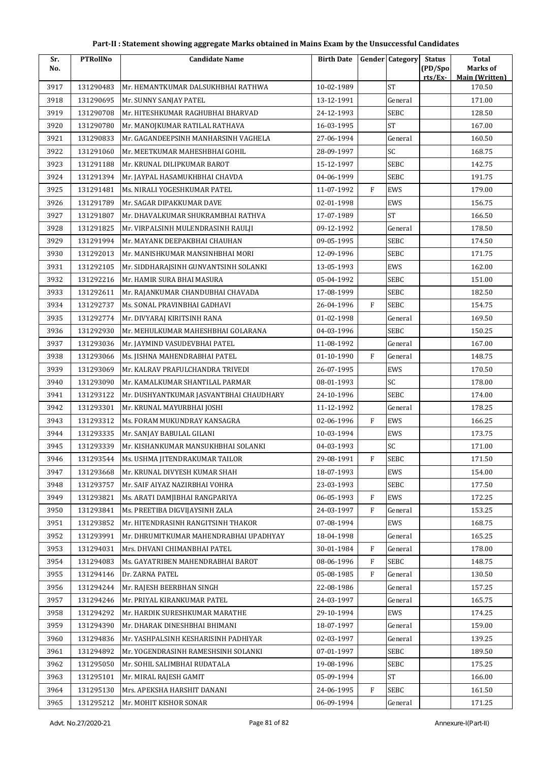| Sr.  | <b>PTRollNo</b> | <b>Candidate Name</b>                   | <b>Birth Date</b> |              | <b>Gender</b> Category | <b>Status</b>     | <b>Total</b>                      |
|------|-----------------|-----------------------------------------|-------------------|--------------|------------------------|-------------------|-----------------------------------|
| No.  |                 |                                         |                   |              |                        | (PD/Spo<br>rts/Ex | Marks of<br><b>Main (Written)</b> |
| 3917 | 131290483       | Mr. HEMANTKUMAR DALSUKHBHAI RATHWA      | 10-02-1989        |              | <b>ST</b>              |                   | 170.50                            |
| 3918 | 131290695       | Mr. SUNNY SANJAY PATEL                  | 13-12-1991        |              | General                |                   | 171.00                            |
| 3919 | 131290708       | Mr. HITESHKUMAR RAGHUBHAI BHARVAD       | 24-12-1993        |              | <b>SEBC</b>            |                   | 128.50                            |
| 3920 | 131290780       | Mr. MANOJKUMAR RATILAL RATHAVA          | 16-03-1995        |              | <b>ST</b>              |                   | 167.00                            |
| 3921 | 131290833       | Mr. GAGANDEEPSINH MANHARSINH VAGHELA    | 27-06-1994        |              | General                |                   | 160.50                            |
| 3922 | 131291060       | Mr. MEETKUMAR MAHESHBHAI GOHIL          | 28-09-1997        |              | SC                     |                   | 168.75                            |
| 3923 | 131291188       | Mr. KRUNAL DILIPKUMAR BAROT             | 15-12-1997        |              | <b>SEBC</b>            |                   | 142.75                            |
| 3924 | 131291394       | Mr. JAYPAL HASAMUKHBHAI CHAVDA          | 04-06-1999        |              | SEBC                   |                   | 191.75                            |
| 3925 | 131291481       | Ms. NIRALI YOGESHKUMAR PATEL            | 11-07-1992        | $\mathbf{F}$ | <b>EWS</b>             |                   | 179.00                            |
| 3926 | 131291789       | Mr. SAGAR DIPAKKUMAR DAVE               | 02-01-1998        |              | EWS                    |                   | 156.75                            |
| 3927 | 131291807       | Mr. DHAVALKUMAR SHUKRAMBHAI RATHVA      | 17-07-1989        |              | ST                     |                   | 166.50                            |
| 3928 | 131291825       | Mr. VIRPALSINH MULENDRASINH RAULJI      | 09-12-1992        |              | General                |                   | 178.50                            |
| 3929 | 131291994       | Mr. MAYANK DEEPAKBHAI CHAUHAN           | 09-05-1995        |              | SEBC                   |                   | 174.50                            |
| 3930 | 131292013       | Mr. MANISHKUMAR MANSINHBHAI MORI        | 12-09-1996        |              | SEBC                   |                   | 171.75                            |
| 3931 | 131292105       | Mr. SIDDHARAJSINH GUNVANTSINH SOLANKI   | 13-05-1993        |              | EWS                    |                   | 162.00                            |
| 3932 | 131292216       | Mr. HAMIR SURA BHAI MASURA              | 05-04-1992        |              | <b>SEBC</b>            |                   | 151.00                            |
| 3933 | 131292611       | Mr. RAJANKUMAR CHANDUBHAI CHAVADA       | 17-08-1999        |              | SEBC                   |                   | 182.50                            |
| 3934 | 131292737       | Ms. SONAL PRAVINBHAI GADHAVI            | 26-04-1996        | $\rm F$      | <b>SEBC</b>            |                   | 154.75                            |
| 3935 | 131292774       | Mr. DIVYARAJ KIRITSINH RANA             | 01-02-1998        |              | General                |                   | 169.50                            |
| 3936 | 131292930       | Mr. MEHULKUMAR MAHESHBHAI GOLARANA      | 04-03-1996        |              | SEBC                   |                   | 150.25                            |
| 3937 | 131293036       | Mr. JAYMIND VASUDEVBHAI PATEL           | 11-08-1992        |              | General                |                   | 167.00                            |
| 3938 | 131293066       | Ms. JISHNA MAHENDRABHAI PATEL           | 01-10-1990        | F            | General                |                   | 148.75                            |
| 3939 | 131293069       | Mr. KALRAV PRAFULCHANDRA TRIVEDI        | 26-07-1995        |              | EWS                    |                   | 170.50                            |
| 3940 | 131293090       | Mr. KAMALKUMAR SHANTILAL PARMAR         | 08-01-1993        |              | SC                     |                   | 178.00                            |
| 3941 | 131293122       | Mr. DUSHYANTKUMAR JASVANTBHAI CHAUDHARY | 24-10-1996        |              | SEBC                   |                   | 174.00                            |
| 3942 | 131293301       | Mr. KRUNAL MAYURBHAI JOSHI              | 11-12-1992        |              | General                |                   | 178.25                            |
| 3943 | 131293312       | Ms. FORAM MUKUNDRAY KANSAGRA            | 02-06-1996        | $\mathbf{F}$ | EWS                    |                   | 166.25                            |
| 3944 | 131293335       | Mr. SANJAY BABULAL GILANI               | 10-03-1994        |              | EWS                    |                   | 173.75                            |
| 3945 | 131293339       | Mr. KISHANKUMAR MANSUKHBHAI SOLANKI     | 04-03-1993        |              | SC                     |                   | 171.00                            |
| 3946 | 131293544       | Ms. USHMA JITENDRAKUMAR TAILOR          | 29-08-1991        | $\mathbf F$  | <b>SEBC</b>            |                   | 171.50                            |
| 3947 | 131293668       | Mr. KRUNAL DIVYESH KUMAR SHAH           | 18-07-1993        |              | EWS                    |                   | 154.00                            |
| 3948 | 131293757       | Mr. SAIF AIYAZ NAZIRBHAI VOHRA          | 23-03-1993        |              | <b>SEBC</b>            |                   | 177.50                            |
| 3949 | 131293821       | Ms. ARATI DAMJIBHAI RANGPARIYA          | 06-05-1993        | $\mathbf{F}$ | EWS                    |                   | 172.25                            |
| 3950 | 131293841       | Ms. PREETIBA DIGVIJAYSINH ZALA          | 24-03-1997        | F            | General                |                   | 153.25                            |
| 3951 | 131293852       | Mr. HITENDRASINH RANGITSINH THAKOR      | 07-08-1994        |              | EWS                    |                   | 168.75                            |
| 3952 | 131293991       | Mr. DHRUMITKUMAR MAHENDRABHAI UPADHYAY  | 18-04-1998        |              | General                |                   | 165.25                            |
| 3953 | 131294031       | Mrs. DHVANI CHIMANBHAI PATEL            | 30-01-1984        | F            | General                |                   | 178.00                            |
| 3954 | 131294083       | Ms. GAYATRIBEN MAHENDRABHAI BAROT       | 08-06-1996        | $\mathbf{F}$ | <b>SEBC</b>            |                   | 148.75                            |
| 3955 | 131294146       | Dr. ZARNA PATEL                         | 05-08-1985        | F            | General                |                   | 130.50                            |
| 3956 | 131294244       | Mr. RAJESH BEERBHAN SINGH               | 22-08-1986        |              | General                |                   | 157.25                            |
| 3957 | 131294246       | Mr. PRIYAL KIRANKUMAR PATEL             | 24-03-1997        |              | General                |                   | 165.75                            |
| 3958 | 131294292       | Mr. HARDIK SURESHKUMAR MARATHE          | 29-10-1994        |              | EWS                    |                   | 174.25                            |
| 3959 | 131294390       | Mr. DHARAK DINESHBHAI BHIMANI           | 18-07-1997        |              | General                |                   | 159.00                            |
| 3960 | 131294836       | Mr. YASHPALSINH KESHARISINH PADHIYAR    | 02-03-1997        |              | General                |                   | 139.25                            |
| 3961 | 131294892       | Mr. YOGENDRASINH RAMESHSINH SOLANKI     | 07-01-1997        |              | SEBC                   |                   | 189.50                            |
| 3962 | 131295050       | Mr. SOHIL SALIMBHAI RUDATALA            | 19-08-1996        |              | SEBC                   |                   | 175.25                            |
| 3963 | 131295101       | Mr. MIRAL RAJESH GAMIT                  | 05-09-1994        |              | ST                     |                   | 166.00                            |
| 3964 | 131295130       | Mrs. APEKSHA HARSHIT DANANI             | 24-06-1995        | F            | SEBC                   |                   | 161.50                            |
| 3965 | 131295212       | Mr. MOHIT KISHOR SONAR                  | 06-09-1994        |              | General                |                   | 171.25                            |